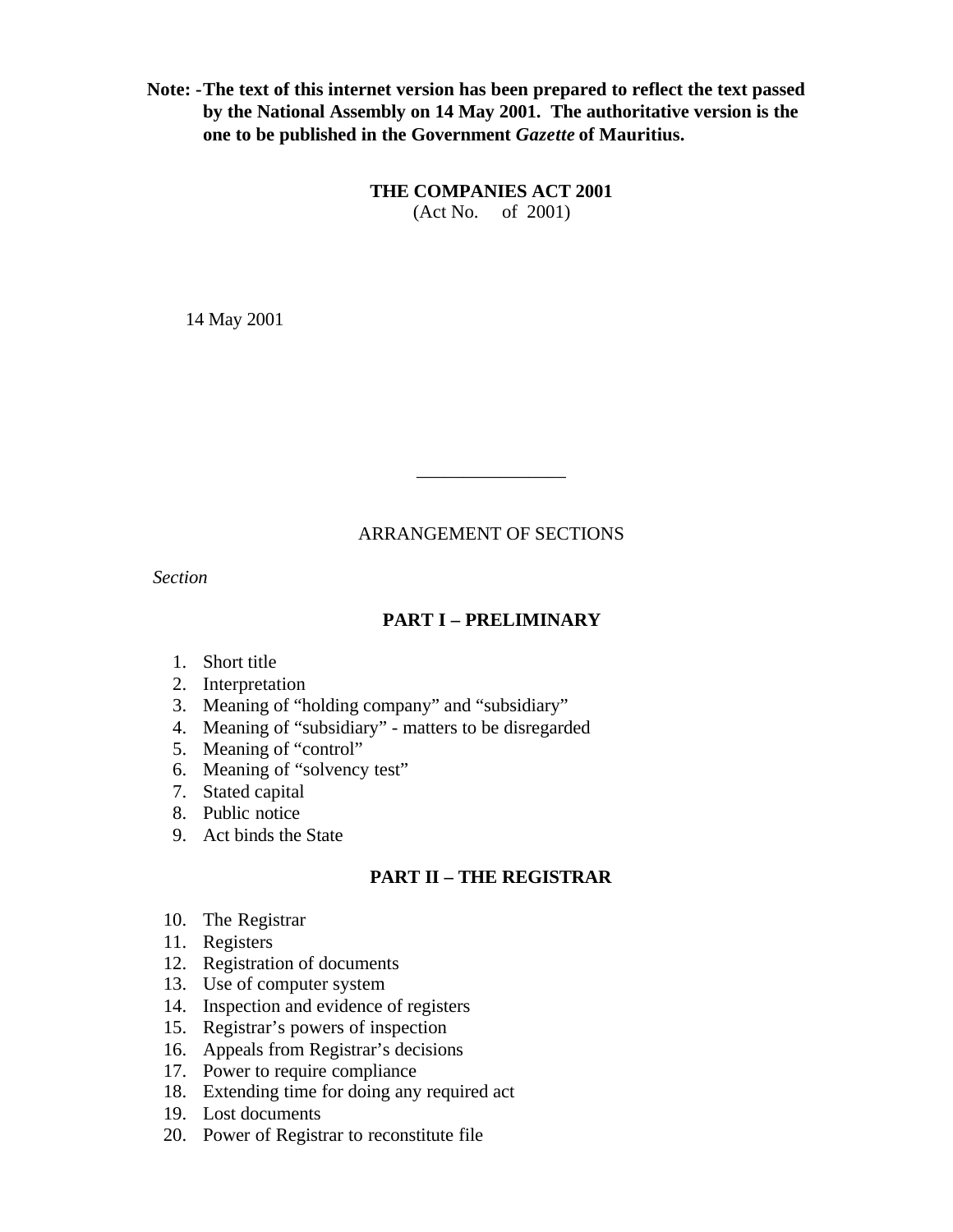**Note: -The text of this internet version has been prepared to reflect the text passed by the National Assembly on 14 May 2001. The authoritative version is the one to be published in the Government** *Gazette* **of Mauritius.**

> **THE COMPANIES ACT 2001** (Act No. of 2001)

14 May 2001

# ARRANGEMENT OF SECTIONS

\_\_\_\_\_\_\_\_\_\_\_\_\_\_\_\_

*Section*

# **PART I – PRELIMINARY**

- 1. Short title
- 2. Interpretation
- 3. Meaning of "holding company" and "subsidiary"
- 4. Meaning of "subsidiary" matters to be disregarded
- 5. Meaning of "control"
- 6. Meaning of "solvency test"
- 7. Stated capital
- 8. Public notice
- 9. Act binds the State

# **PART II – THE REGISTRAR**

- 10. The Registrar
- 11. Registers
- 12. Registration of documents
- 13. Use of computer system
- 14. Inspection and evidence of registers
- 15. Registrar's powers of inspection
- 16. Appeals from Registrar's decisions
- 17. Power to require compliance
- 18. Extending time for doing any required act
- 19. Lost documents
- 20. Power of Registrar to reconstitute file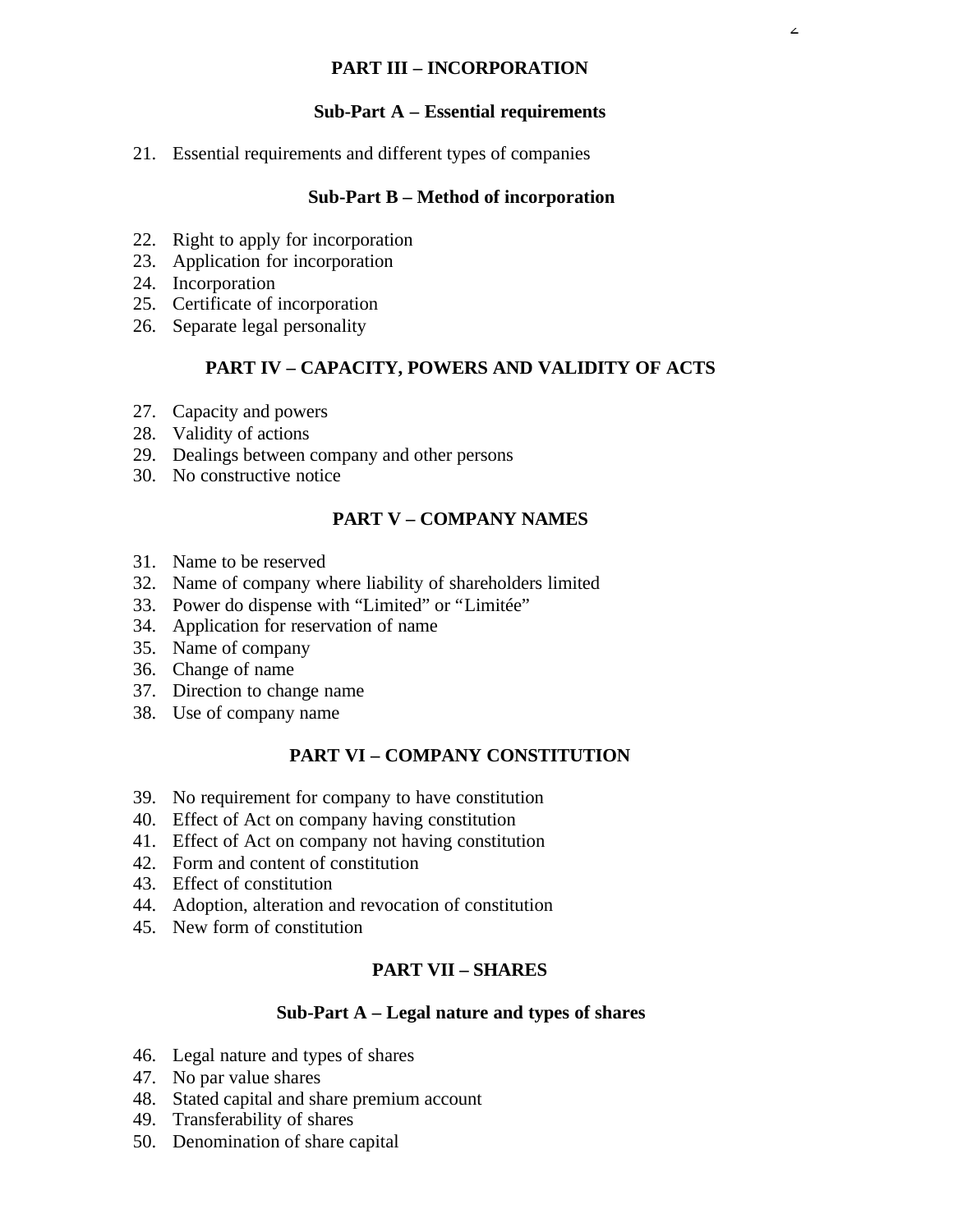# **PART III – INCORPORATION**

# **Sub-Part A – Essential requirements**

21. Essential requirements and different types of companies

#### **Sub-Part B – Method of incorporation**

- 22. Right to apply for incorporation
- 23. Application for incorporation
- 24. Incorporation
- 25. Certificate of incorporation
- 26. Separate legal personality

# **PART IV – CAPACITY, POWERS AND VALIDITY OF ACTS**

- 27. Capacity and powers
- 28. Validity of actions
- 29. Dealings between company and other persons
- 30. No constructive notice

# **PART V – COMPANY NAMES**

- 31. Name to be reserved
- 32. Name of company where liability of shareholders limited
- 33. Power do dispense with "Limited" or "Limitée"
- 34. Application for reservation of name
- 35. Name of company
- 36. Change of name
- 37. Direction to change name
- 38. Use of company name

# **PART VI – COMPANY CONSTITUTION**

- 39. No requirement for company to have constitution
- 40. Effect of Act on company having constitution
- 41. Effect of Act on company not having constitution
- 42. Form and content of constitution
- 43. Effect of constitution
- 44. Adoption, alteration and revocation of constitution
- 45. New form of constitution

#### **PART VII – SHARES**

#### **Sub-Part A – Legal nature and types of shares**

- 46. Legal nature and types of shares
- 47. No par value shares
- 48. Stated capital and share premium account
- 49. Transferability of shares
- 50. Denomination of share capital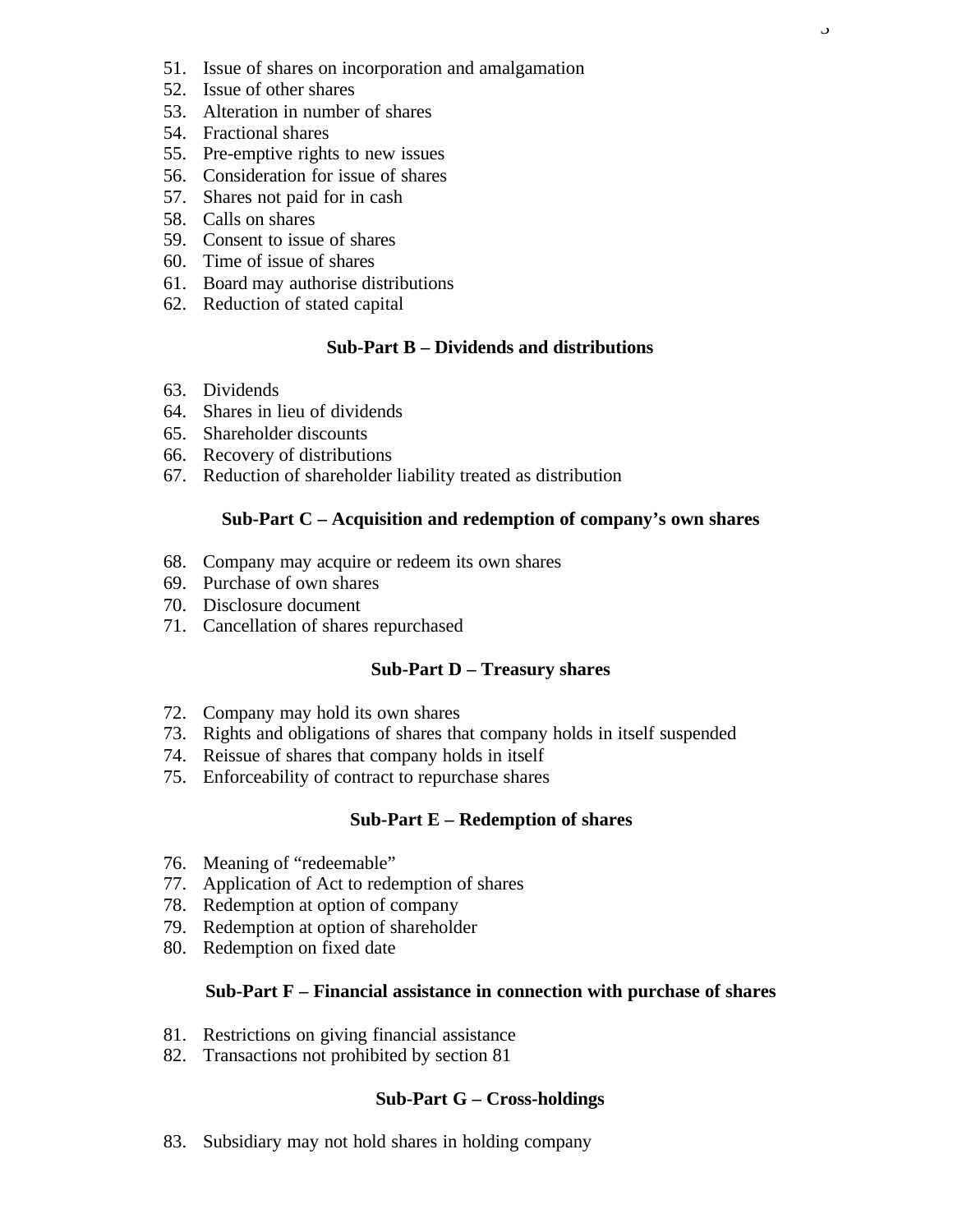- 51. Issue of shares on incorporation and amalgamation
- 52. Issue of other shares
- 53. Alteration in number of shares
- 54. Fractional shares
- 55. Pre-emptive rights to new issues
- 56. Consideration for issue of shares
- 57. Shares not paid for in cash
- 58. Calls on shares
- 59. Consent to issue of shares
- 60. Time of issue of shares
- 61. Board may authorise distributions
- 62. Reduction of stated capital

#### **Sub-Part B – Dividends and distributions**

- 63. Dividends
- 64. Shares in lieu of dividends
- 65. Shareholder discounts
- 66. Recovery of distributions
- 67. Reduction of shareholder liability treated as distribution

#### **Sub-Part C – Acquisition and redemption of company's own shares**

- 68. Company may acquire or redeem its own shares
- 69. Purchase of own shares
- 70. Disclosure document
- 71. Cancellation of shares repurchased

#### **Sub-Part D – Treasury shares**

- 72. Company may hold its own shares
- 73. Rights and obligations of shares that company holds in itself suspended
- 74. Reissue of shares that company holds in itself
- 75. Enforceability of contract to repurchase shares

#### **Sub-Part E – Redemption of shares**

- 76. Meaning of "redeemable"
- 77. Application of Act to redemption of shares
- 78. Redemption at option of company
- 79. Redemption at option of shareholder
- 80. Redemption on fixed date

#### **Sub-Part F – Financial assistance in connection with purchase of shares**

- 81. Restrictions on giving financial assistance
- 82. Transactions not prohibited by section 81

#### **Sub-Part G – Cross-holdings**

83. Subsidiary may not hold shares in holding company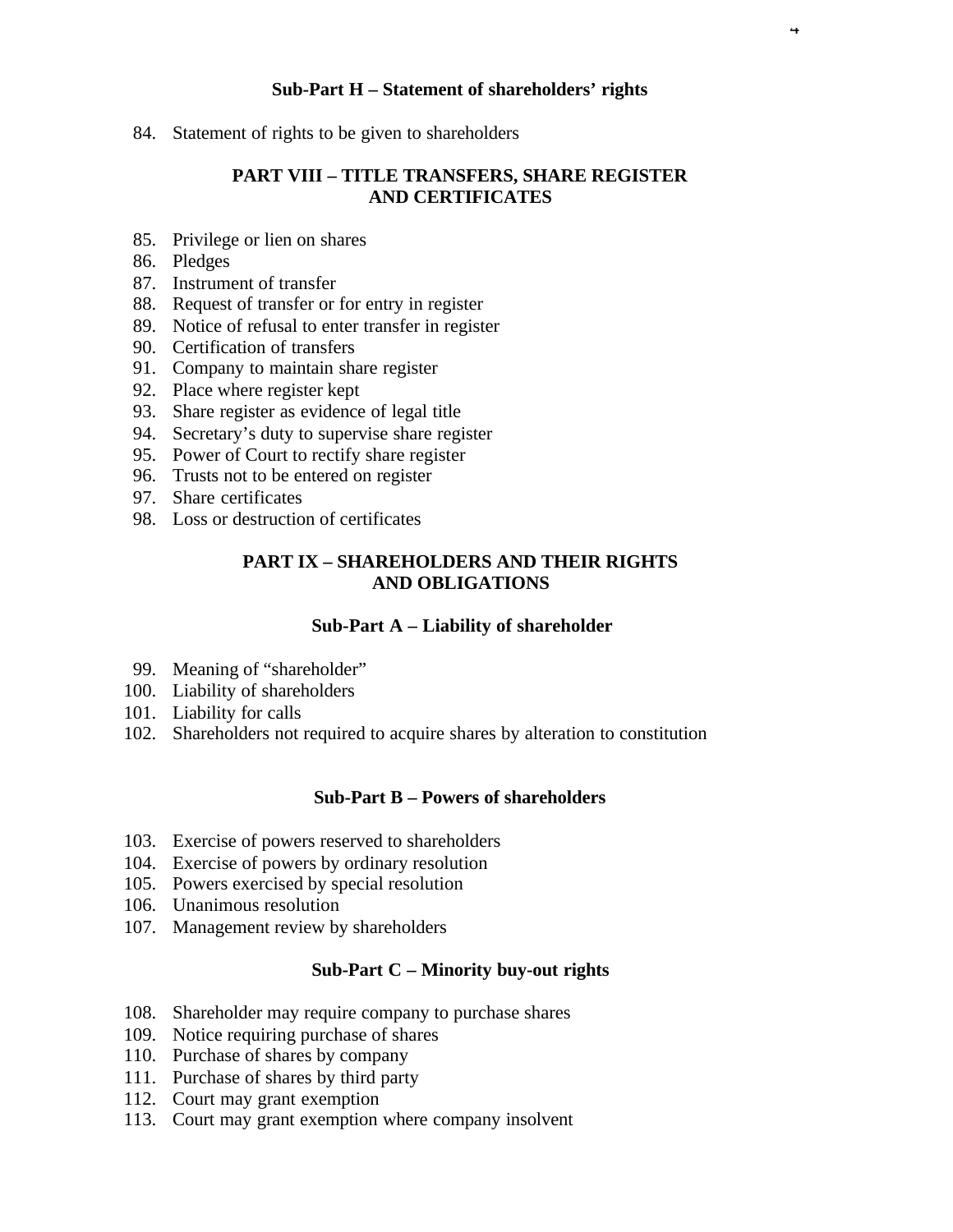#### **Sub-Part H – Statement of shareholders' rights**

4

84. Statement of rights to be given to shareholders

# **PART VIII – TITLE TRANSFERS, SHARE REGISTER AND CERTIFICATES**

- 85. Privilege or lien on shares
- 86. Pledges
- 87. Instrument of transfer
- 88. Request of transfer or for entry in register
- 89. Notice of refusal to enter transfer in register
- 90. Certification of transfers
- 91. Company to maintain share register
- 92. Place where register kept
- 93. Share register as evidence of legal title
- 94. Secretary's duty to supervise share register
- 95. Power of Court to rectify share register
- 96. Trusts not to be entered on register
- 97. Share certificates
- 98. Loss or destruction of certificates

# **PART IX – SHAREHOLDERS AND THEIR RIGHTS AND OBLIGATIONS**

#### **Sub-Part A – Liability of shareholder**

- 99. Meaning of "shareholder"
- 100. Liability of shareholders
- 101. Liability for calls
- 102. Shareholders not required to acquire shares by alteration to constitution

#### **Sub-Part B – Powers of shareholders**

- 103. Exercise of powers reserved to shareholders
- 104. Exercise of powers by ordinary resolution
- 105. Powers exercised by special resolution
- 106. Unanimous resolution
- 107. Management review by shareholders

#### **Sub-Part C – Minority buy-out rights**

- 108. Shareholder may require company to purchase shares
- 109. Notice requiring purchase of shares
- 110. Purchase of shares by company
- 111. Purchase of shares by third party
- 112. Court may grant exemption
- 113. Court may grant exemption where company insolvent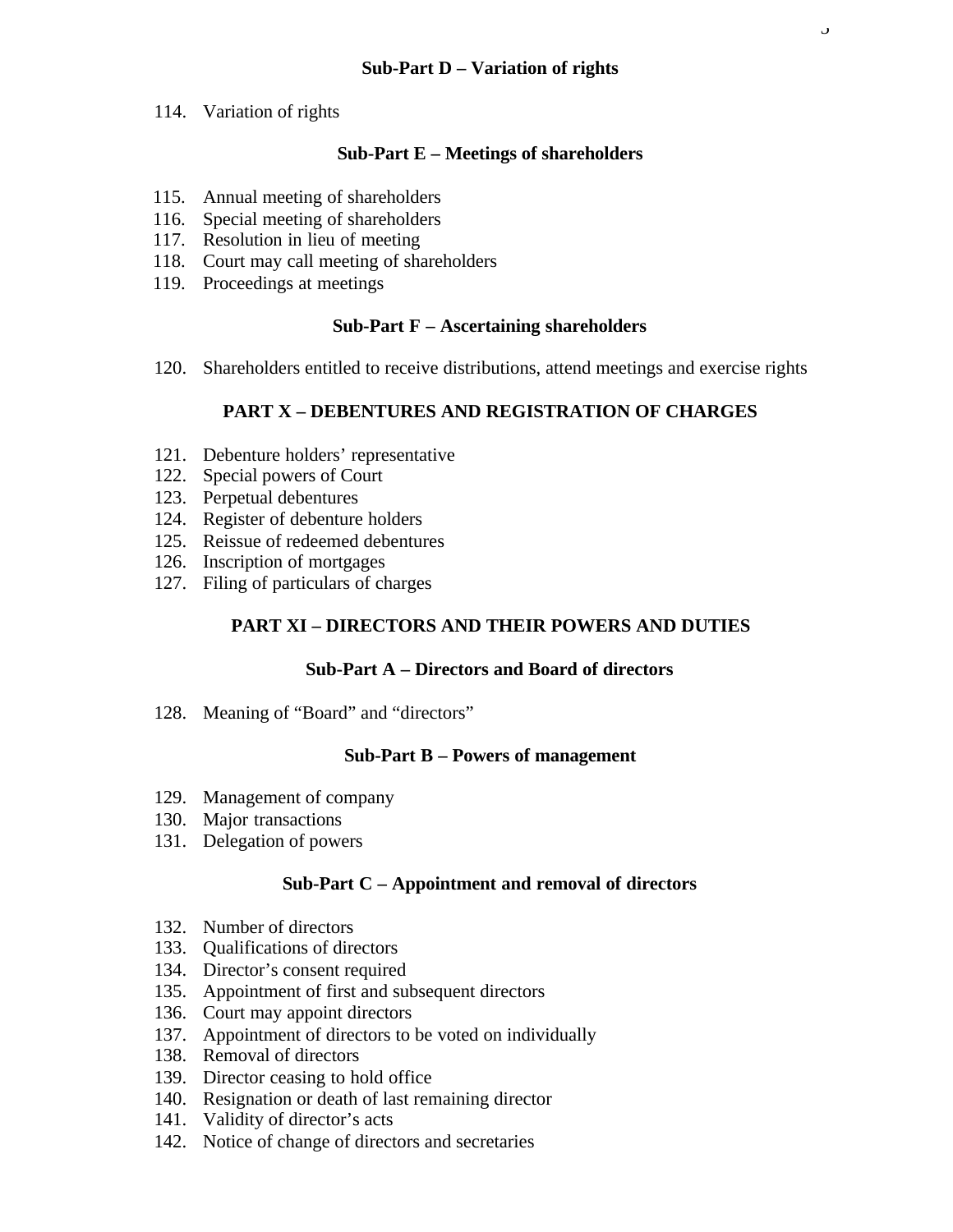# **Sub-Part D – Variation of rights**

114. Variation of rights

# **Sub-Part E – Meetings of shareholders**

- 115. Annual meeting of shareholders
- 116. Special meeting of shareholders
- 117. Resolution in lieu of meeting
- 118. Court may call meeting of shareholders
- 119. Proceedings at meetings

#### **Sub-Part F – Ascertaining shareholders**

120. Shareholders entitled to receive distributions, attend meetings and exercise rights

# **PART X – DEBENTURES AND REGISTRATION OF CHARGES**

- 121. Debenture holders' representative
- 122. Special powers of Court
- 123. Perpetual debentures
- 124. Register of debenture holders
- 125. Reissue of redeemed debentures
- 126. Inscription of mortgages
- 127. Filing of particulars of charges

# **PART XI – DIRECTORS AND THEIR POWERS AND DUTIES**

#### **Sub-Part A – Directors and Board of directors**

128. Meaning of "Board" and "directors"

#### **Sub-Part B – Powers of management**

- 129. Management of company
- 130. Major transactions
- 131. Delegation of powers

# **Sub-Part C – Appointment and removal of directors**

- 132. Number of directors
- 133. Qualifications of directors
- 134. Director's consent required
- 135. Appointment of first and subsequent directors
- 136. Court may appoint directors
- 137. Appointment of directors to be voted on individually
- 138. Removal of directors
- 139. Director ceasing to hold office
- 140. Resignation or death of last remaining director
- 141. Validity of director's acts
- 142. Notice of change of directors and secretaries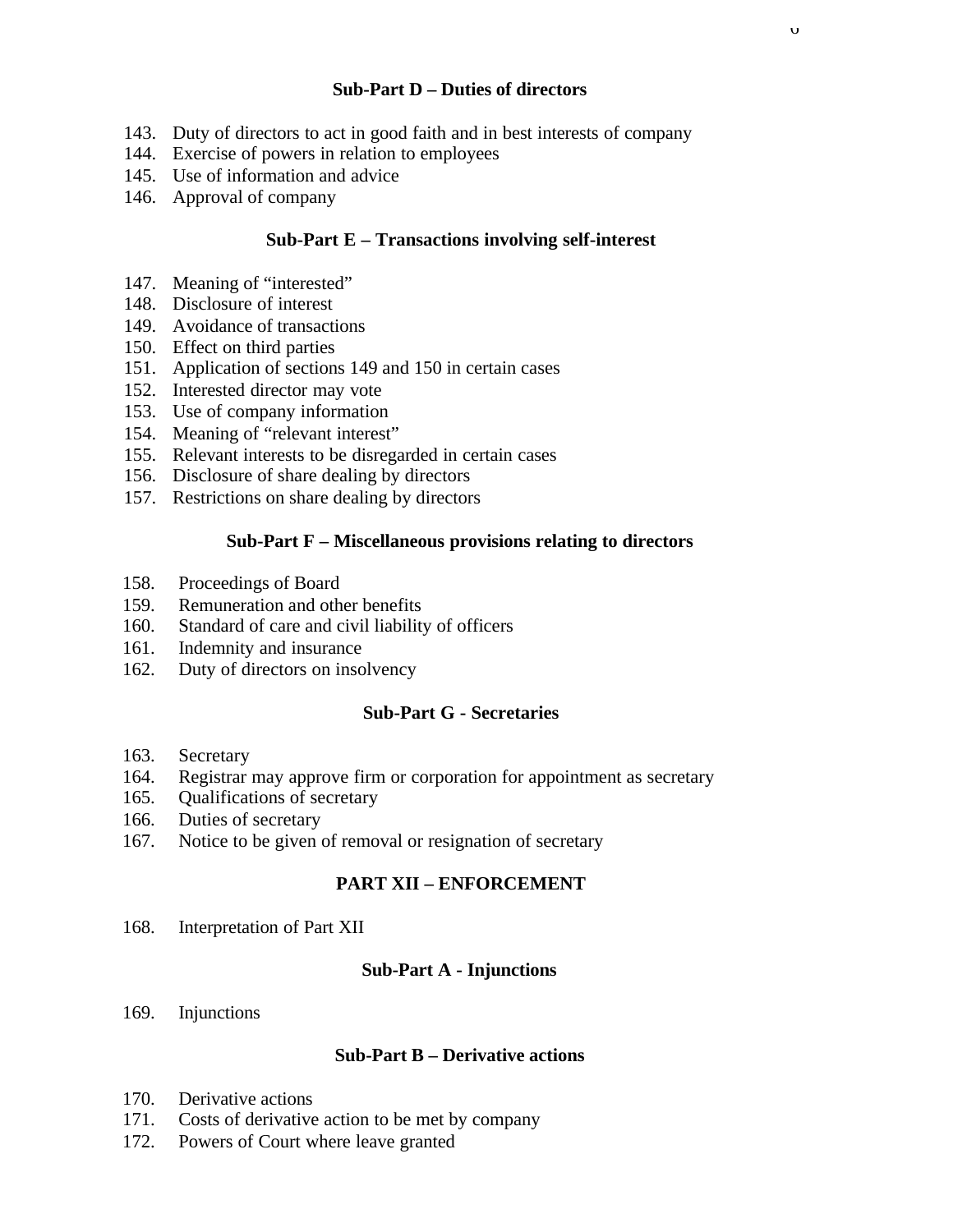### **Sub-Part D – Duties of directors**

 $\upsilon$ 

- 143. Duty of directors to act in good faith and in best interests of company
- 144. Exercise of powers in relation to employees
- 145. Use of information and advice
- 146. Approval of company

# **Sub-Part E – Transactions involving self-interest**

- 147. Meaning of "interested"
- 148. Disclosure of interest
- 149. Avoidance of transactions
- 150. Effect on third parties
- 151. Application of sections 149 and 150 in certain cases
- 152. Interested director may vote
- 153. Use of company information
- 154. Meaning of "relevant interest"
- 155. Relevant interests to be disregarded in certain cases
- 156. Disclosure of share dealing by directors
- 157. Restrictions on share dealing by directors

# **Sub-Part F – Miscellaneous provisions relating to directors**

- 158. Proceedings of Board
- 159. Remuneration and other benefits
- 160. Standard of care and civil liability of officers
- 161. Indemnity and insurance
- 162. Duty of directors on insolvency

#### **Sub-Part G - Secretaries**

- 163. Secretary
- 164. Registrar may approve firm or corporation for appointment as secretary
- 165. Qualifications of secretary
- 166. Duties of secretary
- 167. Notice to be given of removal or resignation of secretary

# **PART XII – ENFORCEMENT**

168. Interpretation of Part XII

# **Sub-Part A - Injunctions**

169. Injunctions

#### **Sub-Part B – Derivative actions**

- 170. Derivative actions
- 171. Costs of derivative action to be met by company
- 172. Powers of Court where leave granted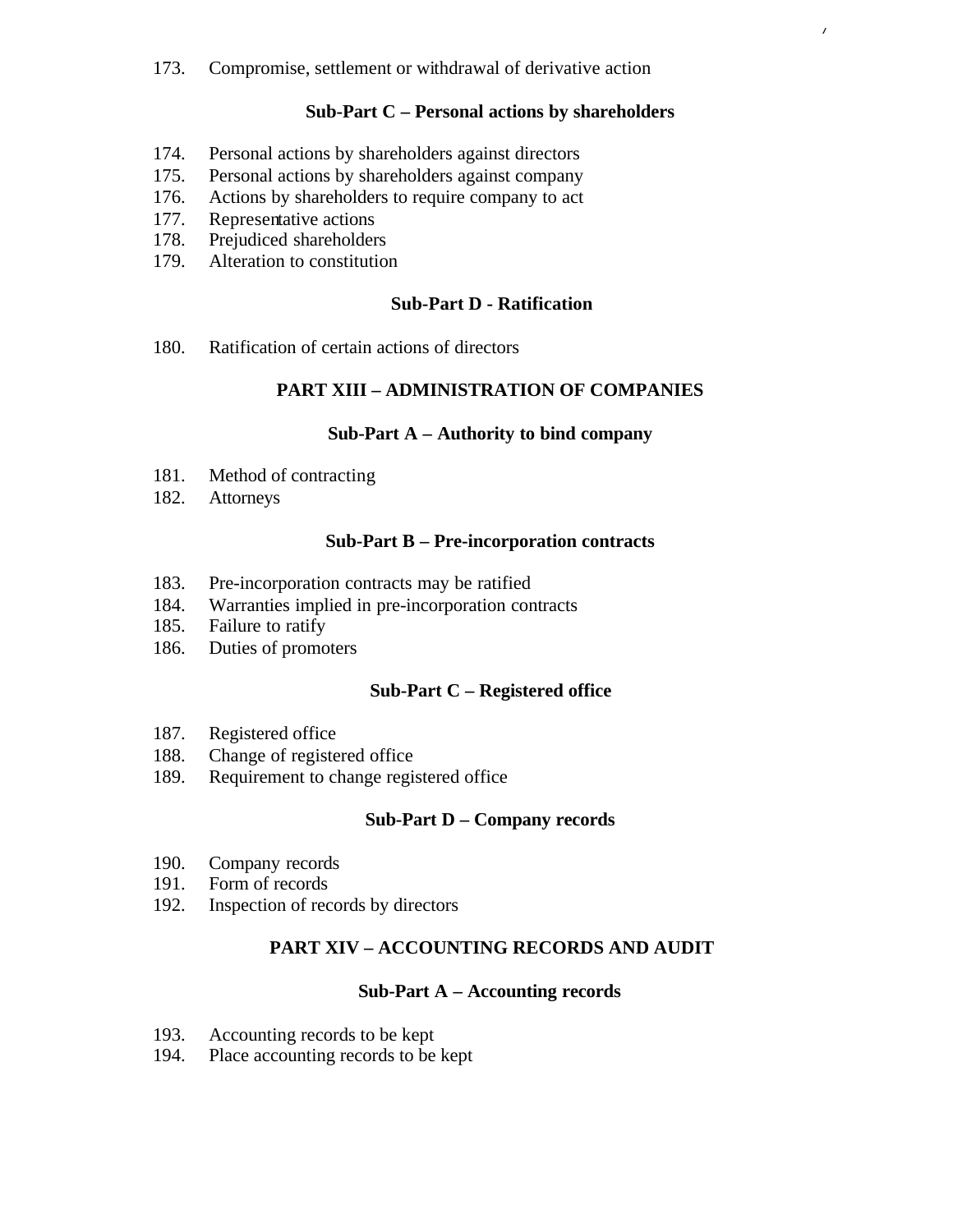173. Compromise, settlement or withdrawal of derivative action

# **Sub-Part C – Personal actions by shareholders**

 $\prime$ 

- 174. Personal actions by shareholders against directors
- 175. Personal actions by shareholders against company
- 176. Actions by shareholders to require company to act
- 177. Representative actions
- 178. Prejudiced shareholders
- 179. Alteration to constitution

# **Sub-Part D - Ratification**

180. Ratification of certain actions of directors

# **PART XIII – ADMINISTRATION OF COMPANIES**

#### **Sub-Part A – Authority to bind company**

- 181. Method of contracting
- 182. Attorneys

#### **Sub-Part B – Pre-incorporation contracts**

- 183. Pre-incorporation contracts may be ratified
- 184. Warranties implied in pre-incorporation contracts
- 185. Failure to ratify
- 186. Duties of promoters

#### **Sub-Part C – Registered office**

- 187. Registered office
- 188. Change of registered office
- 189. Requirement to change registered office

#### **Sub-Part D – Company records**

- 190. Company records
- 191. Form of records
- 192. Inspection of records by directors

# **PART XIV – ACCOUNTING RECORDS AND AUDIT**

# **Sub-Part A – Accounting records**

- 193. Accounting records to be kept
- 194. Place accounting records to be kept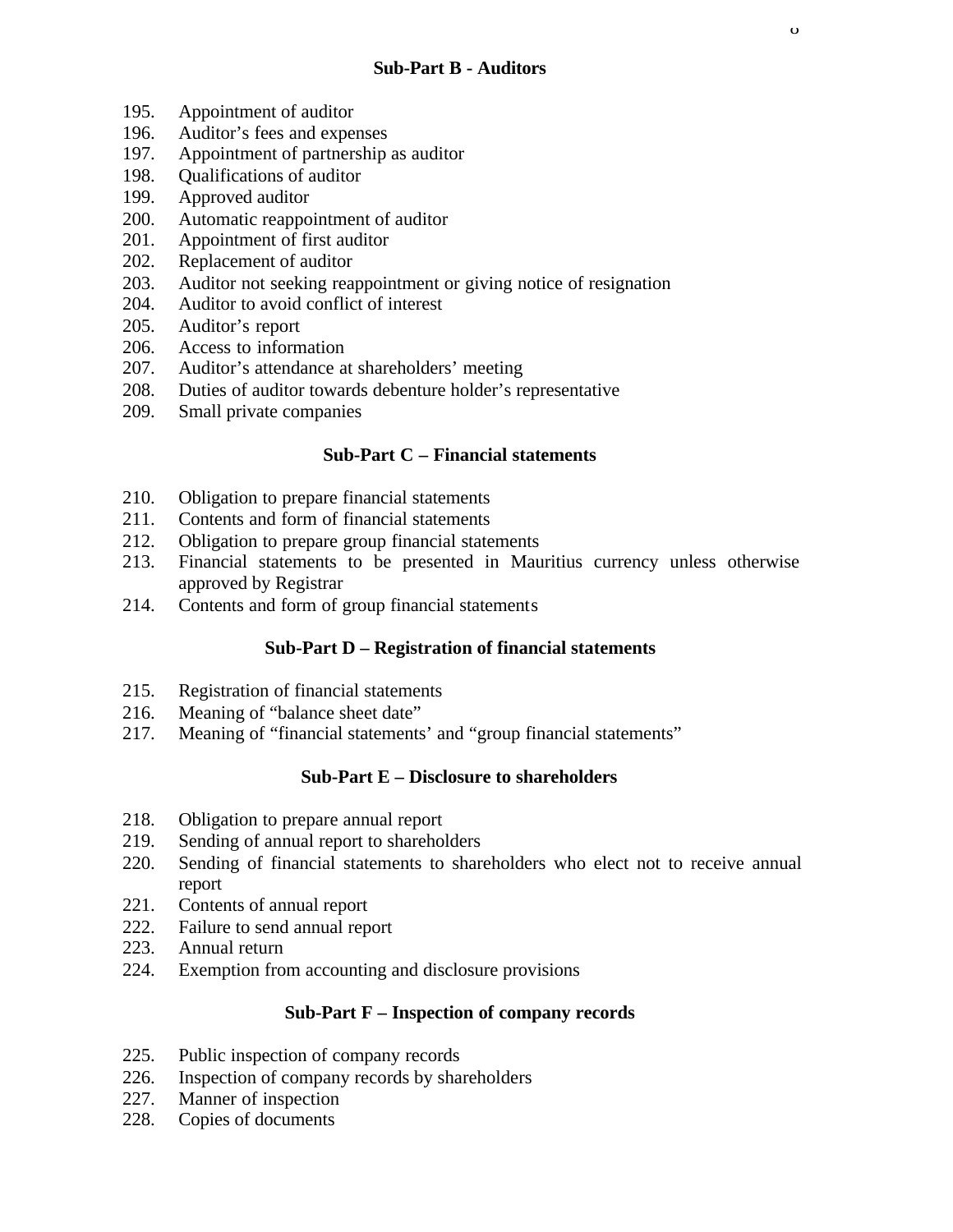- 195. Appointment of auditor
- 196. Auditor's fees and expenses
- 197. Appointment of partnership as auditor
- 198. Qualifications of auditor
- 199. Approved auditor
- 200. Automatic reappointment of auditor
- 201. Appointment of first auditor
- 202. Replacement of auditor
- 203. Auditor not seeking reappointment or giving notice of resignation
- 204. Auditor to avoid conflict of interest
- 205. Auditor's report
- 206. Access to information
- 207. Auditor's attendance at shareholders' meeting
- 208. Duties of auditor towards debenture holder's representative
- 209. Small private companies

# **Sub-Part C – Financial statements**

- 210. Obligation to prepare financial statements
- 211. Contents and form of financial statements
- 212. Obligation to prepare group financial statements
- 213. Financial statements to be presented in Mauritius currency unless otherwise approved by Registrar
- 214. Contents and form of group financial statements

# **Sub-Part D – Registration of financial statements**

- 215. Registration of financial statements
- 216. Meaning of "balance sheet date"
- 217. Meaning of "financial statements' and "group financial statements"

#### **Sub-Part E – Disclosure to shareholders**

- 218. Obligation to prepare annual report
- 219. Sending of annual report to shareholders
- 220. Sending of financial statements to shareholders who elect not to receive annual report
- 221. Contents of annual report
- 222. Failure to send annual report
- 223. Annual return
- 224. Exemption from accounting and disclosure provisions

#### **Sub-Part F – Inspection of company records**

- 225. Public inspection of company records
- 226. Inspection of company records by shareholders
- 227. Manner of inspection
- 228. Copies of documents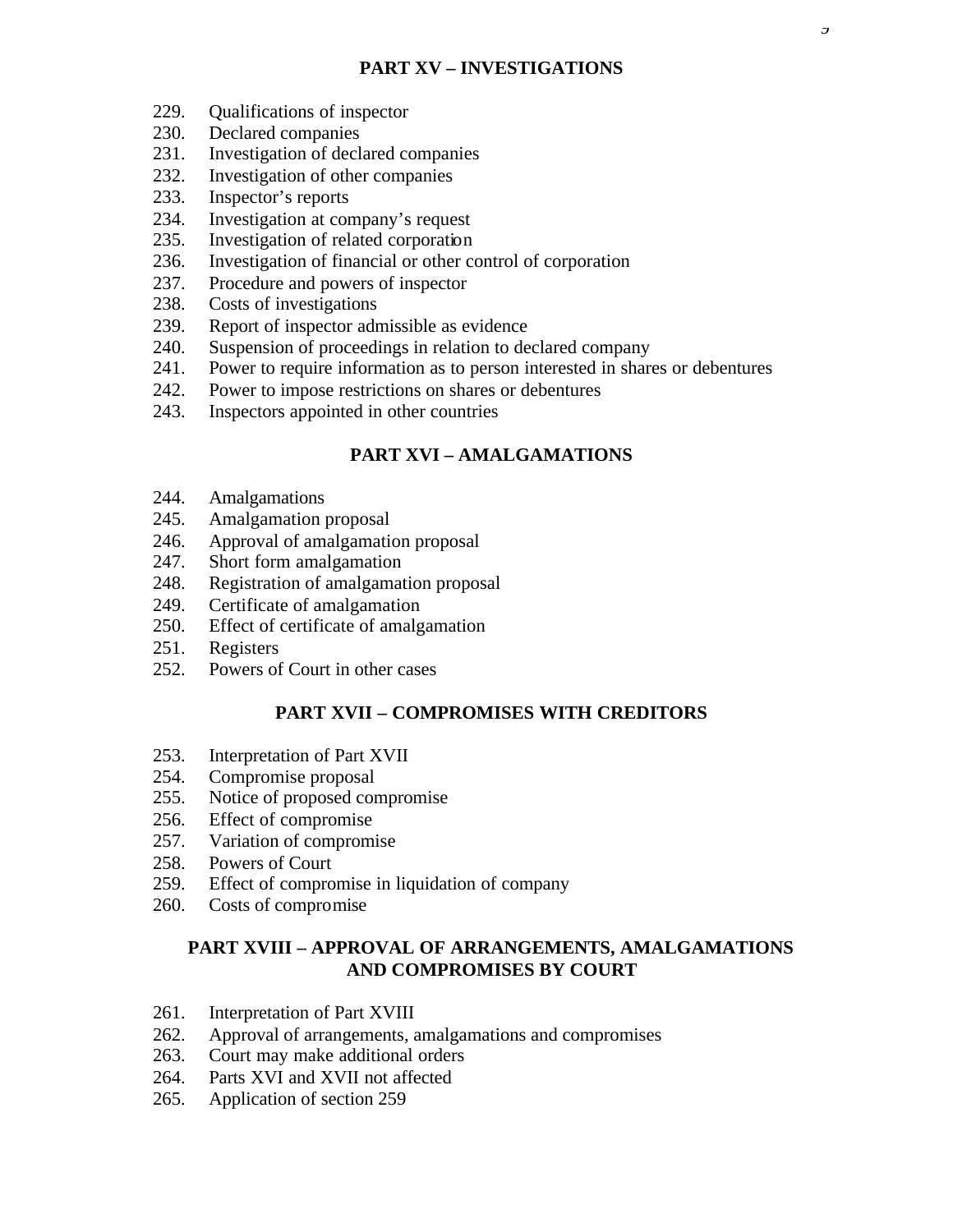- 229. Qualifications of inspector
- 230. Declared companies
- 231. Investigation of declared companies
- 232. Investigation of other companies
- 233. Inspector's reports
- 234. Investigation at company's request
- 235. Investigation of related corporation
- 236. Investigation of financial or other control of corporation
- 237. Procedure and powers of inspector
- 238. Costs of investigations
- 239. Report of inspector admissible as evidence
- 240. Suspension of proceedings in relation to declared company
- 241. Power to require information as to person interested in shares or debentures
- 242. Power to impose restrictions on shares or debentures
- 243. Inspectors appointed in other countries

# **PART XVI – AMALGAMATIONS**

- 244. Amalgamations
- 245. Amalgamation proposal
- 246. Approval of amalgamation proposal
- 247. Short form amalgamation
- 248. Registration of amalgamation proposal
- 249. Certificate of amalgamation
- 250. Effect of certificate of amalgamation
- 251. Registers
- 252. Powers of Court in other cases

# **PART XVII – COMPROMISES WITH CREDITORS**

- 253. Interpretation of Part XVII
- 254. Compromise proposal
- 255. Notice of proposed compromise
- 256. Effect of compromise
- 257. Variation of compromise
- 258. Powers of Court
- 259. Effect of compromise in liquidation of company
- 260. Costs of compromise

# **PART XVIII – APPROVAL OF ARRANGEMENTS, AMALGAMATIONS AND COMPROMISES BY COURT**

- 261. Interpretation of Part XVIII
- 262. Approval of arrangements, amalgamations and compromises
- 263. Court may make additional orders
- 264. Parts XVI and XVII not affected
- 265. Application of section 259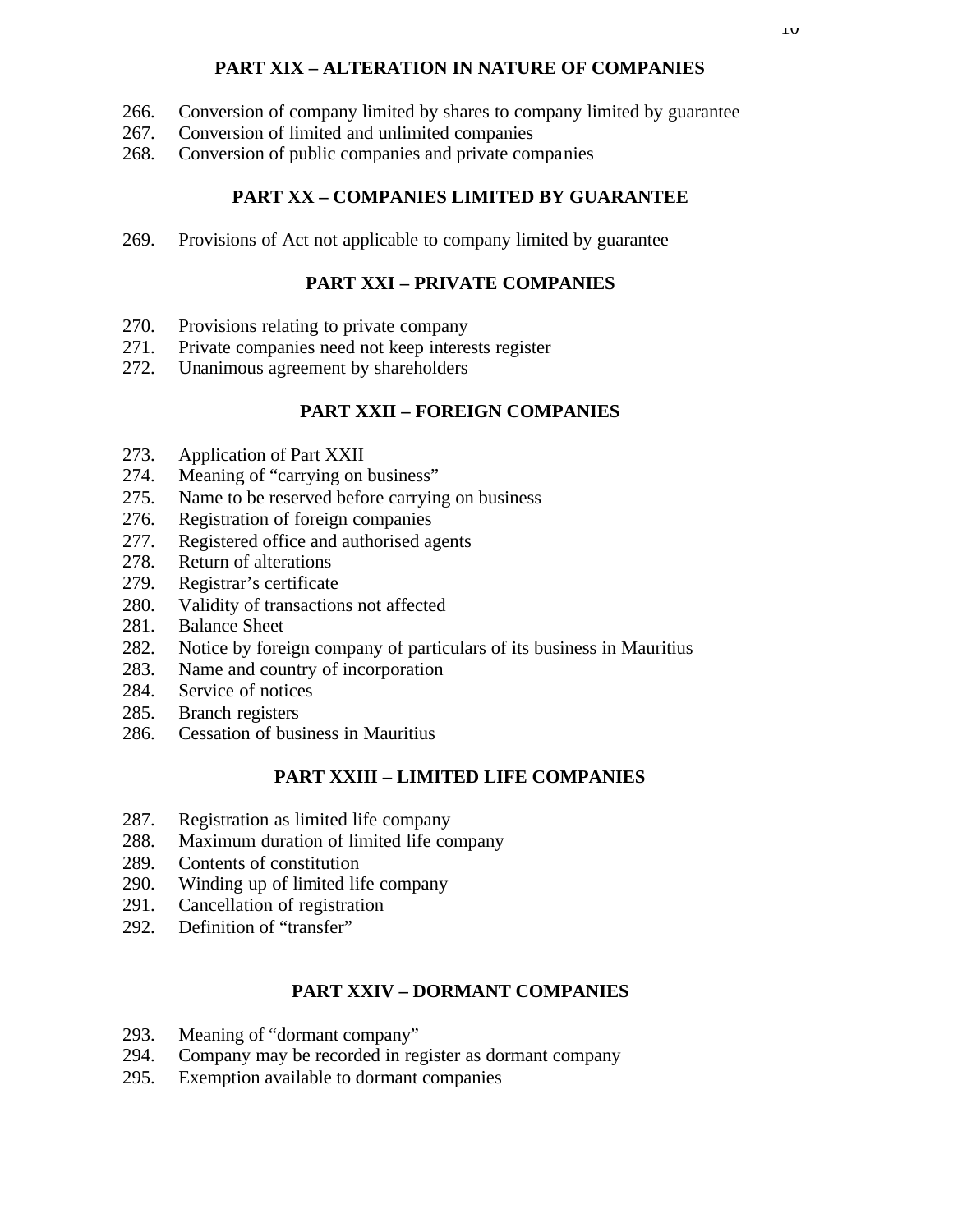# **PART XIX – ALTERATION IN NATURE OF COMPANIES**

- 266. Conversion of company limited by shares to company limited by guarantee
- 267. Conversion of limited and unlimited companies
- 268. Conversion of public companies and private companies

# **PART XX – COMPANIES LIMITED BY GUARANTEE**

269. Provisions of Act not applicable to company limited by guarantee

# **PART XXI – PRIVATE COMPANIES**

- 270. Provisions relating to private company
- 271. Private companies need not keep interests register
- 272. Unanimous agreement by shareholders

# **PART XXII – FOREIGN COMPANIES**

- 273. Application of Part XXII
- 274. Meaning of "carrying on business"
- 275. Name to be reserved before carrying on business
- 276. Registration of foreign companies
- 277. Registered office and authorised agents
- 278. Return of alterations
- 279. Registrar's certificate
- 280. Validity of transactions not affected
- 281. Balance Sheet
- 282. Notice by foreign company of particulars of its business in Mauritius
- 283. Name and country of incorporation
- 284. Service of notices
- 285. Branch registers
- 286. Cessation of business in Mauritius

# **PART XXIII – LIMITED LIFE COMPANIES**

- 287. Registration as limited life company
- 288. Maximum duration of limited life company
- 289. Contents of constitution
- 290. Winding up of limited life company
- 291. Cancellation of registration
- 292. Definition of "transfer"

# **PART XXIV – DORMANT COMPANIES**

- 293. Meaning of "dormant company"
- 294. Company may be recorded in register as dormant company
- 295. Exemption available to dormant companies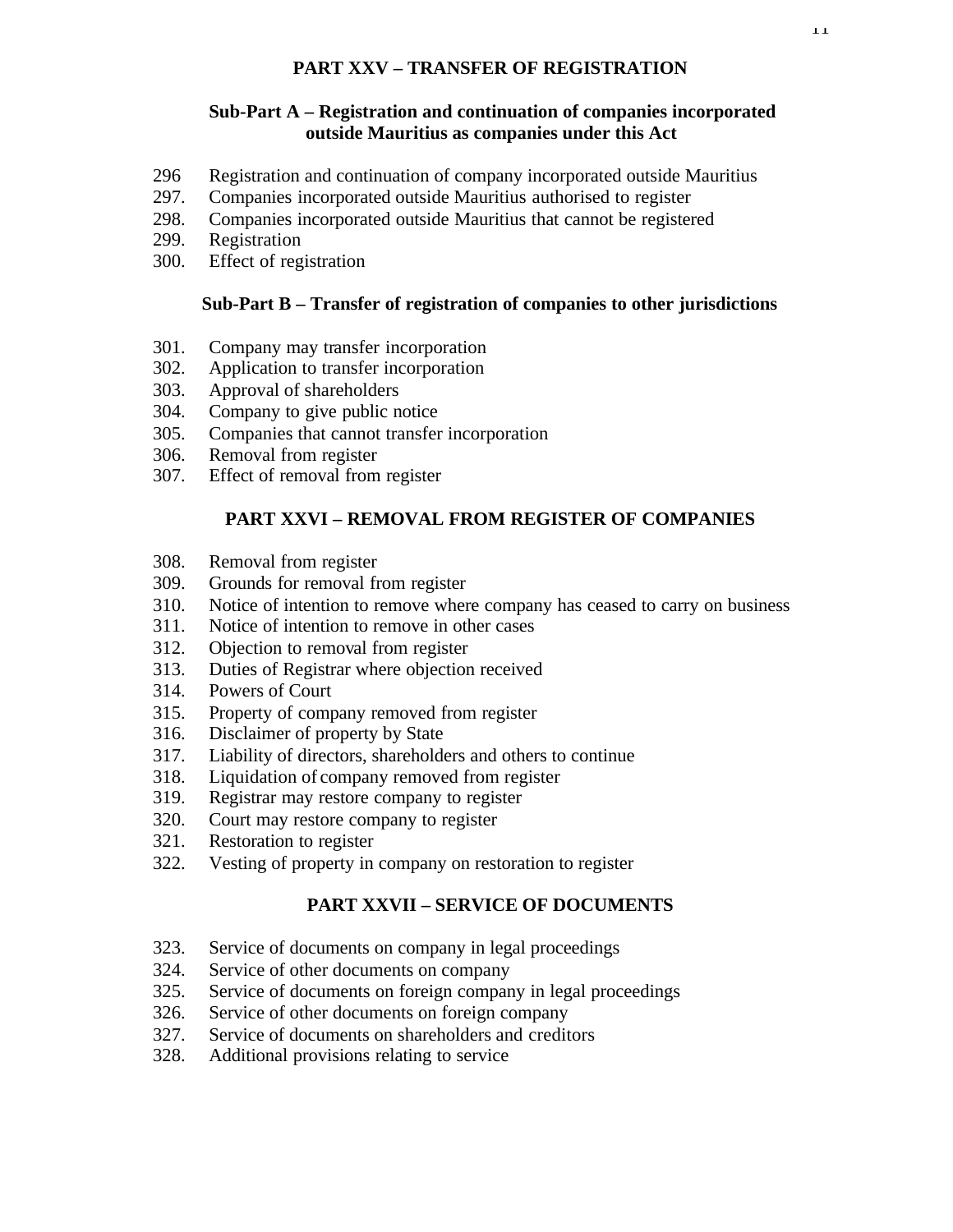# **PART XXV – TRANSFER OF REGISTRATION**

### **Sub-Part A – Registration and continuation of companies incorporated outside Mauritius as companies under this Act**

- 296 Registration and continuation of company incorporated outside Mauritius
- 297. Companies incorporated outside Mauritius authorised to register
- 298. Companies incorporated outside Mauritius that cannot be registered
- 299. Registration
- 300. Effect of registration

# **Sub-Part B – Transfer of registration of companies to other jurisdictions**

- 301. Company may transfer incorporation
- 302. Application to transfer incorporation
- 303. Approval of shareholders
- 304. Company to give public notice
- 305. Companies that cannot transfer incorporation
- 306. Removal from register
- 307. Effect of removal from register

# **PART XXVI – REMOVAL FROM REGISTER OF COMPANIES**

- 308. Removal from register
- 309. Grounds for removal from register
- 310. Notice of intention to remove where company has ceased to carry on business
- 311. Notice of intention to remove in other cases
- 312. Objection to removal from register
- 313. Duties of Registrar where objection received
- 314. Powers of Court
- 315. Property of company removed from register
- 316. Disclaimer of property by State
- 317. Liability of directors, shareholders and others to continue
- 318. Liquidation of company removed from register
- 319. Registrar may restore company to register
- 320. Court may restore company to register
- 321. Restoration to register
- 322. Vesting of property in company on restoration to register

# **PART XXVII – SERVICE OF DOCUMENTS**

- 323. Service of documents on company in legal proceedings
- 324. Service of other documents on company
- 325. Service of documents on foreign company in legal proceedings
- 326. Service of other documents on foreign company
- 327. Service of documents on shareholders and creditors
- 328. Additional provisions relating to service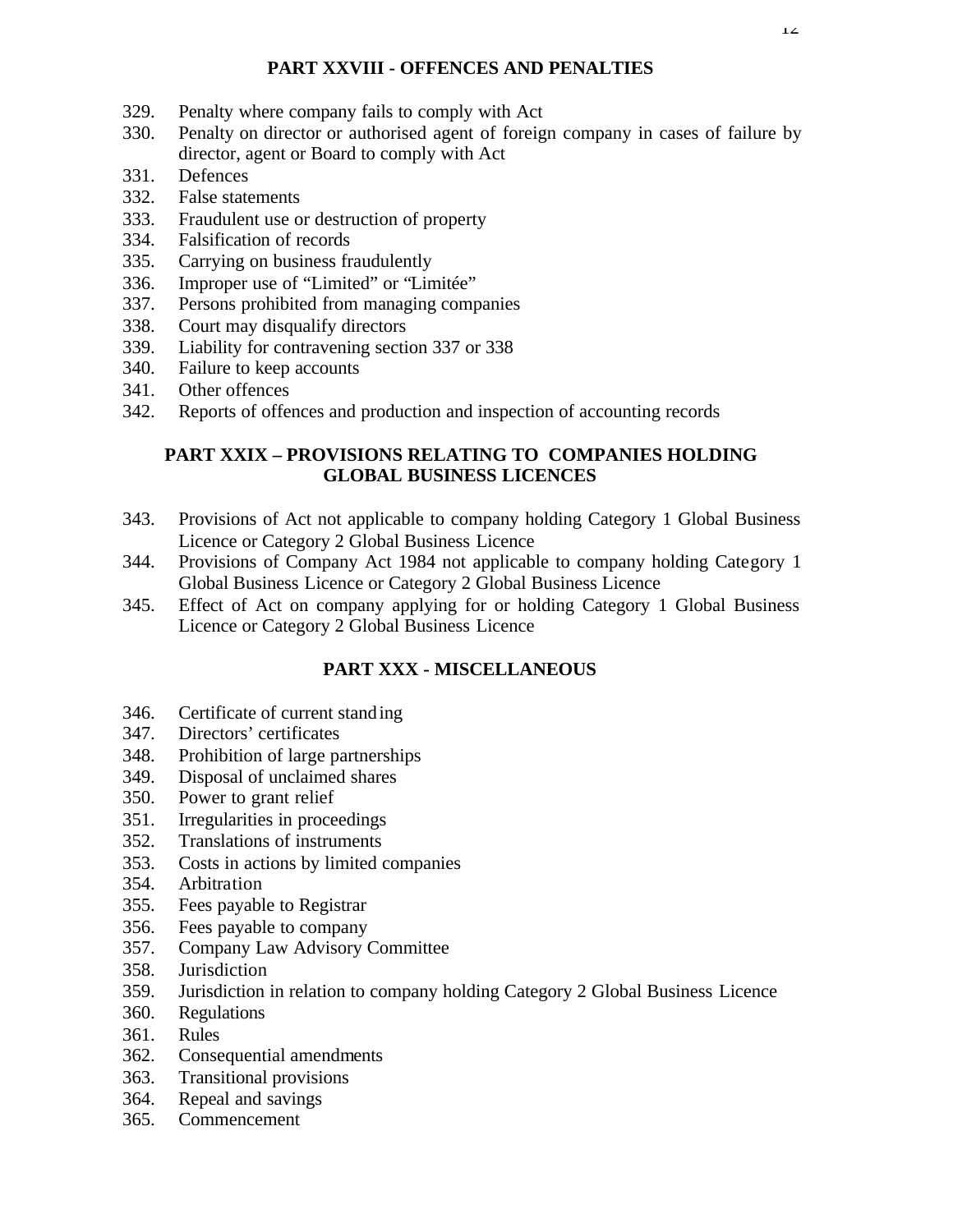# **PART XXVIII - OFFENCES AND PENALTIES**

- 329. Penalty where company fails to comply with Act
- 330. Penalty on director or authorised agent of foreign company in cases of failure by director, agent or Board to comply with Act
- 331. Defences
- 332. False statements
- 333. Fraudulent use or destruction of property
- 334. Falsification of records
- 335. Carrying on business fraudulently
- 336. Improper use of "Limited" or "Limitée"
- 337. Persons prohibited from managing companies
- 338. Court may disqualify directors
- 339. Liability for contravening section 337 or 338
- 340. Failure to keep accounts
- 341. Other offences
- 342. Reports of offences and production and inspection of accounting records

# **PART XXIX – PROVISIONS RELATING TO COMPANIES HOLDING GLOBAL BUSINESS LICENCES**

- 343. Provisions of Act not applicable to company holding Category 1 Global Business Licence or Category 2 Global Business Licence
- 344. Provisions of Company Act 1984 not applicable to company holding Category 1 Global Business Licence or Category 2 Global Business Licence
- 345. Effect of Act on company applying for or holding Category 1 Global Business Licence or Category 2 Global Business Licence

# **PART XXX - MISCELLANEOUS**

- 346. Certificate of current standing
- 347. Directors' certificates
- 348. Prohibition of large partnerships
- 349. Disposal of unclaimed shares
- 350. Power to grant relief
- 351. Irregularities in proceedings
- 352. Translations of instruments
- 353. Costs in actions by limited companies
- 354. Arbitration
- 355. Fees payable to Registrar
- 356. Fees payable to company
- 357. Company Law Advisory Committee
- 358. Jurisdiction
- 359. Jurisdiction in relation to company holding Category 2 Global Business Licence
- 360. Regulations
- 361. Rules
- 362. Consequential amendments
- 363. Transitional provisions
- 364. Repeal and savings
- 365. Commencement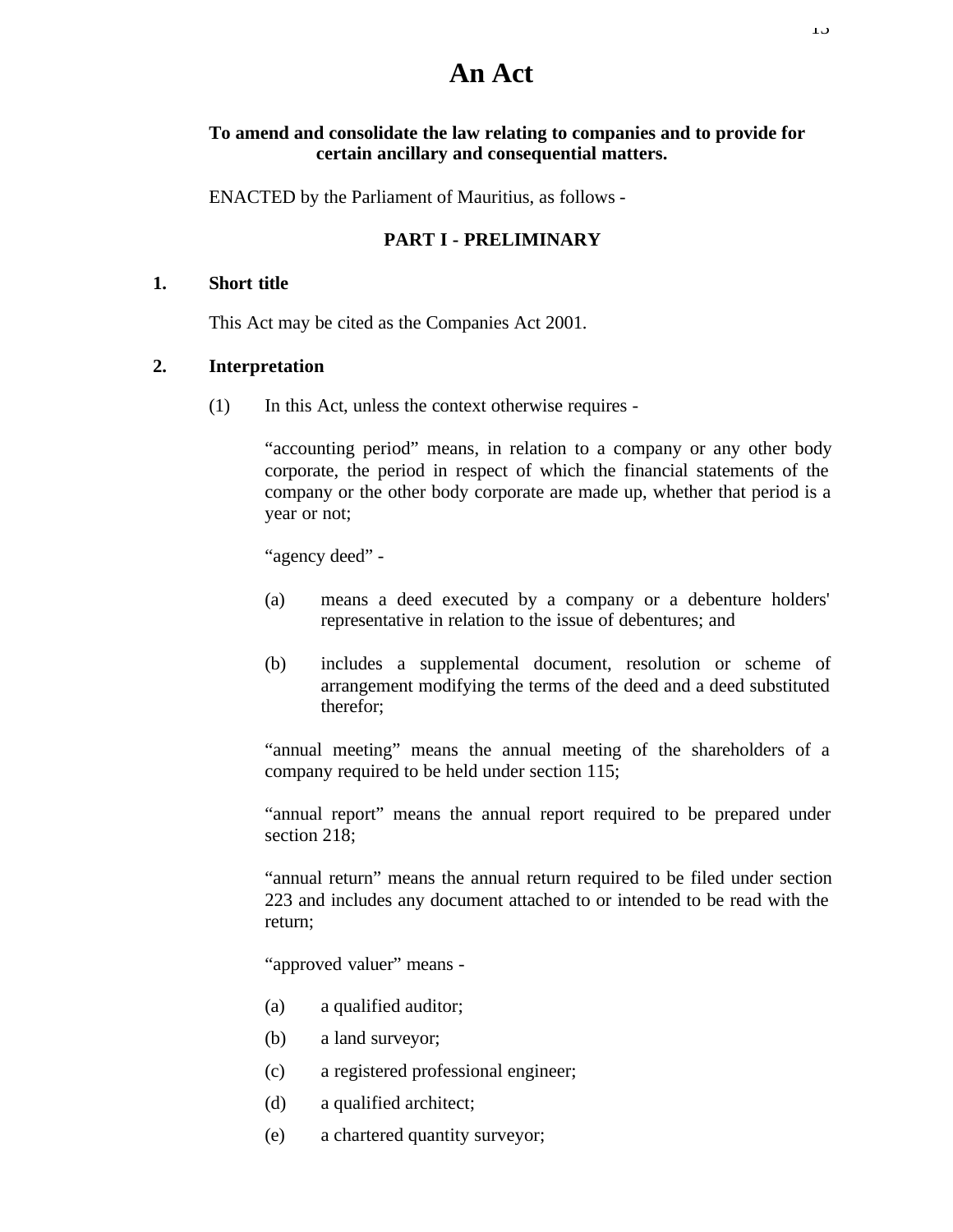# **An Act**

#### **To amend and consolidate the law relating to companies and to provide for certain ancillary and consequential matters.**

ENACTED by the Parliament of Mauritius, as follows -

# **PART I - PRELIMINARY**

#### **1. Short title**

This Act may be cited as the Companies Act 2001.

#### **2. Interpretation**

(1) In this Act, unless the context otherwise requires -

"accounting period" means, in relation to a company or any other body corporate, the period in respect of which the financial statements of the company or the other body corporate are made up, whether that period is a year or not;

"agency deed" -

- (a) means a deed executed by a company or a debenture holders' representative in relation to the issue of debentures; and
- (b) includes a supplemental document, resolution or scheme of arrangement modifying the terms of the deed and a deed substituted therefor;

"annual meeting" means the annual meeting of the shareholders of a company required to be held under section 115;

"annual report" means the annual report required to be prepared under section 218:

"annual return" means the annual return required to be filed under section 223 and includes any document attached to or intended to be read with the return;

"approved valuer" means -

- (a) a qualified auditor;
- (b) a land surveyor;
- (c) a registered professional engineer;
- (d) a qualified architect;
- (e) a chartered quantity surveyor;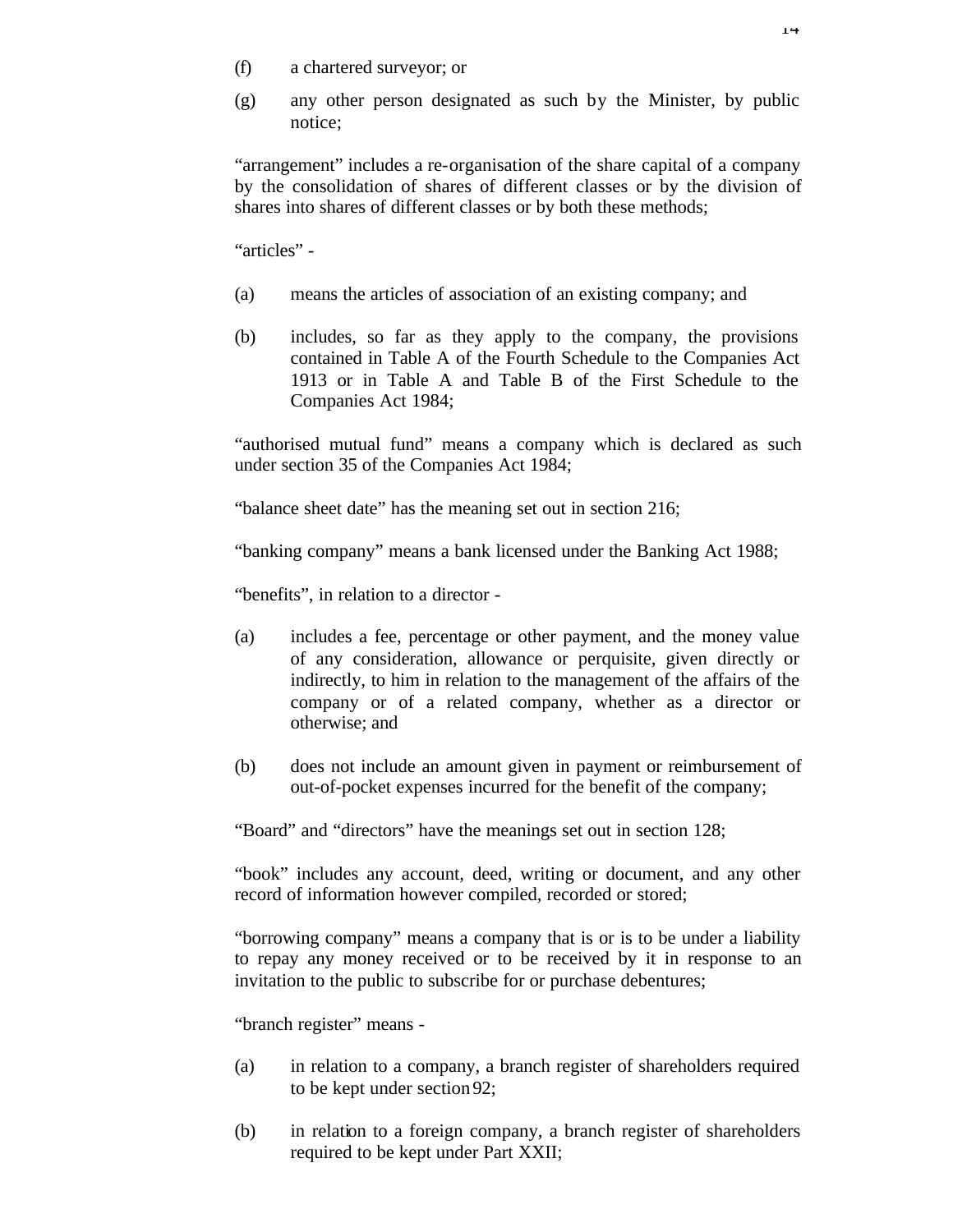- (f) a chartered surveyor; or
- (g) any other person designated as such by the Minister, by public notice;

"arrangement" includes a re-organisation of the share capital of a company by the consolidation of shares of different classes or by the division of shares into shares of different classes or by both these methods;

"articles" -

- (a) means the articles of association of an existing company; and
- (b) includes, so far as they apply to the company, the provisions contained in Table A of the Fourth Schedule to the Companies Act 1913 or in Table A and Table B of the First Schedule to the Companies Act 1984;

"authorised mutual fund" means a company which is declared as such under section 35 of the Companies Act 1984;

"balance sheet date" has the meaning set out in section 216;

"banking company" means a bank licensed under the Banking Act 1988;

"benefits", in relation to a director -

- (a) includes a fee, percentage or other payment, and the money value of any consideration, allowance or perquisite, given directly or indirectly, to him in relation to the management of the affairs of the company or of a related company, whether as a director or otherwise; and
- (b) does not include an amount given in payment or reimbursement of out-of-pocket expenses incurred for the benefit of the company;

"Board" and "directors" have the meanings set out in section 128;

"book" includes any account, deed, writing or document, and any other record of information however compiled, recorded or stored;

"borrowing company" means a company that is or is to be under a liability to repay any money received or to be received by it in response to an invitation to the public to subscribe for or purchase debentures;

"branch register" means -

- (a) in relation to a company, a branch register of shareholders required to be kept under section 92;
- (b) in relation to a foreign company, a branch register of shareholders required to be kept under Part XXII;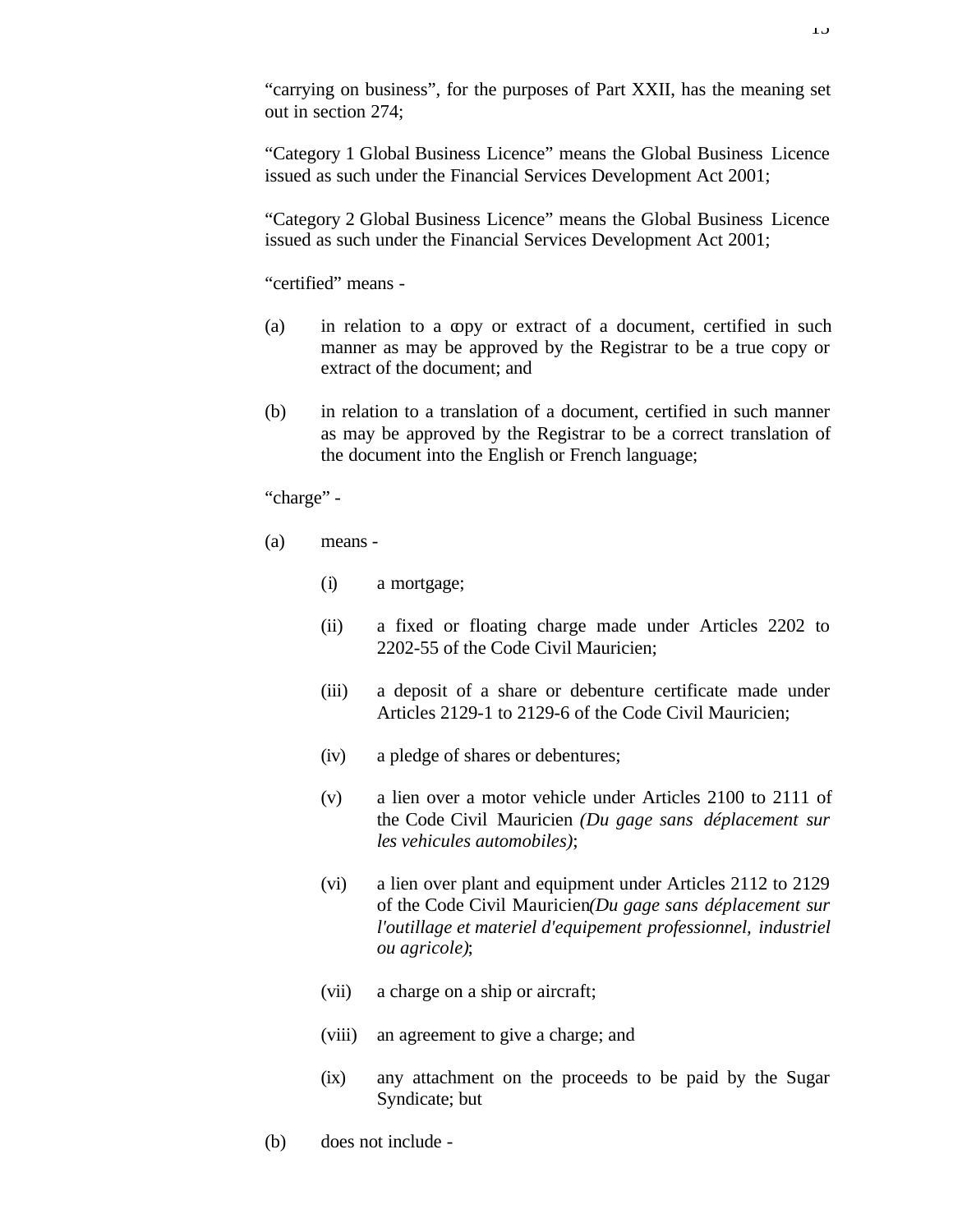"carrying on business", for the purposes of Part XXII, has the meaning set out in section 274;

"Category 1 Global Business Licence" means the Global Business Licence issued as such under the Financial Services Development Act 2001;

"Category 2 Global Business Licence" means the Global Business Licence issued as such under the Financial Services Development Act 2001;

"certified" means -

- (a) in relation to a copy or extract of a document, certified in such manner as may be approved by the Registrar to be a true copy or extract of the document; and
- (b) in relation to a translation of a document, certified in such manner as may be approved by the Registrar to be a correct translation of the document into the English or French language;

"charge" -

- (a) means
	- (i) a mortgage;
	- (ii) a fixed or floating charge made under Articles 2202 to 2202-55 of the Code Civil Mauricien;
	- (iii) a deposit of a share or debenture certificate made under Articles 2129-1 to 2129-6 of the Code Civil Mauricien;
	- (iv) a pledge of shares or debentures;
	- (v) a lien over a motor vehicle under Articles 2100 to 2111 of the Code Civil Mauricien *(Du gage sans déplacement sur les vehicules automobiles)*;
	- (vi) a lien over plant and equipment under Articles 2112 to 2129 of the Code Civil Mauricien*(Du gage sans déplacement sur l'outillage et materiel d'equipement professionnel, industriel ou agricole)*;
	- (vii) a charge on a ship or aircraft;
	- (viii) an agreement to give a charge; and
	- (ix) any attachment on the proceeds to be paid by the Sugar Syndicate; but
- (b) does not include -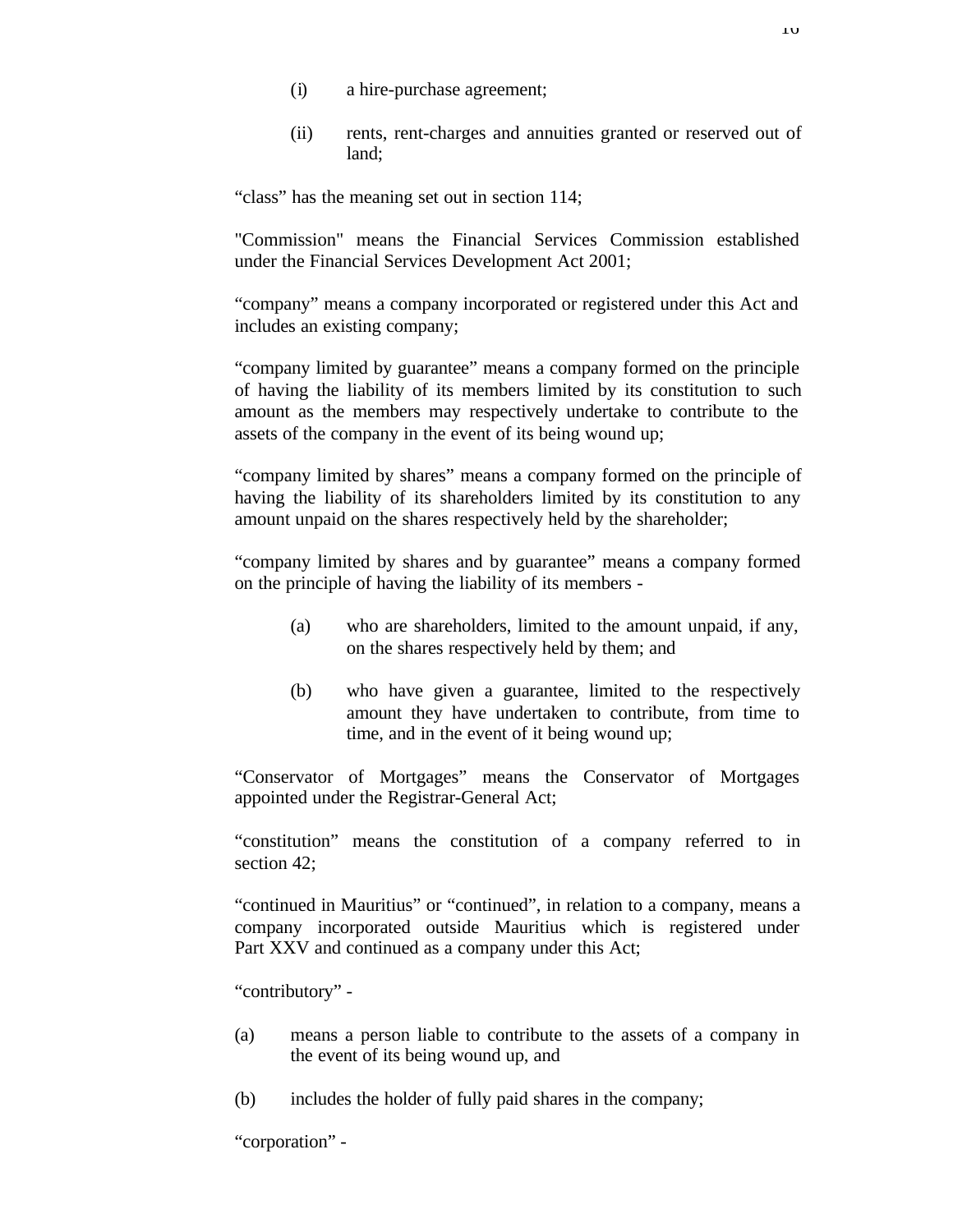- (i) a hire-purchase agreement;
- (ii) rents, rent-charges and annuities granted or reserved out of land;

"class" has the meaning set out in section 114;

"Commission" means the Financial Services Commission established under the Financial Services Development Act 2001;

"company" means a company incorporated or registered under this Act and includes an existing company;

"company limited by guarantee" means a company formed on the principle of having the liability of its members limited by its constitution to such amount as the members may respectively undertake to contribute to the assets of the company in the event of its being wound up;

"company limited by shares" means a company formed on the principle of having the liability of its shareholders limited by its constitution to any amount unpaid on the shares respectively held by the shareholder;

"company limited by shares and by guarantee" means a company formed on the principle of having the liability of its members -

- (a) who are shareholders, limited to the amount unpaid, if any, on the shares respectively held by them; and
- (b) who have given a guarantee, limited to the respectively amount they have undertaken to contribute, from time to time, and in the event of it being wound up;

"Conservator of Mortgages" means the Conservator of Mortgages appointed under the Registrar-General Act;

"constitution" means the constitution of a company referred to in section 42:

"continued in Mauritius" or "continued", in relation to a company, means a company incorporated outside Mauritius which is registered under Part XXV and continued as a company under this Act;

"contributory" -

- (a) means a person liable to contribute to the assets of a company in the event of its being wound up, and
- (b) includes the holder of fully paid shares in the company;

"corporation" -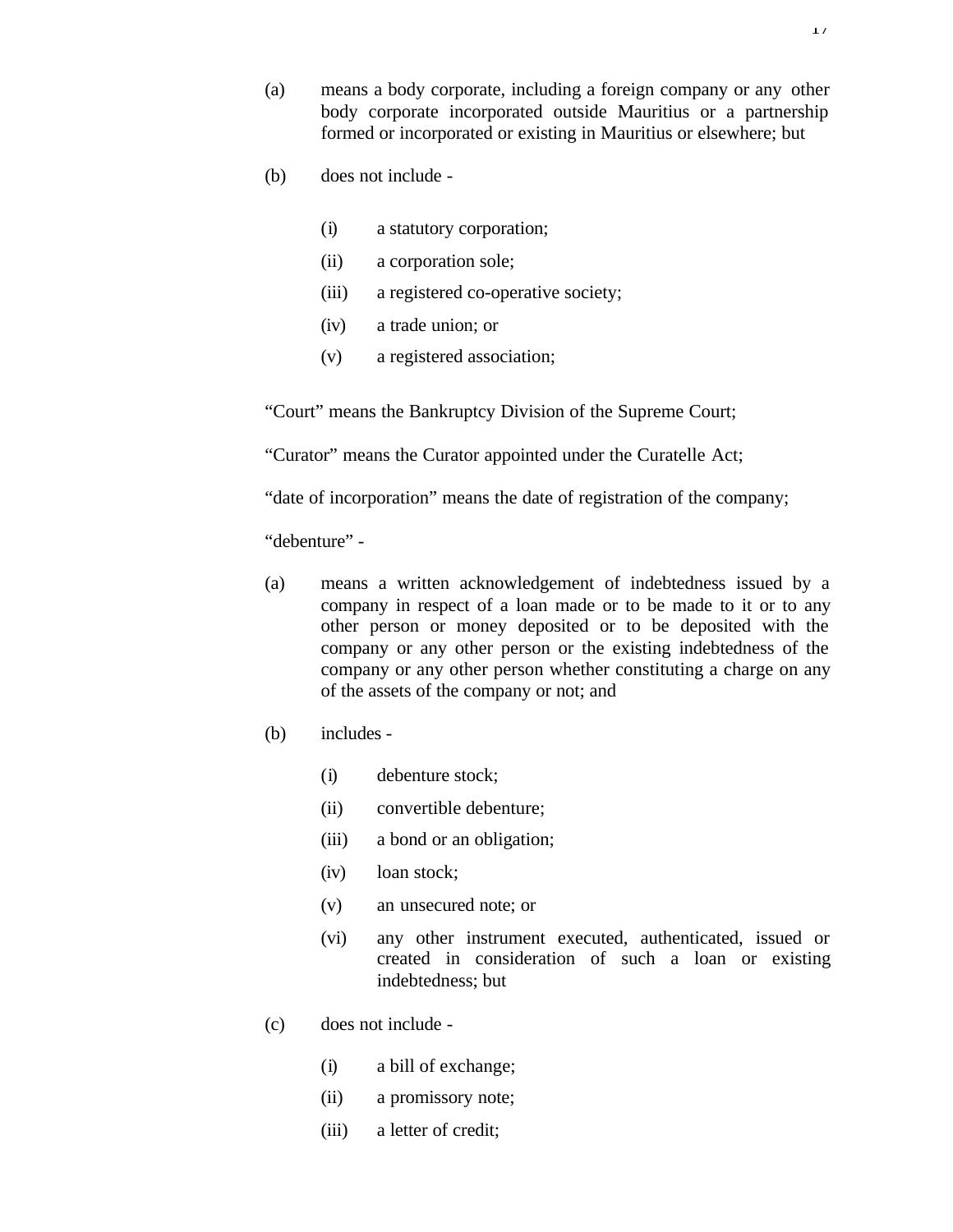- (a) means a body corporate, including a foreign company or any other body corporate incorporated outside Mauritius or a partnership formed or incorporated or existing in Mauritius or elsewhere; but
- (b) does not include
	- (i) a statutory corporation;
	- (ii) a corporation sole;
	- (iii) a registered co-operative society;
	- (iv) a trade union; or
	- (v) a registered association;

"Court" means the Bankruptcy Division of the Supreme Court;

"Curator" means the Curator appointed under the Curatelle Act;

"date of incorporation" means the date of registration of the company;

"debenture" -

- (a) means a written acknowledgement of indebtedness issued by a company in respect of a loan made or to be made to it or to any other person or money deposited or to be deposited with the company or any other person or the existing indebtedness of the company or any other person whether constituting a charge on any of the assets of the company or not; and
- (b) includes
	- (i) debenture stock;
	- (ii) convertible debenture;
	- (iii) a bond or an obligation;
	- (iv) loan stock;
	- (v) an unsecured note; or
	- (vi) any other instrument executed, authenticated, issued or created in consideration of such a loan or existing indebtedness; but
- (c) does not include
	- (i) a bill of exchange;
	- (ii) a promissory note;
	- (iii) a letter of credit;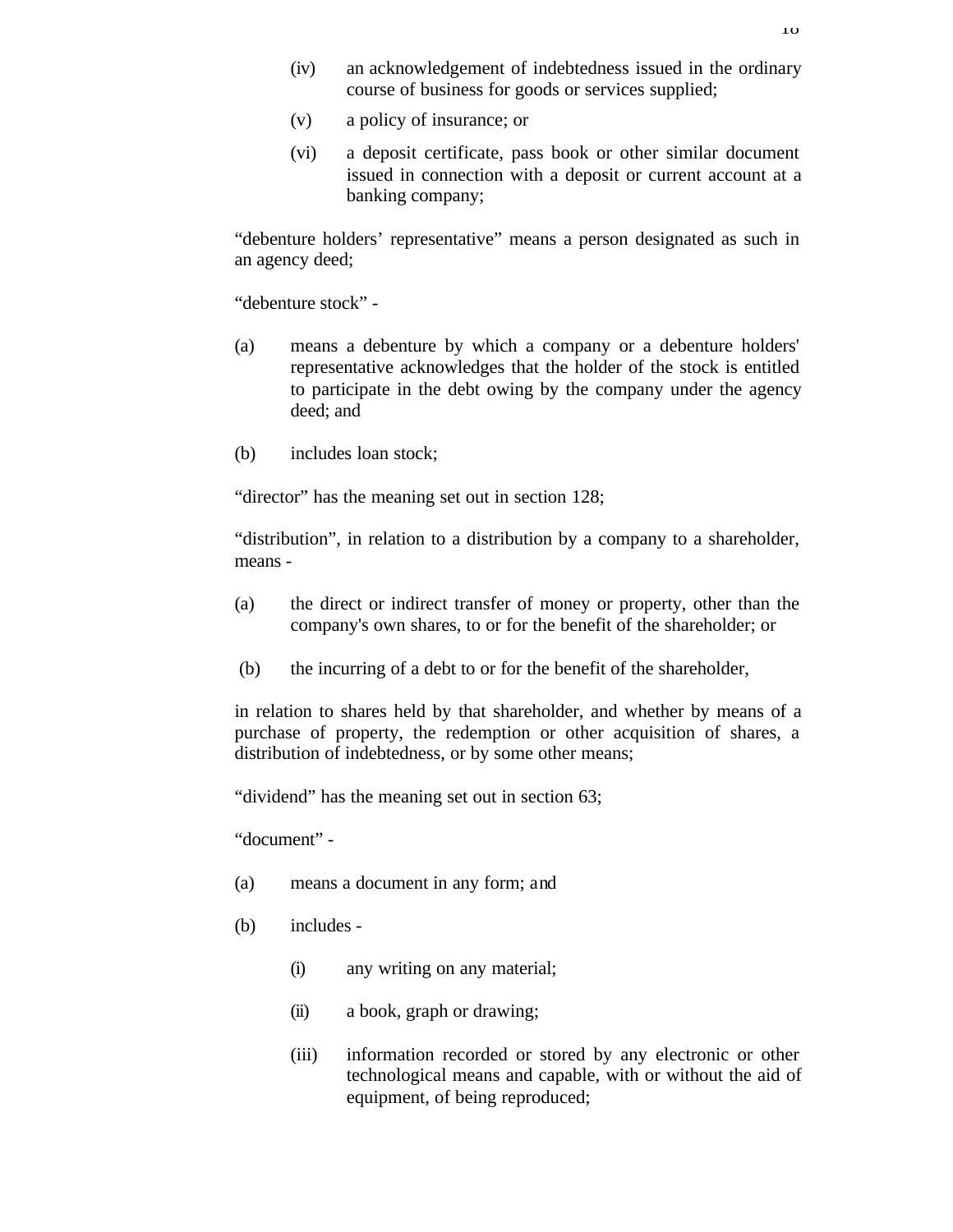- (iv) an acknowledgement of indebtedness issued in the ordinary course of business for goods or services supplied;
- (v) a policy of insurance; or
- (vi) a deposit certificate, pass book or other similar document issued in connection with a deposit or current account at a banking company;

"debenture holders' representative" means a person designated as such in an agency deed;

"debenture stock" -

- (a) means a debenture by which a company or a debenture holders' representative acknowledges that the holder of the stock is entitled to participate in the debt owing by the company under the agency deed; and
- (b) includes loan stock;

"director" has the meaning set out in section 128;

"distribution", in relation to a distribution by a company to a shareholder, means -

- (a) the direct or indirect transfer of money or property, other than the company's own shares, to or for the benefit of the shareholder; or
- (b) the incurring of a debt to or for the benefit of the shareholder,

in relation to shares held by that shareholder, and whether by means of a purchase of property, the redemption or other acquisition of shares, a distribution of indebtedness, or by some other means;

"dividend" has the meaning set out in section 63;

"document" -

- (a) means a document in any form; and
- (b) includes
	- (i) any writing on any material;
	- (ii) a book, graph or drawing;
	- (iii) information recorded or stored by any electronic or other technological means and capable, with or without the aid of equipment, of being reproduced;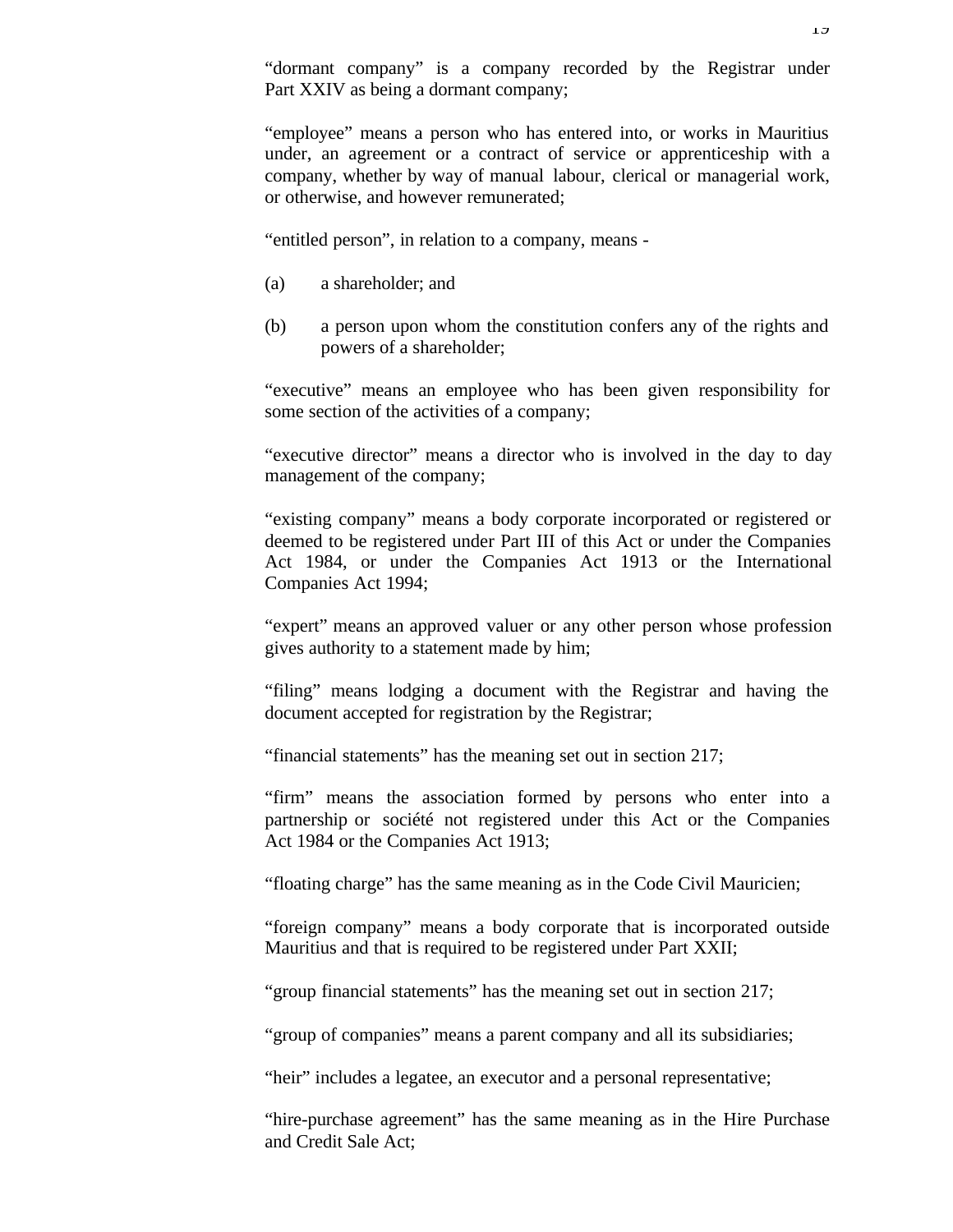"employee" means a person who has entered into, or works in Mauritius under, an agreement or a contract of service or apprenticeship with a company, whether by way of manual labour, clerical or managerial work, or otherwise, and however remunerated;

"entitled person", in relation to a company, means -

- (a) a shareholder; and
- (b) a person upon whom the constitution confers any of the rights and powers of a shareholder;

"executive" means an employee who has been given responsibility for some section of the activities of a company;

"executive director" means a director who is involved in the day to day management of the company;

"existing company" means a body corporate incorporated or registered or deemed to be registered under Part III of this Act or under the Companies Act 1984, or under the Companies Act 1913 or the International Companies Act 1994;

"expert" means an approved valuer or any other person whose profession gives authority to a statement made by him;

"filing" means lodging a document with the Registrar and having the document accepted for registration by the Registrar;

"financial statements" has the meaning set out in section 217;

"firm" means the association formed by persons who enter into a partnership or société not registered under this Act or the Companies Act 1984 or the Companies Act 1913;

"floating charge" has the same meaning as in the Code Civil Mauricien;

"foreign company" means a body corporate that is incorporated outside Mauritius and that is required to be registered under Part XXII;

"group financial statements" has the meaning set out in section 217;

"group of companies" means a parent company and all its subsidiaries;

"heir" includes a legatee, an executor and a personal representative;

"hire-purchase agreement" has the same meaning as in the Hire Purchase and Credit Sale Act;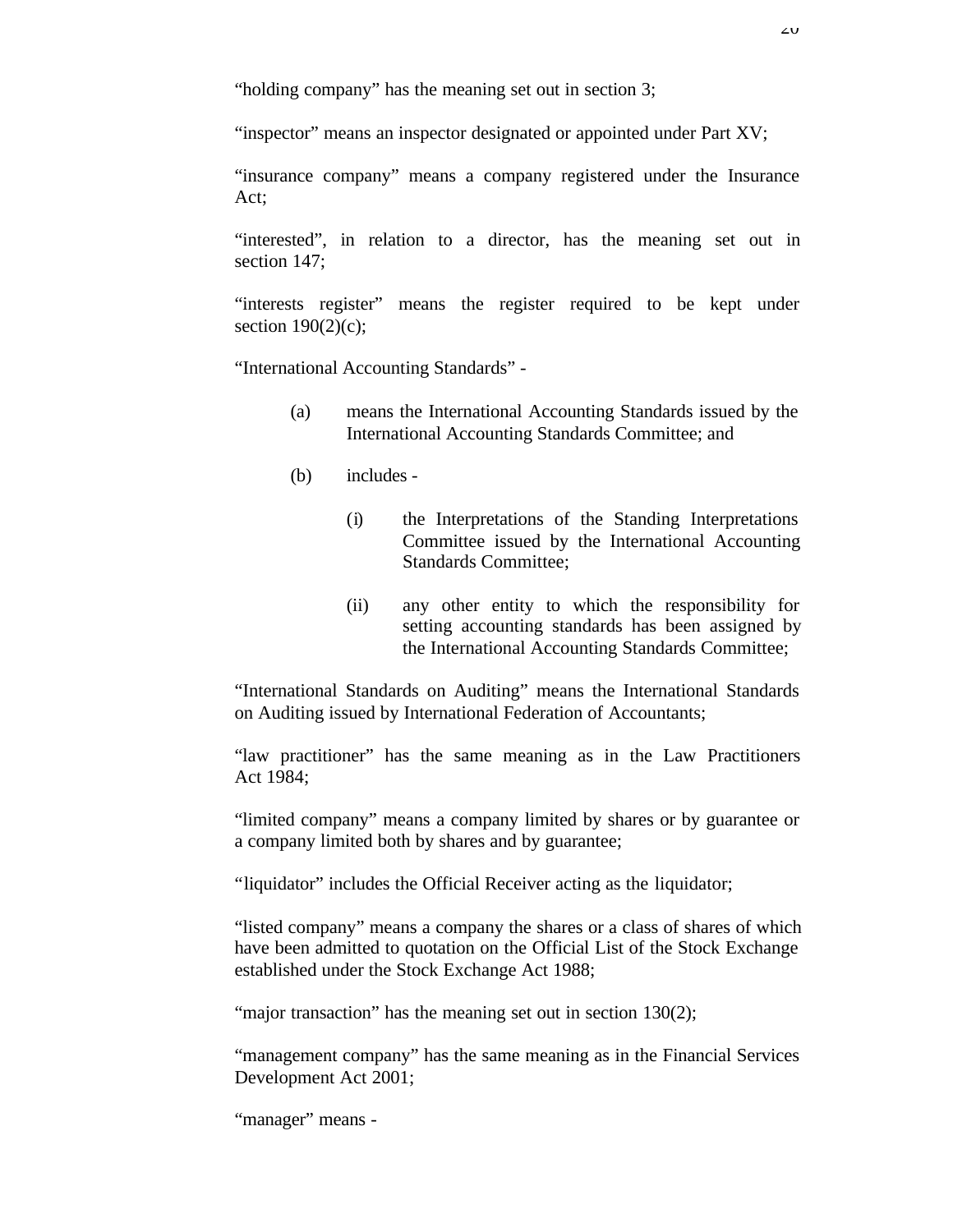"holding company" has the meaning set out in section 3;

"inspector" means an inspector designated or appointed under Part XV;

"insurance company" means a company registered under the Insurance Act;

"interested", in relation to a director, has the meaning set out in section 147;

"interests register" means the register required to be kept under section  $190(2)(c)$ ;

"International Accounting Standards" -

- (a) means the International Accounting Standards issued by the International Accounting Standards Committee; and
- (b) includes
	- (i) the Interpretations of the Standing Interpretations Committee issued by the International Accounting Standards Committee;
	- (ii) any other entity to which the responsibility for setting accounting standards has been assigned by the International Accounting Standards Committee;

"International Standards on Auditing" means the International Standards on Auditing issued by International Federation of Accountants;

"law practitioner" has the same meaning as in the Law Practitioners Act 1984;

"limited company" means a company limited by shares or by guarantee or a company limited both by shares and by guarantee;

"liquidator" includes the Official Receiver acting as the liquidator;

"listed company" means a company the shares or a class of shares of which have been admitted to quotation on the Official List of the Stock Exchange established under the Stock Exchange Act 1988;

"major transaction" has the meaning set out in section 130(2);

"management company" has the same meaning as in the Financial Services Development Act 2001;

"manager" means -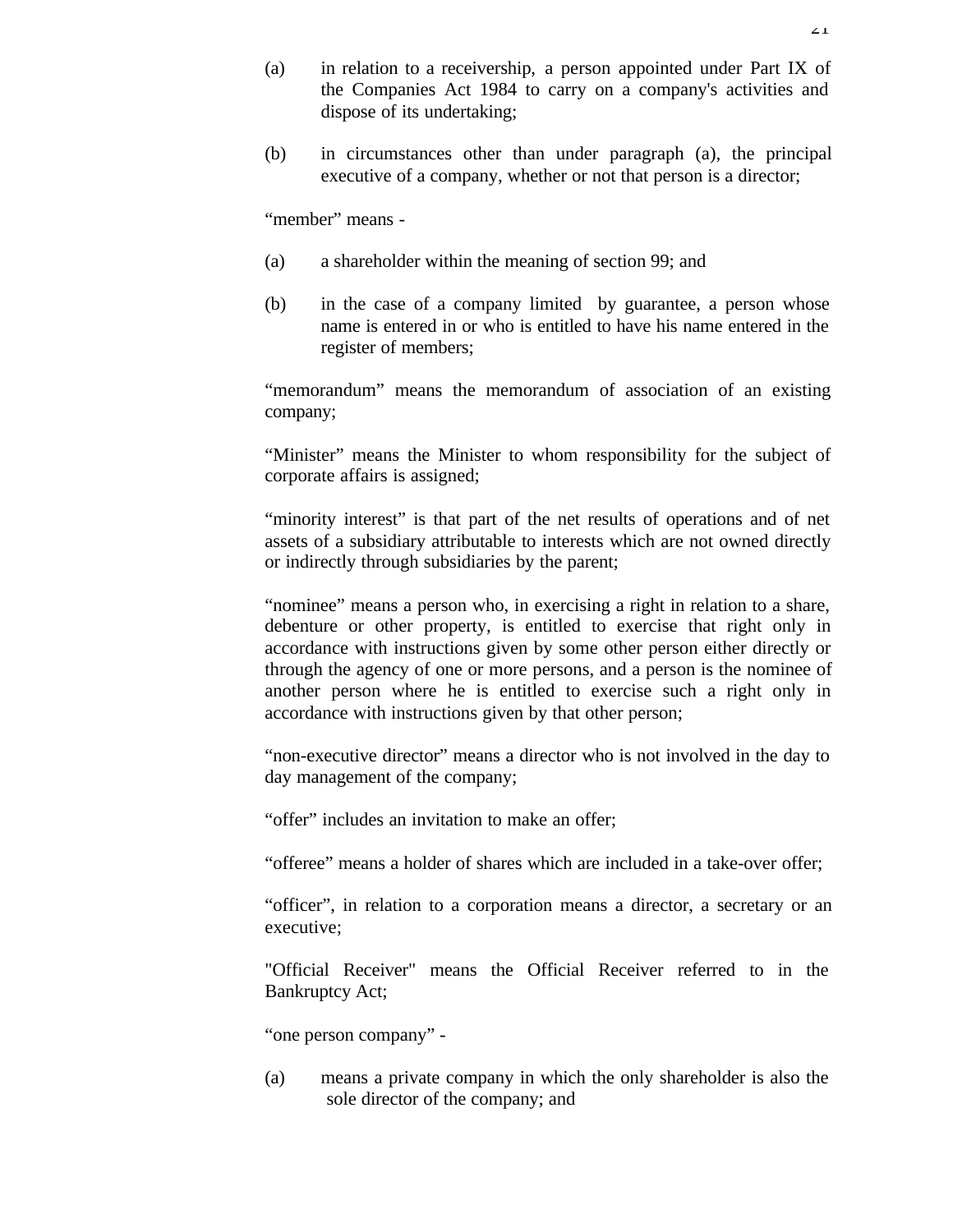(b) in circumstances other than under paragraph (a), the principal executive of a company, whether or not that person is a director;

"member" means -

- (a) a shareholder within the meaning of section 99; and
- (b) in the case of a company limited by guarantee, a person whose name is entered in or who is entitled to have his name entered in the register of members;

"memorandum" means the memorandum of association of an existing company;

"Minister" means the Minister to whom responsibility for the subject of corporate affairs is assigned;

"minority interest" is that part of the net results of operations and of net assets of a subsidiary attributable to interests which are not owned directly or indirectly through subsidiaries by the parent;

"nominee" means a person who, in exercising a right in relation to a share, debenture or other property, is entitled to exercise that right only in accordance with instructions given by some other person either directly or through the agency of one or more persons, and a person is the nominee of another person where he is entitled to exercise such a right only in accordance with instructions given by that other person;

"non-executive director" means a director who is not involved in the day to day management of the company;

"offer" includes an invitation to make an offer;

"offeree" means a holder of shares which are included in a take-over offer;

"officer", in relation to a corporation means a director, a secretary or an executive;

"Official Receiver" means the Official Receiver referred to in the Bankruptcy Act;

"one person company" -

(a) means a private company in which the only shareholder is also the sole director of the company; and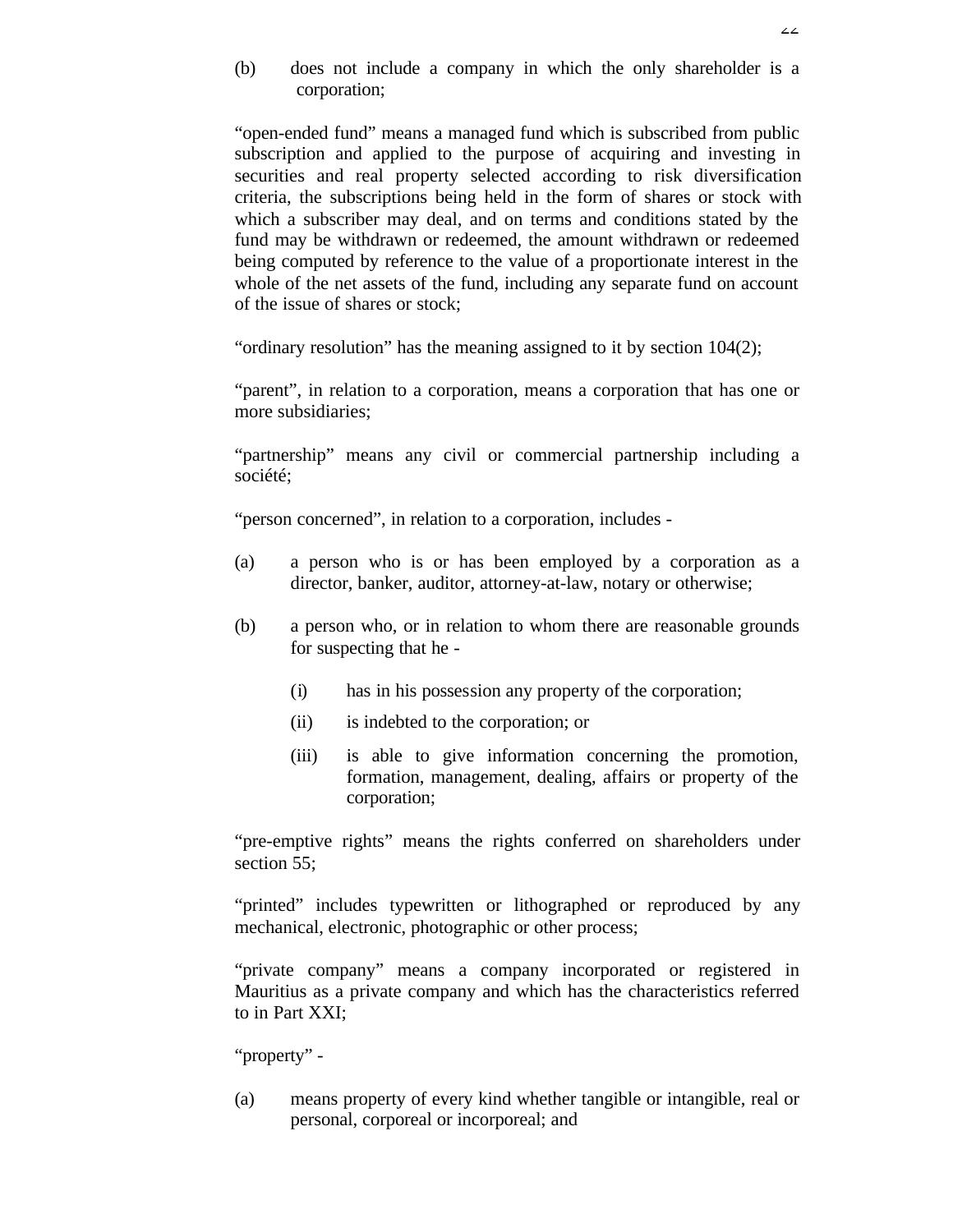(b) does not include a company in which the only shareholder is a corporation;

"open-ended fund" means a managed fund which is subscribed from public subscription and applied to the purpose of acquiring and investing in securities and real property selected according to risk diversification criteria, the subscriptions being held in the form of shares or stock with which a subscriber may deal, and on terms and conditions stated by the fund may be withdrawn or redeemed, the amount withdrawn or redeemed being computed by reference to the value of a proportionate interest in the whole of the net assets of the fund, including any separate fund on account of the issue of shares or stock;

"ordinary resolution" has the meaning assigned to it by section 104(2);

"parent", in relation to a corporation, means a corporation that has one or more subsidiaries;

"partnership" means any civil or commercial partnership including a société;

"person concerned", in relation to a corporation, includes -

- (a) a person who is or has been employed by a corporation as a director, banker, auditor, attorney-at-law, notary or otherwise;
- (b) a person who, or in relation to whom there are reasonable grounds for suspecting that he -
	- (i) has in his possession any property of the corporation;
	- (ii) is indebted to the corporation; or
	- (iii) is able to give information concerning the promotion, formation, management, dealing, affairs or property of the corporation;

"pre-emptive rights" means the rights conferred on shareholders under section 55:

"printed" includes typewritten or lithographed or reproduced by any mechanical, electronic, photographic or other process;

"private company" means a company incorporated or registered in Mauritius as a private company and which has the characteristics referred to in Part XXI;

"property" -

(a) means property of every kind whether tangible or intangible, real or personal, corporeal or incorporeal; and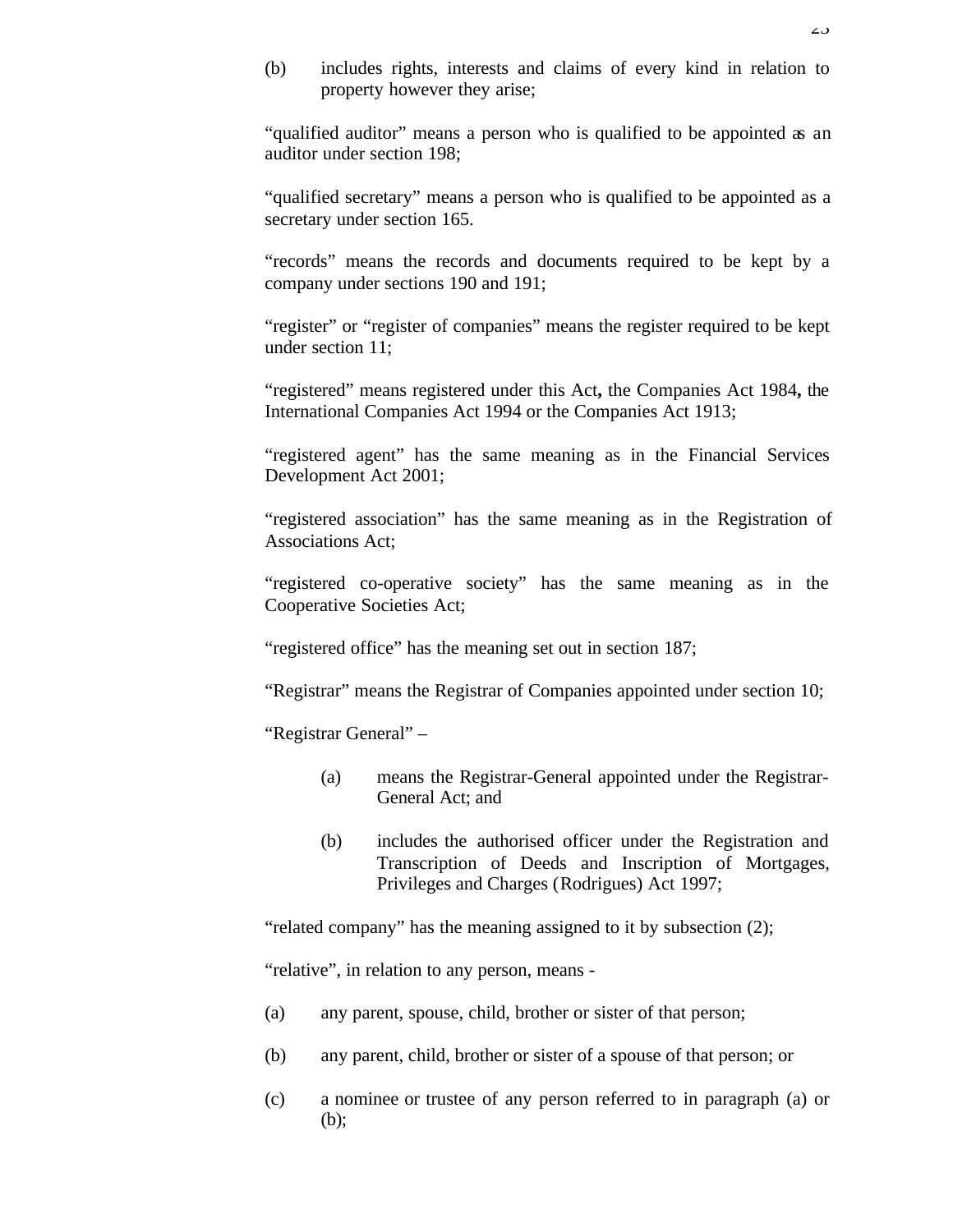(b) includes rights, interests and claims of every kind in relation to property however they arise;

"qualified auditor" means a person who is qualified to be appointed as an auditor under section 198;

"qualified secretary" means a person who is qualified to be appointed as a secretary under section 165.

"records" means the records and documents required to be kept by a company under sections 190 and 191;

"register" or "register of companies" means the register required to be kept under section 11;

"registered" means registered under this Act**,** the Companies Act 1984**,** the International Companies Act 1994 or the Companies Act 1913;

"registered agent" has the same meaning as in the Financial Services Development Act 2001;

"registered association" has the same meaning as in the Registration of Associations Act;

"registered co-operative society" has the same meaning as in the Cooperative Societies Act;

"registered office" has the meaning set out in section 187;

"Registrar" means the Registrar of Companies appointed under section 10;

"Registrar General" –

- (a) means the Registrar-General appointed under the Registrar-General Act; and
- (b) includes the authorised officer under the Registration and Transcription of Deeds and Inscription of Mortgages, Privileges and Charges (Rodrigues) Act 1997;

"related company" has the meaning assigned to it by subsection (2);

"relative", in relation to any person, means -

- (a) any parent, spouse, child, brother or sister of that person;
- (b) any parent, child, brother or sister of a spouse of that person; or
- (c) a nominee or trustee of any person referred to in paragraph (a) or (b);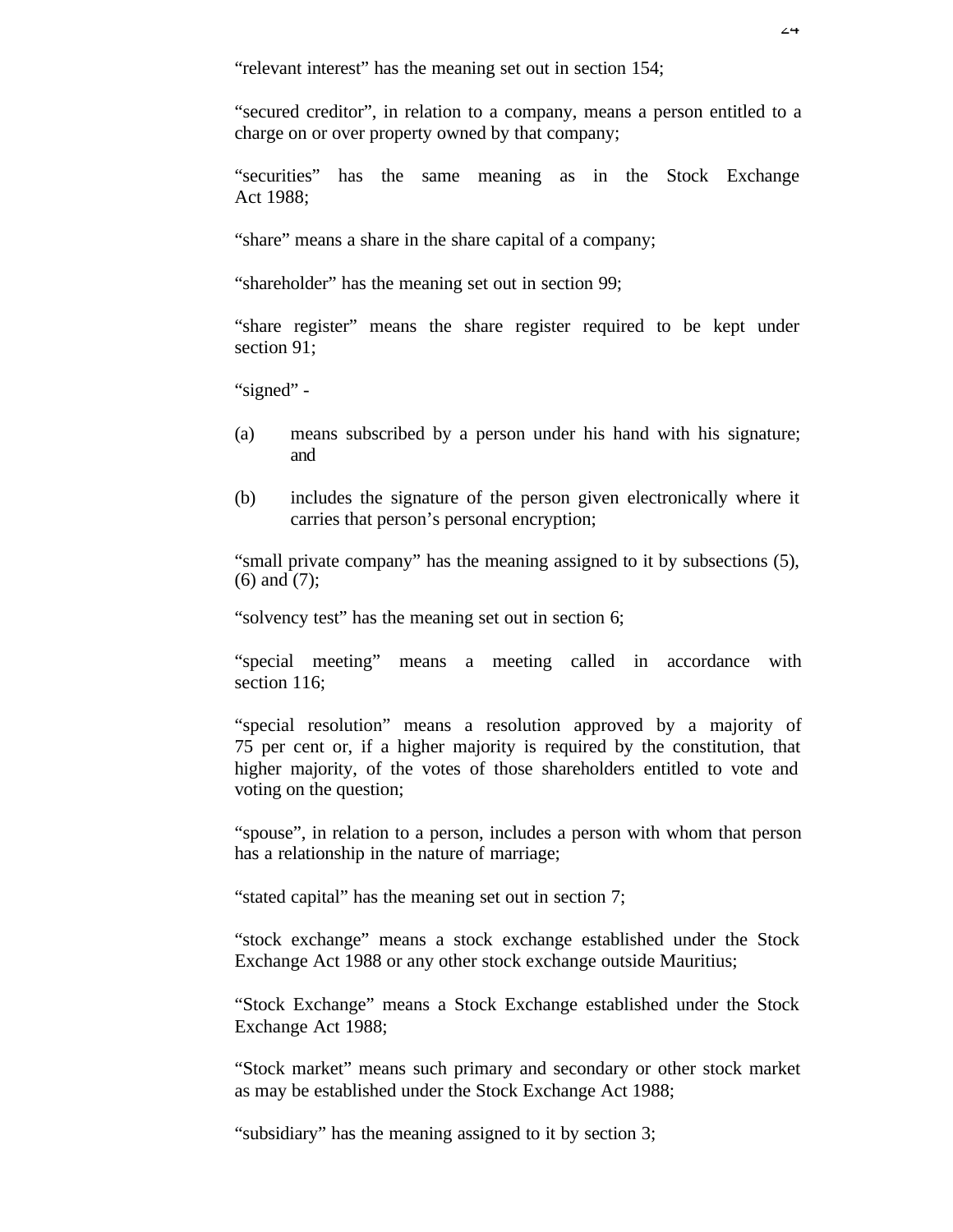"relevant interest" has the meaning set out in section 154;

"secured creditor", in relation to a company, means a person entitled to a charge on or over property owned by that company;

"securities" has the same meaning as in the Stock Exchange Act 1988;

"share" means a share in the share capital of a company;

"shareholder" has the meaning set out in section 99;

"share register" means the share register required to be kept under section 91:

"signed" -

- (a) means subscribed by a person under his hand with his signature; and
- (b) includes the signature of the person given electronically where it carries that person's personal encryption;

"small private company" has the meaning assigned to it by subsections (5), (6) and (7);

"solvency test" has the meaning set out in section 6;

"special meeting" means a meeting called in accordance with section 116;

"special resolution" means a resolution approved by a majority of 75 per cent or, if a higher majority is required by the constitution, that higher majority, of the votes of those shareholders entitled to vote and voting on the question;

"spouse", in relation to a person, includes a person with whom that person has a relationship in the nature of marriage;

"stated capital" has the meaning set out in section 7;

"stock exchange" means a stock exchange established under the Stock Exchange Act 1988 or any other stock exchange outside Mauritius;

"Stock Exchange" means a Stock Exchange established under the Stock Exchange Act 1988;

"Stock market" means such primary and secondary or other stock market as may be established under the Stock Exchange Act 1988;

"subsidiary" has the meaning assigned to it by section 3;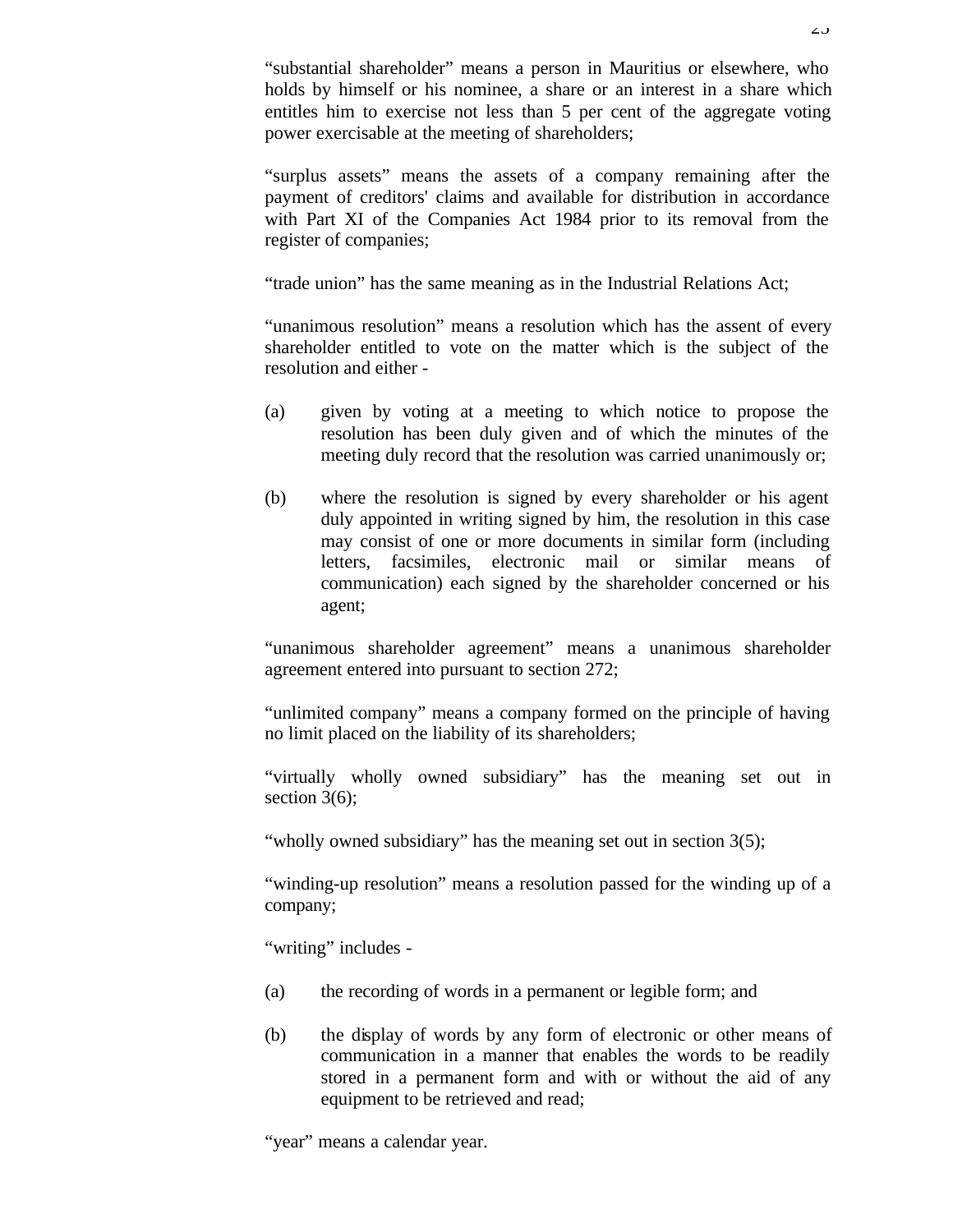"substantial shareholder" means a person in Mauritius or elsewhere, who holds by himself or his nominee, a share or an interest in a share which entitles him to exercise not less than 5 per cent of the aggregate voting power exercisable at the meeting of shareholders;

"surplus assets" means the assets of a company remaining after the payment of creditors' claims and available for distribution in accordance with Part XI of the Companies Act 1984 prior to its removal from the register of companies;

"trade union" has the same meaning as in the Industrial Relations Act;

"unanimous resolution" means a resolution which has the assent of every shareholder entitled to vote on the matter which is the subject of the resolution and either -

- (a) given by voting at a meeting to which notice to propose the resolution has been duly given and of which the minutes of the meeting duly record that the resolution was carried unanimously or;
- (b) where the resolution is signed by every shareholder or his agent duly appointed in writing signed by him, the resolution in this case may consist of one or more documents in similar form (including letters, facsimiles, electronic mail or similar means of communication) each signed by the shareholder concerned or his agent;

"unanimous shareholder agreement" means a unanimous shareholder agreement entered into pursuant to section 272;

"unlimited company" means a company formed on the principle of having no limit placed on the liability of its shareholders;

"virtually wholly owned subsidiary" has the meaning set out in section 3(6):

"wholly owned subsidiary" has the meaning set out in section 3(5);

"winding-up resolution" means a resolution passed for the winding up of a company;

"writing" includes -

- (a) the recording of words in a permanent or legible form; and
- (b) the display of words by any form of electronic or other means of communication in a manner that enables the words to be readily stored in a permanent form and with or without the aid of any equipment to be retrieved and read;

"year" means a calendar year.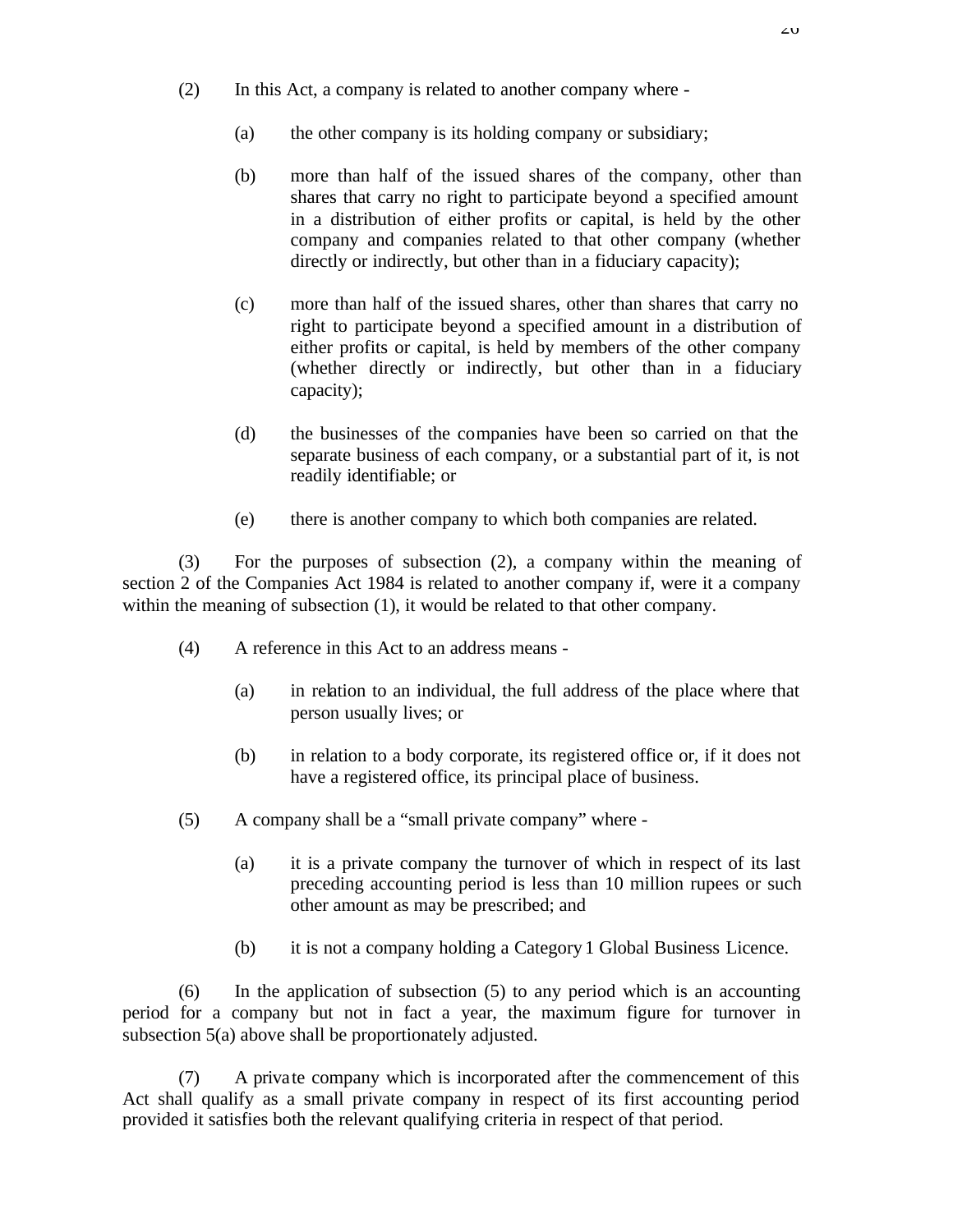- (2) In this Act, a company is related to another company where
	- (a) the other company is its holding company or subsidiary;
	- (b) more than half of the issued shares of the company, other than shares that carry no right to participate beyond a specified amount in a distribution of either profits or capital, is held by the other company and companies related to that other company (whether directly or indirectly, but other than in a fiduciary capacity);
	- (c) more than half of the issued shares, other than shares that carry no right to participate beyond a specified amount in a distribution of either profits or capital, is held by members of the other company (whether directly or indirectly, but other than in a fiduciary capacity);
	- (d) the businesses of the companies have been so carried on that the separate business of each company, or a substantial part of it, is not readily identifiable; or
	- (e) there is another company to which both companies are related.

(3) For the purposes of subsection (2), a company within the meaning of section 2 of the Companies Act 1984 is related to another company if, were it a company within the meaning of subsection (1), it would be related to that other company.

- (4) A reference in this Act to an address means
	- (a) in relation to an individual, the full address of the place where that person usually lives; or
	- (b) in relation to a body corporate, its registered office or, if it does not have a registered office, its principal place of business.
- (5) A company shall be a "small private company" where
	- (a) it is a private company the turnover of which in respect of its last preceding accounting period is less than 10 million rupees or such other amount as may be prescribed; and
	- (b) it is not a company holding a Category 1 Global Business Licence.

(6) In the application of subsection (5) to any period which is an accounting period for a company but not in fact a year, the maximum figure for turnover in subsection 5(a) above shall be proportionately adjusted.

(7) A private company which is incorporated after the commencement of this Act shall qualify as a small private company in respect of its first accounting period provided it satisfies both the relevant qualifying criteria in respect of that period.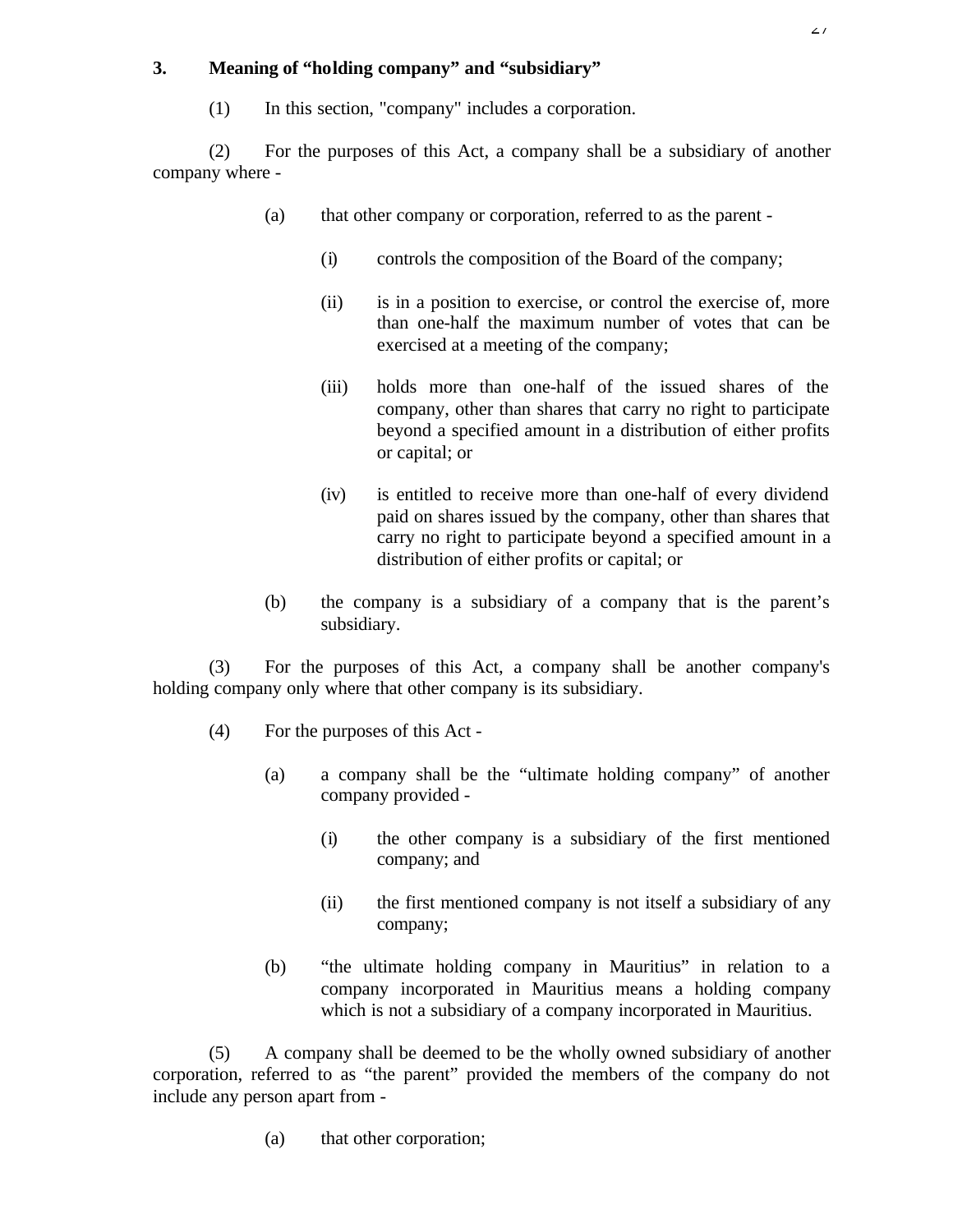# **3. Meaning of "holding company" and "subsidiary"**

(1) In this section, "company" includes a corporation.

(2) For the purposes of this Act, a company shall be a subsidiary of another company where -

- (a) that other company or corporation, referred to as the parent
	- (i) controls the composition of the Board of the company;
	- (ii) is in a position to exercise, or control the exercise of, more than one-half the maximum number of votes that can be exercised at a meeting of the company;
	- (iii) holds more than one-half of the issued shares of the company, other than shares that carry no right to participate beyond a specified amount in a distribution of either profits or capital; or
	- (iv) is entitled to receive more than one-half of every dividend paid on shares issued by the company, other than shares that carry no right to participate beyond a specified amount in a distribution of either profits or capital; or
- (b) the company is a subsidiary of a company that is the parent's subsidiary.

(3) For the purposes of this Act, a company shall be another company's holding company only where that other company is its subsidiary.

- (4) For the purposes of this Act
	- (a) a company shall be the "ultimate holding company" of another company provided -
		- (i) the other company is a subsidiary of the first mentioned company; and
		- (ii) the first mentioned company is not itself a subsidiary of any company;
	- (b) "the ultimate holding company in Mauritius" in relation to a company incorporated in Mauritius means a holding company which is not a subsidiary of a company incorporated in Mauritius.

(5) A company shall be deemed to be the wholly owned subsidiary of another corporation, referred to as "the parent" provided the members of the company do not include any person apart from -

(a) that other corporation;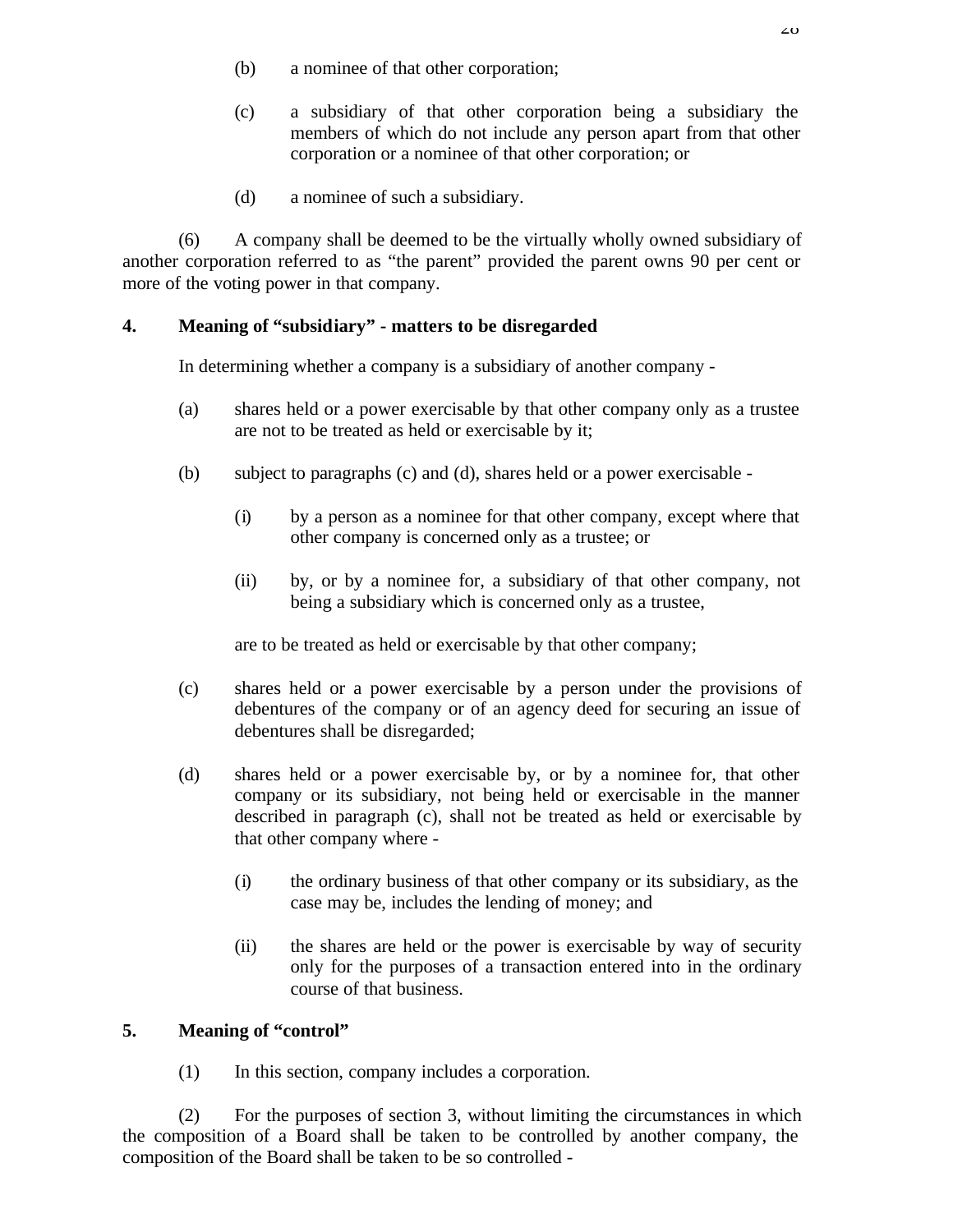- (b) a nominee of that other corporation;
- (c) a subsidiary of that other corporation being a subsidiary the members of which do not include any person apart from that other corporation or a nominee of that other corporation; or
- (d) a nominee of such a subsidiary.

(6) A company shall be deemed to be the virtually wholly owned subsidiary of another corporation referred to as "the parent" provided the parent owns 90 per cent or more of the voting power in that company.

# **4. Meaning of "subsidiary" - matters to be disregarded**

In determining whether a company is a subsidiary of another company -

- (a) shares held or a power exercisable by that other company only as a trustee are not to be treated as held or exercisable by it;
- (b) subject to paragraphs (c) and (d), shares held or a power exercisable
	- (i) by a person as a nominee for that other company, except where that other company is concerned only as a trustee; or
	- (ii) by, or by a nominee for, a subsidiary of that other company, not being a subsidiary which is concerned only as a trustee,

are to be treated as held or exercisable by that other company;

- (c) shares held or a power exercisable by a person under the provisions of debentures of the company or of an agency deed for securing an issue of debentures shall be disregarded;
- (d) shares held or a power exercisable by, or by a nominee for, that other company or its subsidiary, not being held or exercisable in the manner described in paragraph (c), shall not be treated as held or exercisable by that other company where -
	- (i) the ordinary business of that other company or its subsidiary, as the case may be, includes the lending of money; and
	- (ii) the shares are held or the power is exercisable by way of security only for the purposes of a transaction entered into in the ordinary course of that business.

# **5. Meaning of "control"**

(1) In this section, company includes a corporation.

(2) For the purposes of section 3, without limiting the circumstances in which the composition of a Board shall be taken to be controlled by another company, the composition of the Board shall be taken to be so controlled -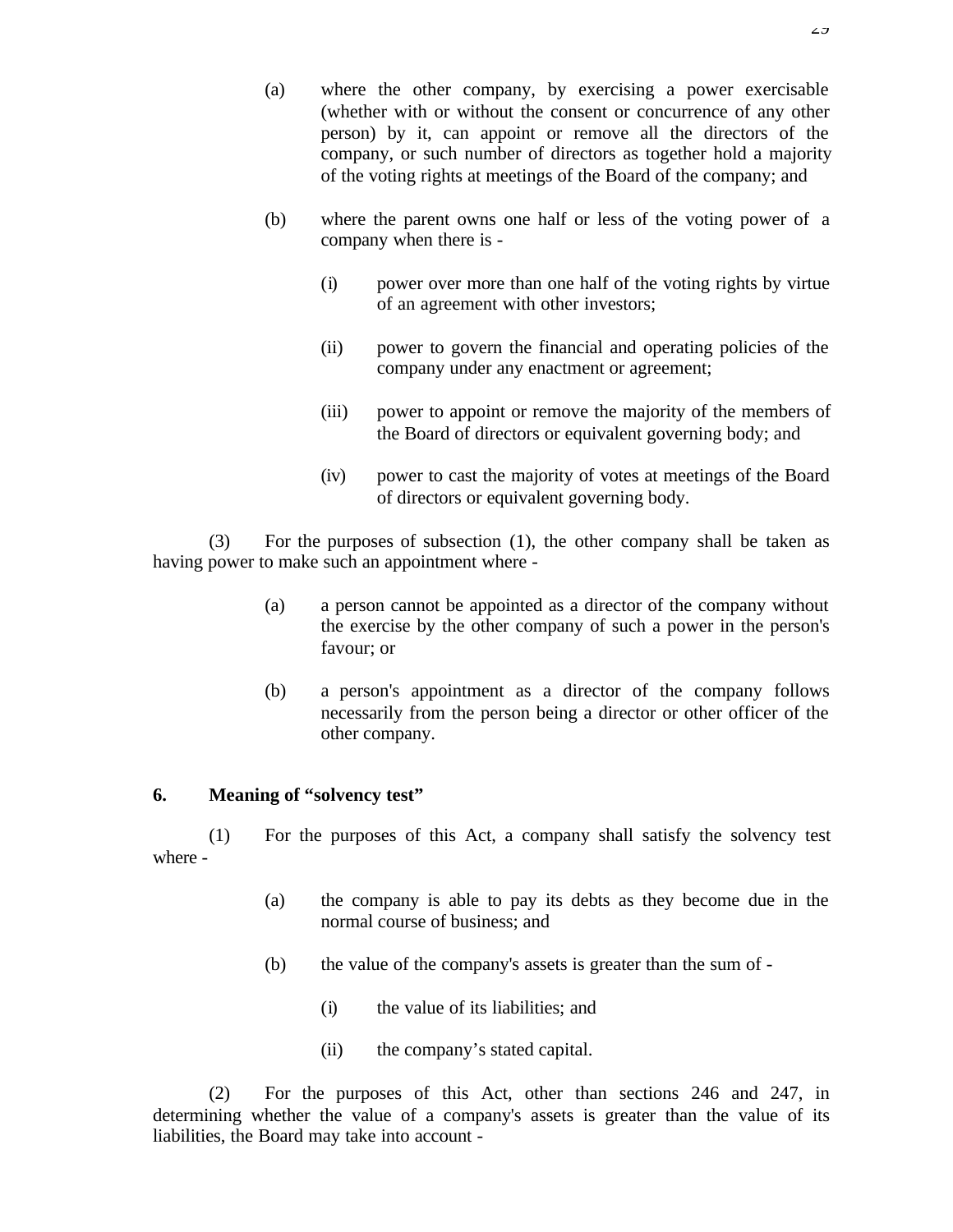- (a) where the other company, by exercising a power exercisable (whether with or without the consent or concurrence of any other person) by it, can appoint or remove all the directors of the company, or such number of directors as together hold a majority of the voting rights at meetings of the Board of the company; and
- (b) where the parent owns one half or less of the voting power of a company when there is -
	- (i) power over more than one half of the voting rights by virtue of an agreement with other investors;
	- (ii) power to govern the financial and operating policies of the company under any enactment or agreement;
	- (iii) power to appoint or remove the majority of the members of the Board of directors or equivalent governing body; and
	- (iv) power to cast the majority of votes at meetings of the Board of directors or equivalent governing body.

(3) For the purposes of subsection (1), the other company shall be taken as having power to make such an appointment where -

- (a) a person cannot be appointed as a director of the company without the exercise by the other company of such a power in the person's favour; or
- (b) a person's appointment as a director of the company follows necessarily from the person being a director or other officer of the other company.

#### **6. Meaning of "solvency test"**

(1) For the purposes of this Act, a company shall satisfy the solvency test where -

- (a) the company is able to pay its debts as they become due in the normal course of business; and
- (b) the value of the company's assets is greater than the sum of
	- (i) the value of its liabilities; and
	- (ii) the company's stated capital.

(2) For the purposes of this Act, other than sections 246 and 247, in determining whether the value of a company's assets is greater than the value of its liabilities, the Board may take into account -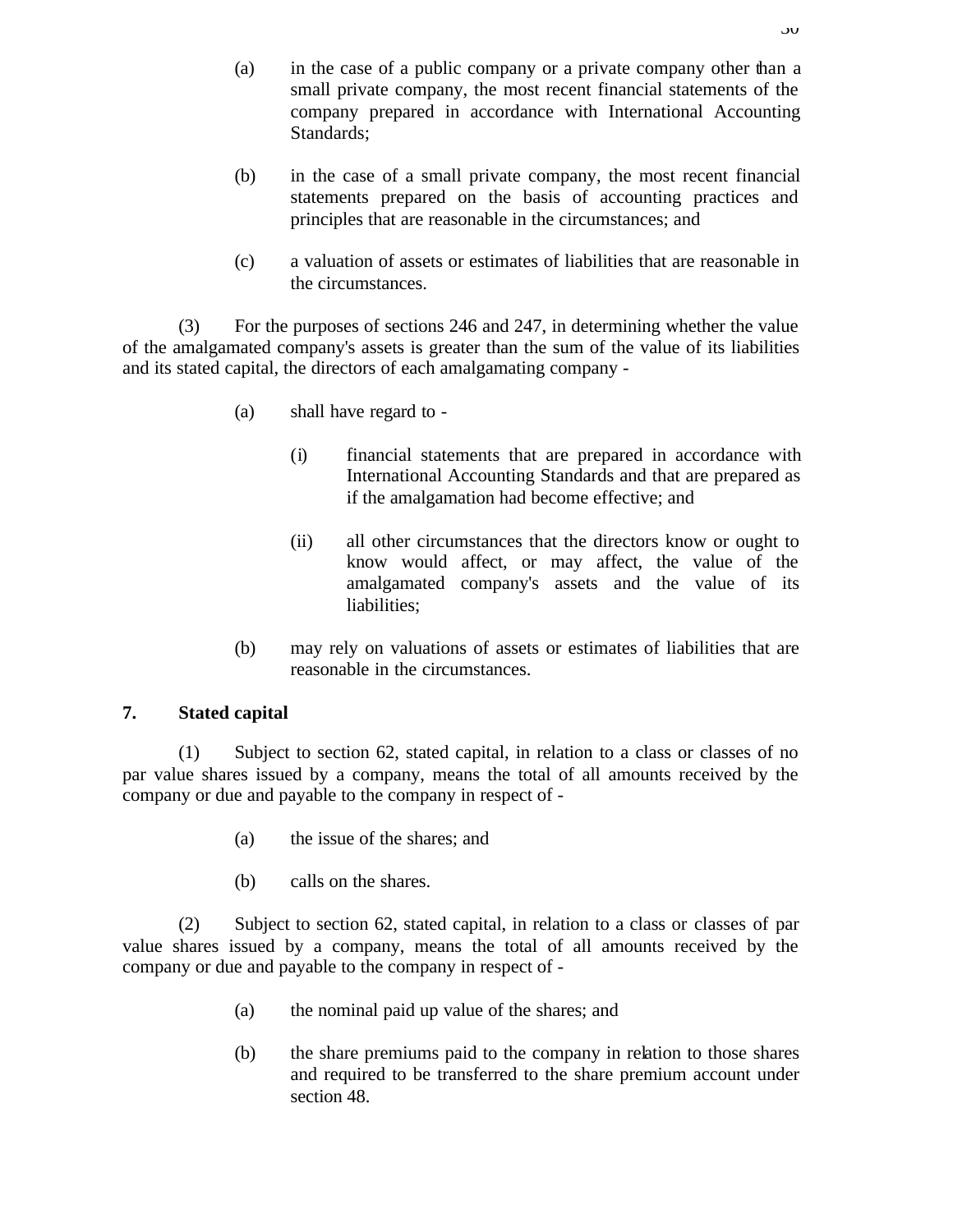- (a) in the case of a public company or a private company other than a small private company, the most recent financial statements of the company prepared in accordance with International Accounting Standards;
- (b) in the case of a small private company, the most recent financial statements prepared on the basis of accounting practices and principles that are reasonable in the circumstances; and
- (c) a valuation of assets or estimates of liabilities that are reasonable in the circumstances.

(3) For the purposes of sections 246 and 247, in determining whether the value of the amalgamated company's assets is greater than the sum of the value of its liabilities and its stated capital, the directors of each amalgamating company -

- (a) shall have regard to
	- (i) financial statements that are prepared in accordance with International Accounting Standards and that are prepared as if the amalgamation had become effective; and
	- (ii) all other circumstances that the directors know or ought to know would affect, or may affect, the value of the amalgamated company's assets and the value of its liabilities;
- (b) may rely on valuations of assets or estimates of liabilities that are reasonable in the circumstances.

### **7. Stated capital**

(1) Subject to section 62, stated capital, in relation to a class or classes of no par value shares issued by a company, means the total of all amounts received by the company or due and payable to the company in respect of -

- (a) the issue of the shares; and
- (b) calls on the shares.

(2) Subject to section 62, stated capital, in relation to a class or classes of par value shares issued by a company, means the total of all amounts received by the company or due and payable to the company in respect of -

- (a) the nominal paid up value of the shares; and
- (b) the share premiums paid to the company in relation to those shares and required to be transferred to the share premium account under section 48.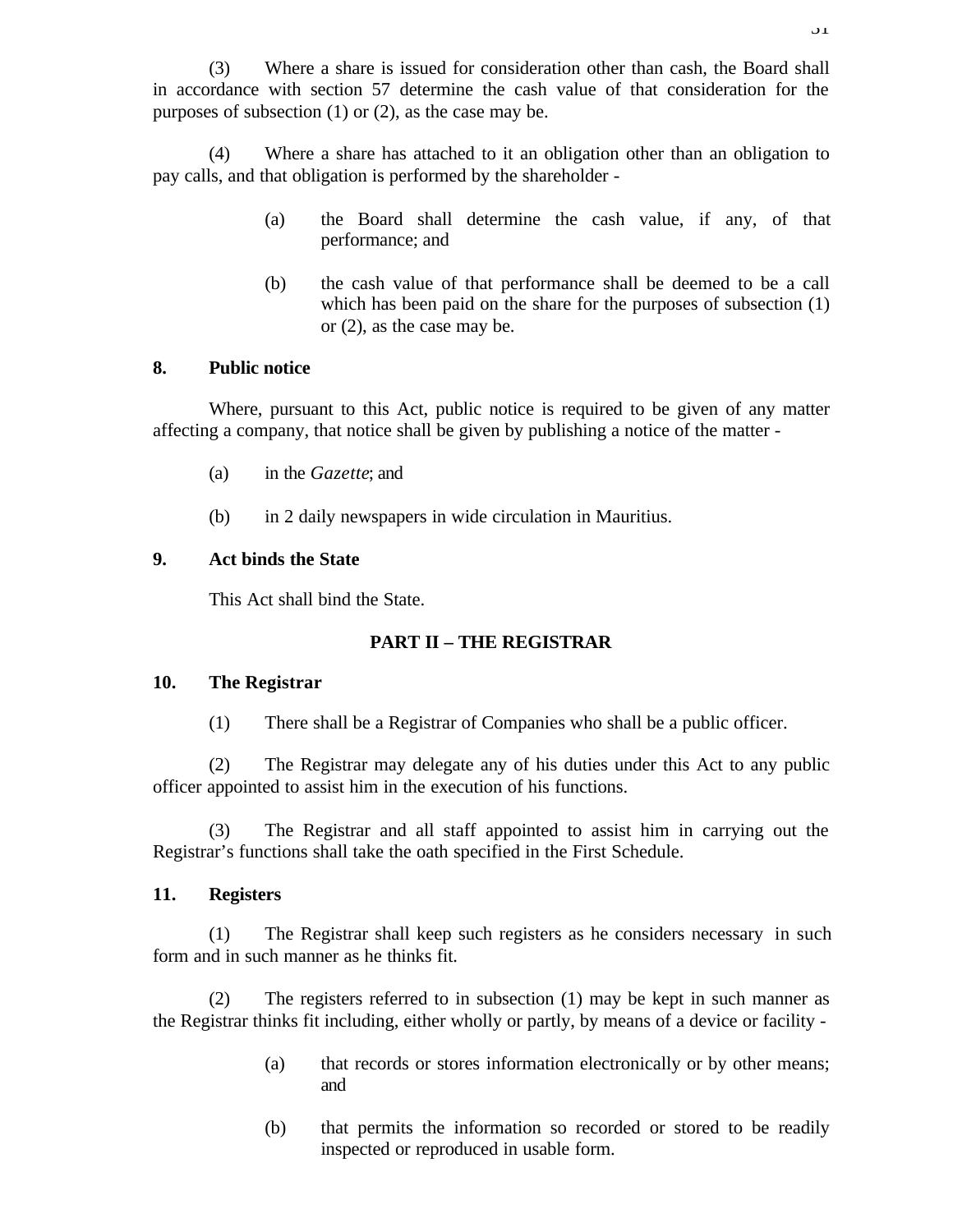(3) Where a share is issued for consideration other than cash, the Board shall in accordance with section 57 determine the cash value of that consideration for the purposes of subsection (1) or (2), as the case may be.

(4) Where a share has attached to it an obligation other than an obligation to pay calls, and that obligation is performed by the shareholder -

- (a) the Board shall determine the cash value, if any, of that performance; and
- (b) the cash value of that performance shall be deemed to be a call which has been paid on the share for the purposes of subsection (1) or (2), as the case may be.

#### **8. Public notice**

Where, pursuant to this Act, public notice is required to be given of any matter affecting a company, that notice shall be given by publishing a notice of the matter -

- (a) in the *Gazette*; and
- (b) in 2 daily newspapers in wide circulation in Mauritius.

#### **9. Act binds the State**

This Act shall bind the State.

#### **PART II – THE REGISTRAR**

#### **10. The Registrar**

(1) There shall be a Registrar of Companies who shall be a public officer.

(2) The Registrar may delegate any of his duties under this Act to any public officer appointed to assist him in the execution of his functions.

(3) The Registrar and all staff appointed to assist him in carrying out the Registrar's functions shall take the oath specified in the First Schedule.

#### **11. Registers**

(1) The Registrar shall keep such registers as he considers necessary in such form and in such manner as he thinks fit.

(2) The registers referred to in subsection (1) may be kept in such manner as the Registrar thinks fit including, either wholly or partly, by means of a device or facility -

- (a) that records or stores information electronically or by other means; and
- (b) that permits the information so recorded or stored to be readily inspected or reproduced in usable form.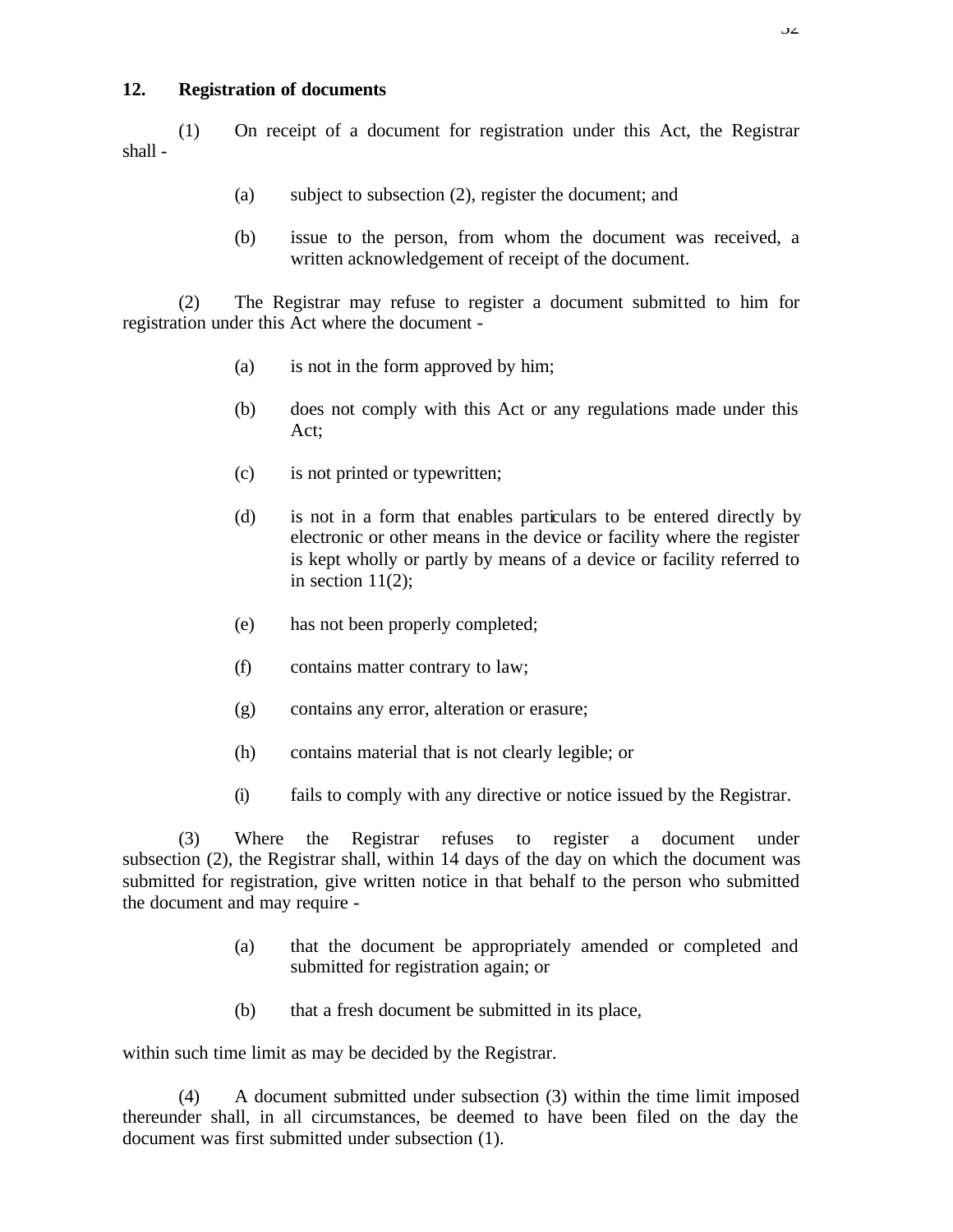#### **12. Registration of documents**

(1) On receipt of a document for registration under this Act, the Registrar shall -

- (a) subject to subsection (2), register the document; and
- (b) issue to the person, from whom the document was received, a written acknowledgement of receipt of the document.

(2) The Registrar may refuse to register a document submitted to him for registration under this Act where the document -

- (a) is not in the form approved by him;
- (b) does not comply with this Act or any regulations made under this Act;
- (c) is not printed or typewritten;
- (d) is not in a form that enables particulars to be entered directly by electronic or other means in the device or facility where the register is kept wholly or partly by means of a device or facility referred to in section  $11(2)$ ;
- (e) has not been properly completed;
- (f) contains matter contrary to law;
- (g) contains any error, alteration or erasure;
- (h) contains material that is not clearly legible; or
- (i) fails to comply with any directive or notice issued by the Registrar.

(3) Where the Registrar refuses to register a document under subsection (2), the Registrar shall, within 14 days of the day on which the document was submitted for registration, give written notice in that behalf to the person who submitted the document and may require -

- (a) that the document be appropriately amended or completed and submitted for registration again; or
- (b) that a fresh document be submitted in its place,

within such time limit as may be decided by the Registrar.

(4) A document submitted under subsection (3) within the time limit imposed thereunder shall, in all circumstances, be deemed to have been filed on the day the document was first submitted under subsection (1).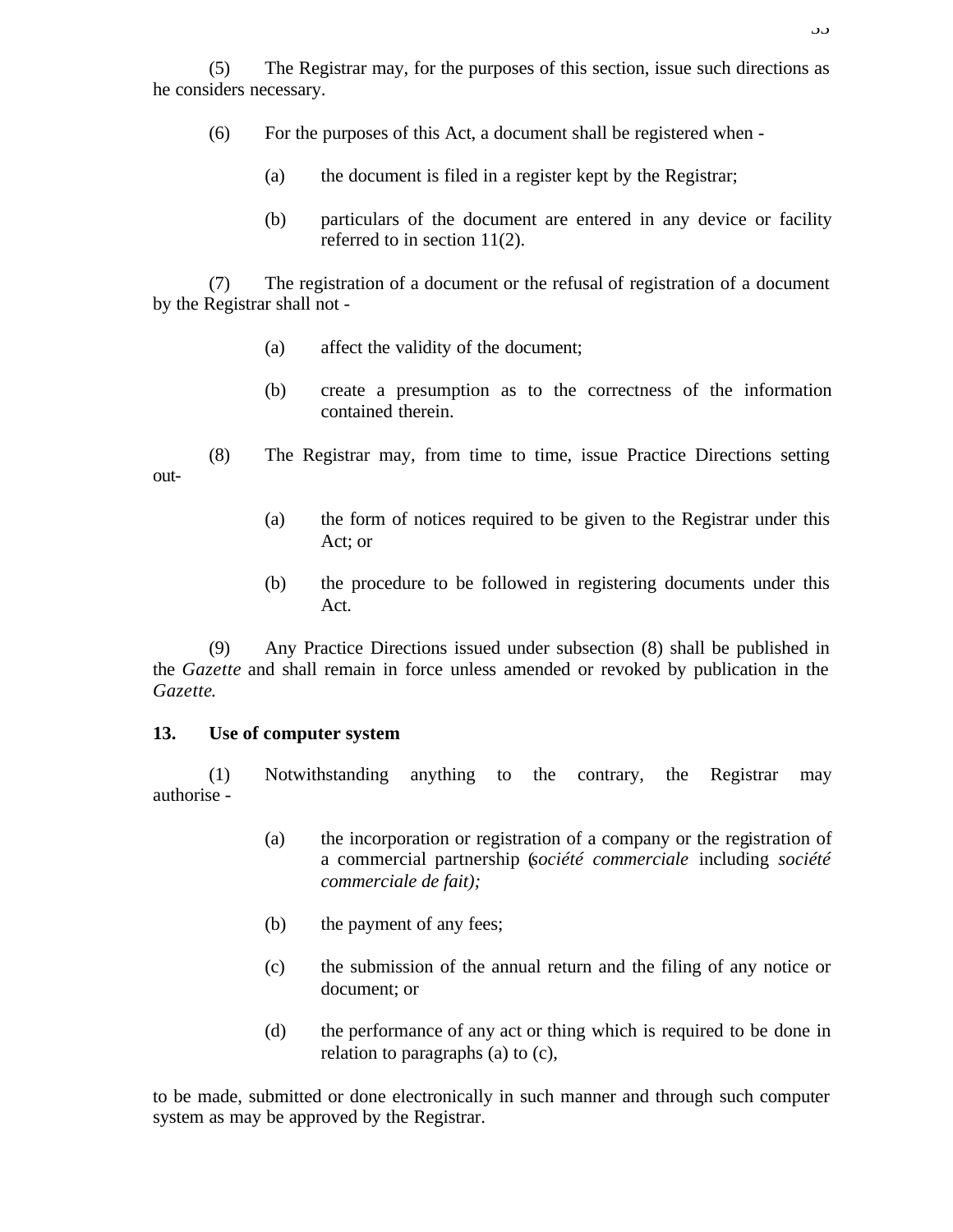(5) The Registrar may, for the purposes of this section, issue such directions as he considers necessary.

- (6) For the purposes of this Act, a document shall be registered when
	- (a) the document is filed in a register kept by the Registrar;
	- (b) particulars of the document are entered in any device or facility referred to in section 11(2).

(7) The registration of a document or the refusal of registration of a document by the Registrar shall not -

- (a) affect the validity of the document;
- (b) create a presumption as to the correctness of the information contained therein.
- (8) The Registrar may, from time to time, issue Practice Directions setting out-
	- (a) the form of notices required to be given to the Registrar under this Act; or
	- (b) the procedure to be followed in registering documents under this Act.

(9) Any Practice Directions issued under subsection (8) shall be published in the *Gazette* and shall remain in force unless amended or revoked by publication in the *Gazette*.

#### **13. Use of computer system**

(1) Notwithstanding anything to the contrary, the Registrar may authorise -

- (a) the incorporation or registration of a company or the registration of a commercial partnership (*société commerciale* including *société commerciale de fait);*
- (b) the payment of any fees;
- (c) the submission of the annual return and the filing of any notice or document; or
- (d) the performance of any act or thing which is required to be done in relation to paragraphs (a) to (c),

to be made, submitted or done electronically in such manner and through such computer system as may be approved by the Registrar.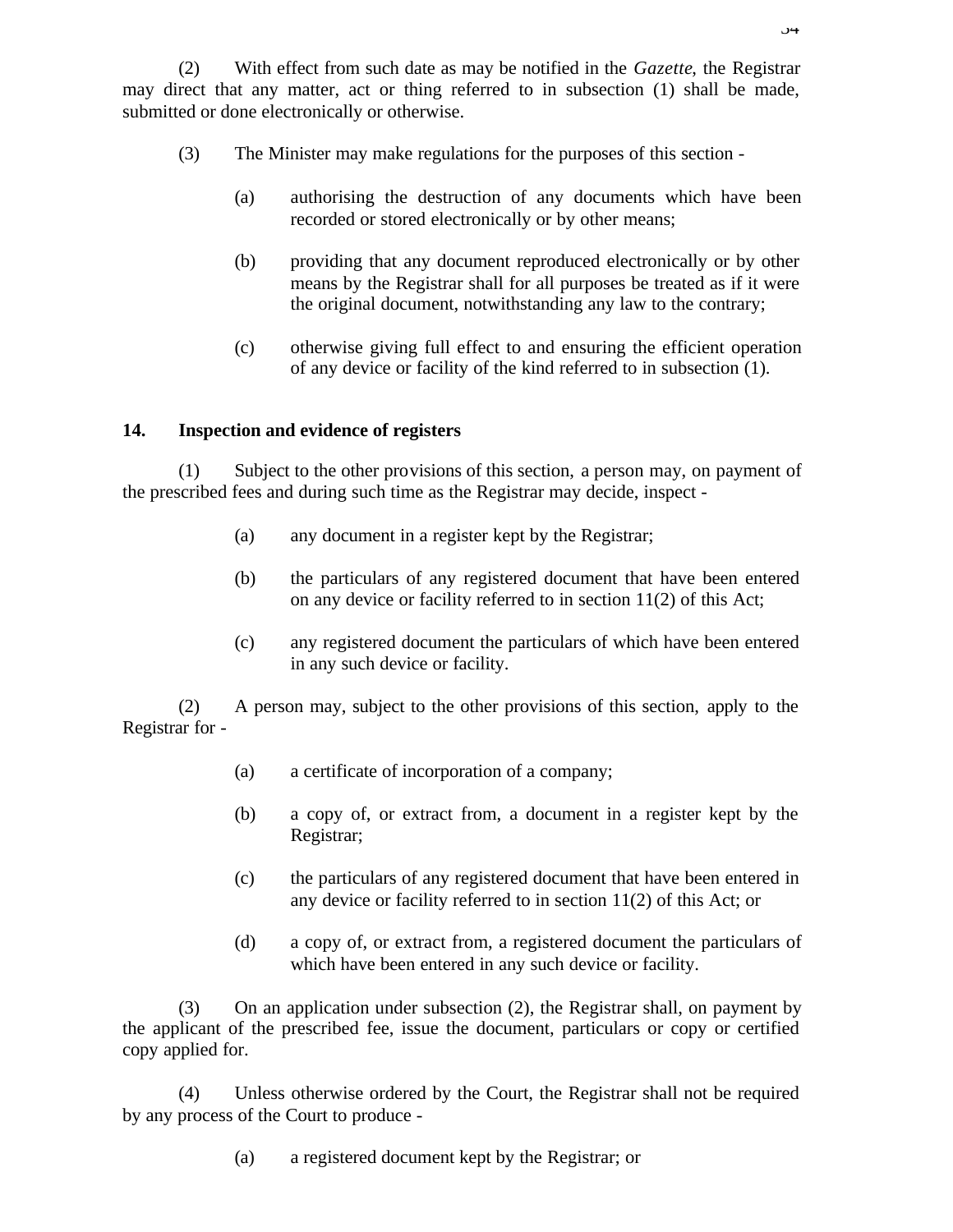- (3) The Minister may make regulations for the purposes of this section
	- (a) authorising the destruction of any documents which have been recorded or stored electronically or by other means;
	- (b) providing that any document reproduced electronically or by other means by the Registrar shall for all purposes be treated as if it were the original document, notwithstanding any law to the contrary;
	- (c) otherwise giving full effect to and ensuring the efficient operation of any device or facility of the kind referred to in subsection (1).

# **14. Inspection and evidence of registers**

(1) Subject to the other provisions of this section, a person may, on payment of the prescribed fees and during such time as the Registrar may decide, inspect -

- (a) any document in a register kept by the Registrar;
- (b) the particulars of any registered document that have been entered on any device or facility referred to in section 11(2) of this Act;
- (c) any registered document the particulars of which have been entered in any such device or facility.

(2) A person may, subject to the other provisions of this section, apply to the Registrar for -

- (a) a certificate of incorporation of a company;
- (b) a copy of, or extract from, a document in a register kept by the Registrar;
- (c) the particulars of any registered document that have been entered in any device or facility referred to in section 11(2) of this Act; or
- (d) a copy of, or extract from, a registered document the particulars of which have been entered in any such device or facility.

(3) On an application under subsection (2), the Registrar shall, on payment by the applicant of the prescribed fee, issue the document, particulars or copy or certified copy applied for.

(4) Unless otherwise ordered by the Court, the Registrar shall not be required by any process of the Court to produce -

(a) a registered document kept by the Registrar; or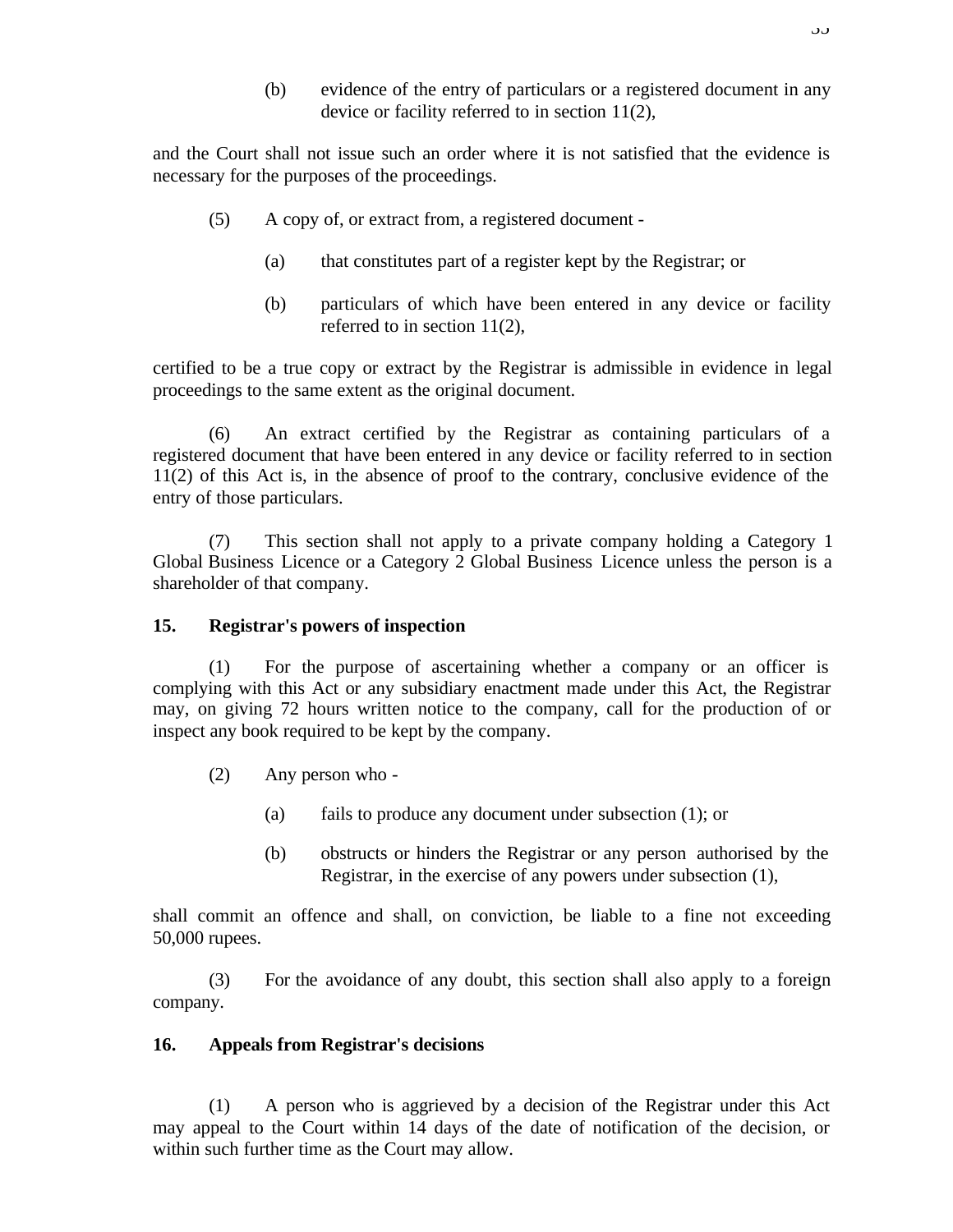(b) evidence of the entry of particulars or a registered document in any device or facility referred to in section 11(2),

and the Court shall not issue such an order where it is not satisfied that the evidence is necessary for the purposes of the proceedings.

- (5) A copy of, or extract from, a registered document
	- (a) that constitutes part of a register kept by the Registrar; or
	- (b) particulars of which have been entered in any device or facility referred to in section 11(2),

certified to be a true copy or extract by the Registrar is admissible in evidence in legal proceedings to the same extent as the original document.

(6) An extract certified by the Registrar as containing particulars of a registered document that have been entered in any device or facility referred to in section 11(2) of this Act is, in the absence of proof to the contrary, conclusive evidence of the entry of those particulars.

(7) This section shall not apply to a private company holding a Category 1 Global Business Licence or a Category 2 Global Business Licence unless the person is a shareholder of that company.

#### **15. Registrar's powers of inspection**

(1) For the purpose of ascertaining whether a company or an officer is complying with this Act or any subsidiary enactment made under this Act, the Registrar may, on giving 72 hours written notice to the company, call for the production of or inspect any book required to be kept by the company.

- (2) Any person who
	- (a) fails to produce any document under subsection (1); or
	- (b) obstructs or hinders the Registrar or any person authorised by the Registrar, in the exercise of any powers under subsection (1),

shall commit an offence and shall, on conviction, be liable to a fine not exceeding 50,000 rupees.

(3) For the avoidance of any doubt, this section shall also apply to a foreign company.

#### **16. Appeals from Registrar's decisions**

(1) A person who is aggrieved by a decision of the Registrar under this Act may appeal to the Court within 14 days of the date of notification of the decision, or within such further time as the Court may allow.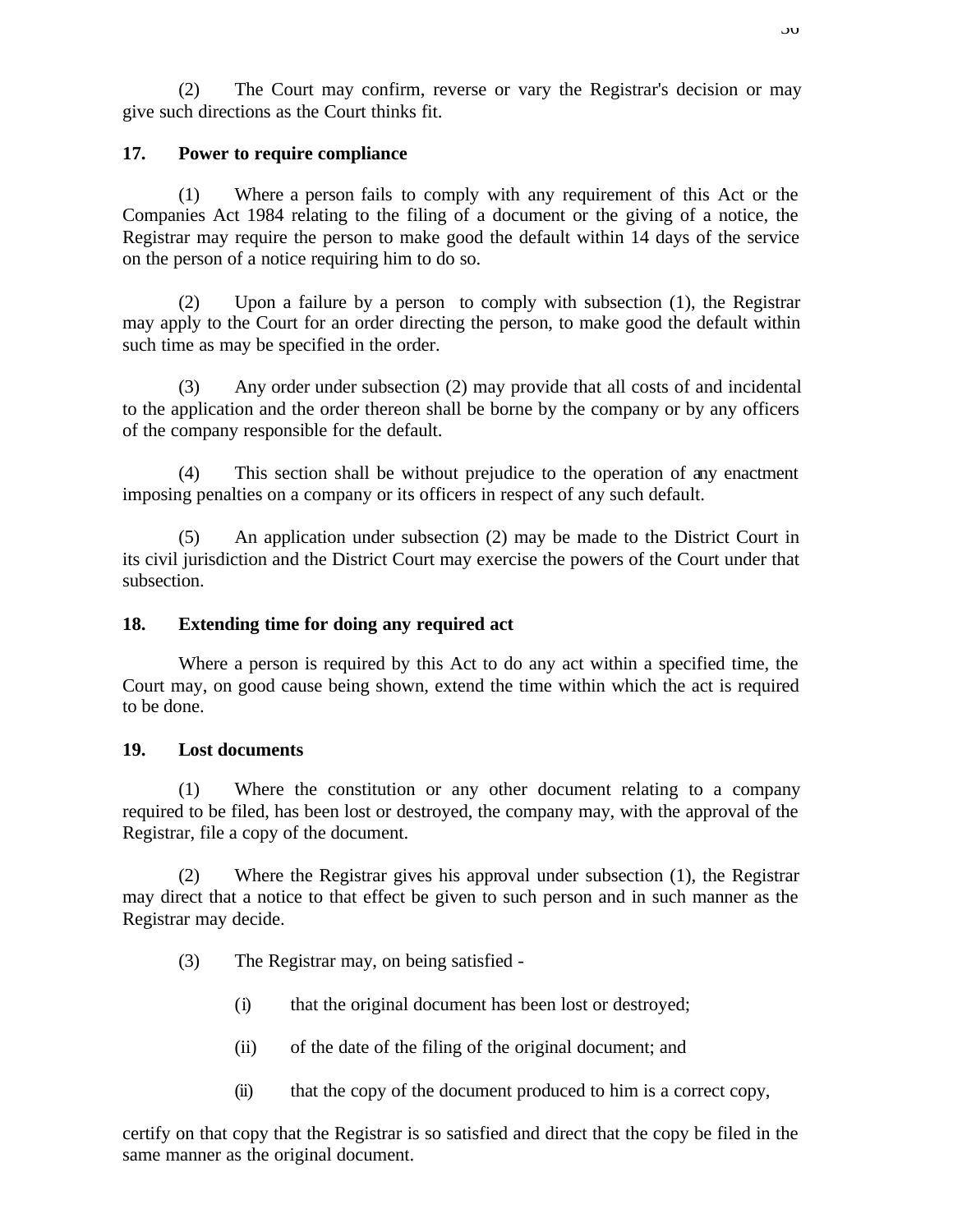(2) The Court may confirm, reverse or vary the Registrar's decision or may give such directions as the Court thinks fit.

# **17. Power to require compliance**

(1) Where a person fails to comply with any requirement of this Act or the Companies Act 1984 relating to the filing of a document or the giving of a notice, the Registrar may require the person to make good the default within 14 days of the service on the person of a notice requiring him to do so.

(2) Upon a failure by a person to comply with subsection (1), the Registrar may apply to the Court for an order directing the person, to make good the default within such time as may be specified in the order.

(3) Any order under subsection (2) may provide that all costs of and incidental to the application and the order thereon shall be borne by the company or by any officers of the company responsible for the default.

(4) This section shall be without prejudice to the operation of any enactment imposing penalties on a company or its officers in respect of any such default.

(5) An application under subsection (2) may be made to the District Court in its civil jurisdiction and the District Court may exercise the powers of the Court under that subsection.

#### **18. Extending time for doing any required act**

Where a person is required by this Act to do any act within a specified time, the Court may, on good cause being shown, extend the time within which the act is required to be done.

#### **19. Lost documents**

(1) Where the constitution or any other document relating to a company required to be filed, has been lost or destroyed, the company may, with the approval of the Registrar, file a copy of the document.

(2) Where the Registrar gives his approval under subsection (1), the Registrar may direct that a notice to that effect be given to such person and in such manner as the Registrar may decide.

- (3) The Registrar may, on being satisfied
	- (i) that the original document has been lost or destroyed;
	- (ii) of the date of the filing of the original document; and
	- (ii) that the copy of the document produced to him is a correct copy,

certify on that copy that the Registrar is so satisfied and direct that the copy be filed in the same manner as the original document.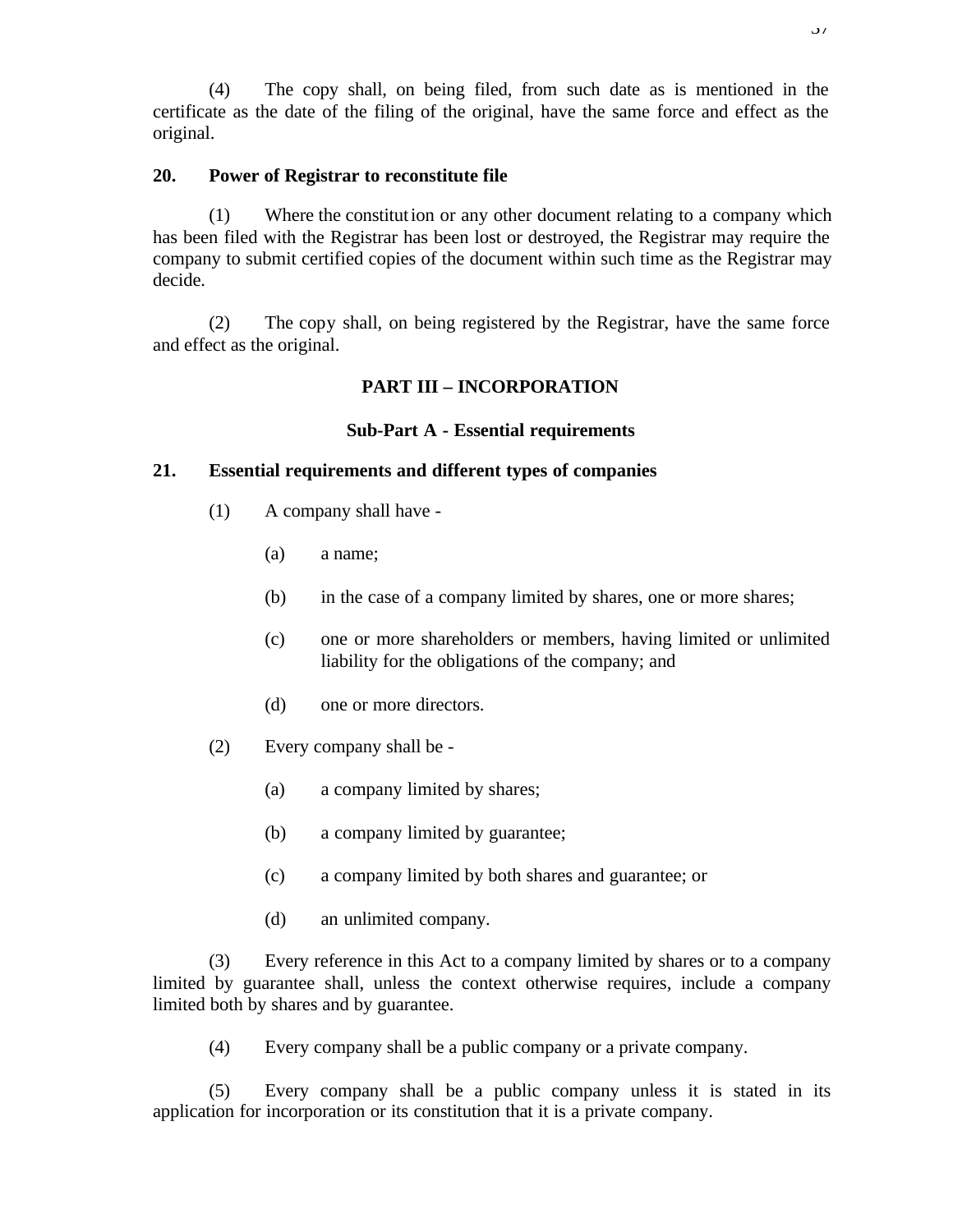(4) The copy shall, on being filed, from such date as is mentioned in the certificate as the date of the filing of the original, have the same force and effect as the original.

## **20. Power of Registrar to reconstitute file**

(1) Where the constitution or any other document relating to a company which has been filed with the Registrar has been lost or destroyed, the Registrar may require the company to submit certified copies of the document within such time as the Registrar may decide.

(2) The copy shall, on being registered by the Registrar, have the same force and effect as the original.

# **PART III – INCORPORATION**

## **Sub-Part A - Essential requirements**

### **21. Essential requirements and different types of companies**

- (1) A company shall have
	- (a) a name;
	- (b) in the case of a company limited by shares, one or more shares;
	- (c) one or more shareholders or members, having limited or unlimited liability for the obligations of the company; and
	- (d) one or more directors.
- (2) Every company shall be
	- (a) a company limited by shares;
	- (b) a company limited by guarantee;
	- (c) a company limited by both shares and guarantee; or
	- (d) an unlimited company.

(3) Every reference in this Act to a company limited by shares or to a company limited by guarantee shall, unless the context otherwise requires, include a company limited both by shares and by guarantee.

(4) Every company shall be a public company or a private company.

(5) Every company shall be a public company unless it is stated in its application for incorporation or its constitution that it is a private company.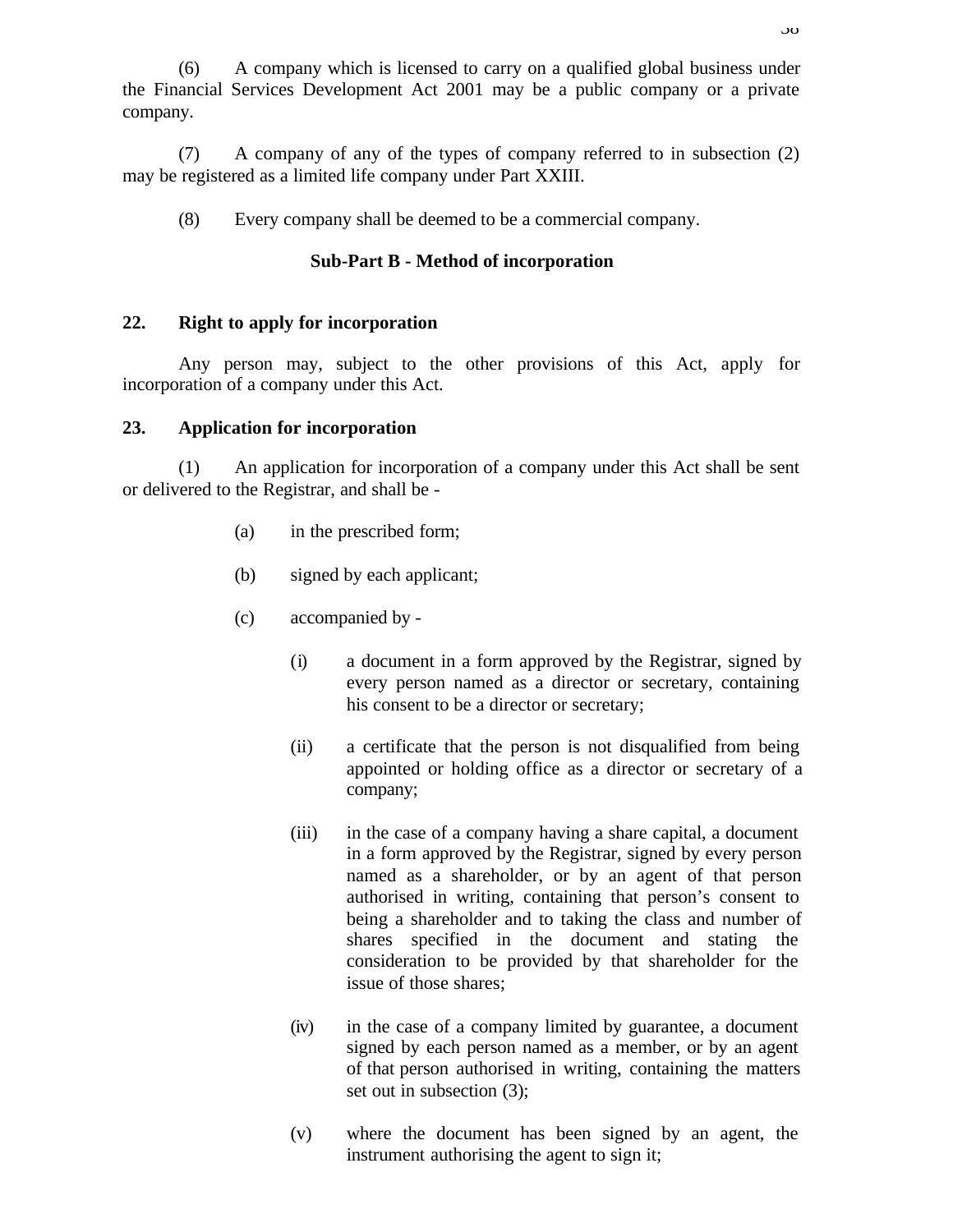(6) A company which is licensed to carry on a qualified global business under the Financial Services Development Act 2001 may be a public company or a private company.

(7) A company of any of the types of company referred to in subsection (2) may be registered as a limited life company under Part XXIII.

(8) Every company shall be deemed to be a commercial company.

# **Sub-Part B - Method of incorporation**

## **22. Right to apply for incorporation**

Any person may, subject to the other provisions of this Act, apply for incorporation of a company under this Act.

## **23. Application for incorporation**

(1) An application for incorporation of a company under this Act shall be sent or delivered to the Registrar, and shall be -

- (a) in the prescribed form;
- (b) signed by each applicant;
- (c) accompanied by
	- (i) a document in a form approved by the Registrar, signed by every person named as a director or secretary, containing his consent to be a director or secretary;
	- (ii) a certificate that the person is not disqualified from being appointed or holding office as a director or secretary of a company;
	- (iii) in the case of a company having a share capital, a document in a form approved by the Registrar, signed by every person named as a shareholder, or by an agent of that person authorised in writing, containing that person's consent to being a shareholder and to taking the class and number of shares specified in the document and stating the consideration to be provided by that shareholder for the issue of those shares;
	- (iv) in the case of a company limited by guarantee, a document signed by each person named as a member, or by an agent of that person authorised in writing, containing the matters set out in subsection (3);
	- (v) where the document has been signed by an agent, the instrument authorising the agent to sign it;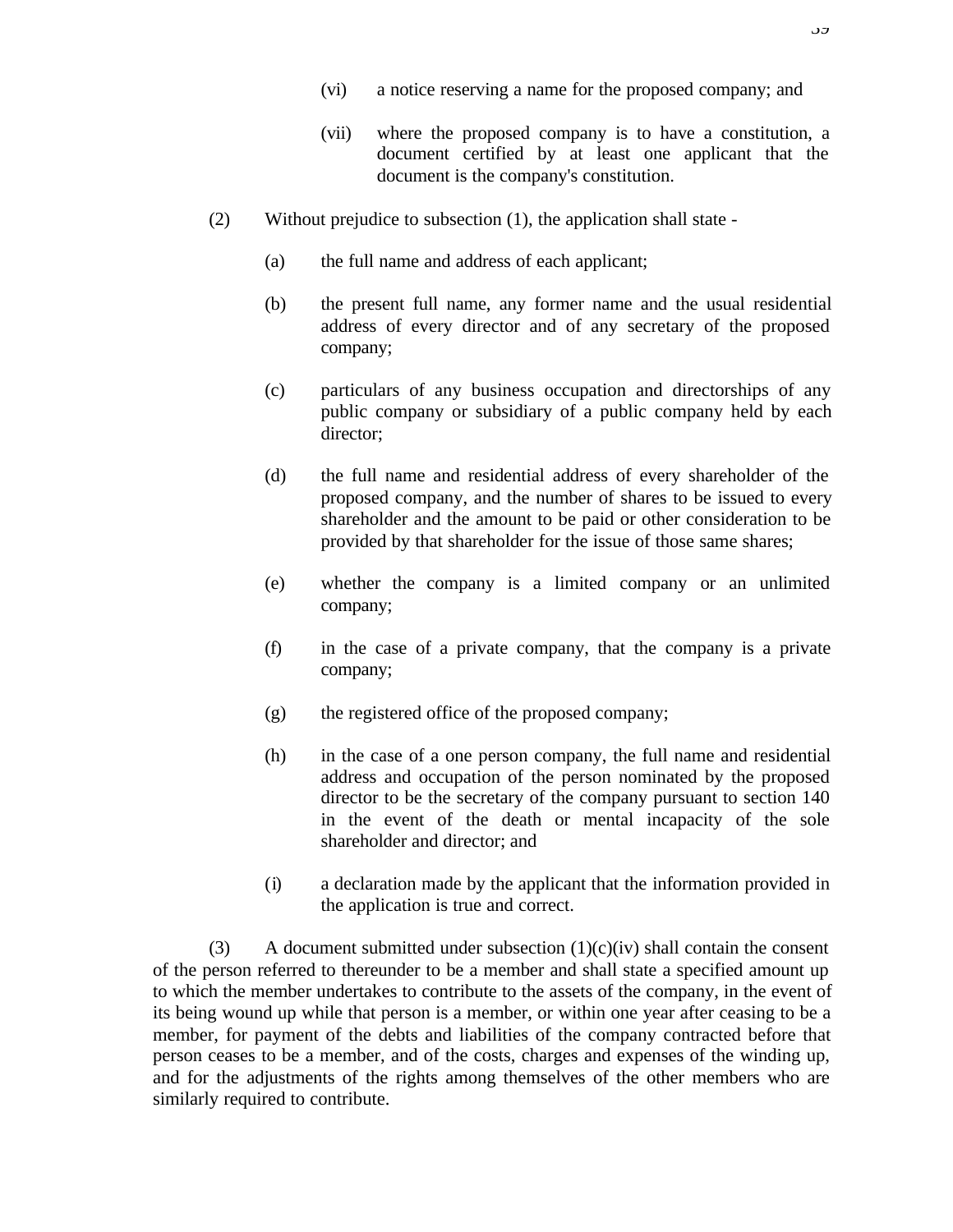- (vi) a notice reserving a name for the proposed company; and
- (vii) where the proposed company is to have a constitution, a document certified by at least one applicant that the document is the company's constitution.
- (2) Without prejudice to subsection (1), the application shall state
	- (a) the full name and address of each applicant;
	- (b) the present full name, any former name and the usual residential address of every director and of any secretary of the proposed company;
	- (c) particulars of any business occupation and directorships of any public company or subsidiary of a public company held by each director;
	- (d) the full name and residential address of every shareholder of the proposed company, and the number of shares to be issued to every shareholder and the amount to be paid or other consideration to be provided by that shareholder for the issue of those same shares;
	- (e) whether the company is a limited company or an unlimited company;
	- (f) in the case of a private company, that the company is a private company;
	- (g) the registered office of the proposed company;
	- (h) in the case of a one person company, the full name and residential address and occupation of the person nominated by the proposed director to be the secretary of the company pursuant to section 140 in the event of the death or mental incapacity of the sole shareholder and director; and
	- (i) a declaration made by the applicant that the information provided in the application is true and correct.

(3) A document submitted under subsection  $(1)(c)(iv)$  shall contain the consent of the person referred to thereunder to be a member and shall state a specified amount up to which the member undertakes to contribute to the assets of the company, in the event of its being wound up while that person is a member, or within one year after ceasing to be a member, for payment of the debts and liabilities of the company contracted before that person ceases to be a member, and of the costs, charges and expenses of the winding up, and for the adjustments of the rights among themselves of the other members who are similarly required to contribute.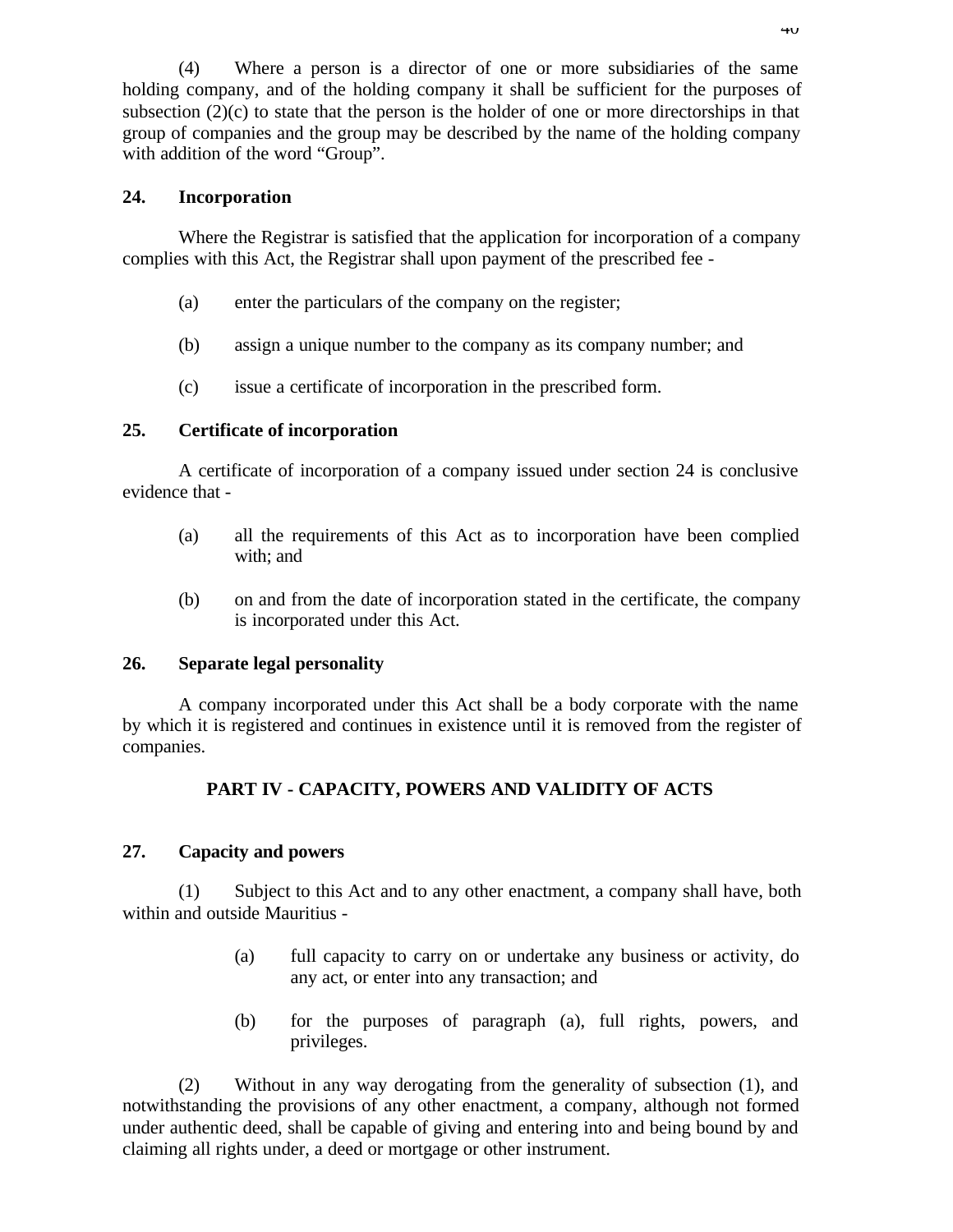(4) Where a person is a director of one or more subsidiaries of the same holding company, and of the holding company it shall be sufficient for the purposes of subsection  $(2)(c)$  to state that the person is the holder of one or more directorships in that group of companies and the group may be described by the name of the holding company with addition of the word "Group".

## **24. Incorporation**

Where the Registrar is satisfied that the application for incorporation of a company complies with this Act, the Registrar shall upon payment of the prescribed fee -

- (a) enter the particulars of the company on the register;
- (b) assign a unique number to the company as its company number; and
- (c) issue a certificate of incorporation in the prescribed form.

### **25. Certificate of incorporation**

A certificate of incorporation of a company issued under section 24 is conclusive evidence that -

- (a) all the requirements of this Act as to incorporation have been complied with; and
- (b) on and from the date of incorporation stated in the certificate, the company is incorporated under this Act.

#### **26. Separate legal personality**

A company incorporated under this Act shall be a body corporate with the name by which it is registered and continues in existence until it is removed from the register of companies.

## **PART IV - CAPACITY, POWERS AND VALIDITY OF ACTS**

## **27. Capacity and powers**

(1) Subject to this Act and to any other enactment, a company shall have, both within and outside Mauritius -

- (a) full capacity to carry on or undertake any business or activity, do any act, or enter into any transaction; and
- (b) for the purposes of paragraph (a), full rights, powers, and privileges.

(2) Without in any way derogating from the generality of subsection (1), and notwithstanding the provisions of any other enactment, a company, although not formed under authentic deed, shall be capable of giving and entering into and being bound by and claiming all rights under, a deed or mortgage or other instrument.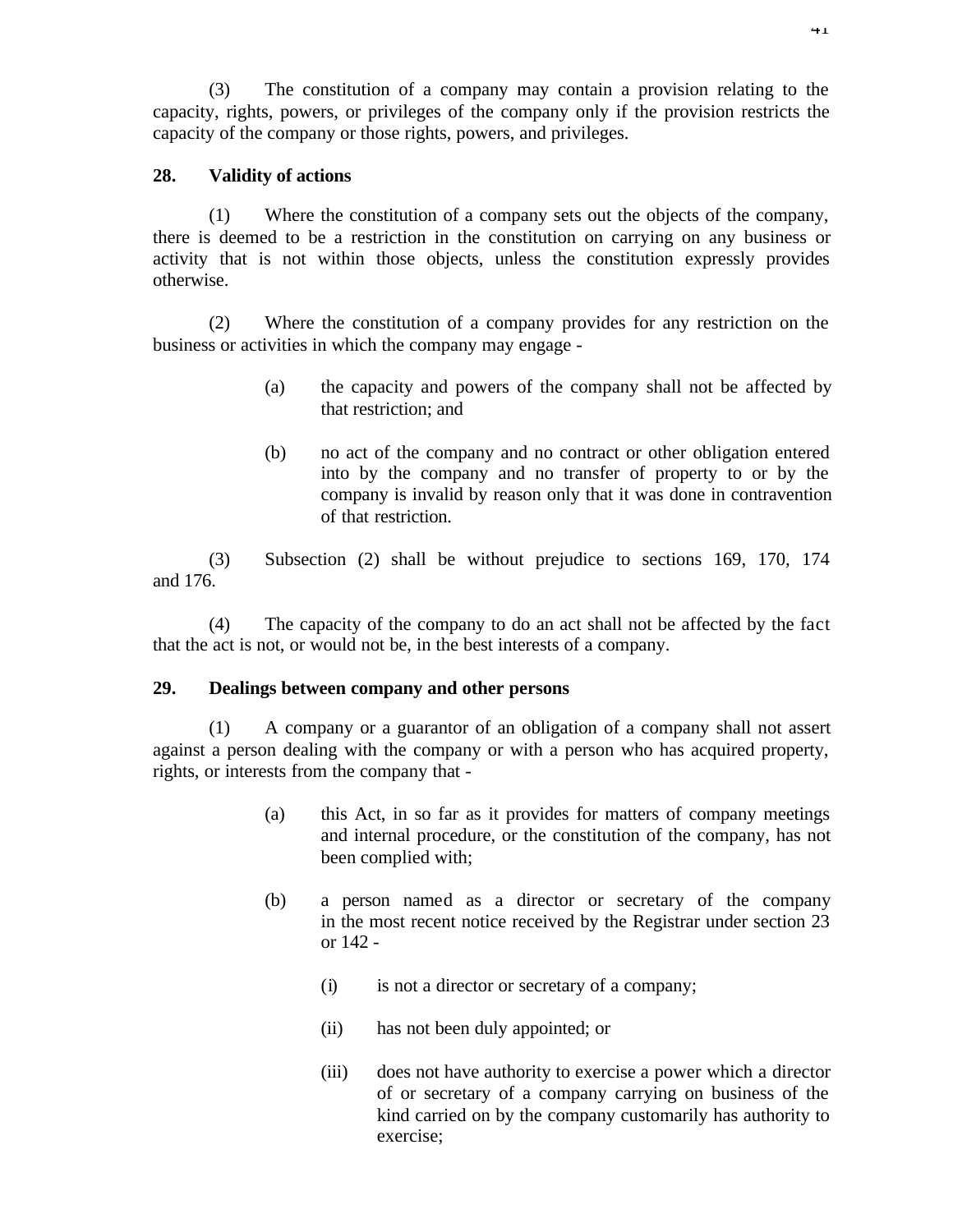(3) The constitution of a company may contain a provision relating to the capacity, rights, powers, or privileges of the company only if the provision restricts the capacity of the company or those rights, powers, and privileges.

## **28. Validity of actions**

(1) Where the constitution of a company sets out the objects of the company, there is deemed to be a restriction in the constitution on carrying on any business or activity that is not within those objects, unless the constitution expressly provides otherwise.

(2) Where the constitution of a company provides for any restriction on the business or activities in which the company may engage -

- (a) the capacity and powers of the company shall not be affected by that restriction; and
- (b) no act of the company and no contract or other obligation entered into by the company and no transfer of property to or by the company is invalid by reason only that it was done in contravention of that restriction.

(3) Subsection (2) shall be without prejudice to sections 169, 170, 174 and 176.

(4) The capacity of the company to do an act shall not be affected by the fact that the act is not, or would not be, in the best interests of a company.

### **29. Dealings between company and other persons**

(1) A company or a guarantor of an obligation of a company shall not assert against a person dealing with the company or with a person who has acquired property, rights, or interests from the company that -

- (a) this Act, in so far as it provides for matters of company meetings and internal procedure, or the constitution of the company, has not been complied with;
- (b) a person named as a director or secretary of the company in the most recent notice received by the Registrar under section 23 or 142 -
	- (i) is not a director or secretary of a company;
	- (ii) has not been duly appointed; or
	- (iii) does not have authority to exercise a power which a director of or secretary of a company carrying on business of the kind carried on by the company customarily has authority to exercise;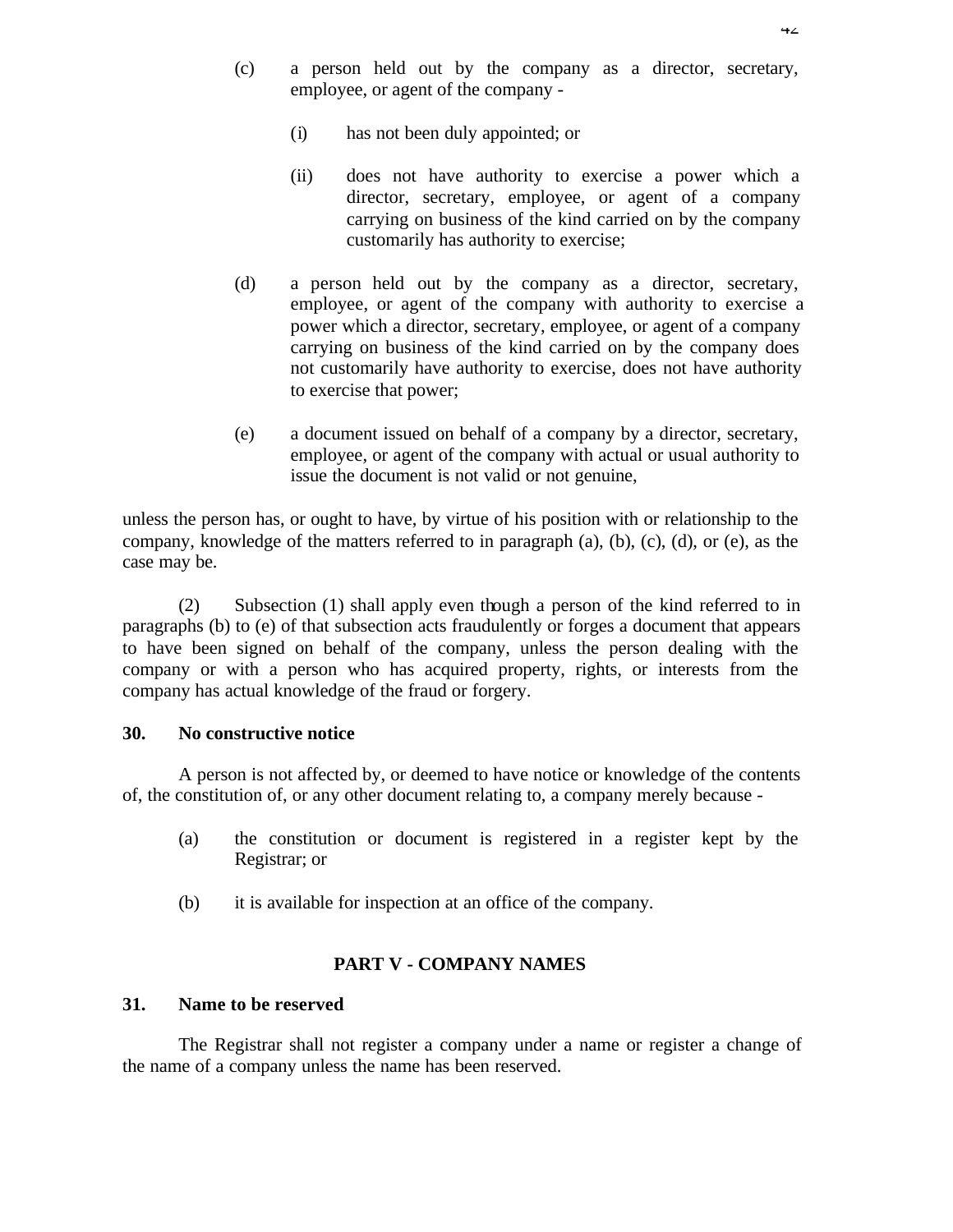- (c) a person held out by the company as a director, secretary, employee, or agent of the company -
	- (i) has not been duly appointed; or
	- (ii) does not have authority to exercise a power which a director, secretary, employee, or agent of a company carrying on business of the kind carried on by the company customarily has authority to exercise;
- (d) a person held out by the company as a director, secretary, employee, or agent of the company with authority to exercise a power which a director, secretary, employee, or agent of a company carrying on business of the kind carried on by the company does not customarily have authority to exercise, does not have authority to exercise that power;
- (e) a document issued on behalf of a company by a director, secretary, employee, or agent of the company with actual or usual authority to issue the document is not valid or not genuine,

unless the person has, or ought to have, by virtue of his position with or relationship to the company, knowledge of the matters referred to in paragraph (a), (b), (c), (d), or (e), as the case may be.

(2) Subsection (1) shall apply even though a person of the kind referred to in paragraphs (b) to (e) of that subsection acts fraudulently or forges a document that appears to have been signed on behalf of the company, unless the person dealing with the company or with a person who has acquired property, rights, or interests from the company has actual knowledge of the fraud or forgery.

## **30. No constructive notice**

A person is not affected by, or deemed to have notice or knowledge of the contents of, the constitution of, or any other document relating to, a company merely because -

- (a) the constitution or document is registered in a register kept by the Registrar; or
- (b) it is available for inspection at an office of the company.

# **PART V - COMPANY NAMES**

## **31. Name to be reserved**

The Registrar shall not register a company under a name or register a change of the name of a company unless the name has been reserved.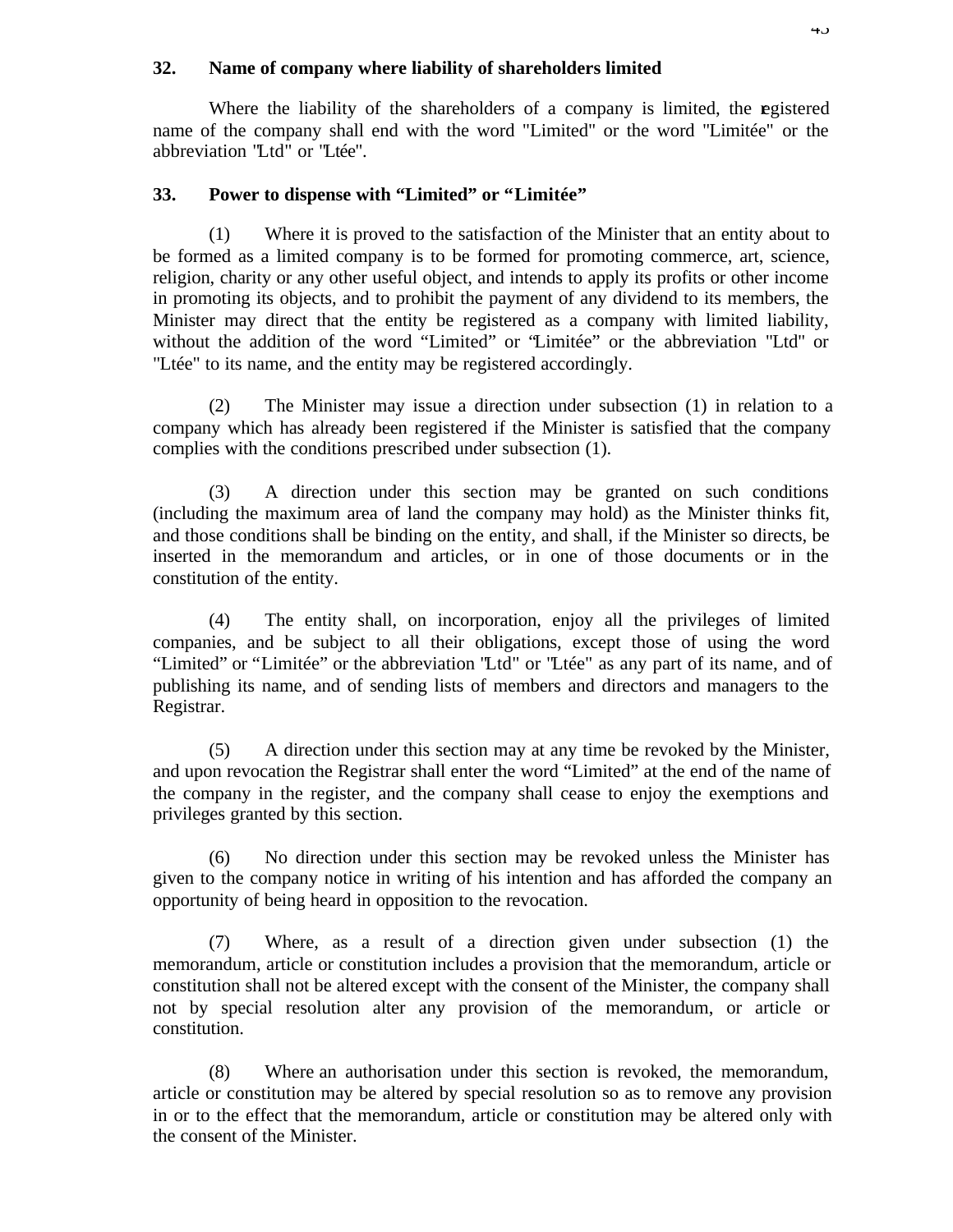### **32. Name of company where liability of shareholders limited**

Where the liability of the shareholders of a company is limited, the egistered name of the company shall end with the word "Limited" or the word "Limitée" or the abbreviation "Ltd" or "Ltée".

### **33. Power to dispense with "Limited" or "Limitée"**

(1) Where it is proved to the satisfaction of the Minister that an entity about to be formed as a limited company is to be formed for promoting commerce, art, science, religion, charity or any other useful object, and intends to apply its profits or other income in promoting its objects, and to prohibit the payment of any dividend to its members, the Minister may direct that the entity be registered as a company with limited liability, without the addition of the word "Limited" or "Limitée" or the abbreviation "Ltd" or "Ltée" to its name, and the entity may be registered accordingly.

(2) The Minister may issue a direction under subsection (1) in relation to a company which has already been registered if the Minister is satisfied that the company complies with the conditions prescribed under subsection (1).

(3) A direction under this section may be granted on such conditions (including the maximum area of land the company may hold) as the Minister thinks fit, and those conditions shall be binding on the entity, and shall, if the Minister so directs, be inserted in the memorandum and articles, or in one of those documents or in the constitution of the entity.

(4) The entity shall, on incorporation, enjoy all the privileges of limited companies, and be subject to all their obligations, except those of using the word "Limited" or "Limitée" or the abbreviation "Ltd" or "Ltée" as any part of its name, and of publishing its name, and of sending lists of members and directors and managers to the Registrar.

(5) A direction under this section may at any time be revoked by the Minister, and upon revocation the Registrar shall enter the word "Limited" at the end of the name of the company in the register, and the company shall cease to enjoy the exemptions and privileges granted by this section.

(6) No direction under this section may be revoked unless the Minister has given to the company notice in writing of his intention and has afforded the company an opportunity of being heard in opposition to the revocation.

(7) Where, as a result of a direction given under subsection (1) the memorandum, article or constitution includes a provision that the memorandum, article or constitution shall not be altered except with the consent of the Minister, the company shall not by special resolution alter any provision of the memorandum, or article or constitution.

(8) Where an authorisation under this section is revoked, the memorandum, article or constitution may be altered by special resolution so as to remove any provision in or to the effect that the memorandum, article or constitution may be altered only with the consent of the Minister.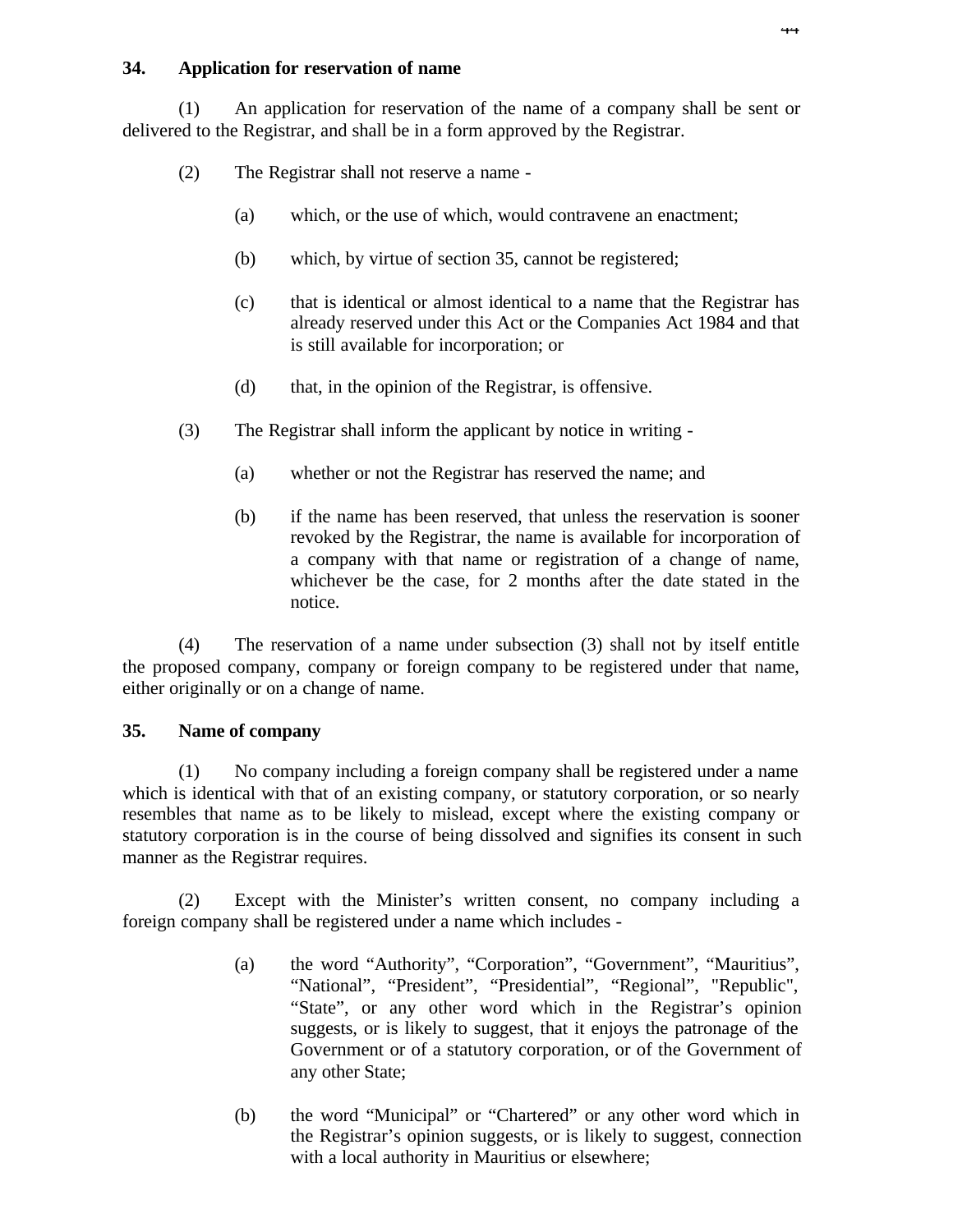# **34. Application for reservation of name**

(1) An application for reservation of the name of a company shall be sent or delivered to the Registrar, and shall be in a form approved by the Registrar.

- (2) The Registrar shall not reserve a name
	- (a) which, or the use of which, would contravene an enactment;
	- (b) which, by virtue of section 35, cannot be registered;
	- (c) that is identical or almost identical to a name that the Registrar has already reserved under this Act or the Companies Act 1984 and that is still available for incorporation; or
	- (d) that, in the opinion of the Registrar, is offensive.
- (3) The Registrar shall inform the applicant by notice in writing
	- (a) whether or not the Registrar has reserved the name; and
	- (b) if the name has been reserved, that unless the reservation is sooner revoked by the Registrar, the name is available for incorporation of a company with that name or registration of a change of name, whichever be the case, for 2 months after the date stated in the notice.

(4) The reservation of a name under subsection (3) shall not by itself entitle the proposed company, company or foreign company to be registered under that name, either originally or on a change of name.

# **35. Name of company**

(1) No company including a foreign company shall be registered under a name which is identical with that of an existing company, or statutory corporation, or so nearly resembles that name as to be likely to mislead, except where the existing company or statutory corporation is in the course of being dissolved and signifies its consent in such manner as the Registrar requires.

(2) Except with the Minister's written consent, no company including a foreign company shall be registered under a name which includes -

- (a) the word "Authority", "Corporation", "Government", "Mauritius", "National", "President", "Presidential", "Regional", "Republic", "State", or any other word which in the Registrar's opinion suggests, or is likely to suggest, that it enjoys the patronage of the Government or of a statutory corporation, or of the Government of any other State;
- (b) the word "Municipal" or "Chartered" or any other word which in the Registrar's opinion suggests, or is likely to suggest, connection with a local authority in Mauritius or elsewhere;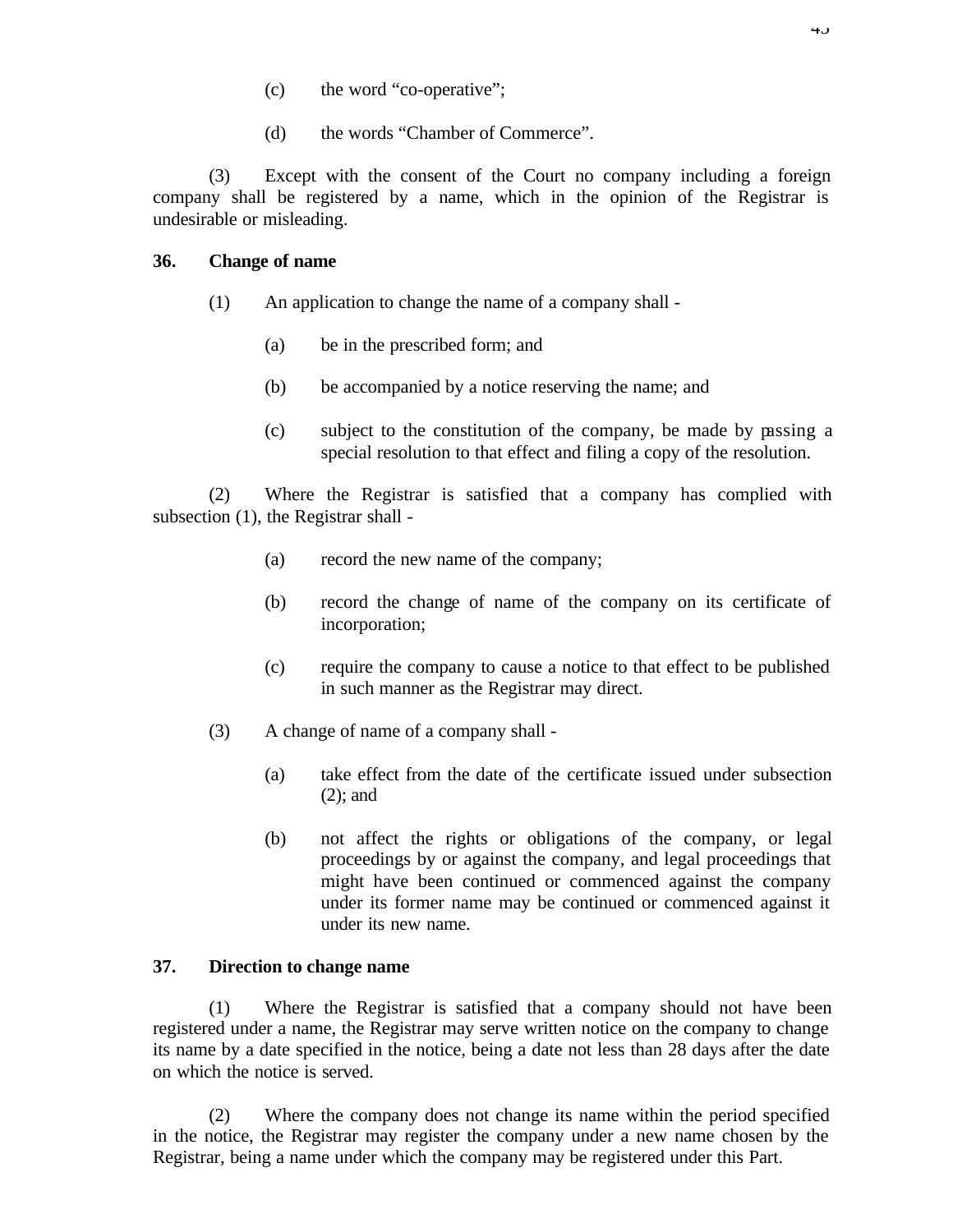- (c) the word "co-operative";
- (d) the words "Chamber of Commerce".

(3) Except with the consent of the Court no company including a foreign company shall be registered by a name, which in the opinion of the Registrar is undesirable or misleading.

# **36. Change of name**

- (1) An application to change the name of a company shall
	- (a) be in the prescribed form; and
	- (b) be accompanied by a notice reserving the name; and
	- (c) subject to the constitution of the company, be made by passing a special resolution to that effect and filing a copy of the resolution.

(2) Where the Registrar is satisfied that a company has complied with subsection (1), the Registrar shall -

- (a) record the new name of the company;
- (b) record the change of name of the company on its certificate of incorporation;
- (c) require the company to cause a notice to that effect to be published in such manner as the Registrar may direct.
- (3) A change of name of a company shall
	- (a) take effect from the date of the certificate issued under subsection (2); and
	- (b) not affect the rights or obligations of the company, or legal proceedings by or against the company, and legal proceedings that might have been continued or commenced against the company under its former name may be continued or commenced against it under its new name.

## **37. Direction to change name**

(1) Where the Registrar is satisfied that a company should not have been registered under a name, the Registrar may serve written notice on the company to change its name by a date specified in the notice, being a date not less than 28 days after the date on which the notice is served.

(2) Where the company does not change its name within the period specified in the notice, the Registrar may register the company under a new name chosen by the Registrar, being a name under which the company may be registered under this Part.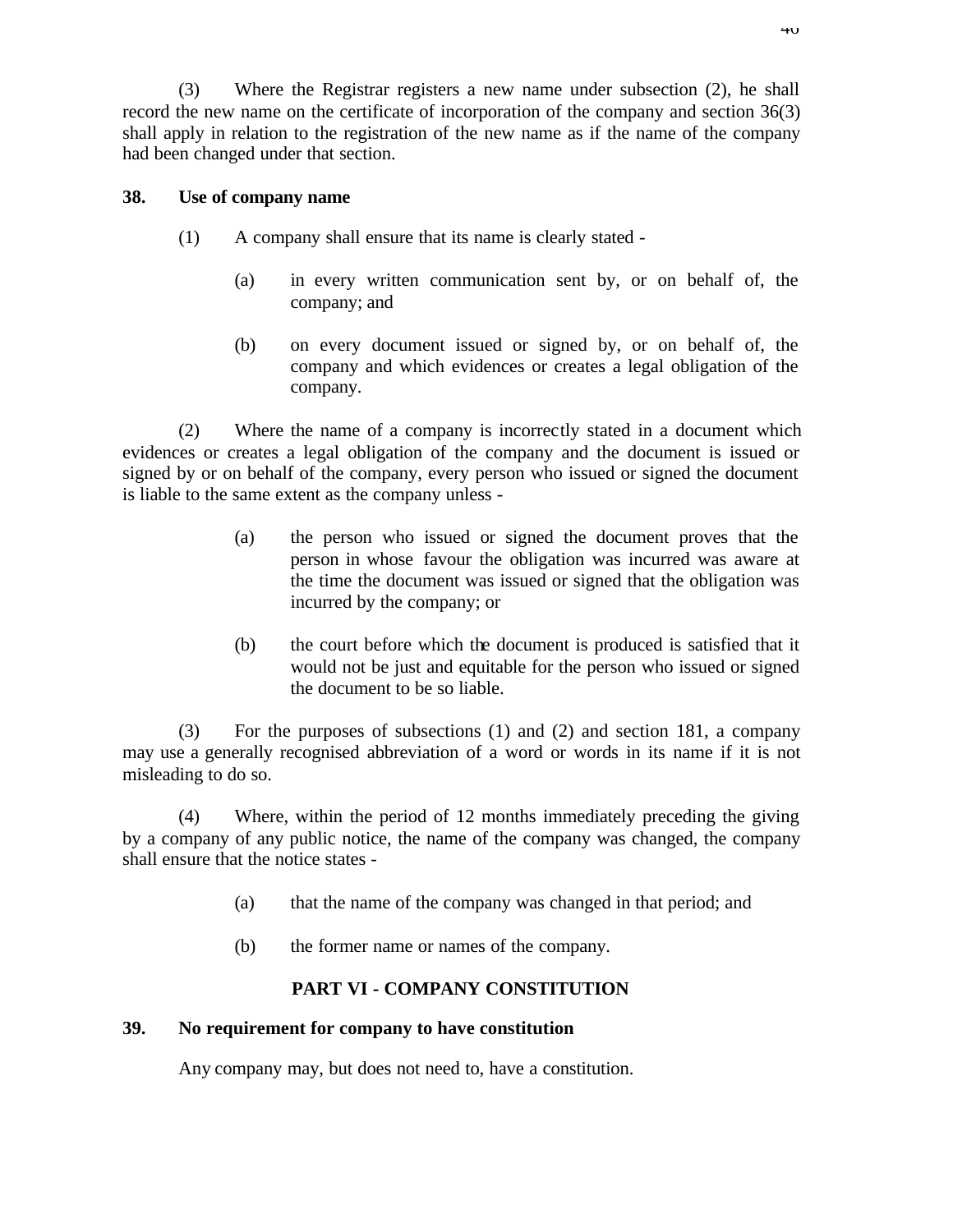(3) Where the Registrar registers a new name under subsection (2), he shall record the new name on the certificate of incorporation of the company and section 36(3) shall apply in relation to the registration of the new name as if the name of the company had been changed under that section.

### **38. Use of company name**

- (1) A company shall ensure that its name is clearly stated
	- (a) in every written communication sent by, or on behalf of, the company; and
	- (b) on every document issued or signed by, or on behalf of, the company and which evidences or creates a legal obligation of the company.

(2) Where the name of a company is incorrectly stated in a document which evidences or creates a legal obligation of the company and the document is issued or signed by or on behalf of the company, every person who issued or signed the document is liable to the same extent as the company unless -

- (a) the person who issued or signed the document proves that the person in whose favour the obligation was incurred was aware at the time the document was issued or signed that the obligation was incurred by the company; or
- (b) the court before which the document is produced is satisfied that it would not be just and equitable for the person who issued or signed the document to be so liable.

(3) For the purposes of subsections (1) and (2) and section 181, a company may use a generally recognised abbreviation of a word or words in its name if it is not misleading to do so.

(4) Where, within the period of 12 months immediately preceding the giving by a company of any public notice, the name of the company was changed, the company shall ensure that the notice states -

- (a) that the name of the company was changed in that period; and
- (b) the former name or names of the company.

# **PART VI - COMPANY CONSTITUTION**

#### **39. No requirement for company to have constitution**

Any company may, but does not need to, have a constitution.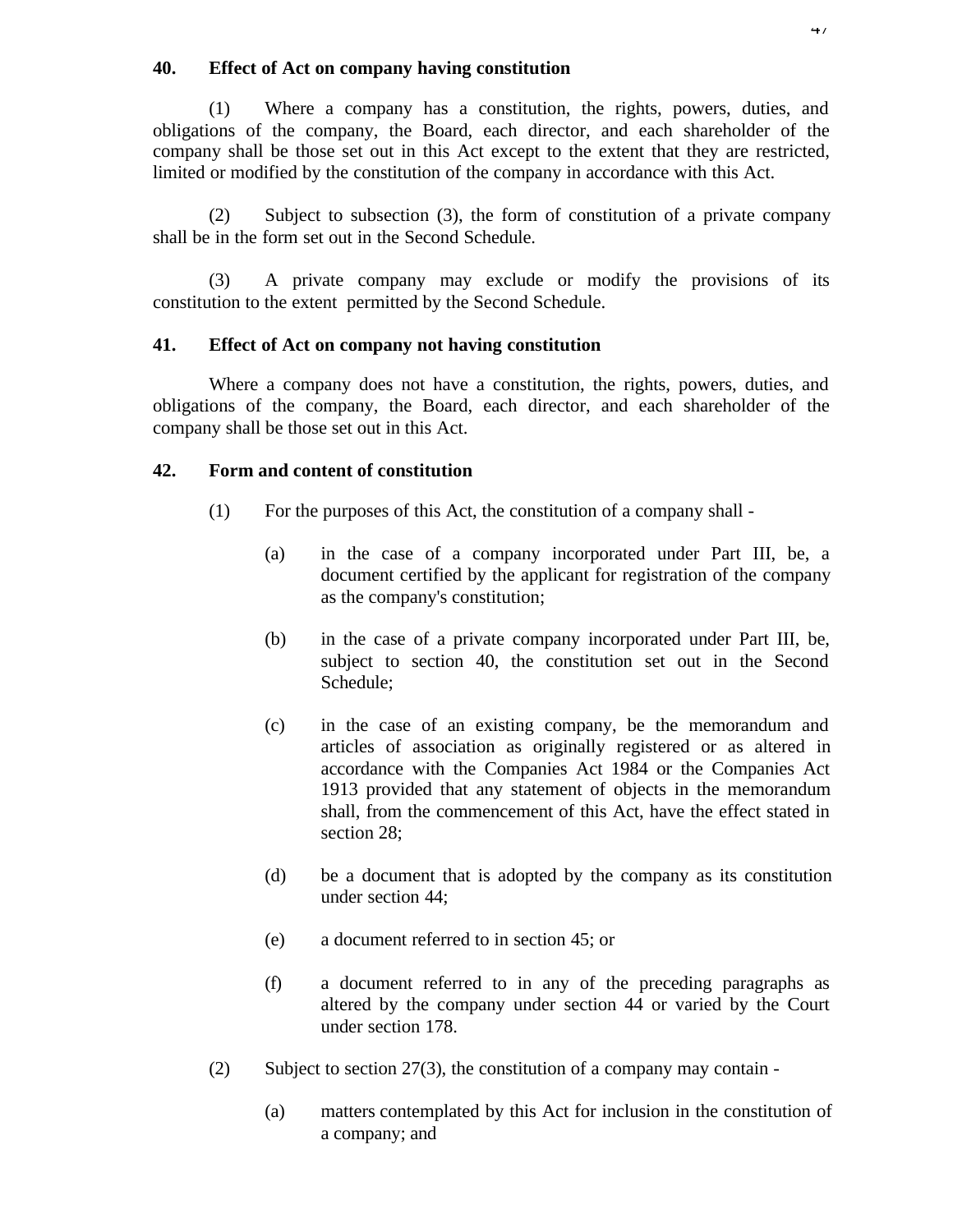### **40. Effect of Act on company having constitution**

(1) Where a company has a constitution, the rights, powers, duties, and obligations of the company, the Board, each director, and each shareholder of the company shall be those set out in this Act except to the extent that they are restricted, limited or modified by the constitution of the company in accordance with this Act.

(2) Subject to subsection (3), the form of constitution of a private company shall be in the form set out in the Second Schedule.

(3) A private company may exclude or modify the provisions of its constitution to the extent permitted by the Second Schedule.

## **41. Effect of Act on company not having constitution**

Where a company does not have a constitution, the rights, powers, duties, and obligations of the company, the Board, each director, and each shareholder of the company shall be those set out in this Act.

## **42. Form and content of constitution**

- (1) For the purposes of this Act, the constitution of a company shall
	- (a) in the case of a company incorporated under Part III, be, a document certified by the applicant for registration of the company as the company's constitution;
	- (b) in the case of a private company incorporated under Part III, be, subject to section 40, the constitution set out in the Second Schedule;
	- (c) in the case of an existing company, be the memorandum and articles of association as originally registered or as altered in accordance with the Companies Act 1984 or the Companies Act 1913 provided that any statement of objects in the memorandum shall, from the commencement of this Act, have the effect stated in section 28;
	- (d) be a document that is adopted by the company as its constitution under section 44;
	- (e) a document referred to in section 45; or
	- (f) a document referred to in any of the preceding paragraphs as altered by the company under section 44 or varied by the Court under section 178.
- (2) Subject to section  $27(3)$ , the constitution of a company may contain -
	- (a) matters contemplated by this Act for inclusion in the constitution of a company; and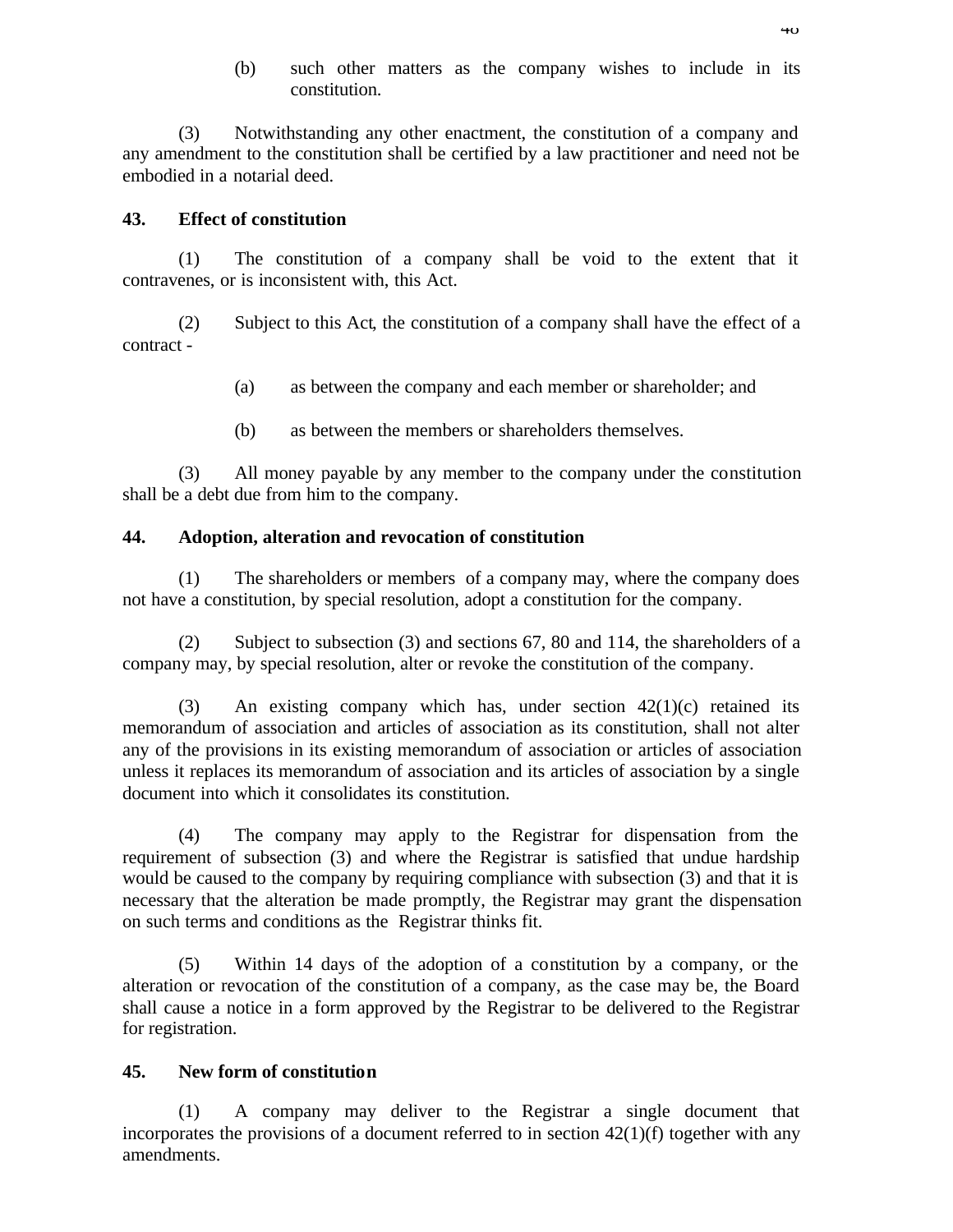(b) such other matters as the company wishes to include in its constitution.

(3) Notwithstanding any other enactment, the constitution of a company and any amendment to the constitution shall be certified by a law practitioner and need not be embodied in a notarial deed.

# **43. Effect of constitution**

(1) The constitution of a company shall be void to the extent that it contravenes, or is inconsistent with, this Act.

(2) Subject to this Act, the constitution of a company shall have the effect of a contract -

- (a) as between the company and each member or shareholder; and
- (b) as between the members or shareholders themselves.

(3) All money payable by any member to the company under the constitution shall be a debt due from him to the company.

# **44. Adoption, alteration and revocation of constitution**

(1) The shareholders or members of a company may, where the company does not have a constitution, by special resolution, adopt a constitution for the company.

(2) Subject to subsection (3) and sections 67, 80 and 114, the shareholders of a company may, by special resolution, alter or revoke the constitution of the company.

(3) An existing company which has, under section 42(1)(c) retained its memorandum of association and articles of association as its constitution, shall not alter any of the provisions in its existing memorandum of association or articles of association unless it replaces its memorandum of association and its articles of association by a single document into which it consolidates its constitution.

(4) The company may apply to the Registrar for dispensation from the requirement of subsection (3) and where the Registrar is satisfied that undue hardship would be caused to the company by requiring compliance with subsection (3) and that it is necessary that the alteration be made promptly, the Registrar may grant the dispensation on such terms and conditions as the Registrar thinks fit.

(5) Within 14 days of the adoption of a constitution by a company, or the alteration or revocation of the constitution of a company, as the case may be, the Board shall cause a notice in a form approved by the Registrar to be delivered to the Registrar for registration.

## **45. New form of constitution**

(1) A company may deliver to the Registrar a single document that incorporates the provisions of a document referred to in section  $42(1)(f)$  together with any amendments.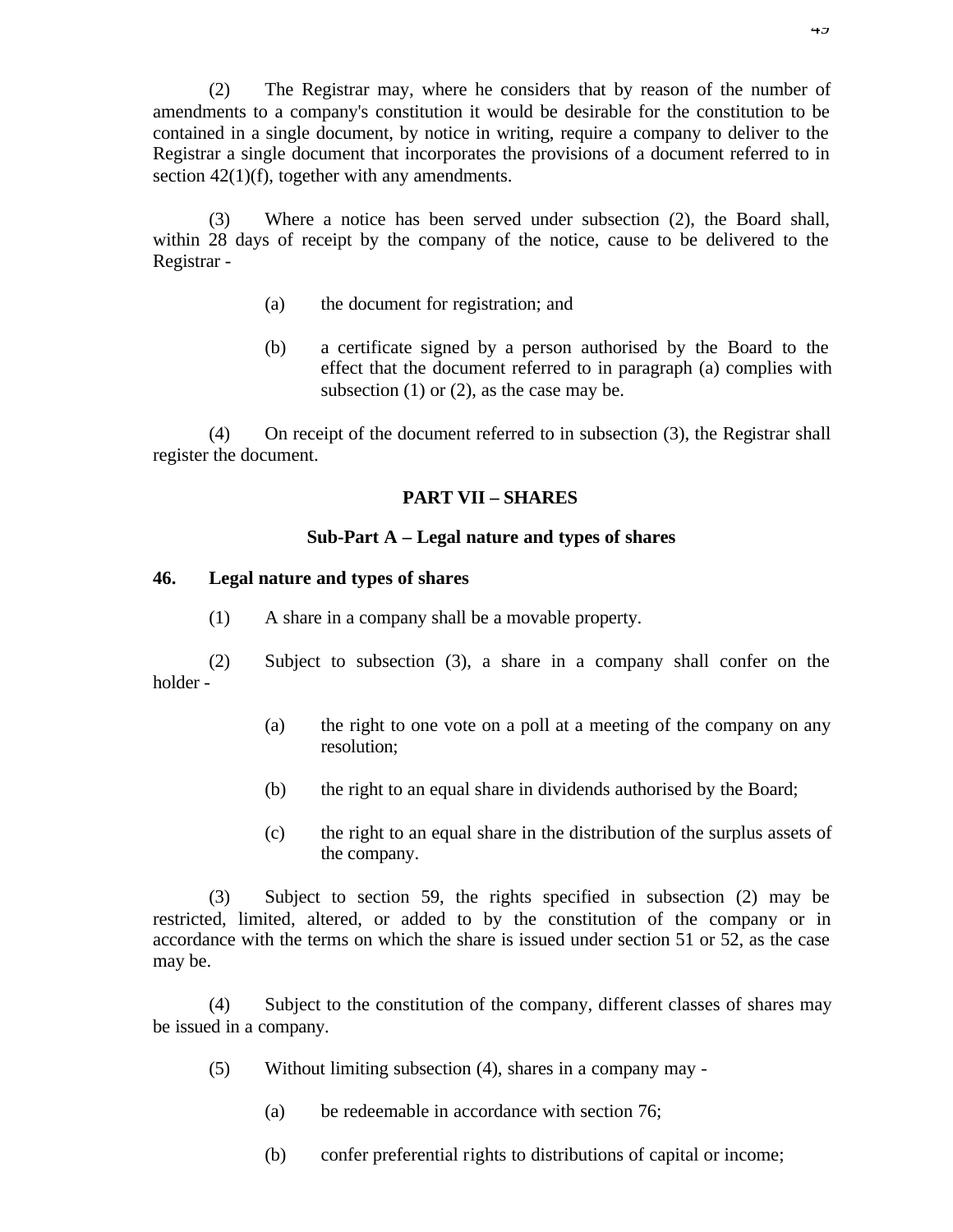(2) The Registrar may, where he considers that by reason of the number of amendments to a company's constitution it would be desirable for the constitution to be contained in a single document, by notice in writing, require a company to deliver to the Registrar a single document that incorporates the provisions of a document referred to in section 42(1)(f), together with any amendments.

(3) Where a notice has been served under subsection (2), the Board shall, within 28 days of receipt by the company of the notice, cause to be delivered to the Registrar -

- (a) the document for registration; and
- (b) a certificate signed by a person authorised by the Board to the effect that the document referred to in paragraph (a) complies with subsection  $(1)$  or  $(2)$ , as the case may be.

(4) On receipt of the document referred to in subsection (3), the Registrar shall register the document.

# **PART VII – SHARES**

# **Sub-Part A – Legal nature and types of shares**

## **46. Legal nature and types of shares**

(1) A share in a company shall be a movable property.

(2) Subject to subsection (3), a share in a company shall confer on the holder -

- (a) the right to one vote on a poll at a meeting of the company on any resolution;
- (b) the right to an equal share in dividends authorised by the Board;
- (c) the right to an equal share in the distribution of the surplus assets of the company.

(3) Subject to section 59, the rights specified in subsection (2) may be restricted, limited, altered, or added to by the constitution of the company or in accordance with the terms on which the share is issued under section 51 or 52, as the case may be.

(4) Subject to the constitution of the company, different classes of shares may be issued in a company.

- (5) Without limiting subsection (4), shares in a company may
	- (a) be redeemable in accordance with section 76;
	- (b) confer preferential rights to distributions of capital or income;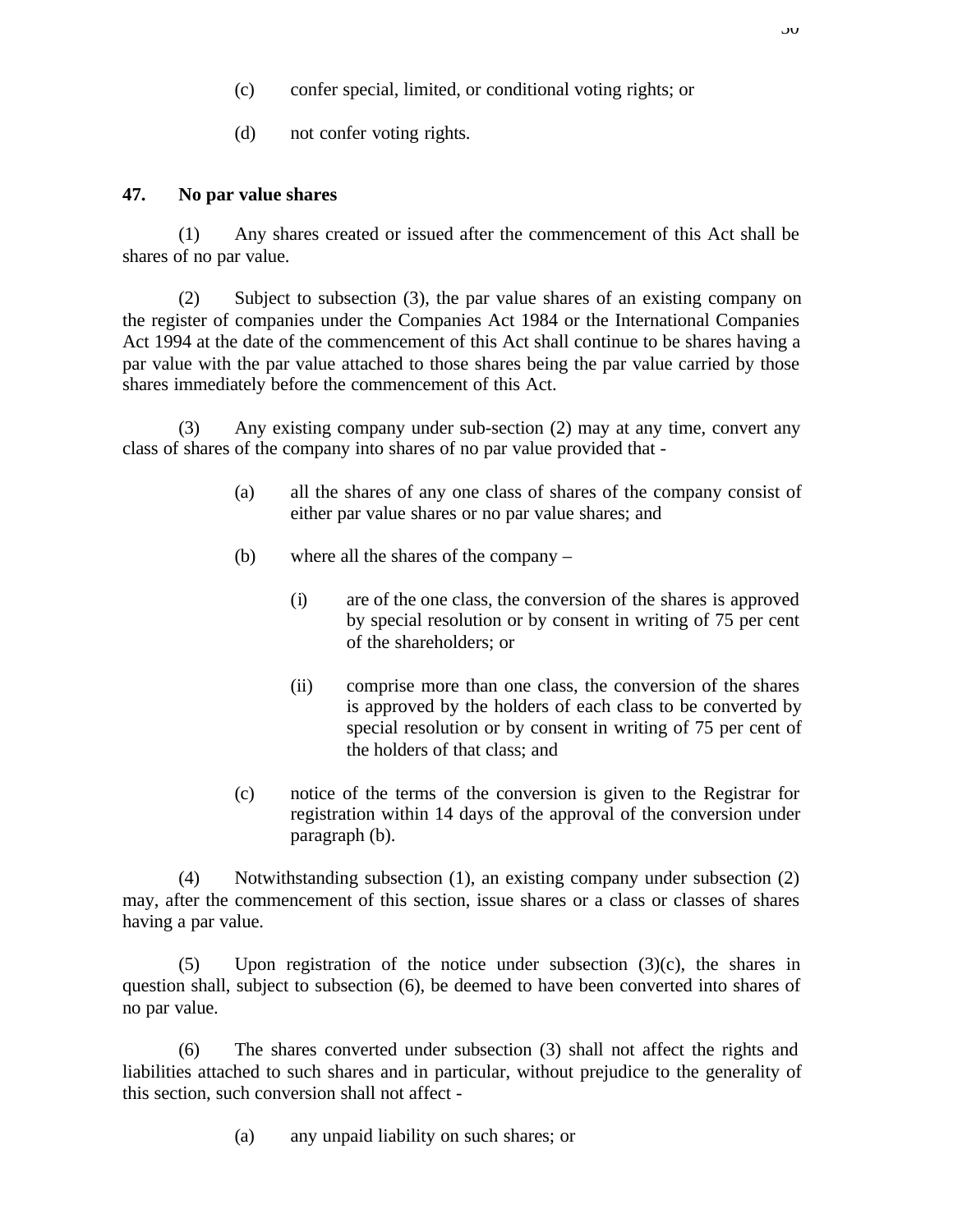- (c) confer special, limited, or conditional voting rights; or
- (d) not confer voting rights.

## **47. No par value shares**

(1) Any shares created or issued after the commencement of this Act shall be shares of no par value.

(2) Subject to subsection (3), the par value shares of an existing company on the register of companies under the Companies Act 1984 or the International Companies Act 1994 at the date of the commencement of this Act shall continue to be shares having a par value with the par value attached to those shares being the par value carried by those shares immediately before the commencement of this Act.

(3) Any existing company under sub-section (2) may at any time, convert any class of shares of the company into shares of no par value provided that -

- (a) all the shares of any one class of shares of the company consist of either par value shares or no par value shares; and
- (b) where all the shares of the company
	- (i) are of the one class, the conversion of the shares is approved by special resolution or by consent in writing of 75 per cent of the shareholders; or
	- (ii) comprise more than one class, the conversion of the shares is approved by the holders of each class to be converted by special resolution or by consent in writing of 75 per cent of the holders of that class; and
- (c) notice of the terms of the conversion is given to the Registrar for registration within 14 days of the approval of the conversion under paragraph (b).

(4) Notwithstanding subsection (1), an existing company under subsection (2) may, after the commencement of this section, issue shares or a class or classes of shares having a par value.

(5) Upon registration of the notice under subsection  $(3)(c)$ , the shares in question shall, subject to subsection (6), be deemed to have been converted into shares of no par value.

(6) The shares converted under subsection (3) shall not affect the rights and liabilities attached to such shares and in particular, without prejudice to the generality of this section, such conversion shall not affect -

(a) any unpaid liability on such shares; or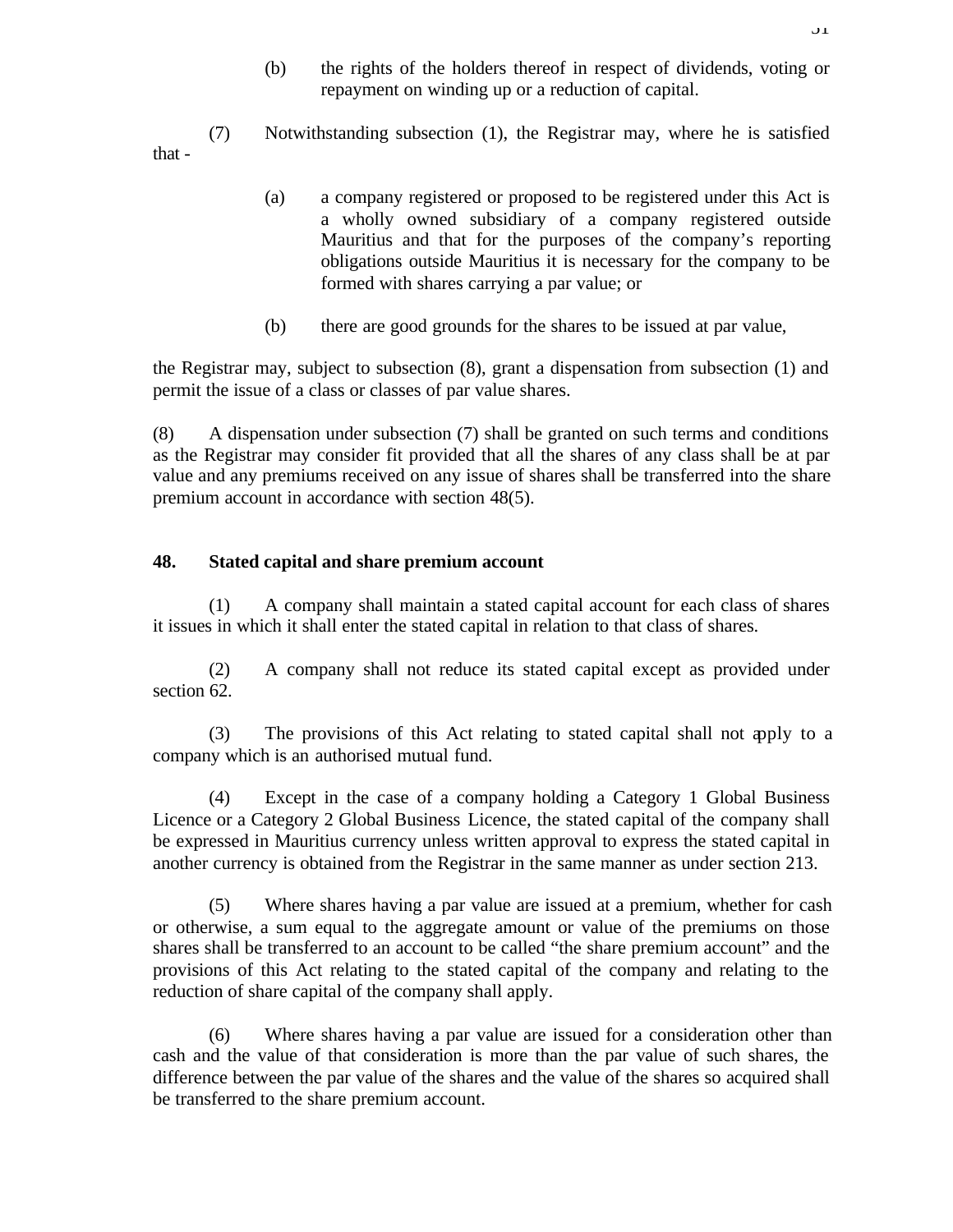(b) the rights of the holders thereof in respect of dividends, voting or repayment on winding up or a reduction of capital.

(7) Notwithstanding subsection (1), the Registrar may, where he is satisfied that -

- (a) a company registered or proposed to be registered under this Act is a wholly owned subsidiary of a company registered outside Mauritius and that for the purposes of the company's reporting obligations outside Mauritius it is necessary for the company to be formed with shares carrying a par value; or
- (b) there are good grounds for the shares to be issued at par value,

the Registrar may, subject to subsection (8), grant a dispensation from subsection (1) and permit the issue of a class or classes of par value shares.

(8) A dispensation under subsection (7) shall be granted on such terms and conditions as the Registrar may consider fit provided that all the shares of any class shall be at par value and any premiums received on any issue of shares shall be transferred into the share premium account in accordance with section 48(5).

## **48. Stated capital and share premium account**

(1) A company shall maintain a stated capital account for each class of shares it issues in which it shall enter the stated capital in relation to that class of shares.

(2) A company shall not reduce its stated capital except as provided under section 62.

(3) The provisions of this Act relating to stated capital shall not apply to a company which is an authorised mutual fund.

(4) Except in the case of a company holding a Category 1 Global Business Licence or a Category 2 Global Business Licence, the stated capital of the company shall be expressed in Mauritius currency unless written approval to express the stated capital in another currency is obtained from the Registrar in the same manner as under section 213.

(5) Where shares having a par value are issued at a premium, whether for cash or otherwise, a sum equal to the aggregate amount or value of the premiums on those shares shall be transferred to an account to be called "the share premium account" and the provisions of this Act relating to the stated capital of the company and relating to the reduction of share capital of the company shall apply.

(6) Where shares having a par value are issued for a consideration other than cash and the value of that consideration is more than the par value of such shares, the difference between the par value of the shares and the value of the shares so acquired shall be transferred to the share premium account.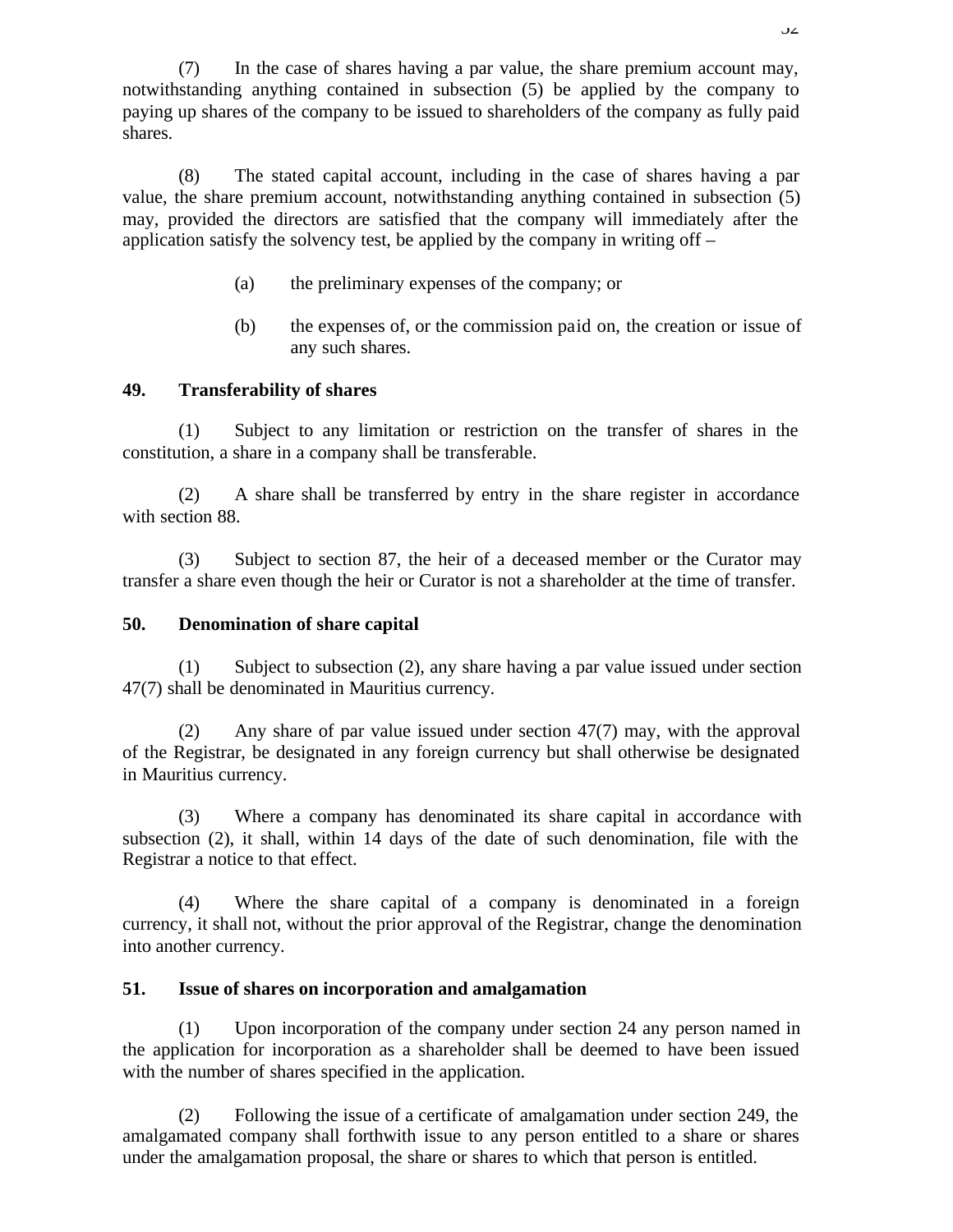(7) In the case of shares having a par value, the share premium account may, notwithstanding anything contained in subsection (5) be applied by the company to paying up shares of the company to be issued to shareholders of the company as fully paid shares.

(8) The stated capital account, including in the case of shares having a par value, the share premium account, notwithstanding anything contained in subsection (5) may, provided the directors are satisfied that the company will immediately after the application satisfy the solvency test, be applied by the company in writing off –

- (a) the preliminary expenses of the company; or
- (b) the expenses of, or the commission paid on, the creation or issue of any such shares.

### **49. Transferability of shares**

(1) Subject to any limitation or restriction on the transfer of shares in the constitution, a share in a company shall be transferable.

(2) A share shall be transferred by entry in the share register in accordance with section 88.

(3) Subject to section 87, the heir of a deceased member or the Curator may transfer a share even though the heir or Curator is not a shareholder at the time of transfer.

#### **50. Denomination of share capital**

(1) Subject to subsection (2), any share having a par value issued under section 47(7) shall be denominated in Mauritius currency.

(2) Any share of par value issued under section 47(7) may, with the approval of the Registrar, be designated in any foreign currency but shall otherwise be designated in Mauritius currency.

(3) Where a company has denominated its share capital in accordance with subsection (2), it shall, within 14 days of the date of such denomination, file with the Registrar a notice to that effect.

(4) Where the share capital of a company is denominated in a foreign currency, it shall not, without the prior approval of the Registrar, change the denomination into another currency.

### **51. Issue of shares on incorporation and amalgamation**

(1) Upon incorporation of the company under section 24 any person named in the application for incorporation as a shareholder shall be deemed to have been issued with the number of shares specified in the application.

(2) Following the issue of a certificate of amalgamation under section 249, the amalgamated company shall forthwith issue to any person entitled to a share or shares under the amalgamation proposal, the share or shares to which that person is entitled.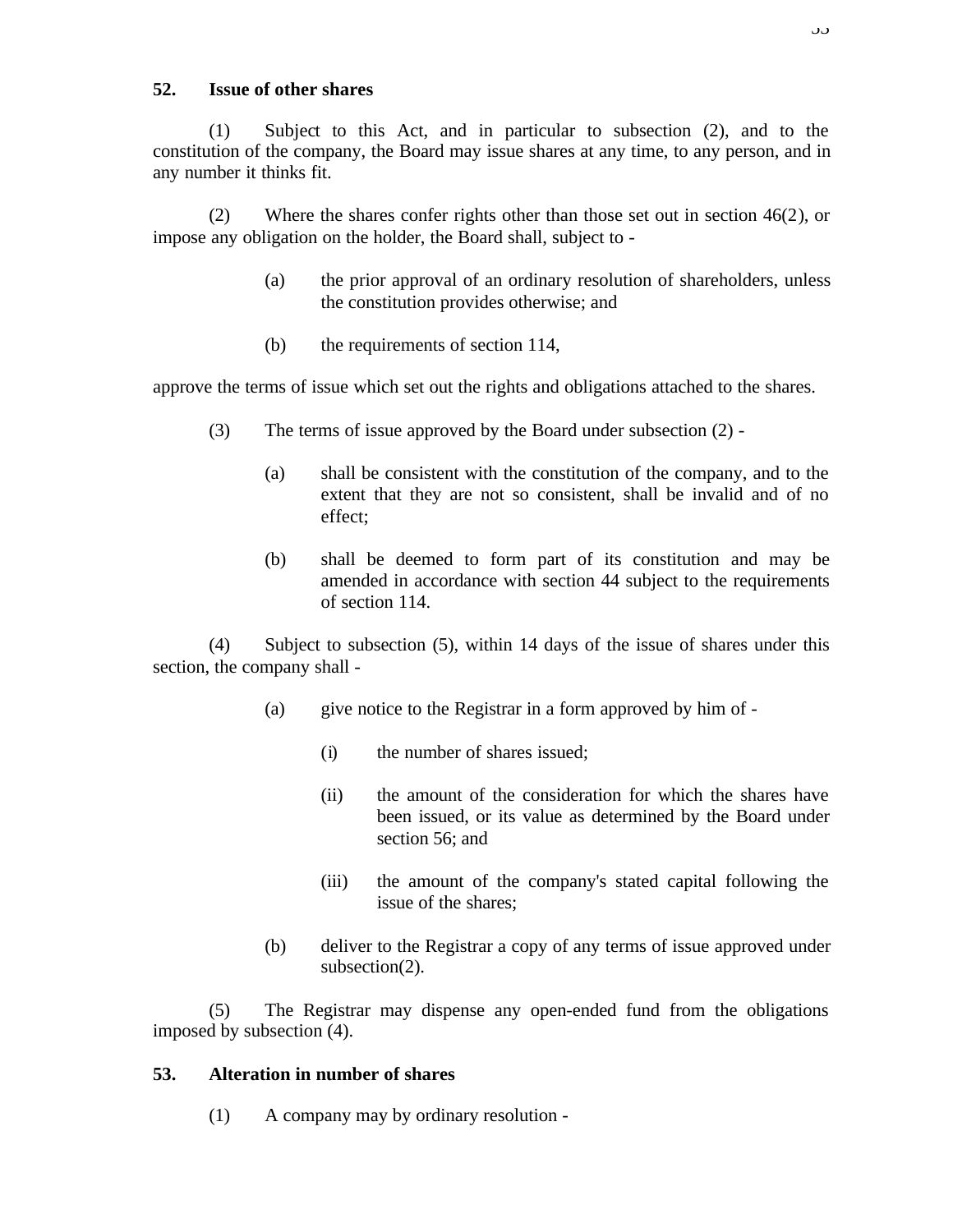## **52. Issue of other shares**

(1) Subject to this Act, and in particular to subsection (2), and to the constitution of the company, the Board may issue shares at any time, to any person, and in any number it thinks fit.

(2) Where the shares confer rights other than those set out in section 46(2), or impose any obligation on the holder, the Board shall, subject to -

- (a) the prior approval of an ordinary resolution of shareholders, unless the constitution provides otherwise; and
- (b) the requirements of section 114,

approve the terms of issue which set out the rights and obligations attached to the shares.

- (3) The terms of issue approved by the Board under subsection (2)
	- (a) shall be consistent with the constitution of the company, and to the extent that they are not so consistent, shall be invalid and of no effect;
	- (b) shall be deemed to form part of its constitution and may be amended in accordance with section 44 subject to the requirements of section 114.

(4) Subject to subsection (5), within 14 days of the issue of shares under this section, the company shall -

- (a) give notice to the Registrar in a form approved by him of
	- (i) the number of shares issued;
	- (ii) the amount of the consideration for which the shares have been issued, or its value as determined by the Board under section 56; and
	- (iii) the amount of the company's stated capital following the issue of the shares;
- (b) deliver to the Registrar a copy of any terms of issue approved under subsection(2).

(5) The Registrar may dispense any open-ended fund from the obligations imposed by subsection (4).

# **53. Alteration in number of shares**

(1) A company may by ordinary resolution -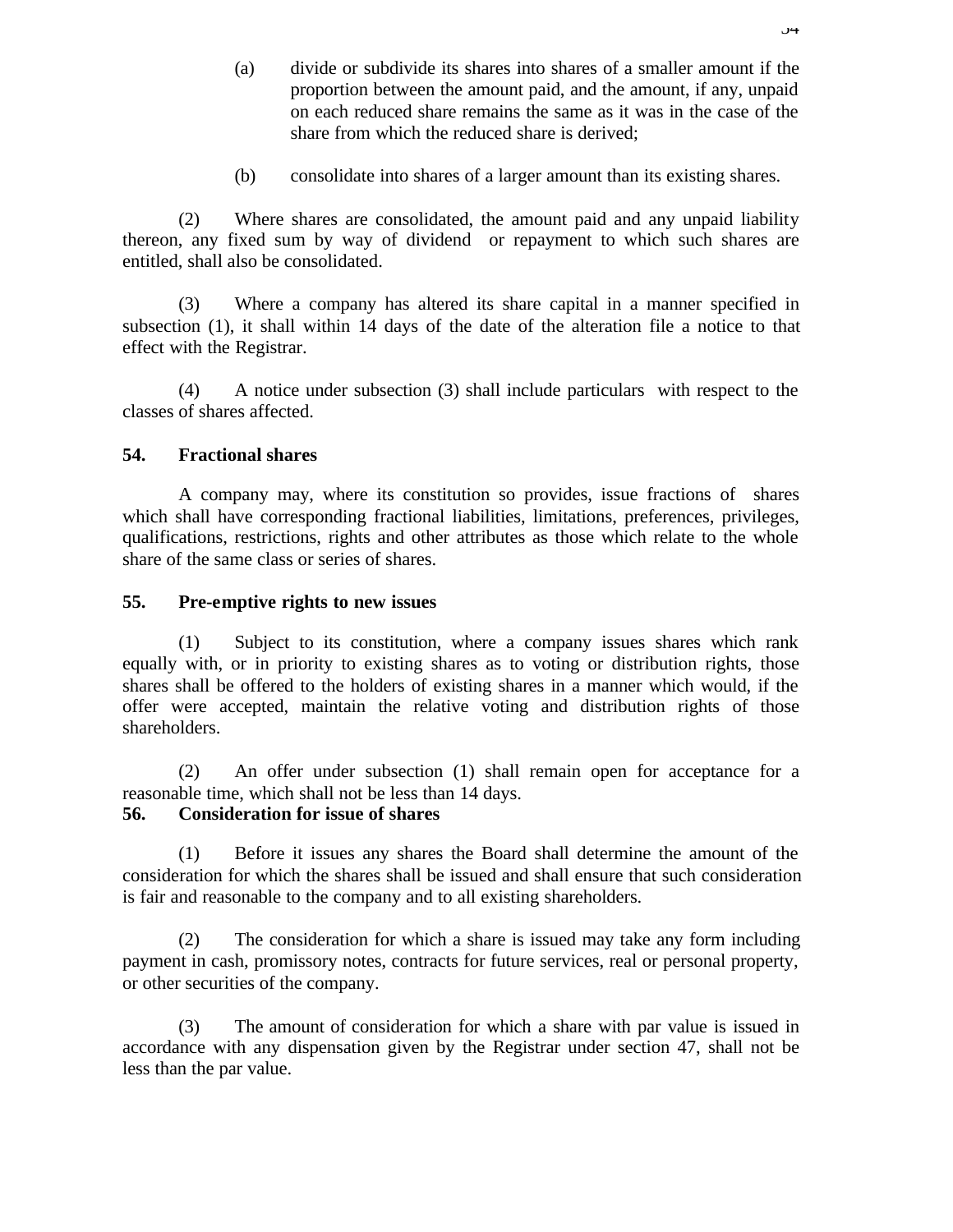- (a) divide or subdivide its shares into shares of a smaller amount if the proportion between the amount paid, and the amount, if any, unpaid on each reduced share remains the same as it was in the case of the share from which the reduced share is derived;
- (b) consolidate into shares of a larger amount than its existing shares.

(2) Where shares are consolidated, the amount paid and any unpaid liability thereon, any fixed sum by way of dividend or repayment to which such shares are entitled, shall also be consolidated.

(3) Where a company has altered its share capital in a manner specified in subsection (1), it shall within 14 days of the date of the alteration file a notice to that effect with the Registrar.

(4) A notice under subsection (3) shall include particulars with respect to the classes of shares affected.

# **54. Fractional shares**

A company may, where its constitution so provides, issue fractions of shares which shall have corresponding fractional liabilities, limitations, preferences, privileges, qualifications, restrictions, rights and other attributes as those which relate to the whole share of the same class or series of shares.

## **55. Pre-emptive rights to new issues**

(1) Subject to its constitution, where a company issues shares which rank equally with, or in priority to existing shares as to voting or distribution rights, those shares shall be offered to the holders of existing shares in a manner which would, if the offer were accepted, maintain the relative voting and distribution rights of those shareholders.

(2) An offer under subsection (1) shall remain open for acceptance for a reasonable time, which shall not be less than 14 days.

# **56. Consideration for issue of shares**

(1) Before it issues any shares the Board shall determine the amount of the consideration for which the shares shall be issued and shall ensure that such consideration is fair and reasonable to the company and to all existing shareholders.

(2) The consideration for which a share is issued may take any form including payment in cash, promissory notes, contracts for future services, real or personal property, or other securities of the company.

(3) The amount of consideration for which a share with par value is issued in accordance with any dispensation given by the Registrar under section 47, shall not be less than the par value.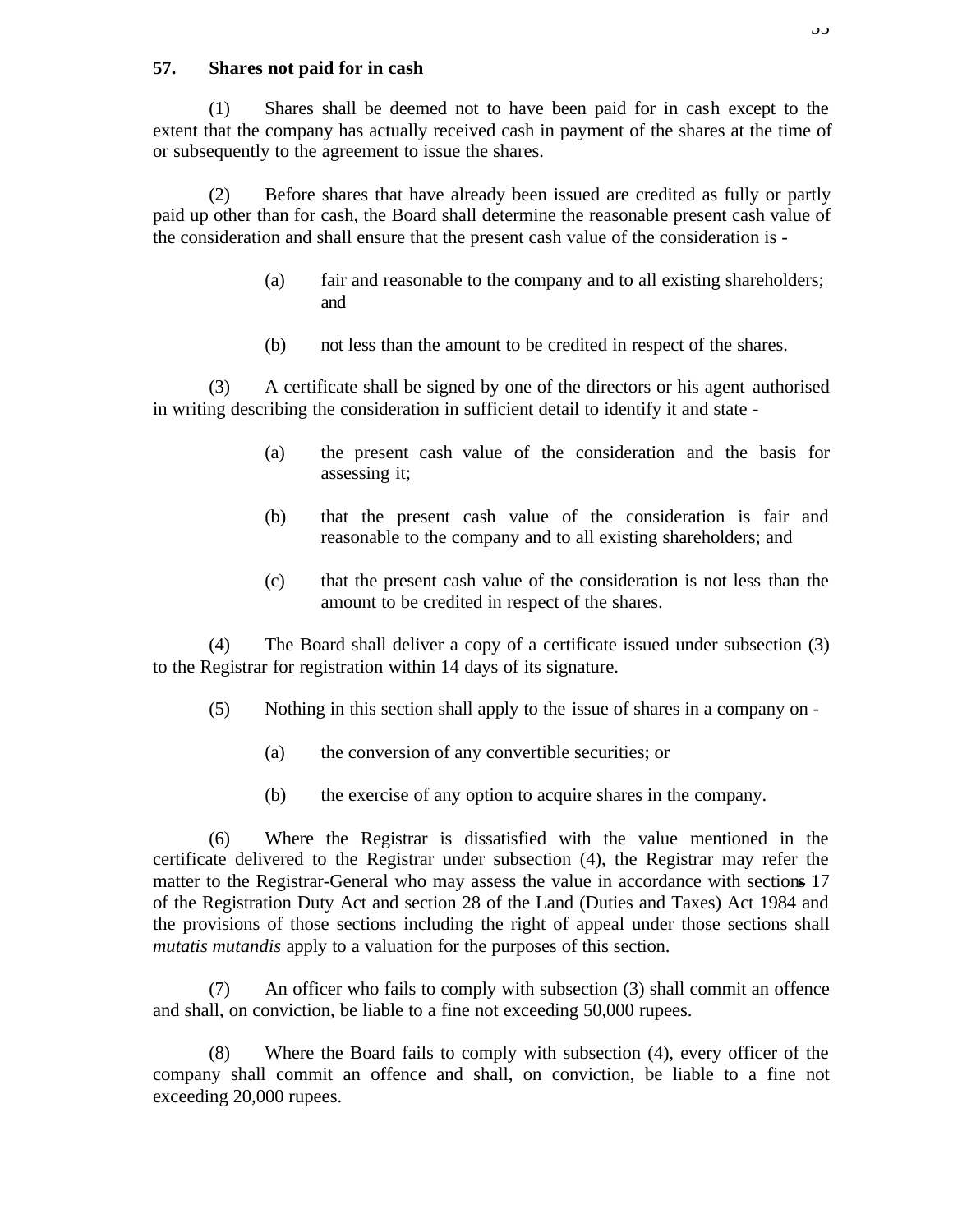### **57. Shares not paid for in cash**

(1) Shares shall be deemed not to have been paid for in cash except to the extent that the company has actually received cash in payment of the shares at the time of or subsequently to the agreement to issue the shares.

(2) Before shares that have already been issued are credited as fully or partly paid up other than for cash, the Board shall determine the reasonable present cash value of the consideration and shall ensure that the present cash value of the consideration is -

- (a) fair and reasonable to the company and to all existing shareholders; and
- (b) not less than the amount to be credited in respect of the shares.

(3) A certificate shall be signed by one of the directors or his agent authorised in writing describing the consideration in sufficient detail to identify it and state -

- (a) the present cash value of the consideration and the basis for assessing it;
- (b) that the present cash value of the consideration is fair and reasonable to the company and to all existing shareholders; and
- (c) that the present cash value of the consideration is not less than the amount to be credited in respect of the shares.

(4) The Board shall deliver a copy of a certificate issued under subsection (3) to the Registrar for registration within 14 days of its signature.

- (5) Nothing in this section shall apply to the issue of shares in a company on
	- (a) the conversion of any convertible securities; or
	- (b) the exercise of any option to acquire shares in the company.

(6) Where the Registrar is dissatisfied with the value mentioned in the certificate delivered to the Registrar under subsection (4), the Registrar may refer the matter to the Registrar-General who may assess the value in accordance with sections 17 of the Registration Duty Act and section 28 of the Land (Duties and Taxes) Act 1984 and the provisions of those sections including the right of appeal under those sections shall *mutatis mutandis* apply to a valuation for the purposes of this section.

(7) An officer who fails to comply with subsection (3) shall commit an offence and shall, on conviction, be liable to a fine not exceeding 50,000 rupees.

(8) Where the Board fails to comply with subsection (4), every officer of the company shall commit an offence and shall, on conviction, be liable to a fine not exceeding 20,000 rupees.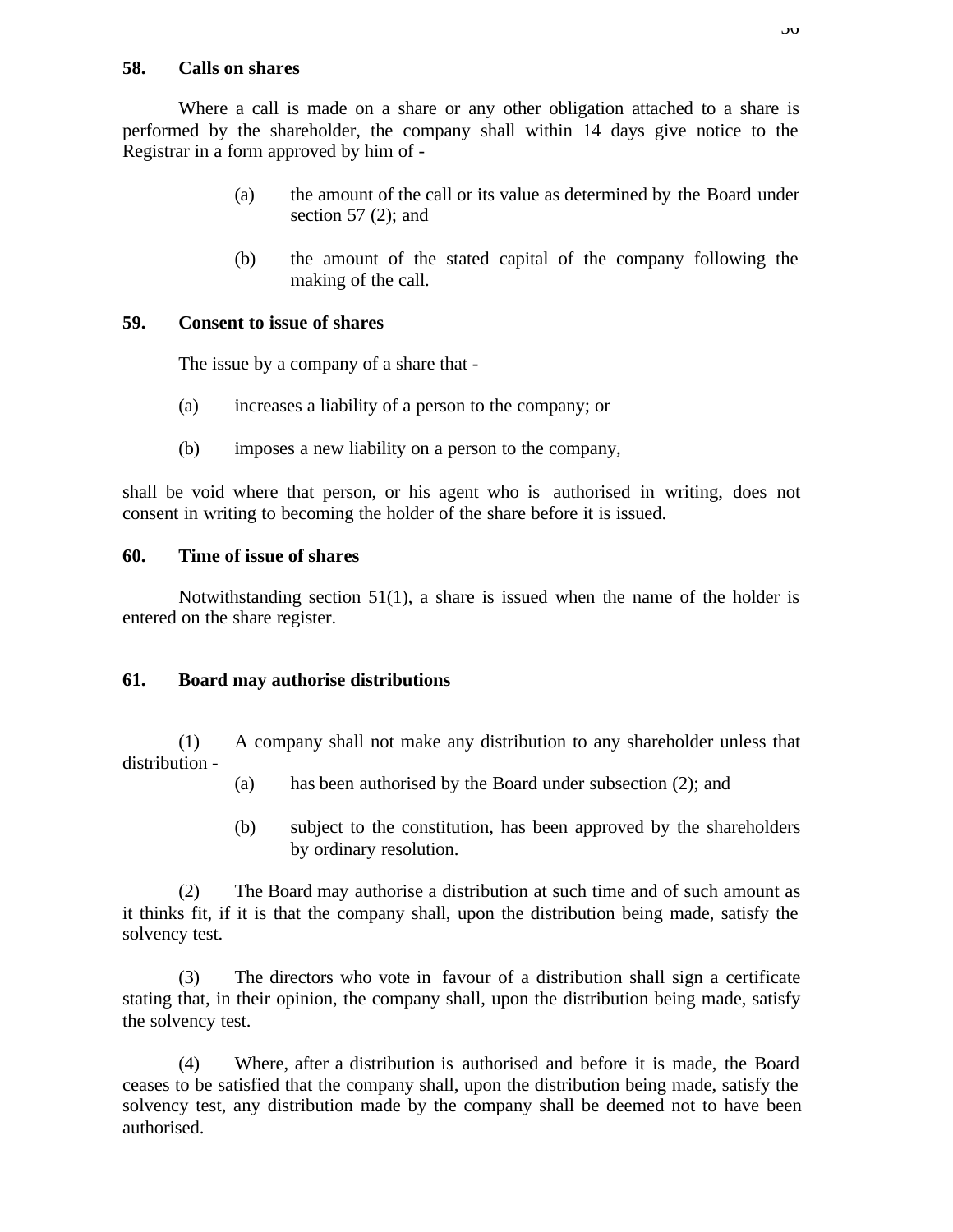### **58. Calls on shares**

Where a call is made on a share or any other obligation attached to a share is performed by the shareholder, the company shall within 14 days give notice to the Registrar in a form approved by him of -

- (a) the amount of the call or its value as determined by the Board under section  $57$  (2); and
- (b) the amount of the stated capital of the company following the making of the call.

# **59. Consent to issue of shares**

The issue by a company of a share that -

- (a) increases a liability of a person to the company; or
- (b) imposes a new liability on a person to the company,

shall be void where that person, or his agent who is authorised in writing, does not consent in writing to becoming the holder of the share before it is issued.

# **60. Time of issue of shares**

Notwithstanding section  $51(1)$ , a share is issued when the name of the holder is entered on the share register.

# **61. Board may authorise distributions**

(1) A company shall not make any distribution to any shareholder unless that distribution -

- (a) has been authorised by the Board under subsection (2); and
- (b) subject to the constitution, has been approved by the shareholders by ordinary resolution.

(2) The Board may authorise a distribution at such time and of such amount as it thinks fit, if it is that the company shall, upon the distribution being made, satisfy the solvency test.

(3) The directors who vote in favour of a distribution shall sign a certificate stating that, in their opinion, the company shall, upon the distribution being made, satisfy the solvency test.

(4) Where, after a distribution is authorised and before it is made, the Board ceases to be satisfied that the company shall, upon the distribution being made, satisfy the solvency test, any distribution made by the company shall be deemed not to have been authorised.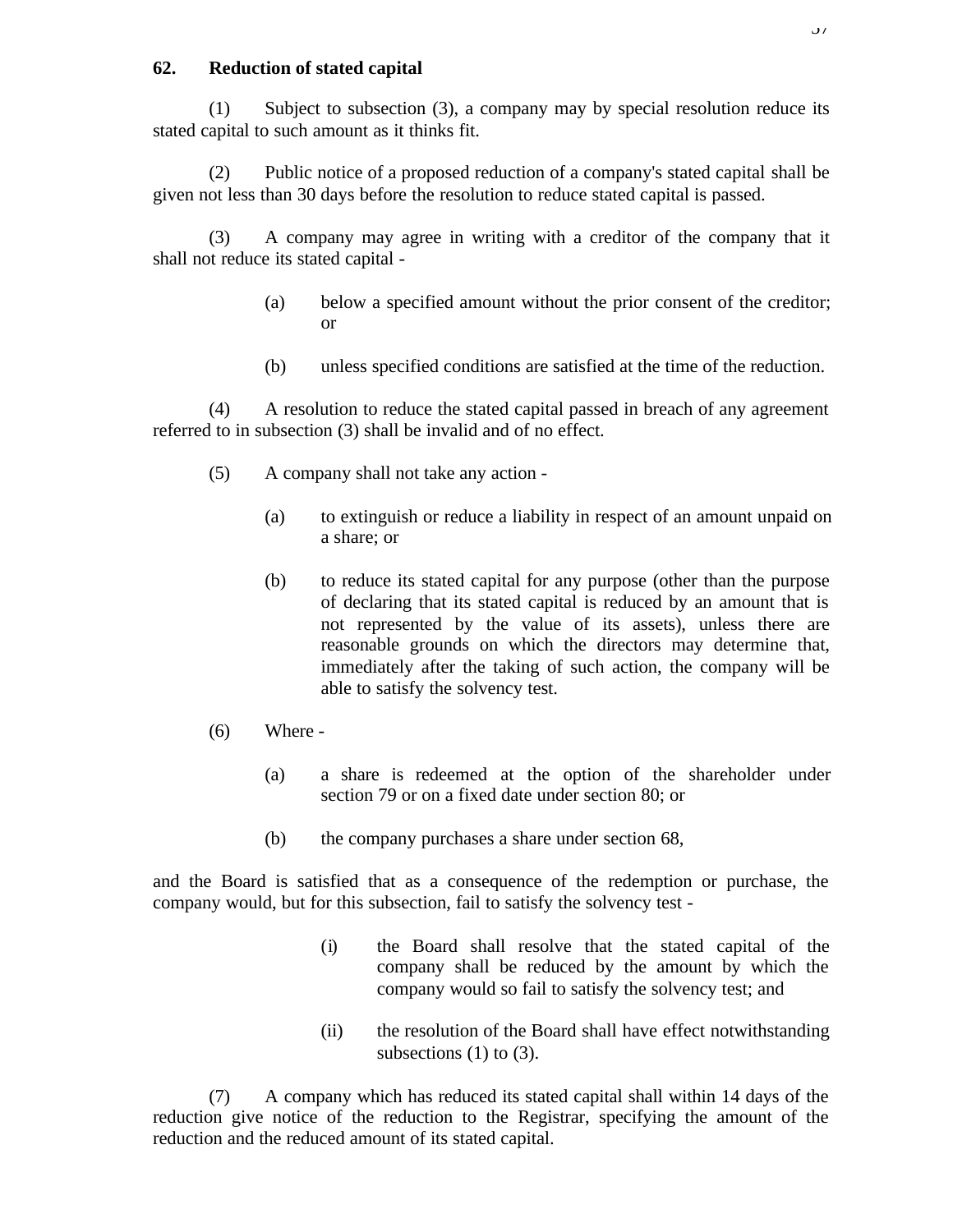## **62. Reduction of stated capital**

(1) Subject to subsection (3), a company may by special resolution reduce its stated capital to such amount as it thinks fit.

(2) Public notice of a proposed reduction of a company's stated capital shall be given not less than 30 days before the resolution to reduce stated capital is passed.

(3) A company may agree in writing with a creditor of the company that it shall not reduce its stated capital -

- (a) below a specified amount without the prior consent of the creditor; or
- (b) unless specified conditions are satisfied at the time of the reduction.

(4) A resolution to reduce the stated capital passed in breach of any agreement referred to in subsection (3) shall be invalid and of no effect.

- (5) A company shall not take any action
	- (a) to extinguish or reduce a liability in respect of an amount unpaid on a share; or
	- (b) to reduce its stated capital for any purpose (other than the purpose of declaring that its stated capital is reduced by an amount that is not represented by the value of its assets), unless there are reasonable grounds on which the directors may determine that, immediately after the taking of such action, the company will be able to satisfy the solvency test.
- (6) Where
	- (a) a share is redeemed at the option of the shareholder under section 79 or on a fixed date under section 80; or
	- (b) the company purchases a share under section 68,

and the Board is satisfied that as a consequence of the redemption or purchase, the company would, but for this subsection, fail to satisfy the solvency test -

- (i) the Board shall resolve that the stated capital of the company shall be reduced by the amount by which the company would so fail to satisfy the solvency test; and
- (ii) the resolution of the Board shall have effect notwithstanding subsections  $(1)$  to  $(3)$ .

(7) A company which has reduced its stated capital shall within 14 days of the reduction give notice of the reduction to the Registrar, specifying the amount of the reduction and the reduced amount of its stated capital.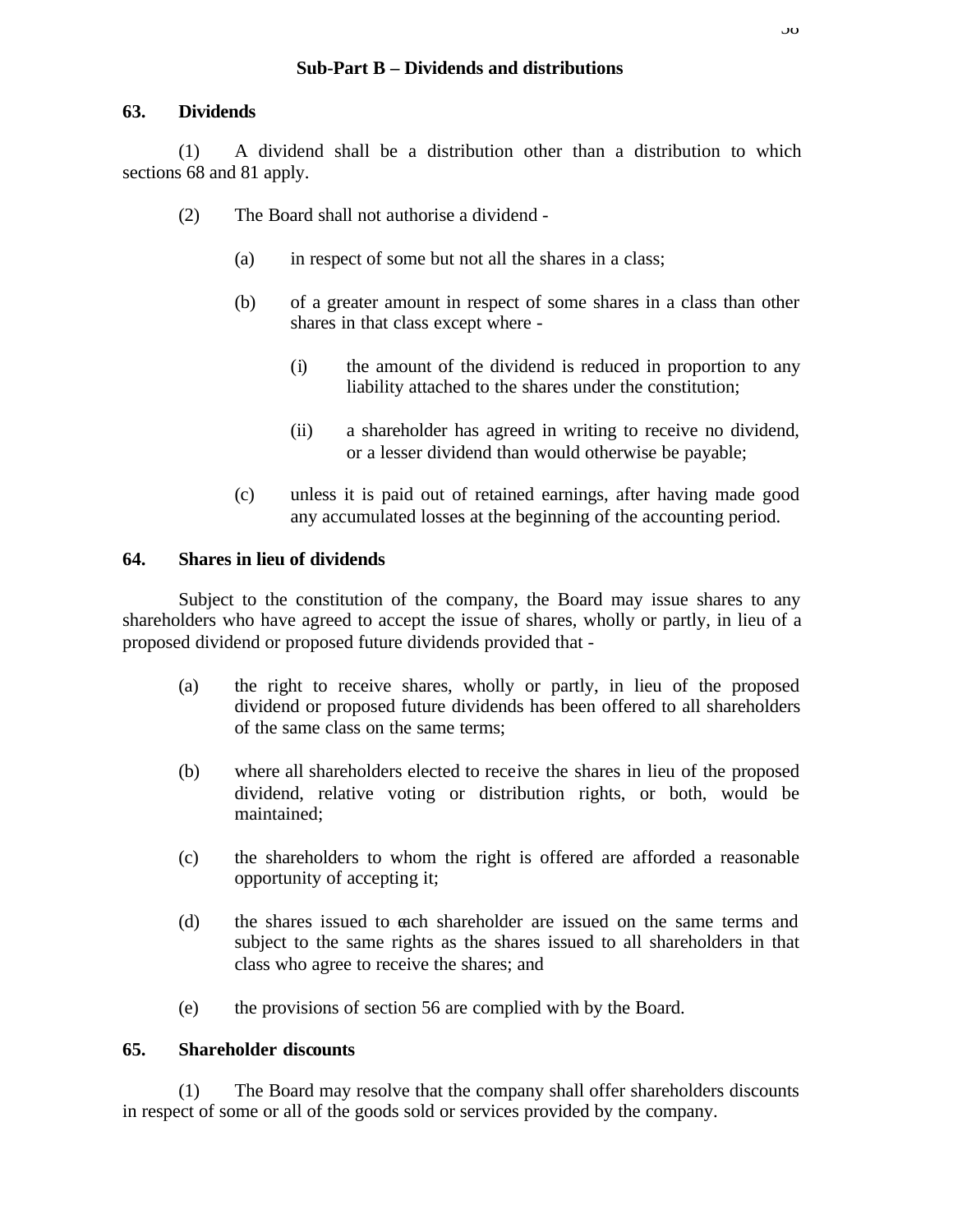### **Sub-Part B – Dividends and distributions**

### **63. Dividends**

(1) A dividend shall be a distribution other than a distribution to which sections 68 and 81 apply.

- (2) The Board shall not authorise a dividend
	- (a) in respect of some but not all the shares in a class;
	- (b) of a greater amount in respect of some shares in a class than other shares in that class except where -
		- (i) the amount of the dividend is reduced in proportion to any liability attached to the shares under the constitution;
		- (ii) a shareholder has agreed in writing to receive no dividend, or a lesser dividend than would otherwise be payable;
	- (c) unless it is paid out of retained earnings, after having made good any accumulated losses at the beginning of the accounting period.

### **64. Shares in lieu of dividends**

Subject to the constitution of the company, the Board may issue shares to any shareholders who have agreed to accept the issue of shares, wholly or partly, in lieu of a proposed dividend or proposed future dividends provided that -

- (a) the right to receive shares, wholly or partly, in lieu of the proposed dividend or proposed future dividends has been offered to all shareholders of the same class on the same terms;
- (b) where all shareholders elected to receive the shares in lieu of the proposed dividend, relative voting or distribution rights, or both, would be maintained;
- (c) the shareholders to whom the right is offered are afforded a reasonable opportunity of accepting it;
- (d) the shares issued to each shareholder are issued on the same terms and subject to the same rights as the shares issued to all shareholders in that class who agree to receive the shares; and
- (e) the provisions of section 56 are complied with by the Board.

## **65. Shareholder discounts**

(1) The Board may resolve that the company shall offer shareholders discounts in respect of some or all of the goods sold or services provided by the company.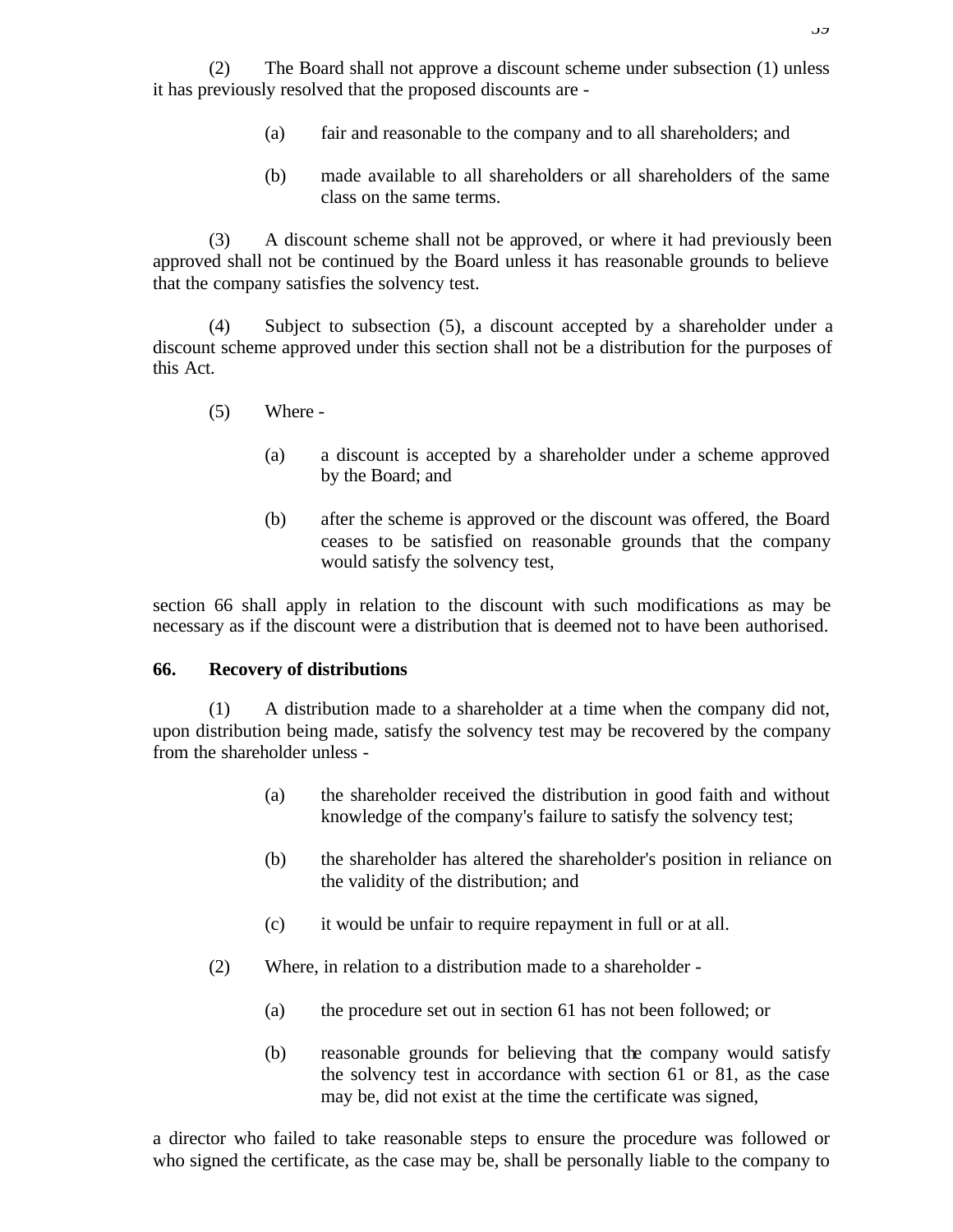(2) The Board shall not approve a discount scheme under subsection (1) unless it has previously resolved that the proposed discounts are -

- (a) fair and reasonable to the company and to all shareholders; and
- (b) made available to all shareholders or all shareholders of the same class on the same terms.

(3) A discount scheme shall not be approved, or where it had previously been approved shall not be continued by the Board unless it has reasonable grounds to believe that the company satisfies the solvency test.

(4) Subject to subsection (5), a discount accepted by a shareholder under a discount scheme approved under this section shall not be a distribution for the purposes of this Act.

- (5) Where
	- (a) a discount is accepted by a shareholder under a scheme approved by the Board; and
	- (b) after the scheme is approved or the discount was offered, the Board ceases to be satisfied on reasonable grounds that the company would satisfy the solvency test,

section 66 shall apply in relation to the discount with such modifications as may be necessary as if the discount were a distribution that is deemed not to have been authorised.

#### **66. Recovery of distributions**

(1) A distribution made to a shareholder at a time when the company did not, upon distribution being made, satisfy the solvency test may be recovered by the company from the shareholder unless -

- (a) the shareholder received the distribution in good faith and without knowledge of the company's failure to satisfy the solvency test;
- (b) the shareholder has altered the shareholder's position in reliance on the validity of the distribution; and
- (c) it would be unfair to require repayment in full or at all.
- (2) Where, in relation to a distribution made to a shareholder
	- (a) the procedure set out in section 61 has not been followed; or
	- (b) reasonable grounds for believing that the company would satisfy the solvency test in accordance with section 61 or 81, as the case may be, did not exist at the time the certificate was signed,

a director who failed to take reasonable steps to ensure the procedure was followed or who signed the certificate, as the case may be, shall be personally liable to the company to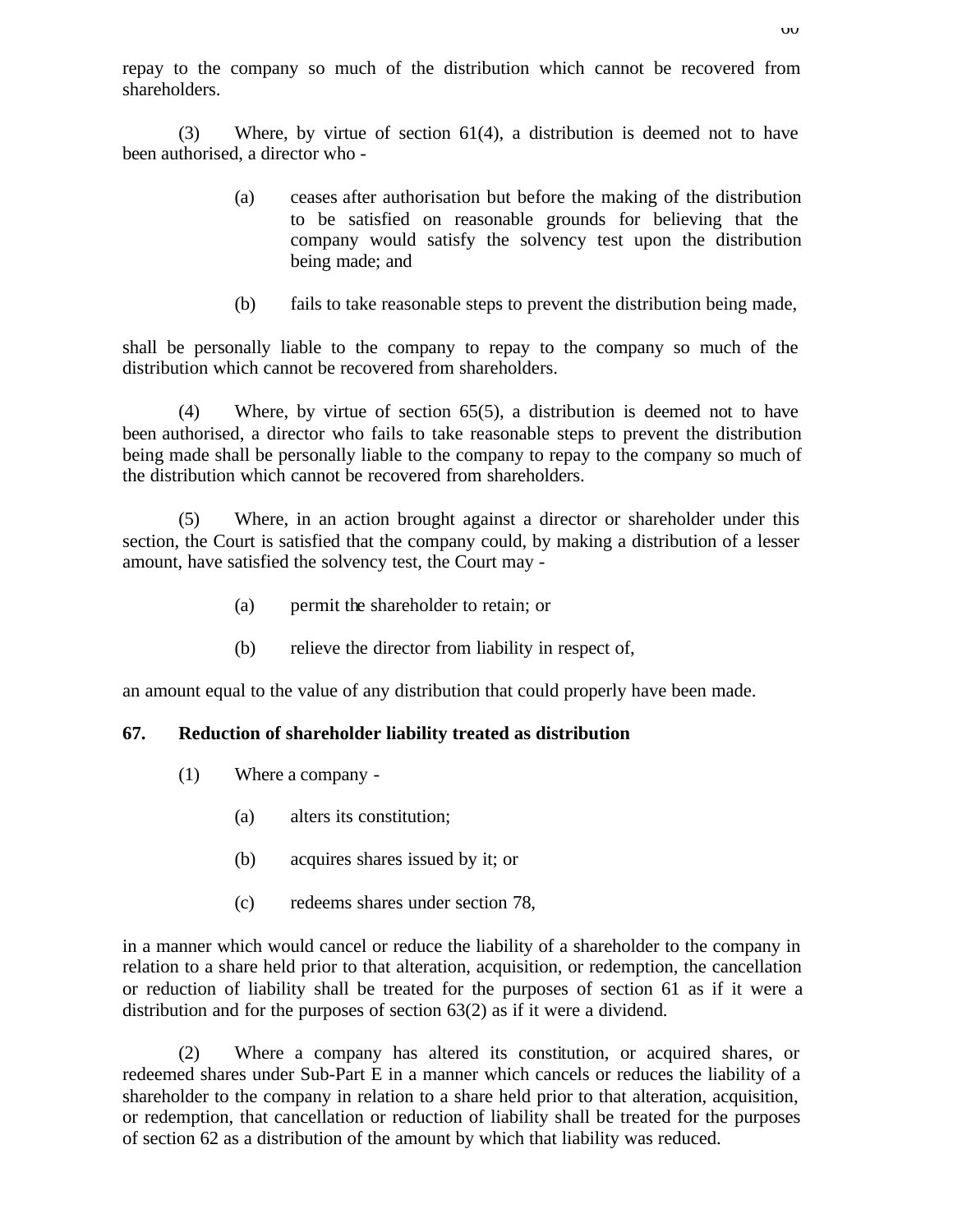repay to the company so much of the distribution which cannot be recovered from shareholders.

(3) Where, by virtue of section 61(4), a distribution is deemed not to have been authorised, a director who -

- (a) ceases after authorisation but before the making of the distribution to be satisfied on reasonable grounds for believing that the company would satisfy the solvency test upon the distribution being made; and
- (b) fails to take reasonable steps to prevent the distribution being made,

shall be personally liable to the company to repay to the company so much of the distribution which cannot be recovered from shareholders.

(4) Where, by virtue of section 65(5), a distribution is deemed not to have been authorised, a director who fails to take reasonable steps to prevent the distribution being made shall be personally liable to the company to repay to the company so much of the distribution which cannot be recovered from shareholders.

(5) Where, in an action brought against a director or shareholder under this section, the Court is satisfied that the company could, by making a distribution of a lesser amount, have satisfied the solvency test, the Court may -

- (a) permit the shareholder to retain; or
- (b) relieve the director from liability in respect of,

an amount equal to the value of any distribution that could properly have been made.

#### **67. Reduction of shareholder liability treated as distribution**

- (1) Where a company
	- (a) alters its constitution;
	- (b) acquires shares issued by it; or
	- (c) redeems shares under section 78,

in a manner which would cancel or reduce the liability of a shareholder to the company in relation to a share held prior to that alteration, acquisition, or redemption, the cancellation or reduction of liability shall be treated for the purposes of section 61 as if it were a distribution and for the purposes of section 63(2) as if it were a dividend.

(2) Where a company has altered its constitution, or acquired shares, or redeemed shares under Sub-Part E in a manner which cancels or reduces the liability of a shareholder to the company in relation to a share held prior to that alteration, acquisition, or redemption, that cancellation or reduction of liability shall be treated for the purposes of section 62 as a distribution of the amount by which that liability was reduced.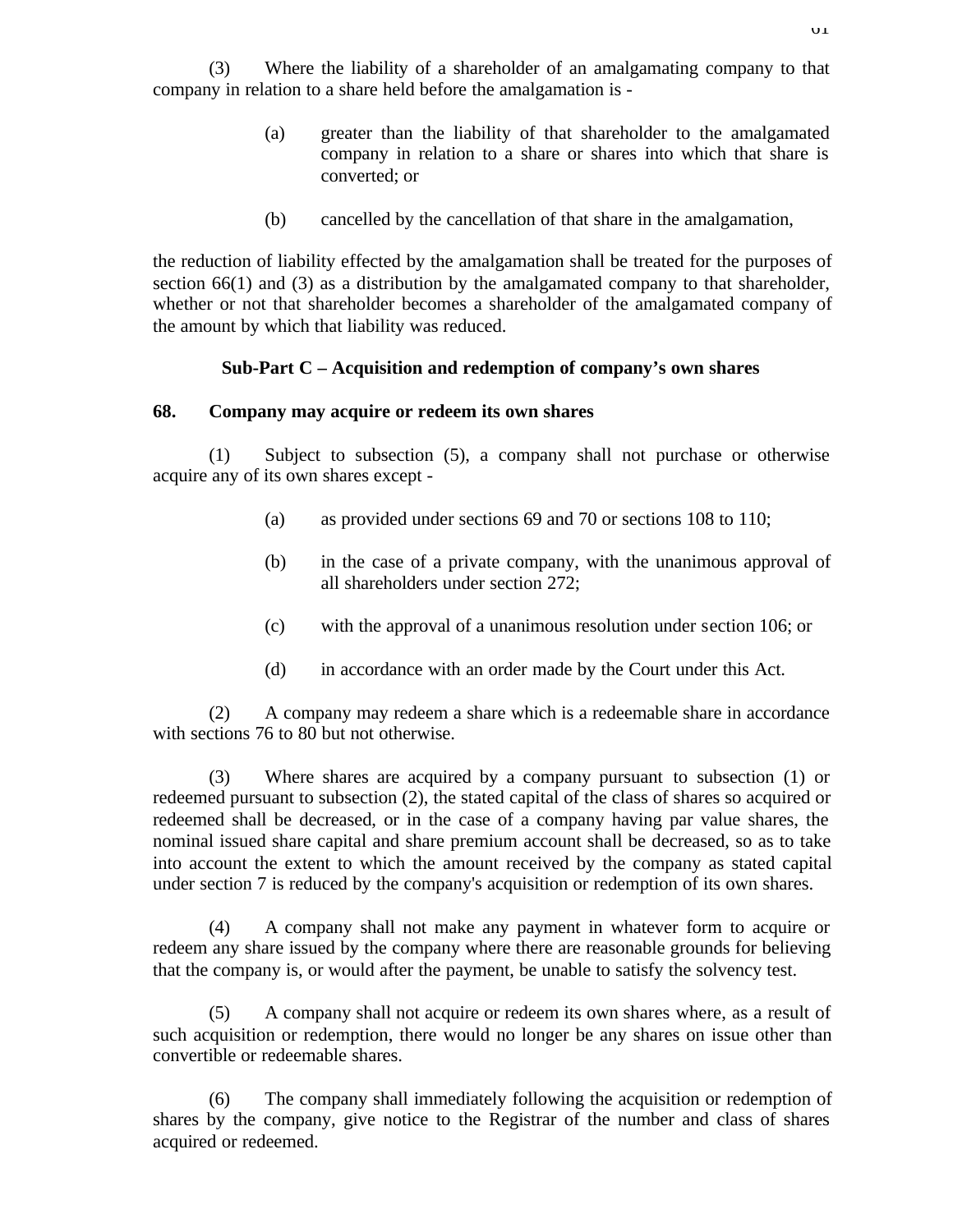(3) Where the liability of a shareholder of an amalgamating company to that company in relation to a share held before the amalgamation is -

- (a) greater than the liability of that shareholder to the amalgamated company in relation to a share or shares into which that share is converted; or
- (b) cancelled by the cancellation of that share in the amalgamation,

the reduction of liability effected by the amalgamation shall be treated for the purposes of section 66(1) and (3) as a distribution by the amalgamated company to that shareholder, whether or not that shareholder becomes a shareholder of the amalgamated company of the amount by which that liability was reduced.

### **Sub-Part C – Acquisition and redemption of company's own shares**

#### **68. Company may acquire or redeem its own shares**

(1) Subject to subsection (5), a company shall not purchase or otherwise acquire any of its own shares except -

- (a) as provided under sections 69 and 70 or sections 108 to 110;
- (b) in the case of a private company, with the unanimous approval of all shareholders under section 272;
- (c) with the approval of a unanimous resolution under section 106; or
- (d) in accordance with an order made by the Court under this Act.

(2) A company may redeem a share which is a redeemable share in accordance with sections 76 to 80 but not otherwise.

(3) Where shares are acquired by a company pursuant to subsection (1) or redeemed pursuant to subsection (2), the stated capital of the class of shares so acquired or redeemed shall be decreased, or in the case of a company having par value shares, the nominal issued share capital and share premium account shall be decreased, so as to take into account the extent to which the amount received by the company as stated capital under section 7 is reduced by the company's acquisition or redemption of its own shares.

(4) A company shall not make any payment in whatever form to acquire or redeem any share issued by the company where there are reasonable grounds for believing that the company is, or would after the payment, be unable to satisfy the solvency test.

(5) A company shall not acquire or redeem its own shares where, as a result of such acquisition or redemption, there would no longer be any shares on issue other than convertible or redeemable shares.

(6) The company shall immediately following the acquisition or redemption of shares by the company, give notice to the Registrar of the number and class of shares acquired or redeemed.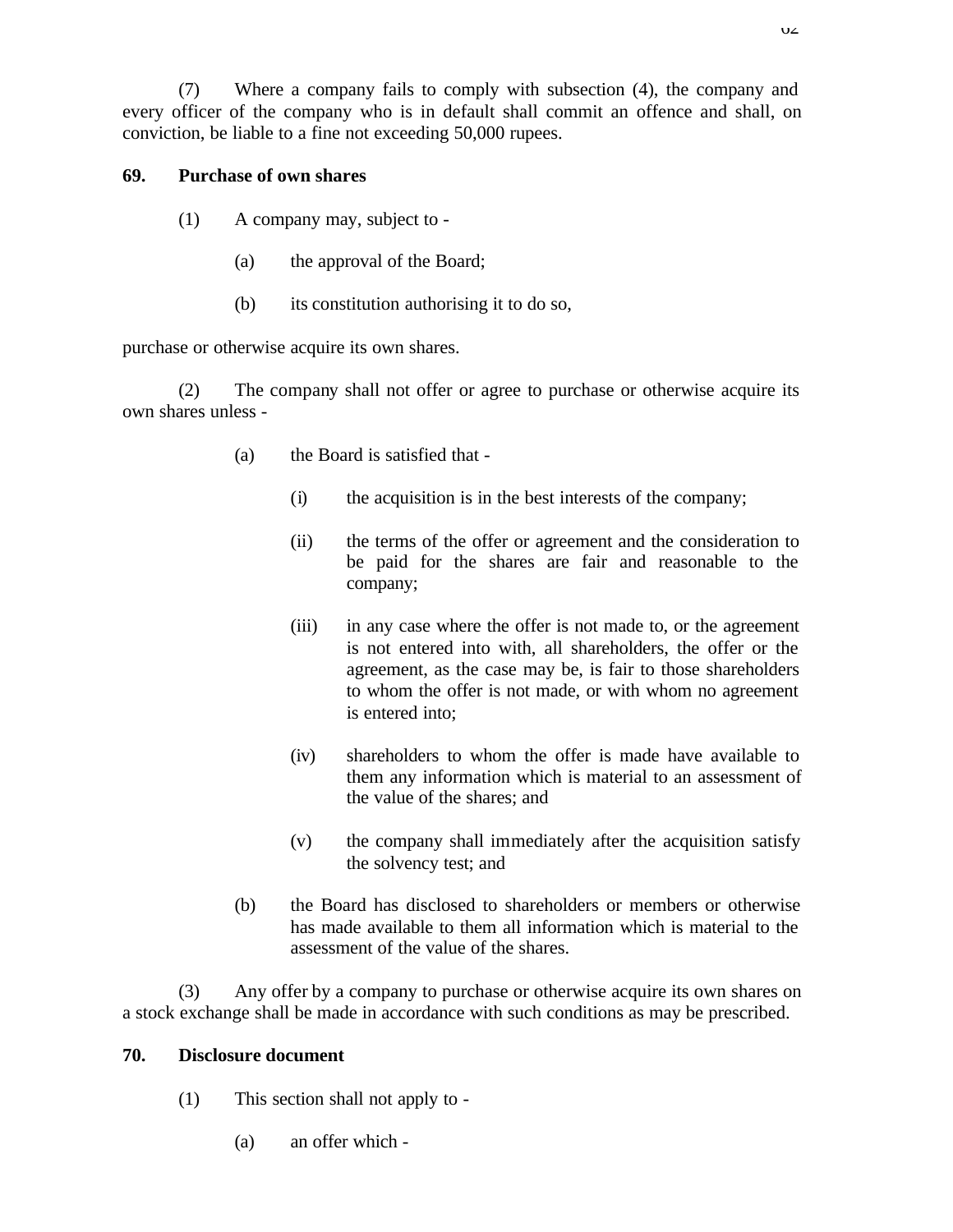(7) Where a company fails to comply with subsection (4), the company and every officer of the company who is in default shall commit an offence and shall, on conviction, be liable to a fine not exceeding 50,000 rupees.

# **69. Purchase of own shares**

- (1) A company may, subject to
	- (a) the approval of the Board;
	- (b) its constitution authorising it to do so,

purchase or otherwise acquire its own shares.

(2) The company shall not offer or agree to purchase or otherwise acquire its own shares unless -

- (a) the Board is satisfied that
	- (i) the acquisition is in the best interests of the company;
	- (ii) the terms of the offer or agreement and the consideration to be paid for the shares are fair and reasonable to the company;
	- (iii) in any case where the offer is not made to, or the agreement is not entered into with, all shareholders, the offer or the agreement, as the case may be, is fair to those shareholders to whom the offer is not made, or with whom no agreement is entered into;
	- (iv) shareholders to whom the offer is made have available to them any information which is material to an assessment of the value of the shares; and
	- (v) the company shall immediately after the acquisition satisfy the solvency test; and
- (b) the Board has disclosed to shareholders or members or otherwise has made available to them all information which is material to the assessment of the value of the shares.

(3) Any offer by a company to purchase or otherwise acquire its own shares on a stock exchange shall be made in accordance with such conditions as may be prescribed.

# **70. Disclosure document**

- (1) This section shall not apply to
	- (a) an offer which -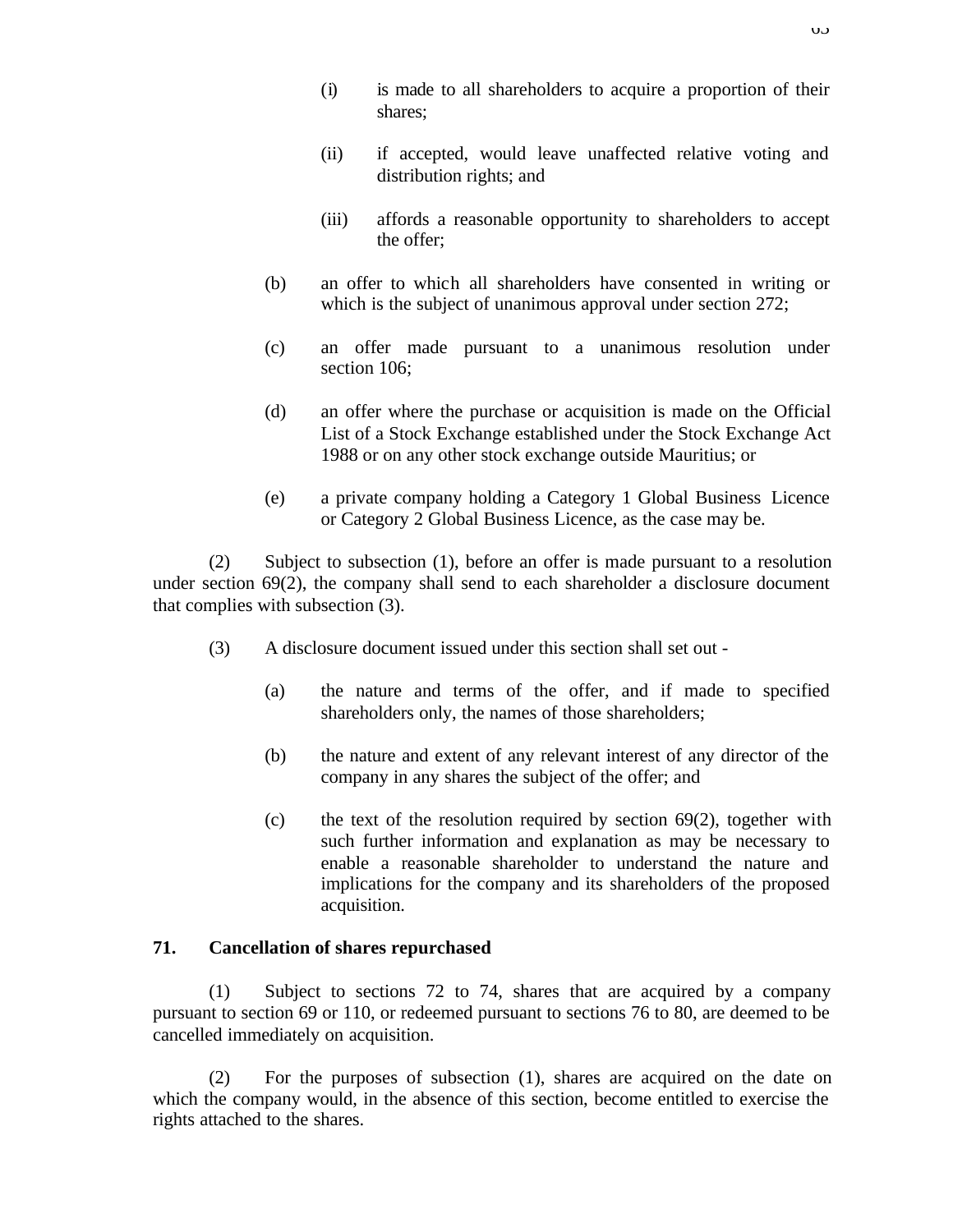- (i) is made to all shareholders to acquire a proportion of their shares;
- (ii) if accepted, would leave unaffected relative voting and distribution rights; and
- (iii) affords a reasonable opportunity to shareholders to accept the offer;
- (b) an offer to which all shareholders have consented in writing or which is the subject of unanimous approval under section 272;
- (c) an offer made pursuant to a unanimous resolution under section 106;
- (d) an offer where the purchase or acquisition is made on the Official List of a Stock Exchange established under the Stock Exchange Act 1988 or on any other stock exchange outside Mauritius; or
- (e) a private company holding a Category 1 Global Business Licence or Category 2 Global Business Licence, as the case may be.

(2) Subject to subsection (1), before an offer is made pursuant to a resolution under section  $69(2)$ , the company shall send to each shareholder a disclosure document that complies with subsection (3).

- (3) A disclosure document issued under this section shall set out
	- (a) the nature and terms of the offer, and if made to specified shareholders only, the names of those shareholders;
	- (b) the nature and extent of any relevant interest of any director of the company in any shares the subject of the offer; and
	- (c) the text of the resolution required by section  $69(2)$ , together with such further information and explanation as may be necessary to enable a reasonable shareholder to understand the nature and implications for the company and its shareholders of the proposed acquisition.

#### **71. Cancellation of shares repurchased**

(1) Subject to sections 72 to 74, shares that are acquired by a company pursuant to section 69 or 110, or redeemed pursuant to sections 76 to 80, are deemed to be cancelled immediately on acquisition.

(2) For the purposes of subsection (1), shares are acquired on the date on which the company would, in the absence of this section, become entitled to exercise the rights attached to the shares.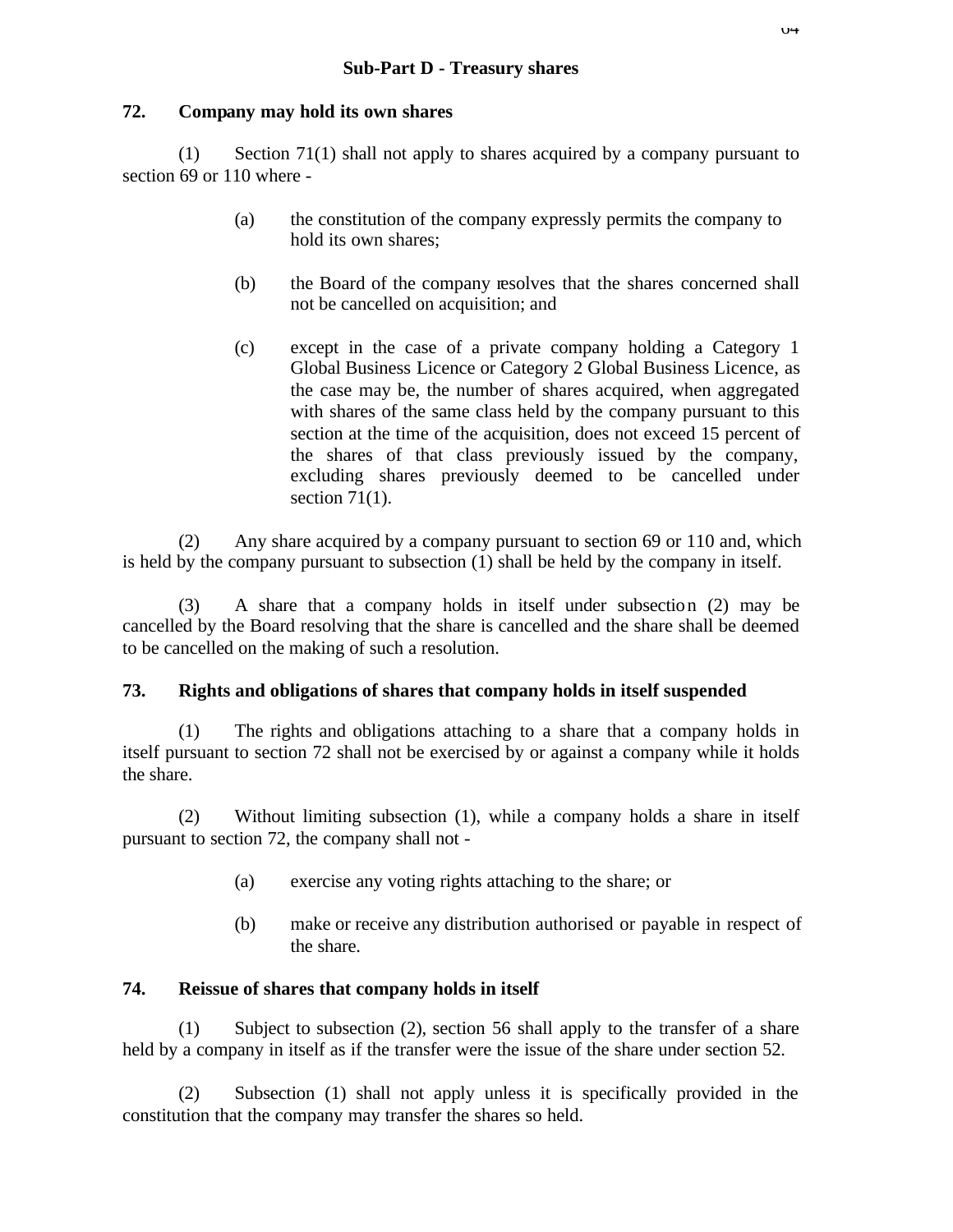# **72. Company may hold its own shares**

(1) Section 71(1) shall not apply to shares acquired by a company pursuant to section 69 or 110 where -

- (a) the constitution of the company expressly permits the company to hold its own shares;
- (b) the Board of the company resolves that the shares concerned shall not be cancelled on acquisition; and
- (c) except in the case of a private company holding a Category 1 Global Business Licence or Category 2 Global Business Licence, as the case may be, the number of shares acquired, when aggregated with shares of the same class held by the company pursuant to this section at the time of the acquisition, does not exceed 15 percent of the shares of that class previously issued by the company, excluding shares previously deemed to be cancelled under section  $71(1)$ .

(2) Any share acquired by a company pursuant to section 69 or 110 and, which is held by the company pursuant to subsection (1) shall be held by the company in itself.

(3) A share that a company holds in itself under subsection (2) may be cancelled by the Board resolving that the share is cancelled and the share shall be deemed to be cancelled on the making of such a resolution.

# **73. Rights and obligations of shares that company holds in itself suspended**

(1) The rights and obligations attaching to a share that a company holds in itself pursuant to section 72 shall not be exercised by or against a company while it holds the share.

(2) Without limiting subsection (1), while a company holds a share in itself pursuant to section 72, the company shall not -

- (a) exercise any voting rights attaching to the share; or
- (b) make or receive any distribution authorised or payable in respect of the share.

# **74. Reissue of shares that company holds in itself**

(1) Subject to subsection (2), section 56 shall apply to the transfer of a share held by a company in itself as if the transfer were the issue of the share under section 52.

(2) Subsection (1) shall not apply unless it is specifically provided in the constitution that the company may transfer the shares so held.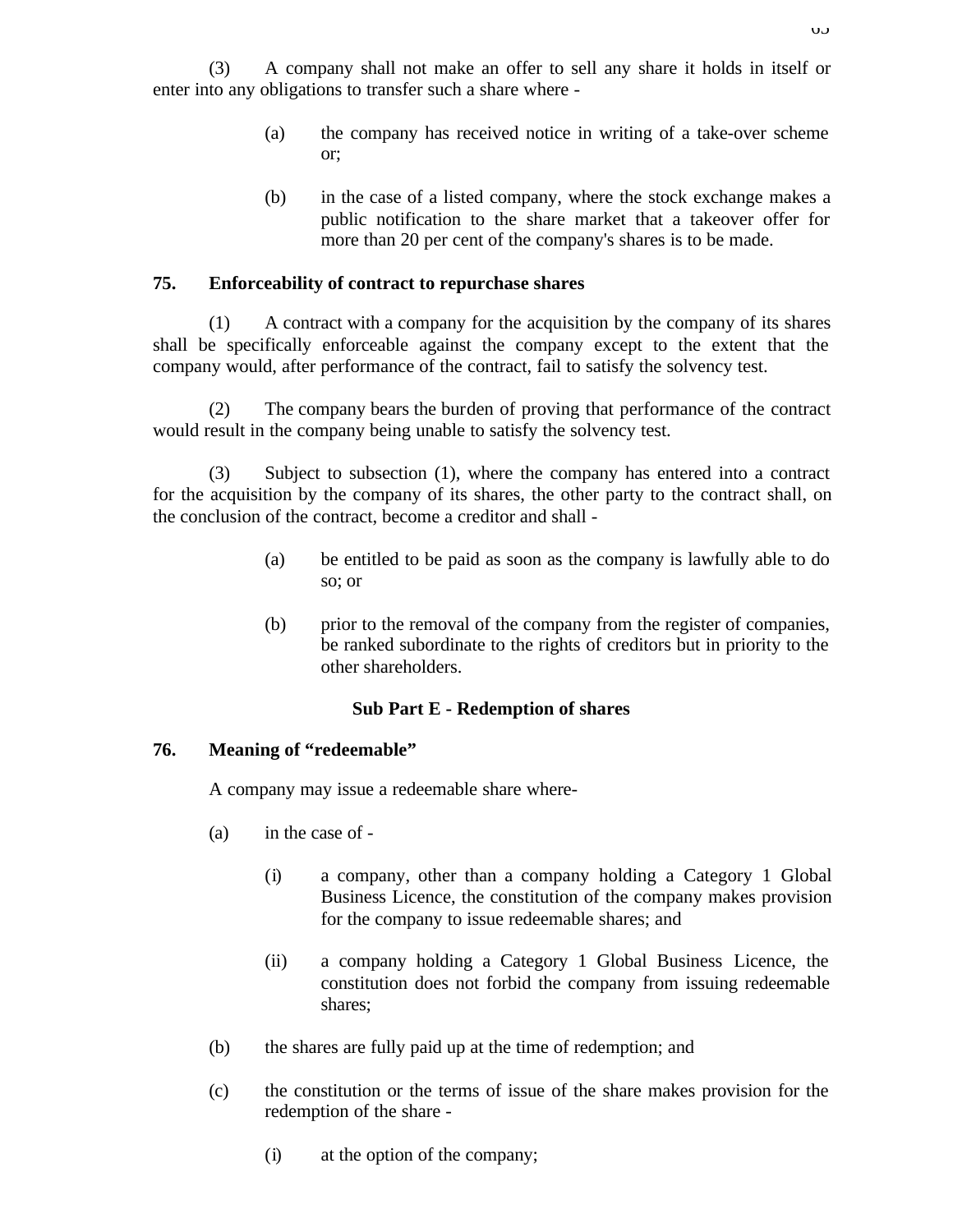- (a) the company has received notice in writing of a take-over scheme or;
- (b) in the case of a listed company, where the stock exchange makes a public notification to the share market that a takeover offer for more than 20 per cent of the company's shares is to be made.

# **75. Enforceability of contract to repurchase shares**

(1) A contract with a company for the acquisition by the company of its shares shall be specifically enforceable against the company except to the extent that the company would, after performance of the contract, fail to satisfy the solvency test.

(2) The company bears the burden of proving that performance of the contract would result in the company being unable to satisfy the solvency test.

(3) Subject to subsection (1), where the company has entered into a contract for the acquisition by the company of its shares, the other party to the contract shall, on the conclusion of the contract, become a creditor and shall -

- (a) be entitled to be paid as soon as the company is lawfully able to do so; or
- (b) prior to the removal of the company from the register of companies, be ranked subordinate to the rights of creditors but in priority to the other shareholders.

## **Sub Part E - Redemption of shares**

## **76. Meaning of "redeemable"**

A company may issue a redeemable share where-

- (a) in the case of
	- (i) a company, other than a company holding a Category 1 Global Business Licence, the constitution of the company makes provision for the company to issue redeemable shares; and
	- (ii) a company holding a Category 1 Global Business Licence, the constitution does not forbid the company from issuing redeemable shares;
- (b) the shares are fully paid up at the time of redemption; and
- (c) the constitution or the terms of issue of the share makes provision for the redemption of the share -
	- (i) at the option of the company;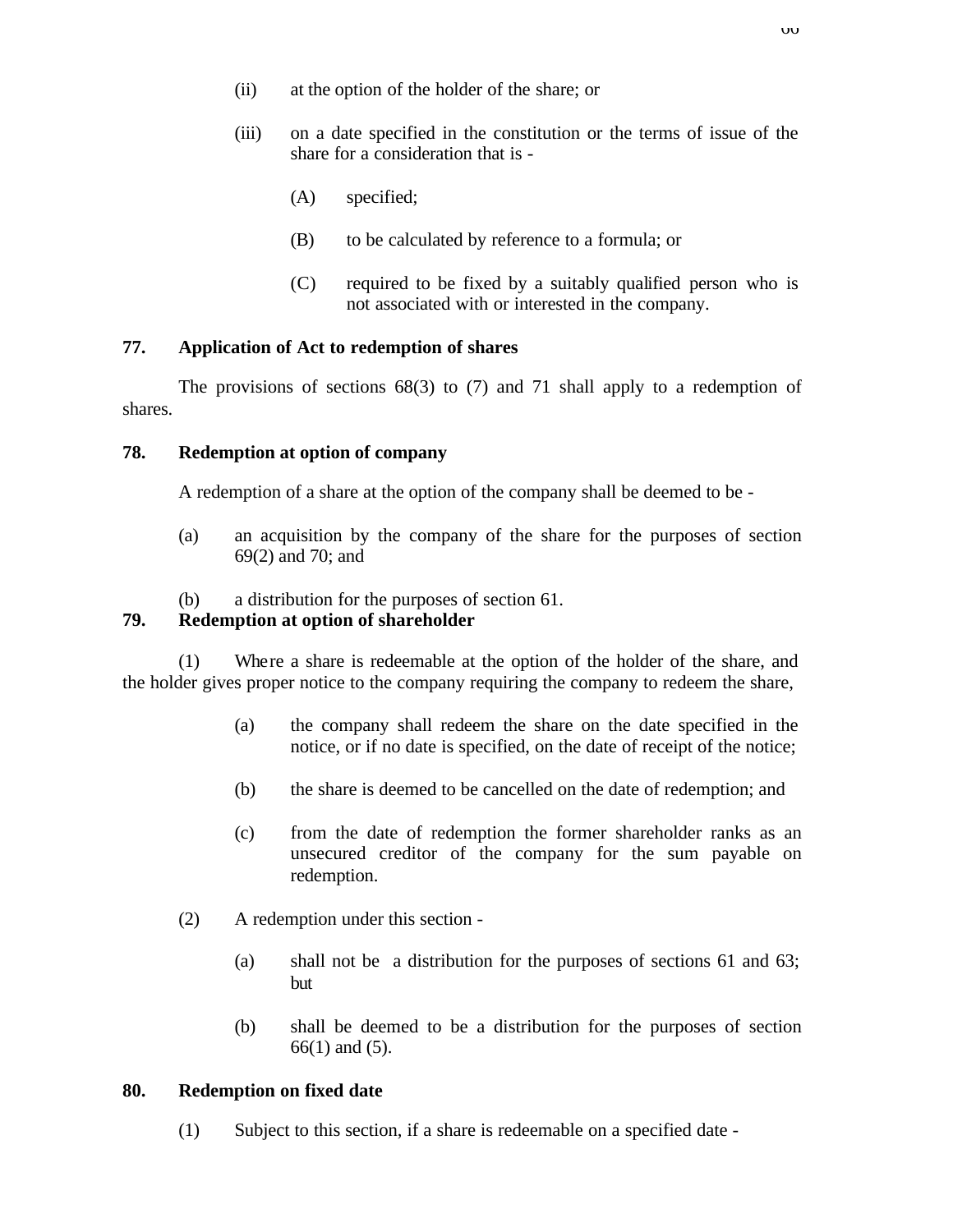- (ii) at the option of the holder of the share; or
- (iii) on a date specified in the constitution or the terms of issue of the share for a consideration that is -
	- (A) specified;
	- (B) to be calculated by reference to a formula; or
	- (C) required to be fixed by a suitably qualified person who is not associated with or interested in the company.

# **77. Application of Act to redemption of shares**

The provisions of sections 68(3) to (7) and 71 shall apply to a redemption of shares.

# **78. Redemption at option of company**

A redemption of a share at the option of the company shall be deemed to be -

- (a) an acquisition by the company of the share for the purposes of section 69(2) and 70; and
- (b) a distribution for the purposes of section 61.

# **79. Redemption at option of shareholder**

(1) Where a share is redeemable at the option of the holder of the share, and the holder gives proper notice to the company requiring the company to redeem the share,

- (a) the company shall redeem the share on the date specified in the notice, or if no date is specified, on the date of receipt of the notice;
- (b) the share is deemed to be cancelled on the date of redemption; and
- (c) from the date of redemption the former shareholder ranks as an unsecured creditor of the company for the sum payable on redemption.
- (2) A redemption under this section
	- (a) shall not be a distribution for the purposes of sections 61 and 63; but
	- (b) shall be deemed to be a distribution for the purposes of section 66(1) and (5).

## **80. Redemption on fixed date**

(1) Subject to this section, if a share is redeemable on a specified date -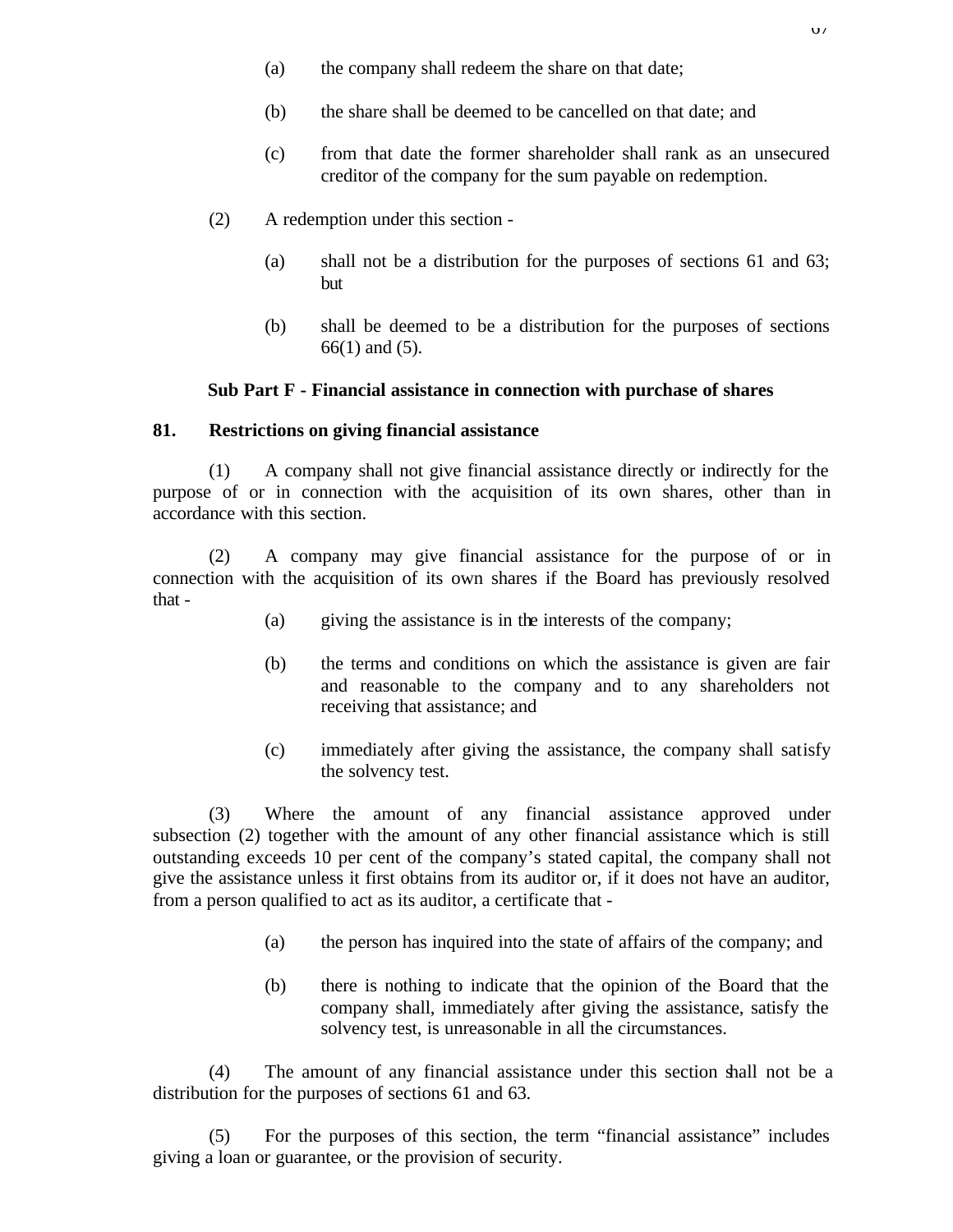- (a) the company shall redeem the share on that date;
- (b) the share shall be deemed to be cancelled on that date; and
- (c) from that date the former shareholder shall rank as an unsecured creditor of the company for the sum payable on redemption.
- (2) A redemption under this section
	- (a) shall not be a distribution for the purposes of sections 61 and 63; but
	- (b) shall be deemed to be a distribution for the purposes of sections 66(1) and (5).

## **Sub Part F - Financial assistance in connection with purchase of shares**

## **81. Restrictions on giving financial assistance**

(1) A company shall not give financial assistance directly or indirectly for the purpose of or in connection with the acquisition of its own shares, other than in accordance with this section.

(2) A company may give financial assistance for the purpose of or in connection with the acquisition of its own shares if the Board has previously resolved that -

- (a) giving the assistance is in the interests of the company;
- (b) the terms and conditions on which the assistance is given are fair and reasonable to the company and to any shareholders not receiving that assistance; and
- (c) immediately after giving the assistance, the company shall satisfy the solvency test.

(3) Where the amount of any financial assistance approved under subsection (2) together with the amount of any other financial assistance which is still outstanding exceeds 10 per cent of the company's stated capital, the company shall not give the assistance unless it first obtains from its auditor or, if it does not have an auditor, from a person qualified to act as its auditor, a certificate that -

- (a) the person has inquired into the state of affairs of the company; and
- (b) there is nothing to indicate that the opinion of the Board that the company shall, immediately after giving the assistance, satisfy the solvency test, is unreasonable in all the circumstances.

(4) The amount of any financial assistance under this section shall not be a distribution for the purposes of sections 61 and 63.

(5) For the purposes of this section, the term "financial assistance" includes giving a loan or guarantee, or the provision of security.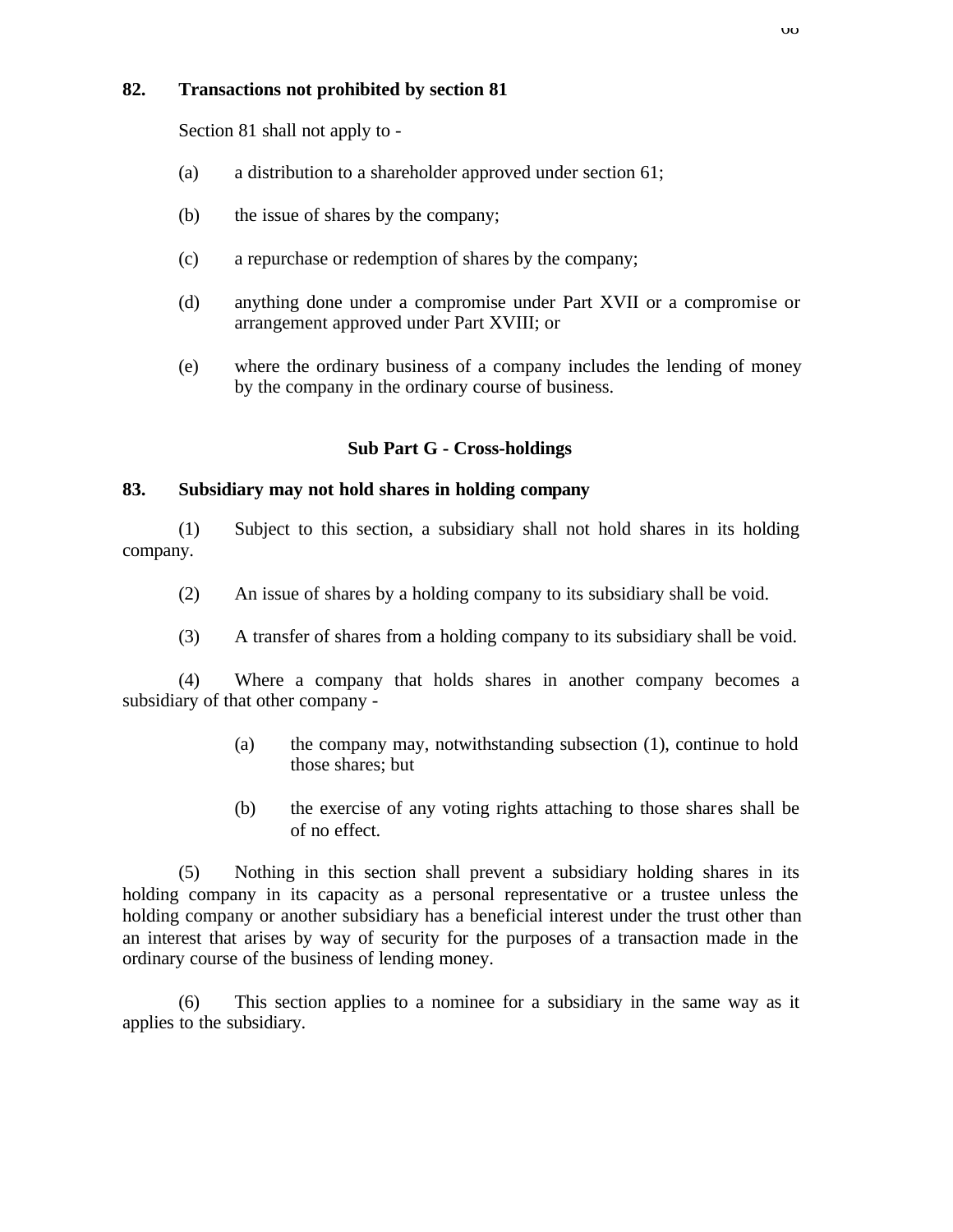## **82. Transactions not prohibited by section 81**

Section 81 shall not apply to -

- (a) a distribution to a shareholder approved under section 61;
- (b) the issue of shares by the company;
- (c) a repurchase or redemption of shares by the company;
- (d) anything done under a compromise under Part XVII or a compromise or arrangement approved under Part XVIII; or
- (e) where the ordinary business of a company includes the lending of money by the company in the ordinary course of business.

### **Sub Part G - Cross-holdings**

### **83. Subsidiary may not hold shares in holding company**

(1) Subject to this section, a subsidiary shall not hold shares in its holding company.

- (2) An issue of shares by a holding company to its subsidiary shall be void.
- (3) A transfer of shares from a holding company to its subsidiary shall be void.

(4) Where a company that holds shares in another company becomes a subsidiary of that other company -

- (a) the company may, notwithstanding subsection (1), continue to hold those shares; but
- (b) the exercise of any voting rights attaching to those shares shall be of no effect.

(5) Nothing in this section shall prevent a subsidiary holding shares in its holding company in its capacity as a personal representative or a trustee unless the holding company or another subsidiary has a beneficial interest under the trust other than an interest that arises by way of security for the purposes of a transaction made in the ordinary course of the business of lending money.

(6) This section applies to a nominee for a subsidiary in the same way as it applies to the subsidiary.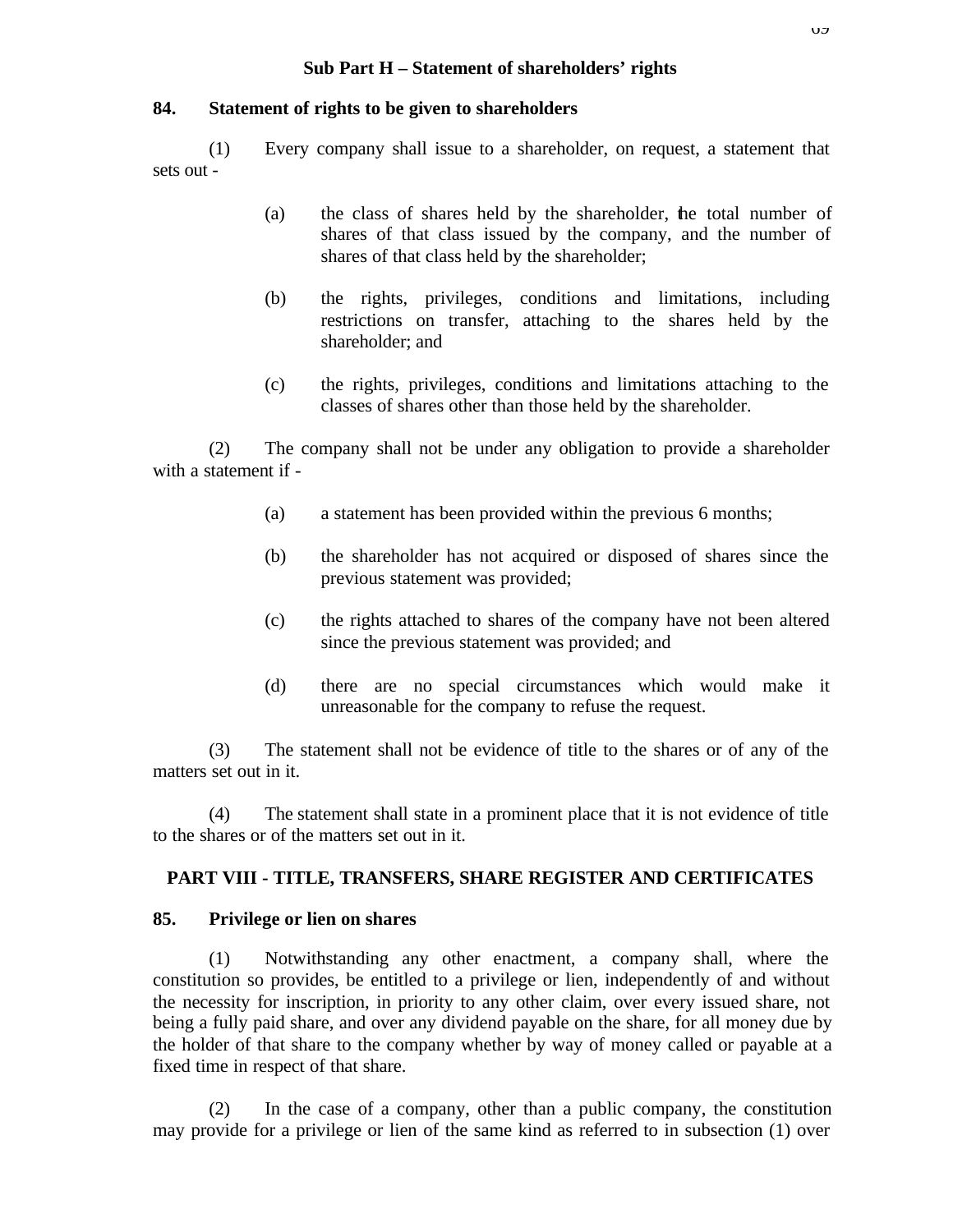## **84. Statement of rights to be given to shareholders**

(1) Every company shall issue to a shareholder, on request, a statement that sets out -

- (a) the class of shares held by the shareholder, the total number of shares of that class issued by the company, and the number of shares of that class held by the shareholder;
- (b) the rights, privileges, conditions and limitations, including restrictions on transfer, attaching to the shares held by the shareholder; and
- (c) the rights, privileges, conditions and limitations attaching to the classes of shares other than those held by the shareholder.

(2) The company shall not be under any obligation to provide a shareholder with a statement if -

- (a) a statement has been provided within the previous 6 months;
- (b) the shareholder has not acquired or disposed of shares since the previous statement was provided;
- (c) the rights attached to shares of the company have not been altered since the previous statement was provided; and
- (d) there are no special circumstances which would make it unreasonable for the company to refuse the request.

(3) The statement shall not be evidence of title to the shares or of any of the matters set out in it.

(4) The statement shall state in a prominent place that it is not evidence of title to the shares or of the matters set out in it.

# **PART VIII - TITLE, TRANSFERS, SHARE REGISTER AND CERTIFICATES**

## **85. Privilege or lien on shares**

(1) Notwithstanding any other enactment, a company shall, where the constitution so provides, be entitled to a privilege or lien, independently of and without the necessity for inscription, in priority to any other claim, over every issued share, not being a fully paid share, and over any dividend payable on the share, for all money due by the holder of that share to the company whether by way of money called or payable at a fixed time in respect of that share.

(2) In the case of a company, other than a public company, the constitution may provide for a privilege or lien of the same kind as referred to in subsection (1) over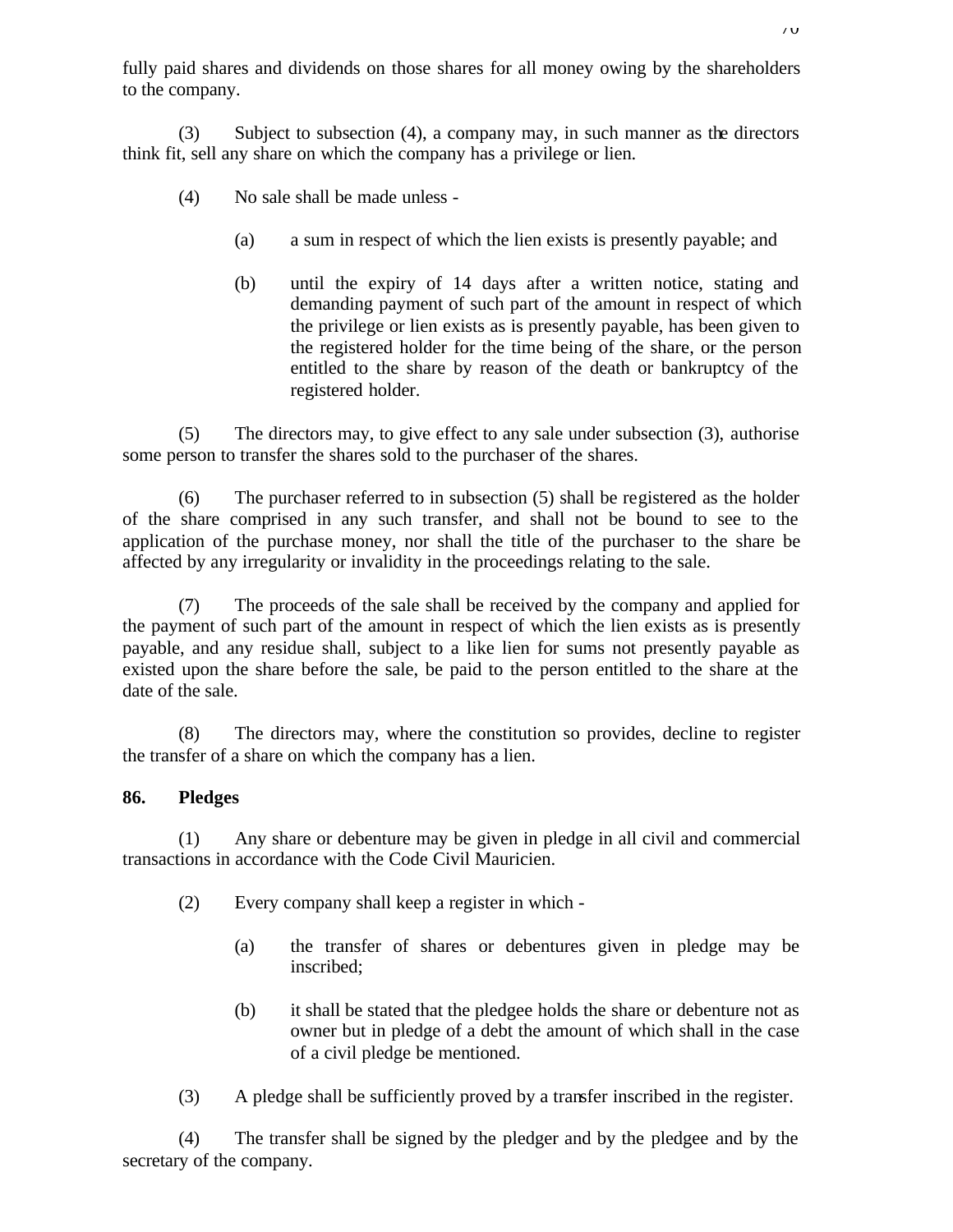fully paid shares and dividends on those shares for all money owing by the shareholders to the company.

(3) Subject to subsection (4), a company may, in such manner as the directors think fit, sell any share on which the company has a privilege or lien.

- (4) No sale shall be made unless
	- (a) a sum in respect of which the lien exists is presently payable; and
	- (b) until the expiry of 14 days after a written notice, stating and demanding payment of such part of the amount in respect of which the privilege or lien exists as is presently payable, has been given to the registered holder for the time being of the share, or the person entitled to the share by reason of the death or bankruptcy of the registered holder.

(5) The directors may, to give effect to any sale under subsection (3), authorise some person to transfer the shares sold to the purchaser of the shares.

(6) The purchaser referred to in subsection (5) shall be registered as the holder of the share comprised in any such transfer, and shall not be bound to see to the application of the purchase money, nor shall the title of the purchaser to the share be affected by any irregularity or invalidity in the proceedings relating to the sale.

(7) The proceeds of the sale shall be received by the company and applied for the payment of such part of the amount in respect of which the lien exists as is presently payable, and any residue shall, subject to a like lien for sums not presently payable as existed upon the share before the sale, be paid to the person entitled to the share at the date of the sale.

(8) The directors may, where the constitution so provides, decline to register the transfer of a share on which the company has a lien.

# **86. Pledges**

(1) Any share or debenture may be given in pledge in all civil and commercial transactions in accordance with the Code Civil Mauricien.

- (2) Every company shall keep a register in which
	- (a) the transfer of shares or debentures given in pledge may be inscribed;
	- (b) it shall be stated that the pledgee holds the share or debenture not as owner but in pledge of a debt the amount of which shall in the case of a civil pledge be mentioned.
- (3) A pledge shall be sufficiently proved by a transfer inscribed in the register.

(4) The transfer shall be signed by the pledger and by the pledgee and by the secretary of the company.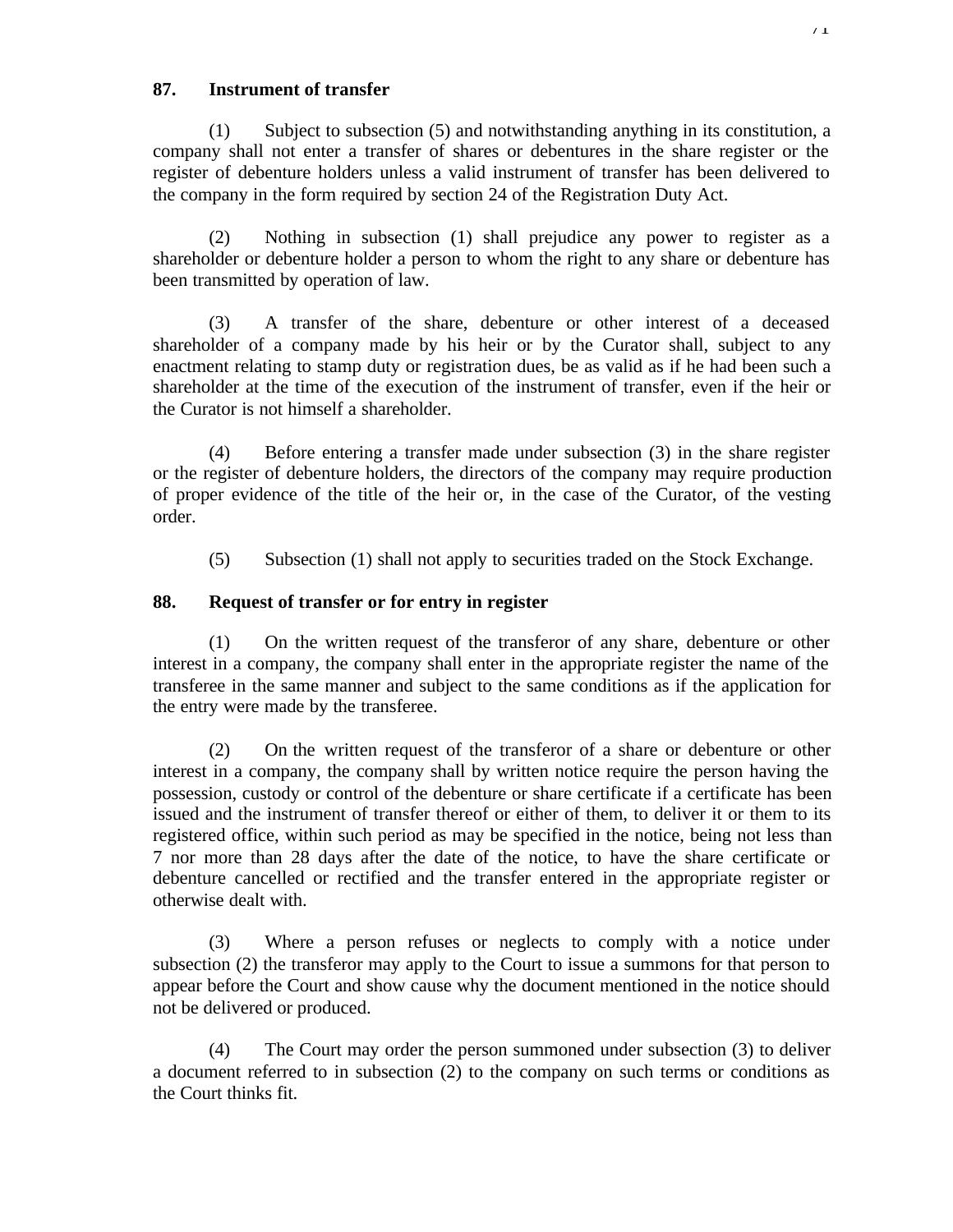## **87. Instrument of transfer**

(1) Subject to subsection (5) and notwithstanding anything in its constitution, a company shall not enter a transfer of shares or debentures in the share register or the register of debenture holders unless a valid instrument of transfer has been delivered to the company in the form required by section 24 of the Registration Duty Act.

(2) Nothing in subsection (1) shall prejudice any power to register as a shareholder or debenture holder a person to whom the right to any share or debenture has been transmitted by operation of law.

(3) A transfer of the share, debenture or other interest of a deceased shareholder of a company made by his heir or by the Curator shall, subject to any enactment relating to stamp duty or registration dues, be as valid as if he had been such a shareholder at the time of the execution of the instrument of transfer, even if the heir or the Curator is not himself a shareholder.

(4) Before entering a transfer made under subsection (3) in the share register or the register of debenture holders, the directors of the company may require production of proper evidence of the title of the heir or, in the case of the Curator, of the vesting order.

(5) Subsection (1) shall not apply to securities traded on the Stock Exchange.

# **88. Request of transfer or for entry in register**

(1) On the written request of the transferor of any share, debenture or other interest in a company, the company shall enter in the appropriate register the name of the transferee in the same manner and subject to the same conditions as if the application for the entry were made by the transferee.

(2) On the written request of the transferor of a share or debenture or other interest in a company, the company shall by written notice require the person having the possession, custody or control of the debenture or share certificate if a certificate has been issued and the instrument of transfer thereof or either of them, to deliver it or them to its registered office, within such period as may be specified in the notice, being not less than 7 nor more than 28 days after the date of the notice, to have the share certificate or debenture cancelled or rectified and the transfer entered in the appropriate register or otherwise dealt with.

(3) Where a person refuses or neglects to comply with a notice under subsection (2) the transferor may apply to the Court to issue a summons for that person to appear before the Court and show cause why the document mentioned in the notice should not be delivered or produced.

(4) The Court may order the person summoned under subsection (3) to deliver a document referred to in subsection (2) to the company on such terms or conditions as the Court thinks fit.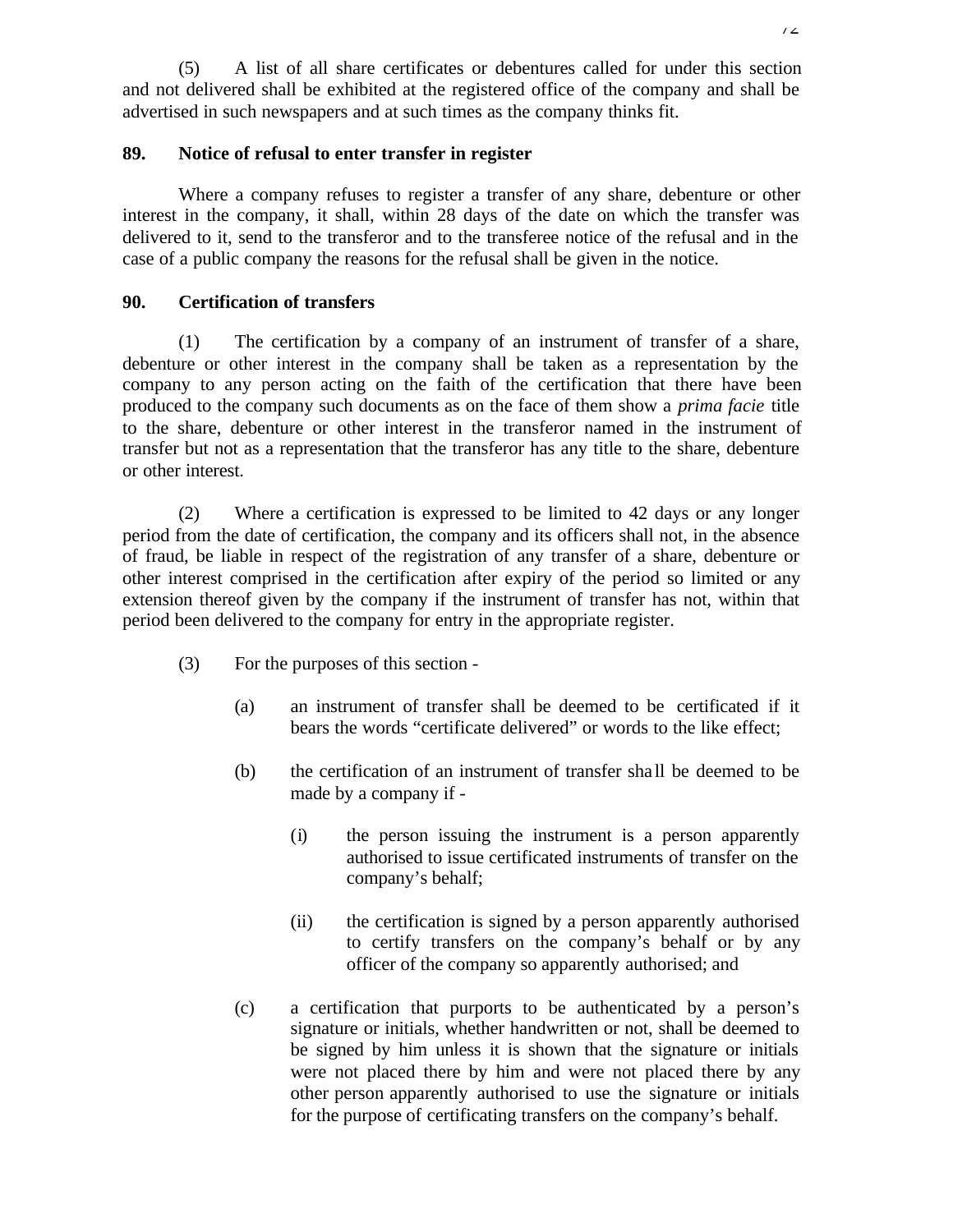(5) A list of all share certificates or debentures called for under this section and not delivered shall be exhibited at the registered office of the company and shall be advertised in such newspapers and at such times as the company thinks fit.

## **89. Notice of refusal to enter transfer in register**

Where a company refuses to register a transfer of any share, debenture or other interest in the company, it shall, within 28 days of the date on which the transfer was delivered to it, send to the transferor and to the transferee notice of the refusal and in the case of a public company the reasons for the refusal shall be given in the notice.

### **90. Certification of transfers**

(1) The certification by a company of an instrument of transfer of a share, debenture or other interest in the company shall be taken as a representation by the company to any person acting on the faith of the certification that there have been produced to the company such documents as on the face of them show a *prima facie* title to the share, debenture or other interest in the transferor named in the instrument of transfer but not as a representation that the transferor has any title to the share, debenture or other interest.

(2) Where a certification is expressed to be limited to 42 days or any longer period from the date of certification, the company and its officers shall not, in the absence of fraud, be liable in respect of the registration of any transfer of a share, debenture or other interest comprised in the certification after expiry of the period so limited or any extension thereof given by the company if the instrument of transfer has not, within that period been delivered to the company for entry in the appropriate register.

- (3) For the purposes of this section
	- (a) an instrument of transfer shall be deemed to be certificated if it bears the words "certificate delivered" or words to the like effect;
	- (b) the certification of an instrument of transfer sha ll be deemed to be made by a company if -
		- (i) the person issuing the instrument is a person apparently authorised to issue certificated instruments of transfer on the company's behalf;
		- (ii) the certification is signed by a person apparently authorised to certify transfers on the company's behalf or by any officer of the company so apparently authorised; and
	- (c) a certification that purports to be authenticated by a person's signature or initials, whether handwritten or not, shall be deemed to be signed by him unless it is shown that the signature or initials were not placed there by him and were not placed there by any other person apparently authorised to use the signature or initials for the purpose of certificating transfers on the company's behalf.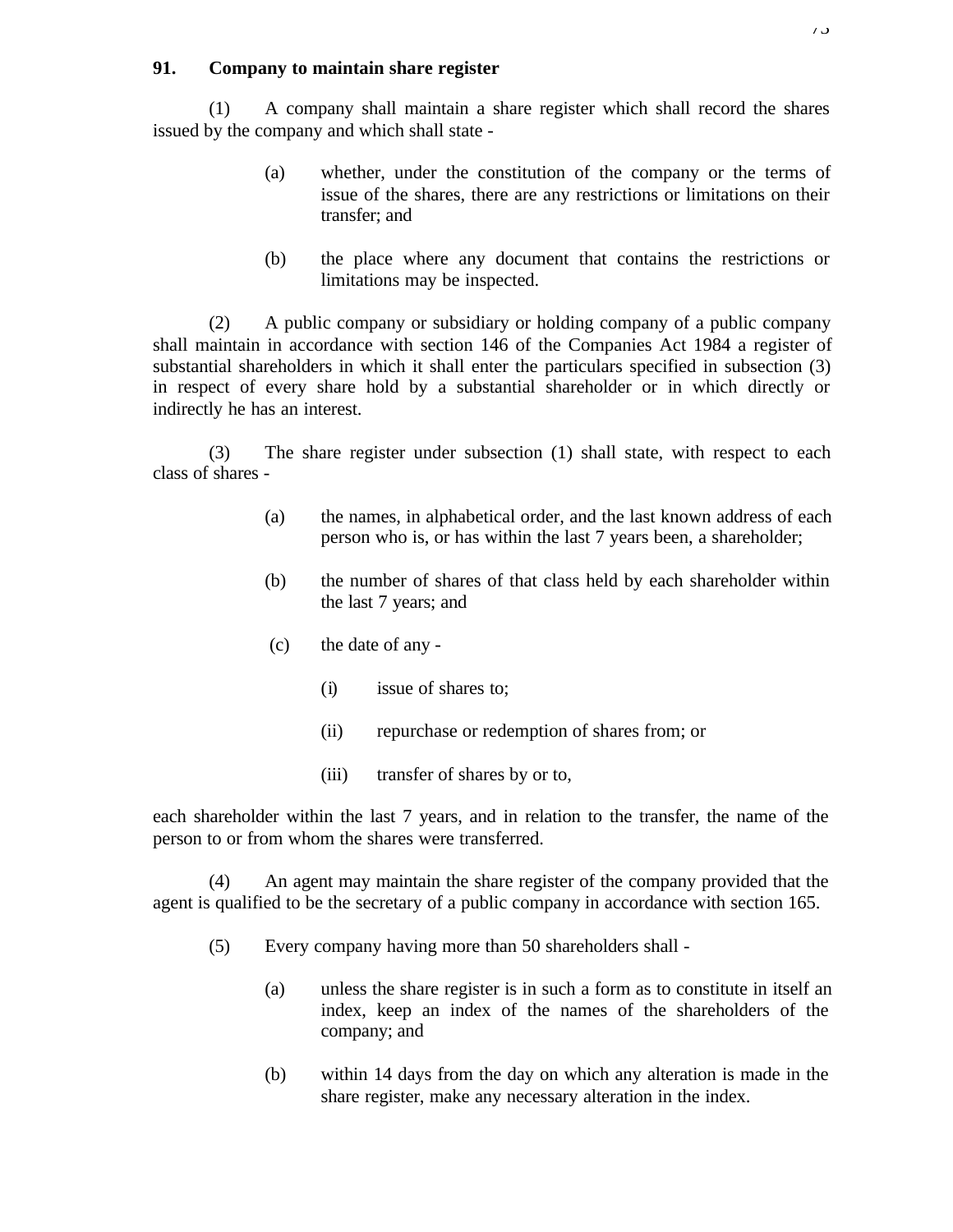## **91. Company to maintain share register**

(1) A company shall maintain a share register which shall record the shares issued by the company and which shall state -

- (a) whether, under the constitution of the company or the terms of issue of the shares, there are any restrictions or limitations on their transfer; and
- (b) the place where any document that contains the restrictions or limitations may be inspected.

(2) A public company or subsidiary or holding company of a public company shall maintain in accordance with section 146 of the Companies Act 1984 a register of substantial shareholders in which it shall enter the particulars specified in subsection (3) in respect of every share hold by a substantial shareholder or in which directly or indirectly he has an interest.

(3) The share register under subsection (1) shall state, with respect to each class of shares -

- (a) the names, in alphabetical order, and the last known address of each person who is, or has within the last 7 years been, a shareholder;
- (b) the number of shares of that class held by each shareholder within the last 7 years; and
- (c) the date of any
	- (i) issue of shares to;
	- (ii) repurchase or redemption of shares from; or
	- (iii) transfer of shares by or to,

each shareholder within the last 7 years, and in relation to the transfer, the name of the person to or from whom the shares were transferred.

(4) An agent may maintain the share register of the company provided that the agent is qualified to be the secretary of a public company in accordance with section 165.

- (5) Every company having more than 50 shareholders shall
	- (a) unless the share register is in such a form as to constitute in itself an index, keep an index of the names of the shareholders of the company; and
	- (b) within 14 days from the day on which any alteration is made in the share register, make any necessary alteration in the index.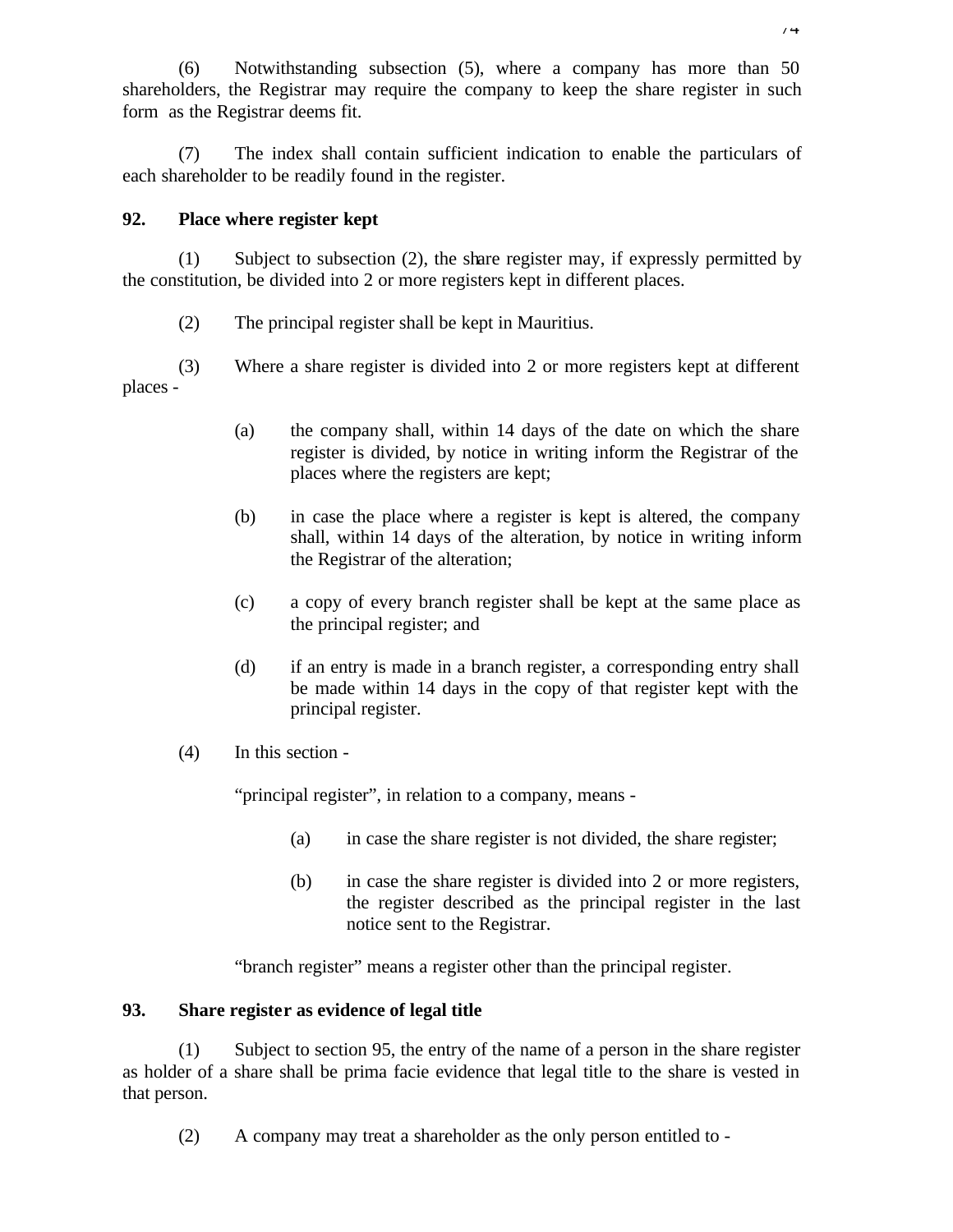(6) Notwithstanding subsection (5), where a company has more than 50 shareholders, the Registrar may require the company to keep the share register in such form as the Registrar deems fit.

(7) The index shall contain sufficient indication to enable the particulars of each shareholder to be readily found in the register.

## **92. Place where register kept**

(1) Subject to subsection (2), the share register may, if expressly permitted by the constitution, be divided into 2 or more registers kept in different places.

(2) The principal register shall be kept in Mauritius.

(3) Where a share register is divided into 2 or more registers kept at different places -

- (a) the company shall, within 14 days of the date on which the share register is divided, by notice in writing inform the Registrar of the places where the registers are kept;
- (b) in case the place where a register is kept is altered, the company shall, within 14 days of the alteration, by notice in writing inform the Registrar of the alteration;
- (c) a copy of every branch register shall be kept at the same place as the principal register; and
- (d) if an entry is made in a branch register, a corresponding entry shall be made within 14 days in the copy of that register kept with the principal register.
- (4) In this section -

"principal register", in relation to a company, means -

- (a) in case the share register is not divided, the share register;
- (b) in case the share register is divided into 2 or more registers, the register described as the principal register in the last notice sent to the Registrar.

"branch register" means a register other than the principal register.

## **93. Share register as evidence of legal title**

(1) Subject to section 95, the entry of the name of a person in the share register as holder of a share shall be prima facie evidence that legal title to the share is vested in that person.

(2) A company may treat a shareholder as the only person entitled to -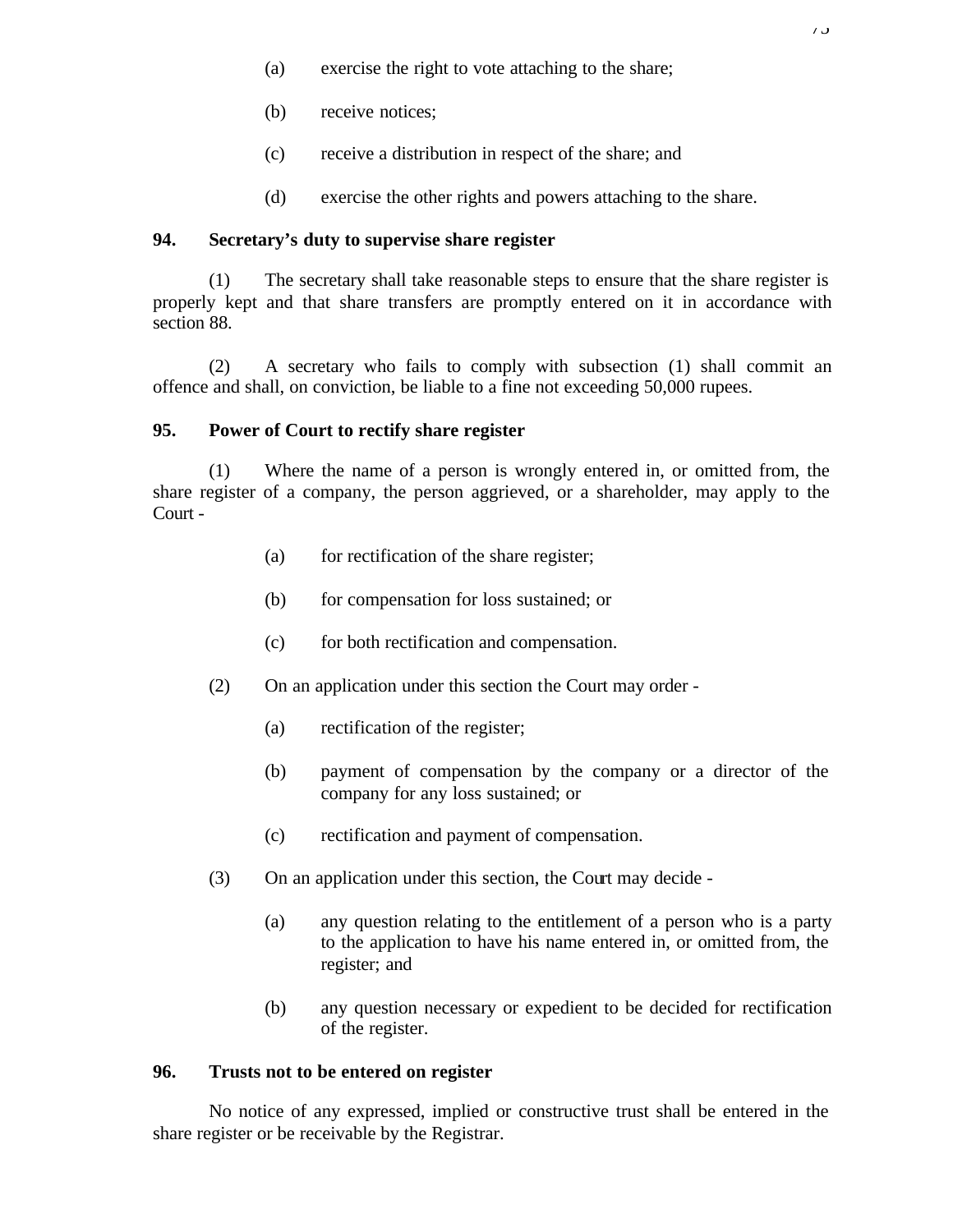- (a) exercise the right to vote attaching to the share;
- (b) receive notices;
- (c) receive a distribution in respect of the share; and
- (d) exercise the other rights and powers attaching to the share.

## **94. Secretary's duty to supervise share register**

(1) The secretary shall take reasonable steps to ensure that the share register is properly kept and that share transfers are promptly entered on it in accordance with section 88.

(2) A secretary who fails to comply with subsection (1) shall commit an offence and shall, on conviction, be liable to a fine not exceeding 50,000 rupees.

### **95. Power of Court to rectify share register**

(1) Where the name of a person is wrongly entered in, or omitted from, the share register of a company, the person aggrieved, or a shareholder, may apply to the Court -

- (a) for rectification of the share register;
- (b) for compensation for loss sustained; or
- (c) for both rectification and compensation.
- (2) On an application under this section the Court may order
	- (a) rectification of the register;
	- (b) payment of compensation by the company or a director of the company for any loss sustained; or
	- (c) rectification and payment of compensation.
- (3) On an application under this section, the Court may decide
	- (a) any question relating to the entitlement of a person who is a party to the application to have his name entered in, or omitted from, the register; and
	- (b) any question necessary or expedient to be decided for rectification of the register.

### **96. Trusts not to be entered on register**

No notice of any expressed, implied or constructive trust shall be entered in the share register or be receivable by the Registrar.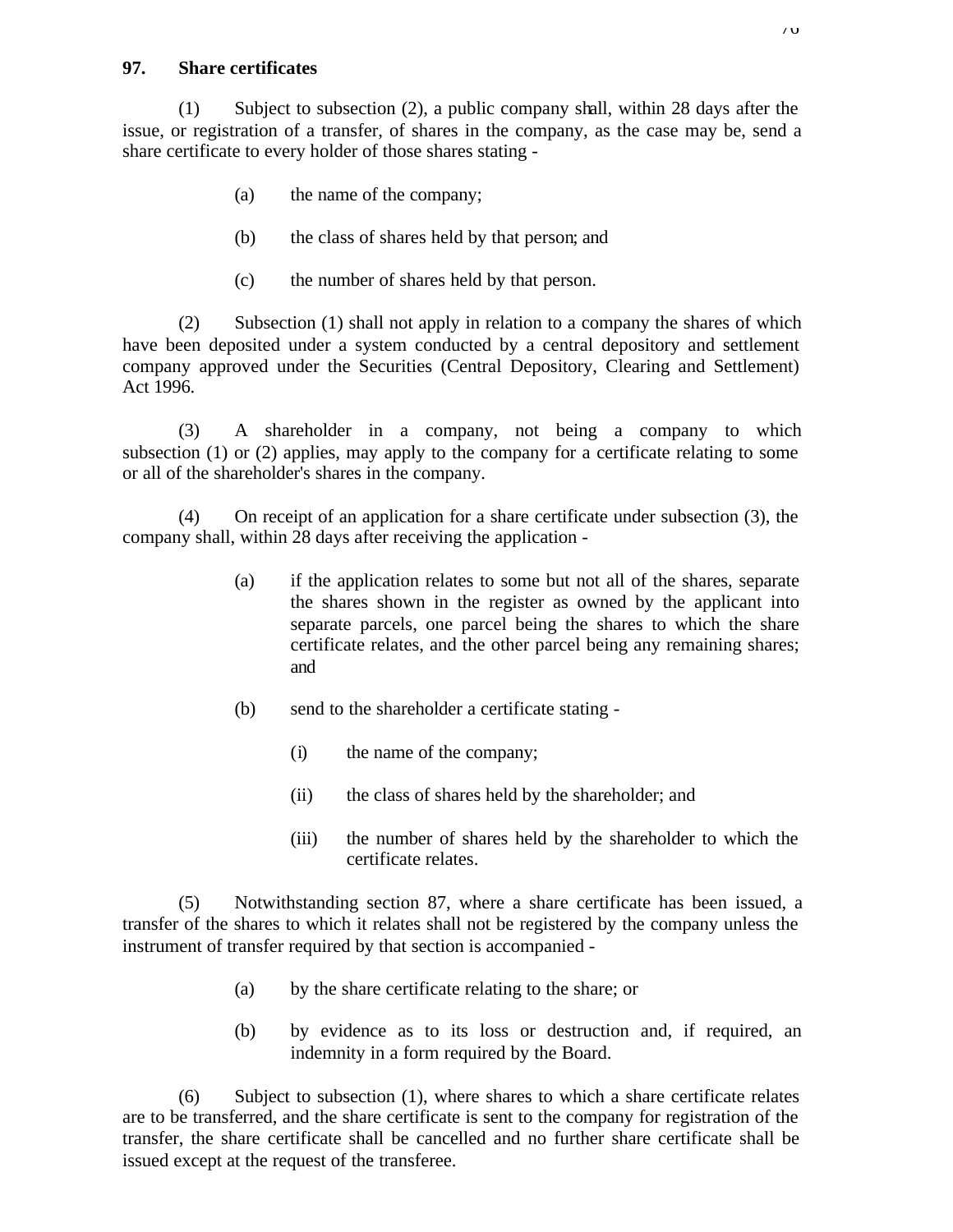### **97. Share certificates**

(1) Subject to subsection (2), a public company shall, within 28 days after the issue, or registration of a transfer, of shares in the company, as the case may be, send a share certificate to every holder of those shares stating -

- (a) the name of the company;
- (b) the class of shares held by that person; and
- (c) the number of shares held by that person.

(2) Subsection (1) shall not apply in relation to a company the shares of which have been deposited under a system conducted by a central depository and settlement company approved under the Securities (Central Depository, Clearing and Settlement) Act 1996.

(3) A shareholder in a company, not being a company to which subsection (1) or (2) applies, may apply to the company for a certificate relating to some or all of the shareholder's shares in the company.

(4) On receipt of an application for a share certificate under subsection (3), the company shall, within 28 days after receiving the application -

- (a) if the application relates to some but not all of the shares, separate the shares shown in the register as owned by the applicant into separate parcels, one parcel being the shares to which the share certificate relates, and the other parcel being any remaining shares; and
- (b) send to the shareholder a certificate stating
	- (i) the name of the company;
	- (ii) the class of shares held by the shareholder; and
	- (iii) the number of shares held by the shareholder to which the certificate relates.

(5) Notwithstanding section 87, where a share certificate has been issued, a transfer of the shares to which it relates shall not be registered by the company unless the instrument of transfer required by that section is accompanied -

- (a) by the share certificate relating to the share; or
- (b) by evidence as to its loss or destruction and, if required, an indemnity in a form required by the Board.

(6) Subject to subsection (1), where shares to which a share certificate relates are to be transferred, and the share certificate is sent to the company for registration of the transfer, the share certificate shall be cancelled and no further share certificate shall be issued except at the request of the transferee.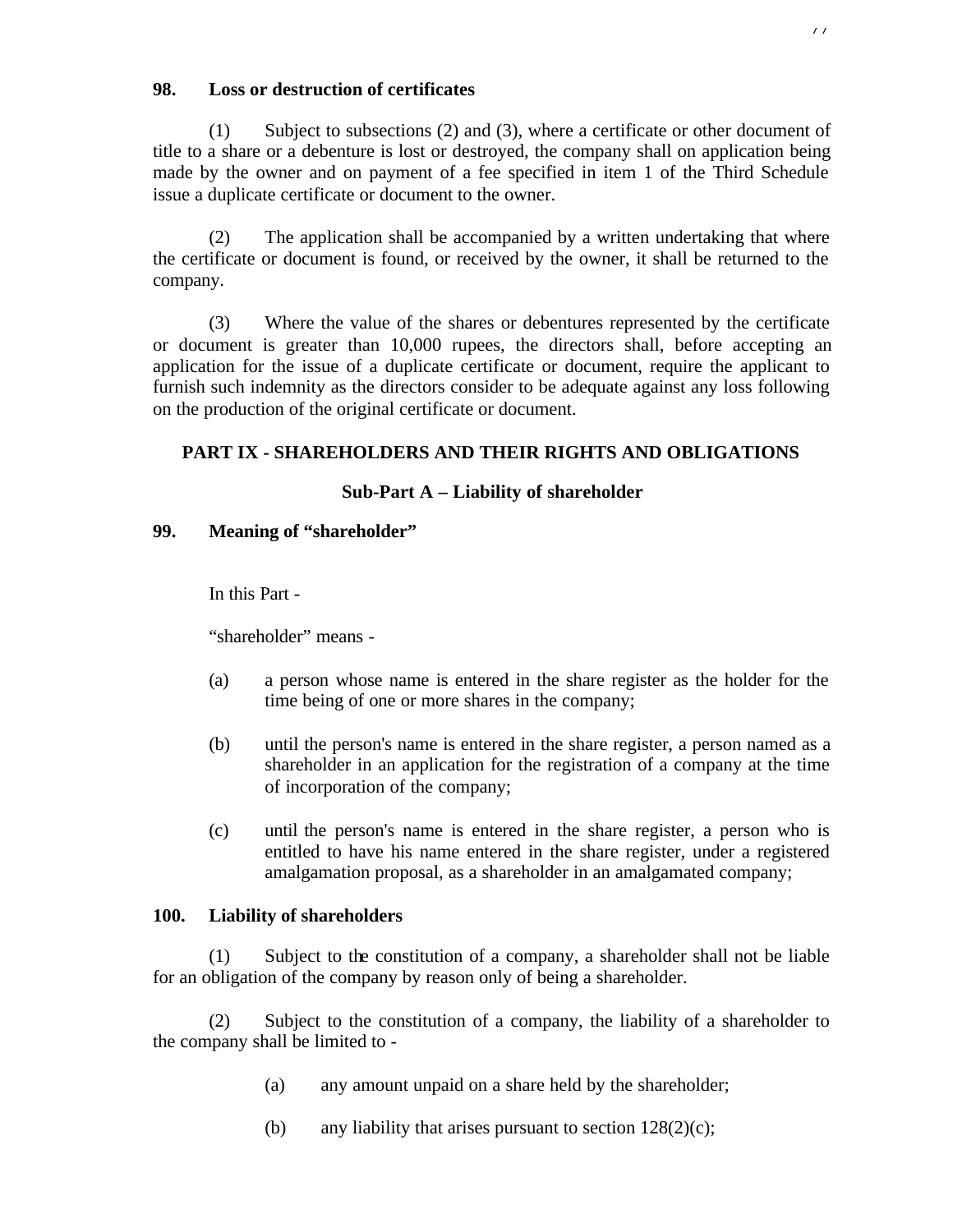## **98. Loss or destruction of certificates**

(1) Subject to subsections (2) and (3), where a certificate or other document of title to a share or a debenture is lost or destroyed, the company shall on application being made by the owner and on payment of a fee specified in item 1 of the Third Schedule issue a duplicate certificate or document to the owner.

(2) The application shall be accompanied by a written undertaking that where the certificate or document is found, or received by the owner, it shall be returned to the company.

(3) Where the value of the shares or debentures represented by the certificate or document is greater than 10,000 rupees, the directors shall, before accepting an application for the issue of a duplicate certificate or document, require the applicant to furnish such indemnity as the directors consider to be adequate against any loss following on the production of the original certificate or document.

# **PART IX - SHAREHOLDERS AND THEIR RIGHTS AND OBLIGATIONS**

# **Sub-Part A – Liability of shareholder**

## **99. Meaning of "shareholder"**

In this Part -

"shareholder" means -

- (a) a person whose name is entered in the share register as the holder for the time being of one or more shares in the company;
- (b) until the person's name is entered in the share register, a person named as a shareholder in an application for the registration of a company at the time of incorporation of the company;
- (c) until the person's name is entered in the share register, a person who is entitled to have his name entered in the share register, under a registered amalgamation proposal, as a shareholder in an amalgamated company;

# **100. Liability of shareholders**

(1) Subject to the constitution of a company, a shareholder shall not be liable for an obligation of the company by reason only of being a shareholder.

(2) Subject to the constitution of a company, the liability of a shareholder to the company shall be limited to -

- (a) any amount unpaid on a share held by the shareholder;
- (b) any liability that arises pursuant to section  $128(2)(c)$ ;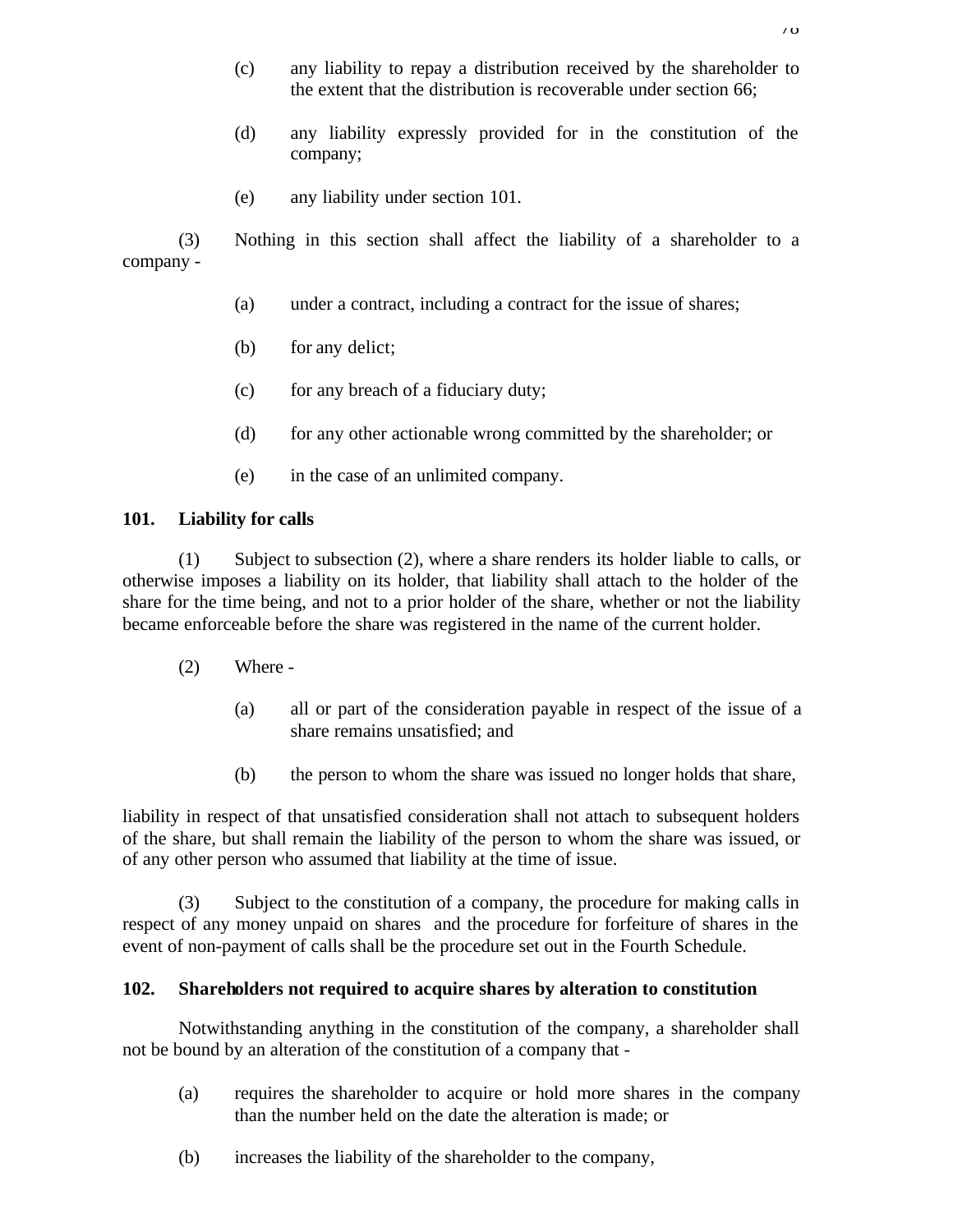- (c) any liability to repay a distribution received by the shareholder to the extent that the distribution is recoverable under section 66;
- (d) any liability expressly provided for in the constitution of the company;
- (e) any liability under section 101.

(3) Nothing in this section shall affect the liability of a shareholder to a company -

- (a) under a contract, including a contract for the issue of shares;
- (b) for any delict;
- (c) for any breach of a fiduciary duty;
- (d) for any other actionable wrong committed by the shareholder; or
- (e) in the case of an unlimited company.

## **101. Liability for calls**

(1) Subject to subsection (2), where a share renders its holder liable to calls, or otherwise imposes a liability on its holder, that liability shall attach to the holder of the share for the time being, and not to a prior holder of the share, whether or not the liability became enforceable before the share was registered in the name of the current holder.

- (2) Where
	- (a) all or part of the consideration payable in respect of the issue of a share remains unsatisfied; and
	- (b) the person to whom the share was issued no longer holds that share,

liability in respect of that unsatisfied consideration shall not attach to subsequent holders of the share, but shall remain the liability of the person to whom the share was issued, or of any other person who assumed that liability at the time of issue.

(3) Subject to the constitution of a company, the procedure for making calls in respect of any money unpaid on shares and the procedure for forfeiture of shares in the event of non-payment of calls shall be the procedure set out in the Fourth Schedule.

# **102. Shareholders not required to acquire shares by alteration to constitution**

Notwithstanding anything in the constitution of the company, a shareholder shall not be bound by an alteration of the constitution of a company that -

- (a) requires the shareholder to acquire or hold more shares in the company than the number held on the date the alteration is made; or
- (b) increases the liability of the shareholder to the company,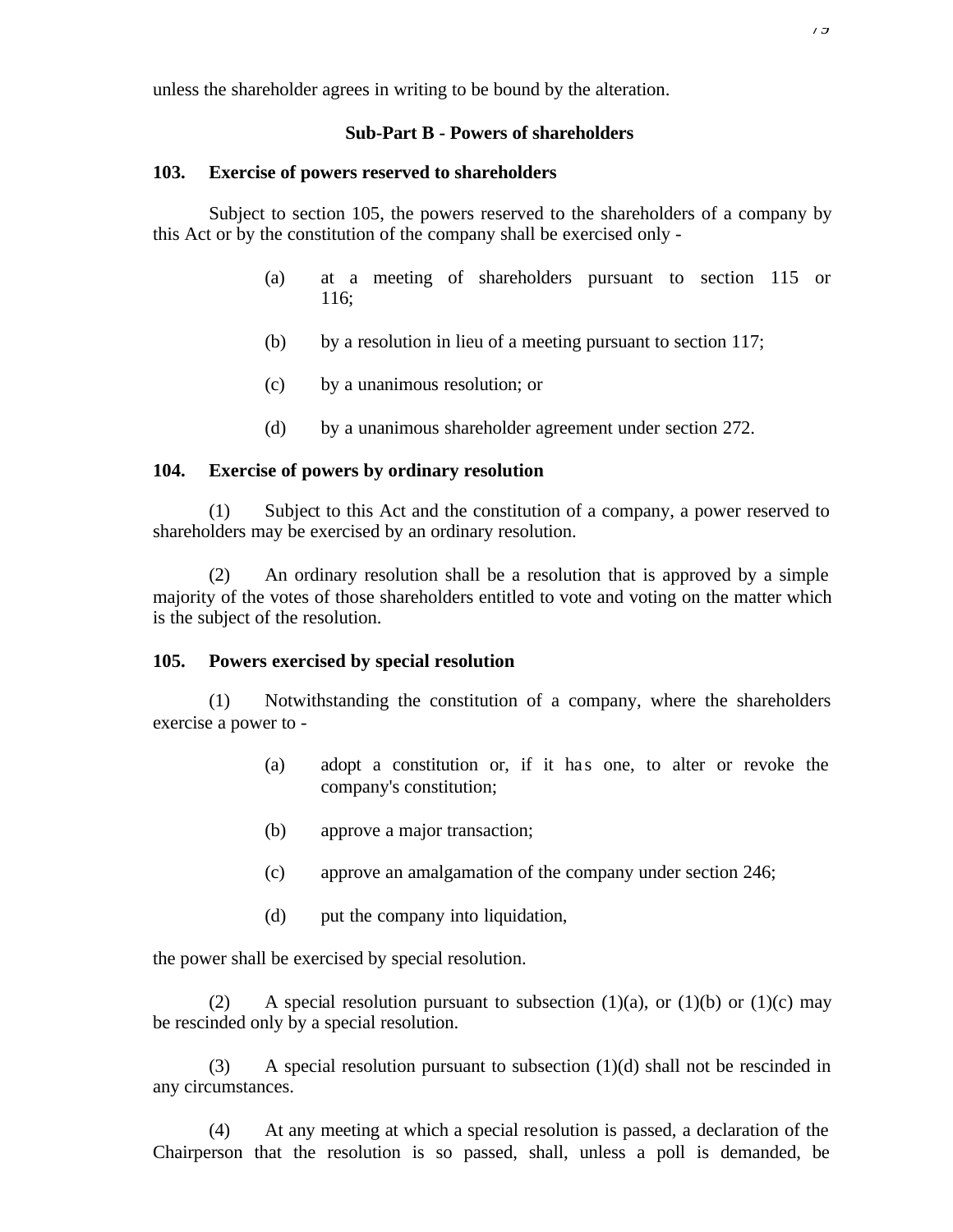unless the shareholder agrees in writing to be bound by the alteration.

#### **Sub-Part B - Powers of shareholders**

#### **103. Exercise of powers reserved to shareholders**

Subject to section 105, the powers reserved to the shareholders of a company by this Act or by the constitution of the company shall be exercised only -

- (a) at a meeting of shareholders pursuant to section 115 or 116;
- (b) by a resolution in lieu of a meeting pursuant to section 117;
- (c) by a unanimous resolution; or
- (d) by a unanimous shareholder agreement under section 272.

## **104. Exercise of powers by ordinary resolution**

(1) Subject to this Act and the constitution of a company, a power reserved to shareholders may be exercised by an ordinary resolution.

(2) An ordinary resolution shall be a resolution that is approved by a simple majority of the votes of those shareholders entitled to vote and voting on the matter which is the subject of the resolution.

#### **105. Powers exercised by special resolution**

(1) Notwithstanding the constitution of a company, where the shareholders exercise a power to -

- (a) adopt a constitution or, if it has one, to alter or revoke the company's constitution;
- (b) approve a major transaction;
- (c) approve an amalgamation of the company under section 246;
- (d) put the company into liquidation,

the power shall be exercised by special resolution.

(2) A special resolution pursuant to subsection (1)(a), or (1)(b) or (1)(c) may be rescinded only by a special resolution.

(3) A special resolution pursuant to subsection (1)(d) shall not be rescinded in any circumstances.

(4) At any meeting at which a special resolution is passed, a declaration of the Chairperson that the resolution is so passed, shall, unless a poll is demanded, be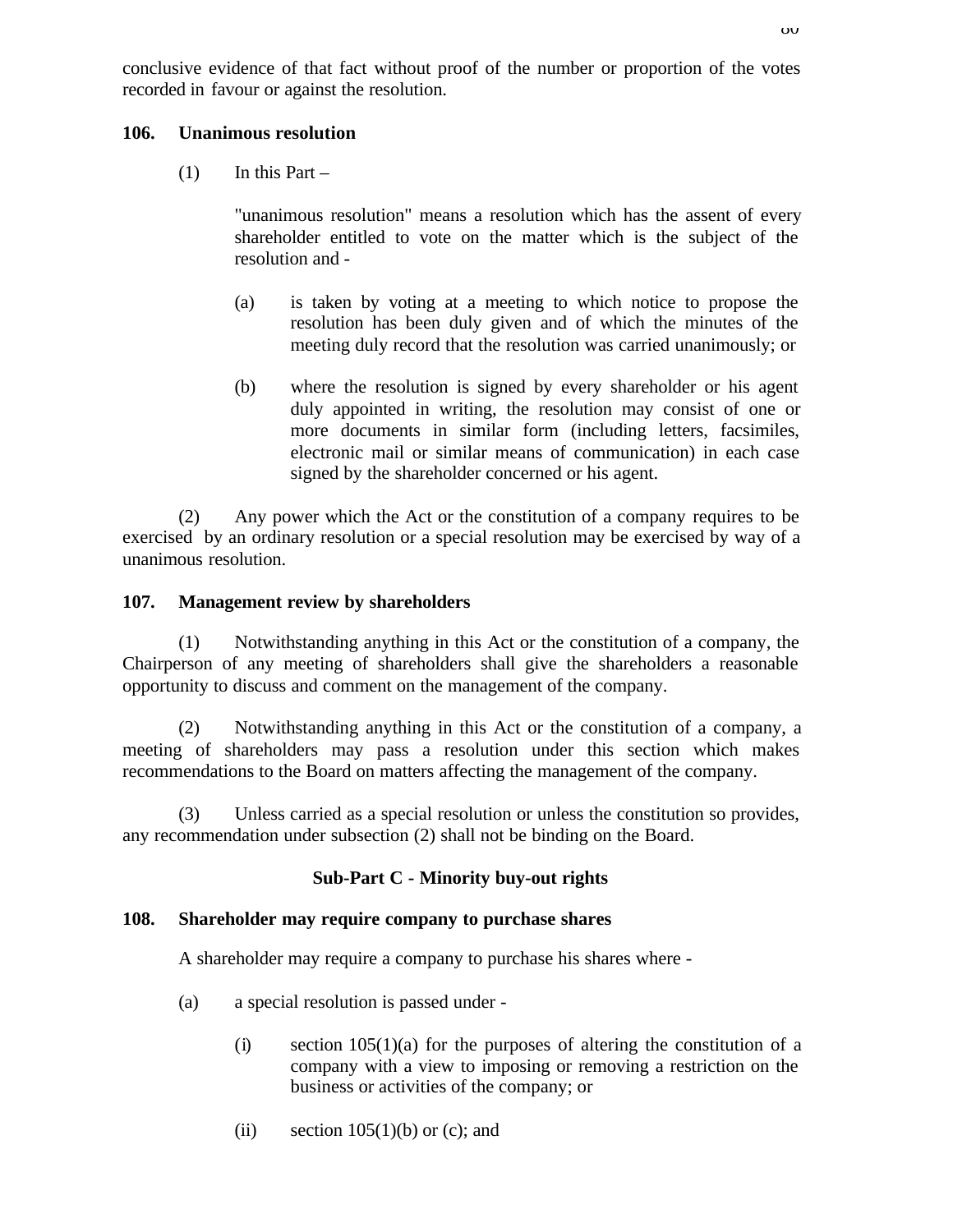conclusive evidence of that fact without proof of the number or proportion of the votes recorded in favour or against the resolution.

## **106. Unanimous resolution**

 $(1)$  In this Part –

"unanimous resolution" means a resolution which has the assent of every shareholder entitled to vote on the matter which is the subject of the resolution and -

- (a) is taken by voting at a meeting to which notice to propose the resolution has been duly given and of which the minutes of the meeting duly record that the resolution was carried unanimously; or
- (b) where the resolution is signed by every shareholder or his agent duly appointed in writing, the resolution may consist of one or more documents in similar form (including letters, facsimiles, electronic mail or similar means of communication) in each case signed by the shareholder concerned or his agent.

(2) Any power which the Act or the constitution of a company requires to be exercised by an ordinary resolution or a special resolution may be exercised by way of a unanimous resolution.

## **107. Management review by shareholders**

(1) Notwithstanding anything in this Act or the constitution of a company, the Chairperson of any meeting of shareholders shall give the shareholders a reasonable opportunity to discuss and comment on the management of the company.

(2) Notwithstanding anything in this Act or the constitution of a company, a meeting of shareholders may pass a resolution under this section which makes recommendations to the Board on matters affecting the management of the company.

(3) Unless carried as a special resolution or unless the constitution so provides, any recommendation under subsection (2) shall not be binding on the Board.

# **Sub-Part C - Minority buy-out rights**

## **108. Shareholder may require company to purchase shares**

A shareholder may require a company to purchase his shares where -

- (a) a special resolution is passed under
	- (i) section  $105(1)(a)$  for the purposes of altering the constitution of a company with a view to imposing or removing a restriction on the business or activities of the company; or
	- (ii) section  $105(1)(b)$  or (c); and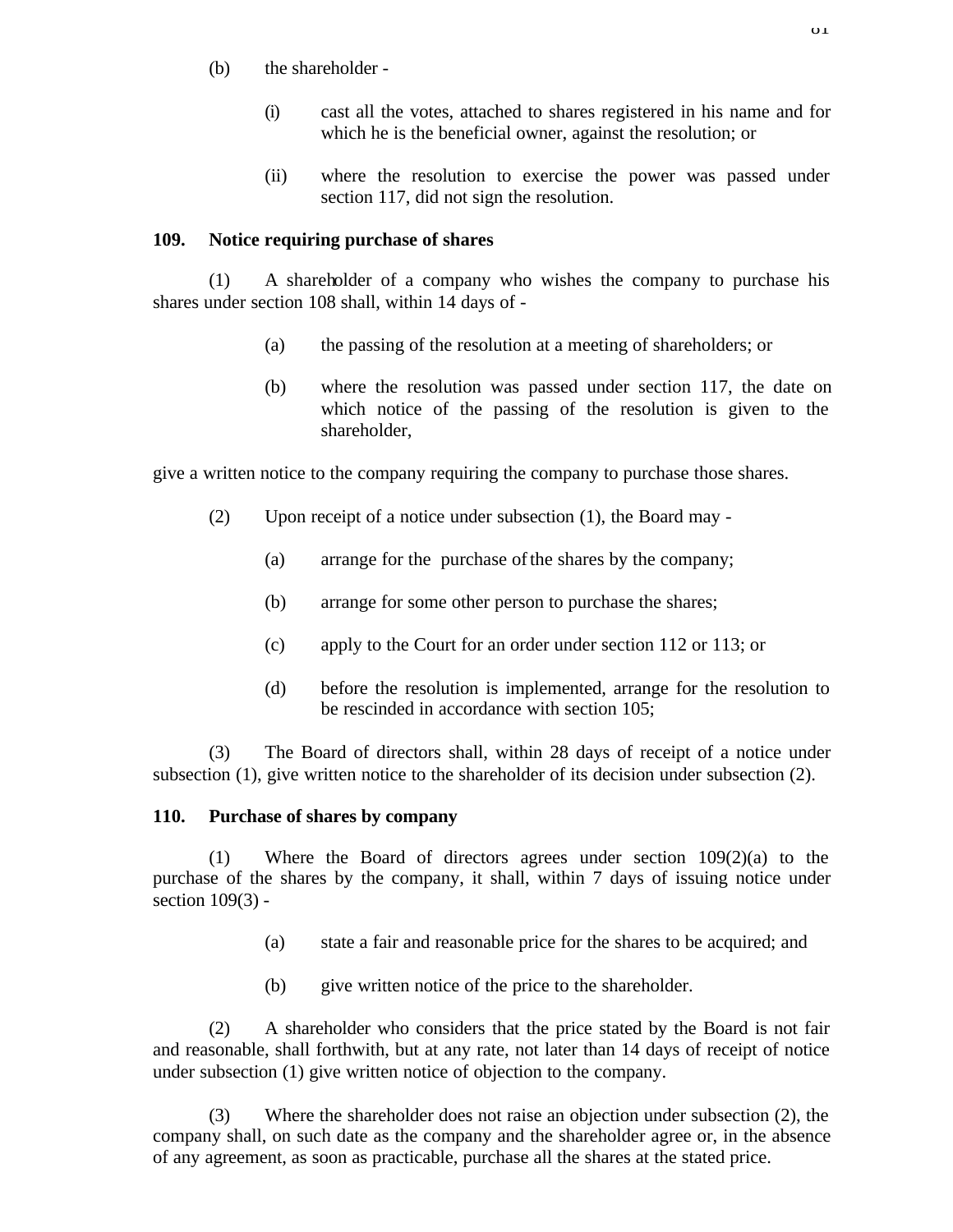- (b) the shareholder
	- (i) cast all the votes, attached to shares registered in his name and for which he is the beneficial owner, against the resolution; or
	- (ii) where the resolution to exercise the power was passed under section 117, did not sign the resolution.

## **109. Notice requiring purchase of shares**

(1) A shareholder of a company who wishes the company to purchase his shares under section 108 shall, within 14 days of -

- (a) the passing of the resolution at a meeting of shareholders; or
- (b) where the resolution was passed under section 117, the date on which notice of the passing of the resolution is given to the shareholder,

give a written notice to the company requiring the company to purchase those shares.

- (2) Upon receipt of a notice under subsection (1), the Board may
	- (a) arrange for the purchase of the shares by the company;
	- (b) arrange for some other person to purchase the shares;
	- (c) apply to the Court for an order under section 112 or 113; or
	- (d) before the resolution is implemented, arrange for the resolution to be rescinded in accordance with section 105;

(3) The Board of directors shall, within 28 days of receipt of a notice under subsection (1), give written notice to the shareholder of its decision under subsection (2).

## **110. Purchase of shares by company**

(1) Where the Board of directors agrees under section  $109(2)(a)$  to the purchase of the shares by the company, it shall, within 7 days of issuing notice under section 109(3) -

- (a) state a fair and reasonable price for the shares to be acquired; and
- (b) give written notice of the price to the shareholder.

(2) A shareholder who considers that the price stated by the Board is not fair and reasonable, shall forthwith, but at any rate, not later than 14 days of receipt of notice under subsection (1) give written notice of objection to the company.

(3) Where the shareholder does not raise an objection under subsection (2), the company shall, on such date as the company and the shareholder agree or, in the absence of any agreement, as soon as practicable, purchase all the shares at the stated price.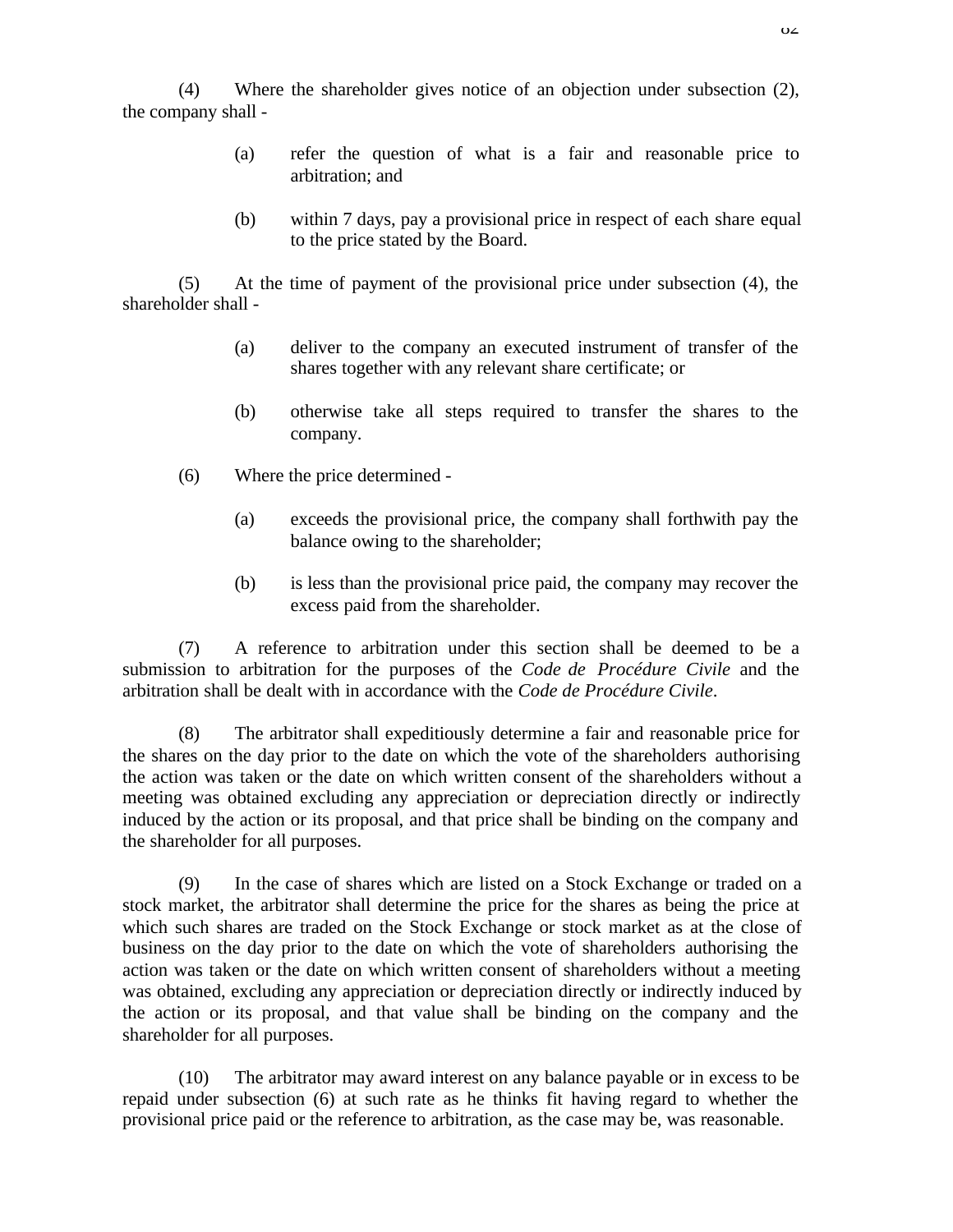(4) Where the shareholder gives notice of an objection under subsection (2), the company shall -

- (a) refer the question of what is a fair and reasonable price to arbitration; and
- (b) within 7 days, pay a provisional price in respect of each share equal to the price stated by the Board.

(5) At the time of payment of the provisional price under subsection (4), the shareholder shall -

- (a) deliver to the company an executed instrument of transfer of the shares together with any relevant share certificate; or
- (b) otherwise take all steps required to transfer the shares to the company.
- (6) Where the price determined
	- (a) exceeds the provisional price, the company shall forthwith pay the balance owing to the shareholder;
	- (b) is less than the provisional price paid, the company may recover the excess paid from the shareholder.

(7) A reference to arbitration under this section shall be deemed to be a submission to arbitration for the purposes of the *Code de Procédure Civile* and the arbitration shall be dealt with in accordance with the *Code de Procédure Civile*.

(8) The arbitrator shall expeditiously determine a fair and reasonable price for the shares on the day prior to the date on which the vote of the shareholders authorising the action was taken or the date on which written consent of the shareholders without a meeting was obtained excluding any appreciation or depreciation directly or indirectly induced by the action or its proposal, and that price shall be binding on the company and the shareholder for all purposes.

(9) In the case of shares which are listed on a Stock Exchange or traded on a stock market, the arbitrator shall determine the price for the shares as being the price at which such shares are traded on the Stock Exchange or stock market as at the close of business on the day prior to the date on which the vote of shareholders authorising the action was taken or the date on which written consent of shareholders without a meeting was obtained, excluding any appreciation or depreciation directly or indirectly induced by the action or its proposal, and that value shall be binding on the company and the shareholder for all purposes.

(10) The arbitrator may award interest on any balance payable or in excess to be repaid under subsection (6) at such rate as he thinks fit having regard to whether the provisional price paid or the reference to arbitration, as the case may be, was reasonable.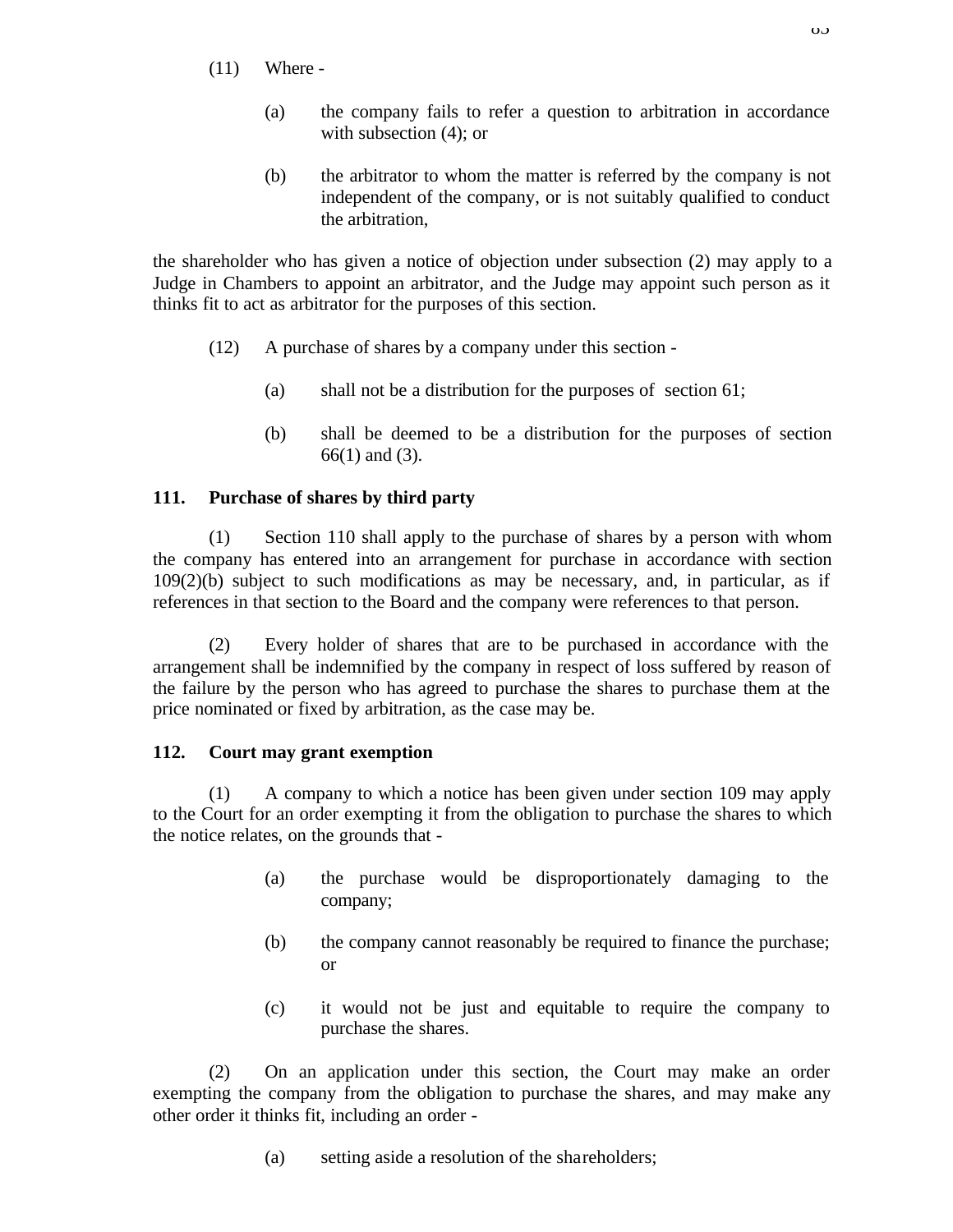- (11) Where
	- (a) the company fails to refer a question to arbitration in accordance with subsection  $(4)$ ; or
	- (b) the arbitrator to whom the matter is referred by the company is not independent of the company, or is not suitably qualified to conduct the arbitration,

the shareholder who has given a notice of objection under subsection (2) may apply to a Judge in Chambers to appoint an arbitrator, and the Judge may appoint such person as it thinks fit to act as arbitrator for the purposes of this section.

- (12) A purchase of shares by a company under this section
	- (a) shall not be a distribution for the purposes of section 61;
	- (b) shall be deemed to be a distribution for the purposes of section 66(1) and (3).

## **111. Purchase of shares by third party**

(1) Section 110 shall apply to the purchase of shares by a person with whom the company has entered into an arrangement for purchase in accordance with section 109(2)(b) subject to such modifications as may be necessary, and, in particular, as if references in that section to the Board and the company were references to that person.

(2) Every holder of shares that are to be purchased in accordance with the arrangement shall be indemnified by the company in respect of loss suffered by reason of the failure by the person who has agreed to purchase the shares to purchase them at the price nominated or fixed by arbitration, as the case may be.

## **112. Court may grant exemption**

(1) A company to which a notice has been given under section 109 may apply to the Court for an order exempting it from the obligation to purchase the shares to which the notice relates, on the grounds that -

- (a) the purchase would be disproportionately damaging to the company;
- (b) the company cannot reasonably be required to finance the purchase; or
- (c) it would not be just and equitable to require the company to purchase the shares.

(2) On an application under this section, the Court may make an order exempting the company from the obligation to purchase the shares, and may make any other order it thinks fit, including an order -

(a) setting aside a resolution of the shareholders;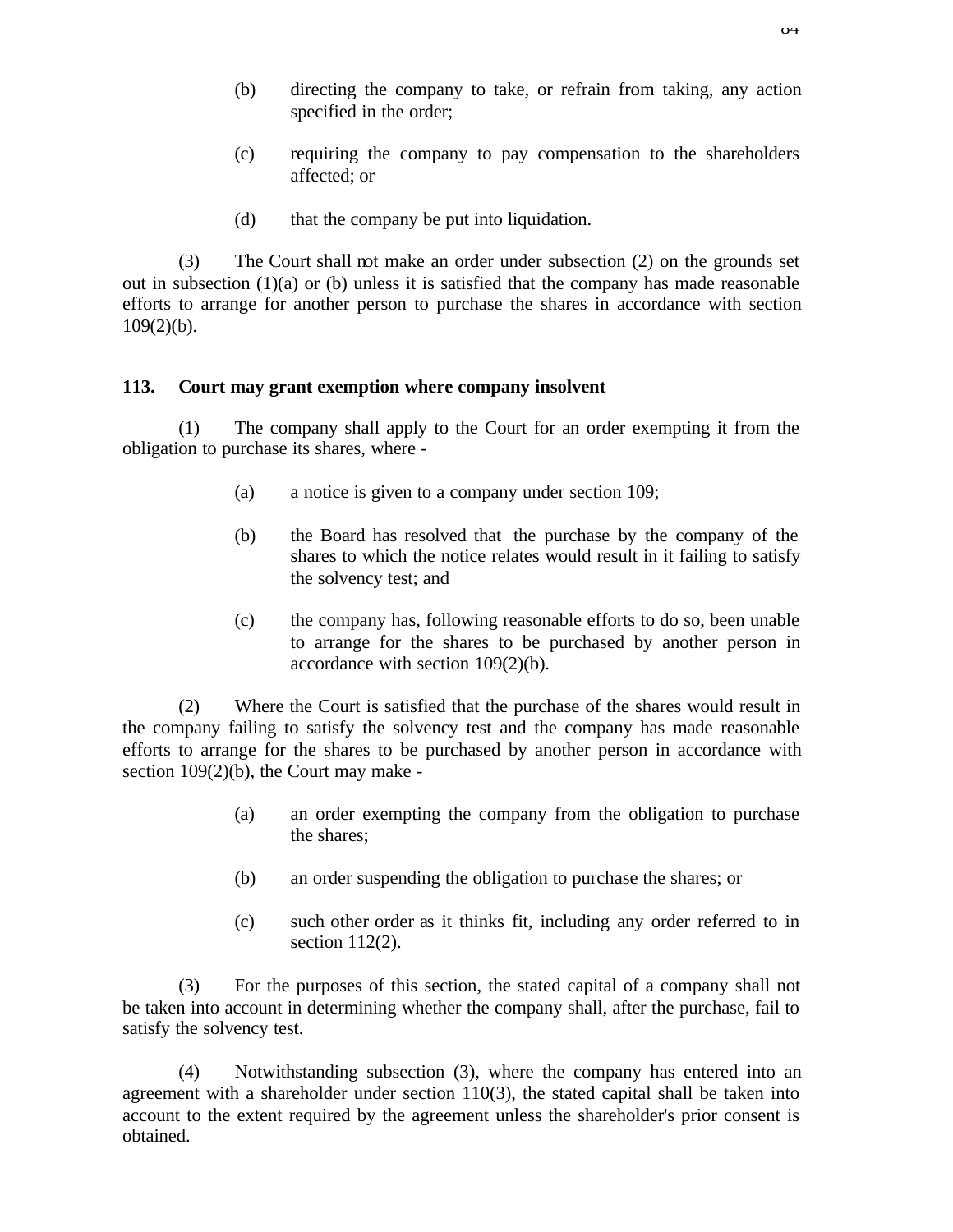- (b) directing the company to take, or refrain from taking, any action specified in the order;
- (c) requiring the company to pay compensation to the shareholders affected; or
- (d) that the company be put into liquidation.

(3) The Court shall not make an order under subsection (2) on the grounds set out in subsection  $(1)(a)$  or  $(b)$  unless it is satisfied that the company has made reasonable efforts to arrange for another person to purchase the shares in accordance with section  $109(2)(b)$ .

## **113. Court may grant exemption where company insolvent**

(1) The company shall apply to the Court for an order exempting it from the obligation to purchase its shares, where -

- (a) a notice is given to a company under section 109;
- (b) the Board has resolved that the purchase by the company of the shares to which the notice relates would result in it failing to satisfy the solvency test; and
- (c) the company has, following reasonable efforts to do so, been unable to arrange for the shares to be purchased by another person in accordance with section 109(2)(b).

(2) Where the Court is satisfied that the purchase of the shares would result in the company failing to satisfy the solvency test and the company has made reasonable efforts to arrange for the shares to be purchased by another person in accordance with section 109(2)(b), the Court may make -

- (a) an order exempting the company from the obligation to purchase the shares;
- (b) an order suspending the obligation to purchase the shares; or
- (c) such other order as it thinks fit, including any order referred to in section 112(2).

(3) For the purposes of this section, the stated capital of a company shall not be taken into account in determining whether the company shall, after the purchase, fail to satisfy the solvency test.

(4) Notwithstanding subsection (3), where the company has entered into an agreement with a shareholder under section 110(3), the stated capital shall be taken into account to the extent required by the agreement unless the shareholder's prior consent is obtained.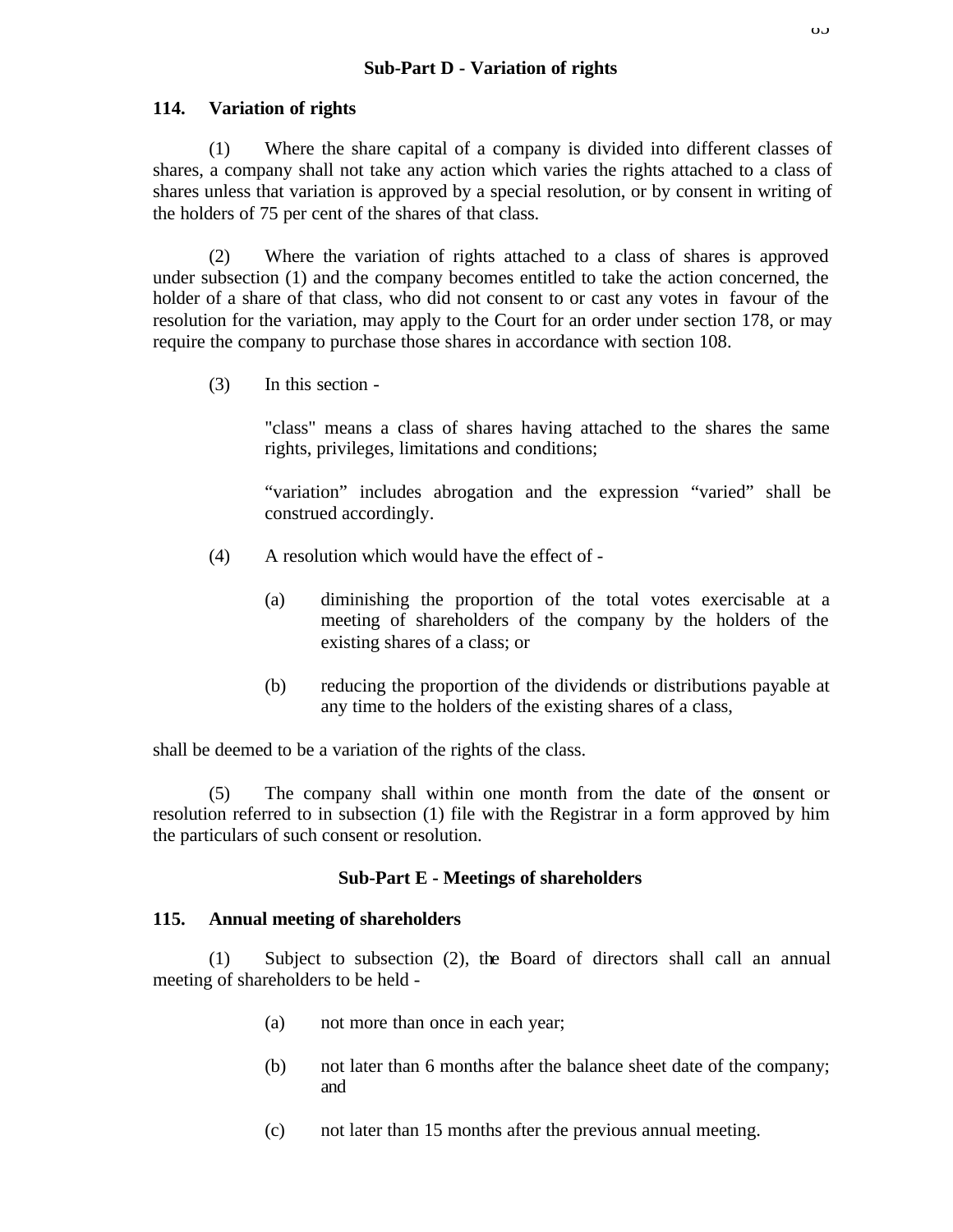#### **114. Variation of rights**

(1) Where the share capital of a company is divided into different classes of shares, a company shall not take any action which varies the rights attached to a class of shares unless that variation is approved by a special resolution, or by consent in writing of the holders of 75 per cent of the shares of that class.

(2) Where the variation of rights attached to a class of shares is approved under subsection (1) and the company becomes entitled to take the action concerned, the holder of a share of that class, who did not consent to or cast any votes in favour of the resolution for the variation, may apply to the Court for an order under section 178, or may require the company to purchase those shares in accordance with section 108.

(3) In this section -

"class" means a class of shares having attached to the shares the same rights, privileges, limitations and conditions;

"variation" includes abrogation and the expression "varied" shall be construed accordingly.

- (4) A resolution which would have the effect of
	- (a) diminishing the proportion of the total votes exercisable at a meeting of shareholders of the company by the holders of the existing shares of a class; or
	- (b) reducing the proportion of the dividends or distributions payable at any time to the holders of the existing shares of a class,

shall be deemed to be a variation of the rights of the class.

(5) The company shall within one month from the date of the consent or resolution referred to in subsection (1) file with the Registrar in a form approved by him the particulars of such consent or resolution.

#### **Sub-Part E - Meetings of shareholders**

#### **115. Annual meeting of shareholders**

(1) Subject to subsection (2), the Board of directors shall call an annual meeting of shareholders to be held -

- (a) not more than once in each year;
- (b) not later than 6 months after the balance sheet date of the company; and
- (c) not later than 15 months after the previous annual meeting.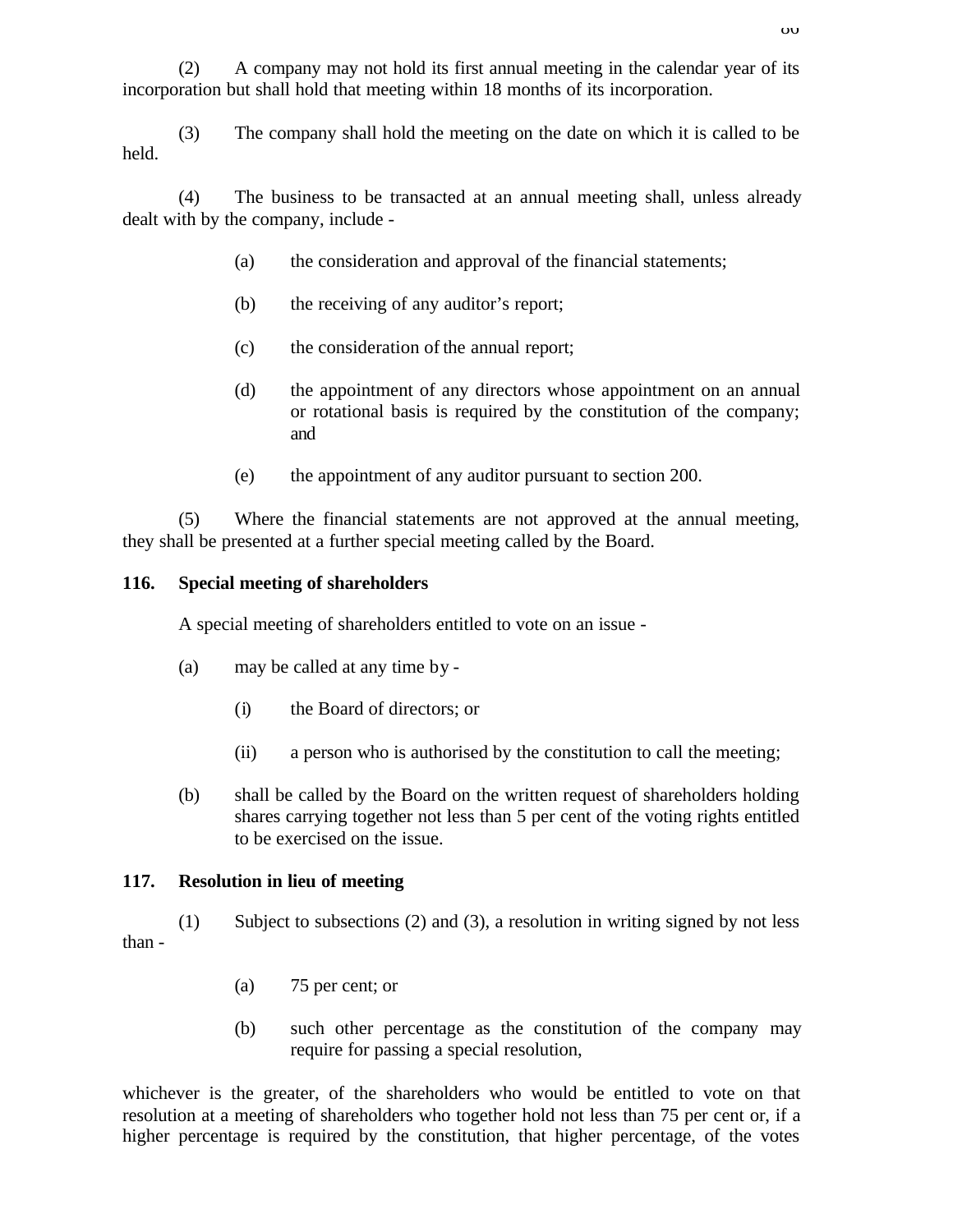(2) A company may not hold its first annual meeting in the calendar year of its incorporation but shall hold that meeting within 18 months of its incorporation.

(3) The company shall hold the meeting on the date on which it is called to be held.

(4) The business to be transacted at an annual meeting shall, unless already dealt with by the company, include -

- (a) the consideration and approval of the financial statements;
- (b) the receiving of any auditor's report;
- (c) the consideration of the annual report;
- (d) the appointment of any directors whose appointment on an annual or rotational basis is required by the constitution of the company; and
- (e) the appointment of any auditor pursuant to section 200.

(5) Where the financial statements are not approved at the annual meeting, they shall be presented at a further special meeting called by the Board.

## **116. Special meeting of shareholders**

A special meeting of shareholders entitled to vote on an issue -

- (a) may be called at any time by
	- (i) the Board of directors; or
	- (ii) a person who is authorised by the constitution to call the meeting;
- (b) shall be called by the Board on the written request of shareholders holding shares carrying together not less than 5 per cent of the voting rights entitled to be exercised on the issue.

## **117. Resolution in lieu of meeting**

(1) Subject to subsections (2) and (3), a resolution in writing signed by not less than -

- (a) 75 per cent; or
- (b) such other percentage as the constitution of the company may require for passing a special resolution,

whichever is the greater, of the shareholders who would be entitled to vote on that resolution at a meeting of shareholders who together hold not less than 75 per cent or, if a higher percentage is required by the constitution, that higher percentage, of the votes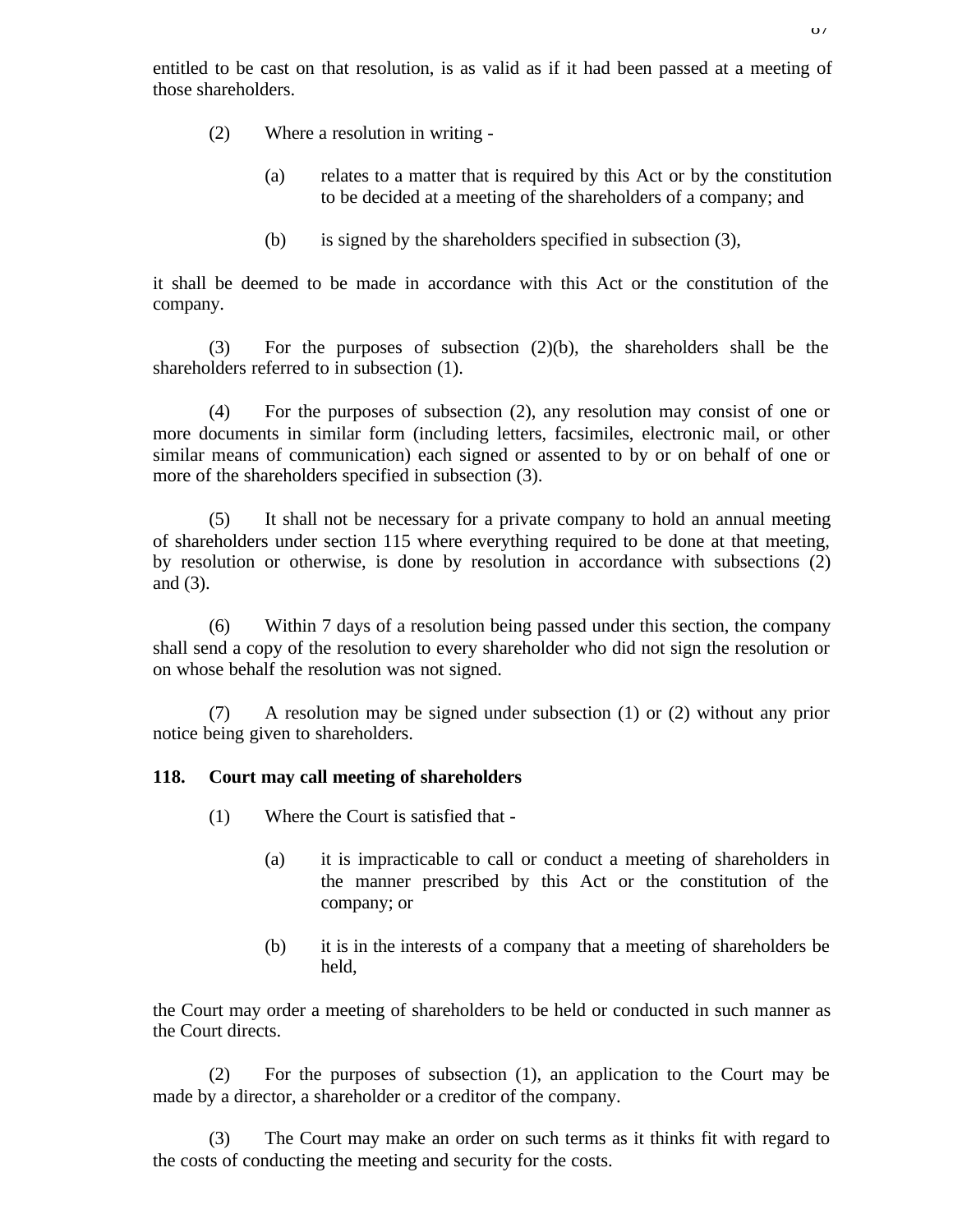- (2) Where a resolution in writing
	- (a) relates to a matter that is required by this Act or by the constitution to be decided at a meeting of the shareholders of a company; and
	- (b) is signed by the shareholders specified in subsection (3),

it shall be deemed to be made in accordance with this Act or the constitution of the company.

(3) For the purposes of subsection (2)(b), the shareholders shall be the shareholders referred to in subsection (1).

(4) For the purposes of subsection (2), any resolution may consist of one or more documents in similar form (including letters, facsimiles, electronic mail, or other similar means of communication) each signed or assented to by or on behalf of one or more of the shareholders specified in subsection (3).

(5) It shall not be necessary for a private company to hold an annual meeting of shareholders under section 115 where everything required to be done at that meeting, by resolution or otherwise, is done by resolution in accordance with subsections (2) and (3).

(6) Within 7 days of a resolution being passed under this section, the company shall send a copy of the resolution to every shareholder who did not sign the resolution or on whose behalf the resolution was not signed.

(7) A resolution may be signed under subsection (1) or (2) without any prior notice being given to shareholders.

#### **118. Court may call meeting of shareholders**

- (1) Where the Court is satisfied that
	- (a) it is impracticable to call or conduct a meeting of shareholders in the manner prescribed by this Act or the constitution of the company; or
	- (b) it is in the interests of a company that a meeting of shareholders be held,

the Court may order a meeting of shareholders to be held or conducted in such manner as the Court directs.

(2) For the purposes of subsection (1), an application to the Court may be made by a director, a shareholder or a creditor of the company.

(3) The Court may make an order on such terms as it thinks fit with regard to the costs of conducting the meeting and security for the costs.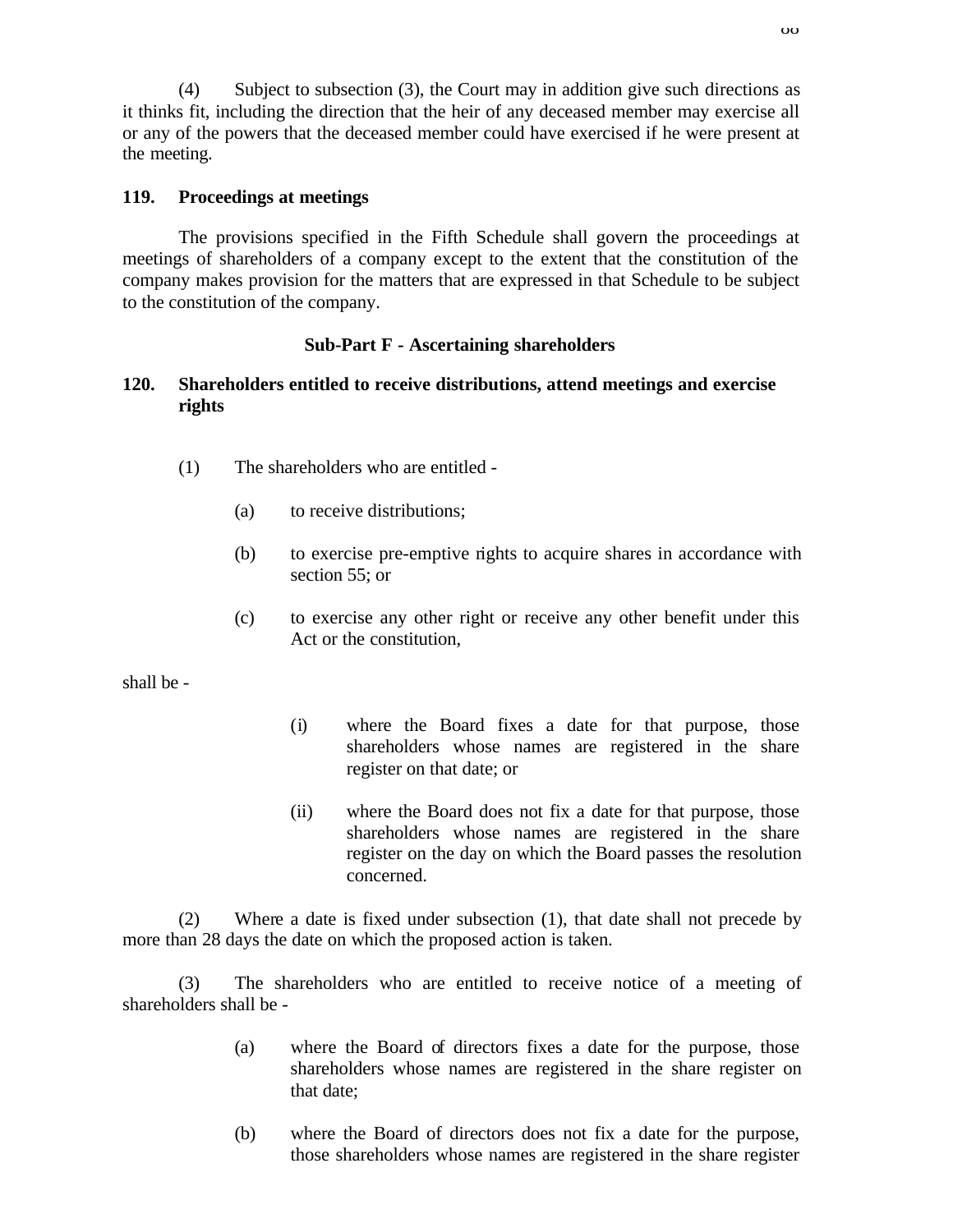(4) Subject to subsection (3), the Court may in addition give such directions as it thinks fit, including the direction that the heir of any deceased member may exercise all or any of the powers that the deceased member could have exercised if he were present at the meeting.

## **119. Proceedings at meetings**

The provisions specified in the Fifth Schedule shall govern the proceedings at meetings of shareholders of a company except to the extent that the constitution of the company makes provision for the matters that are expressed in that Schedule to be subject to the constitution of the company.

### **Sub-Part F - Ascertaining shareholders**

### **120. Shareholders entitled to receive distributions, attend meetings and exercise rights**

- (1) The shareholders who are entitled
	- (a) to receive distributions;
	- (b) to exercise pre-emptive rights to acquire shares in accordance with section 55; or
	- (c) to exercise any other right or receive any other benefit under this Act or the constitution,

shall be -

- (i) where the Board fixes a date for that purpose, those shareholders whose names are registered in the share register on that date; or
- (ii) where the Board does not fix a date for that purpose, those shareholders whose names are registered in the share register on the day on which the Board passes the resolution concerned.

(2) Where a date is fixed under subsection (1), that date shall not precede by more than 28 days the date on which the proposed action is taken.

(3) The shareholders who are entitled to receive notice of a meeting of shareholders shall be -

- (a) where the Board of directors fixes a date for the purpose, those shareholders whose names are registered in the share register on that date;
- (b) where the Board of directors does not fix a date for the purpose, those shareholders whose names are registered in the share register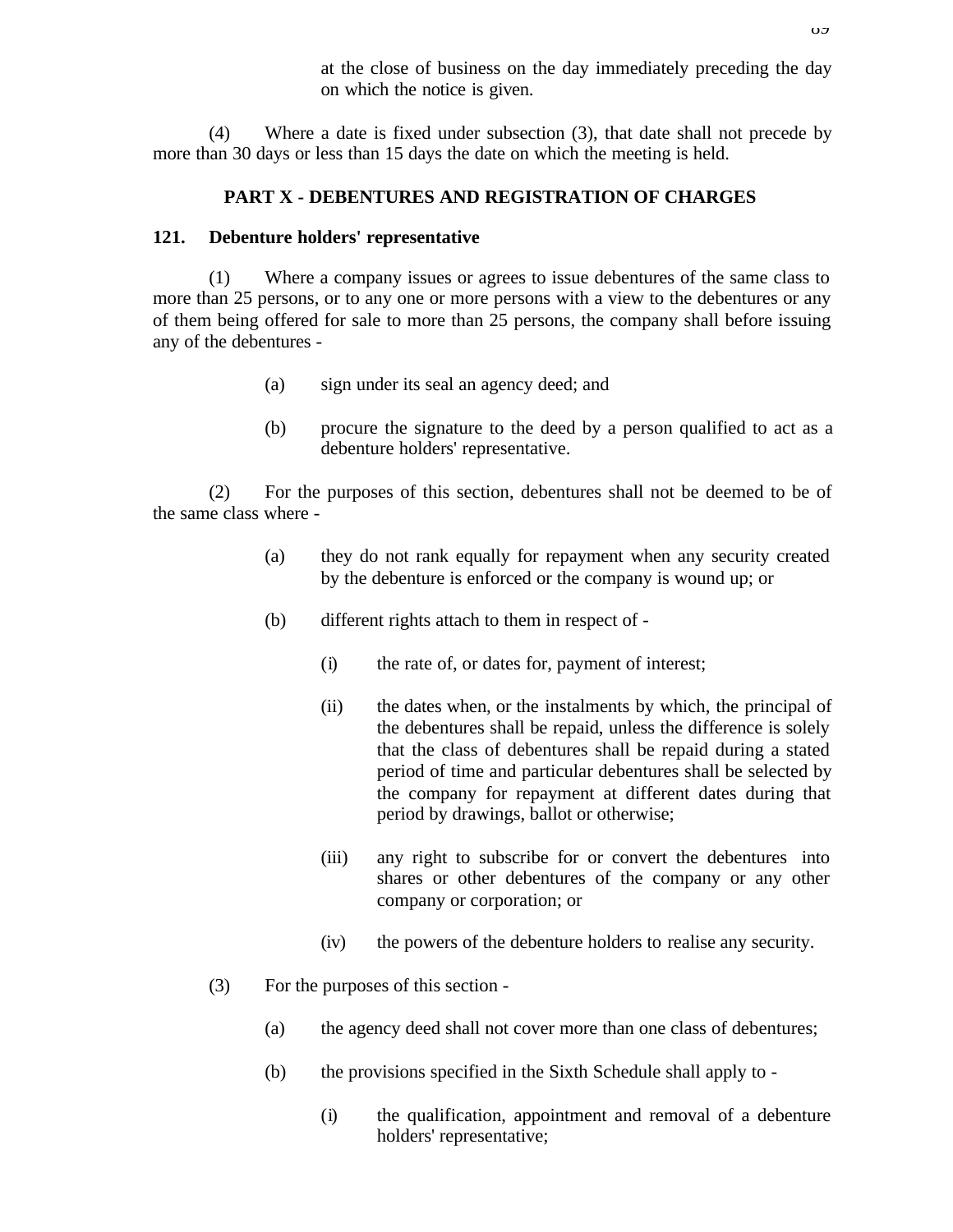at the close of business on the day immediately preceding the day on which the notice is given.

(4) Where a date is fixed under subsection (3), that date shall not precede by more than 30 days or less than 15 days the date on which the meeting is held.

### **PART X - DEBENTURES AND REGISTRATION OF CHARGES**

#### **121. Debenture holders' representative**

(1) Where a company issues or agrees to issue debentures of the same class to more than 25 persons, or to any one or more persons with a view to the debentures or any of them being offered for sale to more than 25 persons, the company shall before issuing any of the debentures -

- (a) sign under its seal an agency deed; and
- (b) procure the signature to the deed by a person qualified to act as a debenture holders' representative.

(2) For the purposes of this section, debentures shall not be deemed to be of the same class where -

- (a) they do not rank equally for repayment when any security created by the debenture is enforced or the company is wound up; or
- (b) different rights attach to them in respect of
	- (i) the rate of, or dates for, payment of interest;
	- (ii) the dates when, or the instalments by which, the principal of the debentures shall be repaid, unless the difference is solely that the class of debentures shall be repaid during a stated period of time and particular debentures shall be selected by the company for repayment at different dates during that period by drawings, ballot or otherwise;
	- (iii) any right to subscribe for or convert the debentures into shares or other debentures of the company or any other company or corporation; or
	- (iv) the powers of the debenture holders to realise any security.
- (3) For the purposes of this section
	- (a) the agency deed shall not cover more than one class of debentures;
	- (b) the provisions specified in the Sixth Schedule shall apply to
		- (i) the qualification, appointment and removal of a debenture holders' representative;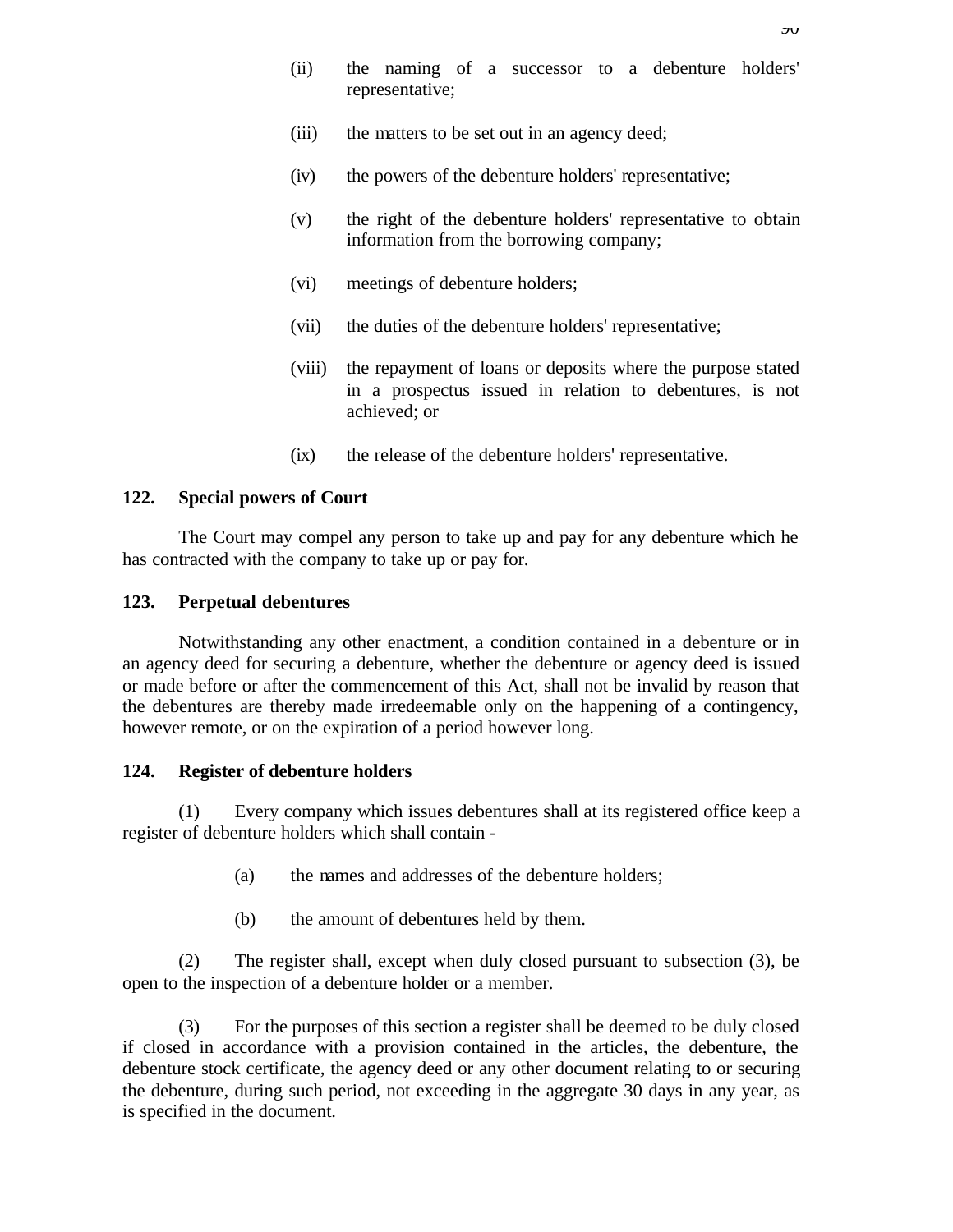- (ii) the naming of a successor to a debenture holders' representative;
- (iii) the matters to be set out in an agency deed;
- (iv) the powers of the debenture holders' representative;
- (v) the right of the debenture holders' representative to obtain information from the borrowing company;
- (vi) meetings of debenture holders;
- (vii) the duties of the debenture holders' representative;
- (viii) the repayment of loans or deposits where the purpose stated in a prospectus issued in relation to debentures, is not achieved; or
- (ix) the release of the debenture holders' representative.

#### **122. Special powers of Court**

The Court may compel any person to take up and pay for any debenture which he has contracted with the company to take up or pay for.

#### **123. Perpetual debentures**

Notwithstanding any other enactment, a condition contained in a debenture or in an agency deed for securing a debenture, whether the debenture or agency deed is issued or made before or after the commencement of this Act, shall not be invalid by reason that the debentures are thereby made irredeemable only on the happening of a contingency, however remote, or on the expiration of a period however long.

### **124. Register of debenture holders**

(1) Every company which issues debentures shall at its registered office keep a register of debenture holders which shall contain -

- (a) the names and addresses of the debenture holders;
- (b) the amount of debentures held by them.

(2) The register shall, except when duly closed pursuant to subsection (3), be open to the inspection of a debenture holder or a member.

(3) For the purposes of this section a register shall be deemed to be duly closed if closed in accordance with a provision contained in the articles, the debenture, the debenture stock certificate, the agency deed or any other document relating to or securing the debenture, during such period, not exceeding in the aggregate 30 days in any year, as is specified in the document.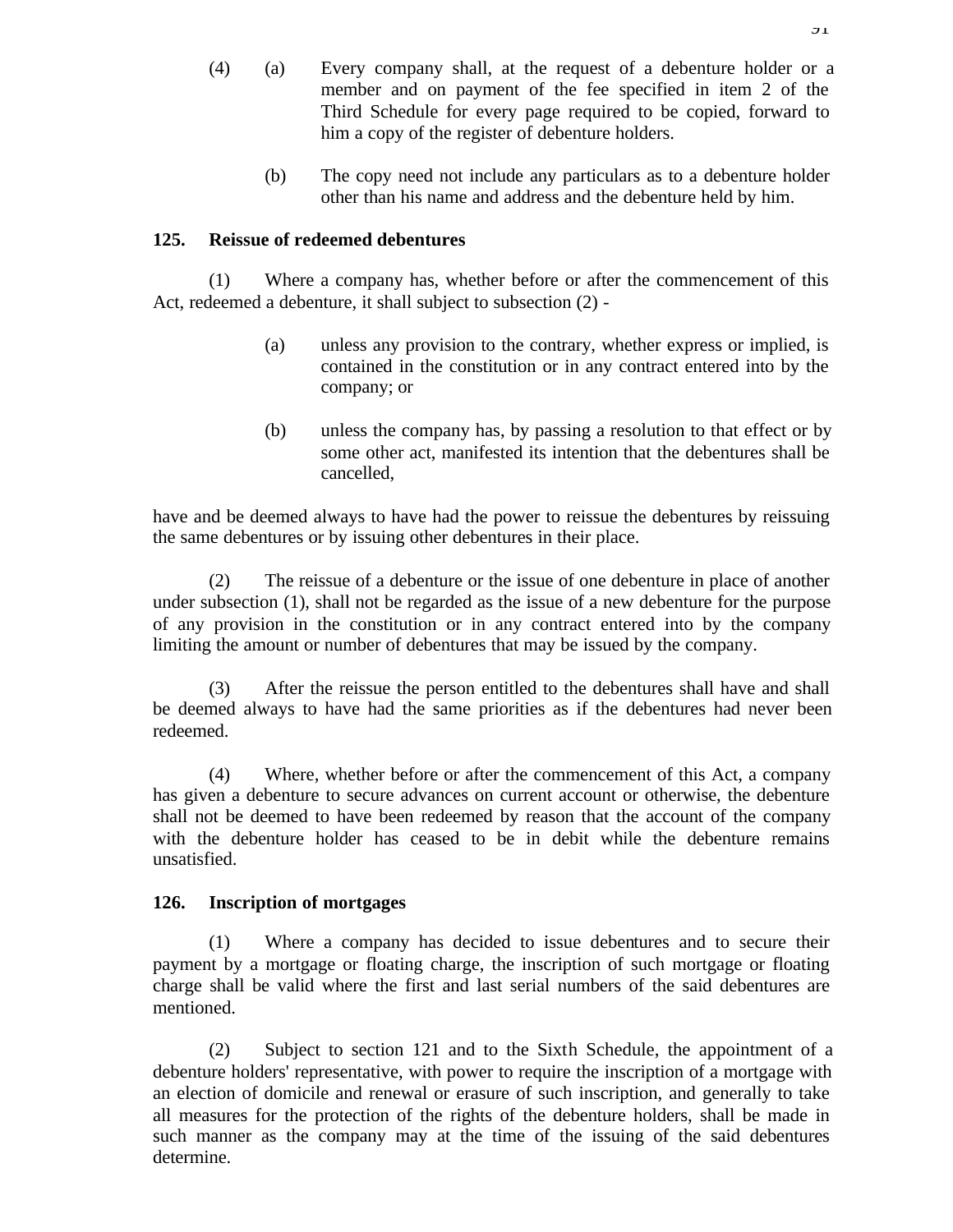- (4) (a) Every company shall, at the request of a debenture holder or a member and on payment of the fee specified in item 2 of the Third Schedule for every page required to be copied, forward to him a copy of the register of debenture holders.
	- (b) The copy need not include any particulars as to a debenture holder other than his name and address and the debenture held by him.

## **125. Reissue of redeemed debentures**

(1) Where a company has, whether before or after the commencement of this Act, redeemed a debenture, it shall subject to subsection (2) -

- (a) unless any provision to the contrary, whether express or implied, is contained in the constitution or in any contract entered into by the company; or
- (b) unless the company has, by passing a resolution to that effect or by some other act, manifested its intention that the debentures shall be cancelled,

have and be deemed always to have had the power to reissue the debentures by reissuing the same debentures or by issuing other debentures in their place.

(2) The reissue of a debenture or the issue of one debenture in place of another under subsection (1), shall not be regarded as the issue of a new debenture for the purpose of any provision in the constitution or in any contract entered into by the company limiting the amount or number of debentures that may be issued by the company.

(3) After the reissue the person entitled to the debentures shall have and shall be deemed always to have had the same priorities as if the debentures had never been redeemed.

(4) Where, whether before or after the commencement of this Act, a company has given a debenture to secure advances on current account or otherwise, the debenture shall not be deemed to have been redeemed by reason that the account of the company with the debenture holder has ceased to be in debit while the debenture remains unsatisfied.

#### **126. Inscription of mortgages**

(1) Where a company has decided to issue debentures and to secure their payment by a mortgage or floating charge, the inscription of such mortgage or floating charge shall be valid where the first and last serial numbers of the said debentures are mentioned.

(2) Subject to section 121 and to the Sixth Schedule, the appointment of a debenture holders' representative, with power to require the inscription of a mortgage with an election of domicile and renewal or erasure of such inscription, and generally to take all measures for the protection of the rights of the debenture holders, shall be made in such manner as the company may at the time of the issuing of the said debentures determine.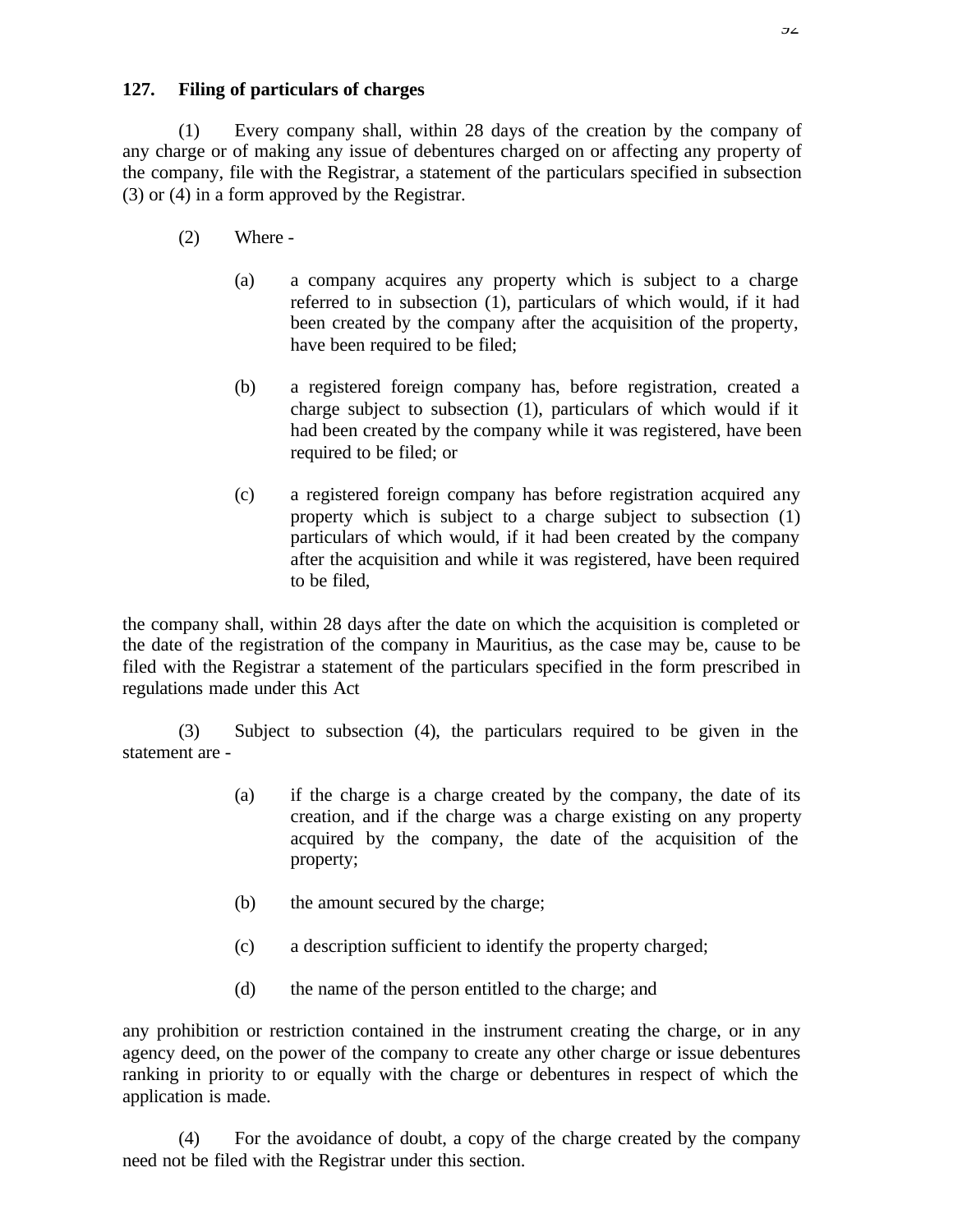## **127. Filing of particulars of charges**

(1) Every company shall, within 28 days of the creation by the company of any charge or of making any issue of debentures charged on or affecting any property of the company, file with the Registrar, a statement of the particulars specified in subsection (3) or (4) in a form approved by the Registrar.

- (2) Where
	- (a) a company acquires any property which is subject to a charge referred to in subsection (1), particulars of which would, if it had been created by the company after the acquisition of the property, have been required to be filed;
	- (b) a registered foreign company has, before registration, created a charge subject to subsection (1), particulars of which would if it had been created by the company while it was registered, have been required to be filed; or
	- (c) a registered foreign company has before registration acquired any property which is subject to a charge subject to subsection (1) particulars of which would, if it had been created by the company after the acquisition and while it was registered, have been required to be filed,

the company shall, within 28 days after the date on which the acquisition is completed or the date of the registration of the company in Mauritius, as the case may be, cause to be filed with the Registrar a statement of the particulars specified in the form prescribed in regulations made under this Act

(3) Subject to subsection (4), the particulars required to be given in the statement are -

- (a) if the charge is a charge created by the company, the date of its creation, and if the charge was a charge existing on any property acquired by the company, the date of the acquisition of the property;
- (b) the amount secured by the charge;
- (c) a description sufficient to identify the property charged;
- (d) the name of the person entitled to the charge; and

any prohibition or restriction contained in the instrument creating the charge, or in any agency deed, on the power of the company to create any other charge or issue debentures ranking in priority to or equally with the charge or debentures in respect of which the application is made.

(4) For the avoidance of doubt, a copy of the charge created by the company need not be filed with the Registrar under this section.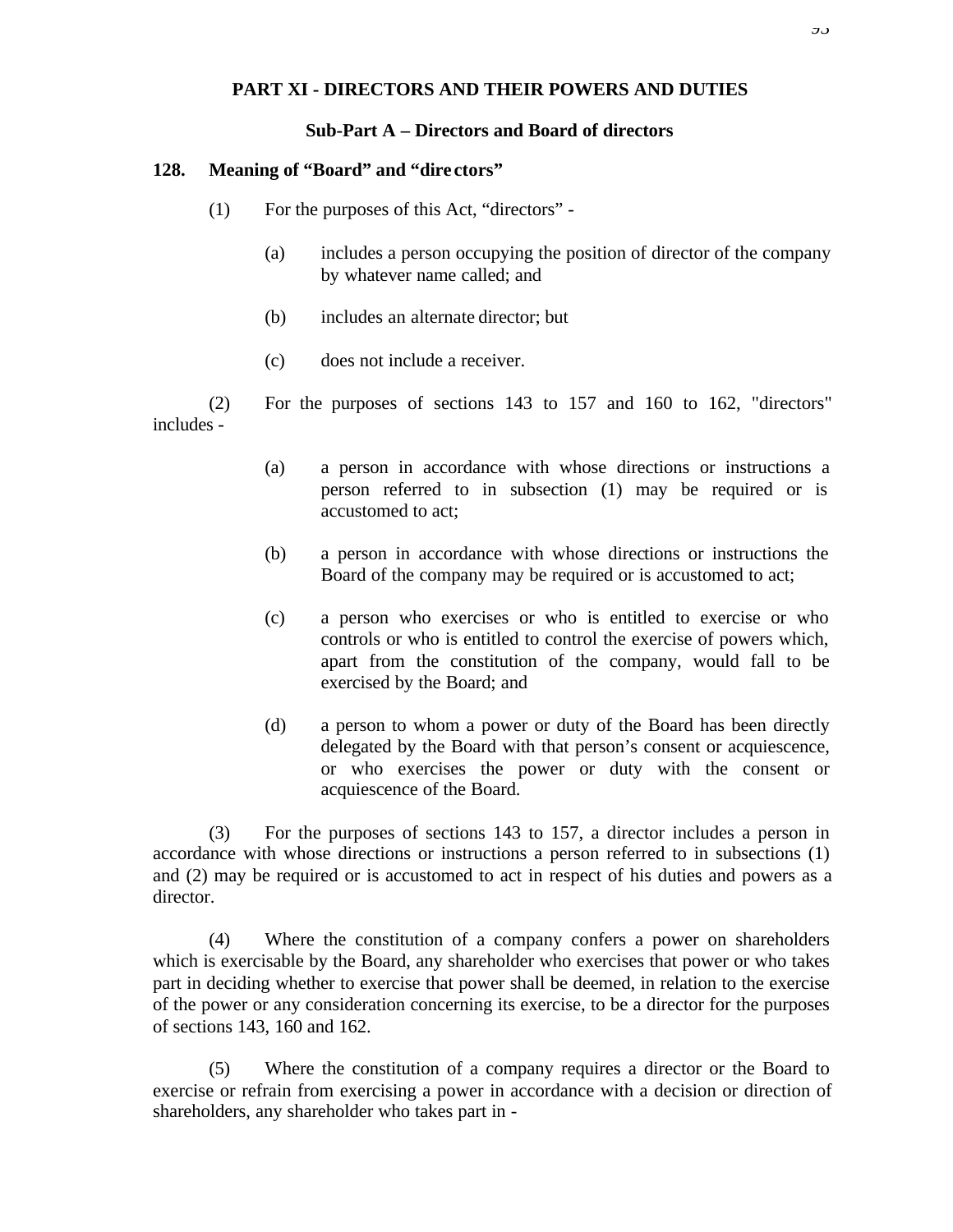### **PART XI - DIRECTORS AND THEIR POWERS AND DUTIES**

#### **Sub-Part A – Directors and Board of directors**

#### **128. Meaning of "Board" and "dire ctors"**

- (1) For the purposes of this Act, "directors"
	- (a) includes a person occupying the position of director of the company by whatever name called; and
	- (b) includes an alternate director; but
	- (c) does not include a receiver.

(2) For the purposes of sections 143 to 157 and 160 to 162, "directors" includes -

- (a) a person in accordance with whose directions or instructions a person referred to in subsection (1) may be required or is accustomed to act;
- (b) a person in accordance with whose directions or instructions the Board of the company may be required or is accustomed to act;
- (c) a person who exercises or who is entitled to exercise or who controls or who is entitled to control the exercise of powers which, apart from the constitution of the company, would fall to be exercised by the Board; and
- (d) a person to whom a power or duty of the Board has been directly delegated by the Board with that person's consent or acquiescence, or who exercises the power or duty with the consent or acquiescence of the Board.

(3) For the purposes of sections 143 to 157, a director includes a person in accordance with whose directions or instructions a person referred to in subsections (1) and (2) may be required or is accustomed to act in respect of his duties and powers as a director.

(4) Where the constitution of a company confers a power on shareholders which is exercisable by the Board, any shareholder who exercises that power or who takes part in deciding whether to exercise that power shall be deemed, in relation to the exercise of the power or any consideration concerning its exercise, to be a director for the purposes of sections 143, 160 and 162.

(5) Where the constitution of a company requires a director or the Board to exercise or refrain from exercising a power in accordance with a decision or direction of shareholders, any shareholder who takes part in -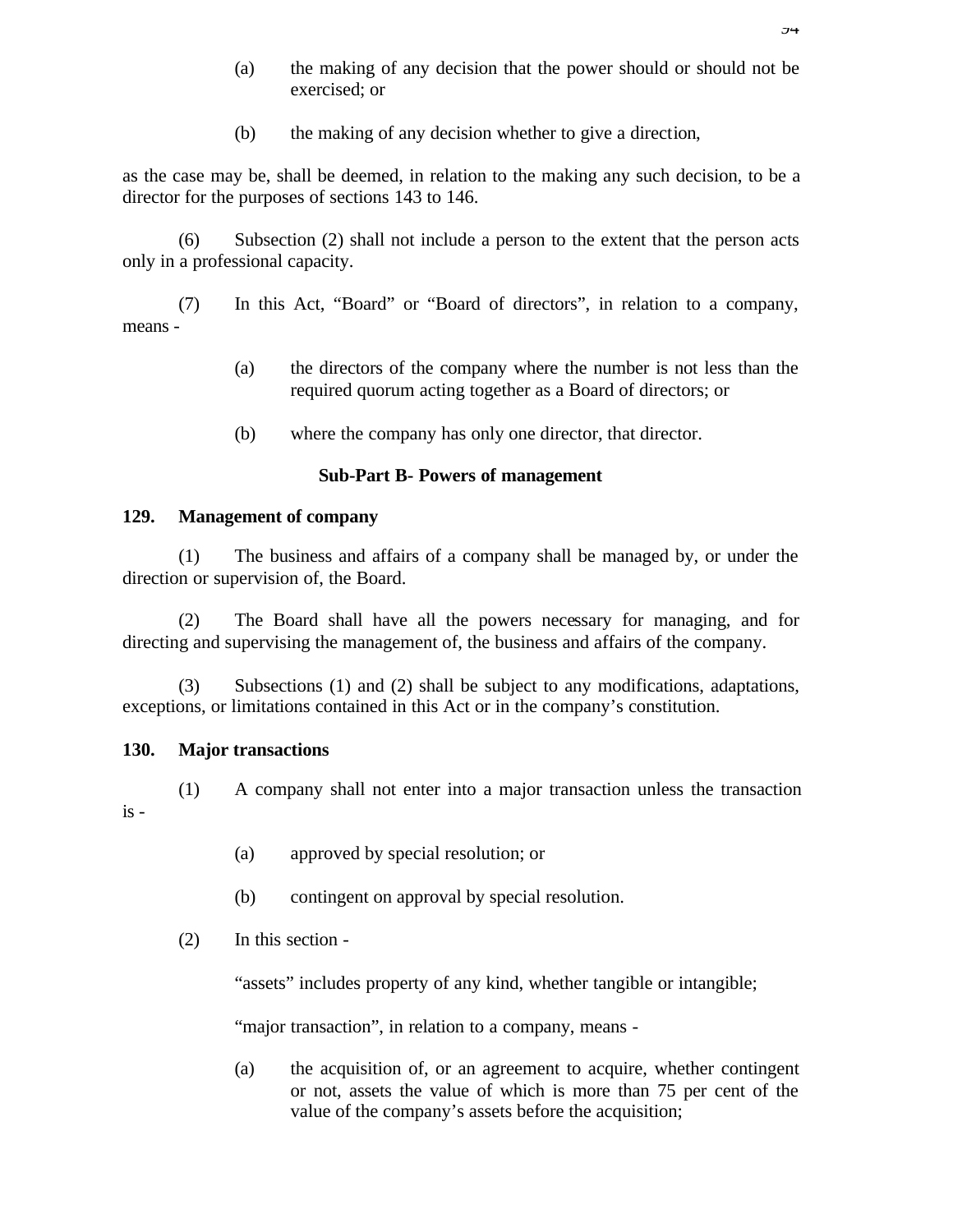- (a) the making of any decision that the power should or should not be exercised; or
- (b) the making of any decision whether to give a direction,

as the case may be, shall be deemed, in relation to the making any such decision, to be a director for the purposes of sections 143 to 146.

(6) Subsection (2) shall not include a person to the extent that the person acts only in a professional capacity.

(7) In this Act, "Board" or "Board of directors", in relation to a company, means -

- (a) the directors of the company where the number is not less than the required quorum acting together as a Board of directors; or
- (b) where the company has only one director, that director.

## **Sub-Part B- Powers of management**

## **129. Management of company**

(1) The business and affairs of a company shall be managed by, or under the direction or supervision of, the Board.

(2) The Board shall have all the powers necessary for managing, and for directing and supervising the management of, the business and affairs of the company.

(3) Subsections (1) and (2) shall be subject to any modifications, adaptations, exceptions, or limitations contained in this Act or in the company's constitution.

## **130. Major transactions**

(1) A company shall not enter into a major transaction unless the transaction is -

- (a) approved by special resolution; or
- (b) contingent on approval by special resolution.
- (2) In this section -

"assets" includes property of any kind, whether tangible or intangible;

"major transaction", in relation to a company, means -

(a) the acquisition of, or an agreement to acquire, whether contingent or not, assets the value of which is more than 75 per cent of the value of the company's assets before the acquisition;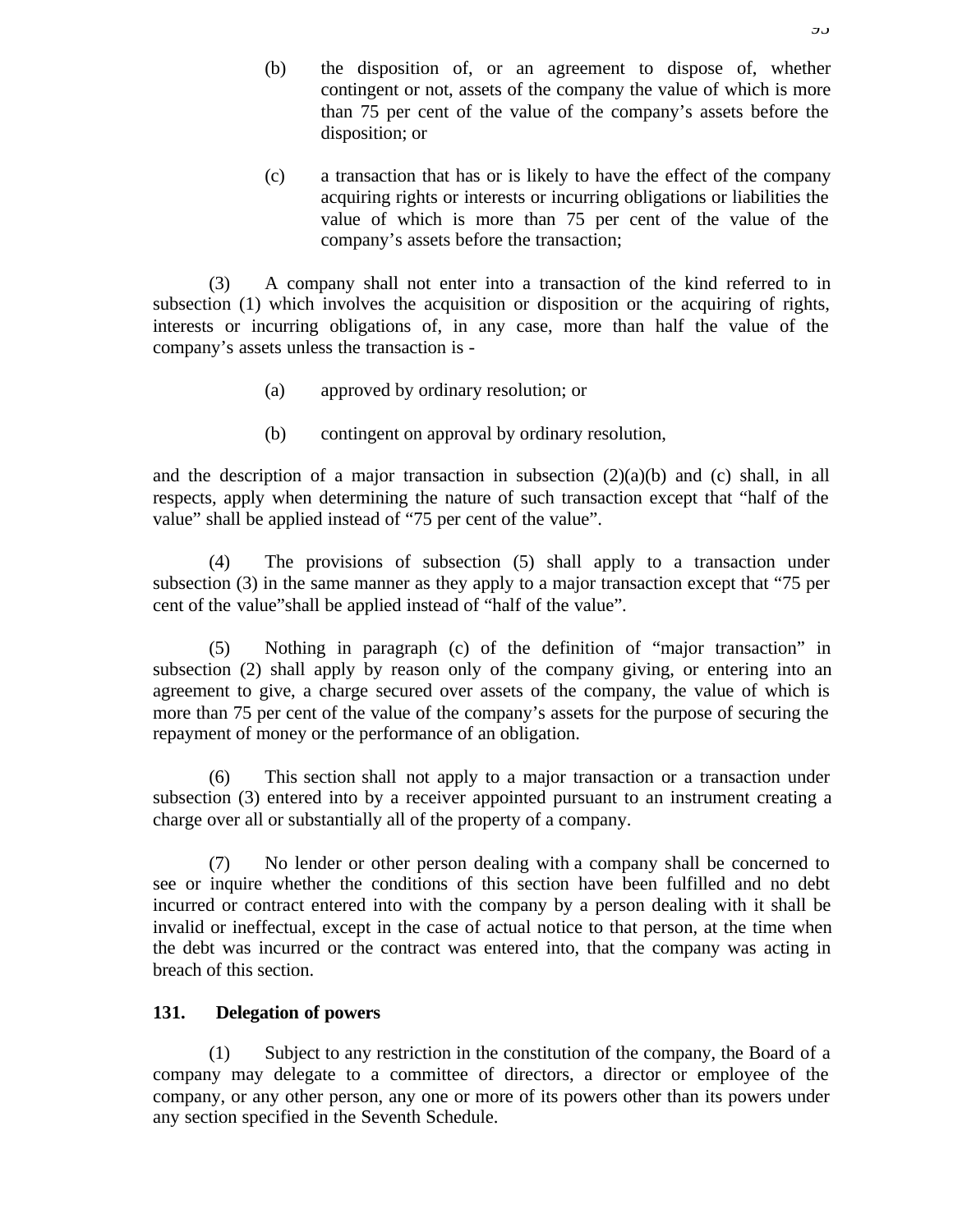- (b) the disposition of, or an agreement to dispose of, whether contingent or not, assets of the company the value of which is more than 75 per cent of the value of the company's assets before the disposition; or
- (c) a transaction that has or is likely to have the effect of the company acquiring rights or interests or incurring obligations or liabilities the value of which is more than 75 per cent of the value of the company's assets before the transaction;

(3) A company shall not enter into a transaction of the kind referred to in subsection (1) which involves the acquisition or disposition or the acquiring of rights, interests or incurring obligations of, in any case, more than half the value of the company's assets unless the transaction is -

- (a) approved by ordinary resolution; or
- (b) contingent on approval by ordinary resolution,

and the description of a major transaction in subsection  $(2)(a)(b)$  and  $(c)$  shall, in all respects, apply when determining the nature of such transaction except that "half of the value" shall be applied instead of "75 per cent of the value".

(4) The provisions of subsection (5) shall apply to a transaction under subsection (3) in the same manner as they apply to a major transaction except that "75 per cent of the value"shall be applied instead of "half of the value".

(5) Nothing in paragraph (c) of the definition of "major transaction" in subsection (2) shall apply by reason only of the company giving, or entering into an agreement to give, a charge secured over assets of the company, the value of which is more than 75 per cent of the value of the company's assets for the purpose of securing the repayment of money or the performance of an obligation.

(6) This section shall not apply to a major transaction or a transaction under subsection (3) entered into by a receiver appointed pursuant to an instrument creating a charge over all or substantially all of the property of a company.

(7) No lender or other person dealing with a company shall be concerned to see or inquire whether the conditions of this section have been fulfilled and no debt incurred or contract entered into with the company by a person dealing with it shall be invalid or ineffectual, except in the case of actual notice to that person, at the time when the debt was incurred or the contract was entered into, that the company was acting in breach of this section.

## **131. Delegation of powers**

(1) Subject to any restriction in the constitution of the company, the Board of a company may delegate to a committee of directors, a director or employee of the company, or any other person, any one or more of its powers other than its powers under any section specified in the Seventh Schedule.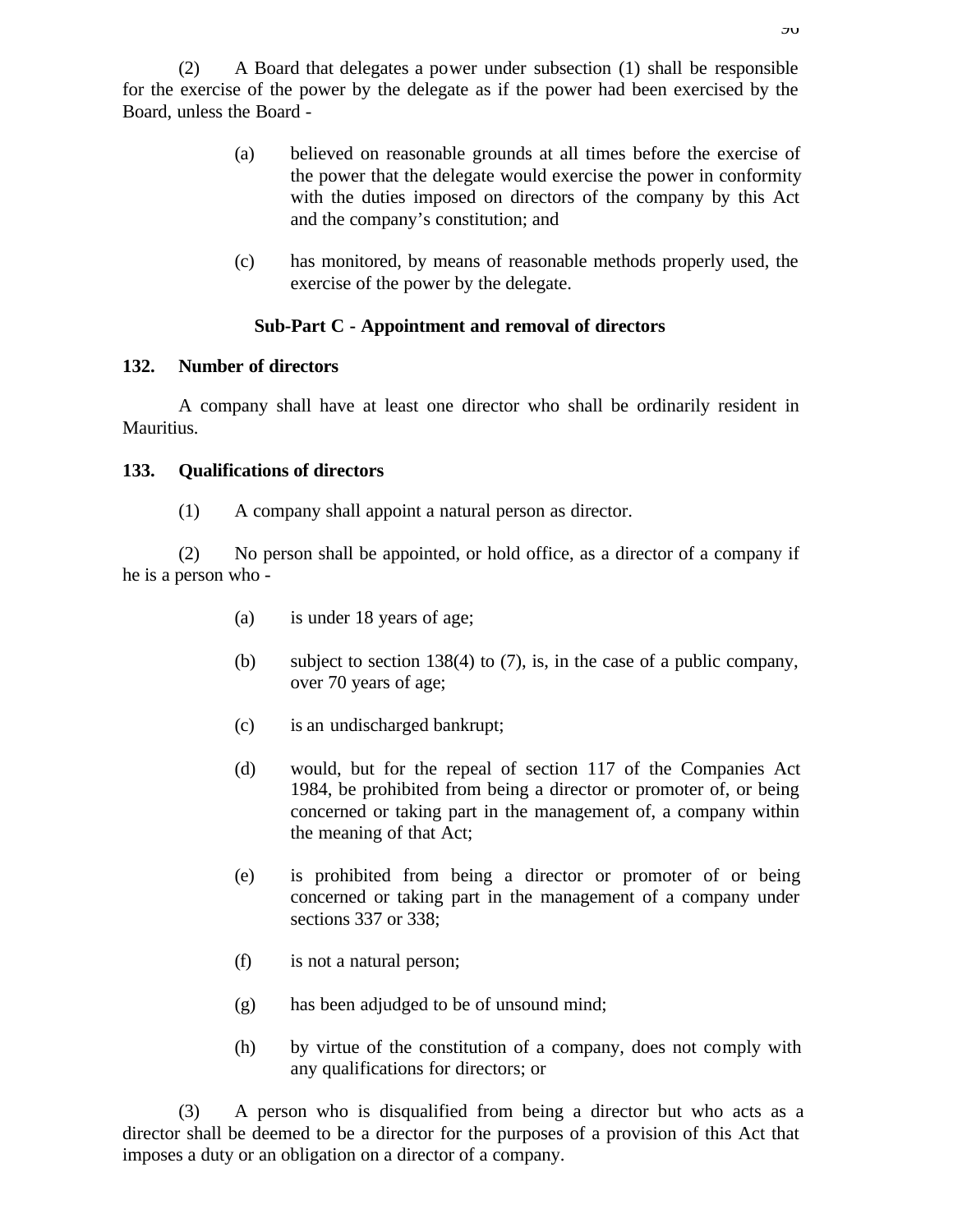(2) A Board that delegates a power under subsection (1) shall be responsible for the exercise of the power by the delegate as if the power had been exercised by the Board, unless the Board -

- (a) believed on reasonable grounds at all times before the exercise of the power that the delegate would exercise the power in conformity with the duties imposed on directors of the company by this Act and the company's constitution; and
- (c) has monitored, by means of reasonable methods properly used, the exercise of the power by the delegate.

#### **Sub-Part C - Appointment and removal of directors**

#### **132. Number of directors**

A company shall have at least one director who shall be ordinarily resident in Mauritius.

#### **133. Qualifications of directors**

(1) A company shall appoint a natural person as director.

(2) No person shall be appointed, or hold office, as a director of a company if he is a person who -

- (a) is under 18 years of age;
- (b) subject to section 138(4) to (7), is, in the case of a public company, over 70 years of age;
- (c) is an undischarged bankrupt;
- (d) would, but for the repeal of section 117 of the Companies Act 1984, be prohibited from being a director or promoter of, or being concerned or taking part in the management of, a company within the meaning of that Act;
- (e) is prohibited from being a director or promoter of or being concerned or taking part in the management of a company under sections 337 or 338;
- (f) is not a natural person;
- (g) has been adjudged to be of unsound mind;
- (h) by virtue of the constitution of a company, does not comply with any qualifications for directors; or

(3) A person who is disqualified from being a director but who acts as a director shall be deemed to be a director for the purposes of a provision of this Act that imposes a duty or an obligation on a director of a company.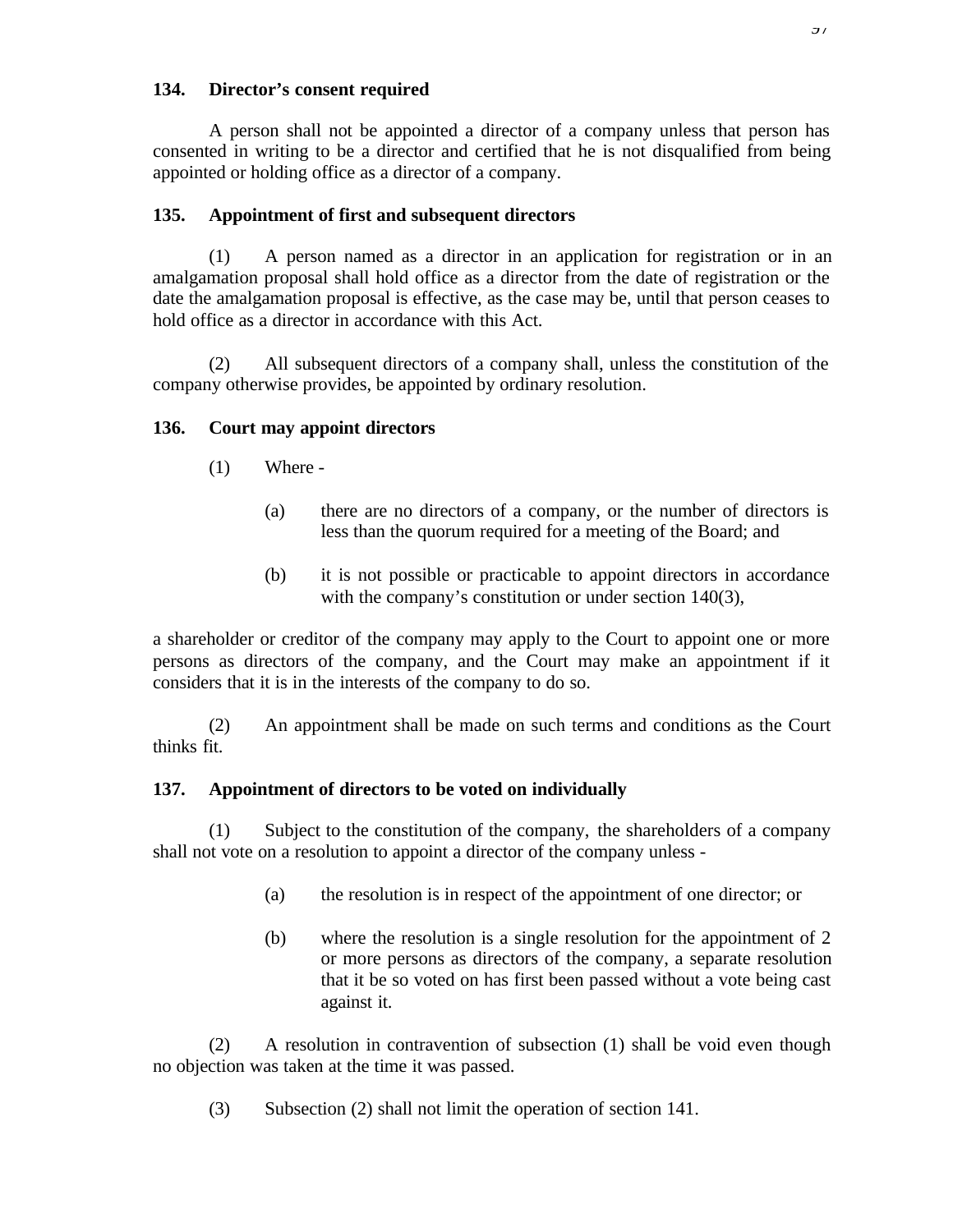## **134. Director's consent required**

A person shall not be appointed a director of a company unless that person has consented in writing to be a director and certified that he is not disqualified from being appointed or holding office as a director of a company.

# **135. Appointment of first and subsequent directors**

(1) A person named as a director in an application for registration or in an amalgamation proposal shall hold office as a director from the date of registration or the date the amalgamation proposal is effective, as the case may be, until that person ceases to hold office as a director in accordance with this Act.

(2) All subsequent directors of a company shall, unless the constitution of the company otherwise provides, be appointed by ordinary resolution.

# **136. Court may appoint directors**

- (1) Where
	- (a) there are no directors of a company, or the number of directors is less than the quorum required for a meeting of the Board; and
	- (b) it is not possible or practicable to appoint directors in accordance with the company's constitution or under section 140(3),

a shareholder or creditor of the company may apply to the Court to appoint one or more persons as directors of the company, and the Court may make an appointment if it considers that it is in the interests of the company to do so.

(2) An appointment shall be made on such terms and conditions as the Court thinks fit.

# **137. Appointment of directors to be voted on individually**

(1) Subject to the constitution of the company, the shareholders of a company shall not vote on a resolution to appoint a director of the company unless -

- (a) the resolution is in respect of the appointment of one director; or
- (b) where the resolution is a single resolution for the appointment of 2 or more persons as directors of the company, a separate resolution that it be so voted on has first been passed without a vote being cast against it.

(2) A resolution in contravention of subsection (1) shall be void even though no objection was taken at the time it was passed.

(3) Subsection (2) shall not limit the operation of section 141.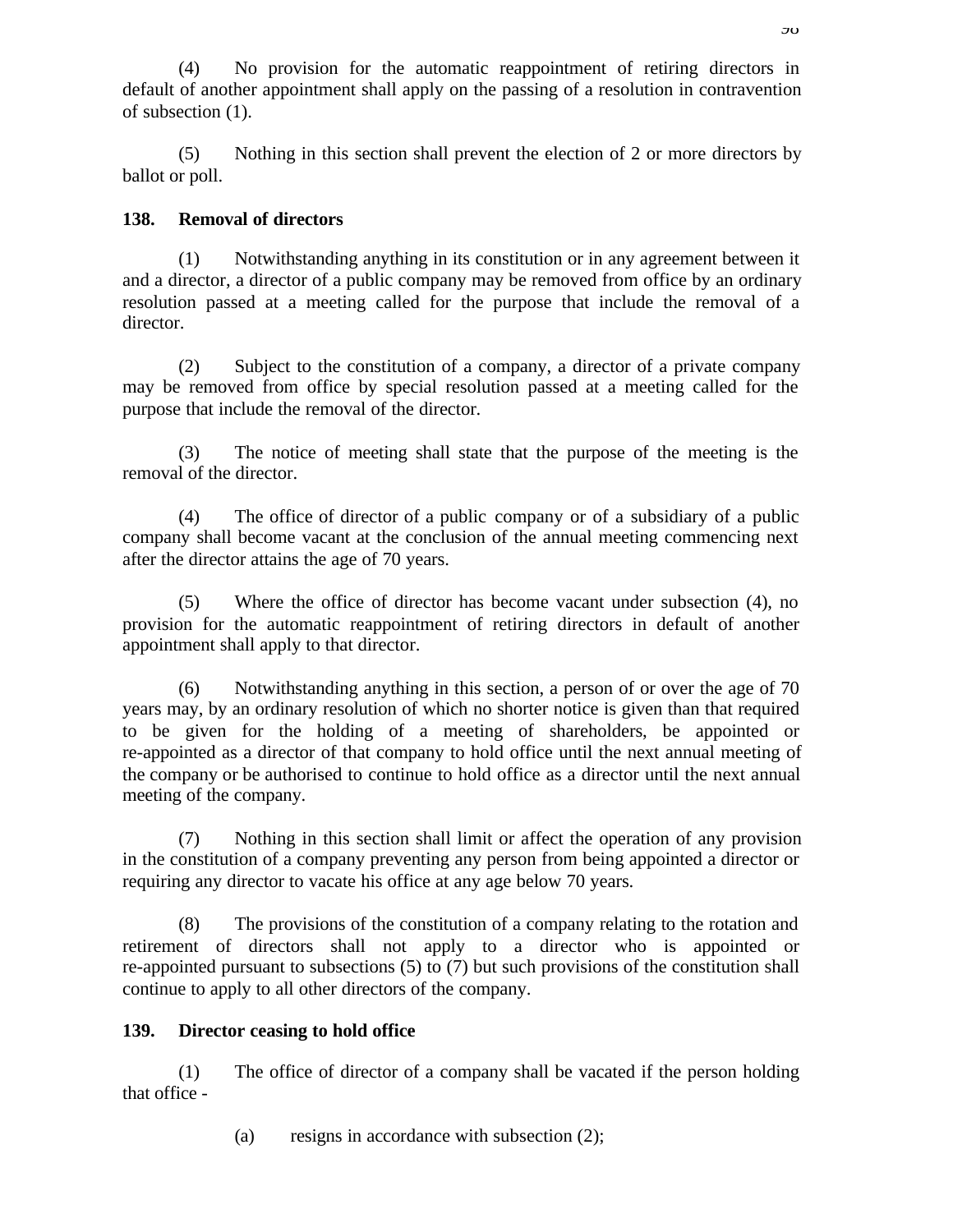(4) No provision for the automatic reappointment of retiring directors in default of another appointment shall apply on the passing of a resolution in contravention of subsection (1).

(5) Nothing in this section shall prevent the election of 2 or more directors by ballot or poll.

# **138. Removal of directors**

(1) Notwithstanding anything in its constitution or in any agreement between it and a director, a director of a public company may be removed from office by an ordinary resolution passed at a meeting called for the purpose that include the removal of a director.

(2) Subject to the constitution of a company, a director of a private company may be removed from office by special resolution passed at a meeting called for the purpose that include the removal of the director.

(3) The notice of meeting shall state that the purpose of the meeting is the removal of the director.

(4) The office of director of a public company or of a subsidiary of a public company shall become vacant at the conclusion of the annual meeting commencing next after the director attains the age of 70 years.

(5) Where the office of director has become vacant under subsection (4), no provision for the automatic reappointment of retiring directors in default of another appointment shall apply to that director.

(6) Notwithstanding anything in this section, a person of or over the age of 70 years may, by an ordinary resolution of which no shorter notice is given than that required to be given for the holding of a meeting of shareholders, be appointed or re-appointed as a director of that company to hold office until the next annual meeting of the company or be authorised to continue to hold office as a director until the next annual meeting of the company.

(7) Nothing in this section shall limit or affect the operation of any provision in the constitution of a company preventing any person from being appointed a director or requiring any director to vacate his office at any age below 70 years.

(8) The provisions of the constitution of a company relating to the rotation and retirement of directors shall not apply to a director who is appointed or re-appointed pursuant to subsections (5) to (7) but such provisions of the constitution shall continue to apply to all other directors of the company.

# **139. Director ceasing to hold office**

(1) The office of director of a company shall be vacated if the person holding that office -

(a) resigns in accordance with subsection (2);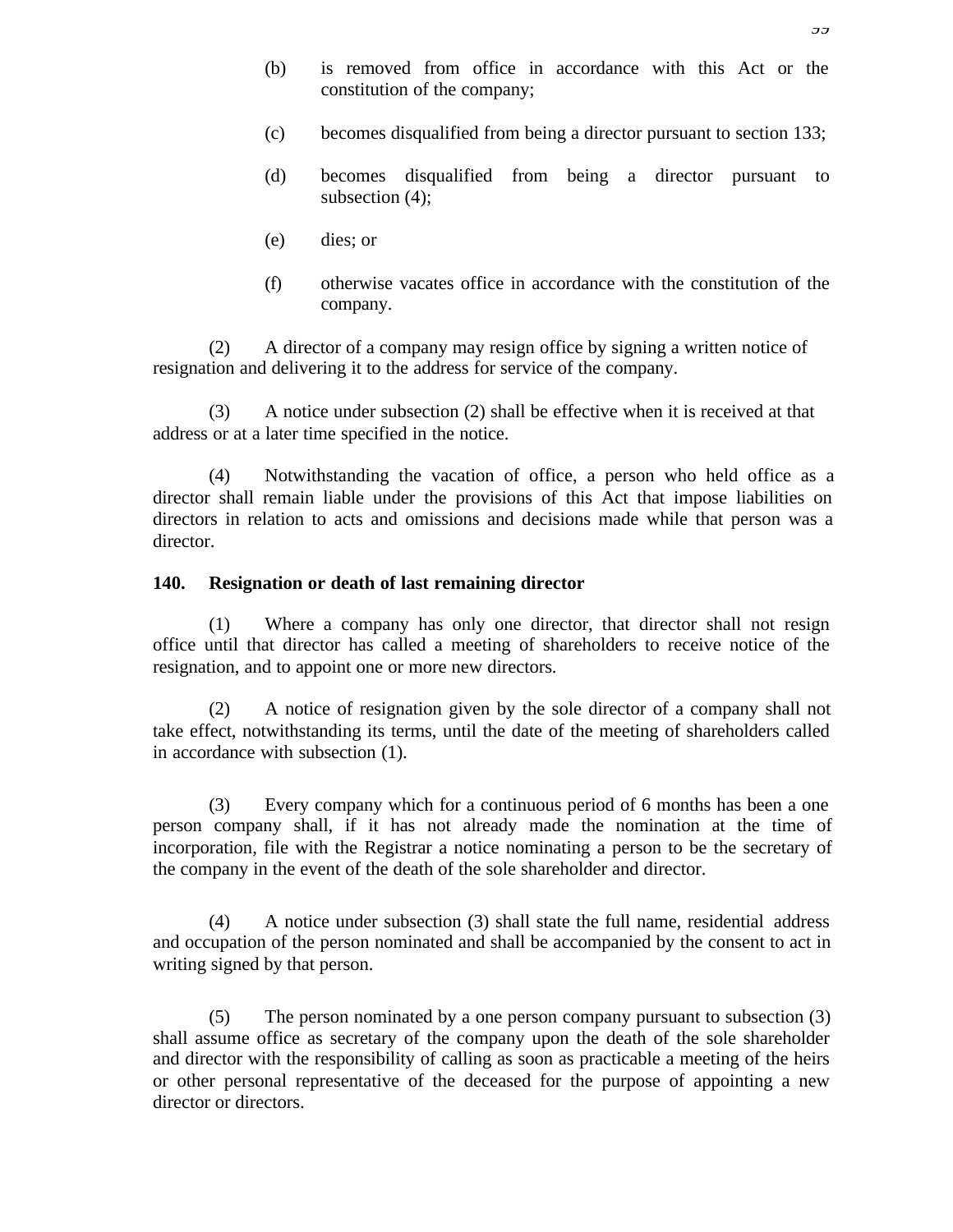- (b) is removed from office in accordance with this Act or the constitution of the company;
- (c) becomes disqualified from being a director pursuant to section 133;
- (d) becomes disqualified from being a director pursuant to subsection (4);
- (e) dies; or
- (f) otherwise vacates office in accordance with the constitution of the company.

(2) A director of a company may resign office by signing a written notice of resignation and delivering it to the address for service of the company.

(3) A notice under subsection (2) shall be effective when it is received at that address or at a later time specified in the notice.

(4) Notwithstanding the vacation of office, a person who held office as a director shall remain liable under the provisions of this Act that impose liabilities on directors in relation to acts and omissions and decisions made while that person was a director.

#### **140. Resignation or death of last remaining director**

(1) Where a company has only one director, that director shall not resign office until that director has called a meeting of shareholders to receive notice of the resignation, and to appoint one or more new directors.

(2) A notice of resignation given by the sole director of a company shall not take effect, notwithstanding its terms, until the date of the meeting of shareholders called in accordance with subsection (1).

(3) Every company which for a continuous period of 6 months has been a one person company shall, if it has not already made the nomination at the time of incorporation, file with the Registrar a notice nominating a person to be the secretary of the company in the event of the death of the sole shareholder and director.

(4) A notice under subsection (3) shall state the full name, residential address and occupation of the person nominated and shall be accompanied by the consent to act in writing signed by that person.

(5) The person nominated by a one person company pursuant to subsection (3) shall assume office as secretary of the company upon the death of the sole shareholder and director with the responsibility of calling as soon as practicable a meeting of the heirs or other personal representative of the deceased for the purpose of appointing a new director or directors.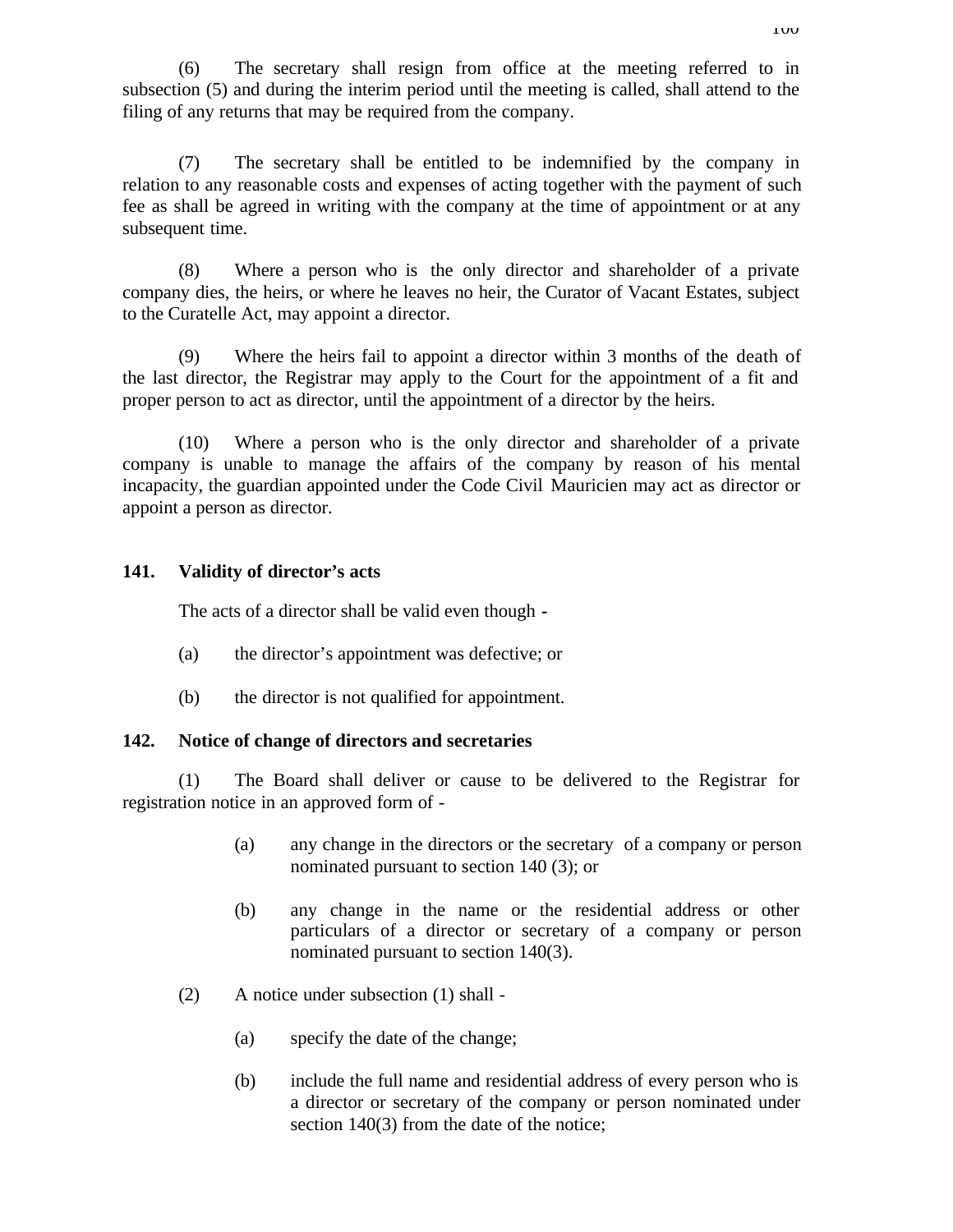(6) The secretary shall resign from office at the meeting referred to in subsection (5) and during the interim period until the meeting is called, shall attend to the filing of any returns that may be required from the company.

(7) The secretary shall be entitled to be indemnified by the company in relation to any reasonable costs and expenses of acting together with the payment of such fee as shall be agreed in writing with the company at the time of appointment or at any subsequent time.

(8) Where a person who is the only director and shareholder of a private company dies, the heirs, or where he leaves no heir, the Curator of Vacant Estates, subject to the Curatelle Act, may appoint a director.

(9) Where the heirs fail to appoint a director within 3 months of the death of the last director, the Registrar may apply to the Court for the appointment of a fit and proper person to act as director, until the appointment of a director by the heirs.

(10) Where a person who is the only director and shareholder of a private company is unable to manage the affairs of the company by reason of his mental incapacity, the guardian appointed under the Code Civil Mauricien may act as director or appoint a person as director.

## **141. Validity of director's acts**

The acts of a director shall be valid even though **-**

- (a) the director's appointment was defective; or
- (b) the director is not qualified for appointment.

## **142. Notice of change of directors and secretaries**

(1) The Board shall deliver or cause to be delivered to the Registrar for registration notice in an approved form of -

- (a) any change in the directors or the secretary of a company or person nominated pursuant to section 140 (3); or
- (b) any change in the name or the residential address or other particulars of a director or secretary of a company or person nominated pursuant to section 140(3).
- (2) A notice under subsection (1) shall
	- (a) specify the date of the change;
	- (b) include the full name and residential address of every person who is a director or secretary of the company or person nominated under section 140(3) from the date of the notice;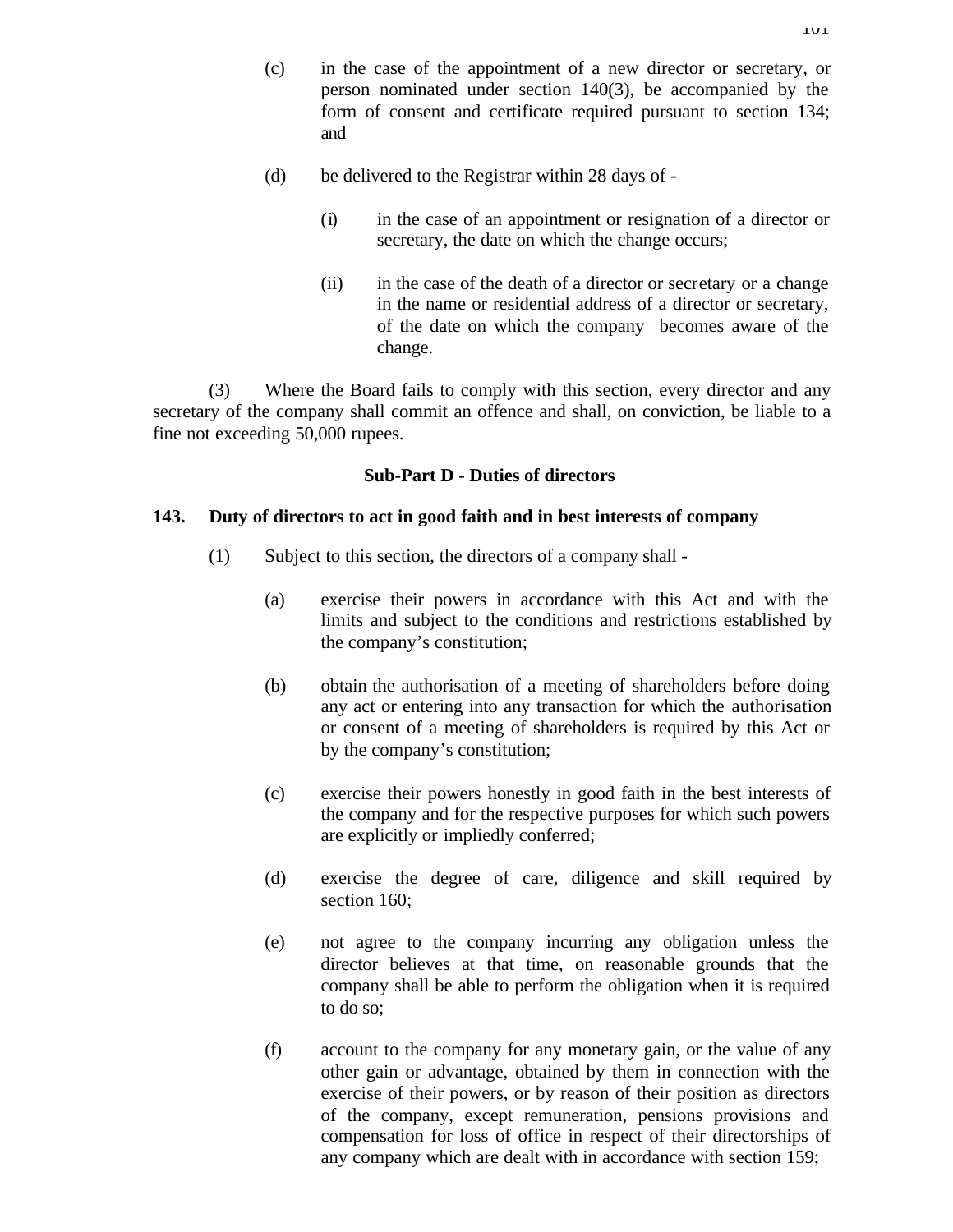- (d) be delivered to the Registrar within 28 days of
	- (i) in the case of an appointment or resignation of a director or secretary, the date on which the change occurs;
	- (ii) in the case of the death of a director or secretary or a change in the name or residential address of a director or secretary, of the date on which the company becomes aware of the change.

(3) Where the Board fails to comply with this section, every director and any secretary of the company shall commit an offence and shall, on conviction, be liable to a fine not exceeding 50,000 rupees.

# **Sub-Part D - Duties of directors**

## **143. Duty of directors to act in good faith and in best interests of company**

- (1) Subject to this section, the directors of a company shall
	- (a) exercise their powers in accordance with this Act and with the limits and subject to the conditions and restrictions established by the company's constitution;
	- (b) obtain the authorisation of a meeting of shareholders before doing any act or entering into any transaction for which the authorisation or consent of a meeting of shareholders is required by this Act or by the company's constitution;
	- (c) exercise their powers honestly in good faith in the best interests of the company and for the respective purposes for which such powers are explicitly or impliedly conferred;
	- (d) exercise the degree of care, diligence and skill required by section 160:
	- (e) not agree to the company incurring any obligation unless the director believes at that time, on reasonable grounds that the company shall be able to perform the obligation when it is required to do so;
	- (f) account to the company for any monetary gain, or the value of any other gain or advantage, obtained by them in connection with the exercise of their powers, or by reason of their position as directors of the company, except remuneration, pensions provisions and compensation for loss of office in respect of their directorships of any company which are dealt with in accordance with section 159;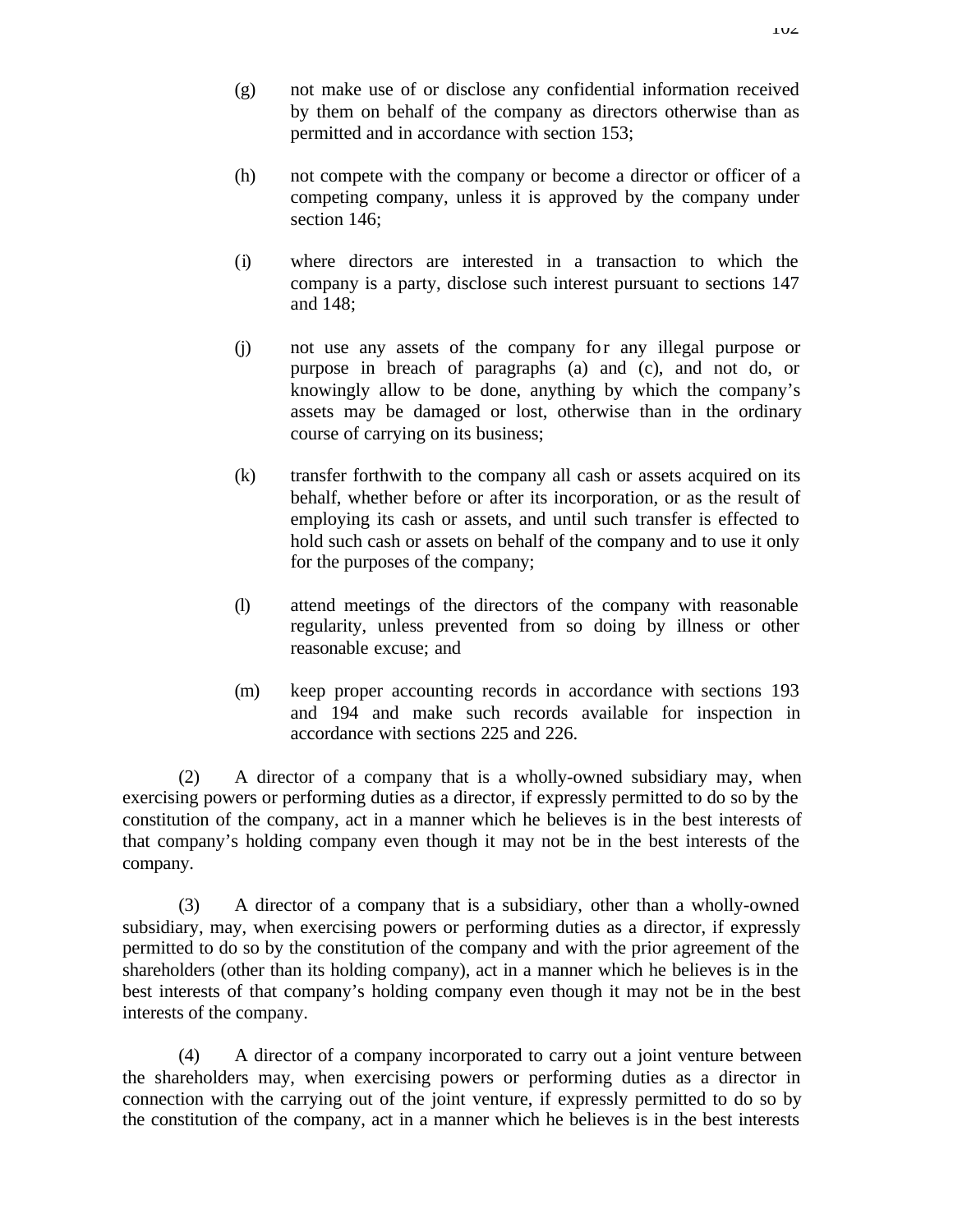- (g) not make use of or disclose any confidential information received by them on behalf of the company as directors otherwise than as permitted and in accordance with section 153;
- (h) not compete with the company or become a director or officer of a competing company, unless it is approved by the company under section 146;
- (i) where directors are interested in a transaction to which the company is a party, disclose such interest pursuant to sections 147 and 148;
- (j) not use any assets of the company for any illegal purpose or purpose in breach of paragraphs (a) and (c), and not do, or knowingly allow to be done, anything by which the company's assets may be damaged or lost, otherwise than in the ordinary course of carrying on its business;
- (k) transfer forthwith to the company all cash or assets acquired on its behalf, whether before or after its incorporation, or as the result of employing its cash or assets, and until such transfer is effected to hold such cash or assets on behalf of the company and to use it only for the purposes of the company;
- (l) attend meetings of the directors of the company with reasonable regularity, unless prevented from so doing by illness or other reasonable excuse; and
- (m) keep proper accounting records in accordance with sections 193 and 194 and make such records available for inspection in accordance with sections 225 and 226.

(2) A director of a company that is a wholly-owned subsidiary may, when exercising powers or performing duties as a director, if expressly permitted to do so by the constitution of the company, act in a manner which he believes is in the best interests of that company's holding company even though it may not be in the best interests of the company.

(3) A director of a company that is a subsidiary, other than a wholly-owned subsidiary, may, when exercising powers or performing duties as a director, if expressly permitted to do so by the constitution of the company and with the prior agreement of the shareholders (other than its holding company), act in a manner which he believes is in the best interests of that company's holding company even though it may not be in the best interests of the company.

(4) A director of a company incorporated to carry out a joint venture between the shareholders may, when exercising powers or performing duties as a director in connection with the carrying out of the joint venture, if expressly permitted to do so by the constitution of the company, act in a manner which he believes is in the best interests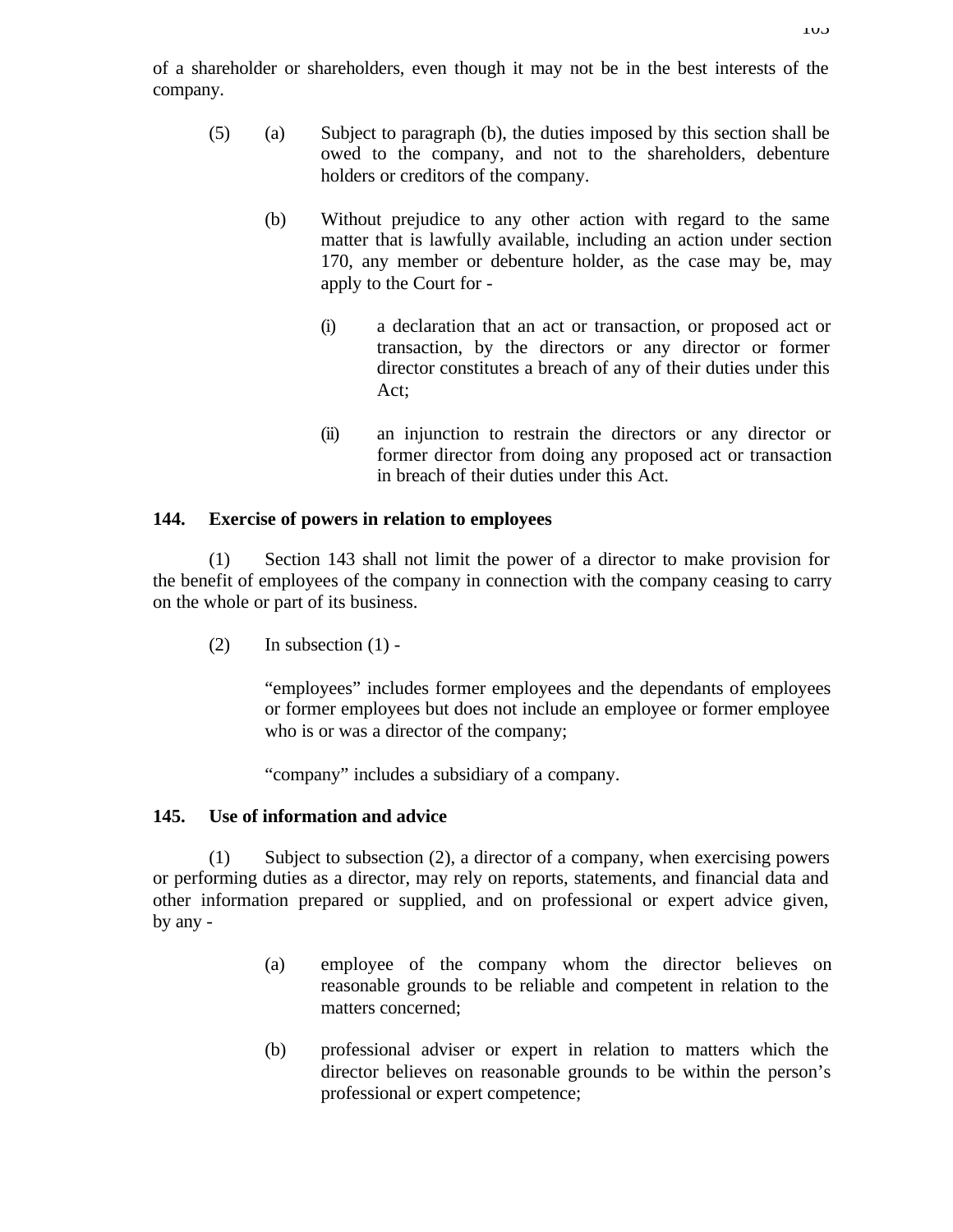of a shareholder or shareholders, even though it may not be in the best interests of the company.

- (5) (a) Subject to paragraph (b), the duties imposed by this section shall be owed to the company, and not to the shareholders, debenture holders or creditors of the company.
	- (b) Without prejudice to any other action with regard to the same matter that is lawfully available, including an action under section 170, any member or debenture holder, as the case may be, may apply to the Court for -
		- (i) a declaration that an act or transaction, or proposed act or transaction, by the directors or any director or former director constitutes a breach of any of their duties under this Act;
		- (ii) an injunction to restrain the directors or any director or former director from doing any proposed act or transaction in breach of their duties under this Act.

### **144. Exercise of powers in relation to employees**

(1) Section 143 shall not limit the power of a director to make provision for the benefit of employees of the company in connection with the company ceasing to carry on the whole or part of its business.

 $(2)$  In subsection  $(1)$  -

"employees" includes former employees and the dependants of employees or former employees but does not include an employee or former employee who is or was a director of the company;

"company" includes a subsidiary of a company.

## **145. Use of information and advice**

(1) Subject to subsection (2), a director of a company, when exercising powers or performing duties as a director, may rely on reports, statements, and financial data and other information prepared or supplied, and on professional or expert advice given, by any -

- (a) employee of the company whom the director believes on reasonable grounds to be reliable and competent in relation to the matters concerned;
- (b) professional adviser or expert in relation to matters which the director believes on reasonable grounds to be within the person's professional or expert competence;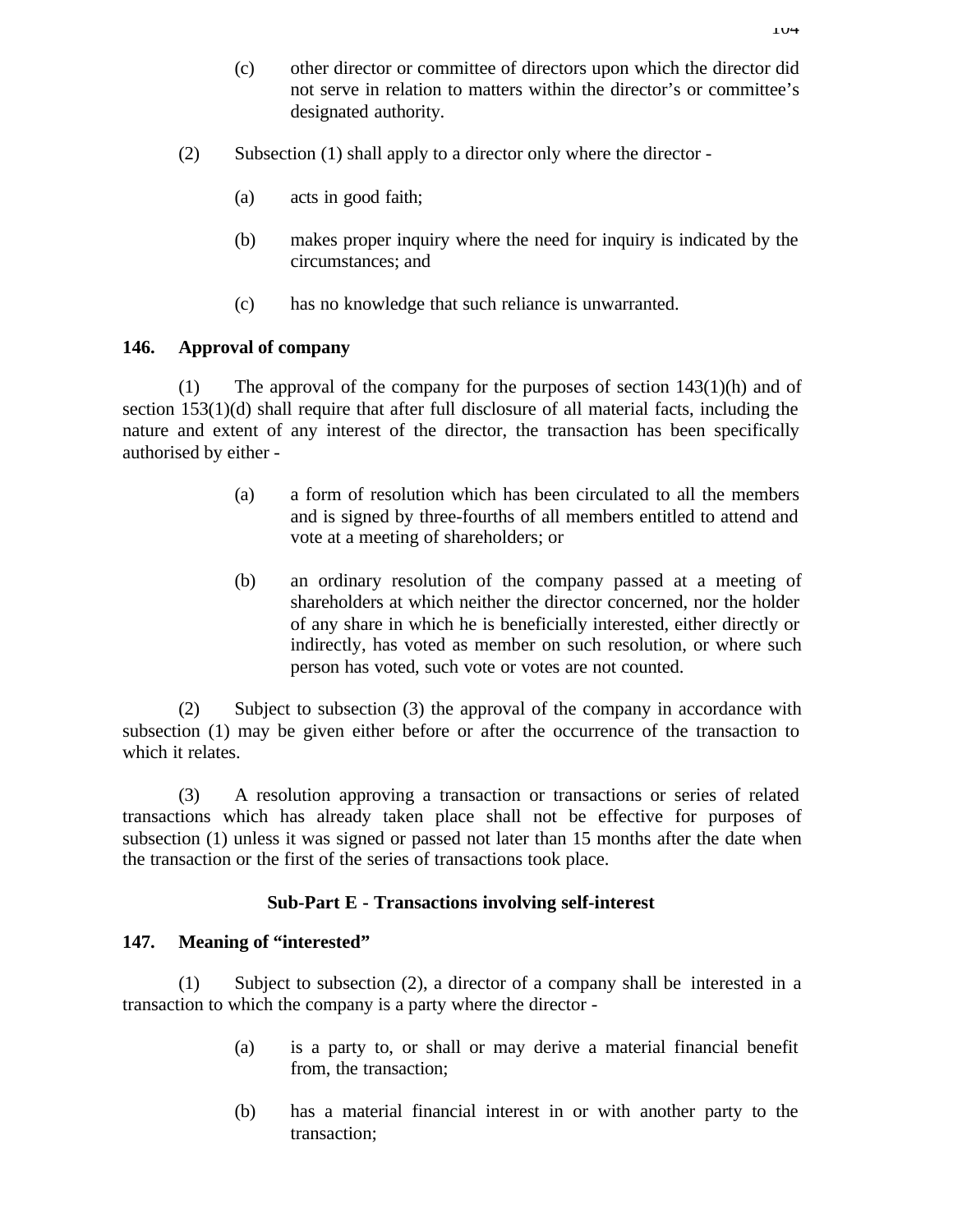- (c) other director or committee of directors upon which the director did not serve in relation to matters within the director's or committee's designated authority.
- (2) Subsection (1) shall apply to a director only where the director
	- (a) acts in good faith;
	- (b) makes proper inquiry where the need for inquiry is indicated by the circumstances; and
	- (c) has no knowledge that such reliance is unwarranted.

### **146. Approval of company**

(1) The approval of the company for the purposes of section  $143(1)(h)$  and of section 153(1)(d) shall require that after full disclosure of all material facts, including the nature and extent of any interest of the director, the transaction has been specifically authorised by either -

- (a) a form of resolution which has been circulated to all the members and is signed by three-fourths of all members entitled to attend and vote at a meeting of shareholders; or
- (b) an ordinary resolution of the company passed at a meeting of shareholders at which neither the director concerned, nor the holder of any share in which he is beneficially interested, either directly or indirectly, has voted as member on such resolution, or where such person has voted, such vote or votes are not counted.

(2) Subject to subsection (3) the approval of the company in accordance with subsection (1) may be given either before or after the occurrence of the transaction to which it relates.

(3) A resolution approving a transaction or transactions or series of related transactions which has already taken place shall not be effective for purposes of subsection (1) unless it was signed or passed not later than 15 months after the date when the transaction or the first of the series of transactions took place.

## **Sub-Part E - Transactions involving self-interest**

### **147. Meaning of "interested"**

(1) Subject to subsection (2), a director of a company shall be interested in a transaction to which the company is a party where the director -

- (a) is a party to, or shall or may derive a material financial benefit from, the transaction;
- (b) has a material financial interest in or with another party to the transaction;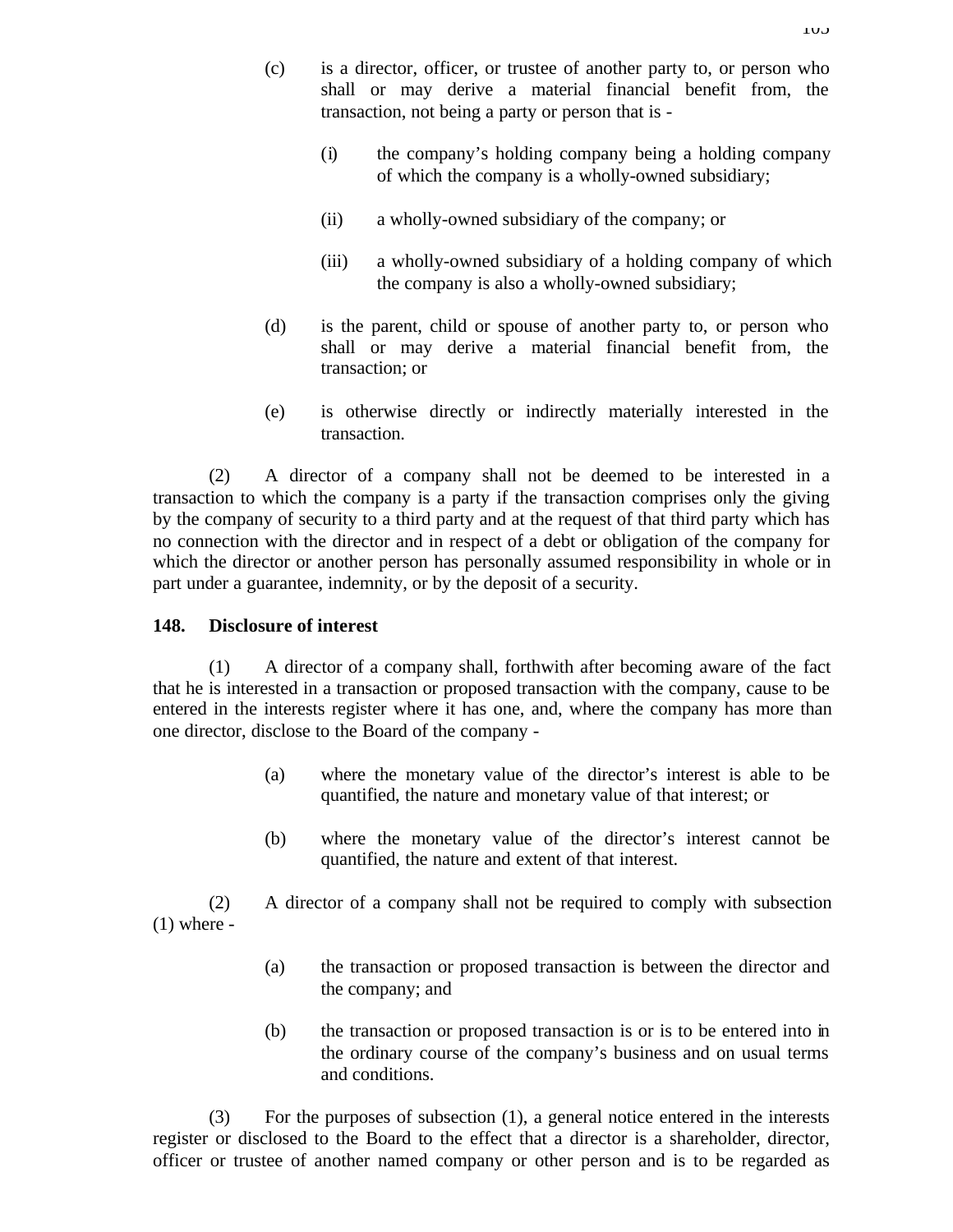- (i) the company's holding company being a holding company of which the company is a wholly-owned subsidiary;
- (ii) a wholly-owned subsidiary of the company; or
- (iii) a wholly-owned subsidiary of a holding company of which the company is also a wholly-owned subsidiary;
- (d) is the parent, child or spouse of another party to, or person who shall or may derive a material financial benefit from, the transaction; or
- (e) is otherwise directly or indirectly materially interested in the transaction.

(2) A director of a company shall not be deemed to be interested in a transaction to which the company is a party if the transaction comprises only the giving by the company of security to a third party and at the request of that third party which has no connection with the director and in respect of a debt or obligation of the company for which the director or another person has personally assumed responsibility in whole or in part under a guarantee, indemnity, or by the deposit of a security.

# **148. Disclosure of interest**

(1) A director of a company shall, forthwith after becoming aware of the fact that he is interested in a transaction or proposed transaction with the company, cause to be entered in the interests register where it has one, and, where the company has more than one director, disclose to the Board of the company -

- (a) where the monetary value of the director's interest is able to be quantified, the nature and monetary value of that interest; or
- (b) where the monetary value of the director's interest cannot be quantified, the nature and extent of that interest.

(2) A director of a company shall not be required to comply with subsection  $(1)$  where -

- (a) the transaction or proposed transaction is between the director and the company; and
- (b) the transaction or proposed transaction is or is to be entered into in the ordinary course of the company's business and on usual terms and conditions.

(3) For the purposes of subsection (1), a general notice entered in the interests register or disclosed to the Board to the effect that a director is a shareholder, director, officer or trustee of another named company or other person and is to be regarded as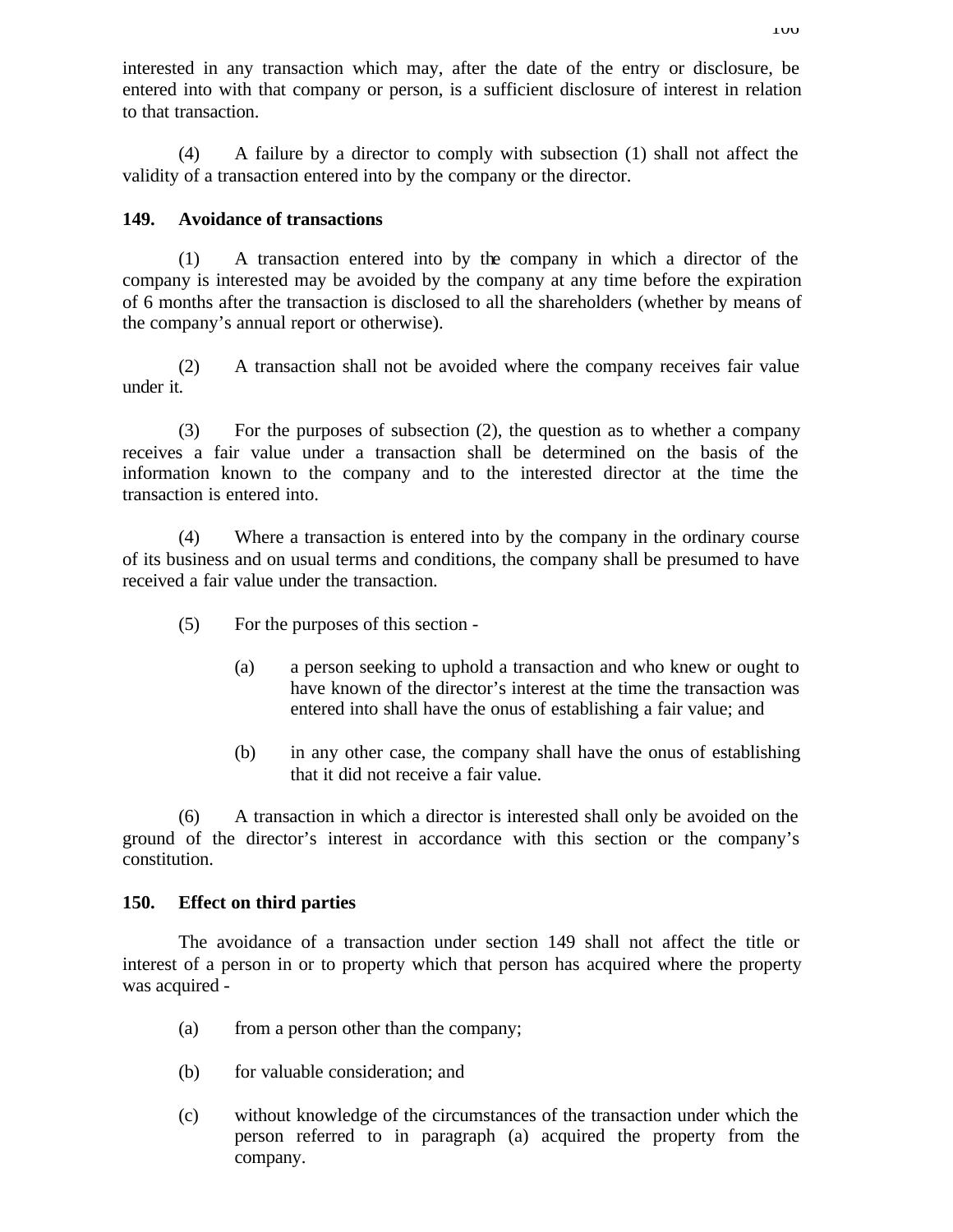interested in any transaction which may, after the date of the entry or disclosure, be entered into with that company or person, is a sufficient disclosure of interest in relation to that transaction.

(4) A failure by a director to comply with subsection (1) shall not affect the validity of a transaction entered into by the company or the director.

## **149. Avoidance of transactions**

(1) A transaction entered into by the company in which a director of the company is interested may be avoided by the company at any time before the expiration of 6 months after the transaction is disclosed to all the shareholders (whether by means of the company's annual report or otherwise).

(2) A transaction shall not be avoided where the company receives fair value under it.

(3) For the purposes of subsection (2), the question as to whether a company receives a fair value under a transaction shall be determined on the basis of the information known to the company and to the interested director at the time the transaction is entered into.

(4) Where a transaction is entered into by the company in the ordinary course of its business and on usual terms and conditions, the company shall be presumed to have received a fair value under the transaction.

- (5) For the purposes of this section
	- (a) a person seeking to uphold a transaction and who knew or ought to have known of the director's interest at the time the transaction was entered into shall have the onus of establishing a fair value; and
	- (b) in any other case, the company shall have the onus of establishing that it did not receive a fair value.

(6) A transaction in which a director is interested shall only be avoided on the ground of the director's interest in accordance with this section or the company's constitution.

## **150. Effect on third parties**

The avoidance of a transaction under section 149 shall not affect the title or interest of a person in or to property which that person has acquired where the property was acquired -

- (a) from a person other than the company;
- (b) for valuable consideration; and
- (c) without knowledge of the circumstances of the transaction under which the person referred to in paragraph (a) acquired the property from the company.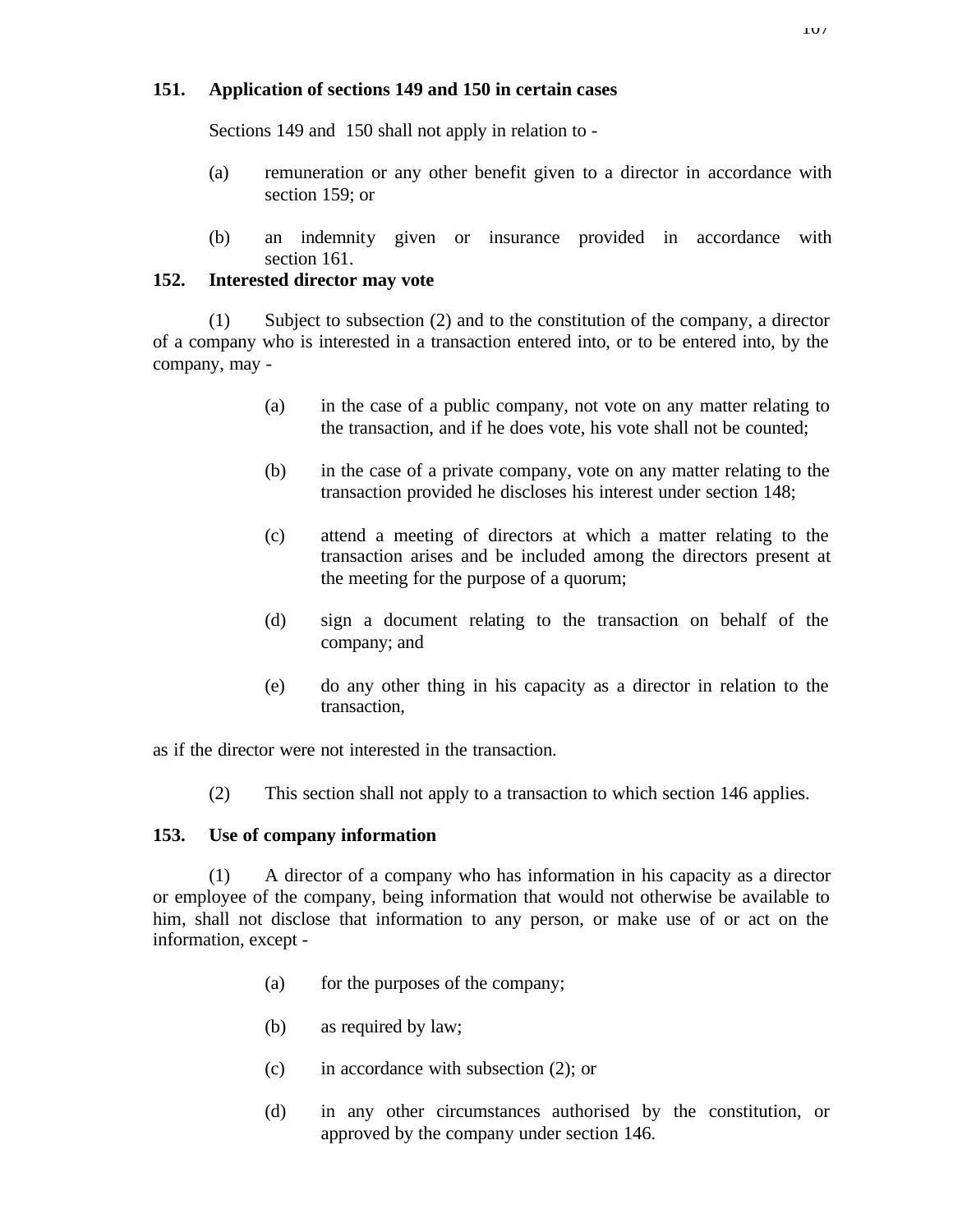## **151. Application of sections 149 and 150 in certain cases**

Sections 149 and 150 shall not apply in relation to -

- (a) remuneration or any other benefit given to a director in accordance with section 159; or
- (b) an indemnity given or insurance provided in accordance with section 161.

## **152. Interested director may vote**

(1) Subject to subsection (2) and to the constitution of the company, a director of a company who is interested in a transaction entered into, or to be entered into, by the company, may -

- (a) in the case of a public company, not vote on any matter relating to the transaction, and if he does vote, his vote shall not be counted;
- (b) in the case of a private company, vote on any matter relating to the transaction provided he discloses his interest under section 148;
- (c) attend a meeting of directors at which a matter relating to the transaction arises and be included among the directors present at the meeting for the purpose of a quorum;
- (d) sign a document relating to the transaction on behalf of the company; and
- (e) do any other thing in his capacity as a director in relation to the transaction,

as if the director were not interested in the transaction.

(2) This section shall not apply to a transaction to which section 146 applies.

# **153. Use of company information**

(1) A director of a company who has information in his capacity as a director or employee of the company, being information that would not otherwise be available to him, shall not disclose that information to any person, or make use of or act on the information, except -

- (a) for the purposes of the company;
- (b) as required by law;
- (c) in accordance with subsection (2); or
- (d) in any other circumstances authorised by the constitution, or approved by the company under section 146.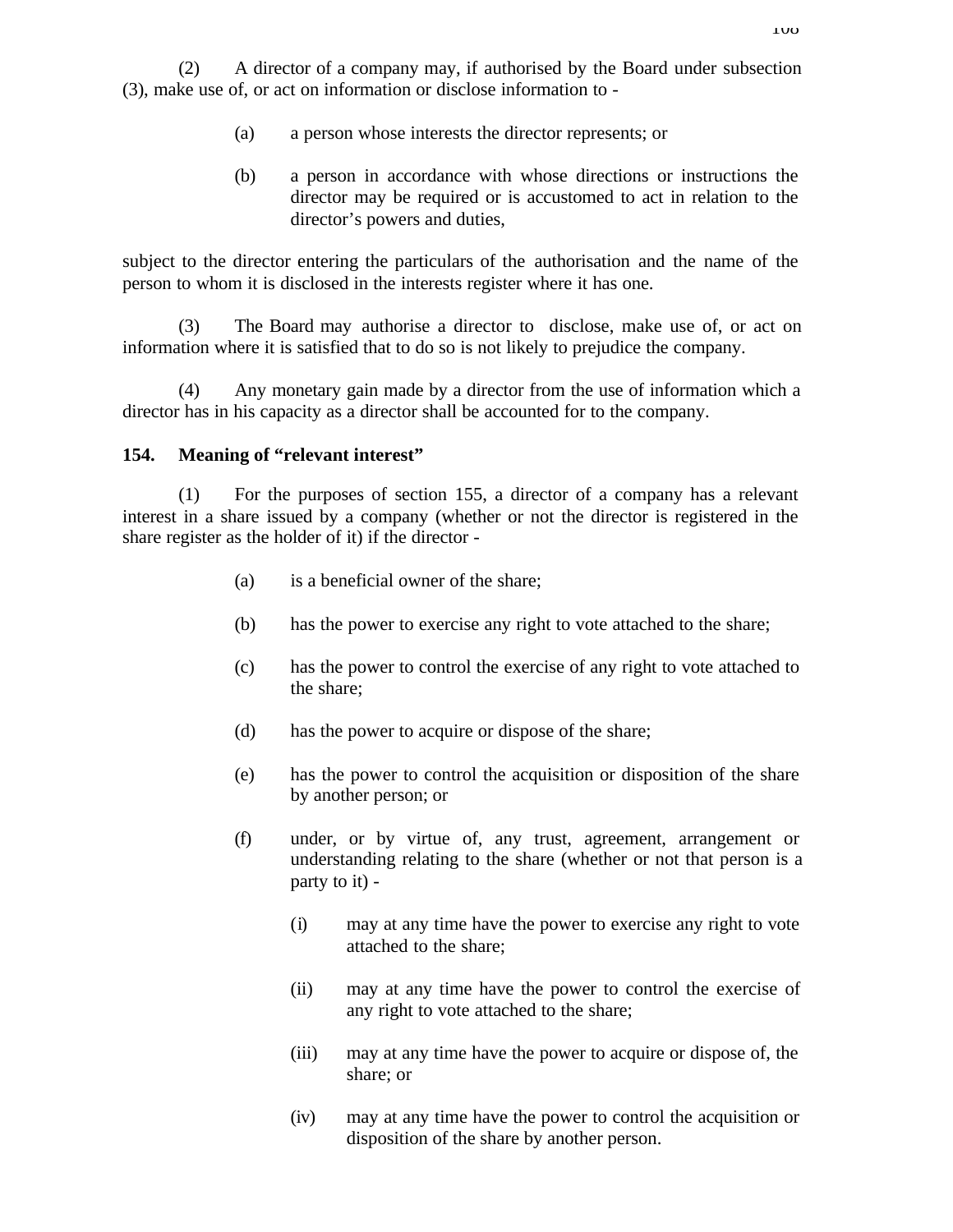- (a) a person whose interests the director represents; or
- (b) a person in accordance with whose directions or instructions the director may be required or is accustomed to act in relation to the director's powers and duties,

subject to the director entering the particulars of the authorisation and the name of the person to whom it is disclosed in the interests register where it has one.

(3) The Board may authorise a director to disclose, make use of, or act on information where it is satisfied that to do so is not likely to prejudice the company.

(4) Any monetary gain made by a director from the use of information which a director has in his capacity as a director shall be accounted for to the company.

## **154. Meaning of "relevant interest"**

(1) For the purposes of section 155, a director of a company has a relevant interest in a share issued by a company (whether or not the director is registered in the share register as the holder of it) if the director -

- (a) is a beneficial owner of the share;
- (b) has the power to exercise any right to vote attached to the share;
- (c) has the power to control the exercise of any right to vote attached to the share;
- (d) has the power to acquire or dispose of the share;
- (e) has the power to control the acquisition or disposition of the share by another person; or
- (f) under, or by virtue of, any trust, agreement, arrangement or understanding relating to the share (whether or not that person is a party to it) -
	- (i) may at any time have the power to exercise any right to vote attached to the share;
	- (ii) may at any time have the power to control the exercise of any right to vote attached to the share;
	- (iii) may at any time have the power to acquire or dispose of, the share; or
	- (iv) may at any time have the power to control the acquisition or disposition of the share by another person.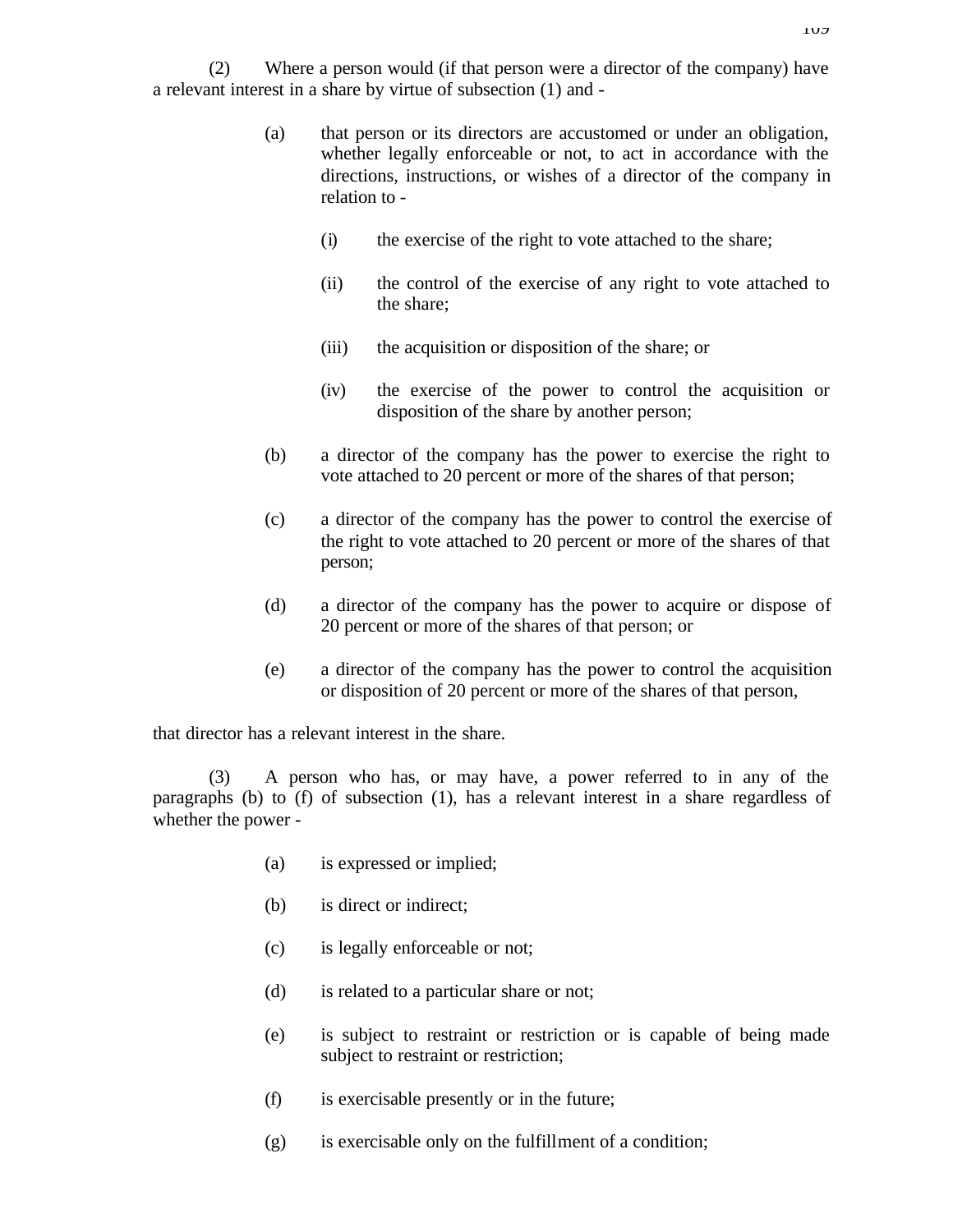(2) Where a person would (if that person were a director of the company) have a relevant interest in a share by virtue of subsection (1) and -

- (a) that person or its directors are accustomed or under an obligation, whether legally enforceable or not, to act in accordance with the directions, instructions, or wishes of a director of the company in relation to -
	- (i) the exercise of the right to vote attached to the share;
	- (ii) the control of the exercise of any right to vote attached to the share;
	- (iii) the acquisition or disposition of the share; or
	- (iv) the exercise of the power to control the acquisition or disposition of the share by another person;
- (b) a director of the company has the power to exercise the right to vote attached to 20 percent or more of the shares of that person;
- (c) a director of the company has the power to control the exercise of the right to vote attached to 20 percent or more of the shares of that person;
- (d) a director of the company has the power to acquire or dispose of 20 percent or more of the shares of that person; or
- (e) a director of the company has the power to control the acquisition or disposition of 20 percent or more of the shares of that person,

that director has a relevant interest in the share.

(3) A person who has, or may have, a power referred to in any of the paragraphs (b) to (f) of subsection (1), has a relevant interest in a share regardless of whether the power -

- (a) is expressed or implied;
- (b) is direct or indirect;
- (c) is legally enforceable or not;
- (d) is related to a particular share or not;
- (e) is subject to restraint or restriction or is capable of being made subject to restraint or restriction;
- (f) is exercisable presently or in the future;
- (g) is exercisable only on the fulfillment of a condition;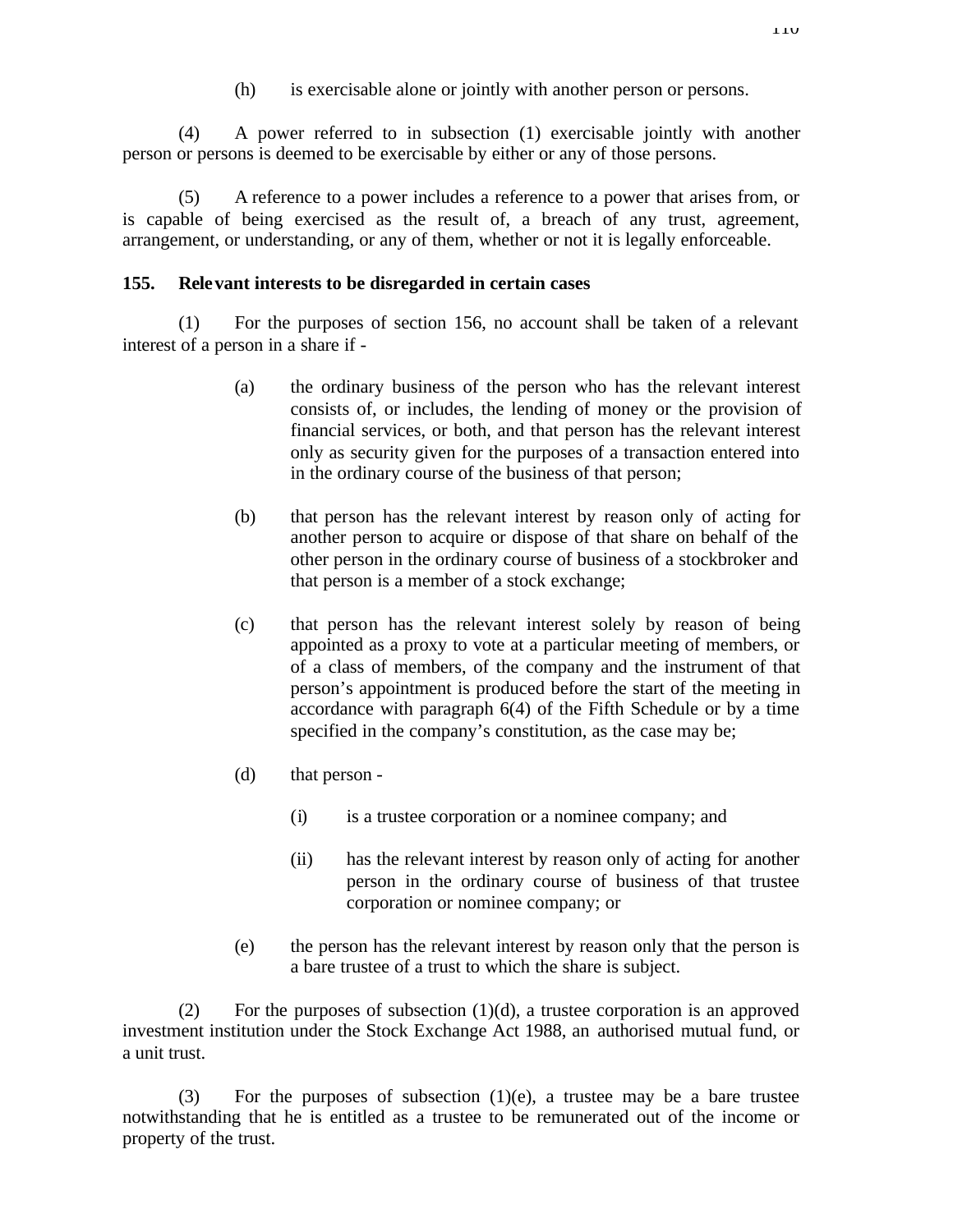(h) is exercisable alone or jointly with another person or persons.

(4) A power referred to in subsection (1) exercisable jointly with another person or persons is deemed to be exercisable by either or any of those persons.

(5) A reference to a power includes a reference to a power that arises from, or is capable of being exercised as the result of, a breach of any trust, agreement, arrangement, or understanding, or any of them, whether or not it is legally enforceable.

## **155. Relevant interests to be disregarded in certain cases**

(1) For the purposes of section 156, no account shall be taken of a relevant interest of a person in a share if -

- (a) the ordinary business of the person who has the relevant interest consists of, or includes, the lending of money or the provision of financial services, or both, and that person has the relevant interest only as security given for the purposes of a transaction entered into in the ordinary course of the business of that person;
- (b) that person has the relevant interest by reason only of acting for another person to acquire or dispose of that share on behalf of the other person in the ordinary course of business of a stockbroker and that person is a member of a stock exchange;
- (c) that person has the relevant interest solely by reason of being appointed as a proxy to vote at a particular meeting of members, or of a class of members, of the company and the instrument of that person's appointment is produced before the start of the meeting in accordance with paragraph 6(4) of the Fifth Schedule or by a time specified in the company's constitution, as the case may be;
- (d) that person
	- (i) is a trustee corporation or a nominee company; and
	- (ii) has the relevant interest by reason only of acting for another person in the ordinary course of business of that trustee corporation or nominee company; or
- (e) the person has the relevant interest by reason only that the person is a bare trustee of a trust to which the share is subject.

(2) For the purposes of subsection  $(1)(d)$ , a trustee corporation is an approved investment institution under the Stock Exchange Act 1988, an authorised mutual fund, or a unit trust.

(3) For the purposes of subsection  $(1)(e)$ , a trustee may be a bare trustee notwithstanding that he is entitled as a trustee to be remunerated out of the income or property of the trust.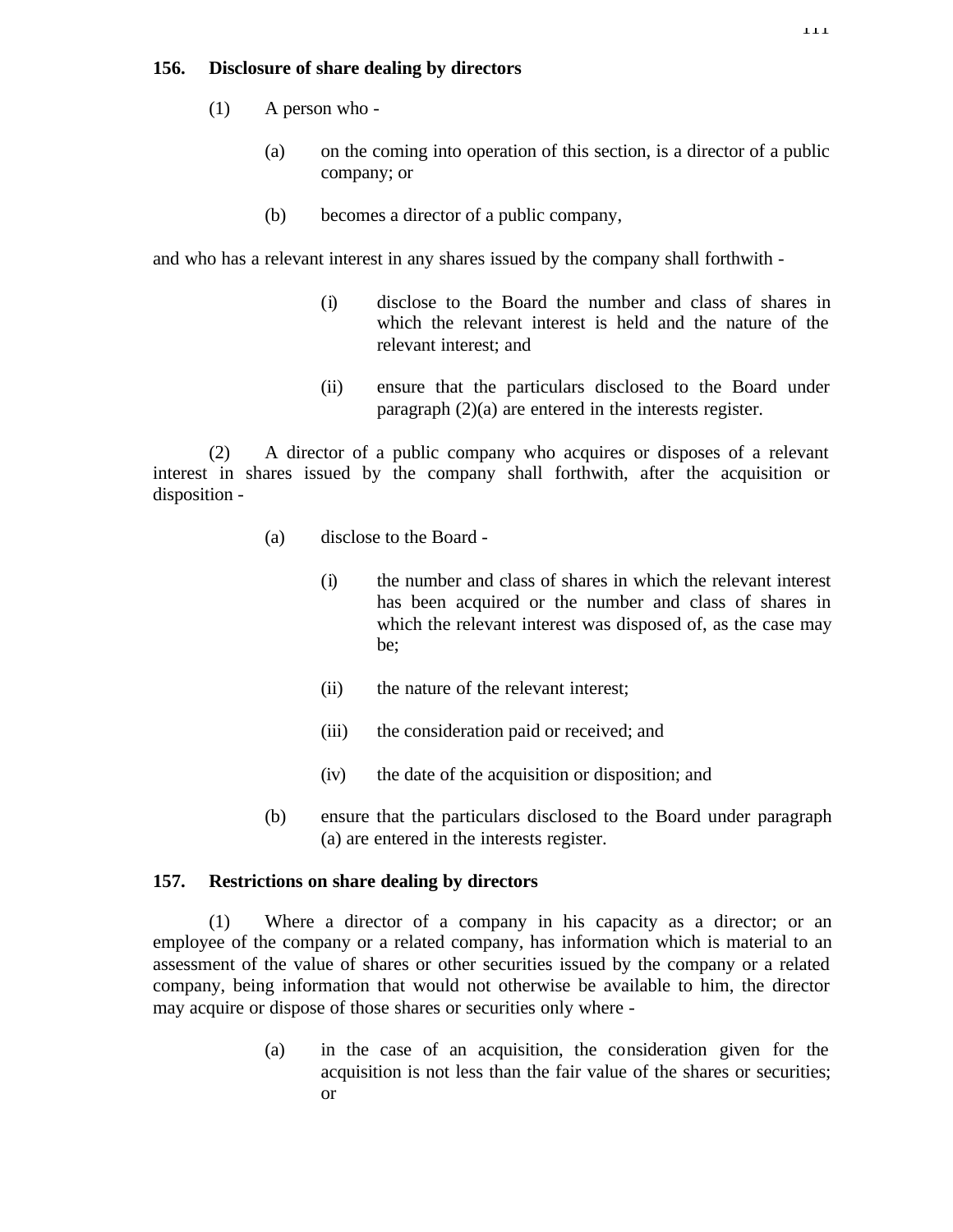### **156. Disclosure of share dealing by directors**

- (1) A person who
	- (a) on the coming into operation of this section, is a director of a public company; or
	- (b) becomes a director of a public company,

and who has a relevant interest in any shares issued by the company shall forthwith -

- (i) disclose to the Board the number and class of shares in which the relevant interest is held and the nature of the relevant interest; and
- (ii) ensure that the particulars disclosed to the Board under paragraph (2)(a) are entered in the interests register.

(2) A director of a public company who acquires or disposes of a relevant interest in shares issued by the company shall forthwith, after the acquisition or disposition -

- (a) disclose to the Board
	- (i) the number and class of shares in which the relevant interest has been acquired or the number and class of shares in which the relevant interest was disposed of, as the case may be;
	- (ii) the nature of the relevant interest;
	- (iii) the consideration paid or received; and
	- (iv) the date of the acquisition or disposition; and
- (b) ensure that the particulars disclosed to the Board under paragraph (a) are entered in the interests register.

### **157. Restrictions on share dealing by directors**

(1) Where a director of a company in his capacity as a director; or an employee of the company or a related company, has information which is material to an assessment of the value of shares or other securities issued by the company or a related company, being information that would not otherwise be available to him, the director may acquire or dispose of those shares or securities only where -

> (a) in the case of an acquisition, the consideration given for the acquisition is not less than the fair value of the shares or securities; or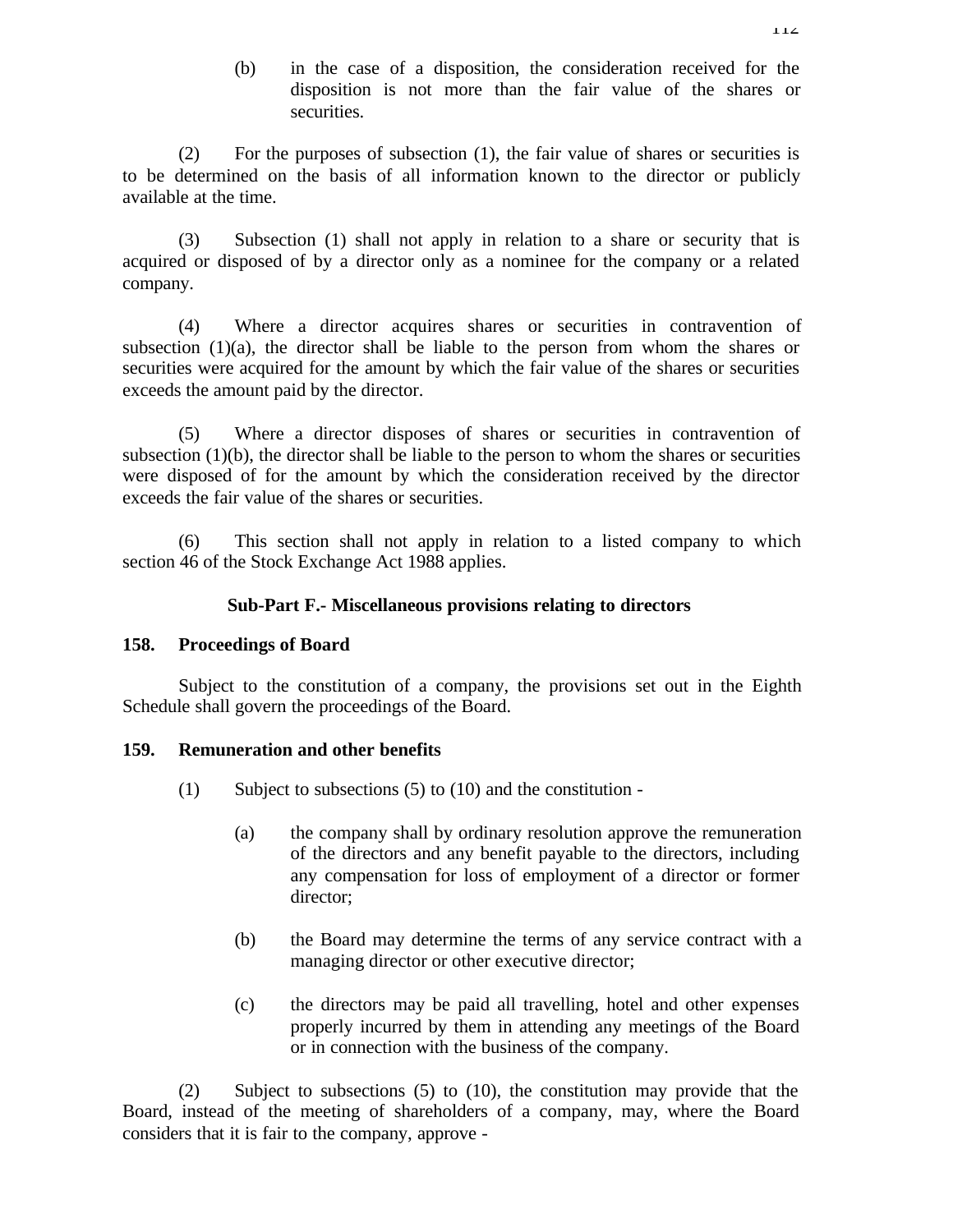(b) in the case of a disposition, the consideration received for the disposition is not more than the fair value of the shares or securities.

(2) For the purposes of subsection (1), the fair value of shares or securities is to be determined on the basis of all information known to the director or publicly available at the time.

(3) Subsection (1) shall not apply in relation to a share or security that is acquired or disposed of by a director only as a nominee for the company or a related company.

(4) Where a director acquires shares or securities in contravention of subsection  $(1)(a)$ , the director shall be liable to the person from whom the shares or securities were acquired for the amount by which the fair value of the shares or securities exceeds the amount paid by the director.

(5) Where a director disposes of shares or securities in contravention of subsection  $(1)(b)$ , the director shall be liable to the person to whom the shares or securities were disposed of for the amount by which the consideration received by the director exceeds the fair value of the shares or securities.

(6) This section shall not apply in relation to a listed company to which section 46 of the Stock Exchange Act 1988 applies.

### **Sub-Part F.- Miscellaneous provisions relating to directors**

## **158. Proceedings of Board**

Subject to the constitution of a company, the provisions set out in the Eighth Schedule shall govern the proceedings of the Board.

## **159. Remuneration and other benefits**

- (1) Subject to subsections (5) to (10) and the constitution
	- (a) the company shall by ordinary resolution approve the remuneration of the directors and any benefit payable to the directors, including any compensation for loss of employment of a director or former director;
	- (b) the Board may determine the terms of any service contract with a managing director or other executive director;
	- (c) the directors may be paid all travelling, hotel and other expenses properly incurred by them in attending any meetings of the Board or in connection with the business of the company.

(2) Subject to subsections (5) to (10), the constitution may provide that the Board, instead of the meeting of shareholders of a company, may, where the Board considers that it is fair to the company, approve -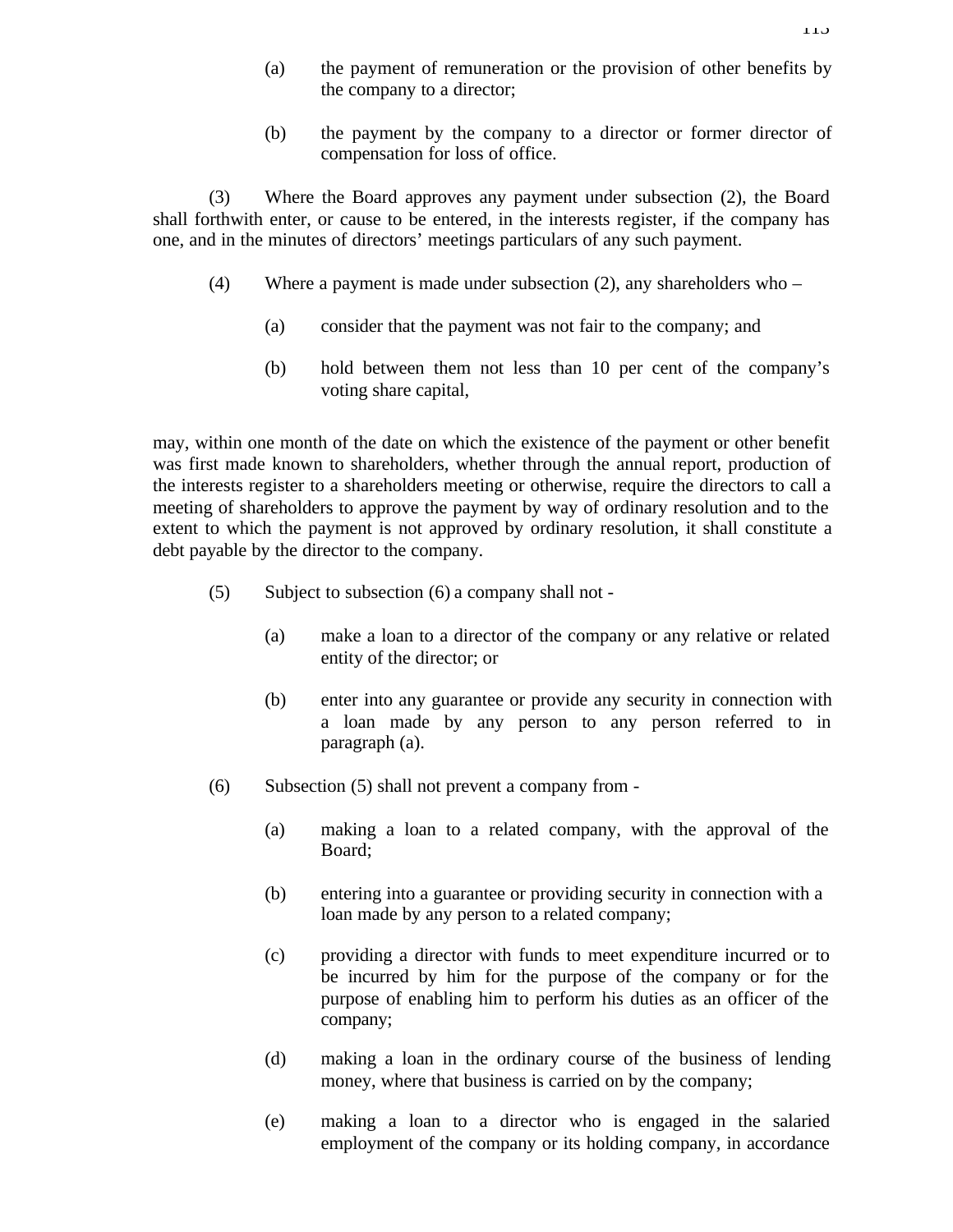(b) the payment by the company to a director or former director of compensation for loss of office.

(3) Where the Board approves any payment under subsection (2), the Board shall forthwith enter, or cause to be entered, in the interests register, if the company has one, and in the minutes of directors' meetings particulars of any such payment.

- (4) Where a payment is made under subsection (2), any shareholders who
	- (a) consider that the payment was not fair to the company; and
	- (b) hold between them not less than 10 per cent of the company's voting share capital,

may, within one month of the date on which the existence of the payment or other benefit was first made known to shareholders, whether through the annual report, production of the interests register to a shareholders meeting or otherwise, require the directors to call a meeting of shareholders to approve the payment by way of ordinary resolution and to the extent to which the payment is not approved by ordinary resolution, it shall constitute a debt payable by the director to the company.

- (5) Subject to subsection (6) a company shall not
	- (a) make a loan to a director of the company or any relative or related entity of the director; or
	- (b) enter into any guarantee or provide any security in connection with a loan made by any person to any person referred to in paragraph (a).
- (6) Subsection (5) shall not prevent a company from
	- (a) making a loan to a related company, with the approval of the Board;
	- (b) entering into a guarantee or providing security in connection with a loan made by any person to a related company;
	- (c) providing a director with funds to meet expenditure incurred or to be incurred by him for the purpose of the company or for the purpose of enabling him to perform his duties as an officer of the company;
	- (d) making a loan in the ordinary course of the business of lending money, where that business is carried on by the company;
	- (e) making a loan to a director who is engaged in the salaried employment of the company or its holding company, in accordance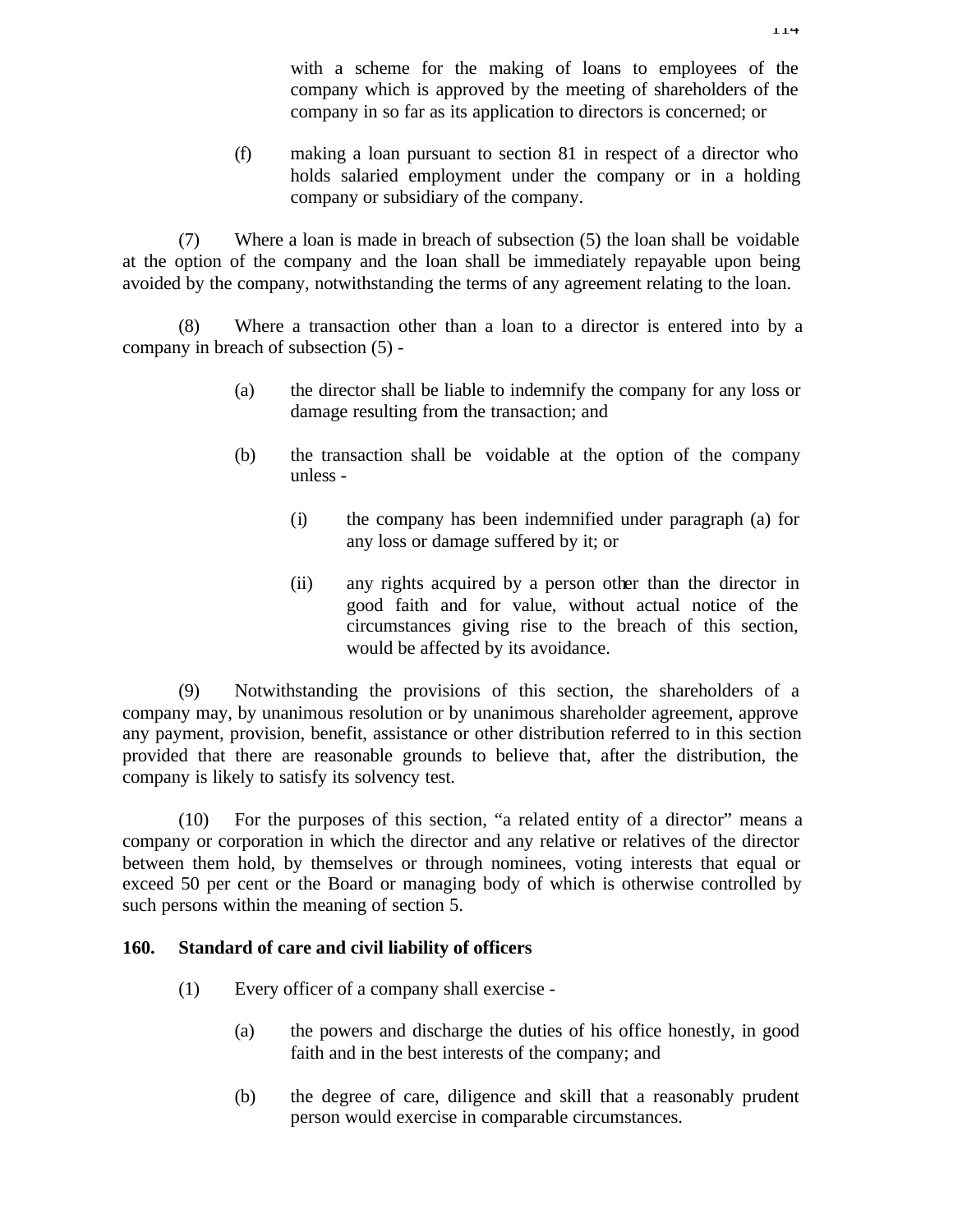with a scheme for the making of loans to employees of the company which is approved by the meeting of shareholders of the company in so far as its application to directors is concerned; or

(f) making a loan pursuant to section 81 in respect of a director who holds salaried employment under the company or in a holding company or subsidiary of the company.

(7) Where a loan is made in breach of subsection (5) the loan shall be voidable at the option of the company and the loan shall be immediately repayable upon being avoided by the company, notwithstanding the terms of any agreement relating to the loan.

(8) Where a transaction other than a loan to a director is entered into by a company in breach of subsection (5) -

- (a) the director shall be liable to indemnify the company for any loss or damage resulting from the transaction; and
- (b) the transaction shall be voidable at the option of the company unless -
	- (i) the company has been indemnified under paragraph (a) for any loss or damage suffered by it; or
	- (ii) any rights acquired by a person other than the director in good faith and for value, without actual notice of the circumstances giving rise to the breach of this section, would be affected by its avoidance.

(9) Notwithstanding the provisions of this section, the shareholders of a company may, by unanimous resolution or by unanimous shareholder agreement, approve any payment, provision, benefit, assistance or other distribution referred to in this section provided that there are reasonable grounds to believe that, after the distribution, the company is likely to satisfy its solvency test.

(10) For the purposes of this section, "a related entity of a director" means a company or corporation in which the director and any relative or relatives of the director between them hold, by themselves or through nominees, voting interests that equal or exceed 50 per cent or the Board or managing body of which is otherwise controlled by such persons within the meaning of section 5.

## **160. Standard of care and civil liability of officers**

- (1) Every officer of a company shall exercise
	- (a) the powers and discharge the duties of his office honestly, in good faith and in the best interests of the company; and
	- (b) the degree of care, diligence and skill that a reasonably prudent person would exercise in comparable circumstances.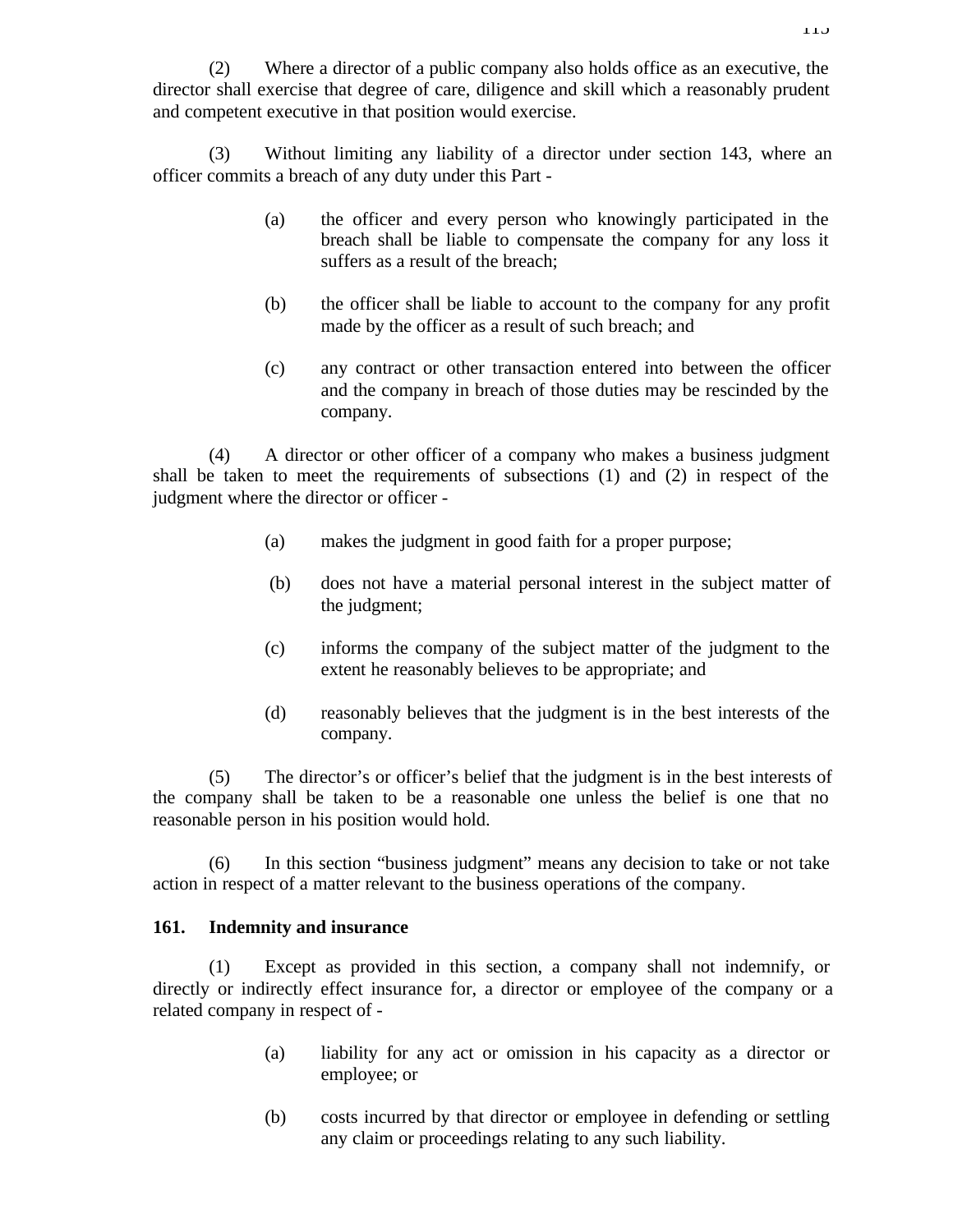(2) Where a director of a public company also holds office as an executive, the director shall exercise that degree of care, diligence and skill which a reasonably prudent and competent executive in that position would exercise.

(3) Without limiting any liability of a director under section 143, where an officer commits a breach of any duty under this Part -

- (a) the officer and every person who knowingly participated in the breach shall be liable to compensate the company for any loss it suffers as a result of the breach;
- (b) the officer shall be liable to account to the company for any profit made by the officer as a result of such breach; and
- (c) any contract or other transaction entered into between the officer and the company in breach of those duties may be rescinded by the company.

(4) A director or other officer of a company who makes a business judgment shall be taken to meet the requirements of subsections (1) and (2) in respect of the judgment where the director or officer -

- (a) makes the judgment in good faith for a proper purpose;
- (b) does not have a material personal interest in the subject matter of the judgment;
- (c) informs the company of the subject matter of the judgment to the extent he reasonably believes to be appropriate; and
- (d) reasonably believes that the judgment is in the best interests of the company.

(5) The director's or officer's belief that the judgment is in the best interests of the company shall be taken to be a reasonable one unless the belief is one that no reasonable person in his position would hold.

(6) In this section "business judgment" means any decision to take or not take action in respect of a matter relevant to the business operations of the company.

# **161. Indemnity and insurance**

(1) Except as provided in this section, a company shall not indemnify, or directly or indirectly effect insurance for, a director or employee of the company or a related company in respect of -

- (a) liability for any act or omission in his capacity as a director or employee; or
- (b) costs incurred by that director or employee in defending or settling any claim or proceedings relating to any such liability.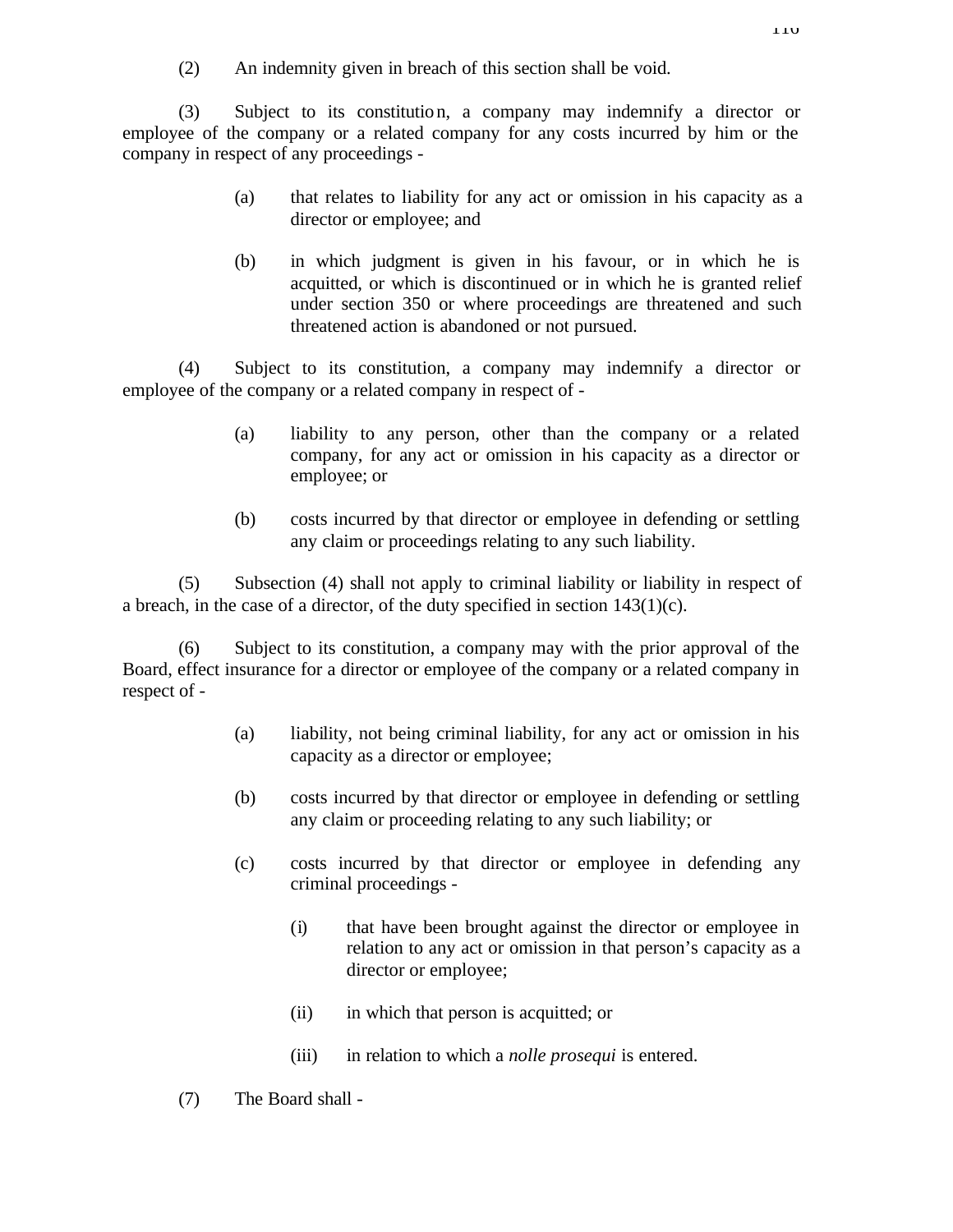(2) An indemnity given in breach of this section shall be void.

(3) Subject to its constitution, a company may indemnify a director or employee of the company or a related company for any costs incurred by him or the company in respect of any proceedings -

- (a) that relates to liability for any act or omission in his capacity as a director or employee; and
- (b) in which judgment is given in his favour, or in which he is acquitted, or which is discontinued or in which he is granted relief under section 350 or where proceedings are threatened and such threatened action is abandoned or not pursued.

(4) Subject to its constitution, a company may indemnify a director or employee of the company or a related company in respect of -

- (a) liability to any person, other than the company or a related company, for any act or omission in his capacity as a director or employee; or
- (b) costs incurred by that director or employee in defending or settling any claim or proceedings relating to any such liability.

(5) Subsection (4) shall not apply to criminal liability or liability in respect of a breach, in the case of a director, of the duty specified in section 143(1)(c).

Subject to its constitution, a company may with the prior approval of the Board, effect insurance for a director or employee of the company or a related company in respect of -

- (a) liability, not being criminal liability, for any act or omission in his capacity as a director or employee;
- (b) costs incurred by that director or employee in defending or settling any claim or proceeding relating to any such liability; or
- (c) costs incurred by that director or employee in defending any criminal proceedings -
	- (i) that have been brought against the director or employee in relation to any act or omission in that person's capacity as a director or employee;
	- (ii) in which that person is acquitted; or
	- (iii) in relation to which a *nolle prosequi* is entered.
- (7) The Board shall -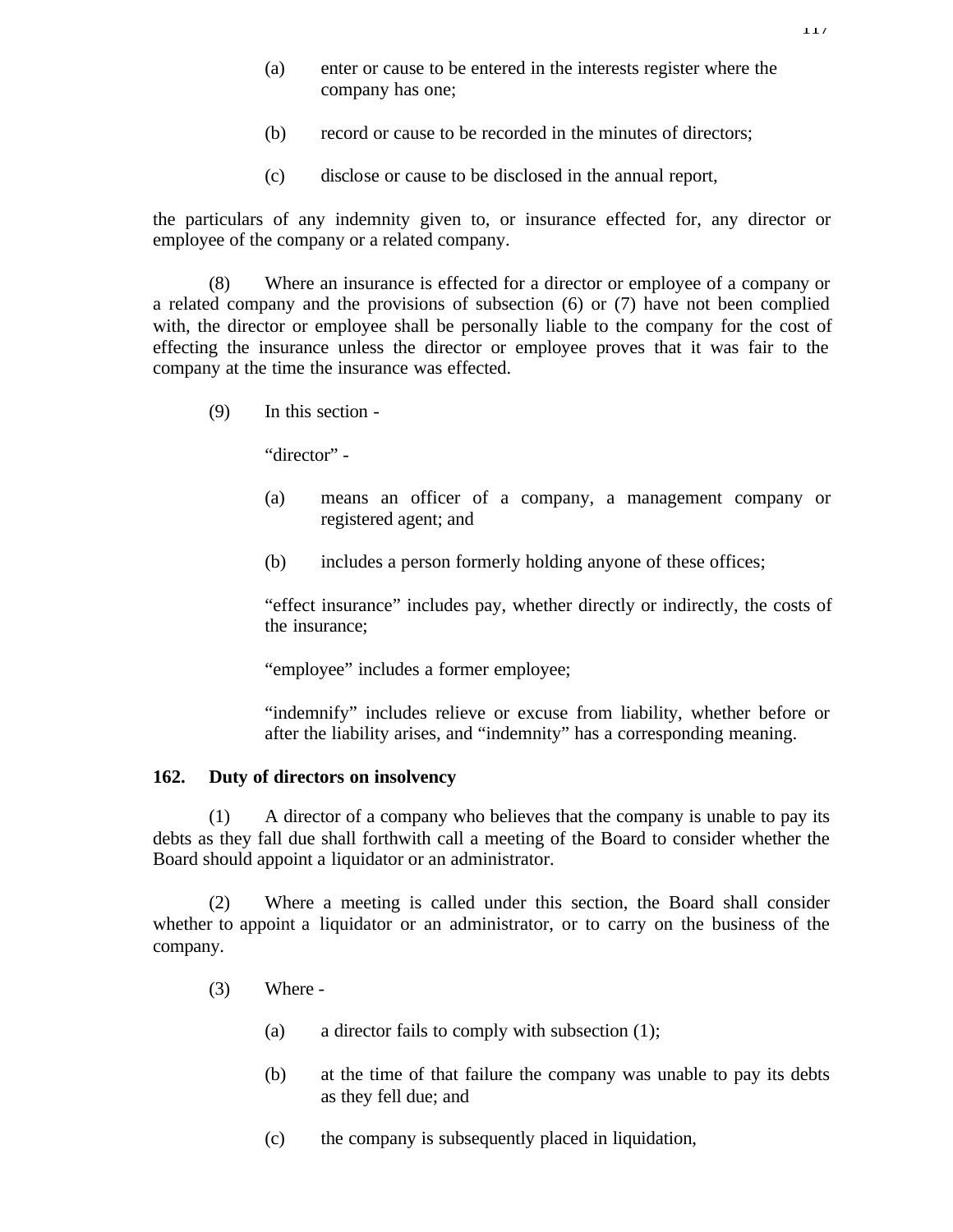- (a) enter or cause to be entered in the interests register where the company has one;
- (b) record or cause to be recorded in the minutes of directors;
- (c) disclose or cause to be disclosed in the annual report,

the particulars of any indemnity given to, or insurance effected for, any director or employee of the company or a related company.

(8) Where an insurance is effected for a director or employee of a company or a related company and the provisions of subsection (6) or (7) have not been complied with, the director or employee shall be personally liable to the company for the cost of effecting the insurance unless the director or employee proves that it was fair to the company at the time the insurance was effected.

(9) In this section -

"director" -

- (a) means an officer of a company, a management company or registered agent; and
- (b) includes a person formerly holding anyone of these offices;

"effect insurance" includes pay, whether directly or indirectly, the costs of the insurance;

"employee" includes a former employee;

"indemnify" includes relieve or excuse from liability, whether before or after the liability arises, and "indemnity" has a corresponding meaning.

## **162. Duty of directors on insolvency**

(1) A director of a company who believes that the company is unable to pay its debts as they fall due shall forthwith call a meeting of the Board to consider whether the Board should appoint a liquidator or an administrator.

(2) Where a meeting is called under this section, the Board shall consider whether to appoint a liquidator or an administrator, or to carry on the business of the company.

- (3) Where
	- (a) a director fails to comply with subsection (1);
	- (b) at the time of that failure the company was unable to pay its debts as they fell due; and
	- (c) the company is subsequently placed in liquidation,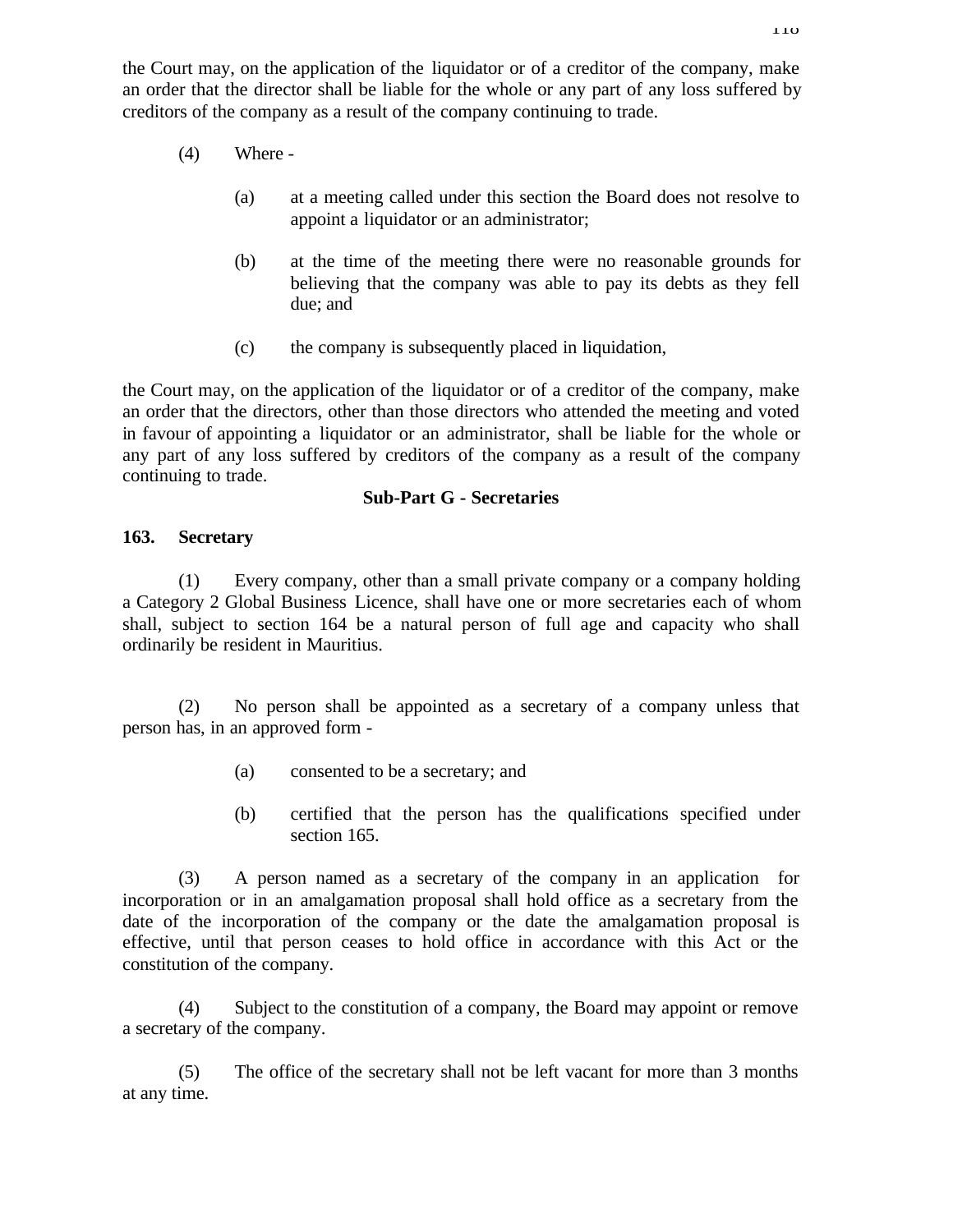the Court may, on the application of the liquidator or of a creditor of the company, make an order that the director shall be liable for the whole or any part of any loss suffered by creditors of the company as a result of the company continuing to trade.

- (4) Where
	- (a) at a meeting called under this section the Board does not resolve to appoint a liquidator or an administrator;
	- (b) at the time of the meeting there were no reasonable grounds for believing that the company was able to pay its debts as they fell due; and
	- (c) the company is subsequently placed in liquidation,

the Court may, on the application of the liquidator or of a creditor of the company, make an order that the directors, other than those directors who attended the meeting and voted in favour of appointing a liquidator or an administrator, shall be liable for the whole or any part of any loss suffered by creditors of the company as a result of the company continuing to trade.

## **Sub-Part G - Secretaries**

## **163. Secretary**

(1) Every company, other than a small private company or a company holding a Category 2 Global Business Licence, shall have one or more secretaries each of whom shall, subject to section 164 be a natural person of full age and capacity who shall ordinarily be resident in Mauritius.

(2) No person shall be appointed as a secretary of a company unless that person has, in an approved form -

- (a) consented to be a secretary; and
- (b) certified that the person has the qualifications specified under section 165.

(3) A person named as a secretary of the company in an application for incorporation or in an amalgamation proposal shall hold office as a secretary from the date of the incorporation of the company or the date the amalgamation proposal is effective, until that person ceases to hold office in accordance with this Act or the constitution of the company.

(4) Subject to the constitution of a company, the Board may appoint or remove a secretary of the company.

(5) The office of the secretary shall not be left vacant for more than 3 months at any time.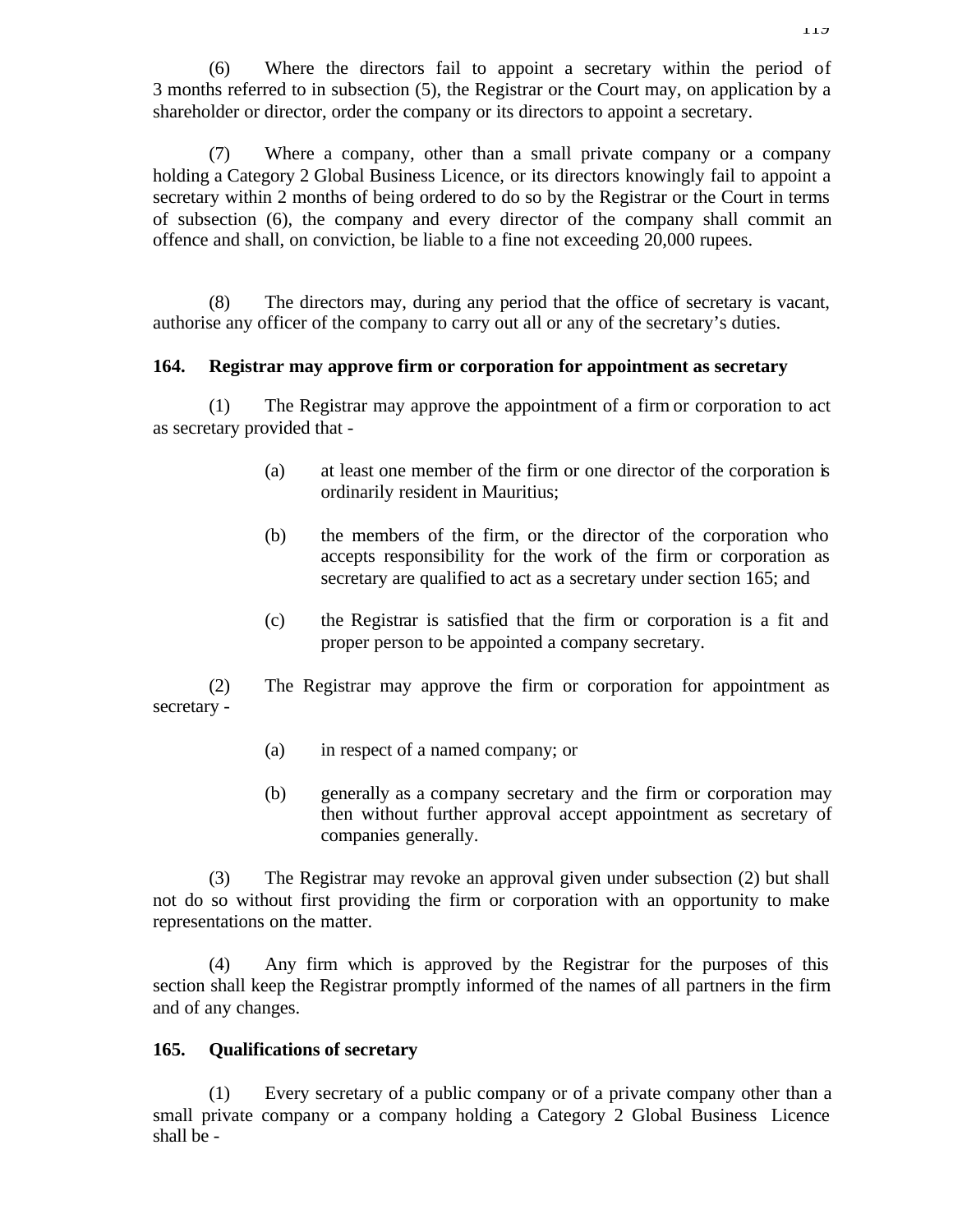(6) Where the directors fail to appoint a secretary within the period of 3 months referred to in subsection (5), the Registrar or the Court may, on application by a shareholder or director, order the company or its directors to appoint a secretary.

(7) Where a company, other than a small private company or a company holding a Category 2 Global Business Licence, or its directors knowingly fail to appoint a secretary within 2 months of being ordered to do so by the Registrar or the Court in terms of subsection (6), the company and every director of the company shall commit an offence and shall, on conviction, be liable to a fine not exceeding 20,000 rupees.

(8) The directors may, during any period that the office of secretary is vacant, authorise any officer of the company to carry out all or any of the secretary's duties.

### **164. Registrar may approve firm or corporation for appointment as secretary**

(1) The Registrar may approve the appointment of a firm or corporation to act as secretary provided that -

- (a) at least one member of the firm or one director of the corporation is ordinarily resident in Mauritius;
- (b) the members of the firm, or the director of the corporation who accepts responsibility for the work of the firm or corporation as secretary are qualified to act as a secretary under section 165; and
- (c) the Registrar is satisfied that the firm or corporation is a fit and proper person to be appointed a company secretary.

(2) The Registrar may approve the firm or corporation for appointment as secretary -

- (a) in respect of a named company; or
- (b) generally as a company secretary and the firm or corporation may then without further approval accept appointment as secretary of companies generally.

(3) The Registrar may revoke an approval given under subsection (2) but shall not do so without first providing the firm or corporation with an opportunity to make representations on the matter.

(4) Any firm which is approved by the Registrar for the purposes of this section shall keep the Registrar promptly informed of the names of all partners in the firm and of any changes.

## **165. Qualifications of secretary**

(1) Every secretary of a public company or of a private company other than a small private company or a company holding a Category 2 Global Business Licence shall be -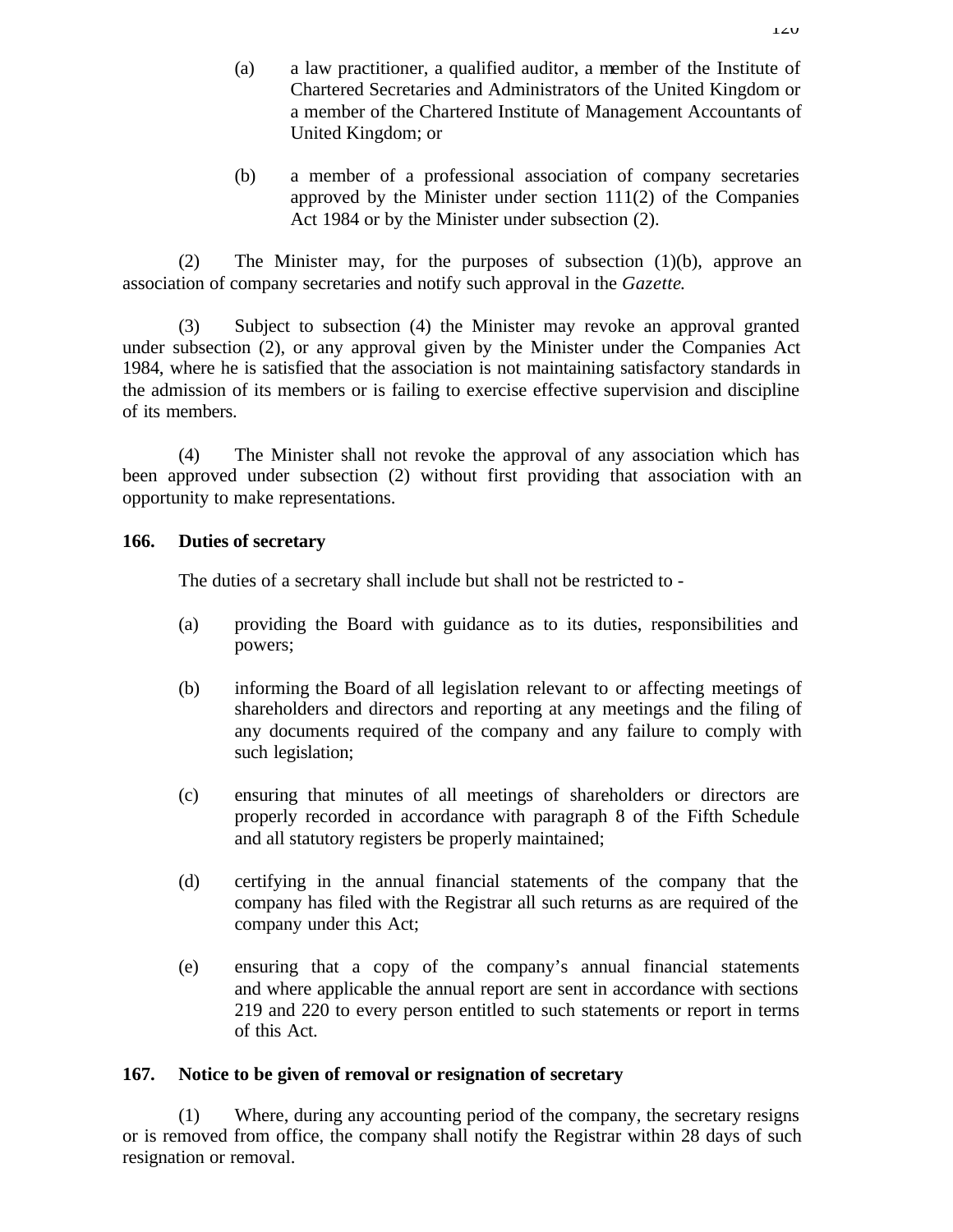- (a) a law practitioner, a qualified auditor, a member of the Institute of Chartered Secretaries and Administrators of the United Kingdom or a member of the Chartered Institute of Management Accountants of United Kingdom; or
- (b) a member of a professional association of company secretaries approved by the Minister under section 111(2) of the Companies Act 1984 or by the Minister under subsection (2).

(2) The Minister may, for the purposes of subsection (1)(b), approve an association of company secretaries and notify such approval in the *Gazette*.

(3) Subject to subsection (4) the Minister may revoke an approval granted under subsection (2), or any approval given by the Minister under the Companies Act 1984, where he is satisfied that the association is not maintaining satisfactory standards in the admission of its members or is failing to exercise effective supervision and discipline of its members.

(4) The Minister shall not revoke the approval of any association which has been approved under subsection (2) without first providing that association with an opportunity to make representations.

## **166. Duties of secretary**

The duties of a secretary shall include but shall not be restricted to -

- (a) providing the Board with guidance as to its duties, responsibilities and powers;
- (b) informing the Board of all legislation relevant to or affecting meetings of shareholders and directors and reporting at any meetings and the filing of any documents required of the company and any failure to comply with such legislation;
- (c) ensuring that minutes of all meetings of shareholders or directors are properly recorded in accordance with paragraph 8 of the Fifth Schedule and all statutory registers be properly maintained;
- (d) certifying in the annual financial statements of the company that the company has filed with the Registrar all such returns as are required of the company under this Act;
- (e) ensuring that a copy of the company's annual financial statements and where applicable the annual report are sent in accordance with sections 219 and 220 to every person entitled to such statements or report in terms of this Act.

# **167. Notice to be given of removal or resignation of secretary**

(1) Where, during any accounting period of the company, the secretary resigns or is removed from office, the company shall notify the Registrar within 28 days of such resignation or removal.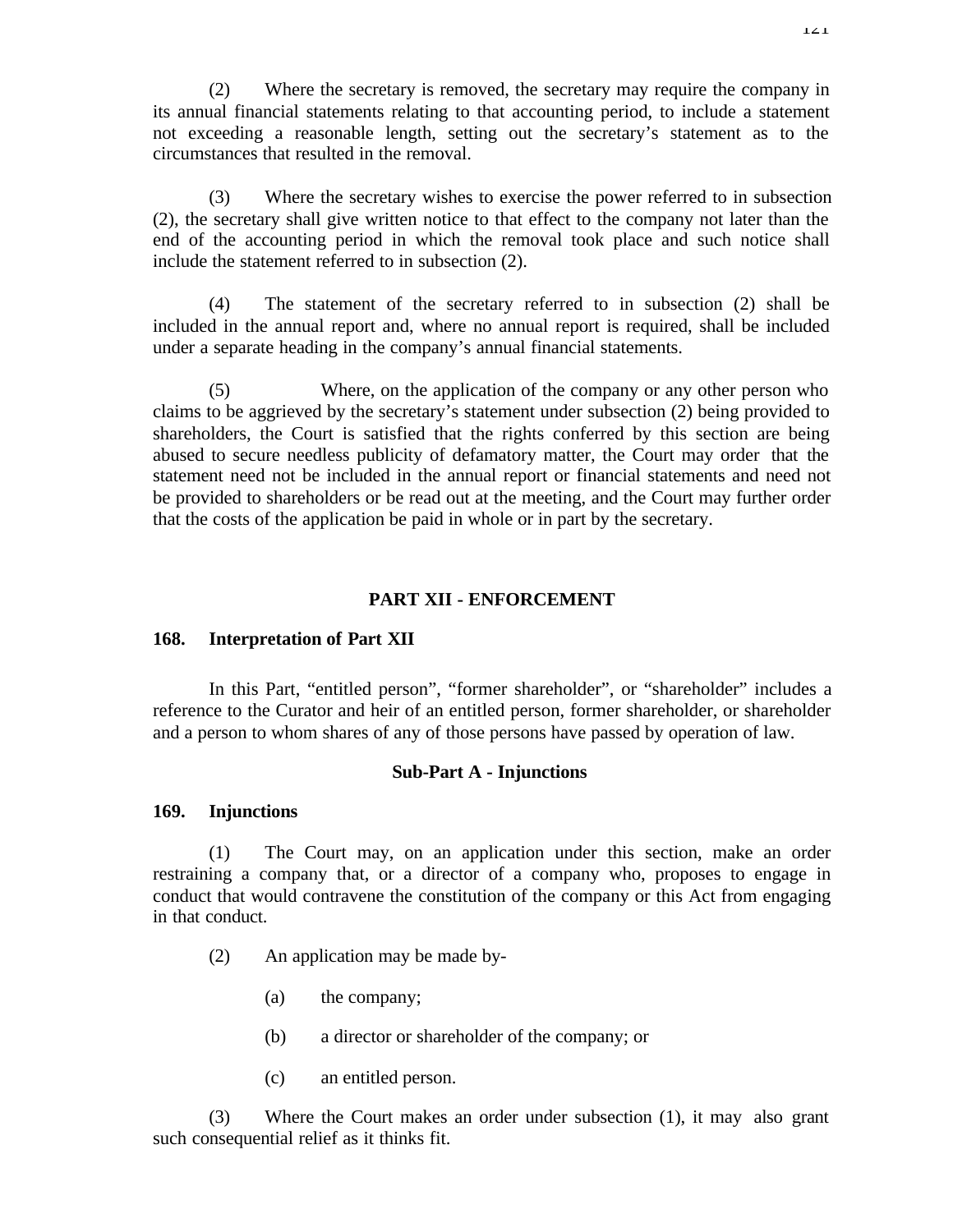(2) Where the secretary is removed, the secretary may require the company in its annual financial statements relating to that accounting period, to include a statement not exceeding a reasonable length, setting out the secretary's statement as to the circumstances that resulted in the removal.

(3) Where the secretary wishes to exercise the power referred to in subsection (2), the secretary shall give written notice to that effect to the company not later than the end of the accounting period in which the removal took place and such notice shall include the statement referred to in subsection (2).

(4) The statement of the secretary referred to in subsection (2) shall be included in the annual report and, where no annual report is required, shall be included under a separate heading in the company's annual financial statements.

(5) Where, on the application of the company or any other person who claims to be aggrieved by the secretary's statement under subsection (2) being provided to shareholders, the Court is satisfied that the rights conferred by this section are being abused to secure needless publicity of defamatory matter, the Court may order that the statement need not be included in the annual report or financial statements and need not be provided to shareholders or be read out at the meeting, and the Court may further order that the costs of the application be paid in whole or in part by the secretary.

### **PART XII - ENFORCEMENT**

### **168. Interpretation of Part XII**

In this Part, "entitled person", "former shareholder", or "shareholder" includes a reference to the Curator and heir of an entitled person, former shareholder, or shareholder and a person to whom shares of any of those persons have passed by operation of law.

### **Sub-Part A - Injunctions**

#### **169. Injunctions**

(1) The Court may, on an application under this section, make an order restraining a company that, or a director of a company who, proposes to engage in conduct that would contravene the constitution of the company or this Act from engaging in that conduct.

- (2) An application may be made by-
	- (a) the company;
	- (b) a director or shareholder of the company; or
	- (c) an entitled person.

(3) Where the Court makes an order under subsection (1), it may also grant such consequential relief as it thinks fit.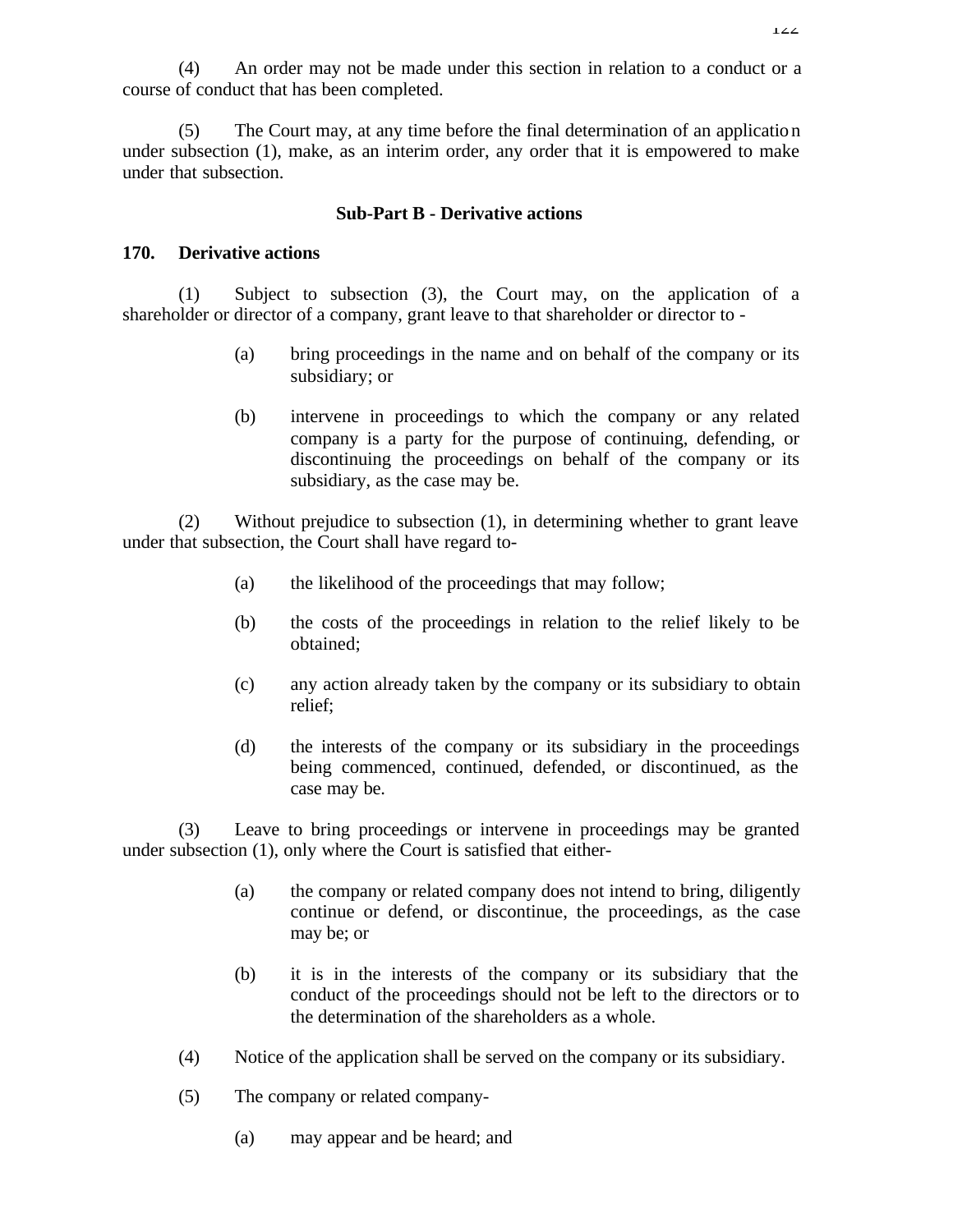(4) An order may not be made under this section in relation to a conduct or a course of conduct that has been completed.

(5) The Court may, at any time before the final determination of an application under subsection (1), make, as an interim order, any order that it is empowered to make under that subsection.

#### **Sub-Part B - Derivative actions**

#### **170. Derivative actions**

(1) Subject to subsection (3), the Court may, on the application of a shareholder or director of a company, grant leave to that shareholder or director to -

- (a) bring proceedings in the name and on behalf of the company or its subsidiary; or
- (b) intervene in proceedings to which the company or any related company is a party for the purpose of continuing, defending, or discontinuing the proceedings on behalf of the company or its subsidiary, as the case may be.

(2) Without prejudice to subsection (1), in determining whether to grant leave under that subsection, the Court shall have regard to-

- (a) the likelihood of the proceedings that may follow;
- (b) the costs of the proceedings in relation to the relief likely to be obtained;
- (c) any action already taken by the company or its subsidiary to obtain relief;
- (d) the interests of the company or its subsidiary in the proceedings being commenced, continued, defended, or discontinued, as the case may be.

(3) Leave to bring proceedings or intervene in proceedings may be granted under subsection (1), only where the Court is satisfied that either-

- (a) the company or related company does not intend to bring, diligently continue or defend, or discontinue, the proceedings, as the case may be; or
- (b) it is in the interests of the company or its subsidiary that the conduct of the proceedings should not be left to the directors or to the determination of the shareholders as a whole.
- (4) Notice of the application shall be served on the company or its subsidiary.
- (5) The company or related company-
	- (a) may appear and be heard; and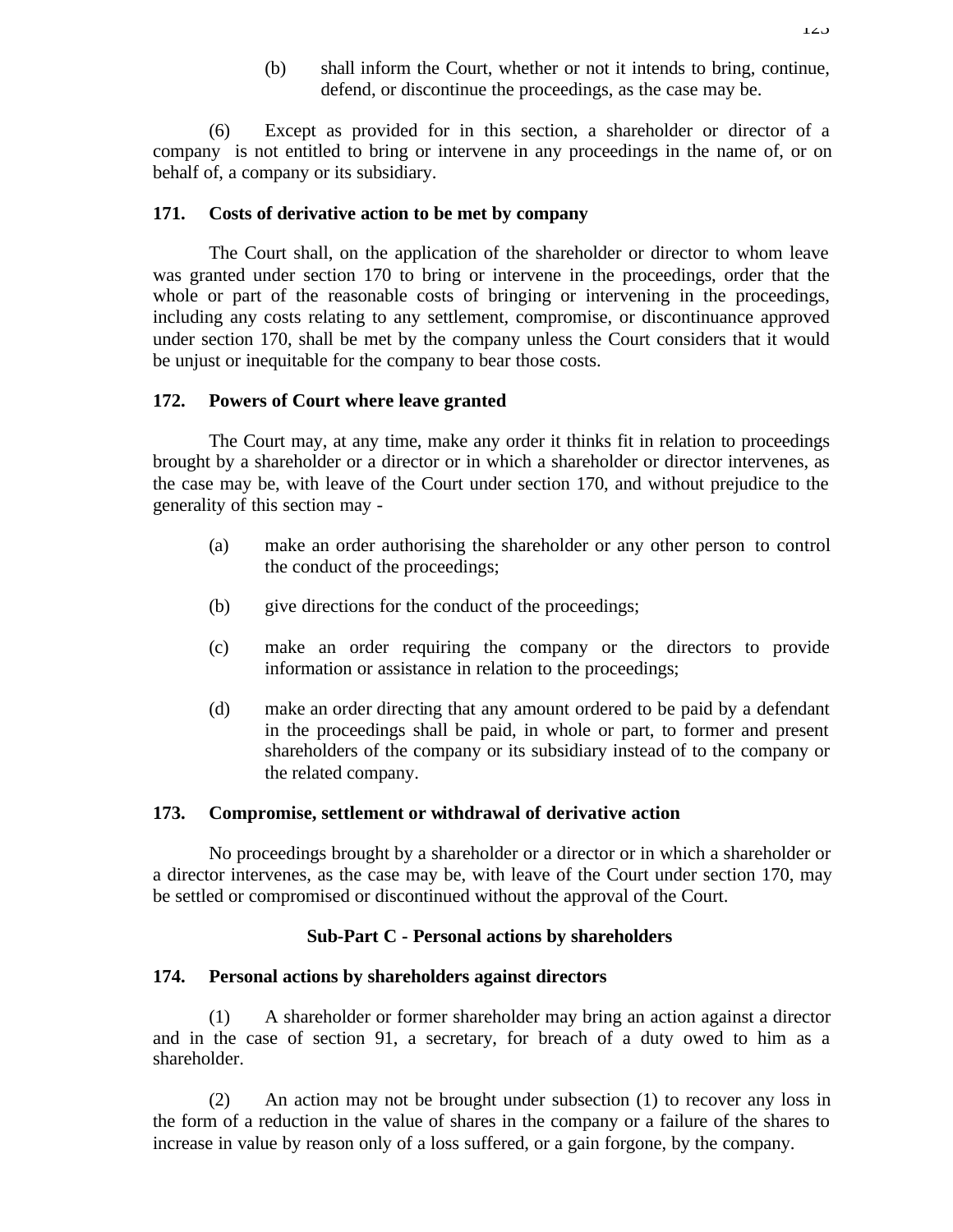(b) shall inform the Court, whether or not it intends to bring, continue, defend, or discontinue the proceedings, as the case may be.

(6) Except as provided for in this section, a shareholder or director of a company is not entitled to bring or intervene in any proceedings in the name of, or on behalf of, a company or its subsidiary.

#### **171. Costs of derivative action to be met by company**

The Court shall, on the application of the shareholder or director to whom leave was granted under section 170 to bring or intervene in the proceedings, order that the whole or part of the reasonable costs of bringing or intervening in the proceedings, including any costs relating to any settlement, compromise, or discontinuance approved under section 170, shall be met by the company unless the Court considers that it would be unjust or inequitable for the company to bear those costs.

#### **172. Powers of Court where leave granted**

The Court may, at any time, make any order it thinks fit in relation to proceedings brought by a shareholder or a director or in which a shareholder or director intervenes, as the case may be, with leave of the Court under section 170, and without prejudice to the generality of this section may -

- (a) make an order authorising the shareholder or any other person to control the conduct of the proceedings;
- (b) give directions for the conduct of the proceedings;
- (c) make an order requiring the company or the directors to provide information or assistance in relation to the proceedings;
- (d) make an order directing that any amount ordered to be paid by a defendant in the proceedings shall be paid, in whole or part, to former and present shareholders of the company or its subsidiary instead of to the company or the related company.

### **173. Compromise, settlement or withdrawal of derivative action**

No proceedings brought by a shareholder or a director or in which a shareholder or a director intervenes, as the case may be, with leave of the Court under section 170, may be settled or compromised or discontinued without the approval of the Court.

### **Sub-Part C - Personal actions by shareholders**

### **174. Personal actions by shareholders against directors**

(1) A shareholder or former shareholder may bring an action against a director and in the case of section 91, a secretary, for breach of a duty owed to him as a shareholder.

(2) An action may not be brought under subsection (1) to recover any loss in the form of a reduction in the value of shares in the company or a failure of the shares to increase in value by reason only of a loss suffered, or a gain forgone, by the company.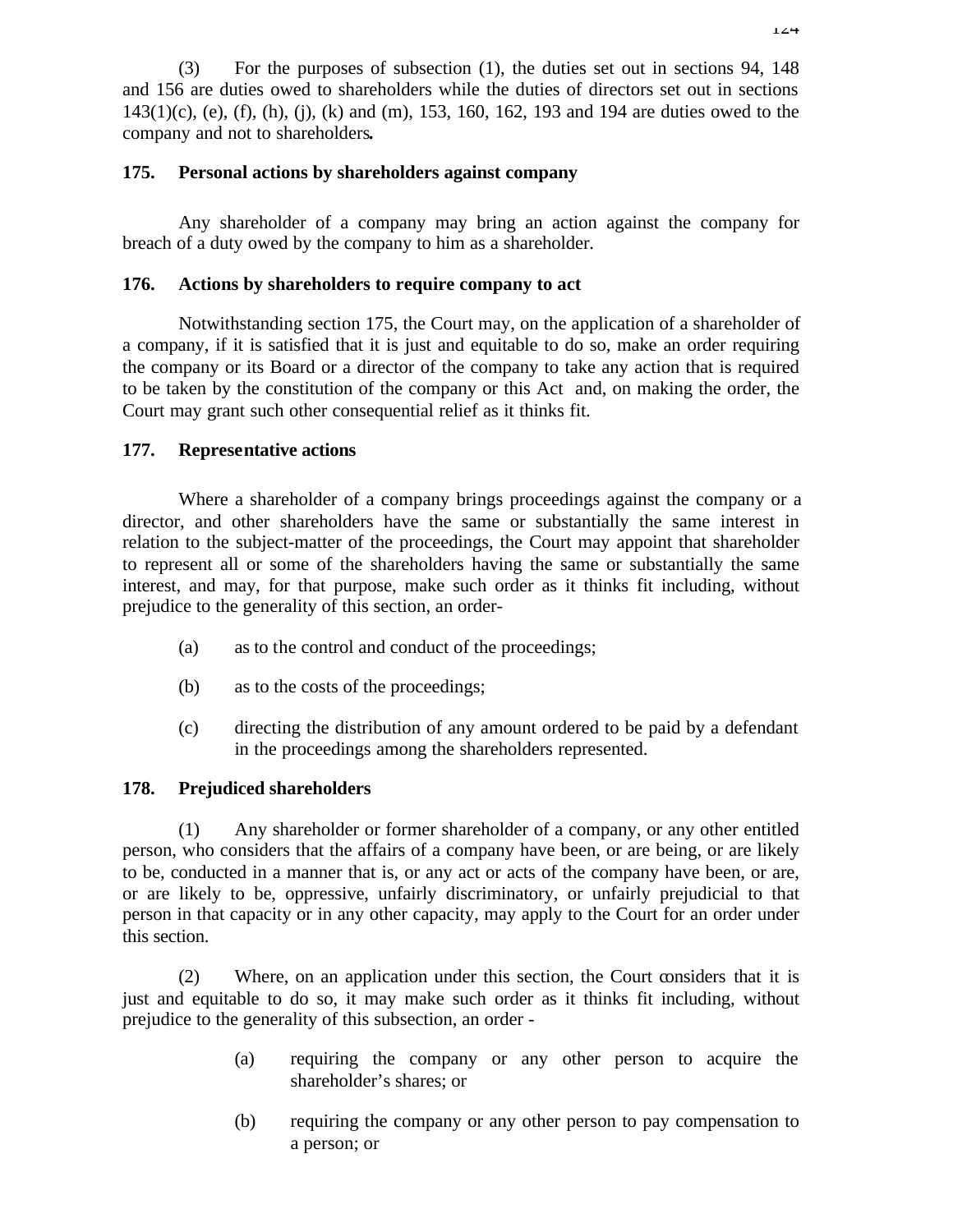(3) For the purposes of subsection (1), the duties set out in sections 94, 148 and 156 are duties owed to shareholders while the duties of directors set out in sections  $143(1)(c)$ , (e), (f), (h), (j), (k) and (m), 153, 160, 162, 193 and 194 are duties owed to the company and not to shareholders**.**

## **175. Personal actions by shareholders against company**

Any shareholder of a company may bring an action against the company for breach of a duty owed by the company to him as a shareholder.

## **176. Actions by shareholders to require company to act**

Notwithstanding section 175, the Court may, on the application of a shareholder of a company, if it is satisfied that it is just and equitable to do so, make an order requiring the company or its Board or a director of the company to take any action that is required to be taken by the constitution of the company or this Act and, on making the order, the Court may grant such other consequential relief as it thinks fit.

## **177. Representative actions**

Where a shareholder of a company brings proceedings against the company or a director, and other shareholders have the same or substantially the same interest in relation to the subject-matter of the proceedings, the Court may appoint that shareholder to represent all or some of the shareholders having the same or substantially the same interest, and may, for that purpose, make such order as it thinks fit including, without prejudice to the generality of this section, an order-

- (a) as to the control and conduct of the proceedings;
- (b) as to the costs of the proceedings;
- (c) directing the distribution of any amount ordered to be paid by a defendant in the proceedings among the shareholders represented.

# **178. Prejudiced shareholders**

(1) Any shareholder or former shareholder of a company, or any other entitled person, who considers that the affairs of a company have been, or are being, or are likely to be, conducted in a manner that is, or any act or acts of the company have been, or are, or are likely to be, oppressive, unfairly discriminatory, or unfairly prejudicial to that person in that capacity or in any other capacity, may apply to the Court for an order under this section.

(2) Where, on an application under this section, the Court considers that it is just and equitable to do so, it may make such order as it thinks fit including, without prejudice to the generality of this subsection, an order -

- (a) requiring the company or any other person to acquire the shareholder's shares; or
- (b) requiring the company or any other person to pay compensation to a person; or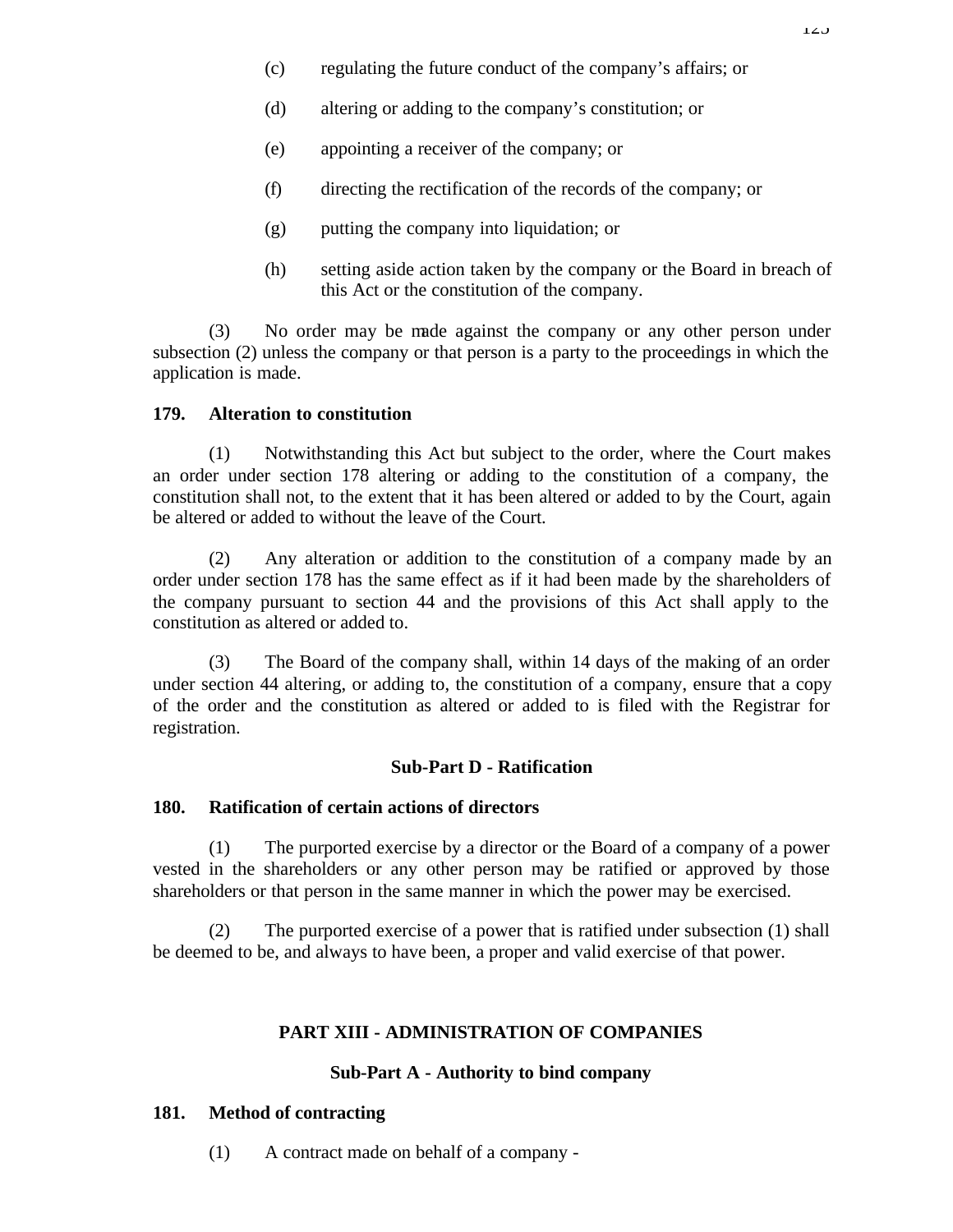- (c) regulating the future conduct of the company's affairs; or
- (d) altering or adding to the company's constitution; or
- (e) appointing a receiver of the company; or
- (f) directing the rectification of the records of the company; or
- (g) putting the company into liquidation; or
- (h) setting aside action taken by the company or the Board in breach of this Act or the constitution of the company.

(3) No order may be made against the company or any other person under subsection (2) unless the company or that person is a party to the proceedings in which the application is made.

## **179. Alteration to constitution**

(1) Notwithstanding this Act but subject to the order, where the Court makes an order under section 178 altering or adding to the constitution of a company, the constitution shall not, to the extent that it has been altered or added to by the Court, again be altered or added to without the leave of the Court.

(2) Any alteration or addition to the constitution of a company made by an order under section 178 has the same effect as if it had been made by the shareholders of the company pursuant to section 44 and the provisions of this Act shall apply to the constitution as altered or added to.

(3) The Board of the company shall, within 14 days of the making of an order under section 44 altering, or adding to, the constitution of a company, ensure that a copy of the order and the constitution as altered or added to is filed with the Registrar for registration.

## **Sub-Part D - Ratification**

## **180. Ratification of certain actions of directors**

(1) The purported exercise by a director or the Board of a company of a power vested in the shareholders or any other person may be ratified or approved by those shareholders or that person in the same manner in which the power may be exercised.

(2) The purported exercise of a power that is ratified under subsection (1) shall be deemed to be, and always to have been, a proper and valid exercise of that power.

## **PART XIII - ADMINISTRATION OF COMPANIES**

## **Sub-Part A - Authority to bind company**

## **181. Method of contracting**

(1) A contract made on behalf of a company -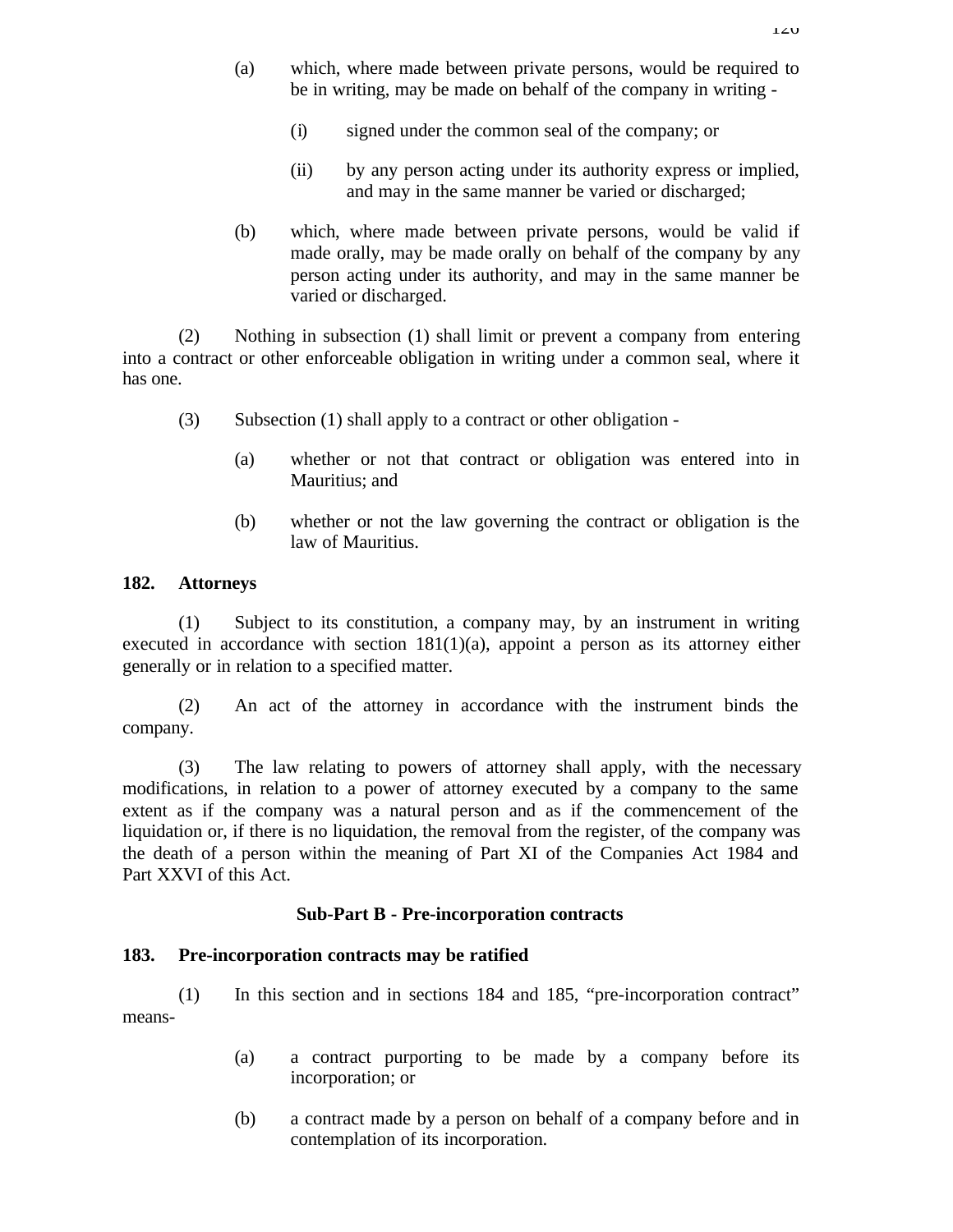- (a) which, where made between private persons, would be required to be in writing, may be made on behalf of the company in writing -
	- (i) signed under the common seal of the company; or
	- (ii) by any person acting under its authority express or implied, and may in the same manner be varied or discharged;
- (b) which, where made between private persons, would be valid if made orally, may be made orally on behalf of the company by any person acting under its authority, and may in the same manner be varied or discharged.

(2) Nothing in subsection (1) shall limit or prevent a company from entering into a contract or other enforceable obligation in writing under a common seal, where it has one.

- (3) Subsection (1) shall apply to a contract or other obligation
	- (a) whether or not that contract or obligation was entered into in Mauritius; and
	- (b) whether or not the law governing the contract or obligation is the law of Mauritius.

## **182. Attorneys**

(1) Subject to its constitution, a company may, by an instrument in writing executed in accordance with section  $181(1)(a)$ , appoint a person as its attorney either generally or in relation to a specified matter.

(2) An act of the attorney in accordance with the instrument binds the company.

(3) The law relating to powers of attorney shall apply, with the necessary modifications, in relation to a power of attorney executed by a company to the same extent as if the company was a natural person and as if the commencement of the liquidation or, if there is no liquidation, the removal from the register, of the company was the death of a person within the meaning of Part XI of the Companies Act 1984 and Part XXVI of this Act.

## **Sub-Part B - Pre-incorporation contracts**

## **183. Pre-incorporation contracts may be ratified**

(1) In this section and in sections 184 and 185, "pre-incorporation contract" means-

- (a) a contract purporting to be made by a company before its incorporation; or
- (b) a contract made by a person on behalf of a company before and in contemplation of its incorporation.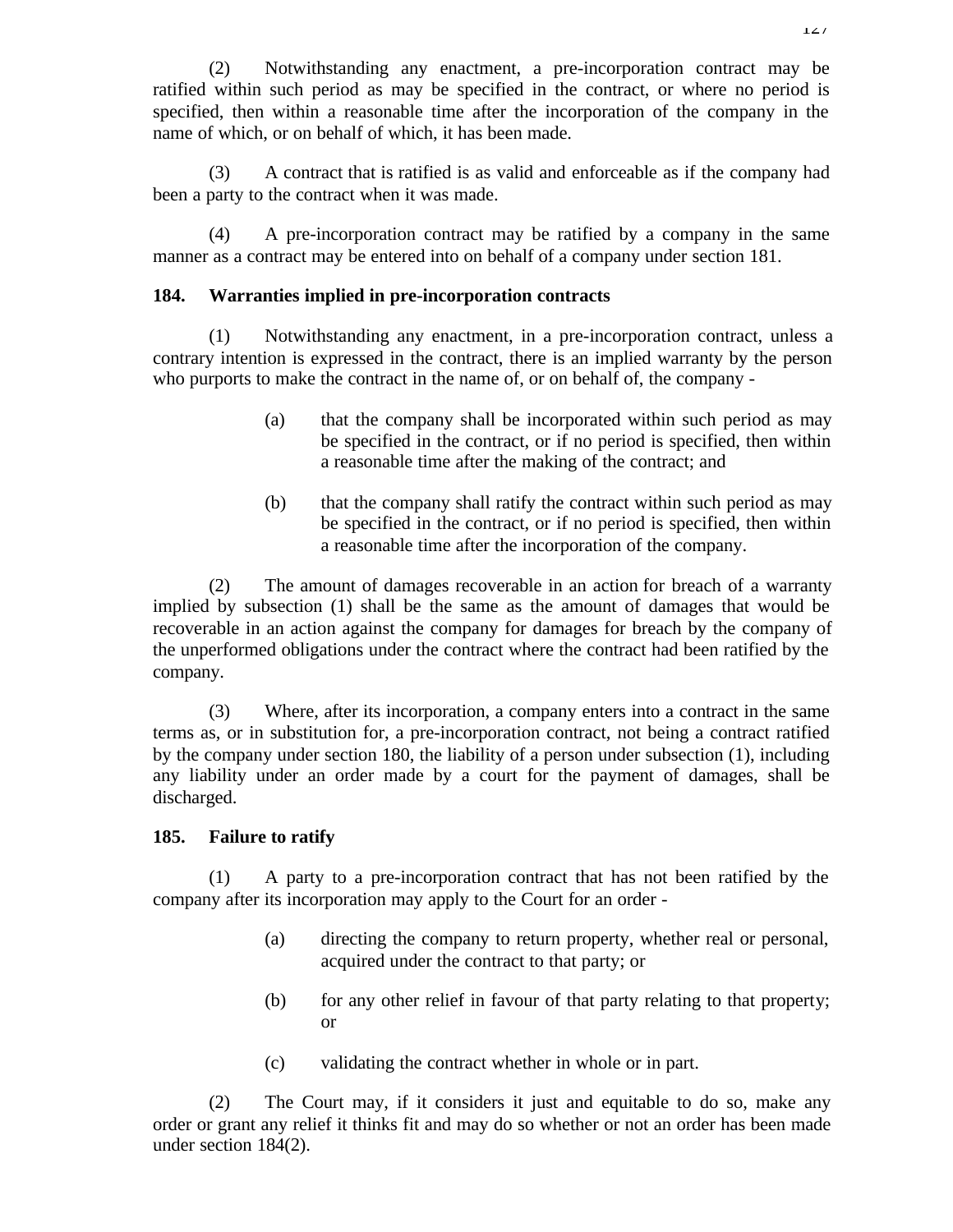(2) Notwithstanding any enactment, a pre-incorporation contract may be ratified within such period as may be specified in the contract, or where no period is specified, then within a reasonable time after the incorporation of the company in the name of which, or on behalf of which, it has been made.

(3) A contract that is ratified is as valid and enforceable as if the company had been a party to the contract when it was made.

(4) A pre-incorporation contract may be ratified by a company in the same manner as a contract may be entered into on behalf of a company under section 181.

## **184. Warranties implied in pre-incorporation contracts**

(1) Notwithstanding any enactment, in a pre-incorporation contract, unless a contrary intention is expressed in the contract, there is an implied warranty by the person who purports to make the contract in the name of, or on behalf of, the company -

- (a) that the company shall be incorporated within such period as may be specified in the contract, or if no period is specified, then within a reasonable time after the making of the contract; and
- (b) that the company shall ratify the contract within such period as may be specified in the contract, or if no period is specified, then within a reasonable time after the incorporation of the company.

(2) The amount of damages recoverable in an action for breach of a warranty implied by subsection (1) shall be the same as the amount of damages that would be recoverable in an action against the company for damages for breach by the company of the unperformed obligations under the contract where the contract had been ratified by the company.

(3) Where, after its incorporation, a company enters into a contract in the same terms as, or in substitution for, a pre-incorporation contract, not being a contract ratified by the company under section 180, the liability of a person under subsection (1), including any liability under an order made by a court for the payment of damages, shall be discharged.

## **185. Failure to ratify**

(1) A party to a pre-incorporation contract that has not been ratified by the company after its incorporation may apply to the Court for an order -

- (a) directing the company to return property, whether real or personal, acquired under the contract to that party; or
- (b) for any other relief in favour of that party relating to that property; or
- (c) validating the contract whether in whole or in part.

(2) The Court may, if it considers it just and equitable to do so, make any order or grant any relief it thinks fit and may do so whether or not an order has been made under section 184(2).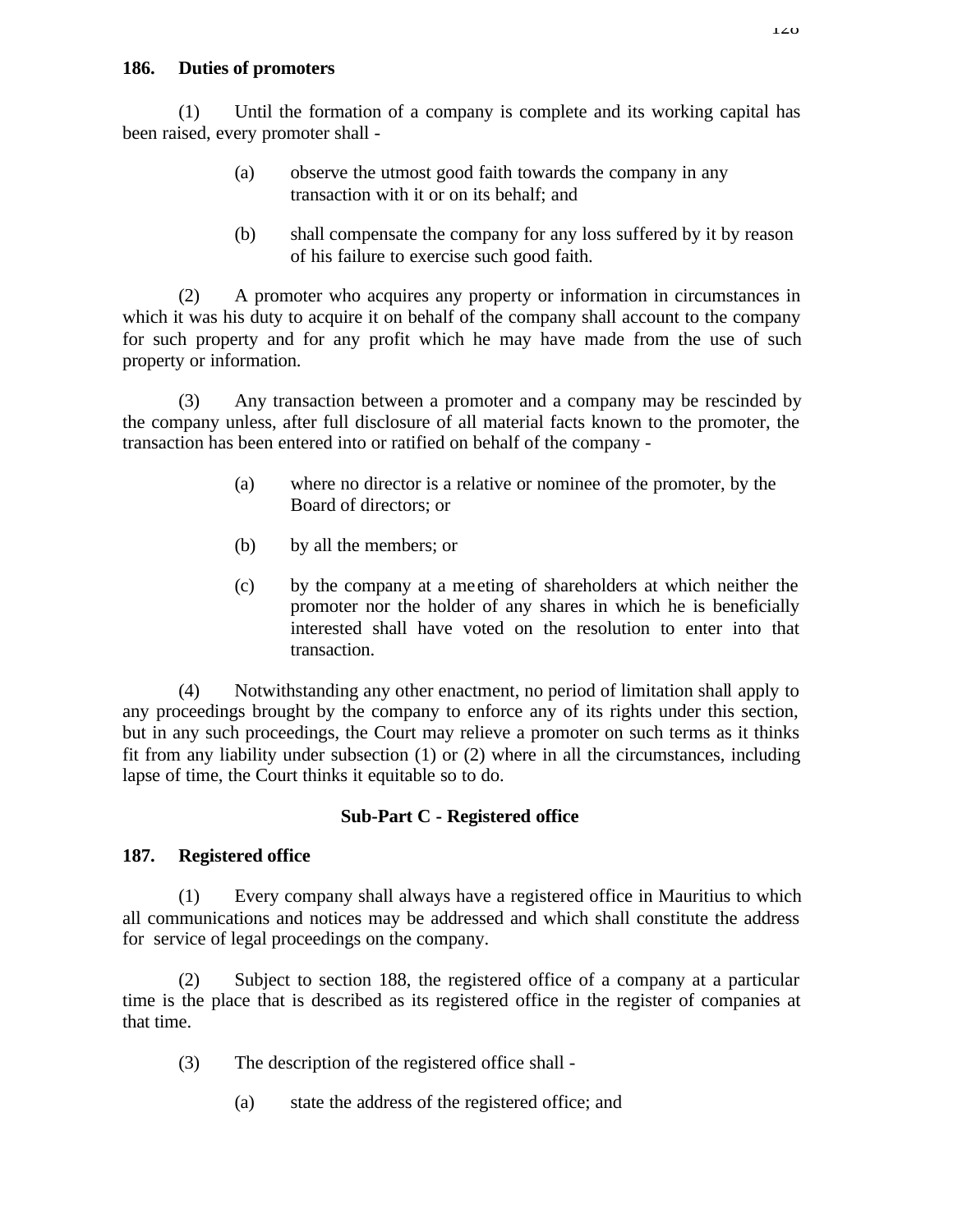## **186. Duties of promoters**

(1) Until the formation of a company is complete and its working capital has been raised, every promoter shall -

- (a) observe the utmost good faith towards the company in any transaction with it or on its behalf; and
- (b) shall compensate the company for any loss suffered by it by reason of his failure to exercise such good faith.

(2) A promoter who acquires any property or information in circumstances in which it was his duty to acquire it on behalf of the company shall account to the company for such property and for any profit which he may have made from the use of such property or information.

(3) Any transaction between a promoter and a company may be rescinded by the company unless, after full disclosure of all material facts known to the promoter, the transaction has been entered into or ratified on behalf of the company -

- (a) where no director is a relative or nominee of the promoter, by the Board of directors; or
- (b) by all the members; or
- (c) by the company at a me eting of shareholders at which neither the promoter nor the holder of any shares in which he is beneficially interested shall have voted on the resolution to enter into that transaction.

(4) Notwithstanding any other enactment, no period of limitation shall apply to any proceedings brought by the company to enforce any of its rights under this section, but in any such proceedings, the Court may relieve a promoter on such terms as it thinks fit from any liability under subsection (1) or (2) where in all the circumstances, including lapse of time, the Court thinks it equitable so to do.

# **Sub-Part C - Registered office**

# **187. Registered office**

(1) Every company shall always have a registered office in Mauritius to which all communications and notices may be addressed and which shall constitute the address for service of legal proceedings on the company.

(2) Subject to section 188, the registered office of a company at a particular time is the place that is described as its registered office in the register of companies at that time.

- (3) The description of the registered office shall
	- (a) state the address of the registered office; and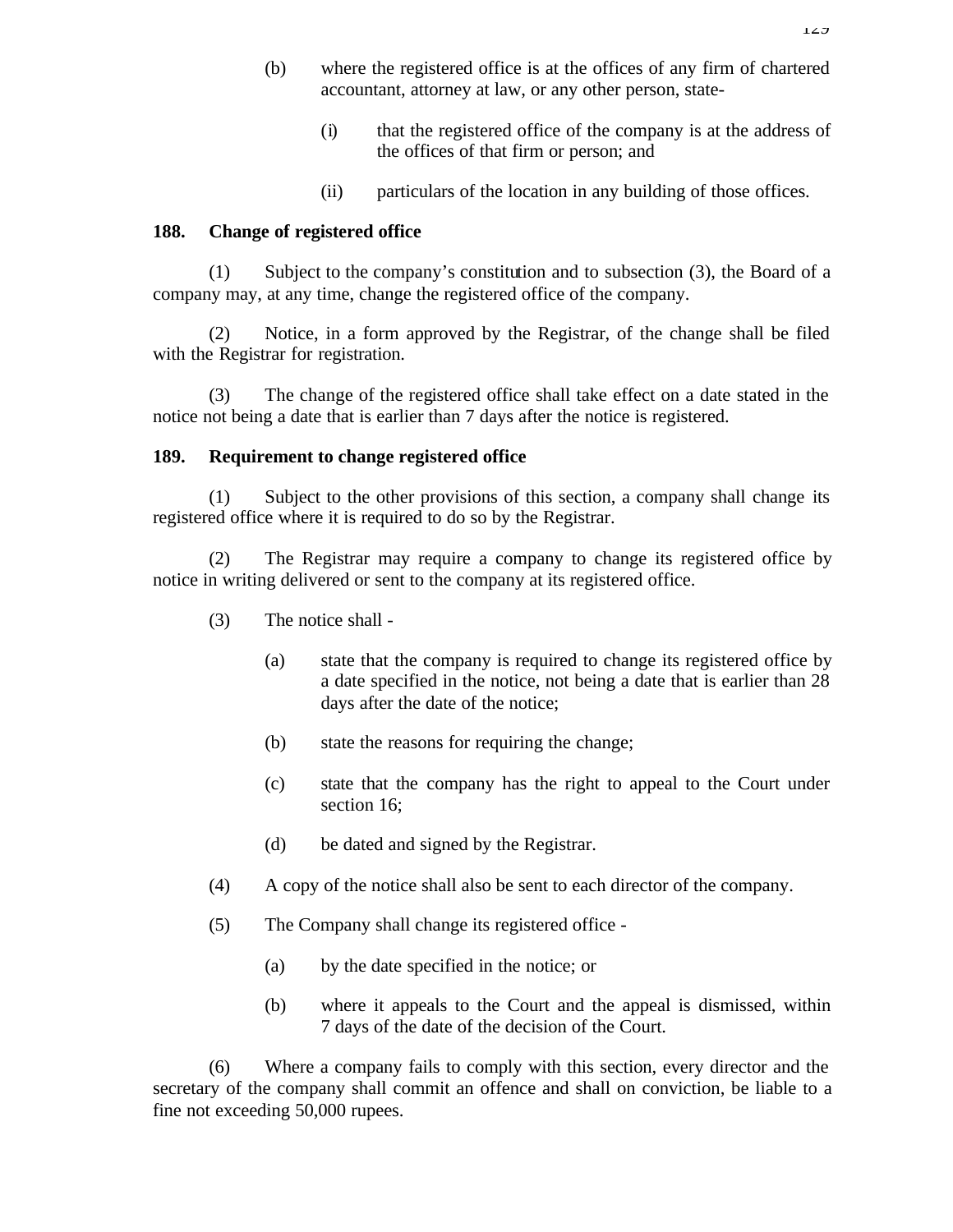- (b) where the registered office is at the offices of any firm of chartered accountant, attorney at law, or any other person, state-
	- (i) that the registered office of the company is at the address of the offices of that firm or person; and
	- (ii) particulars of the location in any building of those offices.

## **188. Change of registered office**

(1) Subject to the company's constitution and to subsection (3), the Board of a company may, at any time, change the registered office of the company.

(2) Notice, in a form approved by the Registrar, of the change shall be filed with the Registrar for registration.

(3) The change of the registered office shall take effect on a date stated in the notice not being a date that is earlier than 7 days after the notice is registered.

### **189. Requirement to change registered office**

(1) Subject to the other provisions of this section, a company shall change its registered office where it is required to do so by the Registrar.

(2) The Registrar may require a company to change its registered office by notice in writing delivered or sent to the company at its registered office.

- (3) The notice shall
	- (a) state that the company is required to change its registered office by a date specified in the notice, not being a date that is earlier than 28 days after the date of the notice;
	- (b) state the reasons for requiring the change;
	- (c) state that the company has the right to appeal to the Court under section 16;
	- (d) be dated and signed by the Registrar.
- (4) A copy of the notice shall also be sent to each director of the company.
- (5) The Company shall change its registered office
	- (a) by the date specified in the notice; or
	- (b) where it appeals to the Court and the appeal is dismissed, within 7 days of the date of the decision of the Court.

(6) Where a company fails to comply with this section, every director and the secretary of the company shall commit an offence and shall on conviction, be liable to a fine not exceeding 50,000 rupees.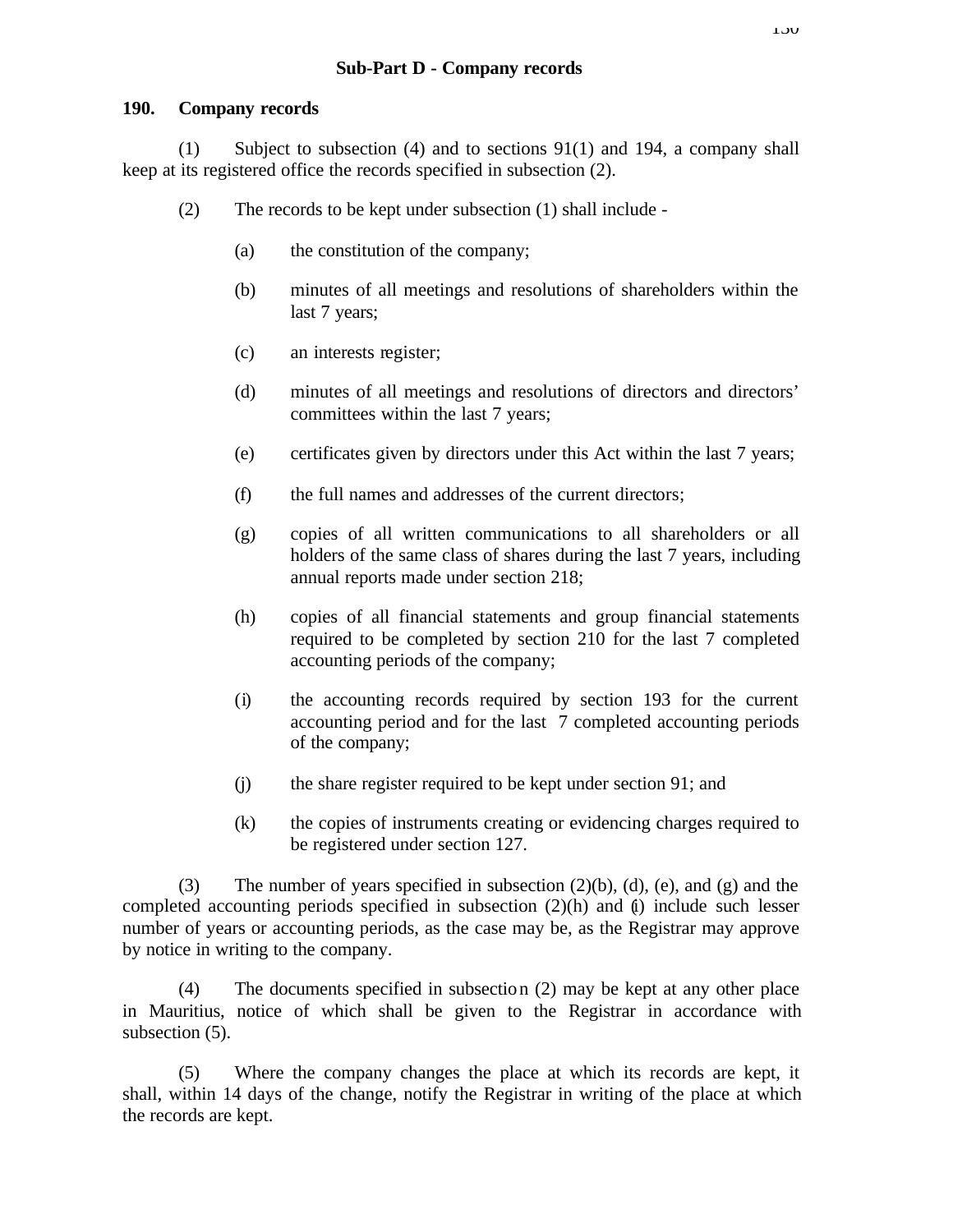### **190. Company records**

(1) Subject to subsection (4) and to sections 91(1) and 194, a company shall keep at its registered office the records specified in subsection (2).

- (2) The records to be kept under subsection (1) shall include
	- (a) the constitution of the company;
	- (b) minutes of all meetings and resolutions of shareholders within the last 7 years;
	- (c) an interests register;
	- (d) minutes of all meetings and resolutions of directors and directors' committees within the last 7 years;
	- (e) certificates given by directors under this Act within the last 7 years;
	- (f) the full names and addresses of the current directors;
	- (g) copies of all written communications to all shareholders or all holders of the same class of shares during the last 7 years, including annual reports made under section 218;
	- (h) copies of all financial statements and group financial statements required to be completed by section 210 for the last 7 completed accounting periods of the company;
	- (i) the accounting records required by section 193 for the current accounting period and for the last 7 completed accounting periods of the company;
	- (j) the share register required to be kept under section 91; and
	- (k) the copies of instruments creating or evidencing charges required to be registered under section 127.

(3) The number of years specified in subsection  $(2)(b)$ ,  $(d)$ ,  $(e)$ , and  $(g)$  and the completed accounting periods specified in subsection  $(2)(h)$  and  $(i)$  include such lesser number of years or accounting periods, as the case may be, as the Registrar may approve by notice in writing to the company.

(4) The documents specified in subsection (2) may be kept at any other place in Mauritius, notice of which shall be given to the Registrar in accordance with subsection (5).

(5) Where the company changes the place at which its records are kept, it shall, within 14 days of the change, notify the Registrar in writing of the place at which the records are kept.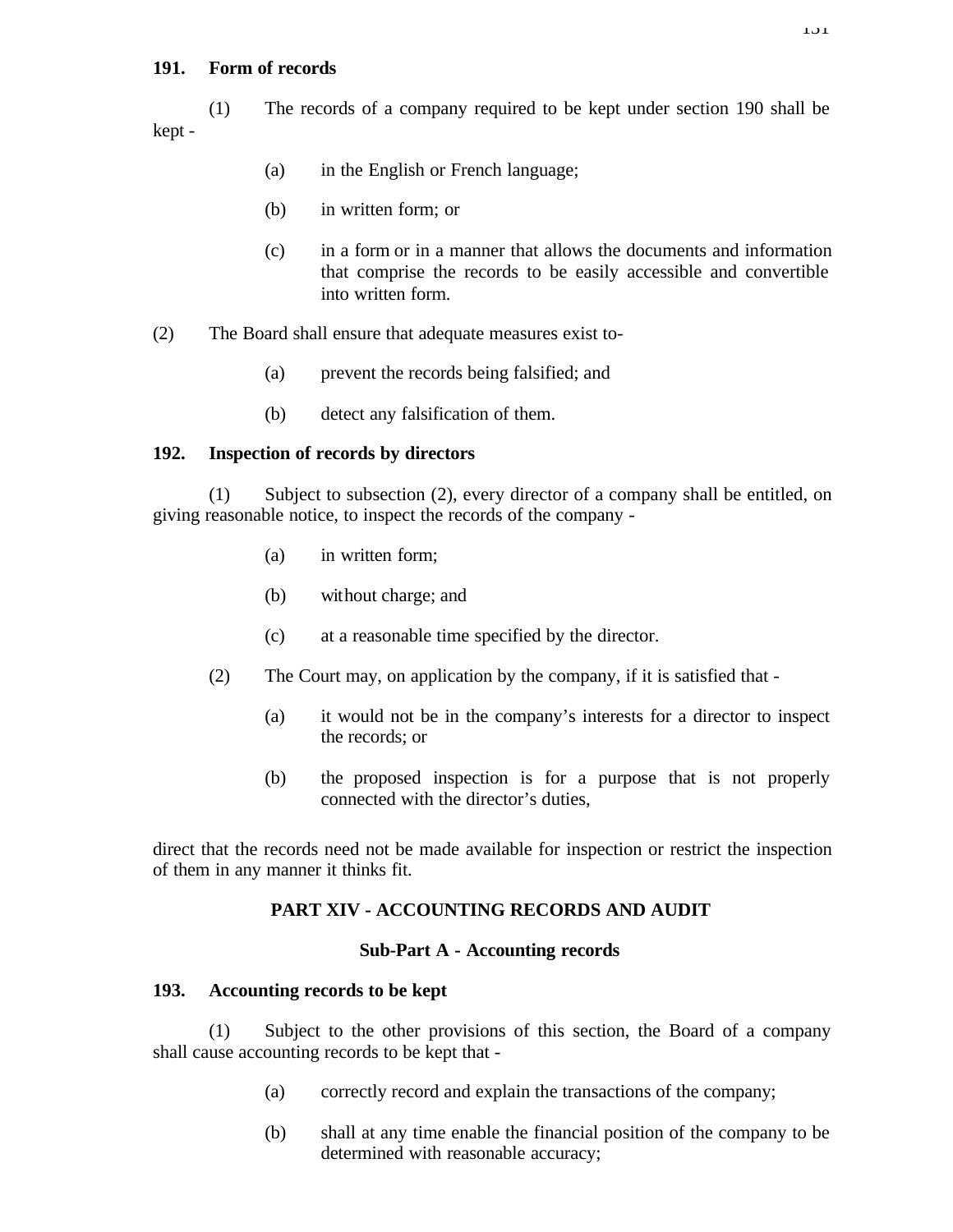## **191. Form of records**

(1) The records of a company required to be kept under section 190 shall be kept -

- (a) in the English or French language;
- (b) in written form; or
- (c) in a form or in a manner that allows the documents and information that comprise the records to be easily accessible and convertible into written form.
- (2) The Board shall ensure that adequate measures exist to-
	- (a) prevent the records being falsified; and
	- (b) detect any falsification of them.

## **192. Inspection of records by directors**

(1) Subject to subsection (2), every director of a company shall be entitled, on giving reasonable notice, to inspect the records of the company -

- (a) in written form;
- (b) without charge; and
- (c) at a reasonable time specified by the director.
- (2) The Court may, on application by the company, if it is satisfied that
	- (a) it would not be in the company's interests for a director to inspect the records; or
	- (b) the proposed inspection is for a purpose that is not properly connected with the director's duties,

direct that the records need not be made available for inspection or restrict the inspection of them in any manner it thinks fit.

# **PART XIV - ACCOUNTING RECORDS AND AUDIT**

## **Sub-Part A - Accounting records**

## **193. Accounting records to be kept**

(1) Subject to the other provisions of this section, the Board of a company shall cause accounting records to be kept that -

- (a) correctly record and explain the transactions of the company;
- (b) shall at any time enable the financial position of the company to be determined with reasonable accuracy;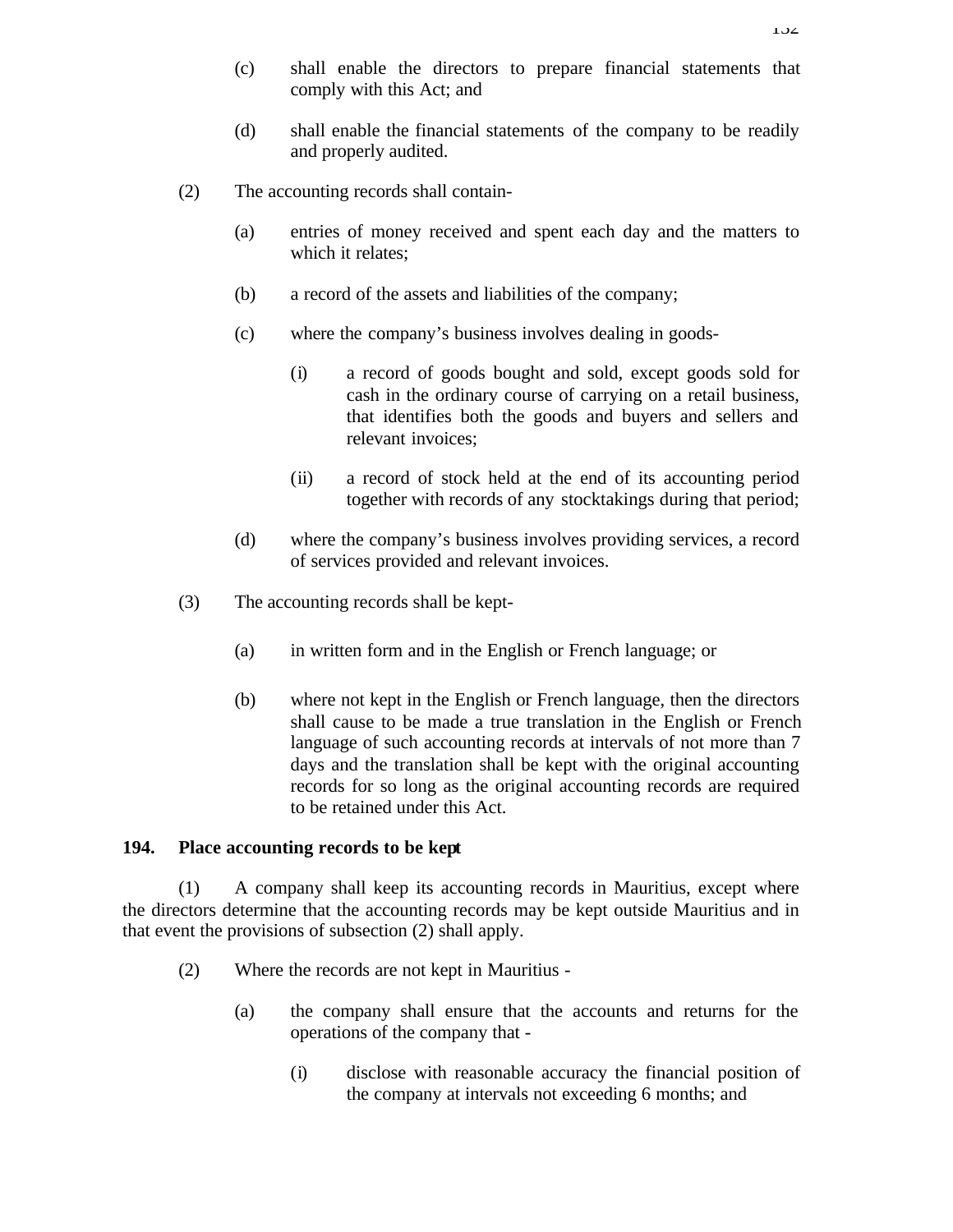- (c) shall enable the directors to prepare financial statements that comply with this Act; and
- (d) shall enable the financial statements of the company to be readily and properly audited.
- (2) The accounting records shall contain-
	- (a) entries of money received and spent each day and the matters to which it relates;
	- (b) a record of the assets and liabilities of the company;
	- (c) where the company's business involves dealing in goods-
		- (i) a record of goods bought and sold, except goods sold for cash in the ordinary course of carrying on a retail business, that identifies both the goods and buyers and sellers and relevant invoices;
		- (ii) a record of stock held at the end of its accounting period together with records of any stocktakings during that period;
	- (d) where the company's business involves providing services, a record of services provided and relevant invoices.
- (3) The accounting records shall be kept-
	- (a) in written form and in the English or French language; or
	- (b) where not kept in the English or French language, then the directors shall cause to be made a true translation in the English or French language of such accounting records at intervals of not more than 7 days and the translation shall be kept with the original accounting records for so long as the original accounting records are required to be retained under this Act.

### **194. Place accounting records to be kept**

(1) A company shall keep its accounting records in Mauritius, except where the directors determine that the accounting records may be kept outside Mauritius and in that event the provisions of subsection (2) shall apply.

- (2) Where the records are not kept in Mauritius
	- (a) the company shall ensure that the accounts and returns for the operations of the company that -
		- (i) disclose with reasonable accuracy the financial position of the company at intervals not exceeding 6 months; and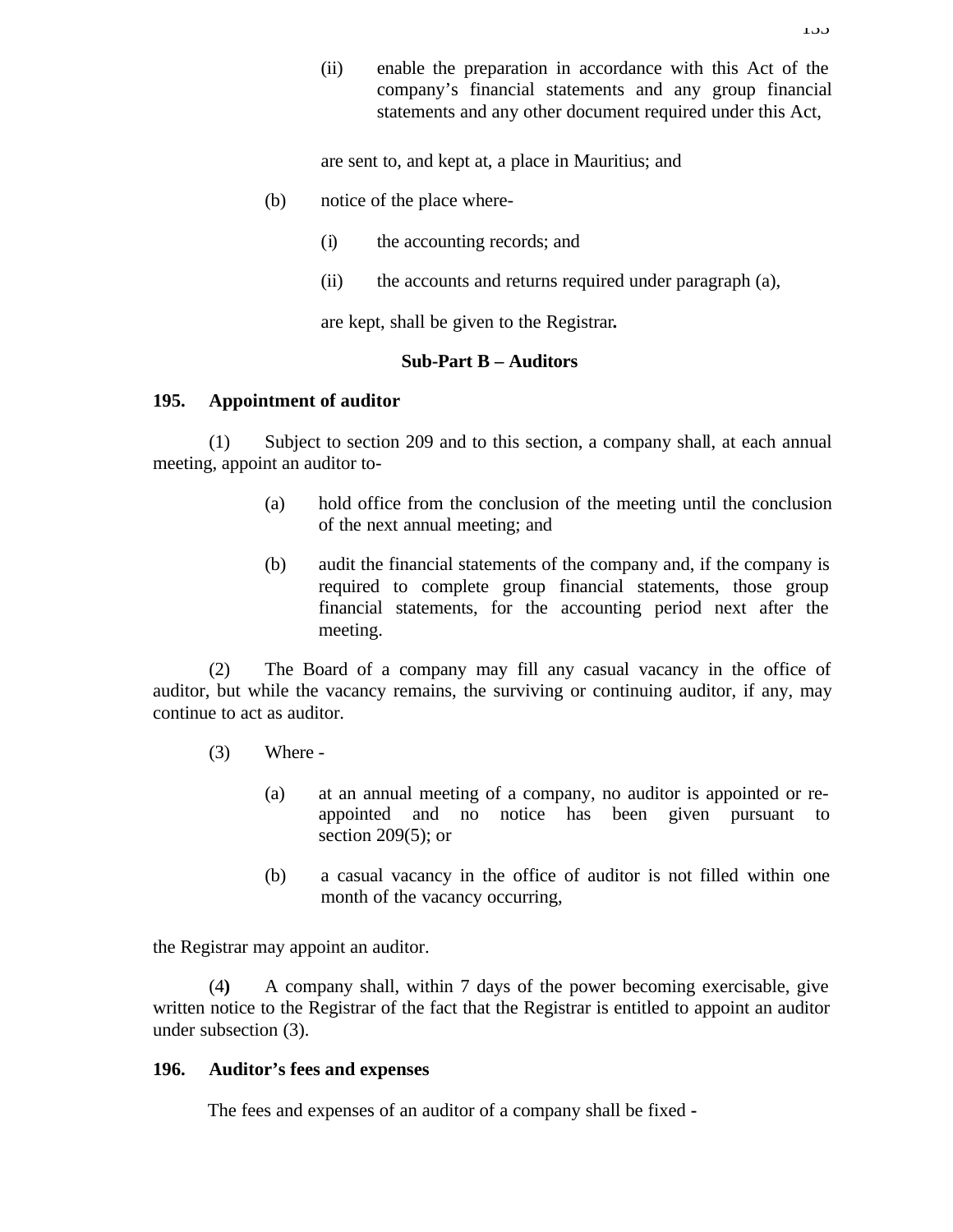(ii) enable the preparation in accordance with this Act of the company's financial statements and any group financial statements and any other document required under this Act,

are sent to, and kept at, a place in Mauritius; and

- (b) notice of the place where-
	- (i) the accounting records; and
	- (ii) the accounts and returns required under paragraph (a),

are kept, shall be given to the Registrar**.**

### **Sub-Part B – Auditors**

### **195. Appointment of auditor**

(1) Subject to section 209 and to this section, a company shall, at each annual meeting, appoint an auditor to-

- (a) hold office from the conclusion of the meeting until the conclusion of the next annual meeting; and
- (b) audit the financial statements of the company and, if the company is required to complete group financial statements, those group financial statements, for the accounting period next after the meeting.

(2) The Board of a company may fill any casual vacancy in the office of auditor, but while the vacancy remains, the surviving or continuing auditor, if any, may continue to act as auditor.

- (3) Where
	- (a) at an annual meeting of a company, no auditor is appointed or reappointed and no notice has been given pursuant to section 209(5); or
	- (b) a casual vacancy in the office of auditor is not filled within one month of the vacancy occurring,

the Registrar may appoint an auditor.

(4**)** A company shall, within 7 days of the power becoming exercisable, give written notice to the Registrar of the fact that the Registrar is entitled to appoint an auditor under subsection (3).

## **196. Auditor's fees and expenses**

The fees and expenses of an auditor of a company shall be fixed **-**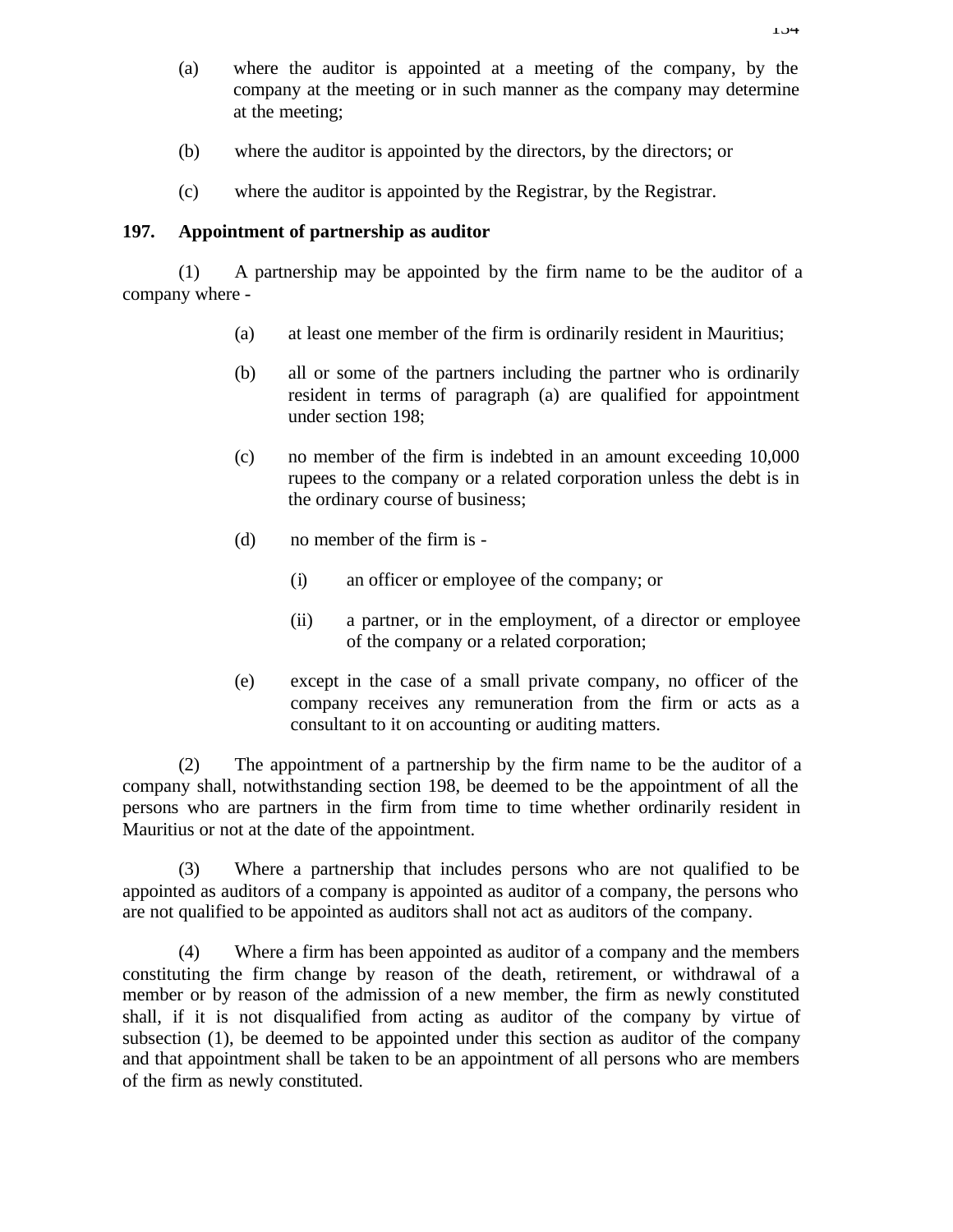- (a) where the auditor is appointed at a meeting of the company, by the company at the meeting or in such manner as the company may determine at the meeting;
- (b) where the auditor is appointed by the directors, by the directors; or
- (c) where the auditor is appointed by the Registrar, by the Registrar.

### **197. Appointment of partnership as auditor**

(1) A partnership may be appointed by the firm name to be the auditor of a company where -

- (a) at least one member of the firm is ordinarily resident in Mauritius;
- (b) all or some of the partners including the partner who is ordinarily resident in terms of paragraph (a) are qualified for appointment under section 198;
- (c) no member of the firm is indebted in an amount exceeding 10,000 rupees to the company or a related corporation unless the debt is in the ordinary course of business;
- (d) no member of the firm is
	- (i) an officer or employee of the company; or
	- (ii) a partner, or in the employment, of a director or employee of the company or a related corporation;
- (e) except in the case of a small private company, no officer of the company receives any remuneration from the firm or acts as a consultant to it on accounting or auditing matters.

(2) The appointment of a partnership by the firm name to be the auditor of a company shall, notwithstanding section 198, be deemed to be the appointment of all the persons who are partners in the firm from time to time whether ordinarily resident in Mauritius or not at the date of the appointment.

(3) Where a partnership that includes persons who are not qualified to be appointed as auditors of a company is appointed as auditor of a company, the persons who are not qualified to be appointed as auditors shall not act as auditors of the company.

(4) Where a firm has been appointed as auditor of a company and the members constituting the firm change by reason of the death, retirement, or withdrawal of a member or by reason of the admission of a new member, the firm as newly constituted shall, if it is not disqualified from acting as auditor of the company by virtue of subsection (1), be deemed to be appointed under this section as auditor of the company and that appointment shall be taken to be an appointment of all persons who are members of the firm as newly constituted.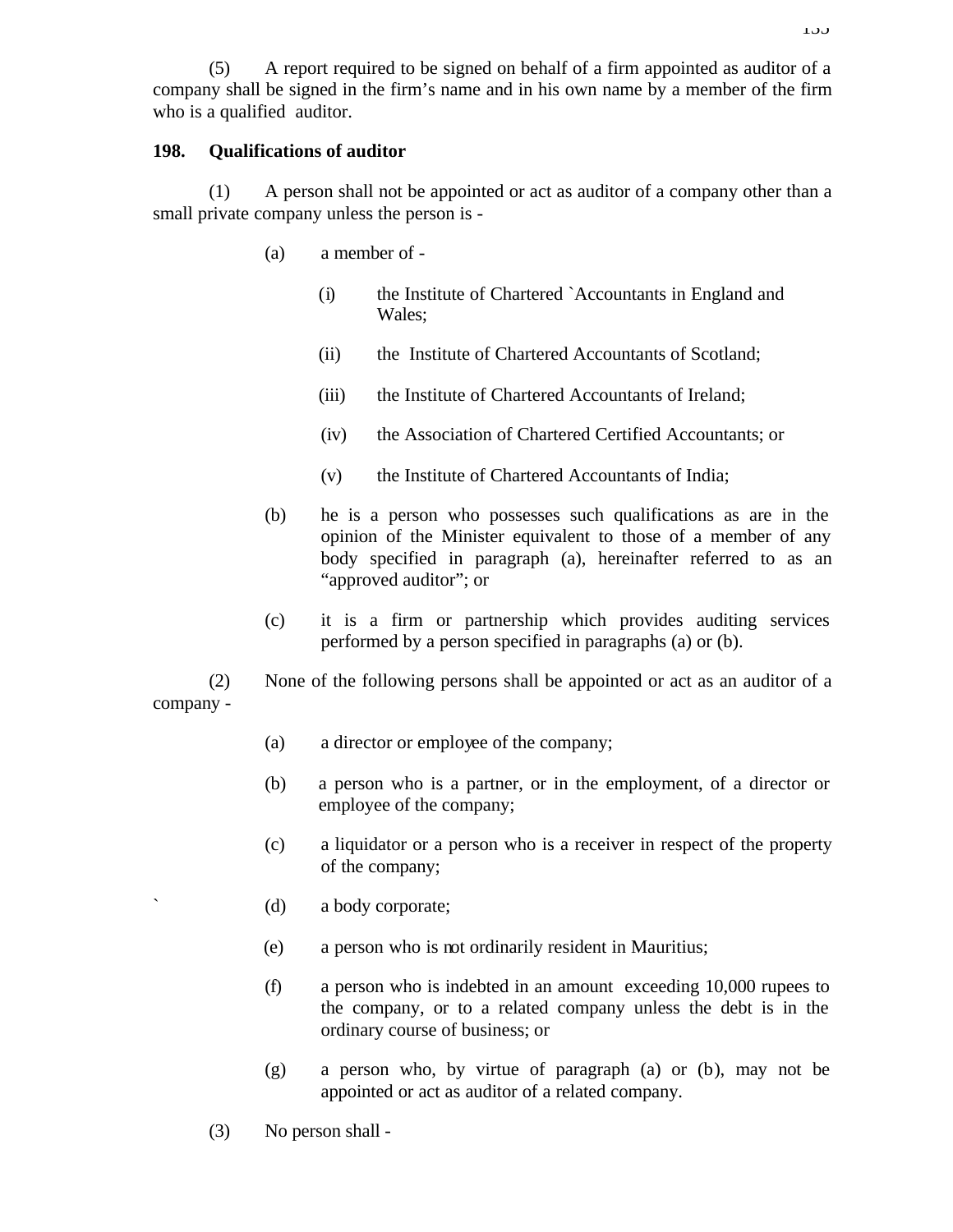(5) A report required to be signed on behalf of a firm appointed as auditor of a company shall be signed in the firm's name and in his own name by a member of the firm who is a qualified auditor.

## **198. Qualifications of auditor**

(1) A person shall not be appointed or act as auditor of a company other than a small private company unless the person is -

- (a) a member of
	- (i) the Institute of Chartered `Accountants in England and Wales;
	- (ii) the Institute of Chartered Accountants of Scotland;
	- (iii) the Institute of Chartered Accountants of Ireland;
	- (iv) the Association of Chartered Certified Accountants; or
	- (v) the Institute of Chartered Accountants of India;
- (b) he is a person who possesses such qualifications as are in the opinion of the Minister equivalent to those of a member of any body specified in paragraph (a), hereinafter referred to as an "approved auditor"; or
- (c) it is a firm or partnership which provides auditing services performed by a person specified in paragraphs (a) or (b).

(2) None of the following persons shall be appointed or act as an auditor of a company -

- (a) a director or employee of the company;
- (b) a person who is a partner, or in the employment, of a director or employee of the company;
- (c) a liquidator or a person who is a receiver in respect of the property of the company;
- ` (d) a body corporate;
- (e) a person who is not ordinarily resident in Mauritius;
- (f) a person who is indebted in an amount exceeding 10,000 rupees to the company, or to a related company unless the debt is in the ordinary course of business; or
- (g) a person who, by virtue of paragraph (a) or (b), may not be appointed or act as auditor of a related company.
- (3) No person shall -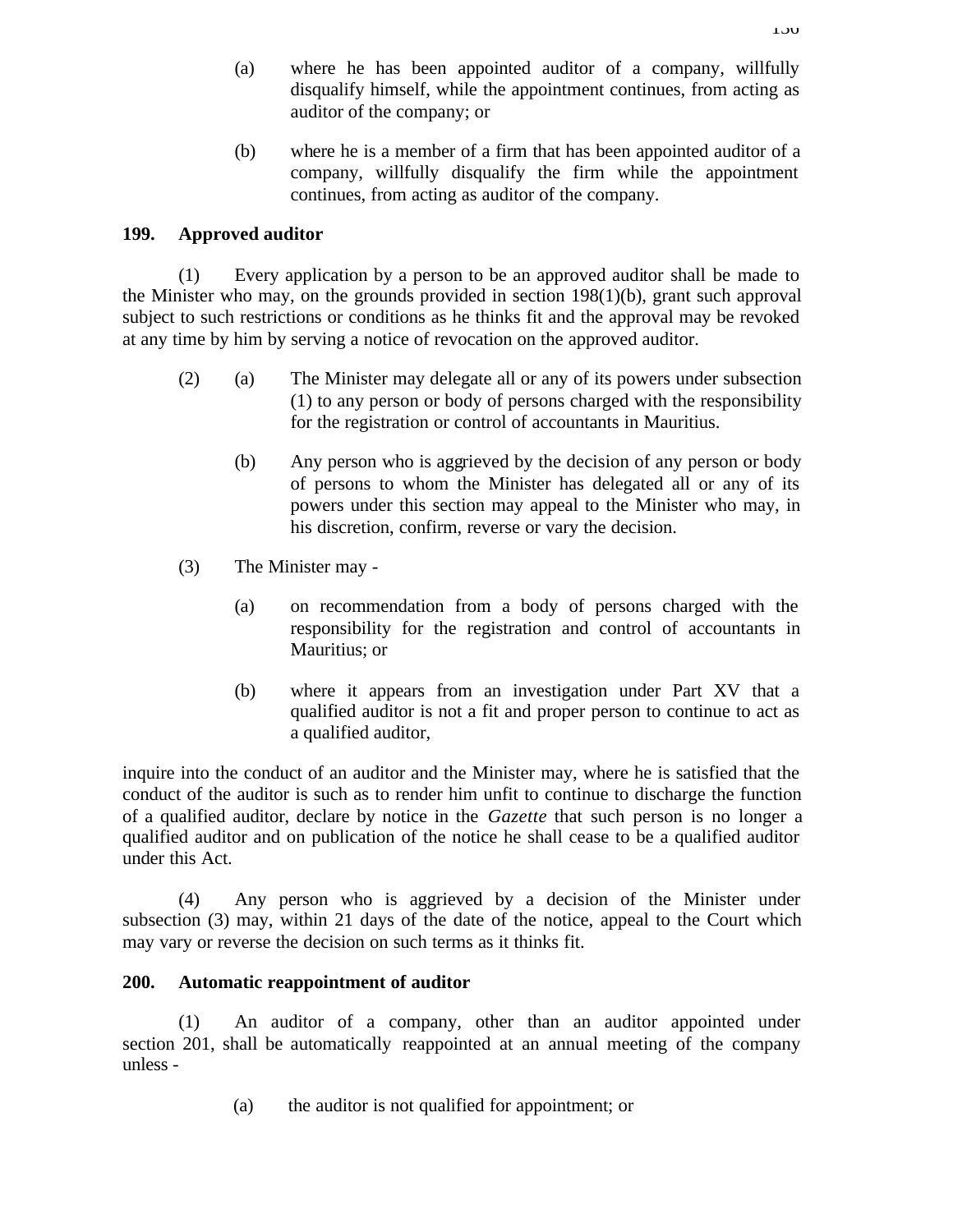- (a) where he has been appointed auditor of a company, willfully disqualify himself, while the appointment continues, from acting as auditor of the company; or
- (b) where he is a member of a firm that has been appointed auditor of a company, willfully disqualify the firm while the appointment continues, from acting as auditor of the company.

## **199. Approved auditor**

(1) Every application by a person to be an approved auditor shall be made to the Minister who may, on the grounds provided in section 198(1)(b), grant such approval subject to such restrictions or conditions as he thinks fit and the approval may be revoked at any time by him by serving a notice of revocation on the approved auditor.

- (2) (a) The Minister may delegate all or any of its powers under subsection (1) to any person or body of persons charged with the responsibility for the registration or control of accountants in Mauritius.
	- (b) Any person who is aggrieved by the decision of any person or body of persons to whom the Minister has delegated all or any of its powers under this section may appeal to the Minister who may, in his discretion, confirm, reverse or vary the decision.
- (3) The Minister may
	- (a) on recommendation from a body of persons charged with the responsibility for the registration and control of accountants in Mauritius; or
	- (b) where it appears from an investigation under Part XV that a qualified auditor is not a fit and proper person to continue to act as a qualified auditor,

inquire into the conduct of an auditor and the Minister may, where he is satisfied that the conduct of the auditor is such as to render him unfit to continue to discharge the function of a qualified auditor, declare by notice in the *Gazette* that such person is no longer a qualified auditor and on publication of the notice he shall cease to be a qualified auditor under this Act.

(4) Any person who is aggrieved by a decision of the Minister under subsection (3) may, within 21 days of the date of the notice, appeal to the Court which may vary or reverse the decision on such terms as it thinks fit.

# **200. Automatic reappointment of auditor**

(1) An auditor of a company, other than an auditor appointed under section 201, shall be automatically reappointed at an annual meeting of the company unless -

(a) the auditor is not qualified for appointment; or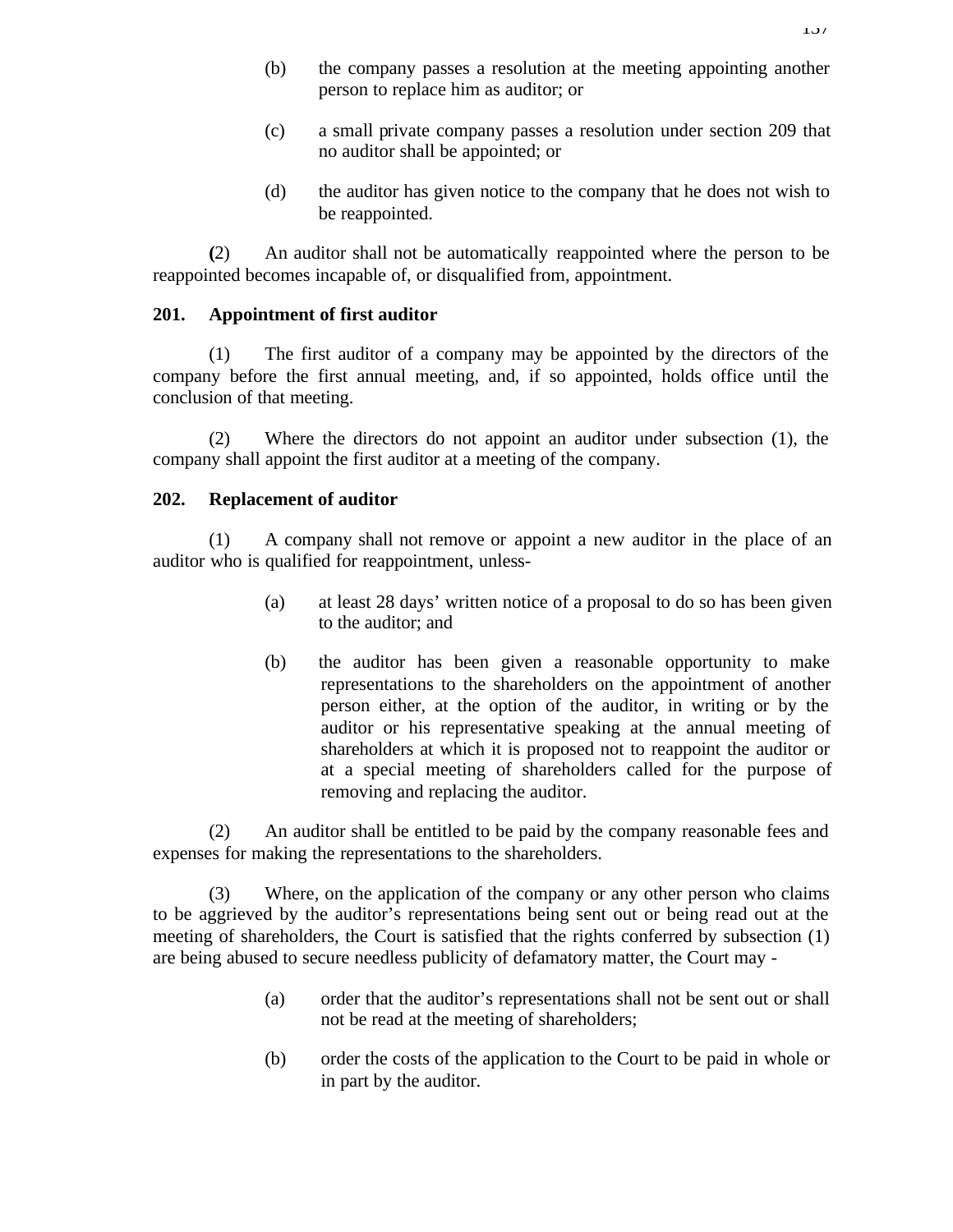- (b) the company passes a resolution at the meeting appointing another person to replace him as auditor; or
- (c) a small private company passes a resolution under section 209 that no auditor shall be appointed; or
- (d) the auditor has given notice to the company that he does not wish to be reappointed.

**(**2) An auditor shall not be automatically reappointed where the person to be reappointed becomes incapable of, or disqualified from, appointment.

## **201. Appointment of first auditor**

(1) The first auditor of a company may be appointed by the directors of the company before the first annual meeting, and, if so appointed, holds office until the conclusion of that meeting.

(2) Where the directors do not appoint an auditor under subsection (1), the company shall appoint the first auditor at a meeting of the company.

### **202. Replacement of auditor**

(1) A company shall not remove or appoint a new auditor in the place of an auditor who is qualified for reappointment, unless-

- (a) at least 28 days' written notice of a proposal to do so has been given to the auditor; and
- (b) the auditor has been given a reasonable opportunity to make representations to the shareholders on the appointment of another person either, at the option of the auditor, in writing or by the auditor or his representative speaking at the annual meeting of shareholders at which it is proposed not to reappoint the auditor or at a special meeting of shareholders called for the purpose of removing and replacing the auditor.

(2) An auditor shall be entitled to be paid by the company reasonable fees and expenses for making the representations to the shareholders.

(3) Where, on the application of the company or any other person who claims to be aggrieved by the auditor's representations being sent out or being read out at the meeting of shareholders, the Court is satisfied that the rights conferred by subsection (1) are being abused to secure needless publicity of defamatory matter, the Court may -

- (a) order that the auditor's representations shall not be sent out or shall not be read at the meeting of shareholders;
- (b) order the costs of the application to the Court to be paid in whole or in part by the auditor.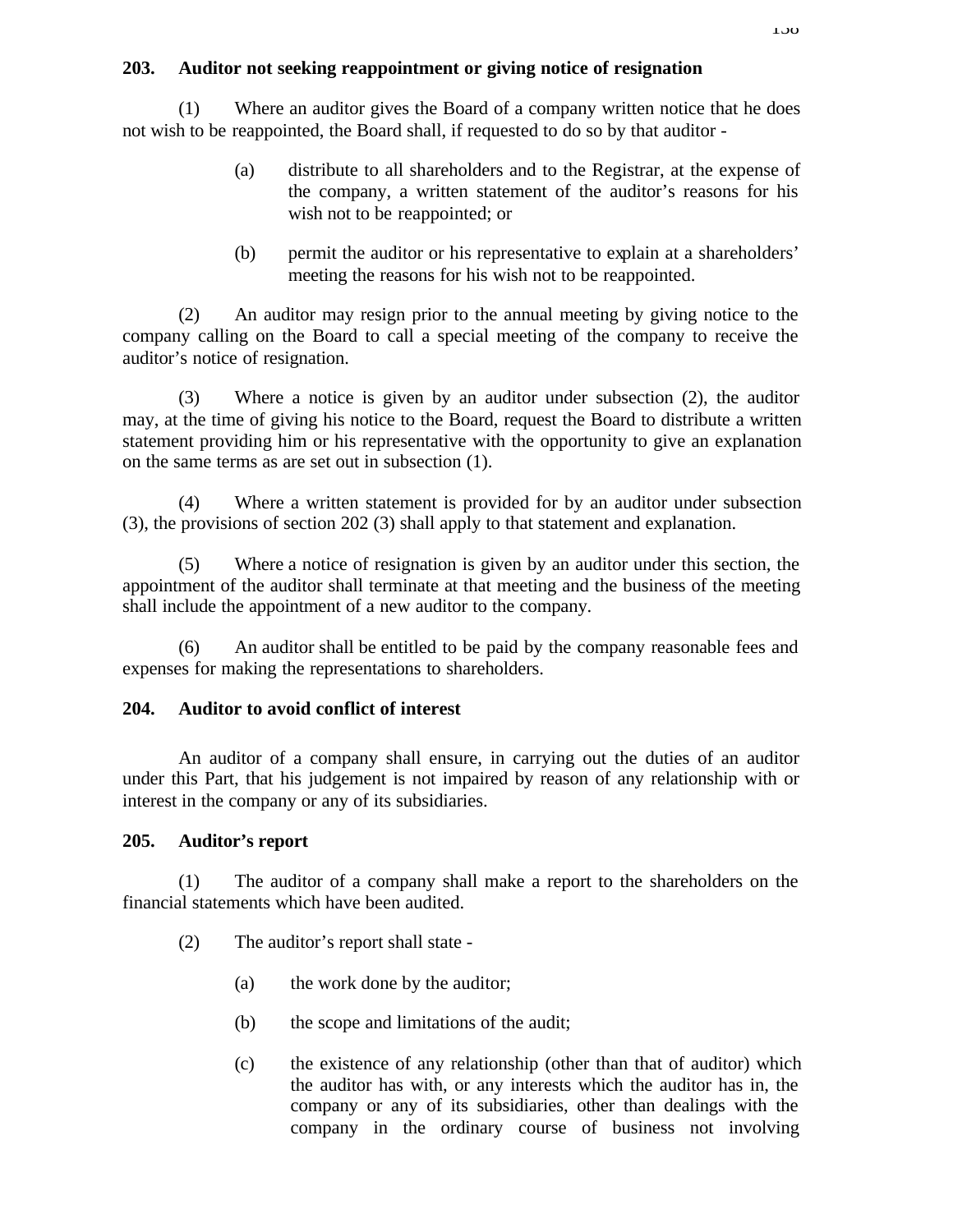# **203. Auditor not seeking reappointment or giving notice of resignation**

(1) Where an auditor gives the Board of a company written notice that he does not wish to be reappointed, the Board shall, if requested to do so by that auditor -

- (a) distribute to all shareholders and to the Registrar, at the expense of the company, a written statement of the auditor's reasons for his wish not to be reappointed; or
- (b) permit the auditor or his representative to explain at a shareholders' meeting the reasons for his wish not to be reappointed.

(2) An auditor may resign prior to the annual meeting by giving notice to the company calling on the Board to call a special meeting of the company to receive the auditor's notice of resignation.

(3) Where a notice is given by an auditor under subsection (2), the auditor may, at the time of giving his notice to the Board, request the Board to distribute a written statement providing him or his representative with the opportunity to give an explanation on the same terms as are set out in subsection (1).

(4) Where a written statement is provided for by an auditor under subsection (3), the provisions of section 202 (3) shall apply to that statement and explanation.

(5) Where a notice of resignation is given by an auditor under this section, the appointment of the auditor shall terminate at that meeting and the business of the meeting shall include the appointment of a new auditor to the company.

(6) An auditor shall be entitled to be paid by the company reasonable fees and expenses for making the representations to shareholders.

# **204. Auditor to avoid conflict of interest**

An auditor of a company shall ensure, in carrying out the duties of an auditor under this Part, that his judgement is not impaired by reason of any relationship with or interest in the company or any of its subsidiaries.

# **205. Auditor's report**

(1) The auditor of a company shall make a report to the shareholders on the financial statements which have been audited.

- (2) The auditor's report shall state
	- (a) the work done by the auditor;
	- (b) the scope and limitations of the audit;
	- (c) the existence of any relationship (other than that of auditor) which the auditor has with, or any interests which the auditor has in, the company or any of its subsidiaries, other than dealings with the company in the ordinary course of business not involving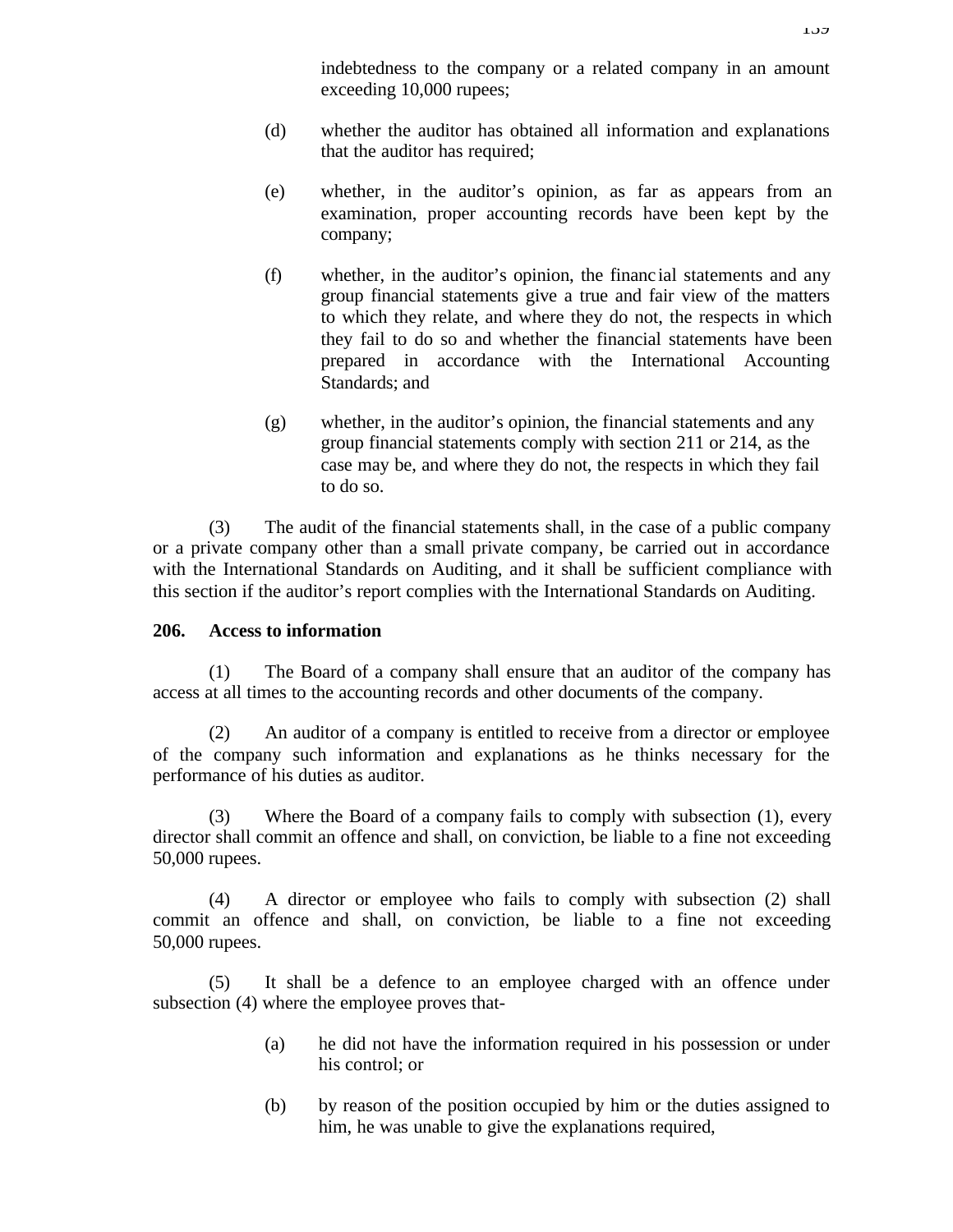indebtedness to the company or a related company in an amount exceeding 10,000 rupees;

- (d) whether the auditor has obtained all information and explanations that the auditor has required;
- (e) whether, in the auditor's opinion, as far as appears from an examination, proper accounting records have been kept by the company;
- (f) whether, in the auditor's opinion, the financ ial statements and any group financial statements give a true and fair view of the matters to which they relate, and where they do not, the respects in which they fail to do so and whether the financial statements have been prepared in accordance with the International Accounting Standards; and
- (g) whether, in the auditor's opinion, the financial statements and any group financial statements comply with section 211 or 214, as the case may be, and where they do not, the respects in which they fail to do so.

(3) The audit of the financial statements shall, in the case of a public company or a private company other than a small private company, be carried out in accordance with the International Standards on Auditing, and it shall be sufficient compliance with this section if the auditor's report complies with the International Standards on Auditing.

### **206. Access to information**

(1) The Board of a company shall ensure that an auditor of the company has access at all times to the accounting records and other documents of the company.

(2) An auditor of a company is entitled to receive from a director or employee of the company such information and explanations as he thinks necessary for the performance of his duties as auditor.

(3) Where the Board of a company fails to comply with subsection (1), every director shall commit an offence and shall, on conviction, be liable to a fine not exceeding 50,000 rupees.

(4) A director or employee who fails to comply with subsection (2) shall commit an offence and shall, on conviction, be liable to a fine not exceeding 50,000 rupees.

(5) It shall be a defence to an employee charged with an offence under subsection (4) where the employee proves that-

- (a) he did not have the information required in his possession or under his control; or
- (b) by reason of the position occupied by him or the duties assigned to him, he was unable to give the explanations required,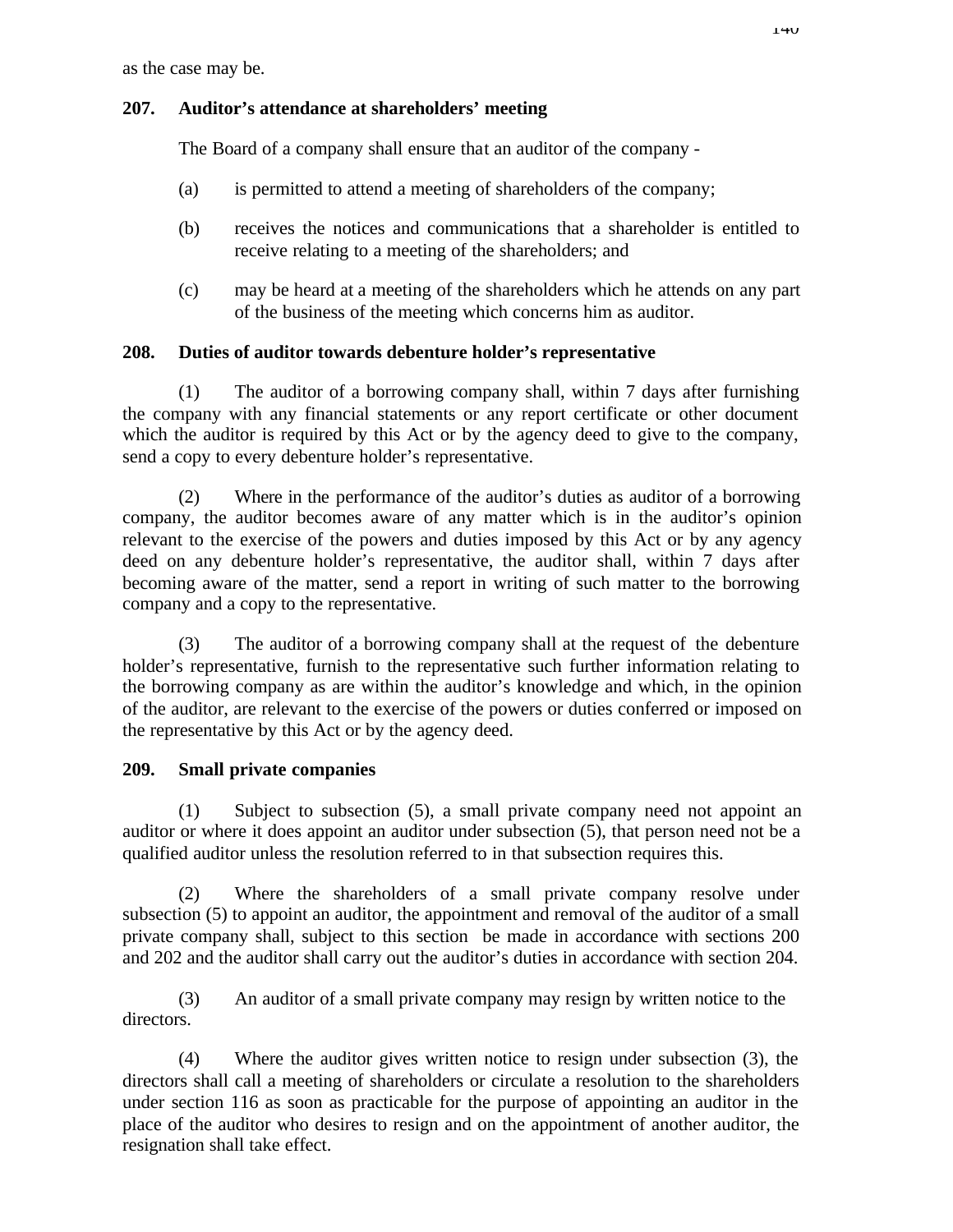as the case may be.

# **207. Auditor's attendance at shareholders' meeting**

The Board of a company shall ensure that an auditor of the company -

- (a) is permitted to attend a meeting of shareholders of the company;
- (b) receives the notices and communications that a shareholder is entitled to receive relating to a meeting of the shareholders; and
- (c) may be heard at a meeting of the shareholders which he attends on any part of the business of the meeting which concerns him as auditor.

# **208. Duties of auditor towards debenture holder's representative**

(1) The auditor of a borrowing company shall, within 7 days after furnishing the company with any financial statements or any report certificate or other document which the auditor is required by this Act or by the agency deed to give to the company, send a copy to every debenture holder's representative.

(2) Where in the performance of the auditor's duties as auditor of a borrowing company, the auditor becomes aware of any matter which is in the auditor's opinion relevant to the exercise of the powers and duties imposed by this Act or by any agency deed on any debenture holder's representative, the auditor shall, within 7 days after becoming aware of the matter, send a report in writing of such matter to the borrowing company and a copy to the representative.

(3) The auditor of a borrowing company shall at the request of the debenture holder's representative, furnish to the representative such further information relating to the borrowing company as are within the auditor's knowledge and which, in the opinion of the auditor, are relevant to the exercise of the powers or duties conferred or imposed on the representative by this Act or by the agency deed.

# **209. Small private companies**

(1) Subject to subsection (5), a small private company need not appoint an auditor or where it does appoint an auditor under subsection (5), that person need not be a qualified auditor unless the resolution referred to in that subsection requires this.

(2) Where the shareholders of a small private company resolve under subsection (5) to appoint an auditor, the appointment and removal of the auditor of a small private company shall, subject to this section be made in accordance with sections 200 and 202 and the auditor shall carry out the auditor's duties in accordance with section 204.

(3) An auditor of a small private company may resign by written notice to the directors.

(4) Where the auditor gives written notice to resign under subsection (3), the directors shall call a meeting of shareholders or circulate a resolution to the shareholders under section 116 as soon as practicable for the purpose of appointing an auditor in the place of the auditor who desires to resign and on the appointment of another auditor, the resignation shall take effect.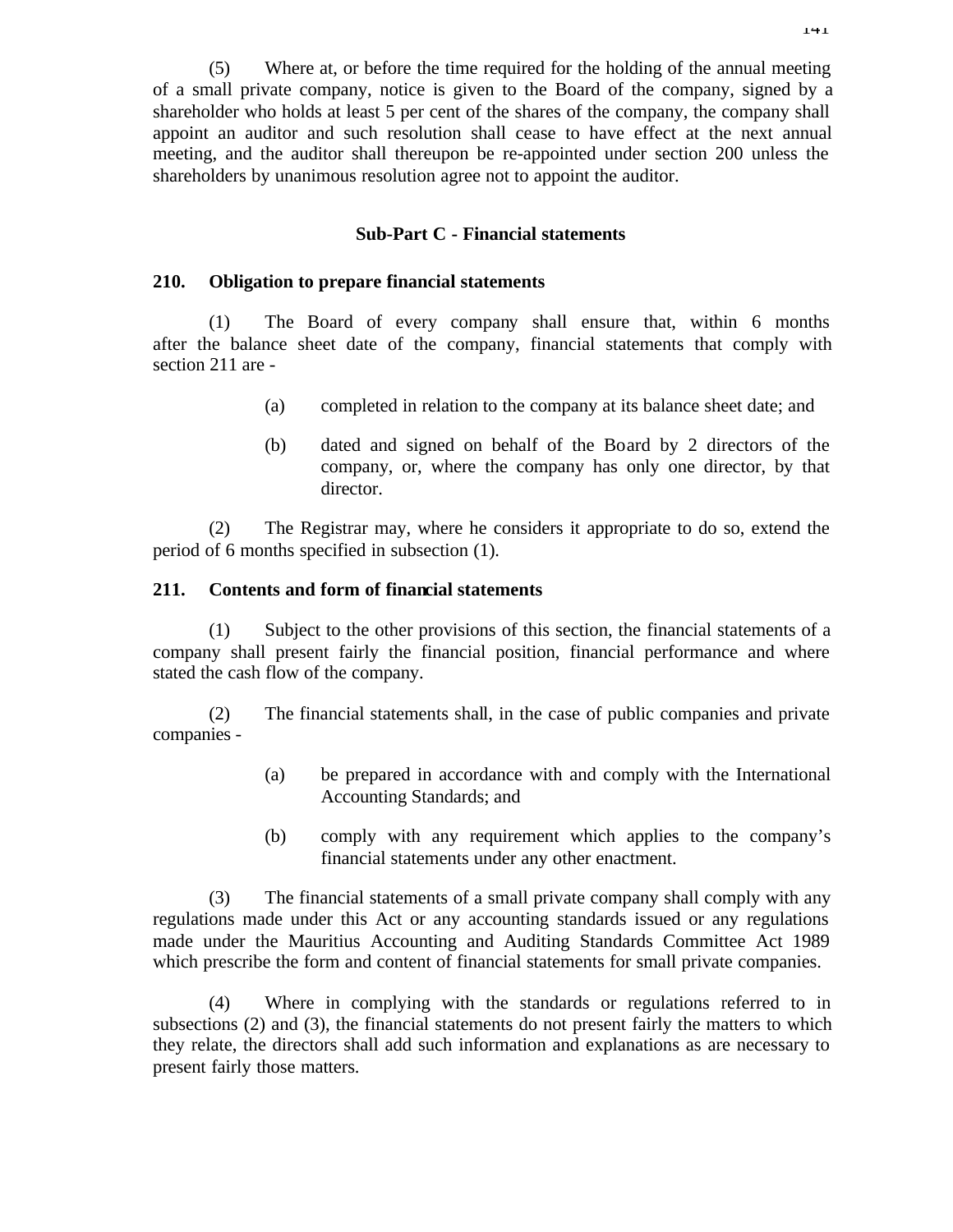(5) Where at, or before the time required for the holding of the annual meeting of a small private company, notice is given to the Board of the company, signed by a shareholder who holds at least 5 per cent of the shares of the company, the company shall appoint an auditor and such resolution shall cease to have effect at the next annual meeting, and the auditor shall thereupon be re-appointed under section 200 unless the shareholders by unanimous resolution agree not to appoint the auditor.

### **Sub-Part C - Financial statements**

### **210. Obligation to prepare financial statements**

(1) The Board of every company shall ensure that, within 6 months after the balance sheet date of the company, financial statements that comply with section 211 are -

- (a) completed in relation to the company at its balance sheet date; and
- (b) dated and signed on behalf of the Board by 2 directors of the company, or, where the company has only one director, by that director.

(2) The Registrar may, where he considers it appropriate to do so, extend the period of 6 months specified in subsection (1).

### **211. Contents and form of financial statements**

(1) Subject to the other provisions of this section, the financial statements of a company shall present fairly the financial position, financial performance and where stated the cash flow of the company.

(2) The financial statements shall, in the case of public companies and private companies -

- (a) be prepared in accordance with and comply with the International Accounting Standards; and
- (b) comply with any requirement which applies to the company's financial statements under any other enactment.

(3) The financial statements of a small private company shall comply with any regulations made under this Act or any accounting standards issued or any regulations made under the Mauritius Accounting and Auditing Standards Committee Act 1989 which prescribe the form and content of financial statements for small private companies.

(4) Where in complying with the standards or regulations referred to in subsections (2) and (3), the financial statements do not present fairly the matters to which they relate, the directors shall add such information and explanations as are necessary to present fairly those matters.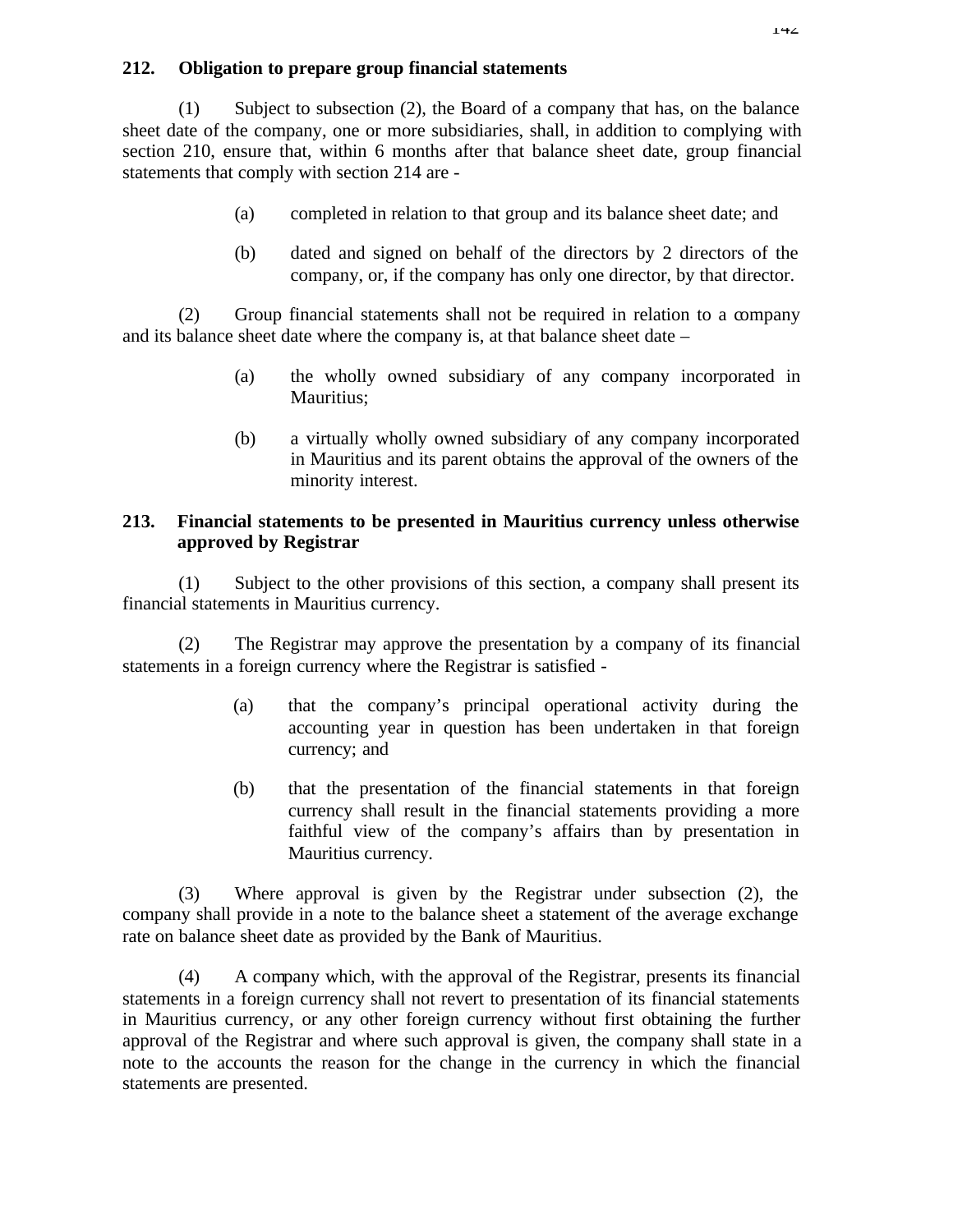## **212. Obligation to prepare group financial statements**

(1) Subject to subsection (2), the Board of a company that has, on the balance sheet date of the company, one or more subsidiaries, shall, in addition to complying with section 210, ensure that, within 6 months after that balance sheet date, group financial statements that comply with section 214 are -

- (a) completed in relation to that group and its balance sheet date; and
- (b) dated and signed on behalf of the directors by 2 directors of the company, or, if the company has only one director, by that director.

(2) Group financial statements shall not be required in relation to a company and its balance sheet date where the company is, at that balance sheet date –

- (a) the wholly owned subsidiary of any company incorporated in Mauritius;
- (b) a virtually wholly owned subsidiary of any company incorporated in Mauritius and its parent obtains the approval of the owners of the minority interest.

## **213. Financial statements to be presented in Mauritius currency unless otherwise approved by Registrar**

(1) Subject to the other provisions of this section, a company shall present its financial statements in Mauritius currency.

(2) The Registrar may approve the presentation by a company of its financial statements in a foreign currency where the Registrar is satisfied -

- (a) that the company's principal operational activity during the accounting year in question has been undertaken in that foreign currency; and
- (b) that the presentation of the financial statements in that foreign currency shall result in the financial statements providing a more faithful view of the company's affairs than by presentation in Mauritius currency.

(3) Where approval is given by the Registrar under subsection (2), the company shall provide in a note to the balance sheet a statement of the average exchange rate on balance sheet date as provided by the Bank of Mauritius.

(4) A company which, with the approval of the Registrar, presents its financial statements in a foreign currency shall not revert to presentation of its financial statements in Mauritius currency, or any other foreign currency without first obtaining the further approval of the Registrar and where such approval is given, the company shall state in a note to the accounts the reason for the change in the currency in which the financial statements are presented.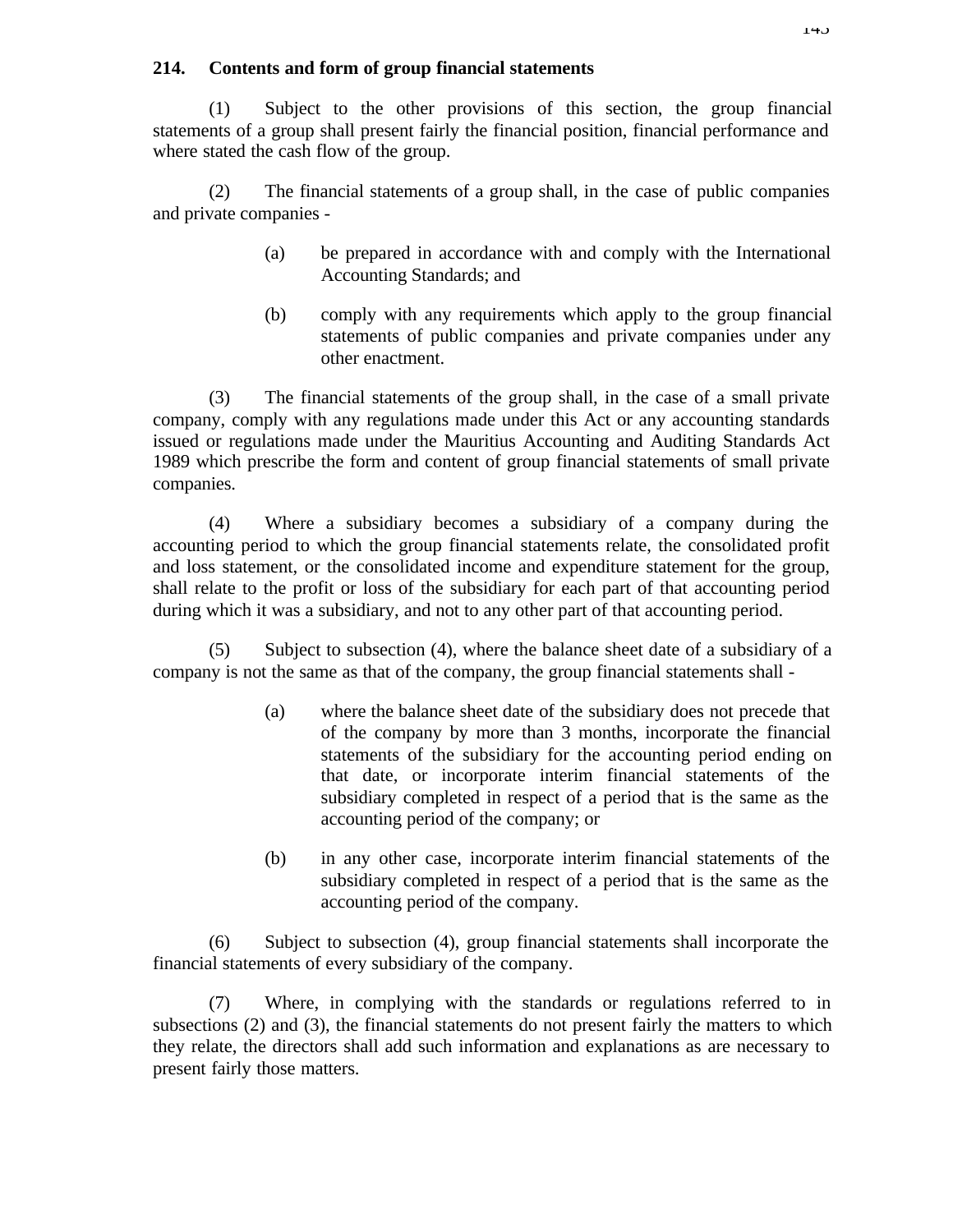## **214. Contents and form of group financial statements**

(1) Subject to the other provisions of this section, the group financial statements of a group shall present fairly the financial position, financial performance and where stated the cash flow of the group.

(2) The financial statements of a group shall, in the case of public companies and private companies -

- (a) be prepared in accordance with and comply with the International Accounting Standards; and
- (b) comply with any requirements which apply to the group financial statements of public companies and private companies under any other enactment.

(3) The financial statements of the group shall, in the case of a small private company, comply with any regulations made under this Act or any accounting standards issued or regulations made under the Mauritius Accounting and Auditing Standards Act 1989 which prescribe the form and content of group financial statements of small private companies.

(4) Where a subsidiary becomes a subsidiary of a company during the accounting period to which the group financial statements relate, the consolidated profit and loss statement, or the consolidated income and expenditure statement for the group, shall relate to the profit or loss of the subsidiary for each part of that accounting period during which it was a subsidiary, and not to any other part of that accounting period.

(5) Subject to subsection (4), where the balance sheet date of a subsidiary of a company is not the same as that of the company, the group financial statements shall -

- (a) where the balance sheet date of the subsidiary does not precede that of the company by more than 3 months, incorporate the financial statements of the subsidiary for the accounting period ending on that date, or incorporate interim financial statements of the subsidiary completed in respect of a period that is the same as the accounting period of the company; or
- (b) in any other case, incorporate interim financial statements of the subsidiary completed in respect of a period that is the same as the accounting period of the company.

(6) Subject to subsection (4), group financial statements shall incorporate the financial statements of every subsidiary of the company.

(7) Where, in complying with the standards or regulations referred to in subsections (2) and (3), the financial statements do not present fairly the matters to which they relate, the directors shall add such information and explanations as are necessary to present fairly those matters.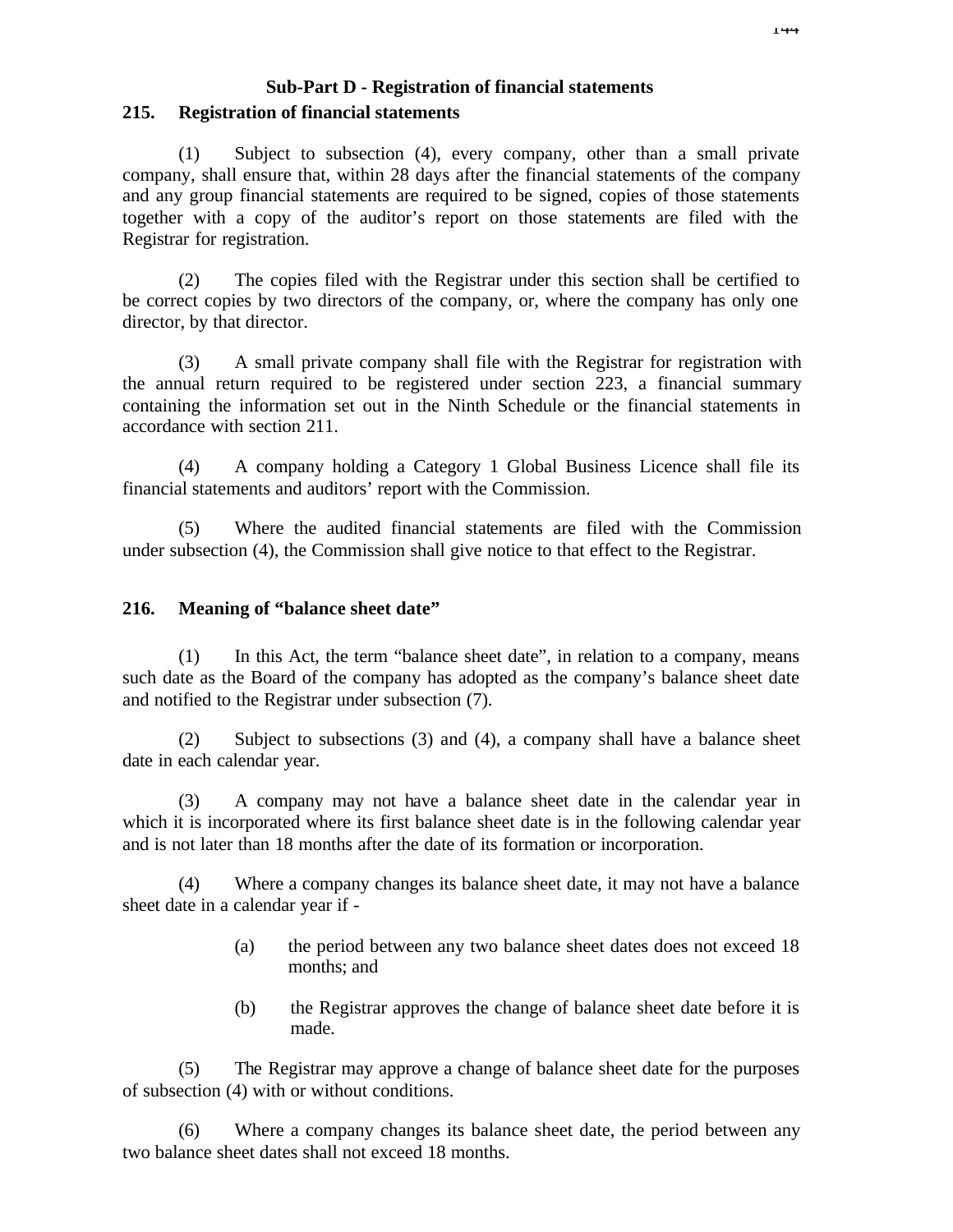## **Sub-Part D - Registration of financial statements 215. Registration of financial statements**

(1) Subject to subsection (4), every company, other than a small private company, shall ensure that, within 28 days after the financial statements of the company and any group financial statements are required to be signed, copies of those statements together with a copy of the auditor's report on those statements are filed with the Registrar for registration.

(2) The copies filed with the Registrar under this section shall be certified to be correct copies by two directors of the company, or, where the company has only one director, by that director.

(3) A small private company shall file with the Registrar for registration with the annual return required to be registered under section 223, a financial summary containing the information set out in the Ninth Schedule or the financial statements in accordance with section 211.

(4) A company holding a Category 1 Global Business Licence shall file its financial statements and auditors' report with the Commission.

(5) Where the audited financial statements are filed with the Commission under subsection (4), the Commission shall give notice to that effect to the Registrar.

## **216. Meaning of "balance sheet date"**

(1) In this Act, the term "balance sheet date", in relation to a company, means such date as the Board of the company has adopted as the company's balance sheet date and notified to the Registrar under subsection (7).

(2) Subject to subsections (3) and (4), a company shall have a balance sheet date in each calendar year.

(3) A company may not have a balance sheet date in the calendar year in which it is incorporated where its first balance sheet date is in the following calendar year and is not later than 18 months after the date of its formation or incorporation.

(4) Where a company changes its balance sheet date, it may not have a balance sheet date in a calendar year if -

- (a) the period between any two balance sheet dates does not exceed 18 months; and
- (b) the Registrar approves the change of balance sheet date before it is made.

(5) The Registrar may approve a change of balance sheet date for the purposes of subsection (4) with or without conditions.

(6) Where a company changes its balance sheet date, the period between any two balance sheet dates shall not exceed 18 months.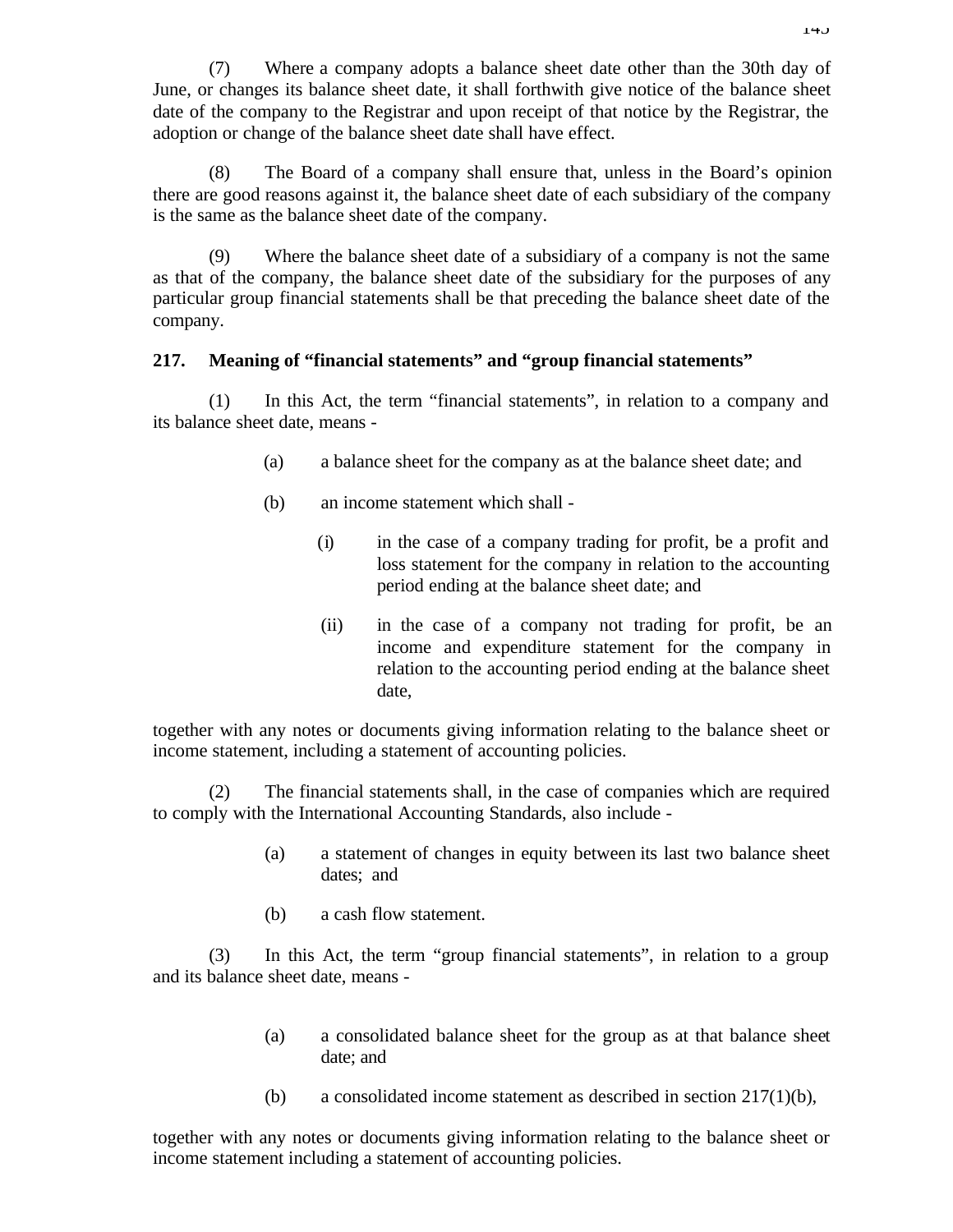(7) Where a company adopts a balance sheet date other than the 30th day of June, or changes its balance sheet date, it shall forthwith give notice of the balance sheet date of the company to the Registrar and upon receipt of that notice by the Registrar, the adoption or change of the balance sheet date shall have effect.

(8) The Board of a company shall ensure that, unless in the Board's opinion there are good reasons against it, the balance sheet date of each subsidiary of the company is the same as the balance sheet date of the company.

(9) Where the balance sheet date of a subsidiary of a company is not the same as that of the company, the balance sheet date of the subsidiary for the purposes of any particular group financial statements shall be that preceding the balance sheet date of the company.

### **217. Meaning of "financial statements" and "group financial statements"**

(1) In this Act, the term "financial statements", in relation to a company and its balance sheet date, means -

- (a) a balance sheet for the company as at the balance sheet date; and
- (b) an income statement which shall
	- (i) in the case of a company trading for profit, be a profit and loss statement for the company in relation to the accounting period ending at the balance sheet date; and
	- (ii) in the case of a company not trading for profit, be an income and expenditure statement for the company in relation to the accounting period ending at the balance sheet date,

together with any notes or documents giving information relating to the balance sheet or income statement, including a statement of accounting policies.

(2) The financial statements shall, in the case of companies which are required to comply with the International Accounting Standards, also include -

- (a) a statement of changes in equity between its last two balance sheet dates; and
- (b) a cash flow statement.

(3) In this Act, the term "group financial statements", in relation to a group and its balance sheet date, means -

- (a) a consolidated balance sheet for the group as at that balance sheet date; and
- (b) a consolidated income statement as described in section 217(1)(b),

together with any notes or documents giving information relating to the balance sheet or income statement including a statement of accounting policies.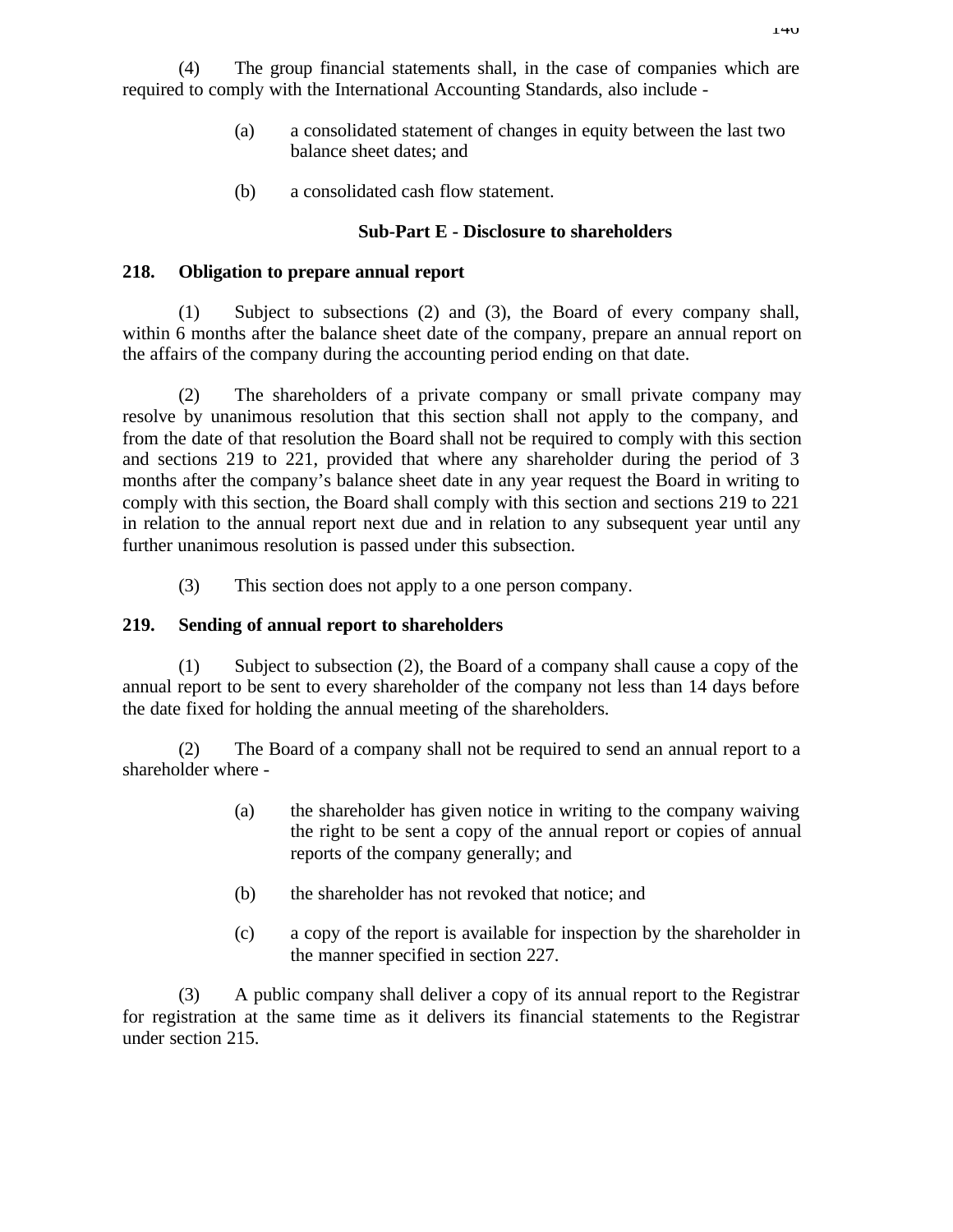(4) The group financial statements shall, in the case of companies which are required to comply with the International Accounting Standards, also include -

- (a) a consolidated statement of changes in equity between the last two balance sheet dates; and
- (b) a consolidated cash flow statement.

## **Sub-Part E - Disclosure to shareholders**

## **218. Obligation to prepare annual report**

(1) Subject to subsections (2) and (3), the Board of every company shall, within 6 months after the balance sheet date of the company, prepare an annual report on the affairs of the company during the accounting period ending on that date.

(2) The shareholders of a private company or small private company may resolve by unanimous resolution that this section shall not apply to the company, and from the date of that resolution the Board shall not be required to comply with this section and sections 219 to 221, provided that where any shareholder during the period of 3 months after the company's balance sheet date in any year request the Board in writing to comply with this section, the Board shall comply with this section and sections 219 to 221 in relation to the annual report next due and in relation to any subsequent year until any further unanimous resolution is passed under this subsection.

(3) This section does not apply to a one person company.

## **219. Sending of annual report to shareholders**

(1) Subject to subsection (2), the Board of a company shall cause a copy of the annual report to be sent to every shareholder of the company not less than 14 days before the date fixed for holding the annual meeting of the shareholders.

(2) The Board of a company shall not be required to send an annual report to a shareholder where -

- (a) the shareholder has given notice in writing to the company waiving the right to be sent a copy of the annual report or copies of annual reports of the company generally; and
- (b) the shareholder has not revoked that notice; and
- (c) a copy of the report is available for inspection by the shareholder in the manner specified in section 227.

(3) A public company shall deliver a copy of its annual report to the Registrar for registration at the same time as it delivers its financial statements to the Registrar under section 215.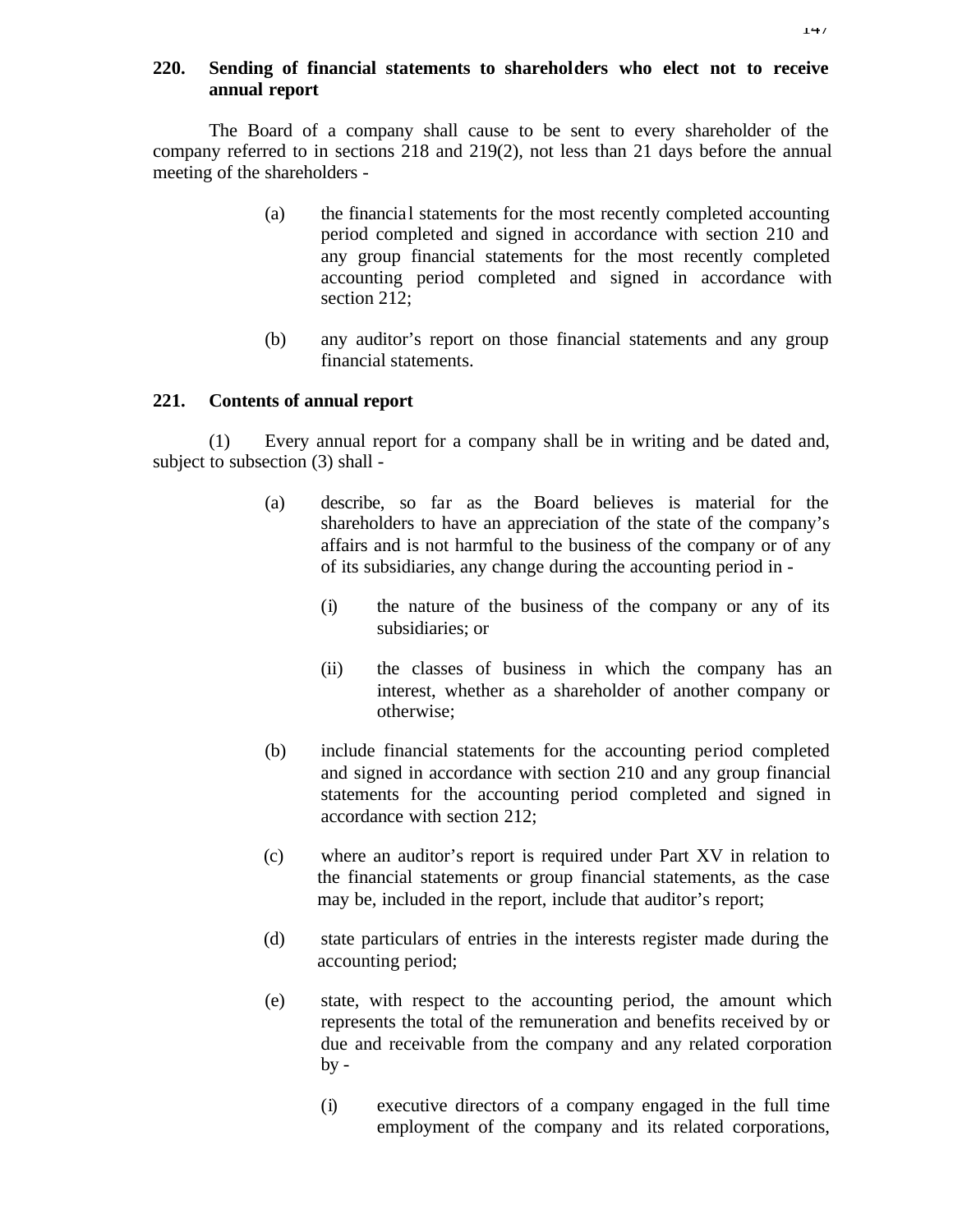## **220. Sending of financial statements to shareholders who elect not to receive annual report**

The Board of a company shall cause to be sent to every shareholder of the company referred to in sections 218 and 219(2), not less than 21 days before the annual meeting of the shareholders -

- (a) the financial statements for the most recently completed accounting period completed and signed in accordance with section 210 and any group financial statements for the most recently completed accounting period completed and signed in accordance with section 212;
- (b) any auditor's report on those financial statements and any group financial statements.

#### **221. Contents of annual report**

(1) Every annual report for a company shall be in writing and be dated and, subject to subsection (3) shall -

- (a) describe, so far as the Board believes is material for the shareholders to have an appreciation of the state of the company's affairs and is not harmful to the business of the company or of any of its subsidiaries, any change during the accounting period in -
	- (i) the nature of the business of the company or any of its subsidiaries; or
	- (ii) the classes of business in which the company has an interest, whether as a shareholder of another company or otherwise;
- (b) include financial statements for the accounting period completed and signed in accordance with section 210 and any group financial statements for the accounting period completed and signed in accordance with section 212;
- (c) where an auditor's report is required under Part XV in relation to the financial statements or group financial statements, as the case may be, included in the report, include that auditor's report;
- (d) state particulars of entries in the interests register made during the accounting period;
- (e) state, with respect to the accounting period, the amount which represents the total of the remuneration and benefits received by or due and receivable from the company and any related corporation  $by -$ 
	- (i) executive directors of a company engaged in the full time employment of the company and its related corporations,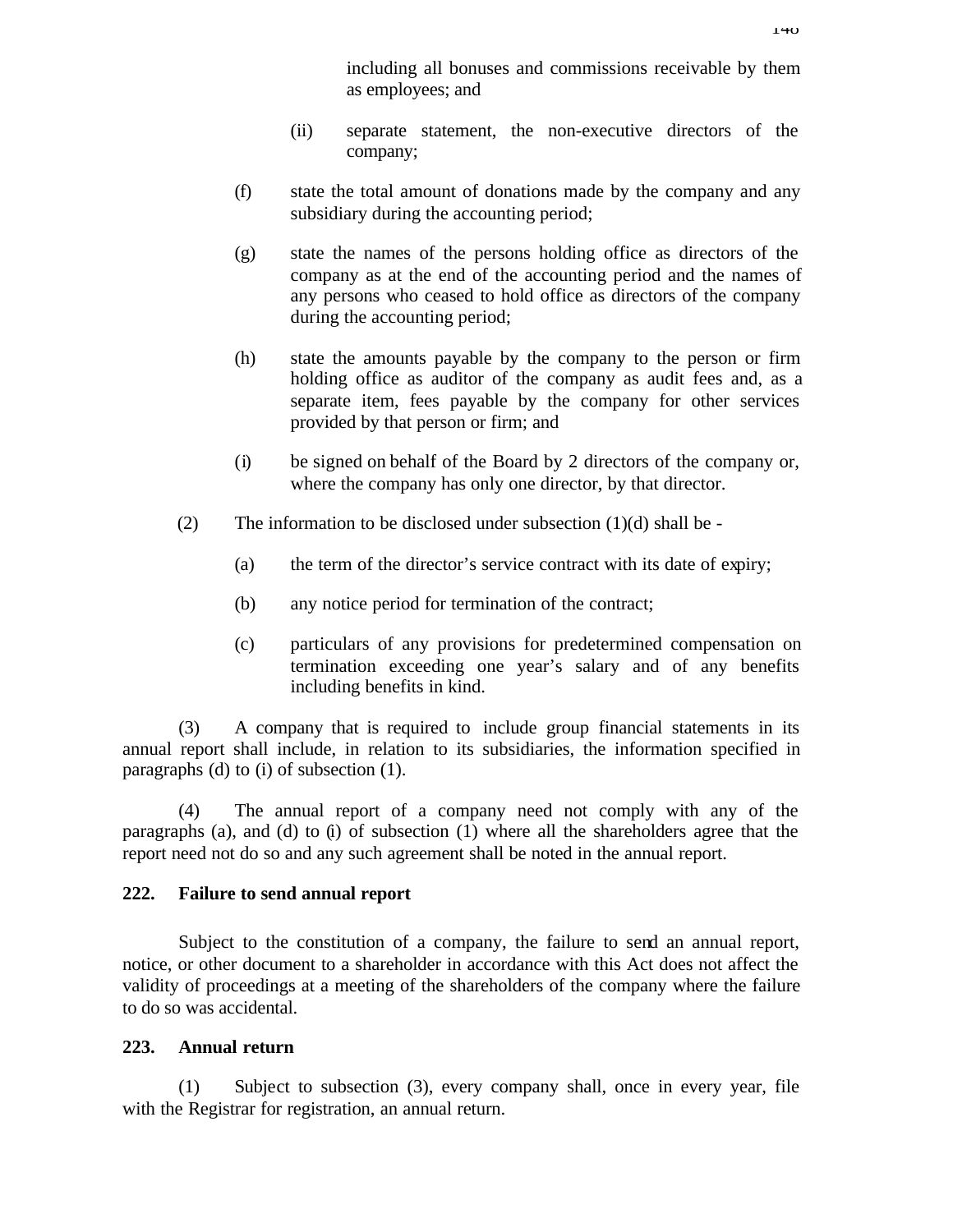including all bonuses and commissions receivable by them as employees; and

- (ii) separate statement, the non-executive directors of the company;
- (f) state the total amount of donations made by the company and any subsidiary during the accounting period;
- (g) state the names of the persons holding office as directors of the company as at the end of the accounting period and the names of any persons who ceased to hold office as directors of the company during the accounting period;
- (h) state the amounts payable by the company to the person or firm holding office as auditor of the company as audit fees and, as a separate item, fees payable by the company for other services provided by that person or firm; and
- (i) be signed on behalf of the Board by 2 directors of the company or, where the company has only one director, by that director.
- (2) The information to be disclosed under subsection  $(1)(d)$  shall be -
	- (a) the term of the director's service contract with its date of expiry;
	- (b) any notice period for termination of the contract;
	- (c) particulars of any provisions for predetermined compensation on termination exceeding one year's salary and of any benefits including benefits in kind.

(3) A company that is required to include group financial statements in its annual report shall include, in relation to its subsidiaries, the information specified in paragraphs (d) to (i) of subsection (1).

(4) The annual report of a company need not comply with any of the paragraphs (a), and (d) to (i) of subsection (1) where all the shareholders agree that the report need not do so and any such agreement shall be noted in the annual report.

### **222. Failure to send annual report**

Subject to the constitution of a company, the failure to send an annual report, notice, or other document to a shareholder in accordance with this Act does not affect the validity of proceedings at a meeting of the shareholders of the company where the failure to do so was accidental.

### **223. Annual return**

(1) Subject to subsection (3), every company shall, once in every year, file with the Registrar for registration, an annual return.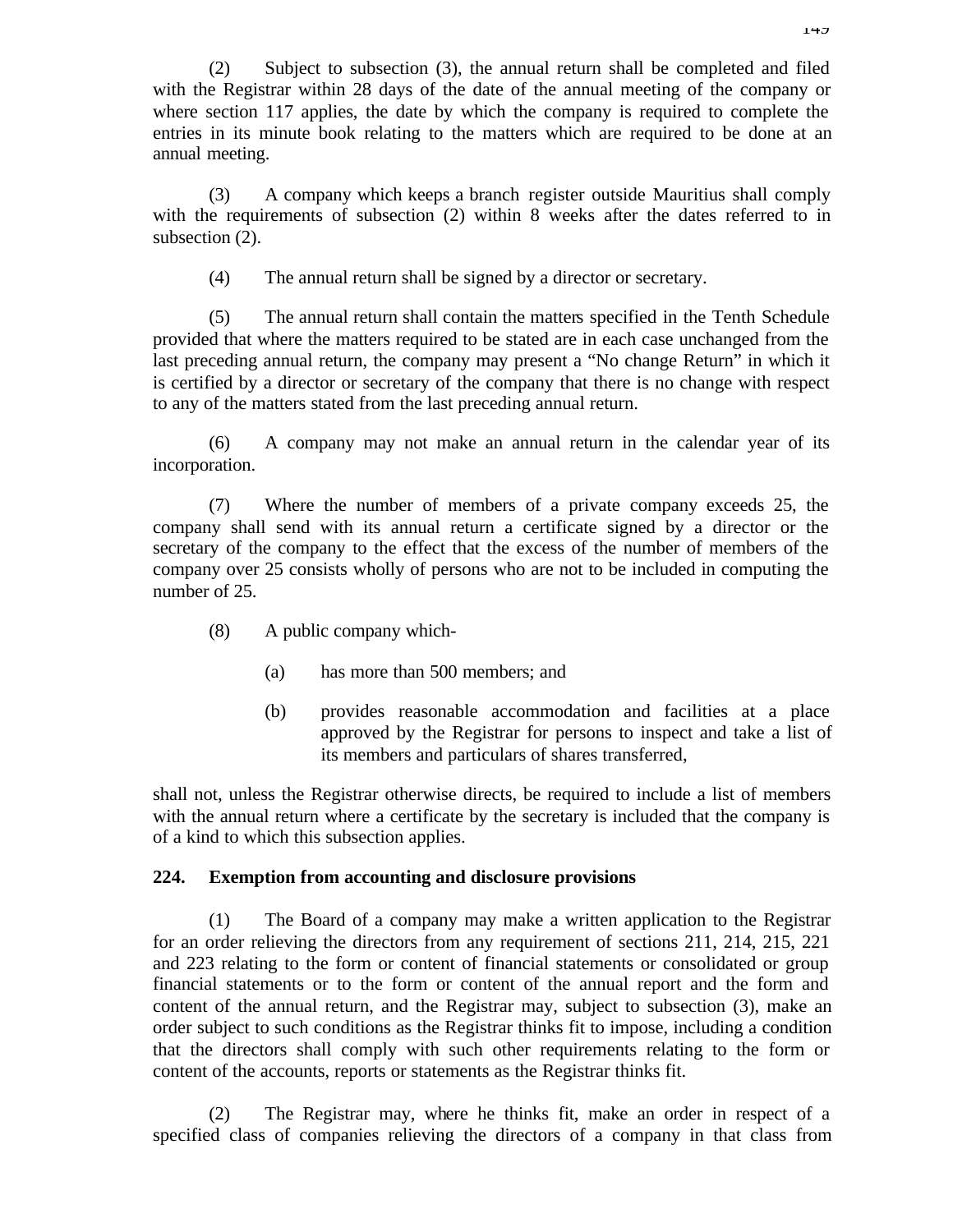(2) Subject to subsection (3), the annual return shall be completed and filed with the Registrar within 28 days of the date of the annual meeting of the company or where section 117 applies, the date by which the company is required to complete the entries in its minute book relating to the matters which are required to be done at an annual meeting.

(3) A company which keeps a branch register outside Mauritius shall comply with the requirements of subsection (2) within 8 weeks after the dates referred to in subsection (2).

(4) The annual return shall be signed by a director or secretary.

(5) The annual return shall contain the matters specified in the Tenth Schedule provided that where the matters required to be stated are in each case unchanged from the last preceding annual return, the company may present a "No change Return" in which it is certified by a director or secretary of the company that there is no change with respect to any of the matters stated from the last preceding annual return.

(6) A company may not make an annual return in the calendar year of its incorporation.

(7) Where the number of members of a private company exceeds 25, the company shall send with its annual return a certificate signed by a director or the secretary of the company to the effect that the excess of the number of members of the company over 25 consists wholly of persons who are not to be included in computing the number of 25.

- (8) A public company which-
	- (a) has more than 500 members; and
	- (b) provides reasonable accommodation and facilities at a place approved by the Registrar for persons to inspect and take a list of its members and particulars of shares transferred,

shall not, unless the Registrar otherwise directs, be required to include a list of members with the annual return where a certificate by the secretary is included that the company is of a kind to which this subsection applies.

### **224. Exemption from accounting and disclosure provisions**

(1) The Board of a company may make a written application to the Registrar for an order relieving the directors from any requirement of sections 211, 214, 215, 221 and 223 relating to the form or content of financial statements or consolidated or group financial statements or to the form or content of the annual report and the form and content of the annual return, and the Registrar may, subject to subsection (3), make an order subject to such conditions as the Registrar thinks fit to impose, including a condition that the directors shall comply with such other requirements relating to the form or content of the accounts, reports or statements as the Registrar thinks fit.

(2) The Registrar may, where he thinks fit, make an order in respect of a specified class of companies relieving the directors of a company in that class from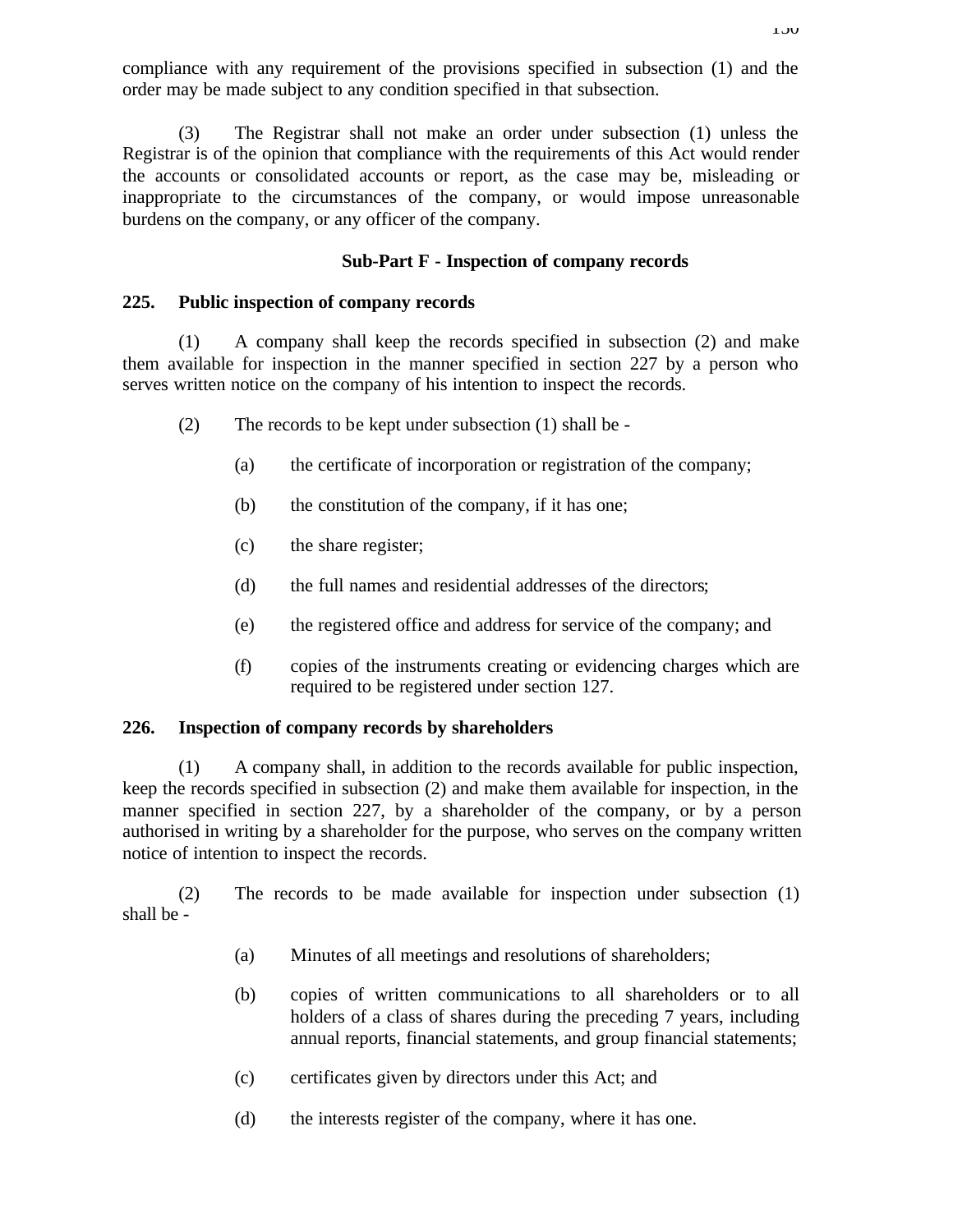compliance with any requirement of the provisions specified in subsection (1) and the order may be made subject to any condition specified in that subsection.

(3) The Registrar shall not make an order under subsection (1) unless the Registrar is of the opinion that compliance with the requirements of this Act would render the accounts or consolidated accounts or report, as the case may be, misleading or inappropriate to the circumstances of the company, or would impose unreasonable burdens on the company, or any officer of the company.

### **Sub-Part F - Inspection of company records**

### **225. Public inspection of company records**

(1) A company shall keep the records specified in subsection (2) and make them available for inspection in the manner specified in section 227 by a person who serves written notice on the company of his intention to inspect the records.

- (2) The records to be kept under subsection (1) shall be
	- (a) the certificate of incorporation or registration of the company;
	- (b) the constitution of the company, if it has one;
	- (c) the share register;
	- (d) the full names and residential addresses of the directors;
	- (e) the registered office and address for service of the company; and
	- (f) copies of the instruments creating or evidencing charges which are required to be registered under section 127.

### **226. Inspection of company records by shareholders**

(1) A company shall, in addition to the records available for public inspection, keep the records specified in subsection (2) and make them available for inspection, in the manner specified in section 227, by a shareholder of the company, or by a person authorised in writing by a shareholder for the purpose, who serves on the company written notice of intention to inspect the records.

(2) The records to be made available for inspection under subsection (1) shall be -

- (a) Minutes of all meetings and resolutions of shareholders;
- (b) copies of written communications to all shareholders or to all holders of a class of shares during the preceding 7 years, including annual reports, financial statements, and group financial statements;
- (c) certificates given by directors under this Act; and
- (d) the interests register of the company, where it has one.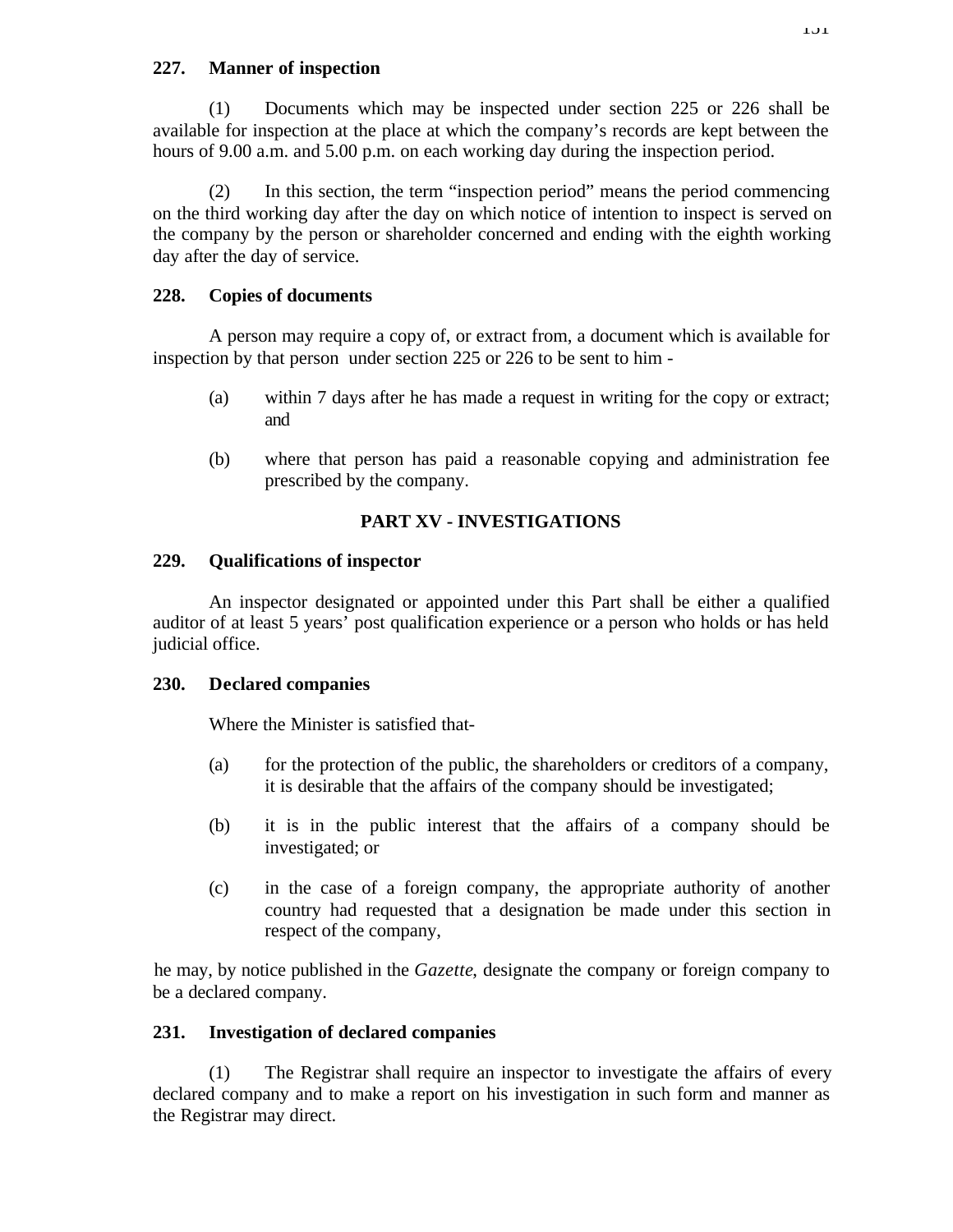## **227. Manner of inspection**

(1) Documents which may be inspected under section 225 or 226 shall be available for inspection at the place at which the company's records are kept between the hours of 9.00 a.m. and 5.00 p.m. on each working day during the inspection period.

(2) In this section, the term "inspection period" means the period commencing on the third working day after the day on which notice of intention to inspect is served on the company by the person or shareholder concerned and ending with the eighth working day after the day of service.

# **228. Copies of documents**

A person may require a copy of, or extract from, a document which is available for inspection by that person under section 225 or 226 to be sent to him -

- (a) within 7 days after he has made a request in writing for the copy or extract; and
- (b) where that person has paid a reasonable copying and administration fee prescribed by the company.

# **PART XV - INVESTIGATIONS**

# **229. Qualifications of inspector**

An inspector designated or appointed under this Part shall be either a qualified auditor of at least 5 years' post qualification experience or a person who holds or has held judicial office.

# **230. Declared companies**

Where the Minister is satisfied that-

- (a) for the protection of the public, the shareholders or creditors of a company, it is desirable that the affairs of the company should be investigated;
- (b) it is in the public interest that the affairs of a company should be investigated; or
- (c) in the case of a foreign company, the appropriate authority of another country had requested that a designation be made under this section in respect of the company,

he may, by notice published in the *Gazette*, designate the company or foreign company to be a declared company.

# **231. Investigation of declared companies**

(1) The Registrar shall require an inspector to investigate the affairs of every declared company and to make a report on his investigation in such form and manner as the Registrar may direct.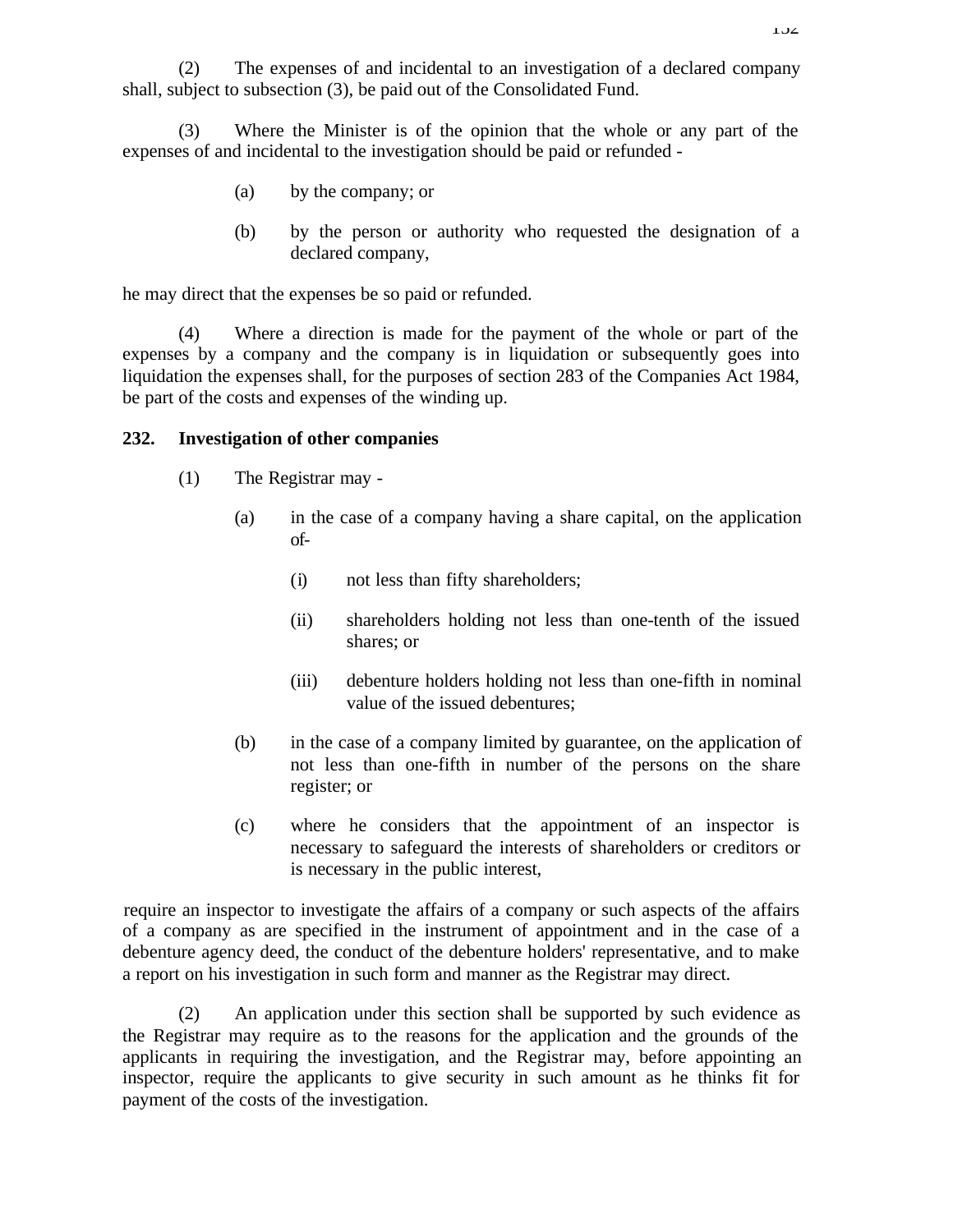(2) The expenses of and incidental to an investigation of a declared company shall, subject to subsection (3), be paid out of the Consolidated Fund.

(3) Where the Minister is of the opinion that the whole or any part of the expenses of and incidental to the investigation should be paid or refunded -

- (a) by the company; or
- (b) by the person or authority who requested the designation of a declared company,

he may direct that the expenses be so paid or refunded.

(4) Where a direction is made for the payment of the whole or part of the expenses by a company and the company is in liquidation or subsequently goes into liquidation the expenses shall, for the purposes of section 283 of the Companies Act 1984, be part of the costs and expenses of the winding up.

### **232. Investigation of other companies**

- (1) The Registrar may
	- (a) in the case of a company having a share capital, on the application of-
		- (i) not less than fifty shareholders;
		- (ii) shareholders holding not less than one-tenth of the issued shares; or
		- (iii) debenture holders holding not less than one-fifth in nominal value of the issued debentures;
	- (b) in the case of a company limited by guarantee, on the application of not less than one-fifth in number of the persons on the share register; or
	- (c) where he considers that the appointment of an inspector is necessary to safeguard the interests of shareholders or creditors or is necessary in the public interest,

require an inspector to investigate the affairs of a company or such aspects of the affairs of a company as are specified in the instrument of appointment and in the case of a debenture agency deed, the conduct of the debenture holders' representative, and to make a report on his investigation in such form and manner as the Registrar may direct.

(2) An application under this section shall be supported by such evidence as the Registrar may require as to the reasons for the application and the grounds of the applicants in requiring the investigation, and the Registrar may, before appointing an inspector, require the applicants to give security in such amount as he thinks fit for payment of the costs of the investigation.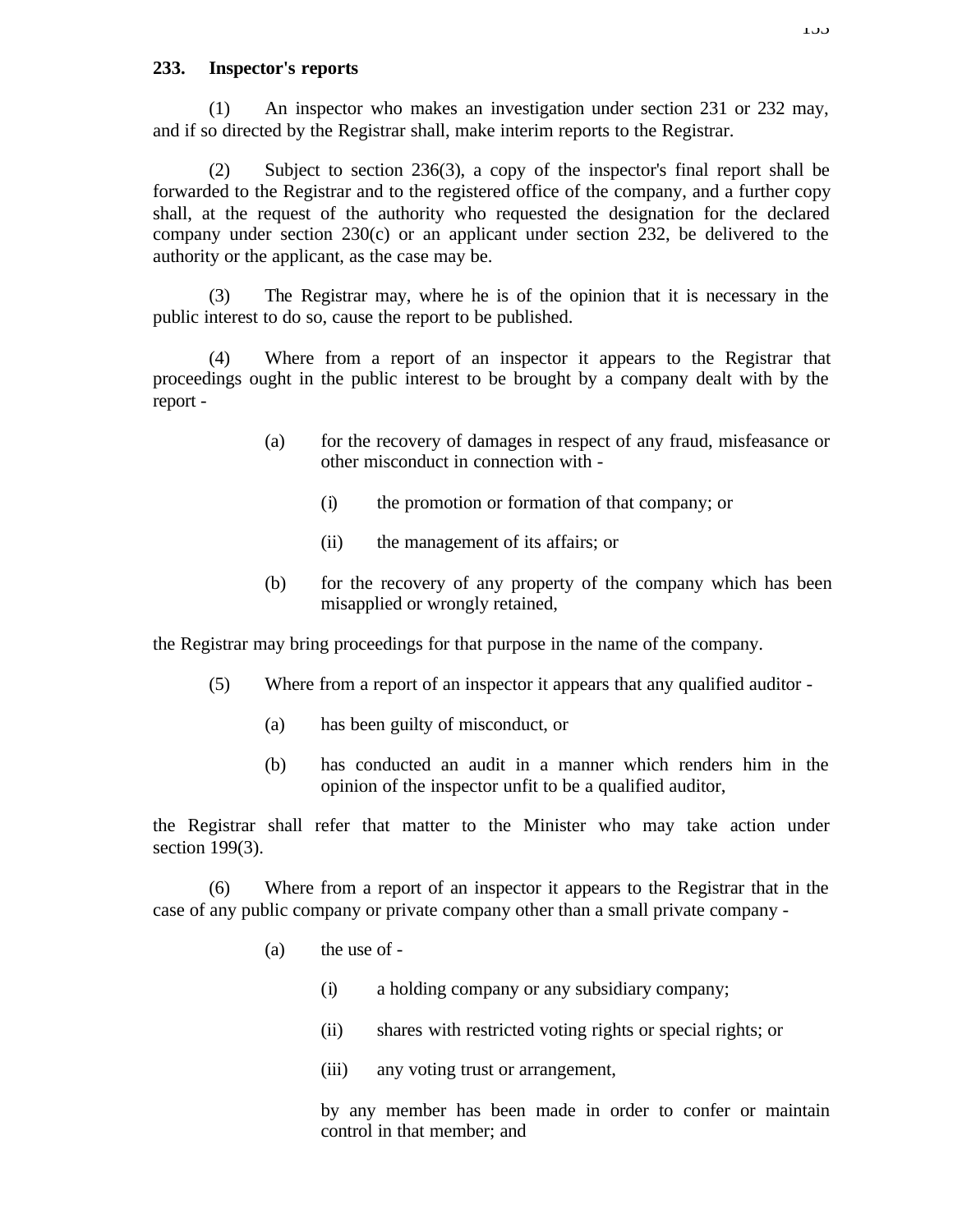### **233. Inspector's reports**

(1) An inspector who makes an investigation under section 231 or 232 may, and if so directed by the Registrar shall, make interim reports to the Registrar.

(2) Subject to section 236(3), a copy of the inspector's final report shall be forwarded to the Registrar and to the registered office of the company, and a further copy shall, at the request of the authority who requested the designation for the declared company under section 230(c) or an applicant under section 232, be delivered to the authority or the applicant, as the case may be.

(3) The Registrar may, where he is of the opinion that it is necessary in the public interest to do so, cause the report to be published.

(4) Where from a report of an inspector it appears to the Registrar that proceedings ought in the public interest to be brought by a company dealt with by the report -

- (a) for the recovery of damages in respect of any fraud, misfeasance or other misconduct in connection with -
	- (i) the promotion or formation of that company; or
	- (ii) the management of its affairs; or
- (b) for the recovery of any property of the company which has been misapplied or wrongly retained,

the Registrar may bring proceedings for that purpose in the name of the company.

- (5) Where from a report of an inspector it appears that any qualified auditor
	- (a) has been guilty of misconduct, or
	- (b) has conducted an audit in a manner which renders him in the opinion of the inspector unfit to be a qualified auditor,

the Registrar shall refer that matter to the Minister who may take action under section 199(3).

(6) Where from a report of an inspector it appears to the Registrar that in the case of any public company or private company other than a small private company -

- (a) the use of
	- (i) a holding company or any subsidiary company;
	- (ii) shares with restricted voting rights or special rights; or
	- (iii) any voting trust or arrangement,

by any member has been made in order to confer or maintain control in that member; and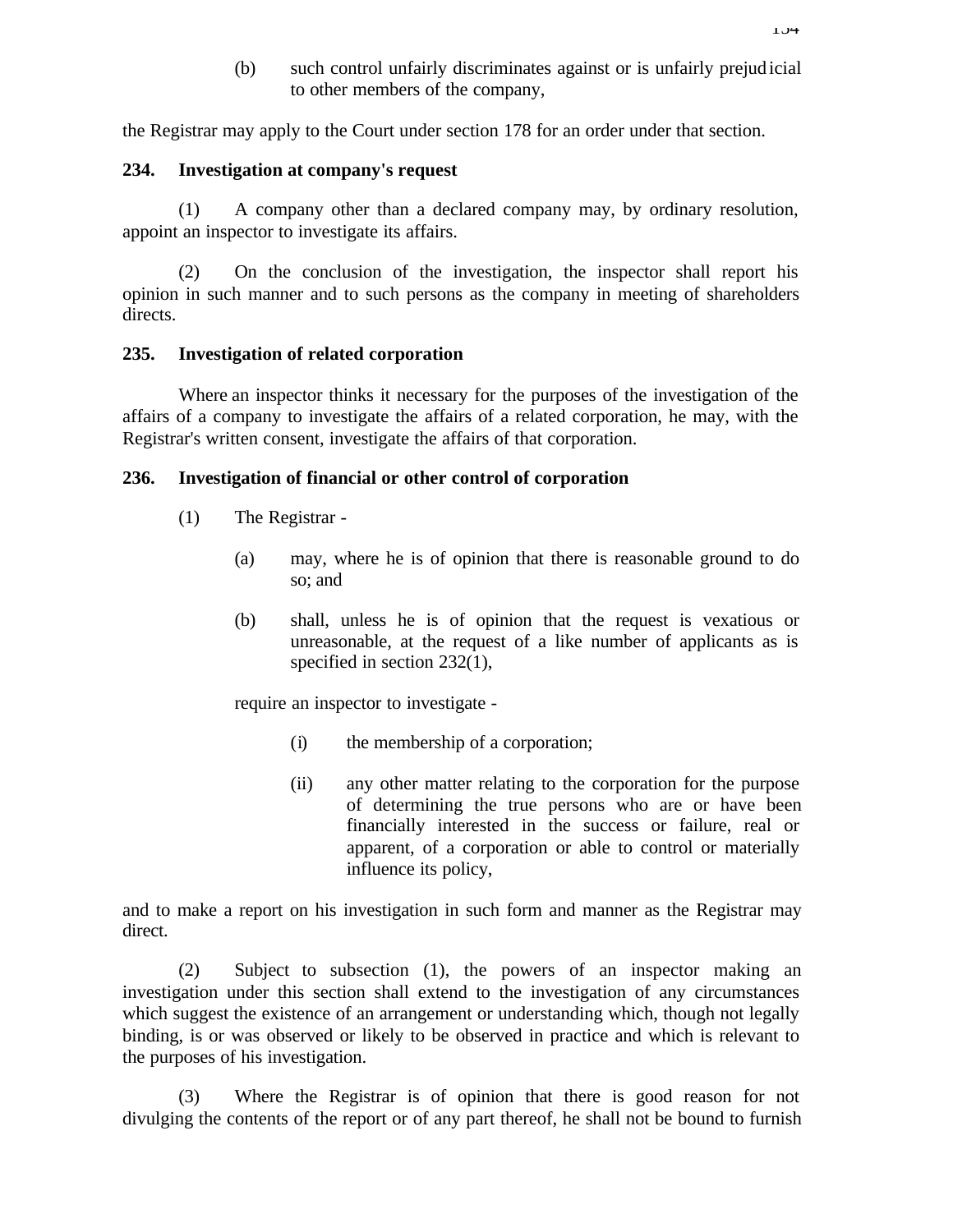(b) such control unfairly discriminates against or is unfairly prejudicial to other members of the company,

the Registrar may apply to the Court under section 178 for an order under that section.

#### **234. Investigation at company's request**

(1) A company other than a declared company may, by ordinary resolution, appoint an inspector to investigate its affairs.

(2) On the conclusion of the investigation, the inspector shall report his opinion in such manner and to such persons as the company in meeting of shareholders directs.

### **235. Investigation of related corporation**

Where an inspector thinks it necessary for the purposes of the investigation of the affairs of a company to investigate the affairs of a related corporation, he may, with the Registrar's written consent, investigate the affairs of that corporation.

### **236. Investigation of financial or other control of corporation**

- (1) The Registrar
	- (a) may, where he is of opinion that there is reasonable ground to do so; and
	- (b) shall, unless he is of opinion that the request is vexatious or unreasonable, at the request of a like number of applicants as is specified in section 232(1),

require an inspector to investigate -

- (i) the membership of a corporation;
- (ii) any other matter relating to the corporation for the purpose of determining the true persons who are or have been financially interested in the success or failure, real or apparent, of a corporation or able to control or materially influence its policy,

and to make a report on his investigation in such form and manner as the Registrar may direct.

(2) Subject to subsection (1), the powers of an inspector making an investigation under this section shall extend to the investigation of any circumstances which suggest the existence of an arrangement or understanding which, though not legally binding, is or was observed or likely to be observed in practice and which is relevant to the purposes of his investigation.

(3) Where the Registrar is of opinion that there is good reason for not divulging the contents of the report or of any part thereof, he shall not be bound to furnish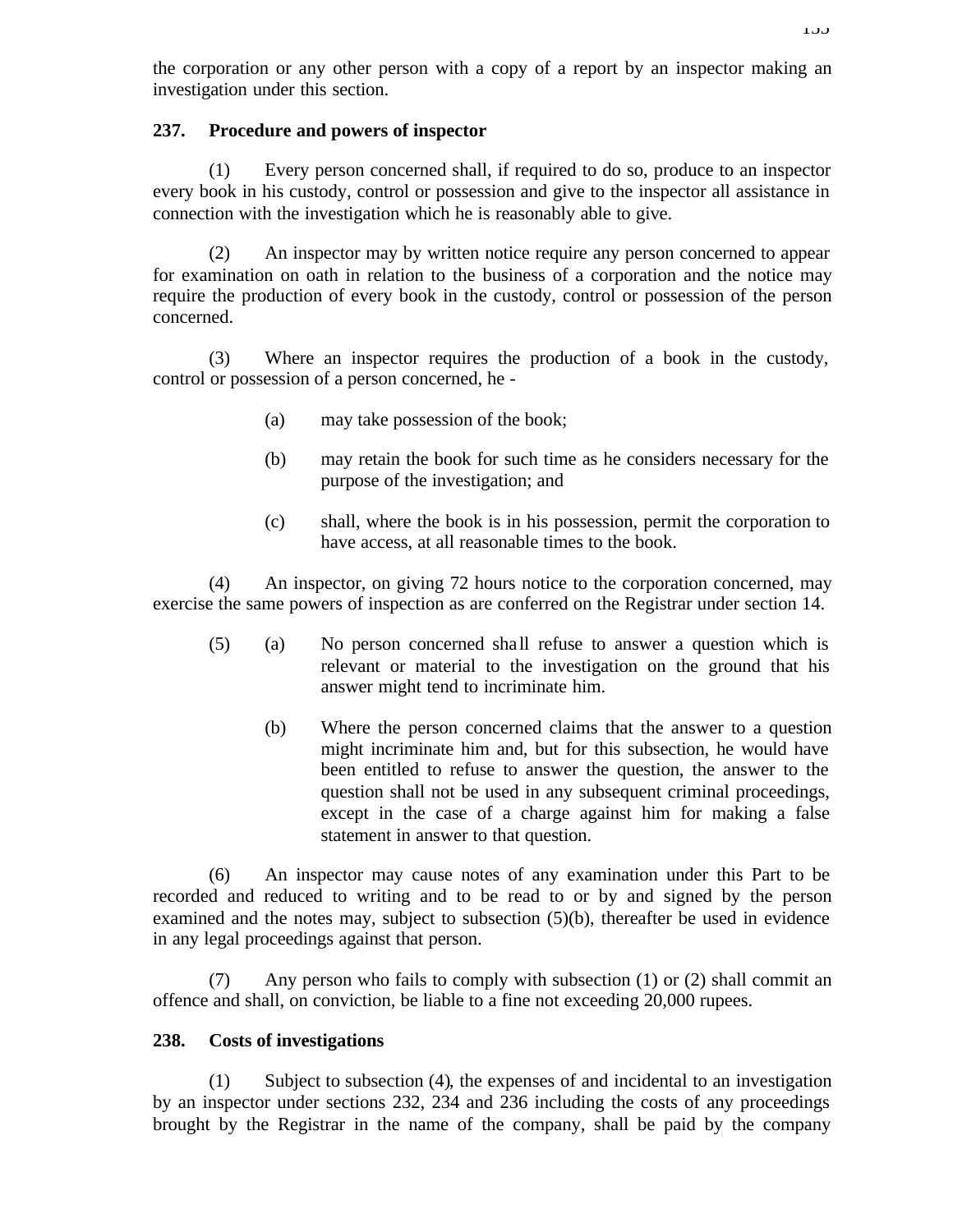the corporation or any other person with a copy of a report by an inspector making an investigation under this section.

## **237. Procedure and powers of inspector**

(1) Every person concerned shall, if required to do so, produce to an inspector every book in his custody, control or possession and give to the inspector all assistance in connection with the investigation which he is reasonably able to give.

(2) An inspector may by written notice require any person concerned to appear for examination on oath in relation to the business of a corporation and the notice may require the production of every book in the custody, control or possession of the person concerned.

(3) Where an inspector requires the production of a book in the custody, control or possession of a person concerned, he -

- (a) may take possession of the book;
- (b) may retain the book for such time as he considers necessary for the purpose of the investigation; and
- (c) shall, where the book is in his possession, permit the corporation to have access, at all reasonable times to the book.

(4) An inspector, on giving 72 hours notice to the corporation concerned, may exercise the same powers of inspection as are conferred on the Registrar under section 14.

- (5) (a) No person concerned sha ll refuse to answer a question which is relevant or material to the investigation on the ground that his answer might tend to incriminate him.
	- (b) Where the person concerned claims that the answer to a question might incriminate him and, but for this subsection, he would have been entitled to refuse to answer the question, the answer to the question shall not be used in any subsequent criminal proceedings, except in the case of a charge against him for making a false statement in answer to that question.

(6) An inspector may cause notes of any examination under this Part to be recorded and reduced to writing and to be read to or by and signed by the person examined and the notes may, subject to subsection (5)(b), thereafter be used in evidence in any legal proceedings against that person.

(7) Any person who fails to comply with subsection (1) or (2) shall commit an offence and shall, on conviction, be liable to a fine not exceeding 20,000 rupees.

# **238. Costs of investigations**

(1) Subject to subsection (4), the expenses of and incidental to an investigation by an inspector under sections 232, 234 and 236 including the costs of any proceedings brought by the Registrar in the name of the company, shall be paid by the company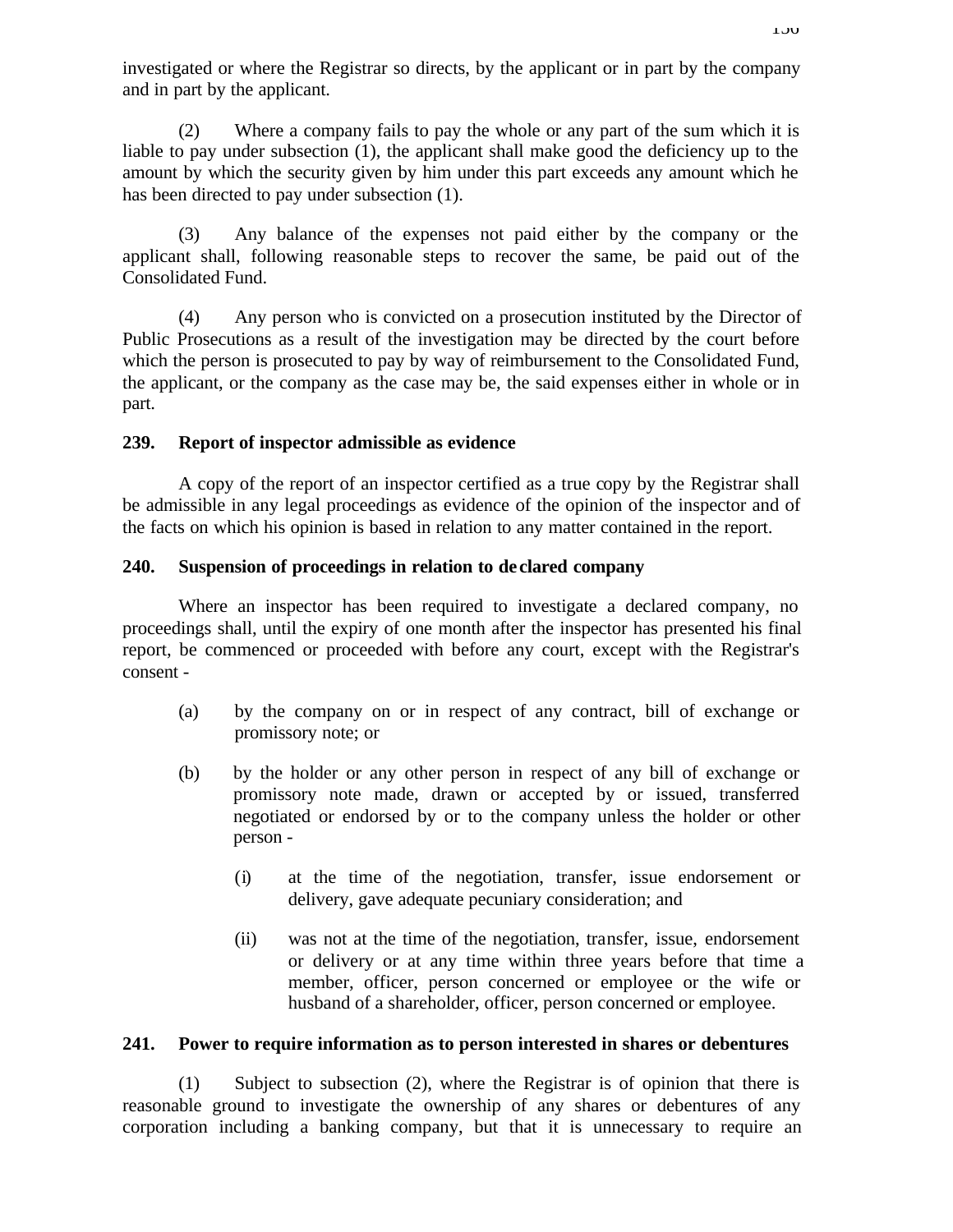investigated or where the Registrar so directs, by the applicant or in part by the company and in part by the applicant.

(2) Where a company fails to pay the whole or any part of the sum which it is liable to pay under subsection (1), the applicant shall make good the deficiency up to the amount by which the security given by him under this part exceeds any amount which he has been directed to pay under subsection (1).

(3) Any balance of the expenses not paid either by the company or the applicant shall, following reasonable steps to recover the same, be paid out of the Consolidated Fund.

(4) Any person who is convicted on a prosecution instituted by the Director of Public Prosecutions as a result of the investigation may be directed by the court before which the person is prosecuted to pay by way of reimbursement to the Consolidated Fund, the applicant, or the company as the case may be, the said expenses either in whole or in part.

## **239. Report of inspector admissible as evidence**

A copy of the report of an inspector certified as a true copy by the Registrar shall be admissible in any legal proceedings as evidence of the opinion of the inspector and of the facts on which his opinion is based in relation to any matter contained in the report.

## **240. Suspension of proceedings in relation to de clared company**

Where an inspector has been required to investigate a declared company, no proceedings shall, until the expiry of one month after the inspector has presented his final report, be commenced or proceeded with before any court, except with the Registrar's consent -

- (a) by the company on or in respect of any contract, bill of exchange or promissory note; or
- (b) by the holder or any other person in respect of any bill of exchange or promissory note made, drawn or accepted by or issued, transferred negotiated or endorsed by or to the company unless the holder or other person -
	- (i) at the time of the negotiation, transfer, issue endorsement or delivery, gave adequate pecuniary consideration; and
	- (ii) was not at the time of the negotiation, transfer, issue, endorsement or delivery or at any time within three years before that time a member, officer, person concerned or employee or the wife or husband of a shareholder, officer, person concerned or employee.

### **241. Power to require information as to person interested in shares or debentures**

(1) Subject to subsection (2), where the Registrar is of opinion that there is reasonable ground to investigate the ownership of any shares or debentures of any corporation including a banking company, but that it is unnecessary to require an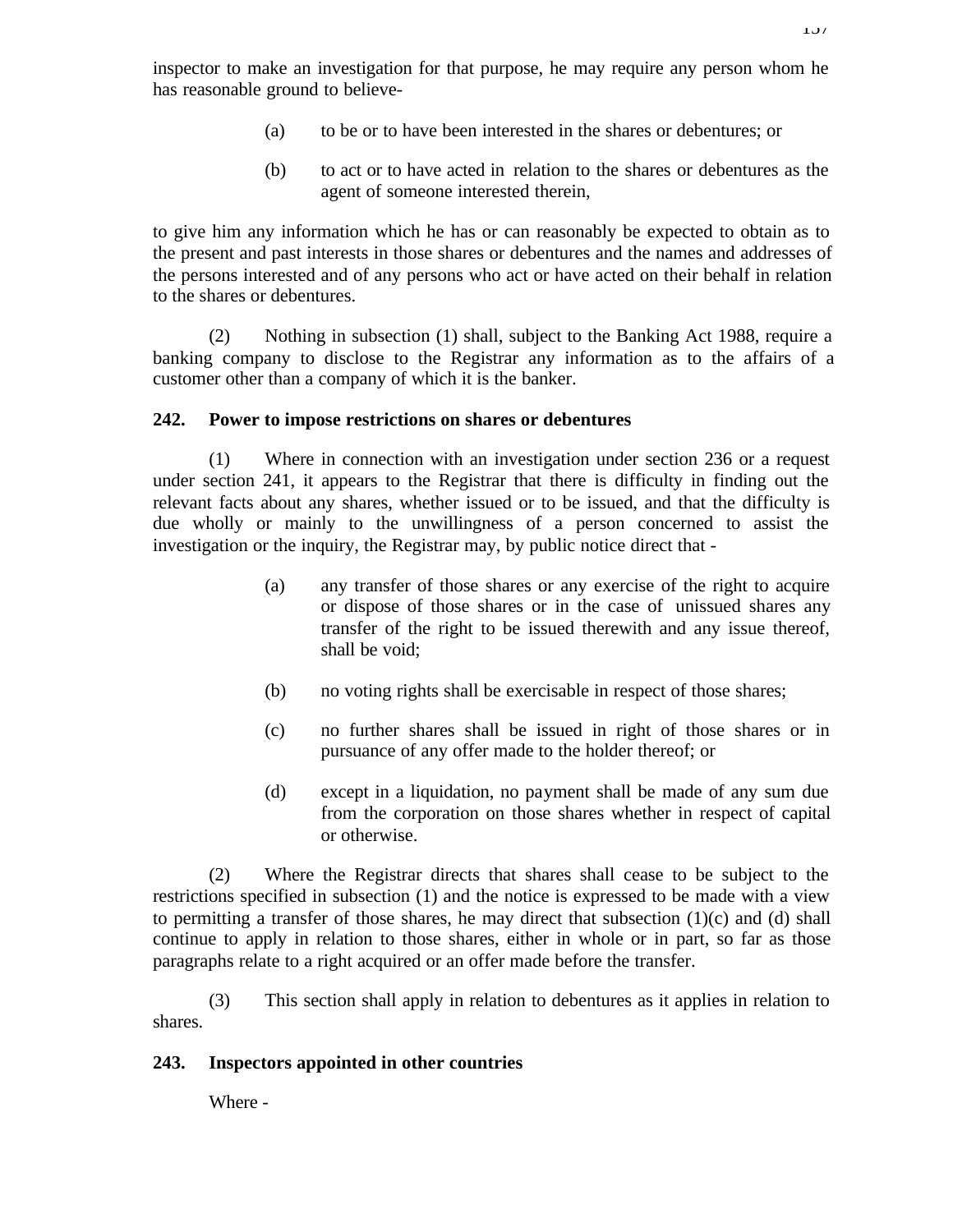inspector to make an investigation for that purpose, he may require any person whom he has reasonable ground to believe-

- (a) to be or to have been interested in the shares or debentures; or
- (b) to act or to have acted in relation to the shares or debentures as the agent of someone interested therein,

to give him any information which he has or can reasonably be expected to obtain as to the present and past interests in those shares or debentures and the names and addresses of the persons interested and of any persons who act or have acted on their behalf in relation to the shares or debentures.

(2) Nothing in subsection (1) shall, subject to the Banking Act 1988, require a banking company to disclose to the Registrar any information as to the affairs of a customer other than a company of which it is the banker.

#### **242. Power to impose restrictions on shares or debentures**

(1) Where in connection with an investigation under section 236 or a request under section 241, it appears to the Registrar that there is difficulty in finding out the relevant facts about any shares, whether issued or to be issued, and that the difficulty is due wholly or mainly to the unwillingness of a person concerned to assist the investigation or the inquiry, the Registrar may, by public notice direct that -

- (a) any transfer of those shares or any exercise of the right to acquire or dispose of those shares or in the case of unissued shares any transfer of the right to be issued therewith and any issue thereof, shall be void;
- (b) no voting rights shall be exercisable in respect of those shares;
- (c) no further shares shall be issued in right of those shares or in pursuance of any offer made to the holder thereof; or
- (d) except in a liquidation, no payment shall be made of any sum due from the corporation on those shares whether in respect of capital or otherwise.

(2) Where the Registrar directs that shares shall cease to be subject to the restrictions specified in subsection (1) and the notice is expressed to be made with a view to permitting a transfer of those shares, he may direct that subsection  $(1)(c)$  and  $(d)$  shall continue to apply in relation to those shares, either in whole or in part, so far as those paragraphs relate to a right acquired or an offer made before the transfer.

(3) This section shall apply in relation to debentures as it applies in relation to shares.

#### **243. Inspectors appointed in other countries**

Where -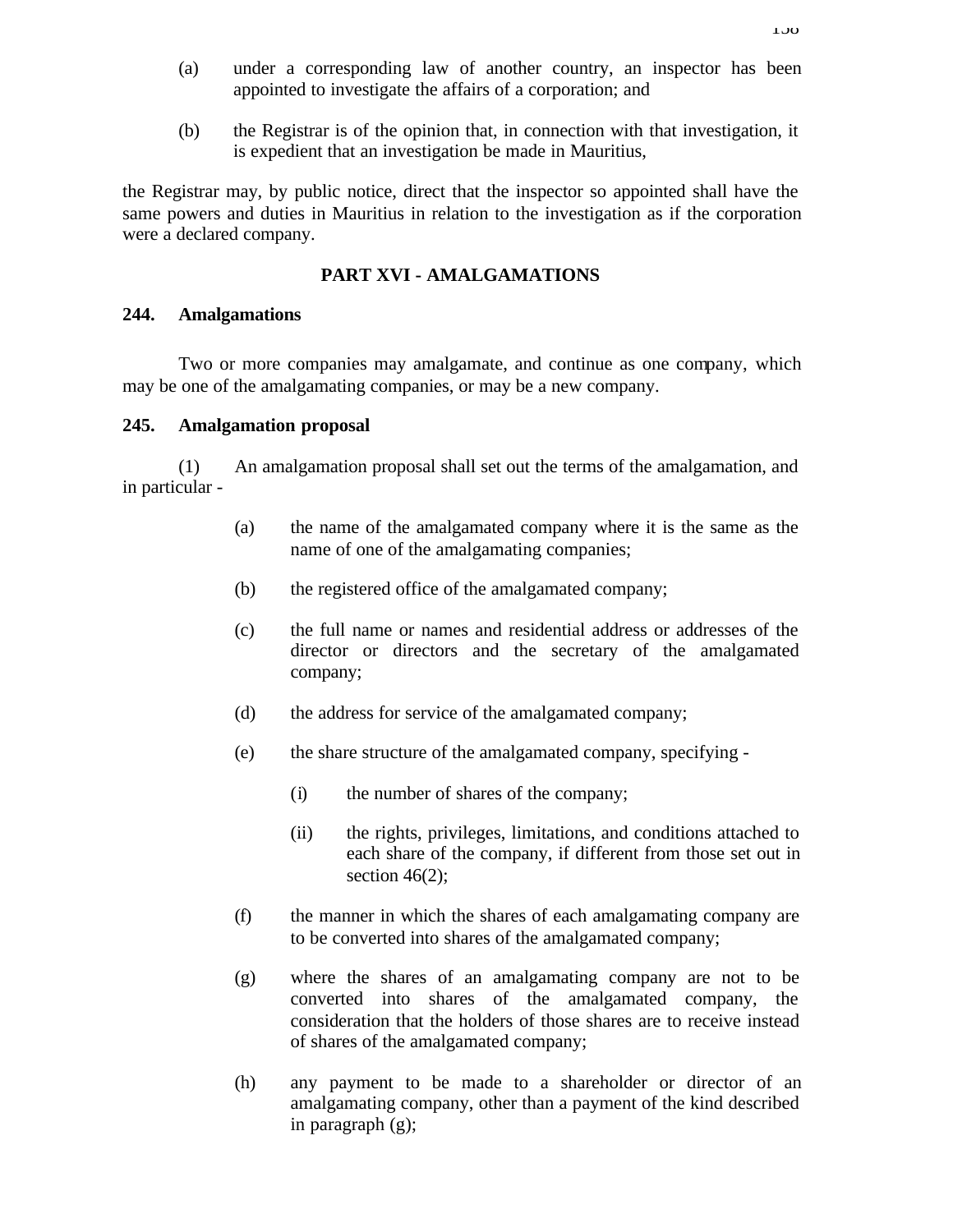- (a) under a corresponding law of another country, an inspector has been appointed to investigate the affairs of a corporation; and
- (b) the Registrar is of the opinion that, in connection with that investigation, it is expedient that an investigation be made in Mauritius,

the Registrar may, by public notice, direct that the inspector so appointed shall have the same powers and duties in Mauritius in relation to the investigation as if the corporation were a declared company.

## **PART XVI - AMALGAMATIONS**

### **244. Amalgamations**

Two or more companies may amalgamate, and continue as one company, which may be one of the amalgamating companies, or may be a new company.

### **245. Amalgamation proposal**

(1) An amalgamation proposal shall set out the terms of the amalgamation, and in particular -

- (a) the name of the amalgamated company where it is the same as the name of one of the amalgamating companies;
- (b) the registered office of the amalgamated company;
- (c) the full name or names and residential address or addresses of the director or directors and the secretary of the amalgamated company;
- (d) the address for service of the amalgamated company;
- (e) the share structure of the amalgamated company, specifying
	- (i) the number of shares of the company;
	- (ii) the rights, privileges, limitations, and conditions attached to each share of the company, if different from those set out in section  $46(2)$ ;
- (f) the manner in which the shares of each amalgamating company are to be converted into shares of the amalgamated company;
- (g) where the shares of an amalgamating company are not to be converted into shares of the amalgamated company, the consideration that the holders of those shares are to receive instead of shares of the amalgamated company;
- (h) any payment to be made to a shareholder or director of an amalgamating company, other than a payment of the kind described in paragraph (g);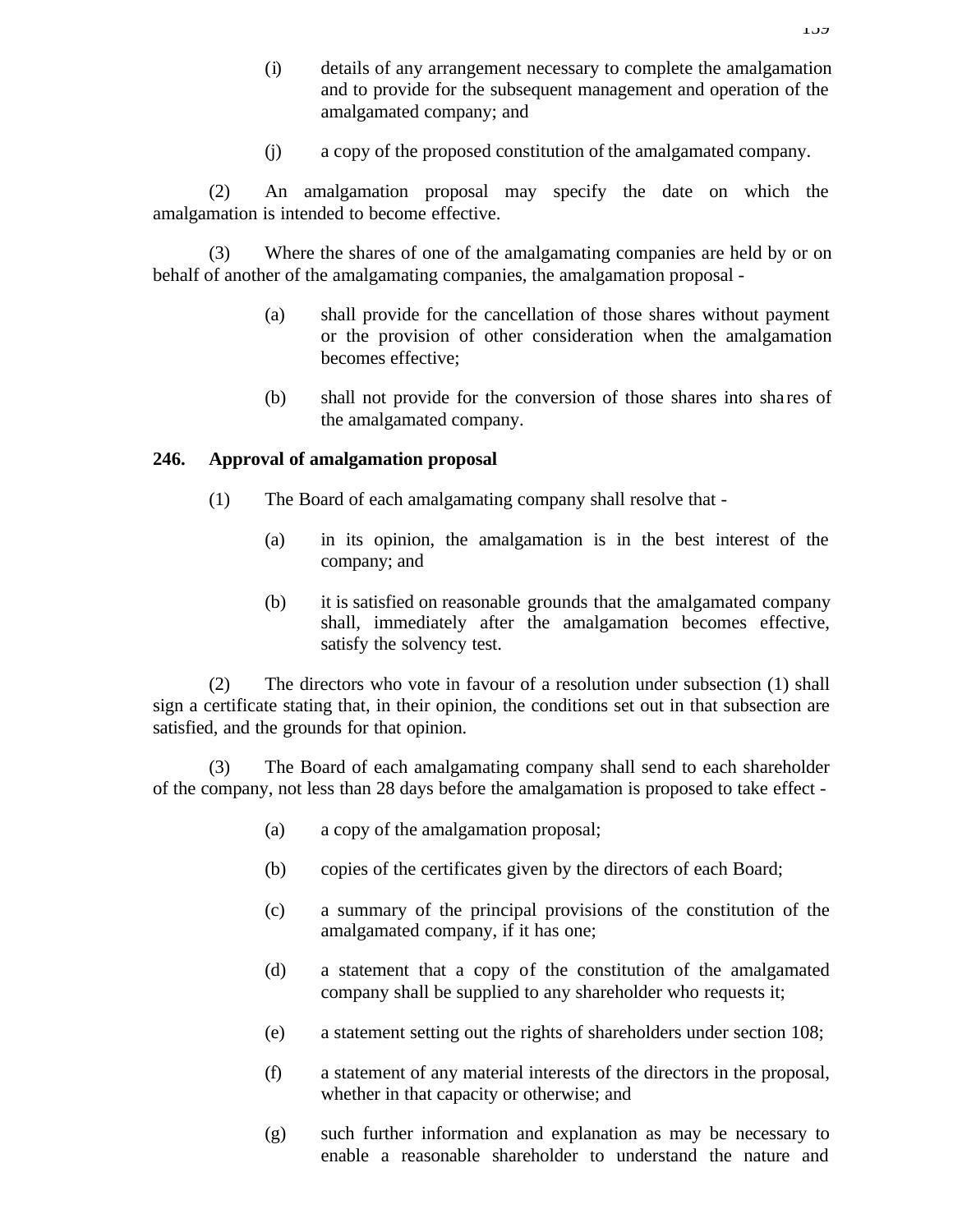- (i) details of any arrangement necessary to complete the amalgamation and to provide for the subsequent management and operation of the amalgamated company; and
- (j) a copy of the proposed constitution of the amalgamated company.

(2) An amalgamation proposal may specify the date on which the amalgamation is intended to become effective.

(3) Where the shares of one of the amalgamating companies are held by or on behalf of another of the amalgamating companies, the amalgamation proposal -

- (a) shall provide for the cancellation of those shares without payment or the provision of other consideration when the amalgamation becomes effective;
- (b) shall not provide for the conversion of those shares into sha res of the amalgamated company.

### **246. Approval of amalgamation proposal**

- (1) The Board of each amalgamating company shall resolve that
	- (a) in its opinion, the amalgamation is in the best interest of the company; and
	- (b) it is satisfied on reasonable grounds that the amalgamated company shall, immediately after the amalgamation becomes effective, satisfy the solvency test.

(2) The directors who vote in favour of a resolution under subsection (1) shall sign a certificate stating that, in their opinion, the conditions set out in that subsection are satisfied, and the grounds for that opinion.

(3) The Board of each amalgamating company shall send to each shareholder of the company, not less than 28 days before the amalgamation is proposed to take effect -

- (a) a copy of the amalgamation proposal;
- (b) copies of the certificates given by the directors of each Board;
- (c) a summary of the principal provisions of the constitution of the amalgamated company, if it has one;
- (d) a statement that a copy of the constitution of the amalgamated company shall be supplied to any shareholder who requests it;
- (e) a statement setting out the rights of shareholders under section 108;
- (f) a statement of any material interests of the directors in the proposal, whether in that capacity or otherwise; and
- (g) such further information and explanation as may be necessary to enable a reasonable shareholder to understand the nature and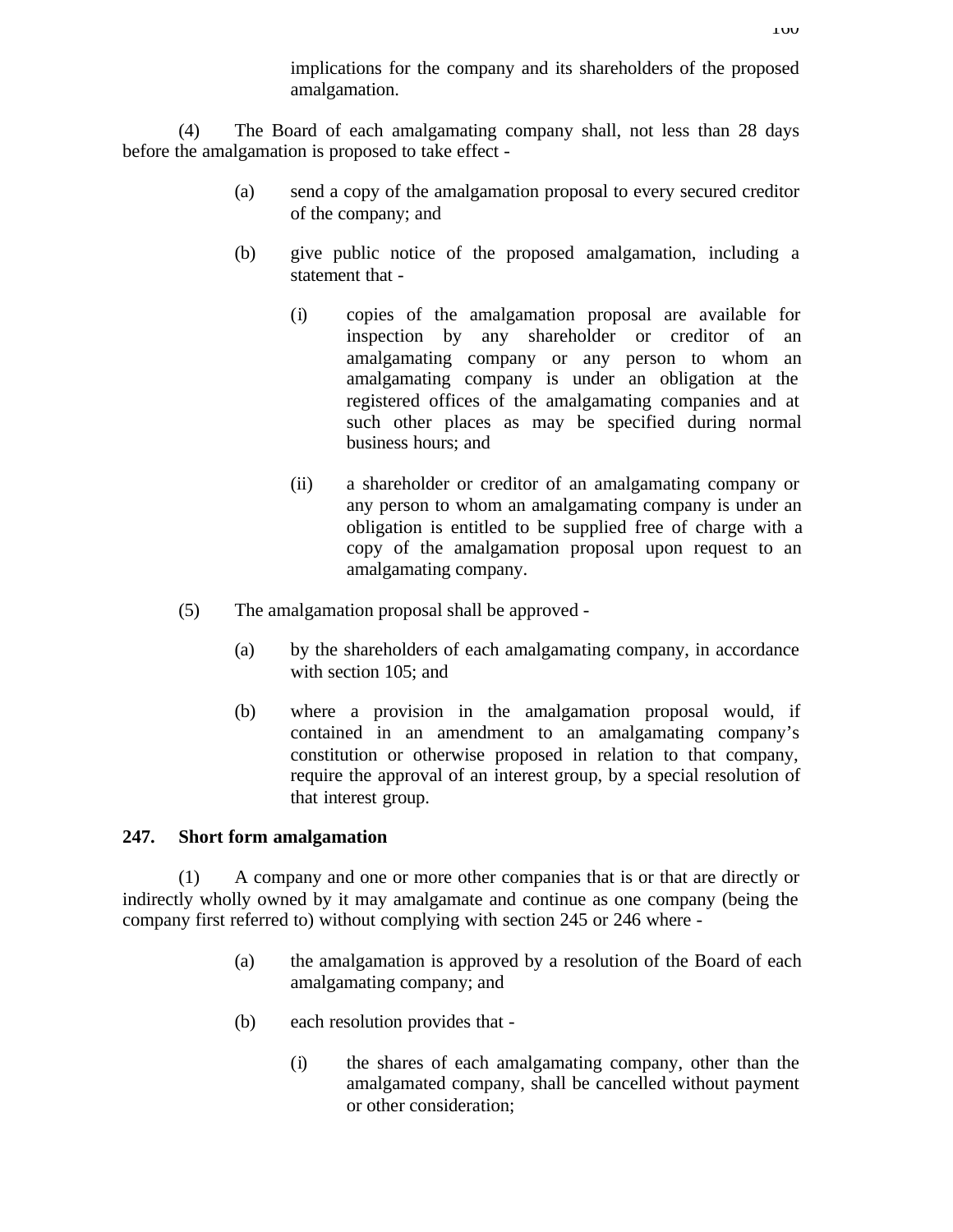implications for the company and its shareholders of the proposed amalgamation.

(4) The Board of each amalgamating company shall, not less than 28 days before the amalgamation is proposed to take effect -

- (a) send a copy of the amalgamation proposal to every secured creditor of the company; and
- (b) give public notice of the proposed amalgamation, including a statement that -
	- (i) copies of the amalgamation proposal are available for inspection by any shareholder or creditor of an amalgamating company or any person to whom an amalgamating company is under an obligation at the registered offices of the amalgamating companies and at such other places as may be specified during normal business hours; and
	- (ii) a shareholder or creditor of an amalgamating company or any person to whom an amalgamating company is under an obligation is entitled to be supplied free of charge with a copy of the amalgamation proposal upon request to an amalgamating company.
- (5) The amalgamation proposal shall be approved
	- (a) by the shareholders of each amalgamating company, in accordance with section 105; and
	- (b) where a provision in the amalgamation proposal would, if contained in an amendment to an amalgamating company's constitution or otherwise proposed in relation to that company, require the approval of an interest group, by a special resolution of that interest group.

# **247. Short form amalgamation**

(1) A company and one or more other companies that is or that are directly or indirectly wholly owned by it may amalgamate and continue as one company (being the company first referred to) without complying with section 245 or 246 where -

- (a) the amalgamation is approved by a resolution of the Board of each amalgamating company; and
- (b) each resolution provides that
	- (i) the shares of each amalgamating company, other than the amalgamated company, shall be cancelled without payment or other consideration;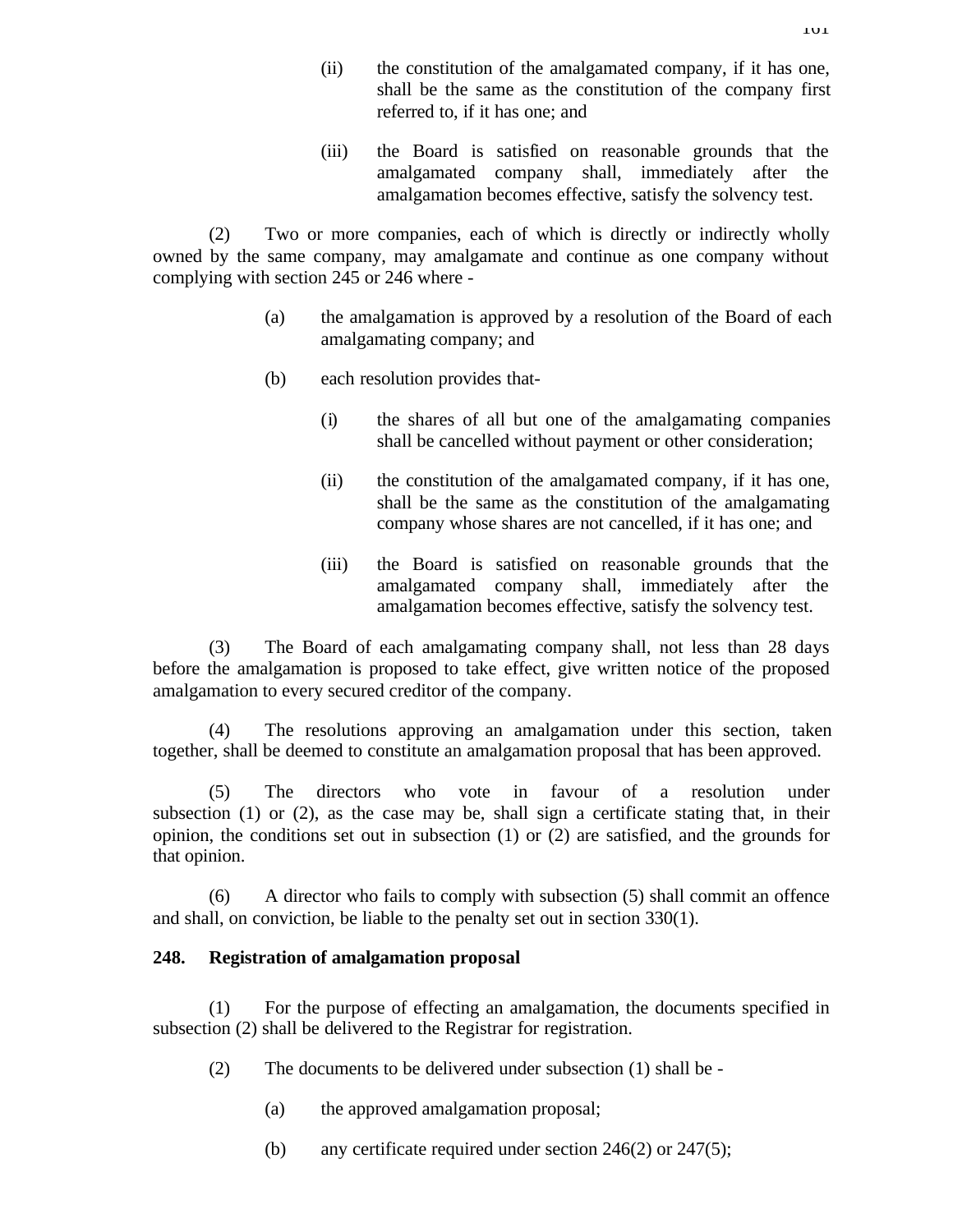- (ii) the constitution of the amalgamated company, if it has one, shall be the same as the constitution of the company first referred to, if it has one; and
- (iii) the Board is satisfied on reasonable grounds that the amalgamated company shall, immediately after the amalgamation becomes effective, satisfy the solvency test.

(2) Two or more companies, each of which is directly or indirectly wholly owned by the same company, may amalgamate and continue as one company without complying with section 245 or 246 where -

- (a) the amalgamation is approved by a resolution of the Board of each amalgamating company; and
- (b) each resolution provides that-
	- (i) the shares of all but one of the amalgamating companies shall be cancelled without payment or other consideration;
	- (ii) the constitution of the amalgamated company, if it has one, shall be the same as the constitution of the amalgamating company whose shares are not cancelled, if it has one; and
	- (iii) the Board is satisfied on reasonable grounds that the amalgamated company shall, immediately after the amalgamation becomes effective, satisfy the solvency test.

(3) The Board of each amalgamating company shall, not less than 28 days before the amalgamation is proposed to take effect, give written notice of the proposed amalgamation to every secured creditor of the company.

(4) The resolutions approving an amalgamation under this section, taken together, shall be deemed to constitute an amalgamation proposal that has been approved.

(5) The directors who vote in favour of a resolution under subsection (1) or (2), as the case may be, shall sign a certificate stating that, in their opinion, the conditions set out in subsection (1) or (2) are satisfied, and the grounds for that opinion.

(6) A director who fails to comply with subsection (5) shall commit an offence and shall, on conviction, be liable to the penalty set out in section 330(1).

### **248. Registration of amalgamation proposal**

(1) For the purpose of effecting an amalgamation, the documents specified in subsection (2) shall be delivered to the Registrar for registration.

- (2) The documents to be delivered under subsection (1) shall be
	- (a) the approved amalgamation proposal;
	- (b) any certificate required under section 246(2) or 247(5);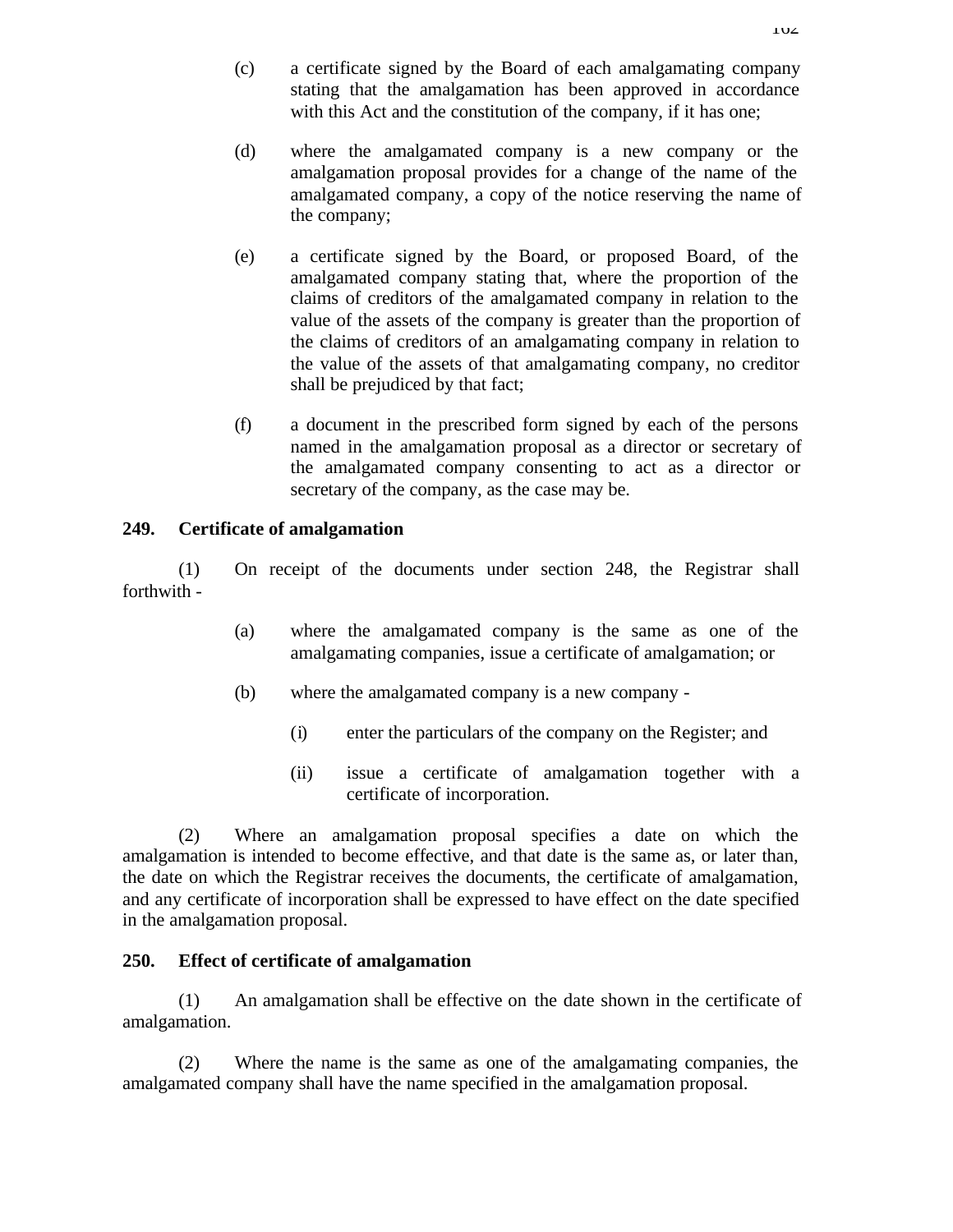- (c) a certificate signed by the Board of each amalgamating company stating that the amalgamation has been approved in accordance with this Act and the constitution of the company, if it has one;
- (d) where the amalgamated company is a new company or the amalgamation proposal provides for a change of the name of the amalgamated company, a copy of the notice reserving the name of the company;
- (e) a certificate signed by the Board, or proposed Board, of the amalgamated company stating that, where the proportion of the claims of creditors of the amalgamated company in relation to the value of the assets of the company is greater than the proportion of the claims of creditors of an amalgamating company in relation to the value of the assets of that amalgamating company, no creditor shall be prejudiced by that fact;
- (f) a document in the prescribed form signed by each of the persons named in the amalgamation proposal as a director or secretary of the amalgamated company consenting to act as a director or secretary of the company, as the case may be.

## **249. Certificate of amalgamation**

(1) On receipt of the documents under section 248, the Registrar shall forthwith -

- (a) where the amalgamated company is the same as one of the amalgamating companies, issue a certificate of amalgamation; or
- (b) where the amalgamated company is a new company
	- (i) enter the particulars of the company on the Register; and
	- (ii) issue a certificate of amalgamation together with a certificate of incorporation.

(2) Where an amalgamation proposal specifies a date on which the amalgamation is intended to become effective, and that date is the same as, or later than, the date on which the Registrar receives the documents, the certificate of amalgamation, and any certificate of incorporation shall be expressed to have effect on the date specified in the amalgamation proposal.

# **250. Effect of certificate of amalgamation**

(1) An amalgamation shall be effective on the date shown in the certificate of amalgamation.

(2) Where the name is the same as one of the amalgamating companies, the amalgamated company shall have the name specified in the amalgamation proposal.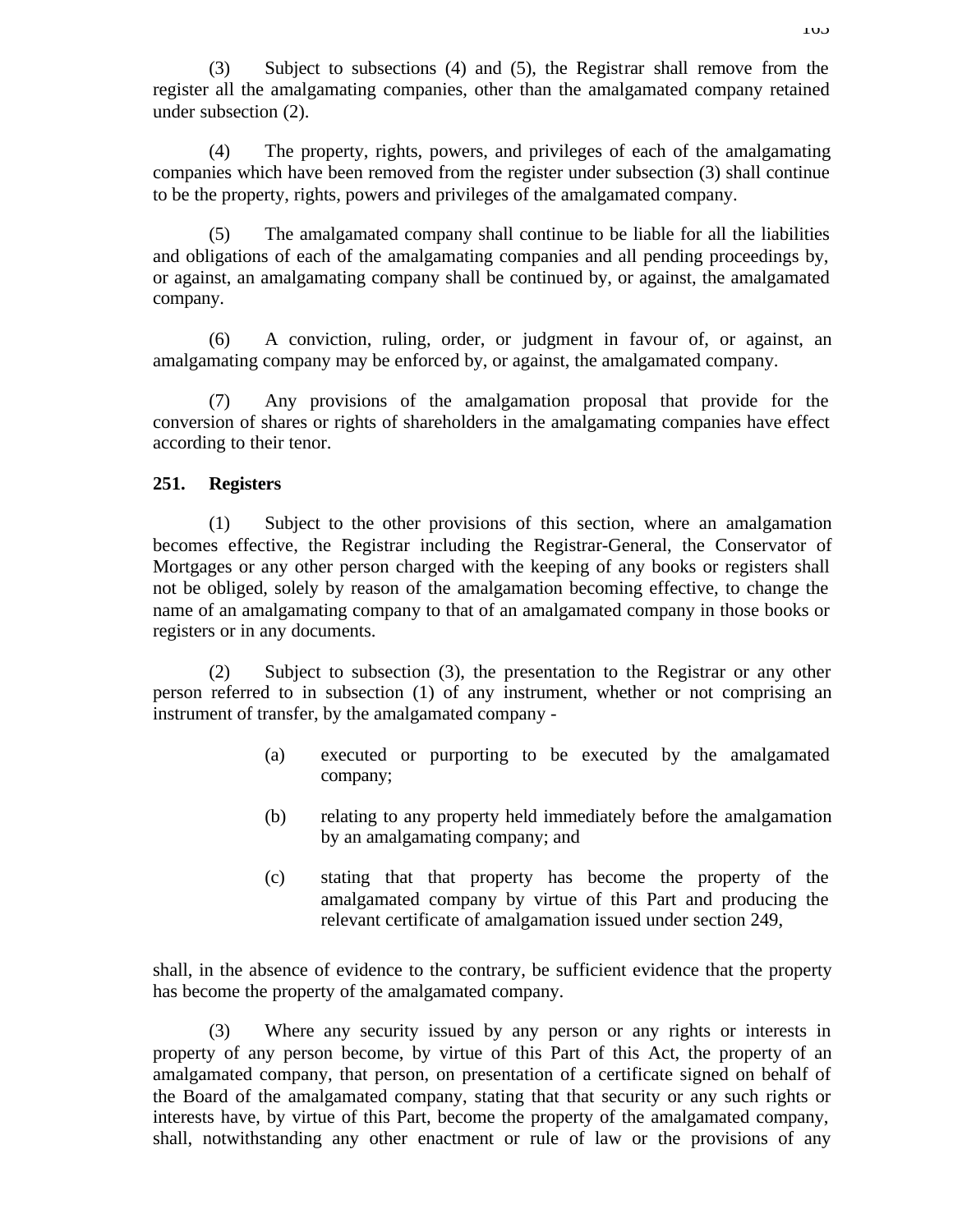(3) Subject to subsections (4) and (5), the Registrar shall remove from the register all the amalgamating companies, other than the amalgamated company retained under subsection (2).

(4) The property, rights, powers, and privileges of each of the amalgamating companies which have been removed from the register under subsection (3) shall continue to be the property, rights, powers and privileges of the amalgamated company.

(5) The amalgamated company shall continue to be liable for all the liabilities and obligations of each of the amalgamating companies and all pending proceedings by, or against, an amalgamating company shall be continued by, or against, the amalgamated company.

(6) A conviction, ruling, order, or judgment in favour of, or against, an amalgamating company may be enforced by, or against, the amalgamated company.

(7) Any provisions of the amalgamation proposal that provide for the conversion of shares or rights of shareholders in the amalgamating companies have effect according to their tenor.

### **251. Registers**

(1) Subject to the other provisions of this section, where an amalgamation becomes effective, the Registrar including the Registrar-General, the Conservator of Mortgages or any other person charged with the keeping of any books or registers shall not be obliged, solely by reason of the amalgamation becoming effective, to change the name of an amalgamating company to that of an amalgamated company in those books or registers or in any documents.

(2) Subject to subsection (3), the presentation to the Registrar or any other person referred to in subsection (1) of any instrument, whether or not comprising an instrument of transfer, by the amalgamated company -

- (a) executed or purporting to be executed by the amalgamated company;
- (b) relating to any property held immediately before the amalgamation by an amalgamating company; and
- (c) stating that that property has become the property of the amalgamated company by virtue of this Part and producing the relevant certificate of amalgamation issued under section 249,

shall, in the absence of evidence to the contrary, be sufficient evidence that the property has become the property of the amalgamated company.

(3) Where any security issued by any person or any rights or interests in property of any person become, by virtue of this Part of this Act, the property of an amalgamated company, that person, on presentation of a certificate signed on behalf of the Board of the amalgamated company, stating that that security or any such rights or interests have, by virtue of this Part, become the property of the amalgamated company, shall, notwithstanding any other enactment or rule of law or the provisions of any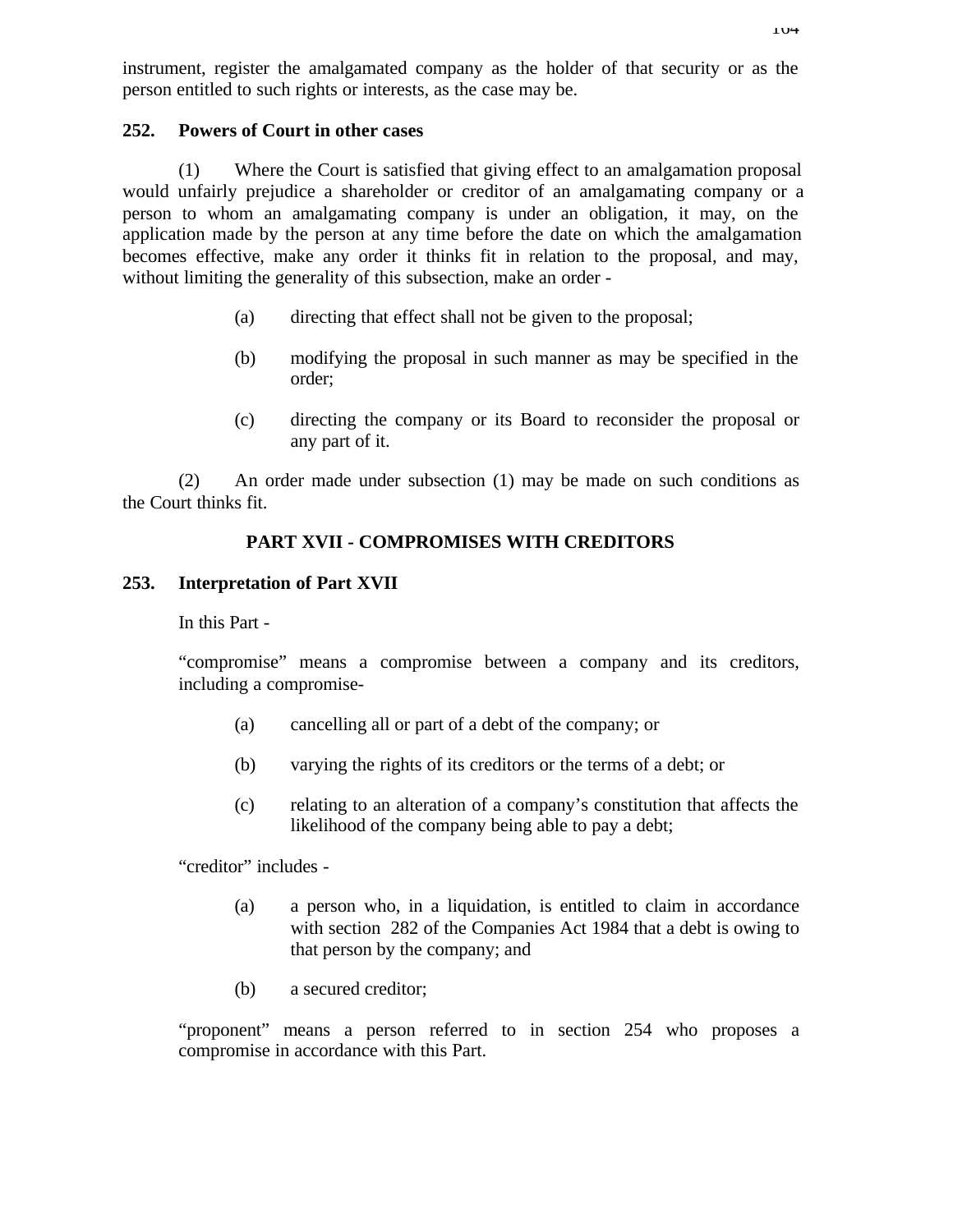instrument, register the amalgamated company as the holder of that security or as the person entitled to such rights or interests, as the case may be.

#### **252. Powers of Court in other cases**

(1) Where the Court is satisfied that giving effect to an amalgamation proposal would unfairly prejudice a shareholder or creditor of an amalgamating company or a person to whom an amalgamating company is under an obligation, it may, on the application made by the person at any time before the date on which the amalgamation becomes effective, make any order it thinks fit in relation to the proposal, and may, without limiting the generality of this subsection, make an order -

- (a) directing that effect shall not be given to the proposal;
- (b) modifying the proposal in such manner as may be specified in the order;
- (c) directing the company or its Board to reconsider the proposal or any part of it.

(2) An order made under subsection (1) may be made on such conditions as the Court thinks fit.

## **PART XVII - COMPROMISES WITH CREDITORS**

### **253. Interpretation of Part XVII**

In this Part -

"compromise" means a compromise between a company and its creditors, including a compromise-

- (a) cancelling all or part of a debt of the company; or
- (b) varying the rights of its creditors or the terms of a debt; or
- (c) relating to an alteration of a company's constitution that affects the likelihood of the company being able to pay a debt;

"creditor" includes -

- (a) a person who, in a liquidation, is entitled to claim in accordance with section 282 of the Companies Act 1984 that a debt is owing to that person by the company; and
- (b) a secured creditor;

"proponent" means a person referred to in section 254 who proposes a compromise in accordance with this Part.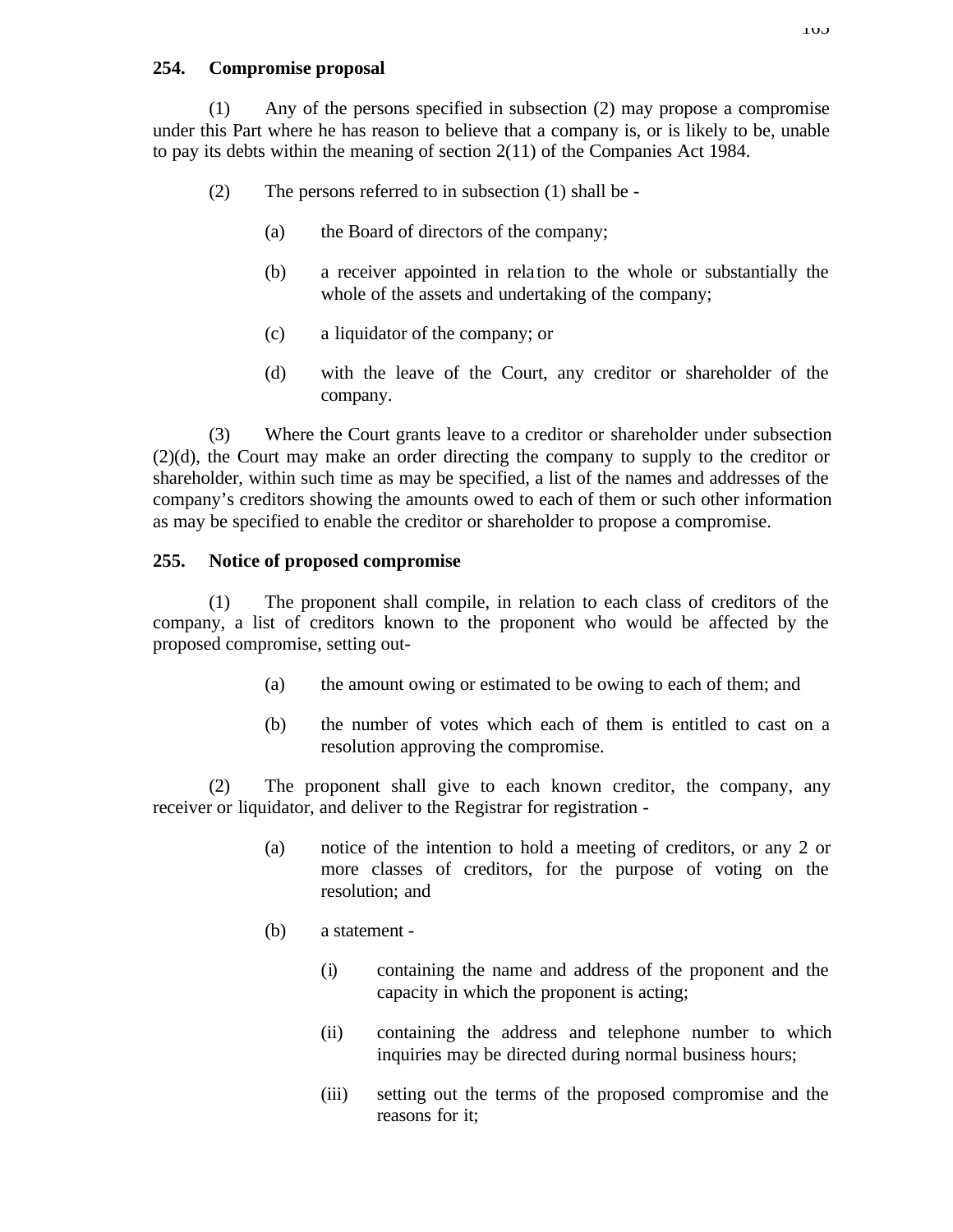### **254. Compromise proposal**

(1) Any of the persons specified in subsection (2) may propose a compromise under this Part where he has reason to believe that a company is, or is likely to be, unable to pay its debts within the meaning of section 2(11) of the Companies Act 1984.

- (2) The persons referred to in subsection (1) shall be
	- (a) the Board of directors of the company;
	- (b) a receiver appointed in rela tion to the whole or substantially the whole of the assets and undertaking of the company;
	- (c) a liquidator of the company; or
	- (d) with the leave of the Court, any creditor or shareholder of the company.

(3) Where the Court grants leave to a creditor or shareholder under subsection (2)(d), the Court may make an order directing the company to supply to the creditor or shareholder, within such time as may be specified, a list of the names and addresses of the company's creditors showing the amounts owed to each of them or such other information as may be specified to enable the creditor or shareholder to propose a compromise.

### **255. Notice of proposed compromise**

(1) The proponent shall compile, in relation to each class of creditors of the company, a list of creditors known to the proponent who would be affected by the proposed compromise, setting out-

- (a) the amount owing or estimated to be owing to each of them; and
- (b) the number of votes which each of them is entitled to cast on a resolution approving the compromise.

(2) The proponent shall give to each known creditor, the company, any receiver or liquidator, and deliver to the Registrar for registration -

- (a) notice of the intention to hold a meeting of creditors, or any 2 or more classes of creditors, for the purpose of voting on the resolution; and
- (b) a statement
	- (i) containing the name and address of the proponent and the capacity in which the proponent is acting;
	- (ii) containing the address and telephone number to which inquiries may be directed during normal business hours;
	- (iii) setting out the terms of the proposed compromise and the reasons for it;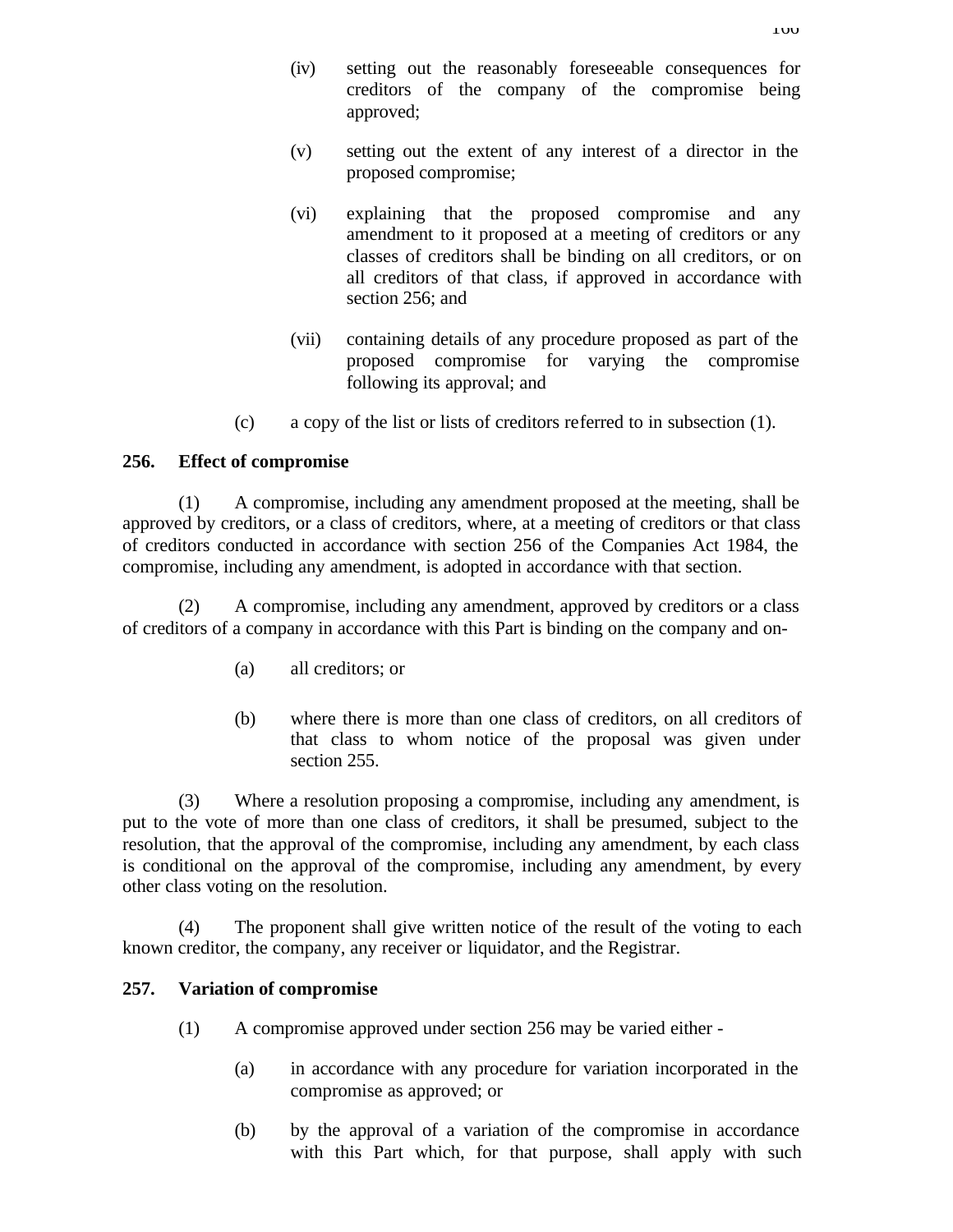- (iv) setting out the reasonably foreseeable consequences for creditors of the company of the compromise being approved;
- (v) setting out the extent of any interest of a director in the proposed compromise;
- (vi) explaining that the proposed compromise and any amendment to it proposed at a meeting of creditors or any classes of creditors shall be binding on all creditors, or on all creditors of that class, if approved in accordance with section 256; and
- (vii) containing details of any procedure proposed as part of the proposed compromise for varying the compromise following its approval; and
- (c) a copy of the list or lists of creditors referred to in subsection (1).

## **256. Effect of compromise**

(1) A compromise, including any amendment proposed at the meeting, shall be approved by creditors, or a class of creditors, where, at a meeting of creditors or that class of creditors conducted in accordance with section 256 of the Companies Act 1984, the compromise, including any amendment, is adopted in accordance with that section.

(2) A compromise, including any amendment, approved by creditors or a class of creditors of a company in accordance with this Part is binding on the company and on-

- (a) all creditors; or
- (b) where there is more than one class of creditors, on all creditors of that class to whom notice of the proposal was given under section 255.

(3) Where a resolution proposing a compromise, including any amendment, is put to the vote of more than one class of creditors, it shall be presumed, subject to the resolution, that the approval of the compromise, including any amendment, by each class is conditional on the approval of the compromise, including any amendment, by every other class voting on the resolution.

(4) The proponent shall give written notice of the result of the voting to each known creditor, the company, any receiver or liquidator, and the Registrar.

### **257. Variation of compromise**

- (1) A compromise approved under section 256 may be varied either
	- (a) in accordance with any procedure for variation incorporated in the compromise as approved; or
	- (b) by the approval of a variation of the compromise in accordance with this Part which, for that purpose, shall apply with such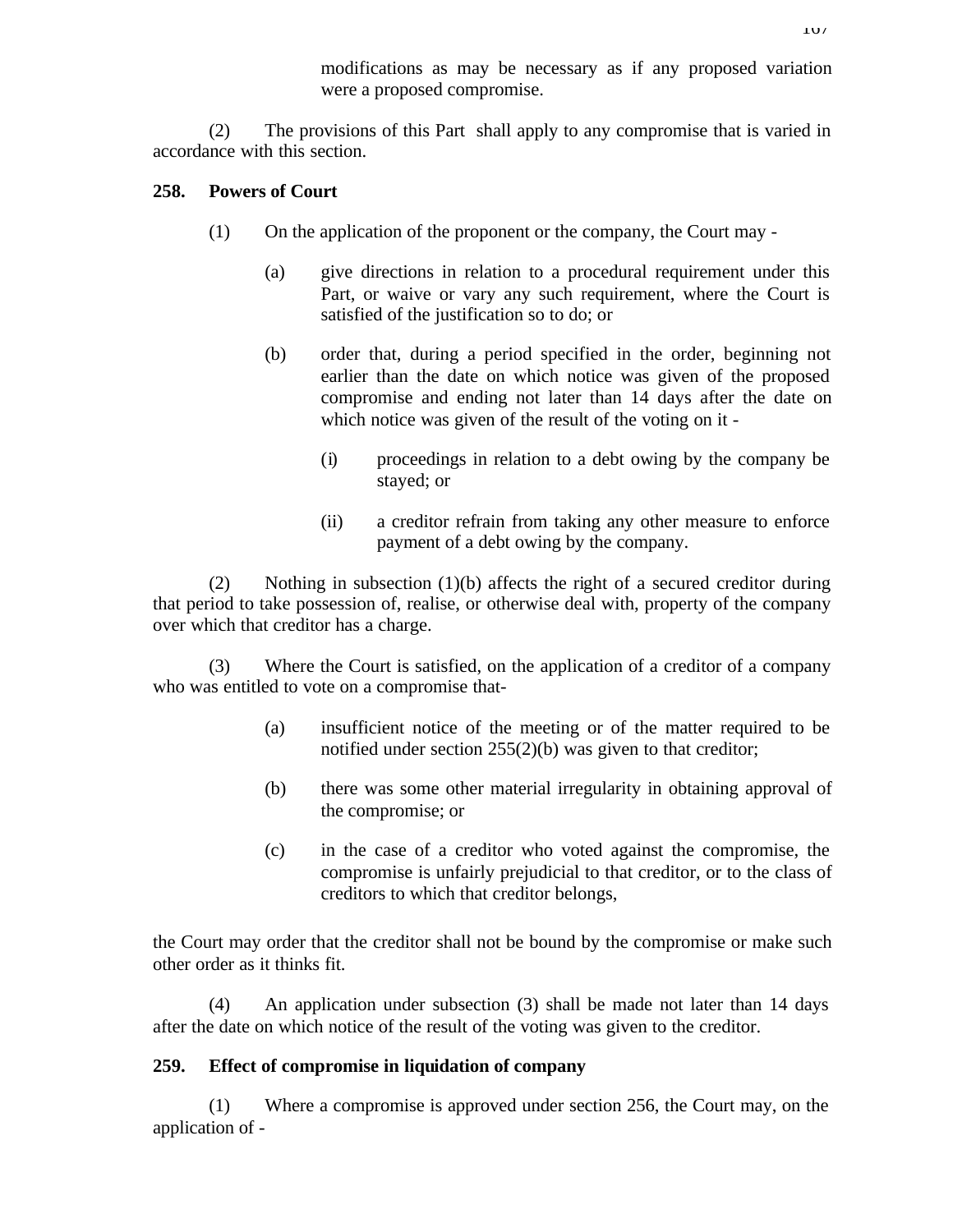modifications as may be necessary as if any proposed variation were a proposed compromise.

(2) The provisions of this Part shall apply to any compromise that is varied in accordance with this section.

## **258. Powers of Court**

- (1) On the application of the proponent or the company, the Court may
	- (a) give directions in relation to a procedural requirement under this Part, or waive or vary any such requirement, where the Court is satisfied of the justification so to do; or
	- (b) order that, during a period specified in the order, beginning not earlier than the date on which notice was given of the proposed compromise and ending not later than 14 days after the date on which notice was given of the result of the voting on it -
		- (i) proceedings in relation to a debt owing by the company be stayed; or
		- (ii) a creditor refrain from taking any other measure to enforce payment of a debt owing by the company.

(2) Nothing in subsection (1)(b) affects the right of a secured creditor during that period to take possession of, realise, or otherwise deal with, property of the company over which that creditor has a charge.

(3) Where the Court is satisfied, on the application of a creditor of a company who was entitled to vote on a compromise that-

- (a) insufficient notice of the meeting or of the matter required to be notified under section 255(2)(b) was given to that creditor;
- (b) there was some other material irregularity in obtaining approval of the compromise; or
- (c) in the case of a creditor who voted against the compromise, the compromise is unfairly prejudicial to that creditor, or to the class of creditors to which that creditor belongs,

the Court may order that the creditor shall not be bound by the compromise or make such other order as it thinks fit.

(4) An application under subsection (3) shall be made not later than 14 days after the date on which notice of the result of the voting was given to the creditor.

# **259. Effect of compromise in liquidation of company**

(1) Where a compromise is approved under section 256, the Court may, on the application of -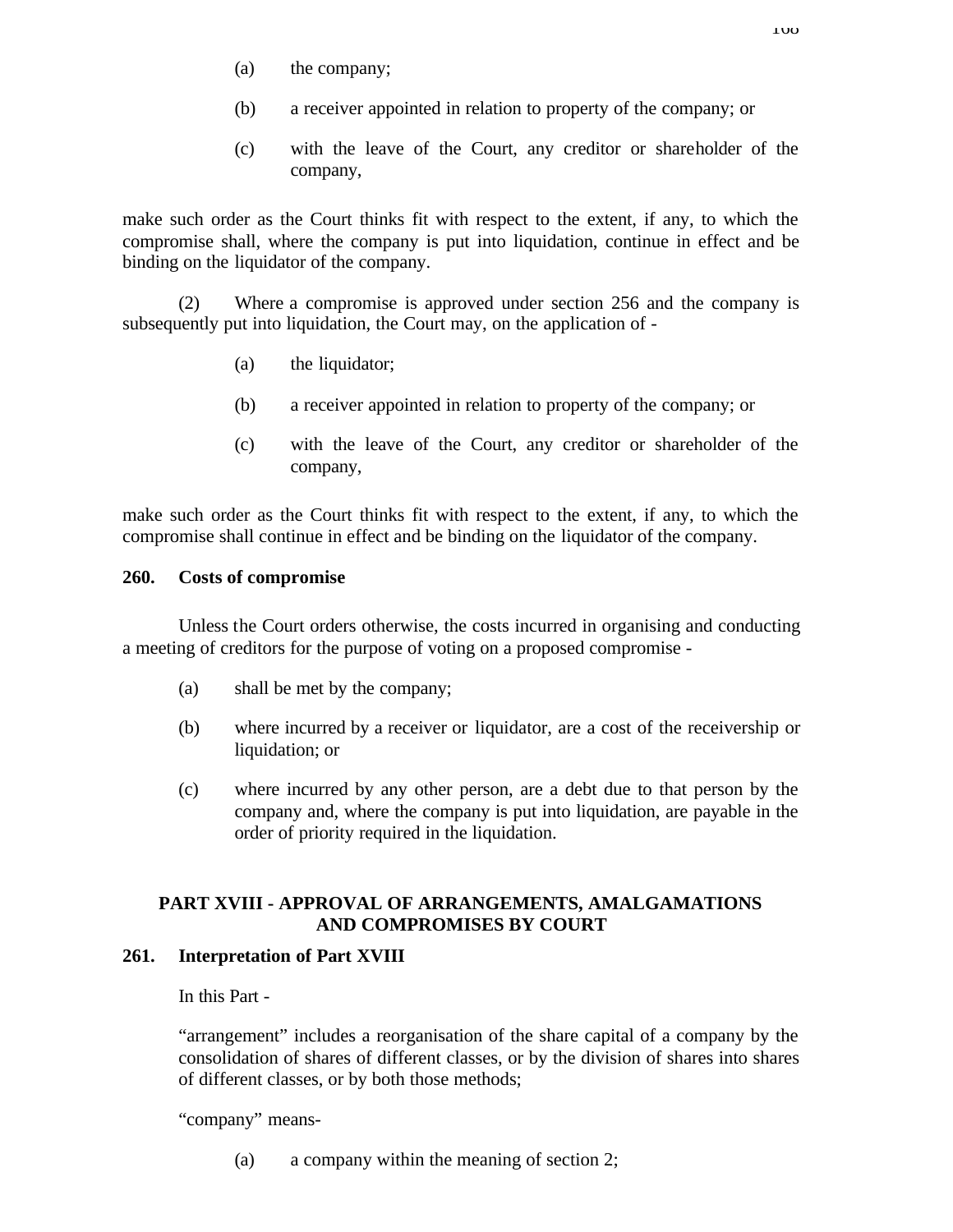- (a) the company;
- (b) a receiver appointed in relation to property of the company; or
- (c) with the leave of the Court, any creditor or shareholder of the company,

make such order as the Court thinks fit with respect to the extent, if any, to which the compromise shall, where the company is put into liquidation, continue in effect and be binding on the liquidator of the company.

(2) Where a compromise is approved under section 256 and the company is subsequently put into liquidation, the Court may, on the application of -

- (a) the liquidator;
- (b) a receiver appointed in relation to property of the company; or
- (c) with the leave of the Court, any creditor or shareholder of the company,

make such order as the Court thinks fit with respect to the extent, if any, to which the compromise shall continue in effect and be binding on the liquidator of the company.

### **260. Costs of compromise**

Unless the Court orders otherwise, the costs incurred in organising and conducting a meeting of creditors for the purpose of voting on a proposed compromise -

- (a) shall be met by the company;
- (b) where incurred by a receiver or liquidator, are a cost of the receivership or liquidation; or
- (c) where incurred by any other person, are a debt due to that person by the company and, where the company is put into liquidation, are payable in the order of priority required in the liquidation.

## **PART XVIII - APPROVAL OF ARRANGEMENTS, AMALGAMATIONS AND COMPROMISES BY COURT**

### **261. Interpretation of Part XVIII**

In this Part -

"arrangement" includes a reorganisation of the share capital of a company by the consolidation of shares of different classes, or by the division of shares into shares of different classes, or by both those methods;

"company" means-

(a) a company within the meaning of section 2;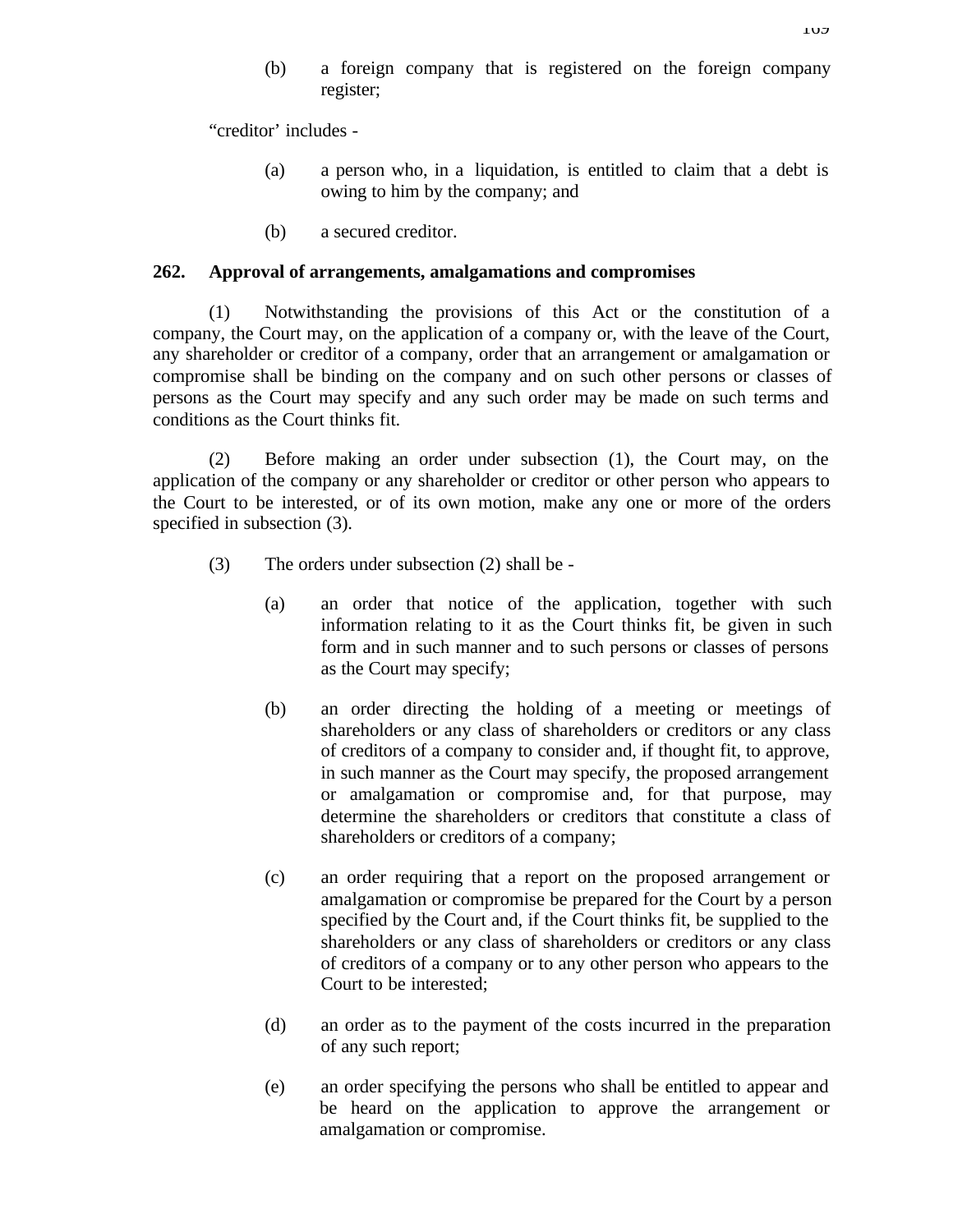(b) a foreign company that is registered on the foreign company register;

"creditor' includes -

- (a) a person who, in a liquidation, is entitled to claim that a debt is owing to him by the company; and
- (b) a secured creditor.

#### **262. Approval of arrangements, amalgamations and compromises**

(1) Notwithstanding the provisions of this Act or the constitution of a company, the Court may, on the application of a company or, with the leave of the Court, any shareholder or creditor of a company, order that an arrangement or amalgamation or compromise shall be binding on the company and on such other persons or classes of persons as the Court may specify and any such order may be made on such terms and conditions as the Court thinks fit.

(2) Before making an order under subsection (1), the Court may, on the application of the company or any shareholder or creditor or other person who appears to the Court to be interested, or of its own motion, make any one or more of the orders specified in subsection (3).

- (3) The orders under subsection (2) shall be
	- (a) an order that notice of the application, together with such information relating to it as the Court thinks fit, be given in such form and in such manner and to such persons or classes of persons as the Court may specify;
	- (b) an order directing the holding of a meeting or meetings of shareholders or any class of shareholders or creditors or any class of creditors of a company to consider and, if thought fit, to approve, in such manner as the Court may specify, the proposed arrangement or amalgamation or compromise and, for that purpose, may determine the shareholders or creditors that constitute a class of shareholders or creditors of a company;
	- (c) an order requiring that a report on the proposed arrangement or amalgamation or compromise be prepared for the Court by a person specified by the Court and, if the Court thinks fit, be supplied to the shareholders or any class of shareholders or creditors or any class of creditors of a company or to any other person who appears to the Court to be interested;
	- (d) an order as to the payment of the costs incurred in the preparation of any such report;
	- (e) an order specifying the persons who shall be entitled to appear and be heard on the application to approve the arrangement or amalgamation or compromise.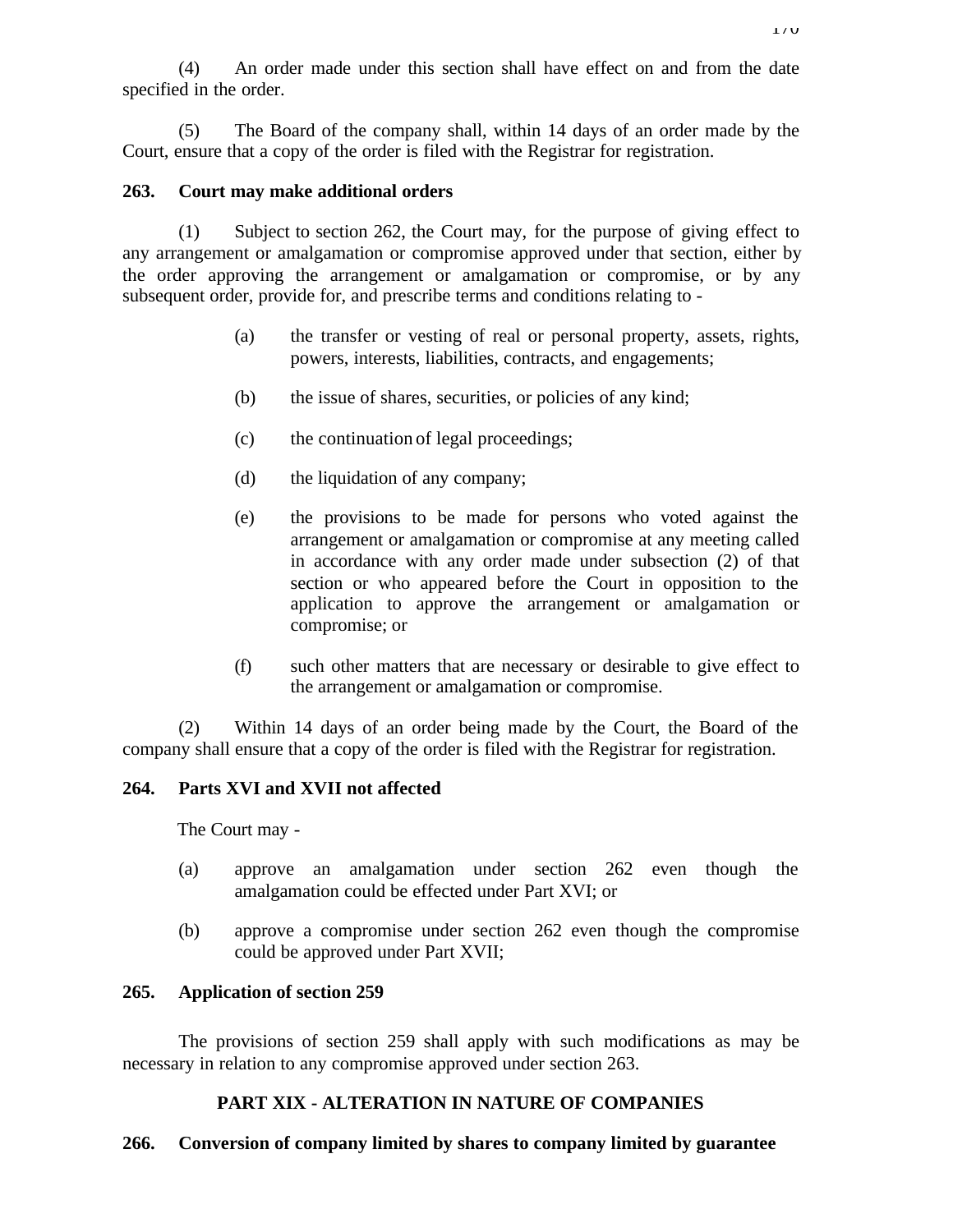(4) An order made under this section shall have effect on and from the date specified in the order.

(5) The Board of the company shall, within 14 days of an order made by the Court, ensure that a copy of the order is filed with the Registrar for registration.

## **263. Court may make additional orders**

(1) Subject to section 262, the Court may, for the purpose of giving effect to any arrangement or amalgamation or compromise approved under that section, either by the order approving the arrangement or amalgamation or compromise, or by any subsequent order, provide for, and prescribe terms and conditions relating to -

- (a) the transfer or vesting of real or personal property, assets, rights, powers, interests, liabilities, contracts, and engagements;
- (b) the issue of shares, securities, or policies of any kind;
- (c) the continuation of legal proceedings;
- (d) the liquidation of any company;
- (e) the provisions to be made for persons who voted against the arrangement or amalgamation or compromise at any meeting called in accordance with any order made under subsection (2) of that section or who appeared before the Court in opposition to the application to approve the arrangement or amalgamation or compromise; or
- (f) such other matters that are necessary or desirable to give effect to the arrangement or amalgamation or compromise.

(2) Within 14 days of an order being made by the Court, the Board of the company shall ensure that a copy of the order is filed with the Registrar for registration.

# **264. Parts XVI and XVII not affected**

The Court may -

- (a) approve an amalgamation under section 262 even though the amalgamation could be effected under Part XVI; or
- (b) approve a compromise under section 262 even though the compromise could be approved under Part XVII;

# **265. Application of section 259**

The provisions of section 259 shall apply with such modifications as may be necessary in relation to any compromise approved under section 263.

# **PART XIX - ALTERATION IN NATURE OF COMPANIES**

# **266. Conversion of company limited by shares to company limited by guarantee**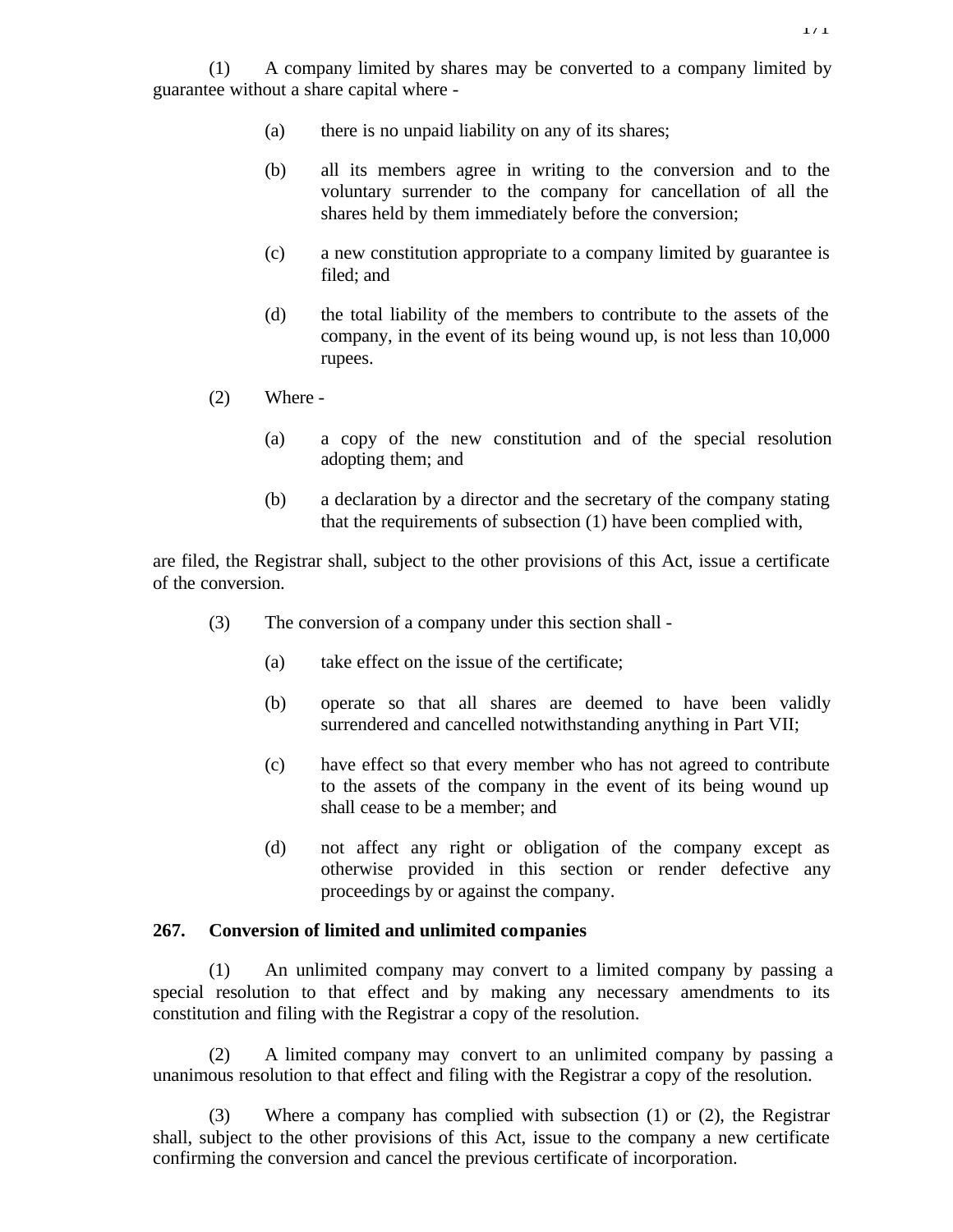(1) A company limited by shares may be converted to a company limited by guarantee without a share capital where -

- (a) there is no unpaid liability on any of its shares;
- (b) all its members agree in writing to the conversion and to the voluntary surrender to the company for cancellation of all the shares held by them immediately before the conversion;
- (c) a new constitution appropriate to a company limited by guarantee is filed; and
- (d) the total liability of the members to contribute to the assets of the company, in the event of its being wound up, is not less than 10,000 rupees.
- (2) Where
	- (a) a copy of the new constitution and of the special resolution adopting them; and
	- (b) a declaration by a director and the secretary of the company stating that the requirements of subsection (1) have been complied with,

are filed, the Registrar shall, subject to the other provisions of this Act, issue a certificate of the conversion.

- (3) The conversion of a company under this section shall
	- (a) take effect on the issue of the certificate;
	- (b) operate so that all shares are deemed to have been validly surrendered and cancelled notwithstanding anything in Part VII;
	- (c) have effect so that every member who has not agreed to contribute to the assets of the company in the event of its being wound up shall cease to be a member; and
	- (d) not affect any right or obligation of the company except as otherwise provided in this section or render defective any proceedings by or against the company.

#### **267. Conversion of limited and unlimited companies**

(1) An unlimited company may convert to a limited company by passing a special resolution to that effect and by making any necessary amendments to its constitution and filing with the Registrar a copy of the resolution.

(2) A limited company may convert to an unlimited company by passing a unanimous resolution to that effect and filing with the Registrar a copy of the resolution.

(3) Where a company has complied with subsection (1) or (2), the Registrar shall, subject to the other provisions of this Act, issue to the company a new certificate confirming the conversion and cancel the previous certificate of incorporation.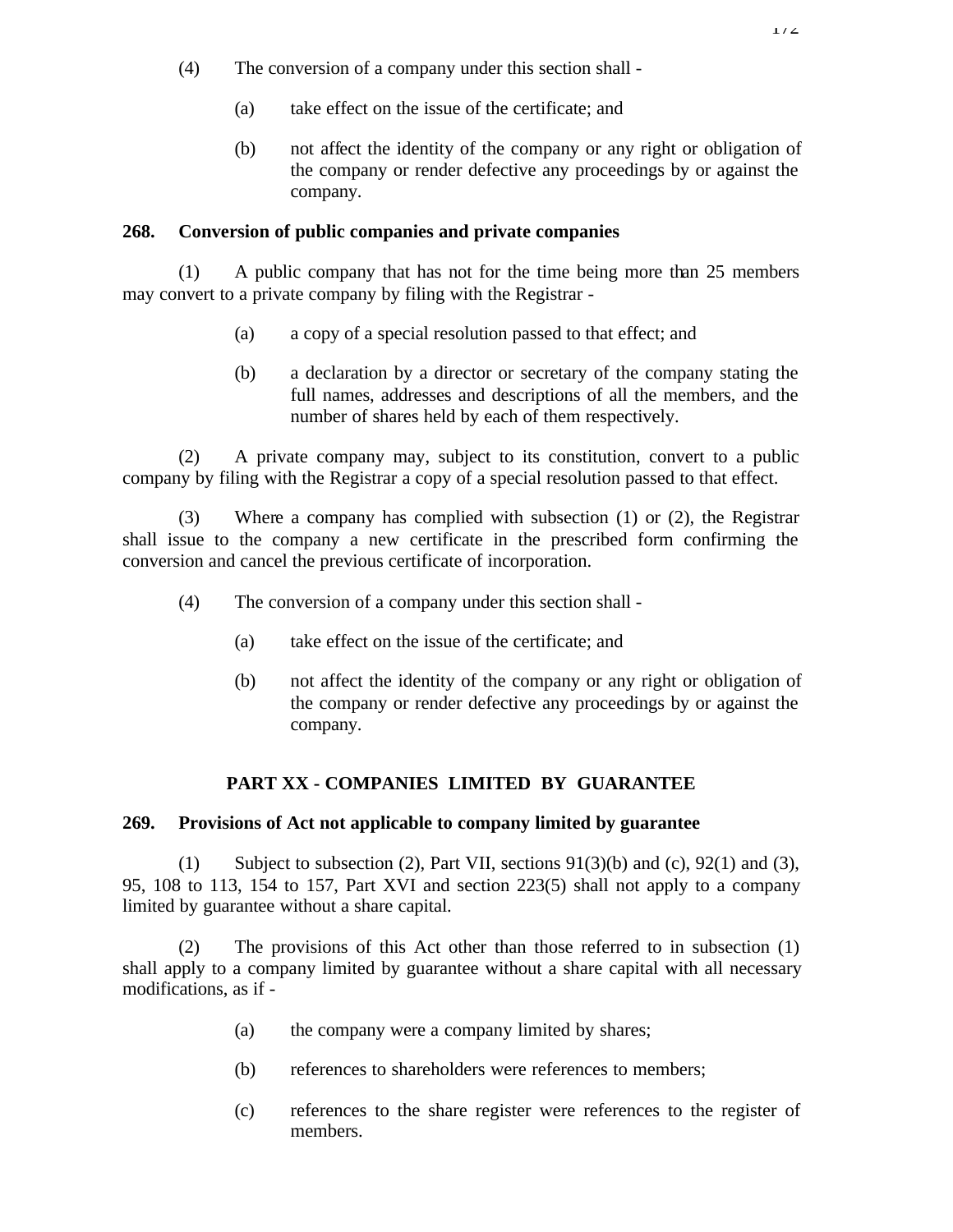- (4) The conversion of a company under this section shall
	- (a) take effect on the issue of the certificate; and
	- (b) not affect the identity of the company or any right or obligation of the company or render defective any proceedings by or against the company.

## **268. Conversion of public companies and private companies**

(1) A public company that has not for the time being more than 25 members may convert to a private company by filing with the Registrar -

- (a) a copy of a special resolution passed to that effect; and
- (b) a declaration by a director or secretary of the company stating the full names, addresses and descriptions of all the members, and the number of shares held by each of them respectively.

(2) A private company may, subject to its constitution, convert to a public company by filing with the Registrar a copy of a special resolution passed to that effect.

(3) Where a company has complied with subsection (1) or (2), the Registrar shall issue to the company a new certificate in the prescribed form confirming the conversion and cancel the previous certificate of incorporation.

- (4) The conversion of a company under this section shall
	- (a) take effect on the issue of the certificate; and
	- (b) not affect the identity of the company or any right or obligation of the company or render defective any proceedings by or against the company.

# **PART XX - COMPANIES LIMITED BY GUARANTEE**

### **269. Provisions of Act not applicable to company limited by guarantee**

(1) Subject to subsection (2), Part VII, sections 91(3)(b) and (c), 92(1) and (3), 95, 108 to 113, 154 to 157, Part XVI and section 223(5) shall not apply to a company limited by guarantee without a share capital.

The provisions of this Act other than those referred to in subsection  $(1)$ shall apply to a company limited by guarantee without a share capital with all necessary modifications, as if -

- (a) the company were a company limited by shares;
- (b) references to shareholders were references to members;
- (c) references to the share register were references to the register of members.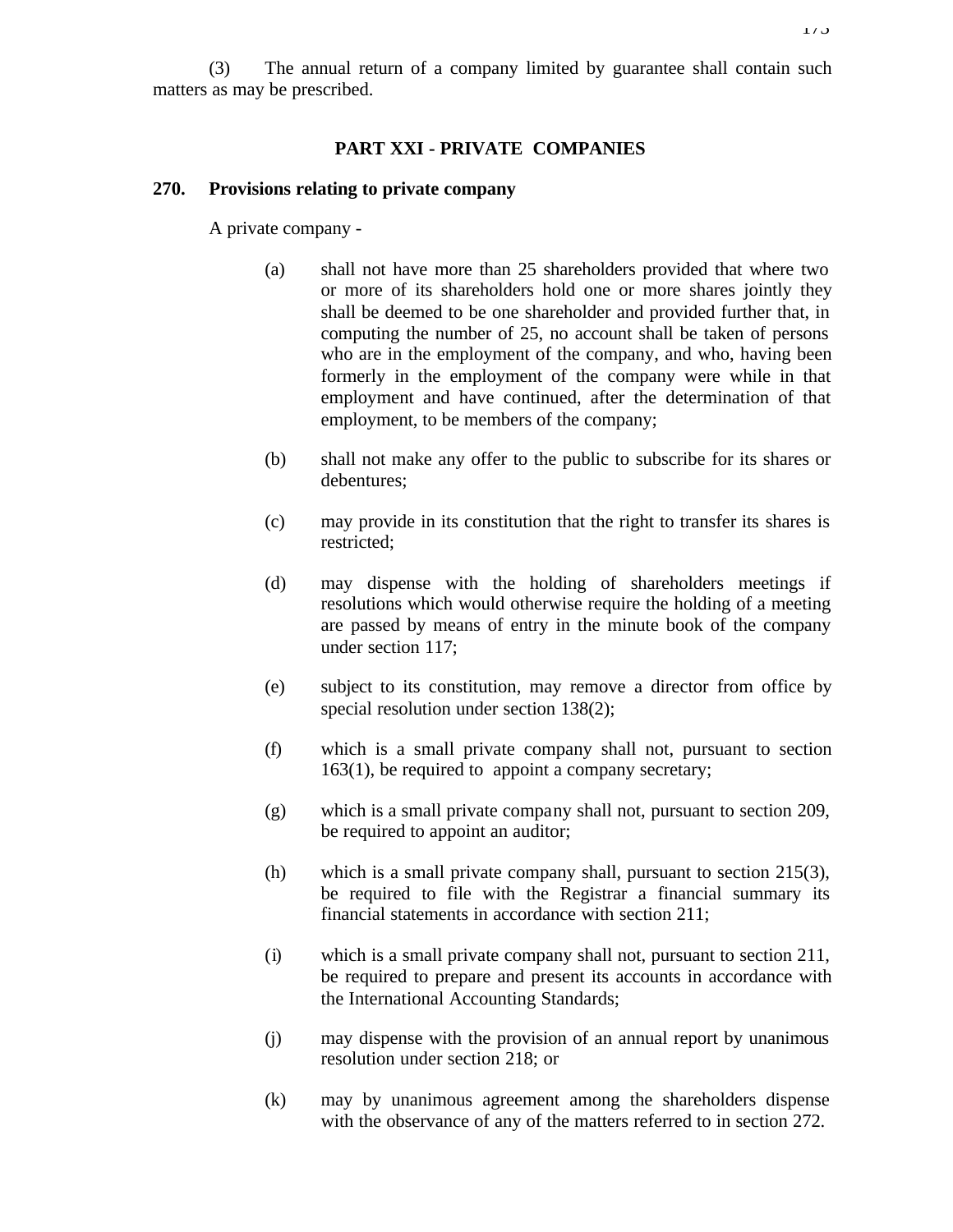#### **PART XXI - PRIVATE COMPANIES**

#### **270. Provisions relating to private company**

A private company -

- (a) shall not have more than 25 shareholders provided that where two or more of its shareholders hold one or more shares jointly they shall be deemed to be one shareholder and provided further that, in computing the number of 25, no account shall be taken of persons who are in the employment of the company, and who, having been formerly in the employment of the company were while in that employment and have continued, after the determination of that employment, to be members of the company;
- (b) shall not make any offer to the public to subscribe for its shares or debentures;
- (c) may provide in its constitution that the right to transfer its shares is restricted;
- (d) may dispense with the holding of shareholders meetings if resolutions which would otherwise require the holding of a meeting are passed by means of entry in the minute book of the company under section 117;
- (e) subject to its constitution, may remove a director from office by special resolution under section 138(2);
- (f) which is a small private company shall not, pursuant to section 163(1), be required to appoint a company secretary;
- (g) which is a small private company shall not, pursuant to section 209, be required to appoint an auditor;
- (h) which is a small private company shall, pursuant to section 215(3), be required to file with the Registrar a financial summary its financial statements in accordance with section 211;
- (i) which is a small private company shall not, pursuant to section 211, be required to prepare and present its accounts in accordance with the International Accounting Standards;
- (j) may dispense with the provision of an annual report by unanimous resolution under section 218; or
- (k) may by unanimous agreement among the shareholders dispense with the observance of any of the matters referred to in section 272.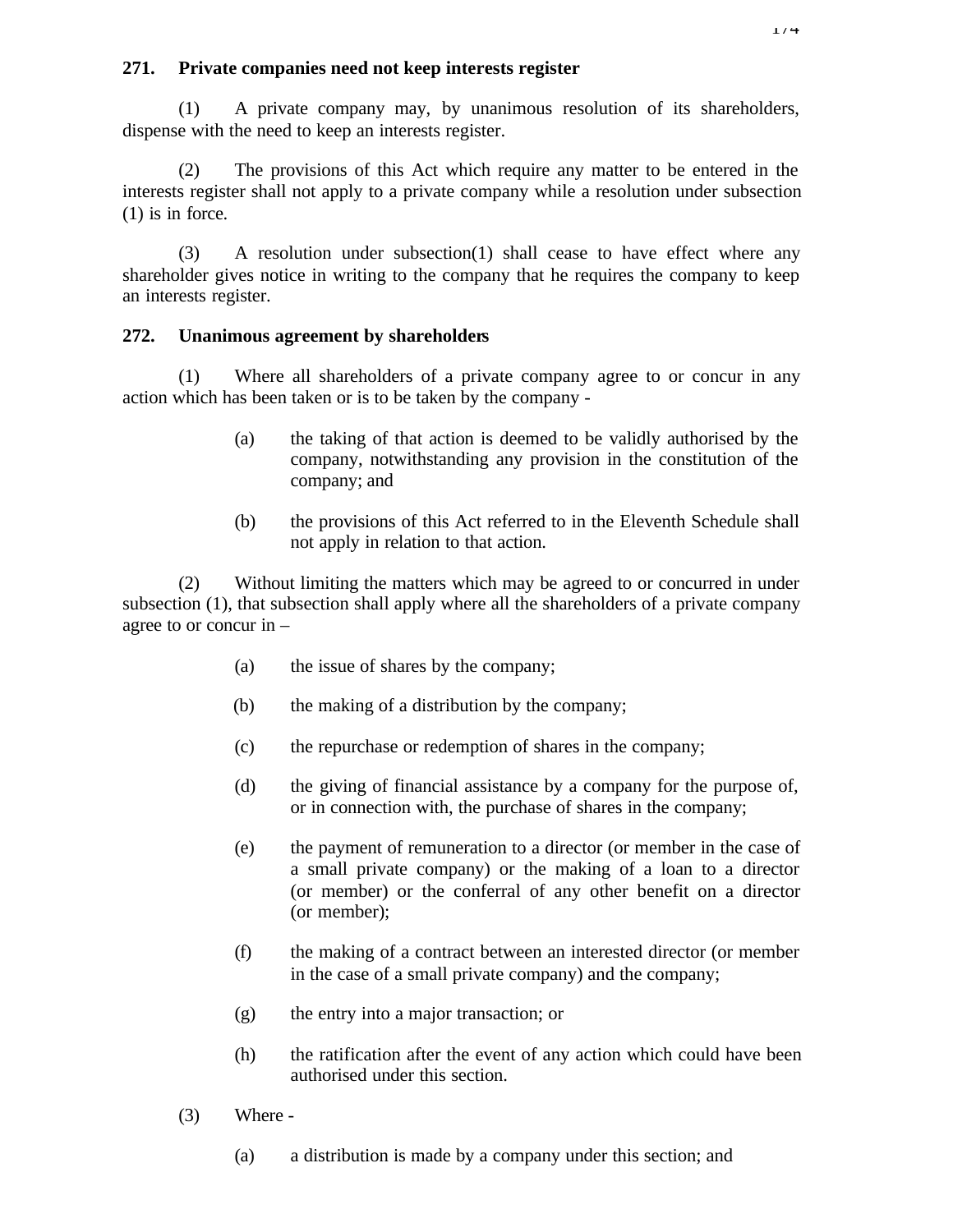## **271. Private companies need not keep interests register**

(1) A private company may, by unanimous resolution of its shareholders, dispense with the need to keep an interests register.

(2) The provisions of this Act which require any matter to be entered in the interests register shall not apply to a private company while a resolution under subsection (1) is in force.

(3) A resolution under subsection(1) shall cease to have effect where any shareholder gives notice in writing to the company that he requires the company to keep an interests register.

## **272. Unanimous agreement by shareholders**

(1) Where all shareholders of a private company agree to or concur in any action which has been taken or is to be taken by the company -

- (a) the taking of that action is deemed to be validly authorised by the company, notwithstanding any provision in the constitution of the company; and
- (b) the provisions of this Act referred to in the Eleventh Schedule shall not apply in relation to that action.

(2) Without limiting the matters which may be agreed to or concurred in under subsection (1), that subsection shall apply where all the shareholders of a private company agree to or concur in –

- (a) the issue of shares by the company;
- (b) the making of a distribution by the company;
- (c) the repurchase or redemption of shares in the company;
- (d) the giving of financial assistance by a company for the purpose of, or in connection with, the purchase of shares in the company;
- (e) the payment of remuneration to a director (or member in the case of a small private company) or the making of a loan to a director (or member) or the conferral of any other benefit on a director (or member);
- (f) the making of a contract between an interested director (or member in the case of a small private company) and the company;
- (g) the entry into a major transaction; or
- (h) the ratification after the event of any action which could have been authorised under this section.
- (3) Where
	- (a) a distribution is made by a company under this section; and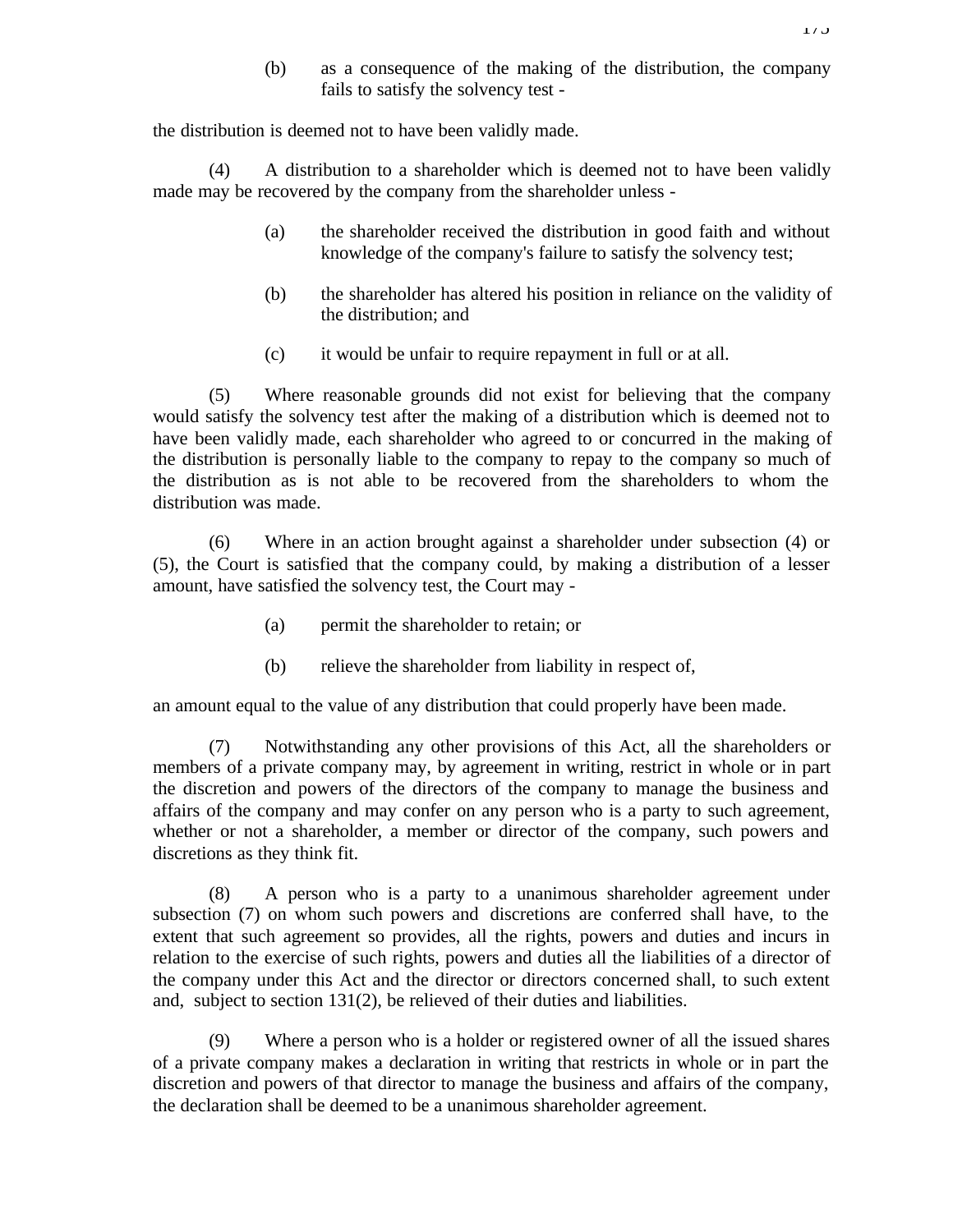(b) as a consequence of the making of the distribution, the company fails to satisfy the solvency test -

the distribution is deemed not to have been validly made.

(4) A distribution to a shareholder which is deemed not to have been validly made may be recovered by the company from the shareholder unless -

- (a) the shareholder received the distribution in good faith and without knowledge of the company's failure to satisfy the solvency test;
- (b) the shareholder has altered his position in reliance on the validity of the distribution; and
- (c) it would be unfair to require repayment in full or at all.

(5) Where reasonable grounds did not exist for believing that the company would satisfy the solvency test after the making of a distribution which is deemed not to have been validly made, each shareholder who agreed to or concurred in the making of the distribution is personally liable to the company to repay to the company so much of the distribution as is not able to be recovered from the shareholders to whom the distribution was made.

(6) Where in an action brought against a shareholder under subsection (4) or (5), the Court is satisfied that the company could, by making a distribution of a lesser amount, have satisfied the solvency test, the Court may -

- (a) permit the shareholder to retain; or
- (b) relieve the shareholder from liability in respect of,

an amount equal to the value of any distribution that could properly have been made.

(7) Notwithstanding any other provisions of this Act, all the shareholders or members of a private company may, by agreement in writing, restrict in whole or in part the discretion and powers of the directors of the company to manage the business and affairs of the company and may confer on any person who is a party to such agreement, whether or not a shareholder, a member or director of the company, such powers and discretions as they think fit.

(8) A person who is a party to a unanimous shareholder agreement under subsection (7) on whom such powers and discretions are conferred shall have, to the extent that such agreement so provides, all the rights, powers and duties and incurs in relation to the exercise of such rights, powers and duties all the liabilities of a director of the company under this Act and the director or directors concerned shall, to such extent and, subject to section 131(2), be relieved of their duties and liabilities.

(9) Where a person who is a holder or registered owner of all the issued shares of a private company makes a declaration in writing that restricts in whole or in part the discretion and powers of that director to manage the business and affairs of the company, the declaration shall be deemed to be a unanimous shareholder agreement.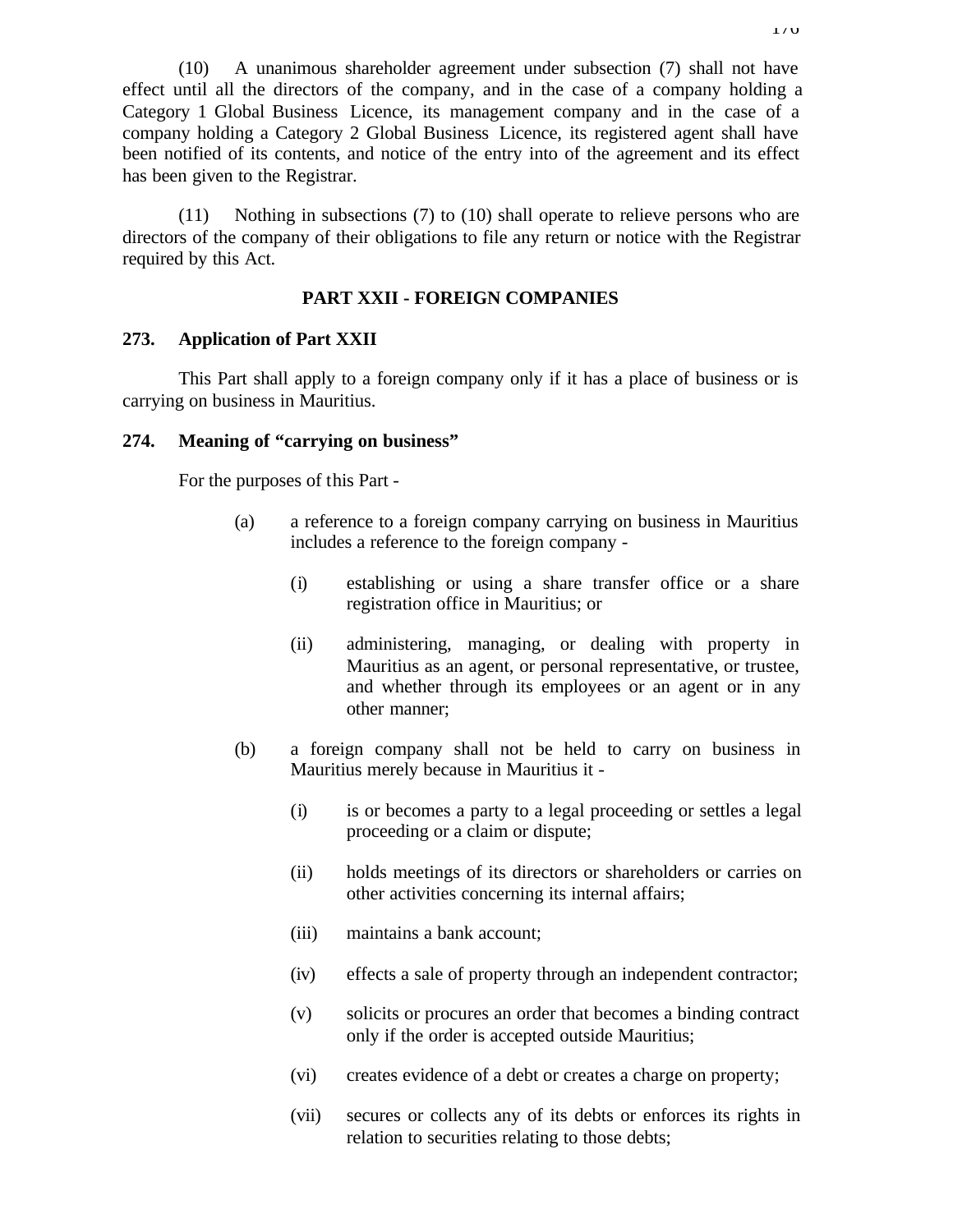(10) A unanimous shareholder agreement under subsection (7) shall not have effect until all the directors of the company, and in the case of a company holding a Category 1 Global Business Licence, its management company and in the case of a company holding a Category 2 Global Business Licence, its registered agent shall have been notified of its contents, and notice of the entry into of the agreement and its effect has been given to the Registrar.

(11) Nothing in subsections (7) to (10) shall operate to relieve persons who are directors of the company of their obligations to file any return or notice with the Registrar required by this Act.

### **PART XXII - FOREIGN COMPANIES**

### **273. Application of Part XXII**

This Part shall apply to a foreign company only if it has a place of business or is carrying on business in Mauritius.

### **274. Meaning of "carrying on business"**

For the purposes of this Part -

- (a) a reference to a foreign company carrying on business in Mauritius includes a reference to the foreign company -
	- (i) establishing or using a share transfer office or a share registration office in Mauritius; or
	- (ii) administering, managing, or dealing with property in Mauritius as an agent, or personal representative, or trustee, and whether through its employees or an agent or in any other manner;
- (b) a foreign company shall not be held to carry on business in Mauritius merely because in Mauritius it -
	- (i) is or becomes a party to a legal proceeding or settles a legal proceeding or a claim or dispute;
	- (ii) holds meetings of its directors or shareholders or carries on other activities concerning its internal affairs;
	- (iii) maintains a bank account;
	- (iv) effects a sale of property through an independent contractor;
	- (v) solicits or procures an order that becomes a binding contract only if the order is accepted outside Mauritius;
	- (vi) creates evidence of a debt or creates a charge on property;
	- (vii) secures or collects any of its debts or enforces its rights in relation to securities relating to those debts;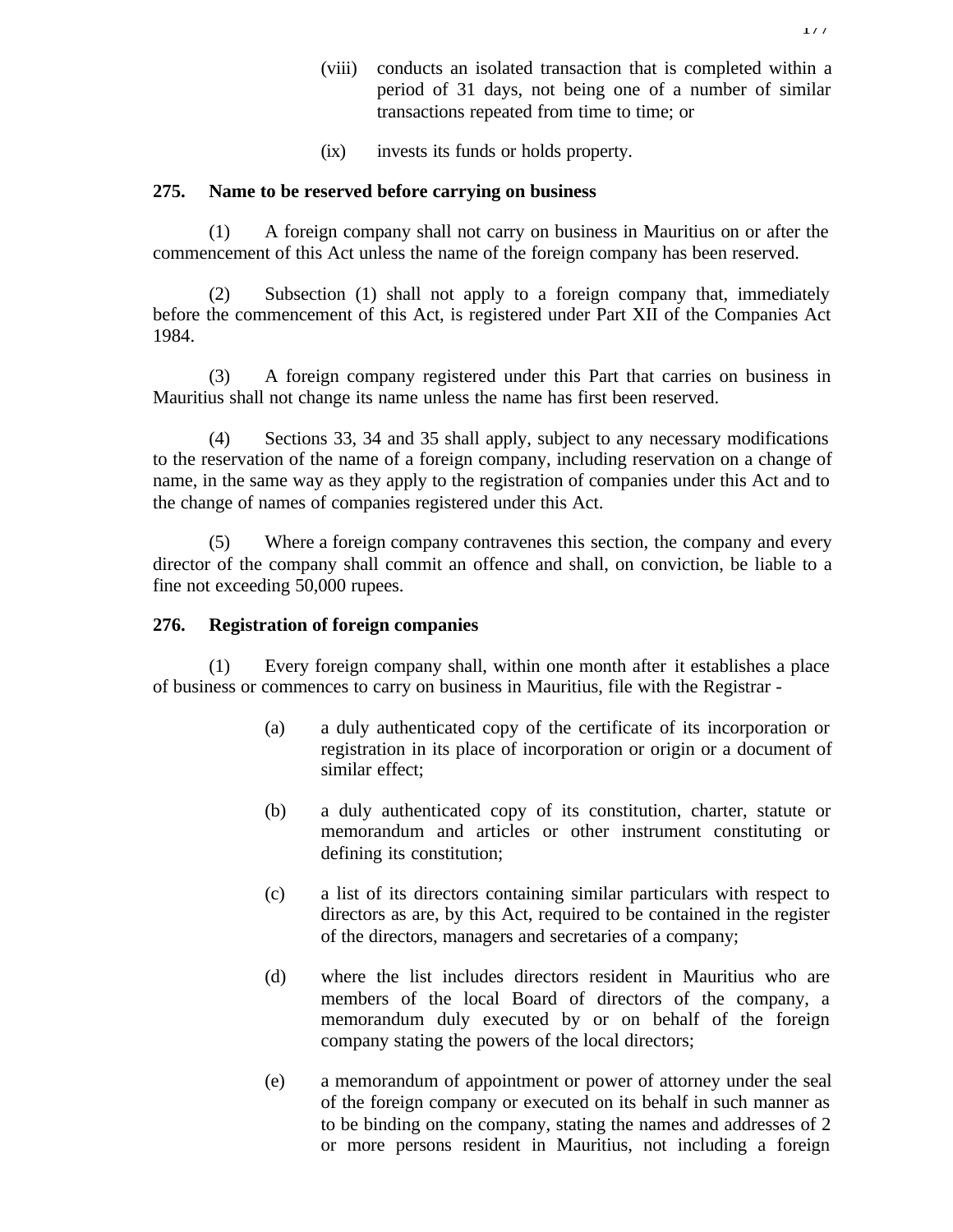- (viii) conducts an isolated transaction that is completed within a period of 31 days, not being one of a number of similar transactions repeated from time to time; or
- (ix) invests its funds or holds property.

### **275. Name to be reserved before carrying on business**

(1) A foreign company shall not carry on business in Mauritius on or after the commencement of this Act unless the name of the foreign company has been reserved.

(2) Subsection (1) shall not apply to a foreign company that, immediately before the commencement of this Act, is registered under Part XII of the Companies Act 1984.

(3) A foreign company registered under this Part that carries on business in Mauritius shall not change its name unless the name has first been reserved.

(4) Sections 33, 34 and 35 shall apply, subject to any necessary modifications to the reservation of the name of a foreign company, including reservation on a change of name, in the same way as they apply to the registration of companies under this Act and to the change of names of companies registered under this Act.

(5) Where a foreign company contravenes this section, the company and every director of the company shall commit an offence and shall, on conviction, be liable to a fine not exceeding 50,000 rupees.

### **276. Registration of foreign companies**

(1) Every foreign company shall, within one month after it establishes a place of business or commences to carry on business in Mauritius, file with the Registrar -

- (a) a duly authenticated copy of the certificate of its incorporation or registration in its place of incorporation or origin or a document of similar effect;
- (b) a duly authenticated copy of its constitution, charter, statute or memorandum and articles or other instrument constituting or defining its constitution;
- (c) a list of its directors containing similar particulars with respect to directors as are, by this Act, required to be contained in the register of the directors, managers and secretaries of a company;
- (d) where the list includes directors resident in Mauritius who are members of the local Board of directors of the company, a memorandum duly executed by or on behalf of the foreign company stating the powers of the local directors;
- (e) a memorandum of appointment or power of attorney under the seal of the foreign company or executed on its behalf in such manner as to be binding on the company, stating the names and addresses of 2 or more persons resident in Mauritius, not including a foreign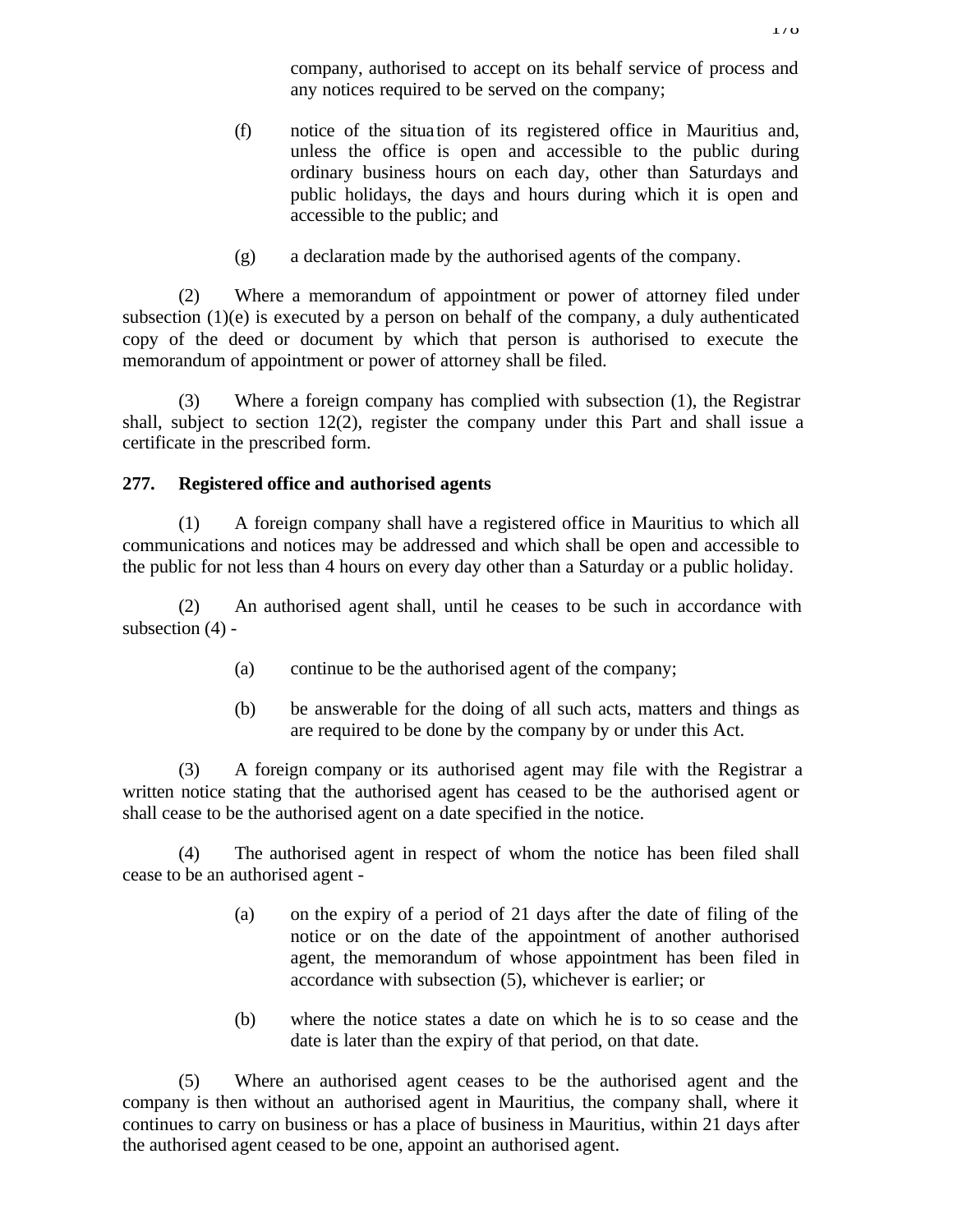company, authorised to accept on its behalf service of process and any notices required to be served on the company;

- (f) notice of the situa tion of its registered office in Mauritius and, unless the office is open and accessible to the public during ordinary business hours on each day, other than Saturdays and public holidays, the days and hours during which it is open and accessible to the public; and
- (g) a declaration made by the authorised agents of the company.

(2) Where a memorandum of appointment or power of attorney filed under subsection  $(1)(e)$  is executed by a person on behalf of the company, a duly authenticated copy of the deed or document by which that person is authorised to execute the memorandum of appointment or power of attorney shall be filed.

(3) Where a foreign company has complied with subsection (1), the Registrar shall, subject to section 12(2), register the company under this Part and shall issue a certificate in the prescribed form.

## **277. Registered office and authorised agents**

(1) A foreign company shall have a registered office in Mauritius to which all communications and notices may be addressed and which shall be open and accessible to the public for not less than 4 hours on every day other than a Saturday or a public holiday.

(2) An authorised agent shall, until he ceases to be such in accordance with subsection (4) -

- (a) continue to be the authorised agent of the company;
- (b) be answerable for the doing of all such acts, matters and things as are required to be done by the company by or under this Act.

(3) A foreign company or its authorised agent may file with the Registrar a written notice stating that the authorised agent has ceased to be the authorised agent or shall cease to be the authorised agent on a date specified in the notice.

(4) The authorised agent in respect of whom the notice has been filed shall cease to be an authorised agent -

- (a) on the expiry of a period of 21 days after the date of filing of the notice or on the date of the appointment of another authorised agent, the memorandum of whose appointment has been filed in accordance with subsection (5), whichever is earlier; or
- (b) where the notice states a date on which he is to so cease and the date is later than the expiry of that period, on that date.

(5) Where an authorised agent ceases to be the authorised agent and the company is then without an authorised agent in Mauritius, the company shall, where it continues to carry on business or has a place of business in Mauritius, within 21 days after the authorised agent ceased to be one, appoint an authorised agent.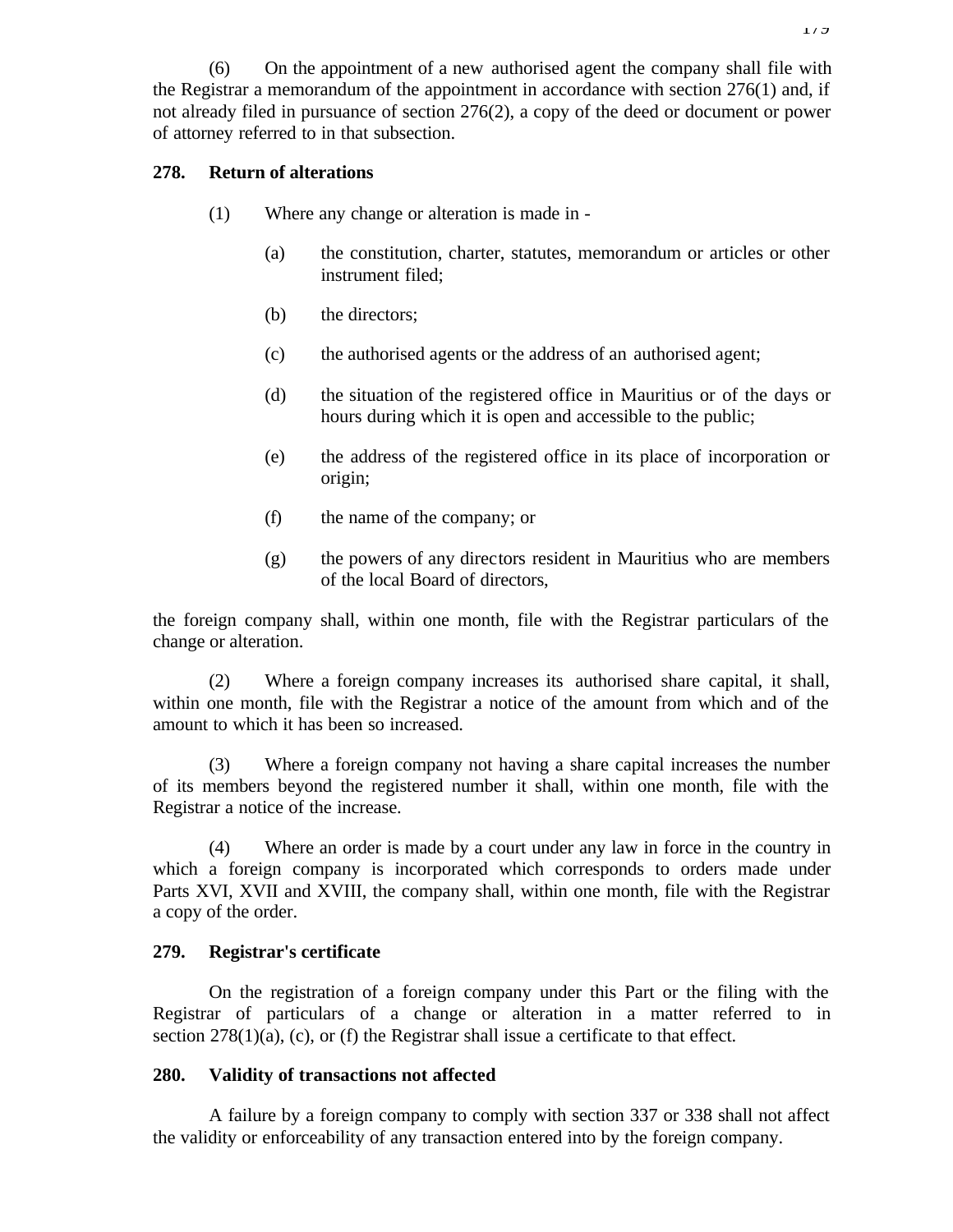## **278. Return of alterations**

- (1) Where any change or alteration is made in
	- (a) the constitution, charter, statutes, memorandum or articles or other instrument filed;
	- (b) the directors;
	- (c) the authorised agents or the address of an authorised agent;
	- (d) the situation of the registered office in Mauritius or of the days or hours during which it is open and accessible to the public;
	- (e) the address of the registered office in its place of incorporation or origin;
	- (f) the name of the company; or
	- (g) the powers of any directors resident in Mauritius who are members of the local Board of directors,

the foreign company shall, within one month, file with the Registrar particulars of the change or alteration.

(2) Where a foreign company increases its authorised share capital, it shall, within one month, file with the Registrar a notice of the amount from which and of the amount to which it has been so increased.

(3) Where a foreign company not having a share capital increases the number of its members beyond the registered number it shall, within one month, file with the Registrar a notice of the increase.

(4) Where an order is made by a court under any law in force in the country in which a foreign company is incorporated which corresponds to orders made under Parts XVI, XVII and XVIII, the company shall, within one month, file with the Registrar a copy of the order.

### **279. Registrar's certificate**

On the registration of a foreign company under this Part or the filing with the Registrar of particulars of a change or alteration in a matter referred to in section  $278(1)(a)$ , (c), or (f) the Registrar shall issue a certificate to that effect.

### **280. Validity of transactions not affected**

A failure by a foreign company to comply with section 337 or 338 shall not affect the validity or enforceability of any transaction entered into by the foreign company.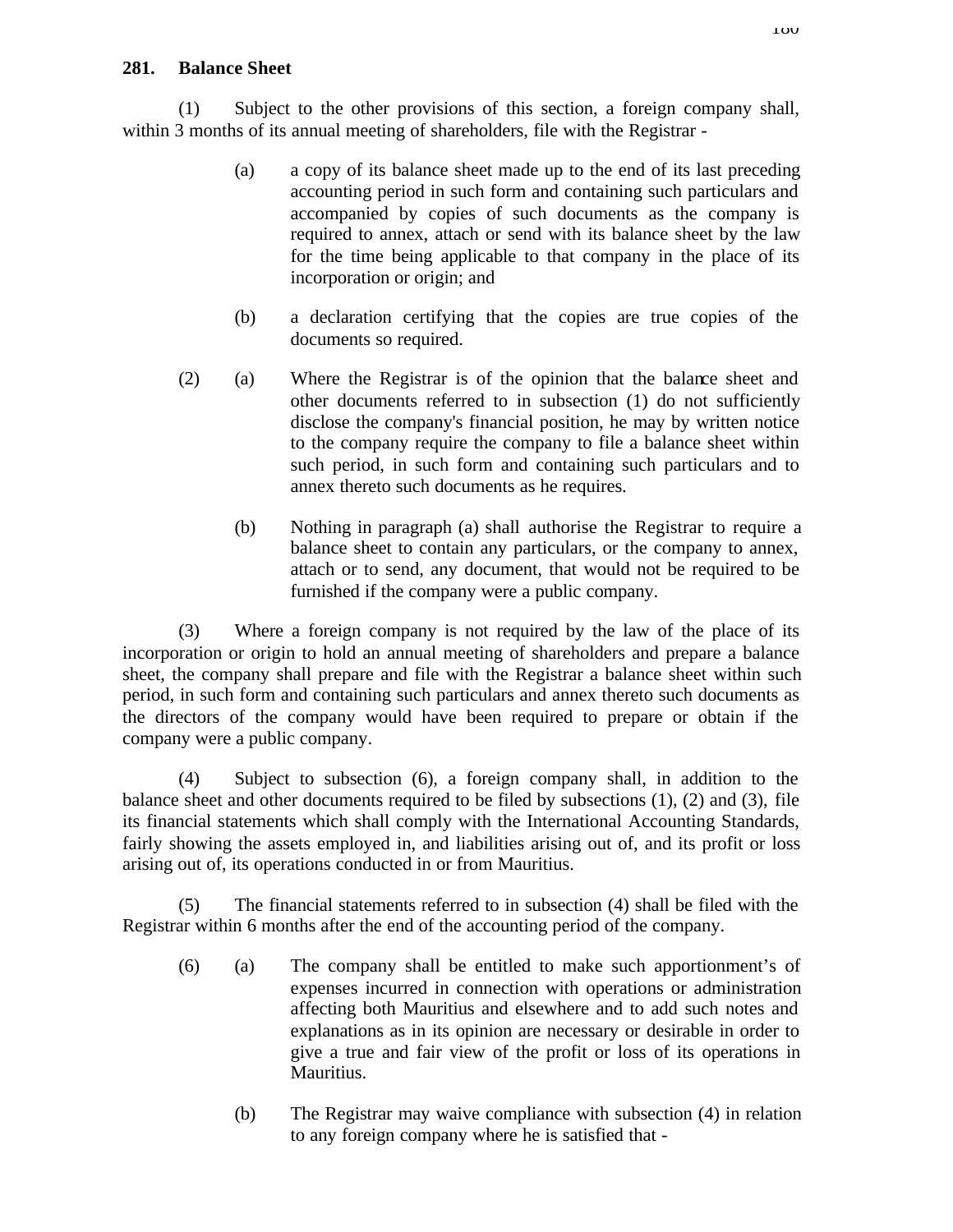## **281. Balance Sheet**

(1) Subject to the other provisions of this section, a foreign company shall, within 3 months of its annual meeting of shareholders, file with the Registrar -

- (a) a copy of its balance sheet made up to the end of its last preceding accounting period in such form and containing such particulars and accompanied by copies of such documents as the company is required to annex, attach or send with its balance sheet by the law for the time being applicable to that company in the place of its incorporation or origin; and
- (b) a declaration certifying that the copies are true copies of the documents so required.
- (2) (a) Where the Registrar is of the opinion that the balance sheet and other documents referred to in subsection (1) do not sufficiently disclose the company's financial position, he may by written notice to the company require the company to file a balance sheet within such period, in such form and containing such particulars and to annex thereto such documents as he requires.
	- (b) Nothing in paragraph (a) shall authorise the Registrar to require a balance sheet to contain any particulars, or the company to annex, attach or to send, any document, that would not be required to be furnished if the company were a public company.

(3) Where a foreign company is not required by the law of the place of its incorporation or origin to hold an annual meeting of shareholders and prepare a balance sheet, the company shall prepare and file with the Registrar a balance sheet within such period, in such form and containing such particulars and annex thereto such documents as the directors of the company would have been required to prepare or obtain if the company were a public company.

(4) Subject to subsection (6), a foreign company shall, in addition to the balance sheet and other documents required to be filed by subsections (1), (2) and (3), file its financial statements which shall comply with the International Accounting Standards, fairly showing the assets employed in, and liabilities arising out of, and its profit or loss arising out of, its operations conducted in or from Mauritius.

(5) The financial statements referred to in subsection (4) shall be filed with the Registrar within 6 months after the end of the accounting period of the company.

- (6) (a) The company shall be entitled to make such apportionment's of expenses incurred in connection with operations or administration affecting both Mauritius and elsewhere and to add such notes and explanations as in its opinion are necessary or desirable in order to give a true and fair view of the profit or loss of its operations in Mauritius.
	- (b) The Registrar may waive compliance with subsection (4) in relation to any foreign company where he is satisfied that -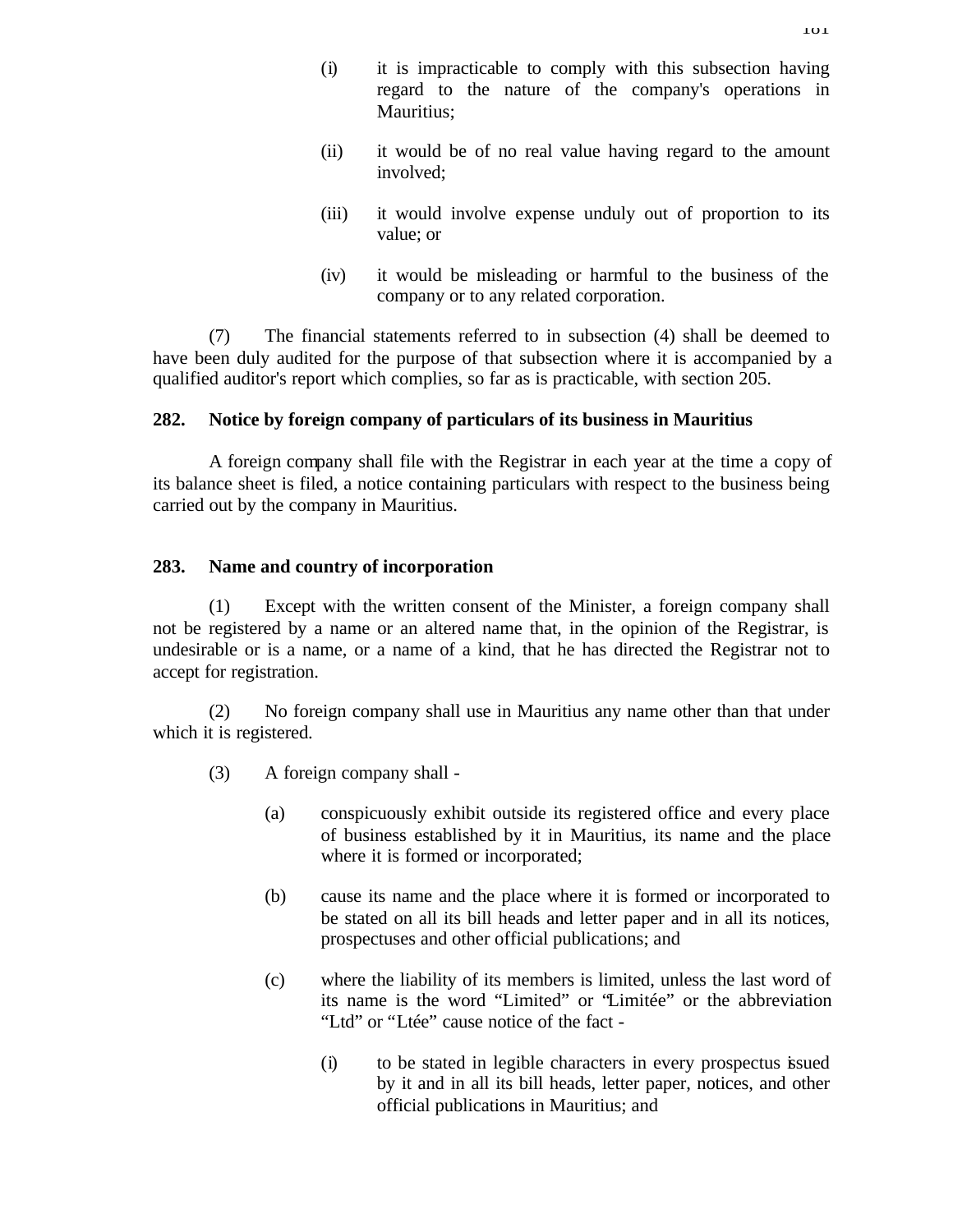- (ii) it would be of no real value having regard to the amount involved;
- (iii) it would involve expense unduly out of proportion to its value; or
- (iv) it would be misleading or harmful to the business of the company or to any related corporation.

(7) The financial statements referred to in subsection (4) shall be deemed to have been duly audited for the purpose of that subsection where it is accompanied by a qualified auditor's report which complies, so far as is practicable, with section 205.

## **282. Notice by foreign company of particulars of its business in Mauritius**

A foreign company shall file with the Registrar in each year at the time a copy of its balance sheet is filed, a notice containing particulars with respect to the business being carried out by the company in Mauritius.

## **283. Name and country of incorporation**

(1) Except with the written consent of the Minister, a foreign company shall not be registered by a name or an altered name that, in the opinion of the Registrar, is undesirable or is a name, or a name of a kind, that he has directed the Registrar not to accept for registration.

(2) No foreign company shall use in Mauritius any name other than that under which it is registered.

- (3) A foreign company shall
	- (a) conspicuously exhibit outside its registered office and every place of business established by it in Mauritius, its name and the place where it is formed or incorporated;
	- (b) cause its name and the place where it is formed or incorporated to be stated on all its bill heads and letter paper and in all its notices, prospectuses and other official publications; and
	- (c) where the liability of its members is limited, unless the last word of its name is the word "Limited" or "Limitée" or the abbreviation "Ltd" or "Ltée" cause notice of the fact -
		- (i) to be stated in legible characters in every prospectus issued by it and in all its bill heads, letter paper, notices, and other official publications in Mauritius; and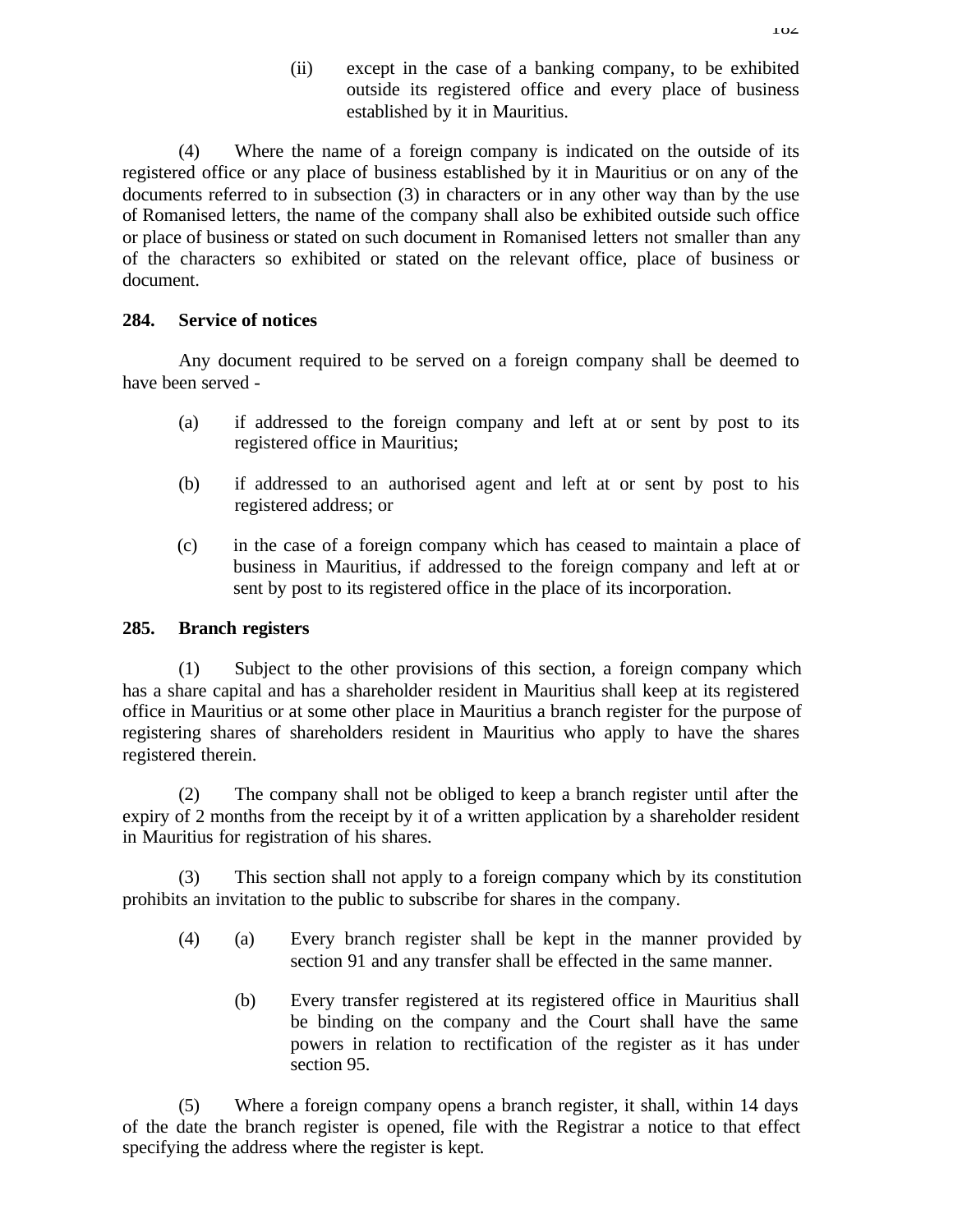(ii) except in the case of a banking company, to be exhibited outside its registered office and every place of business established by it in Mauritius.

(4) Where the name of a foreign company is indicated on the outside of its registered office or any place of business established by it in Mauritius or on any of the documents referred to in subsection (3) in characters or in any other way than by the use of Romanised letters, the name of the company shall also be exhibited outside such office or place of business or stated on such document in Romanised letters not smaller than any of the characters so exhibited or stated on the relevant office, place of business or document.

# **284. Service of notices**

Any document required to be served on a foreign company shall be deemed to have been served -

- (a) if addressed to the foreign company and left at or sent by post to its registered office in Mauritius;
- (b) if addressed to an authorised agent and left at or sent by post to his registered address; or
- (c) in the case of a foreign company which has ceased to maintain a place of business in Mauritius, if addressed to the foreign company and left at or sent by post to its registered office in the place of its incorporation.

## **285. Branch registers**

(1) Subject to the other provisions of this section, a foreign company which has a share capital and has a shareholder resident in Mauritius shall keep at its registered office in Mauritius or at some other place in Mauritius a branch register for the purpose of registering shares of shareholders resident in Mauritius who apply to have the shares registered therein.

(2) The company shall not be obliged to keep a branch register until after the expiry of 2 months from the receipt by it of a written application by a shareholder resident in Mauritius for registration of his shares.

(3) This section shall not apply to a foreign company which by its constitution prohibits an invitation to the public to subscribe for shares in the company.

- (4) (a) Every branch register shall be kept in the manner provided by section 91 and any transfer shall be effected in the same manner.
	- (b) Every transfer registered at its registered office in Mauritius shall be binding on the company and the Court shall have the same powers in relation to rectification of the register as it has under section 95.

(5) Where a foreign company opens a branch register, it shall, within 14 days of the date the branch register is opened, file with the Registrar a notice to that effect specifying the address where the register is kept.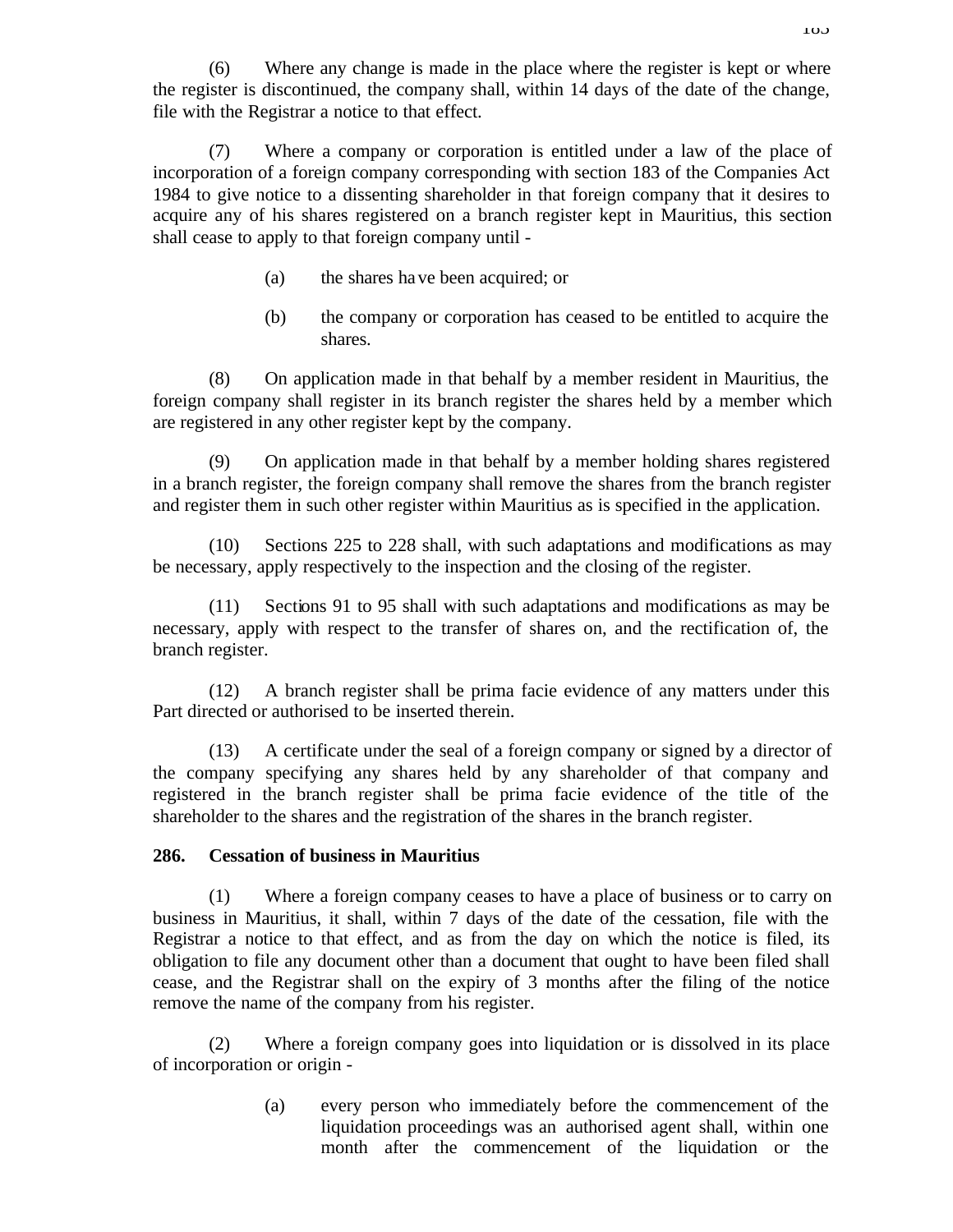(6) Where any change is made in the place where the register is kept or where the register is discontinued, the company shall, within 14 days of the date of the change, file with the Registrar a notice to that effect.

(7) Where a company or corporation is entitled under a law of the place of incorporation of a foreign company corresponding with section 183 of the Companies Act 1984 to give notice to a dissenting shareholder in that foreign company that it desires to acquire any of his shares registered on a branch register kept in Mauritius, this section shall cease to apply to that foreign company until -

- (a) the shares have been acquired; or
- (b) the company or corporation has ceased to be entitled to acquire the shares.

(8) On application made in that behalf by a member resident in Mauritius, the foreign company shall register in its branch register the shares held by a member which are registered in any other register kept by the company.

(9) On application made in that behalf by a member holding shares registered in a branch register, the foreign company shall remove the shares from the branch register and register them in such other register within Mauritius as is specified in the application.

(10) Sections 225 to 228 shall, with such adaptations and modifications as may be necessary, apply respectively to the inspection and the closing of the register.

(11) Sections 91 to 95 shall with such adaptations and modifications as may be necessary, apply with respect to the transfer of shares on, and the rectification of, the branch register.

(12) A branch register shall be prima facie evidence of any matters under this Part directed or authorised to be inserted therein.

(13) A certificate under the seal of a foreign company or signed by a director of the company specifying any shares held by any shareholder of that company and registered in the branch register shall be prima facie evidence of the title of the shareholder to the shares and the registration of the shares in the branch register.

## **286. Cessation of business in Mauritius**

(1) Where a foreign company ceases to have a place of business or to carry on business in Mauritius, it shall, within 7 days of the date of the cessation, file with the Registrar a notice to that effect, and as from the day on which the notice is filed, its obligation to file any document other than a document that ought to have been filed shall cease, and the Registrar shall on the expiry of 3 months after the filing of the notice remove the name of the company from his register.

(2) Where a foreign company goes into liquidation or is dissolved in its place of incorporation or origin -

> (a) every person who immediately before the commencement of the liquidation proceedings was an authorised agent shall, within one month after the commencement of the liquidation or the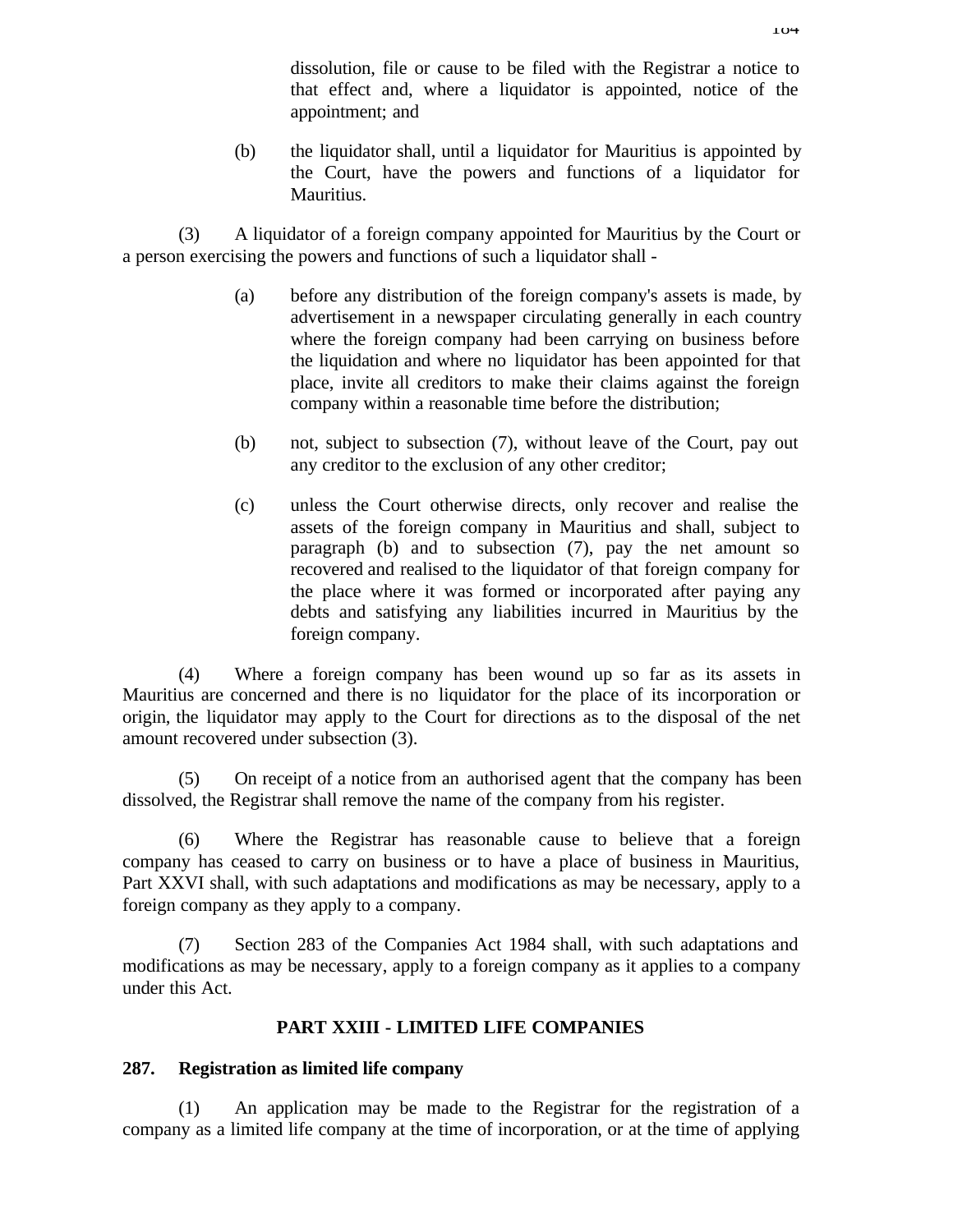dissolution, file or cause to be filed with the Registrar a notice to that effect and, where a liquidator is appointed, notice of the appointment; and

(b) the liquidator shall, until a liquidator for Mauritius is appointed by the Court, have the powers and functions of a liquidator for Mauritius.

(3) A liquidator of a foreign company appointed for Mauritius by the Court or a person exercising the powers and functions of such a liquidator shall -

- (a) before any distribution of the foreign company's assets is made, by advertisement in a newspaper circulating generally in each country where the foreign company had been carrying on business before the liquidation and where no liquidator has been appointed for that place, invite all creditors to make their claims against the foreign company within a reasonable time before the distribution;
- (b) not, subject to subsection (7), without leave of the Court, pay out any creditor to the exclusion of any other creditor;
- (c) unless the Court otherwise directs, only recover and realise the assets of the foreign company in Mauritius and shall, subject to paragraph (b) and to subsection (7), pay the net amount so recovered and realised to the liquidator of that foreign company for the place where it was formed or incorporated after paying any debts and satisfying any liabilities incurred in Mauritius by the foreign company.

(4) Where a foreign company has been wound up so far as its assets in Mauritius are concerned and there is no liquidator for the place of its incorporation or origin, the liquidator may apply to the Court for directions as to the disposal of the net amount recovered under subsection (3).

(5) On receipt of a notice from an authorised agent that the company has been dissolved, the Registrar shall remove the name of the company from his register.

(6) Where the Registrar has reasonable cause to believe that a foreign company has ceased to carry on business or to have a place of business in Mauritius, Part XXVI shall, with such adaptations and modifications as may be necessary, apply to a foreign company as they apply to a company.

(7) Section 283 of the Companies Act 1984 shall, with such adaptations and modifications as may be necessary, apply to a foreign company as it applies to a company under this Act.

## **PART XXIII - LIMITED LIFE COMPANIES**

### **287. Registration as limited life company**

(1) An application may be made to the Registrar for the registration of a company as a limited life company at the time of incorporation, or at the time of applying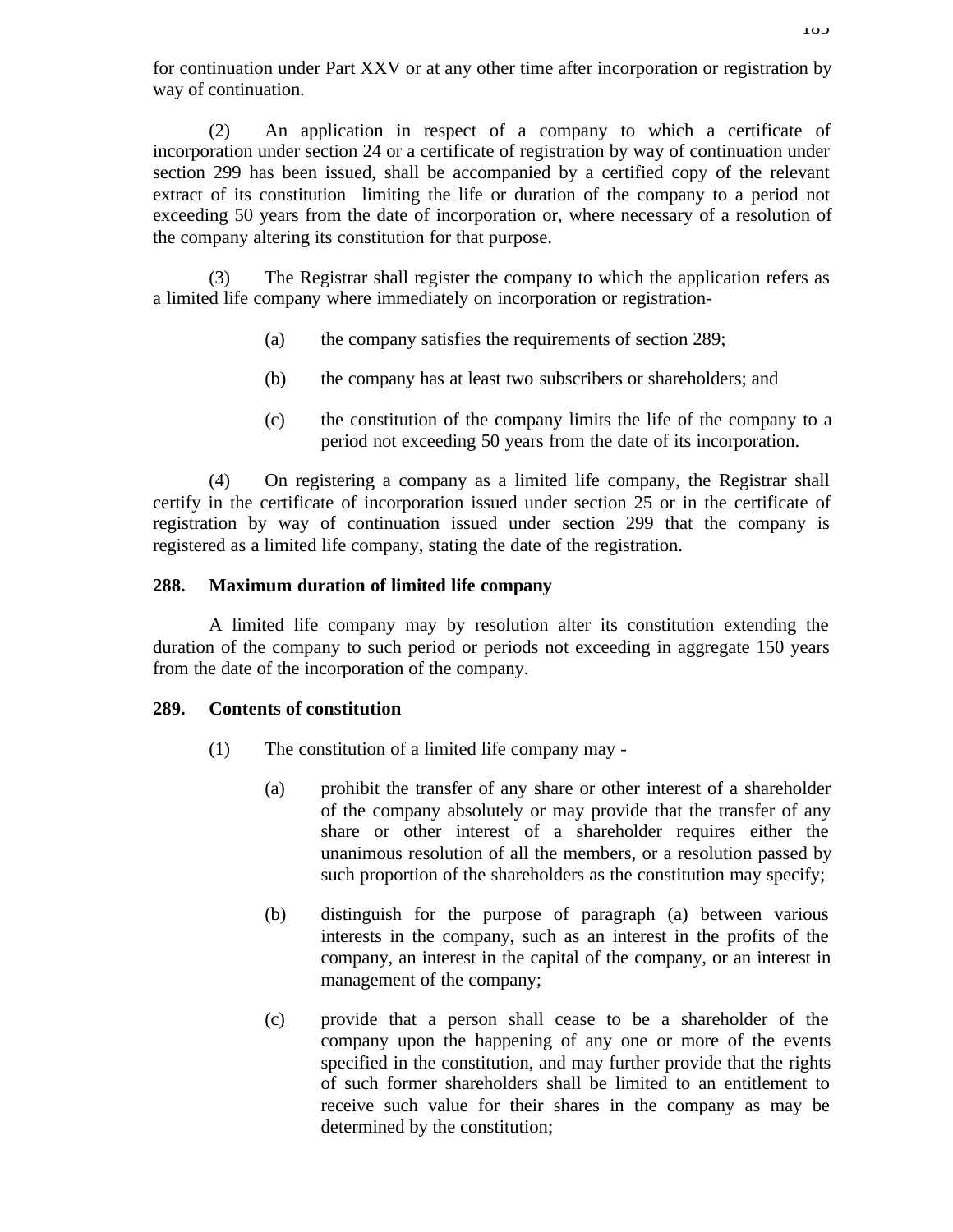(2) An application in respect of a company to which a certificate of incorporation under section 24 or a certificate of registration by way of continuation under section 299 has been issued, shall be accompanied by a certified copy of the relevant extract of its constitution limiting the life or duration of the company to a period not exceeding 50 years from the date of incorporation or, where necessary of a resolution of the company altering its constitution for that purpose.

(3) The Registrar shall register the company to which the application refers as a limited life company where immediately on incorporation or registration-

- (a) the company satisfies the requirements of section 289;
- (b) the company has at least two subscribers or shareholders; and
- (c) the constitution of the company limits the life of the company to a period not exceeding 50 years from the date of its incorporation.

(4) On registering a company as a limited life company, the Registrar shall certify in the certificate of incorporation issued under section 25 or in the certificate of registration by way of continuation issued under section 299 that the company is registered as a limited life company, stating the date of the registration.

# **288. Maximum duration of limited life company**

A limited life company may by resolution alter its constitution extending the duration of the company to such period or periods not exceeding in aggregate 150 years from the date of the incorporation of the company.

## **289. Contents of constitution**

- (1) The constitution of a limited life company may
	- (a) prohibit the transfer of any share or other interest of a shareholder of the company absolutely or may provide that the transfer of any share or other interest of a shareholder requires either the unanimous resolution of all the members, or a resolution passed by such proportion of the shareholders as the constitution may specify;
	- (b) distinguish for the purpose of paragraph (a) between various interests in the company, such as an interest in the profits of the company, an interest in the capital of the company, or an interest in management of the company;
	- (c) provide that a person shall cease to be a shareholder of the company upon the happening of any one or more of the events specified in the constitution, and may further provide that the rights of such former shareholders shall be limited to an entitlement to receive such value for their shares in the company as may be determined by the constitution;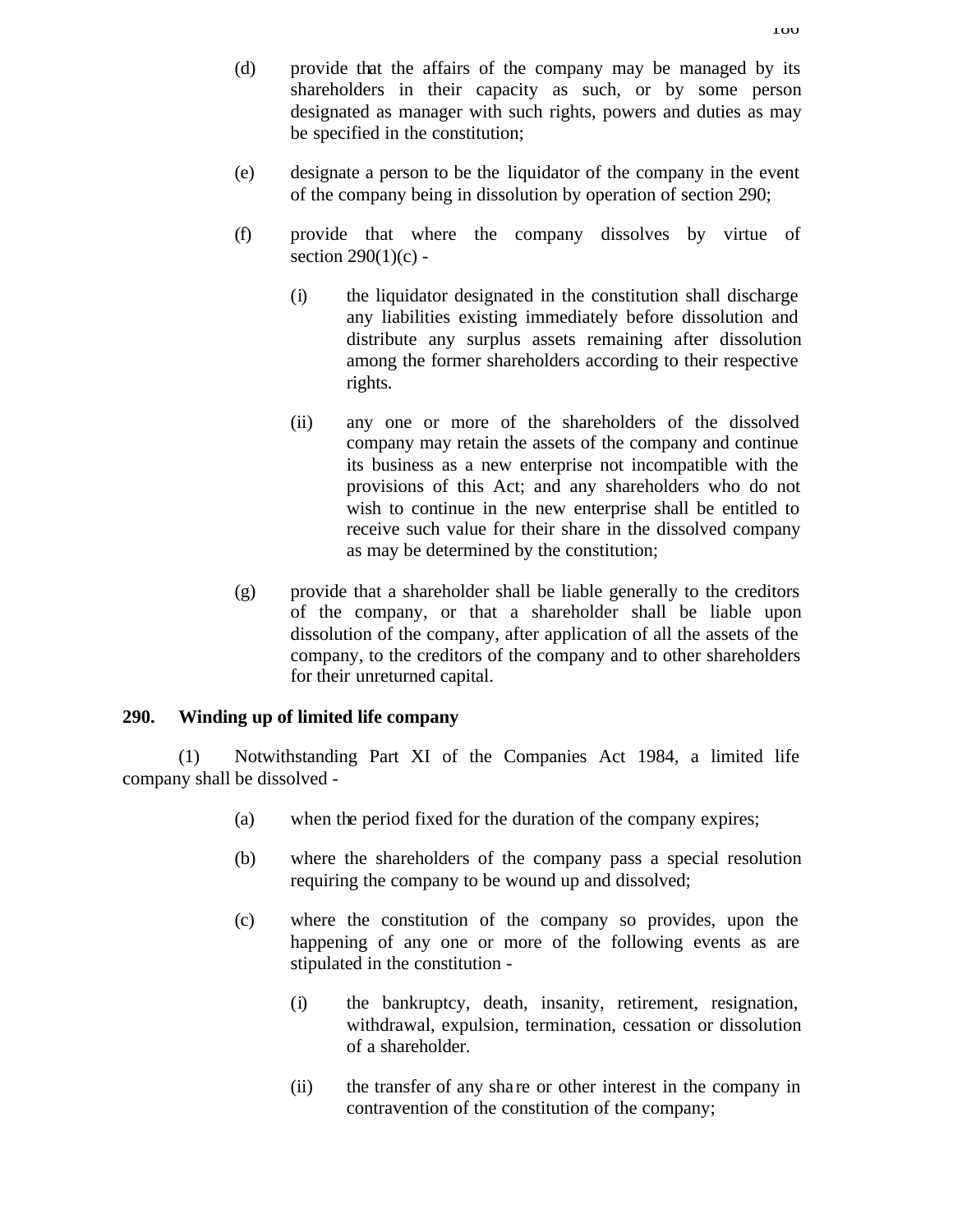- (d) provide that the affairs of the company may be managed by its shareholders in their capacity as such, or by some person designated as manager with such rights, powers and duties as may be specified in the constitution;
- (e) designate a person to be the liquidator of the company in the event of the company being in dissolution by operation of section 290;
- (f) provide that where the company dissolves by virtue of section  $290(1)(c)$  -
	- (i) the liquidator designated in the constitution shall discharge any liabilities existing immediately before dissolution and distribute any surplus assets remaining after dissolution among the former shareholders according to their respective rights.
	- (ii) any one or more of the shareholders of the dissolved company may retain the assets of the company and continue its business as a new enterprise not incompatible with the provisions of this Act; and any shareholders who do not wish to continue in the new enterprise shall be entitled to receive such value for their share in the dissolved company as may be determined by the constitution;
- (g) provide that a shareholder shall be liable generally to the creditors of the company, or that a shareholder shall be liable upon dissolution of the company, after application of all the assets of the company, to the creditors of the company and to other shareholders for their unreturned capital.

### **290. Winding up of limited life company**

(1) Notwithstanding Part XI of the Companies Act 1984, a limited life company shall be dissolved -

- (a) when the period fixed for the duration of the company expires;
- (b) where the shareholders of the company pass a special resolution requiring the company to be wound up and dissolved;
- (c) where the constitution of the company so provides, upon the happening of any one or more of the following events as are stipulated in the constitution -
	- (i) the bankruptcy, death, insanity, retirement, resignation, withdrawal, expulsion, termination, cessation or dissolution of a shareholder.
	- (ii) the transfer of any sha re or other interest in the company in contravention of the constitution of the company;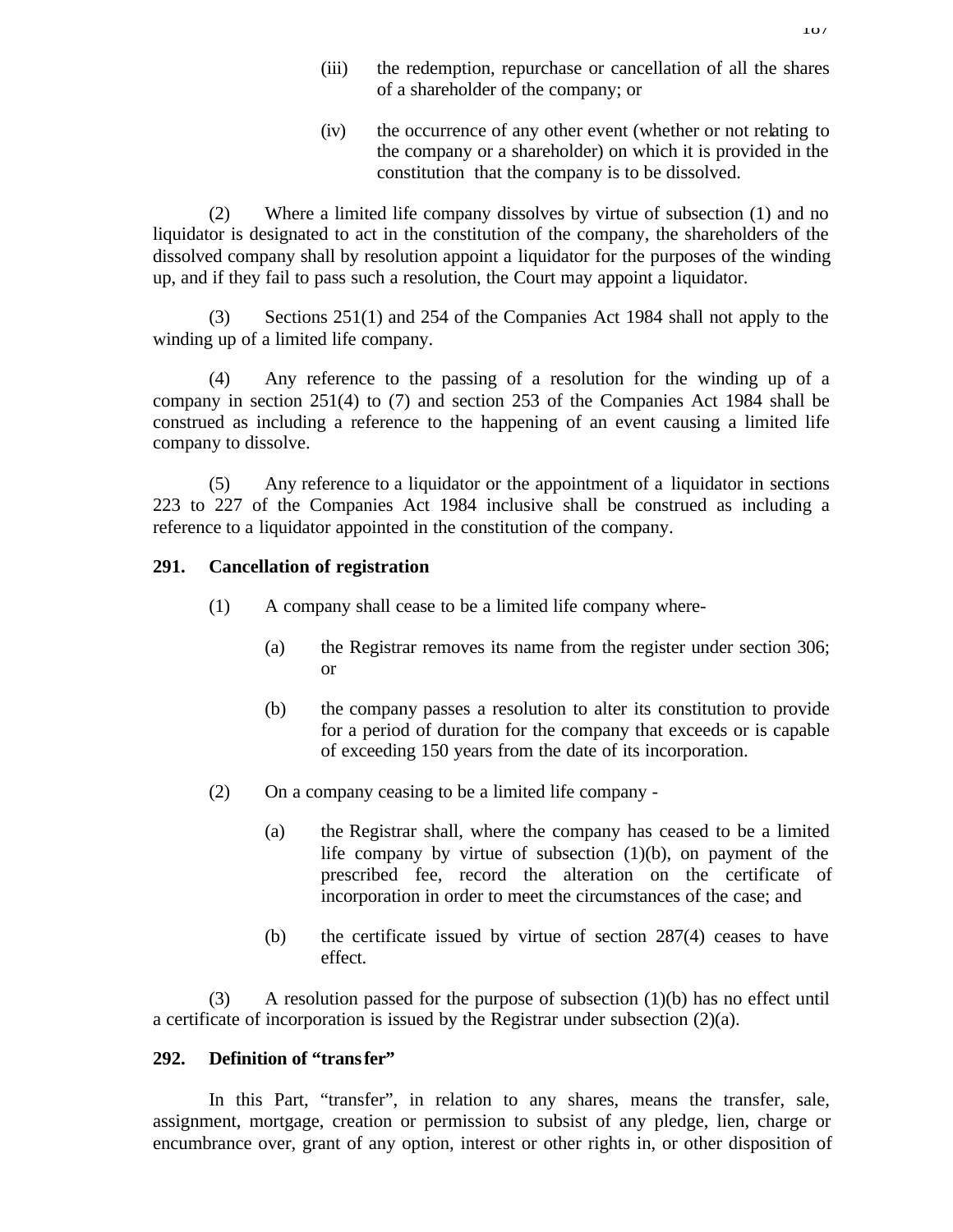- (iii) the redemption, repurchase or cancellation of all the shares of a shareholder of the company; or
- (iv) the occurrence of any other event (whether or not relating to the company or a shareholder) on which it is provided in the constitution that the company is to be dissolved.

(2) Where a limited life company dissolves by virtue of subsection (1) and no liquidator is designated to act in the constitution of the company, the shareholders of the dissolved company shall by resolution appoint a liquidator for the purposes of the winding up, and if they fail to pass such a resolution, the Court may appoint a liquidator.

(3) Sections 251(1) and 254 of the Companies Act 1984 shall not apply to the winding up of a limited life company.

(4) Any reference to the passing of a resolution for the winding up of a company in section 251(4) to (7) and section 253 of the Companies Act 1984 shall be construed as including a reference to the happening of an event causing a limited life company to dissolve.

(5) Any reference to a liquidator or the appointment of a liquidator in sections 223 to 227 of the Companies Act 1984 inclusive shall be construed as including a reference to a liquidator appointed in the constitution of the company.

#### **291. Cancellation of registration**

- (1) A company shall cease to be a limited life company where-
	- (a) the Registrar removes its name from the register under section 306; or
	- (b) the company passes a resolution to alter its constitution to provide for a period of duration for the company that exceeds or is capable of exceeding 150 years from the date of its incorporation.
- (2) On a company ceasing to be a limited life company
	- (a) the Registrar shall, where the company has ceased to be a limited life company by virtue of subsection (1)(b), on payment of the prescribed fee, record the alteration on the certificate of incorporation in order to meet the circumstances of the case; and
	- (b) the certificate issued by virtue of section 287(4) ceases to have effect.

(3) A resolution passed for the purpose of subsection (1)(b) has no effect until a certificate of incorporation is issued by the Registrar under subsection  $(2)(a)$ .

#### **292. Definition of "transfer"**

In this Part, "transfer", in relation to any shares, means the transfer, sale, assignment, mortgage, creation or permission to subsist of any pledge, lien, charge or encumbrance over, grant of any option, interest or other rights in, or other disposition of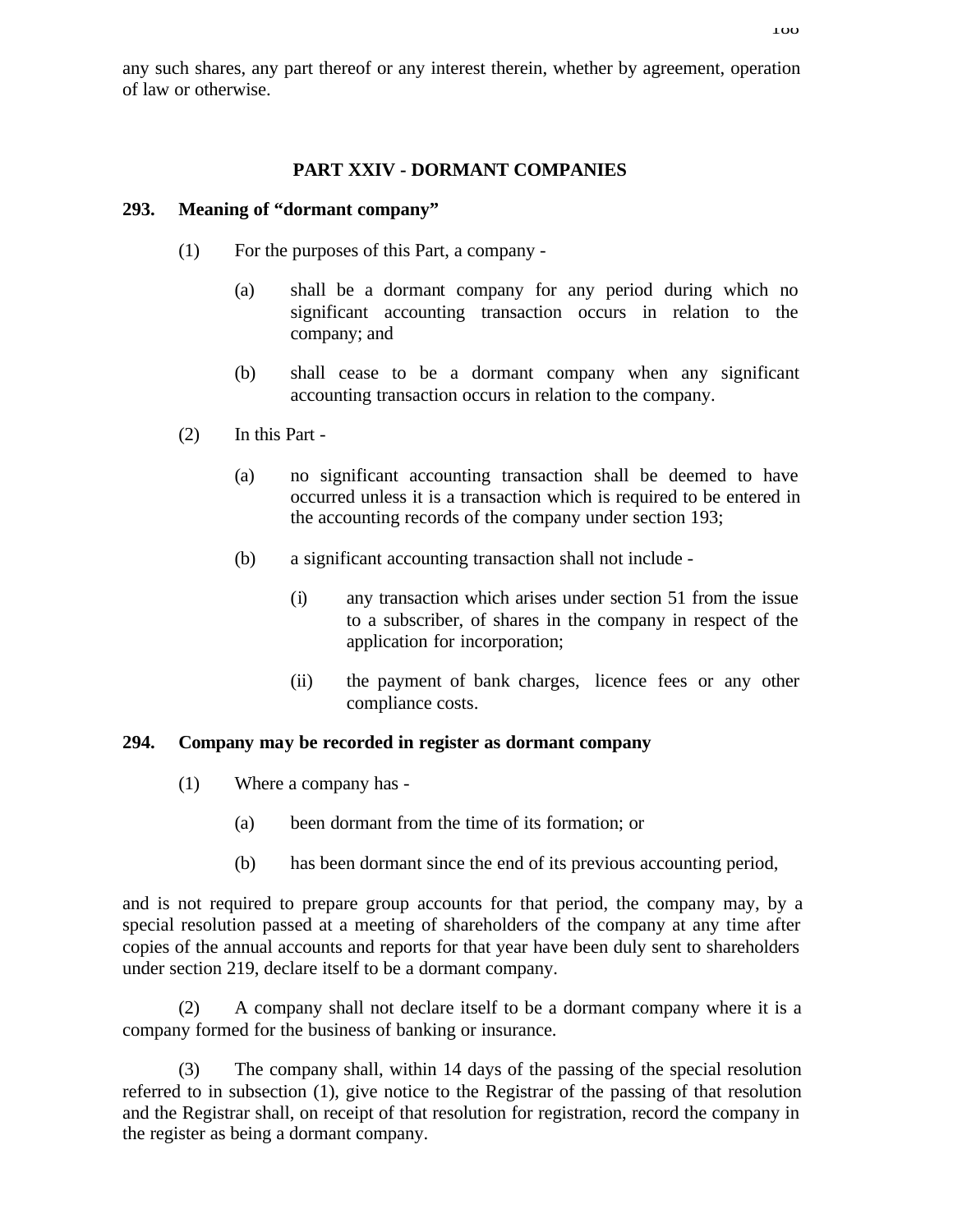any such shares, any part thereof or any interest therein, whether by agreement, operation of law or otherwise.

## **PART XXIV - DORMANT COMPANIES**

### **293. Meaning of "dormant company"**

- (1) For the purposes of this Part, a company
	- (a) shall be a dormant company for any period during which no significant accounting transaction occurs in relation to the company; and
	- (b) shall cease to be a dormant company when any significant accounting transaction occurs in relation to the company.
- (2) In this Part
	- (a) no significant accounting transaction shall be deemed to have occurred unless it is a transaction which is required to be entered in the accounting records of the company under section 193;
	- (b) a significant accounting transaction shall not include
		- (i) any transaction which arises under section 51 from the issue to a subscriber, of shares in the company in respect of the application for incorporation;
		- (ii) the payment of bank charges, licence fees or any other compliance costs.

### **294. Company may be recorded in register as dormant company**

- (1) Where a company has
	- (a) been dormant from the time of its formation; or
	- (b) has been dormant since the end of its previous accounting period,

and is not required to prepare group accounts for that period, the company may, by a special resolution passed at a meeting of shareholders of the company at any time after copies of the annual accounts and reports for that year have been duly sent to shareholders under section 219, declare itself to be a dormant company.

(2) A company shall not declare itself to be a dormant company where it is a company formed for the business of banking or insurance.

(3) The company shall, within 14 days of the passing of the special resolution referred to in subsection (1), give notice to the Registrar of the passing of that resolution and the Registrar shall, on receipt of that resolution for registration, record the company in the register as being a dormant company.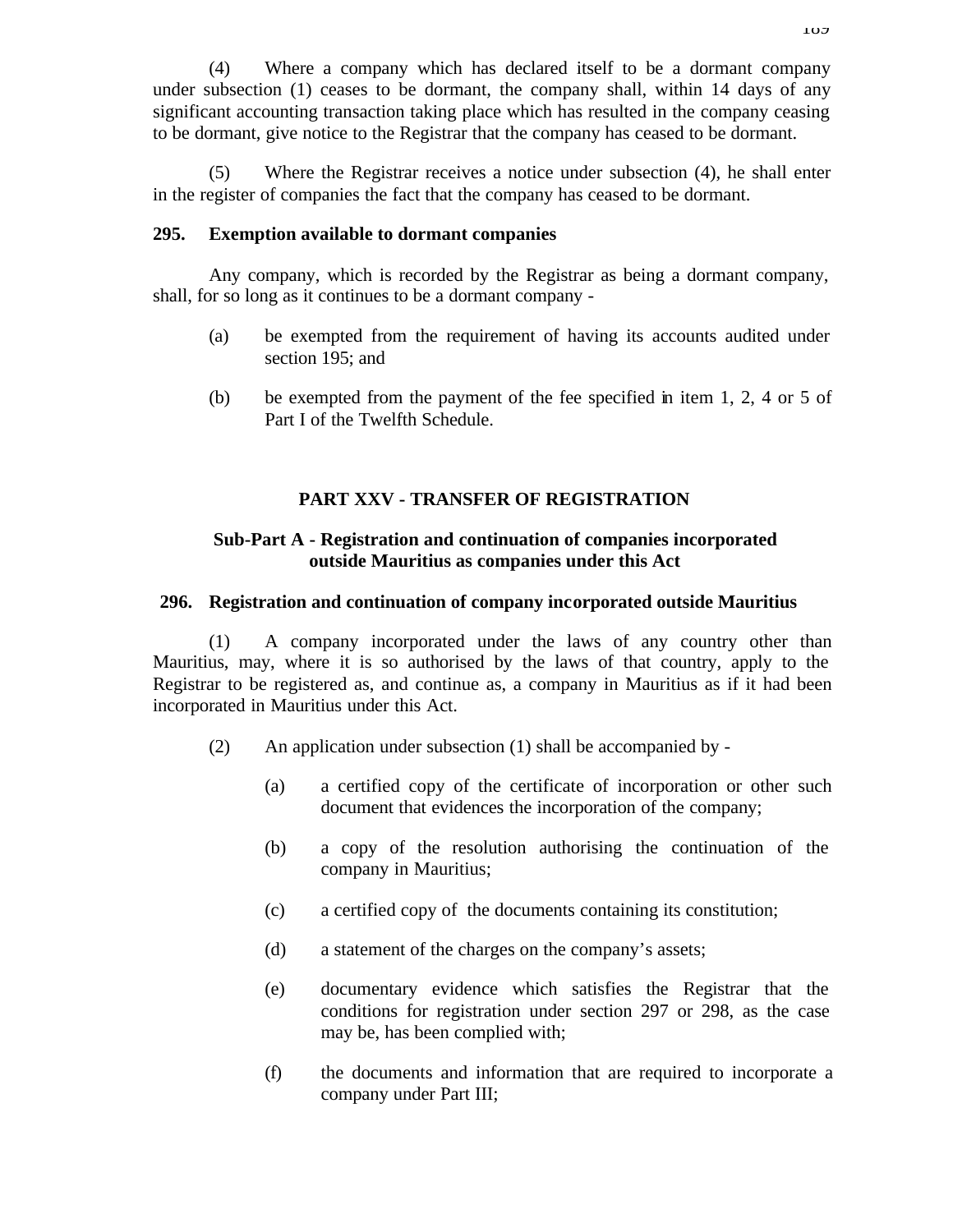(4) Where a company which has declared itself to be a dormant company under subsection (1) ceases to be dormant, the company shall, within 14 days of any significant accounting transaction taking place which has resulted in the company ceasing to be dormant, give notice to the Registrar that the company has ceased to be dormant.

(5) Where the Registrar receives a notice under subsection (4), he shall enter in the register of companies the fact that the company has ceased to be dormant.

### **295. Exemption available to dormant companies**

Any company, which is recorded by the Registrar as being a dormant company, shall, for so long as it continues to be a dormant company -

- (a) be exempted from the requirement of having its accounts audited under section 195; and
- (b) be exempted from the payment of the fee specified in item 1, 2, 4 or 5 of Part I of the Twelfth Schedule.

## **PART XXV - TRANSFER OF REGISTRATION**

### **Sub-Part A - Registration and continuation of companies incorporated outside Mauritius as companies under this Act**

#### **296. Registration and continuation of company incorporated outside Mauritius**

(1) A company incorporated under the laws of any country other than Mauritius, may, where it is so authorised by the laws of that country, apply to the Registrar to be registered as, and continue as, a company in Mauritius as if it had been incorporated in Mauritius under this Act.

- (2) An application under subsection (1) shall be accompanied by
	- (a) a certified copy of the certificate of incorporation or other such document that evidences the incorporation of the company;
	- (b) a copy of the resolution authorising the continuation of the company in Mauritius;
	- (c) a certified copy of the documents containing its constitution;
	- (d) a statement of the charges on the company's assets;
	- (e) documentary evidence which satisfies the Registrar that the conditions for registration under section 297 or 298, as the case may be, has been complied with;
	- (f) the documents and information that are required to incorporate a company under Part III;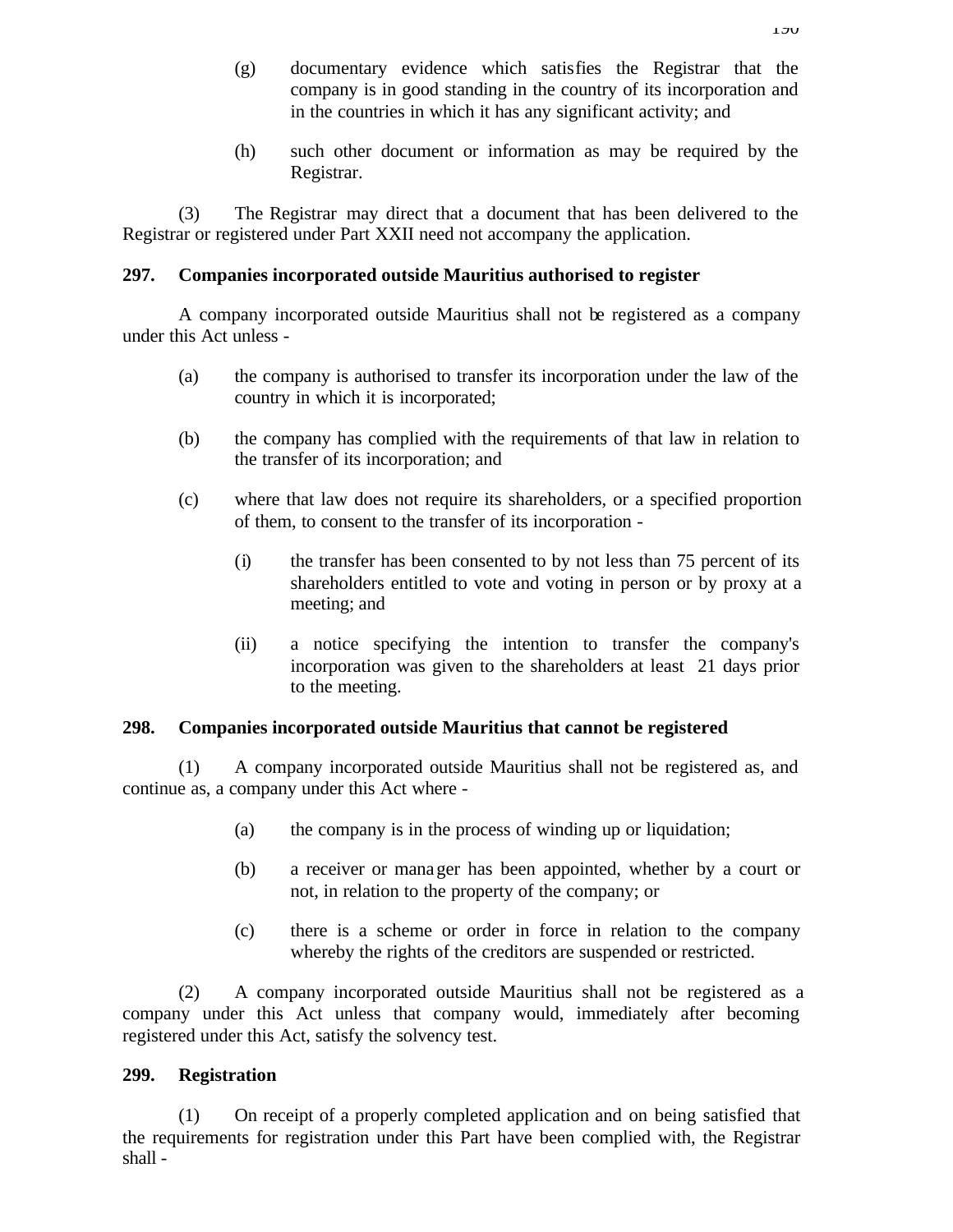- (g) documentary evidence which satisfies the Registrar that the company is in good standing in the country of its incorporation and in the countries in which it has any significant activity; and
- (h) such other document or information as may be required by the Registrar.

(3) The Registrar may direct that a document that has been delivered to the Registrar or registered under Part XXII need not accompany the application.

## **297. Companies incorporated outside Mauritius authorised to register**

A company incorporated outside Mauritius shall not be registered as a company under this Act unless -

- (a) the company is authorised to transfer its incorporation under the law of the country in which it is incorporated;
- (b) the company has complied with the requirements of that law in relation to the transfer of its incorporation; and
- (c) where that law does not require its shareholders, or a specified proportion of them, to consent to the transfer of its incorporation -
	- (i) the transfer has been consented to by not less than 75 percent of its shareholders entitled to vote and voting in person or by proxy at a meeting; and
	- (ii) a notice specifying the intention to transfer the company's incorporation was given to the shareholders at least 21 days prior to the meeting.

### **298. Companies incorporated outside Mauritius that cannot be registered**

(1) A company incorporated outside Mauritius shall not be registered as, and continue as, a company under this Act where -

- (a) the company is in the process of winding up or liquidation;
- (b) a receiver or manager has been appointed, whether by a court or not, in relation to the property of the company; or
- (c) there is a scheme or order in force in relation to the company whereby the rights of the creditors are suspended or restricted.

(2) A company incorporated outside Mauritius shall not be registered as a company under this Act unless that company would, immediately after becoming registered under this Act, satisfy the solvency test.

### **299. Registration**

(1) On receipt of a properly completed application and on being satisfied that the requirements for registration under this Part have been complied with, the Registrar shall -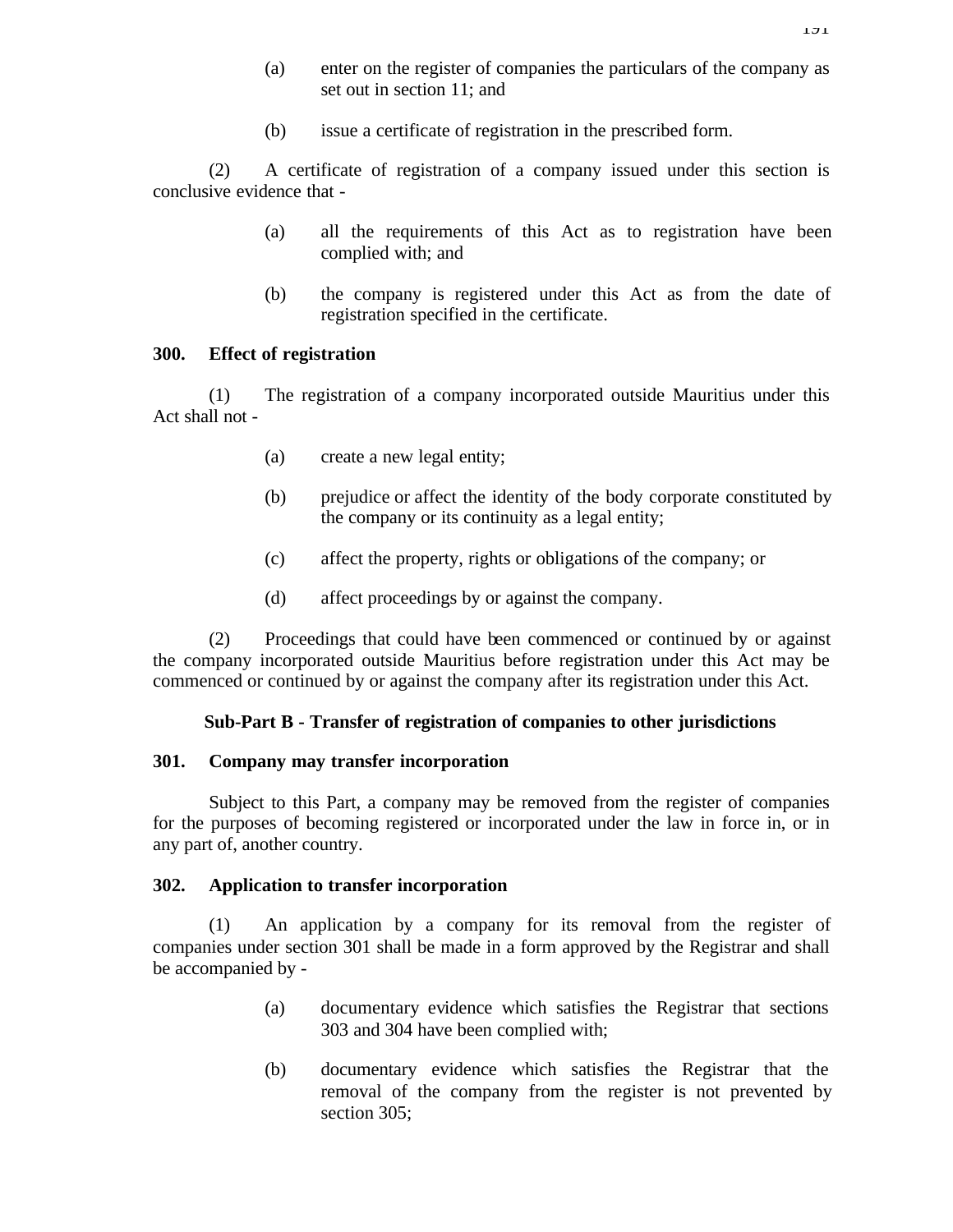- (a) enter on the register of companies the particulars of the company as set out in section 11; and
- (b) issue a certificate of registration in the prescribed form.

(2) A certificate of registration of a company issued under this section is conclusive evidence that -

- (a) all the requirements of this Act as to registration have been complied with; and
- (b) the company is registered under this Act as from the date of registration specified in the certificate.

#### **300. Effect of registration**

(1) The registration of a company incorporated outside Mauritius under this Act shall not -

- (a) create a new legal entity;
- (b) prejudice or affect the identity of the body corporate constituted by the company or its continuity as a legal entity;
- (c) affect the property, rights or obligations of the company; or
- (d) affect proceedings by or against the company.

(2) Proceedings that could have been commenced or continued by or against the company incorporated outside Mauritius before registration under this Act may be commenced or continued by or against the company after its registration under this Act.

#### **Sub-Part B - Transfer of registration of companies to other jurisdictions**

#### **301. Company may transfer incorporation**

Subject to this Part, a company may be removed from the register of companies for the purposes of becoming registered or incorporated under the law in force in, or in any part of, another country.

#### **302. Application to transfer incorporation**

(1) An application by a company for its removal from the register of companies under section 301 shall be made in a form approved by the Registrar and shall be accompanied by -

- (a) documentary evidence which satisfies the Registrar that sections 303 and 304 have been complied with;
- (b) documentary evidence which satisfies the Registrar that the removal of the company from the register is not prevented by section 305;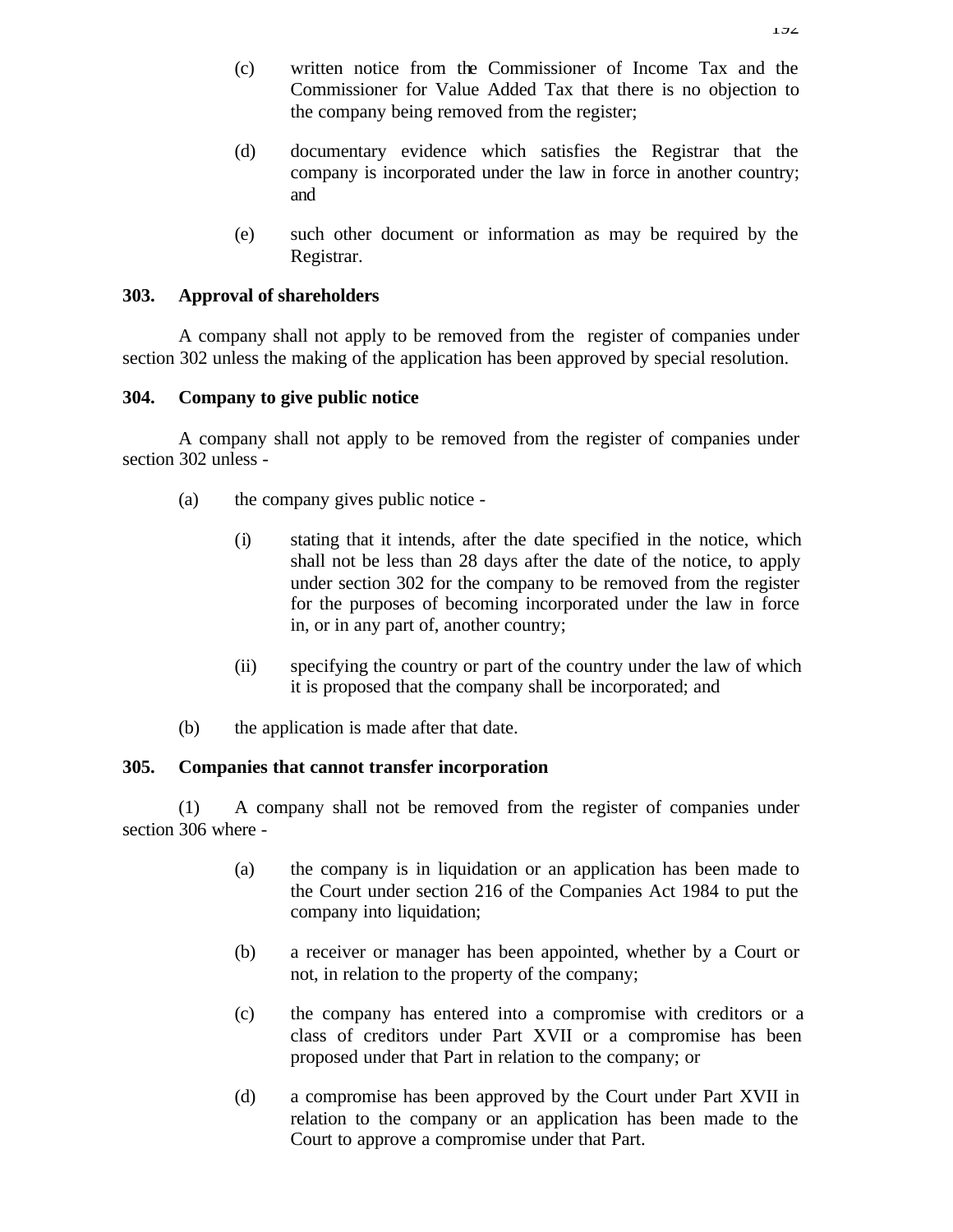- (c) written notice from the Commissioner of Income Tax and the Commissioner for Value Added Tax that there is no objection to the company being removed from the register;
- (d) documentary evidence which satisfies the Registrar that the company is incorporated under the law in force in another country; and
- (e) such other document or information as may be required by the Registrar.

## **303. Approval of shareholders**

A company shall not apply to be removed from the register of companies under section 302 unless the making of the application has been approved by special resolution.

### **304. Company to give public notice**

A company shall not apply to be removed from the register of companies under section 302 unless -

- (a) the company gives public notice
	- (i) stating that it intends, after the date specified in the notice, which shall not be less than 28 days after the date of the notice, to apply under section 302 for the company to be removed from the register for the purposes of becoming incorporated under the law in force in, or in any part of, another country;
	- (ii) specifying the country or part of the country under the law of which it is proposed that the company shall be incorporated; and
- (b) the application is made after that date.

## **305. Companies that cannot transfer incorporation**

(1) A company shall not be removed from the register of companies under section 306 where -

- (a) the company is in liquidation or an application has been made to the Court under section 216 of the Companies Act 1984 to put the company into liquidation;
- (b) a receiver or manager has been appointed, whether by a Court or not, in relation to the property of the company;
- (c) the company has entered into a compromise with creditors or a class of creditors under Part XVII or a compromise has been proposed under that Part in relation to the company; or
- (d) a compromise has been approved by the Court under Part XVII in relation to the company or an application has been made to the Court to approve a compromise under that Part.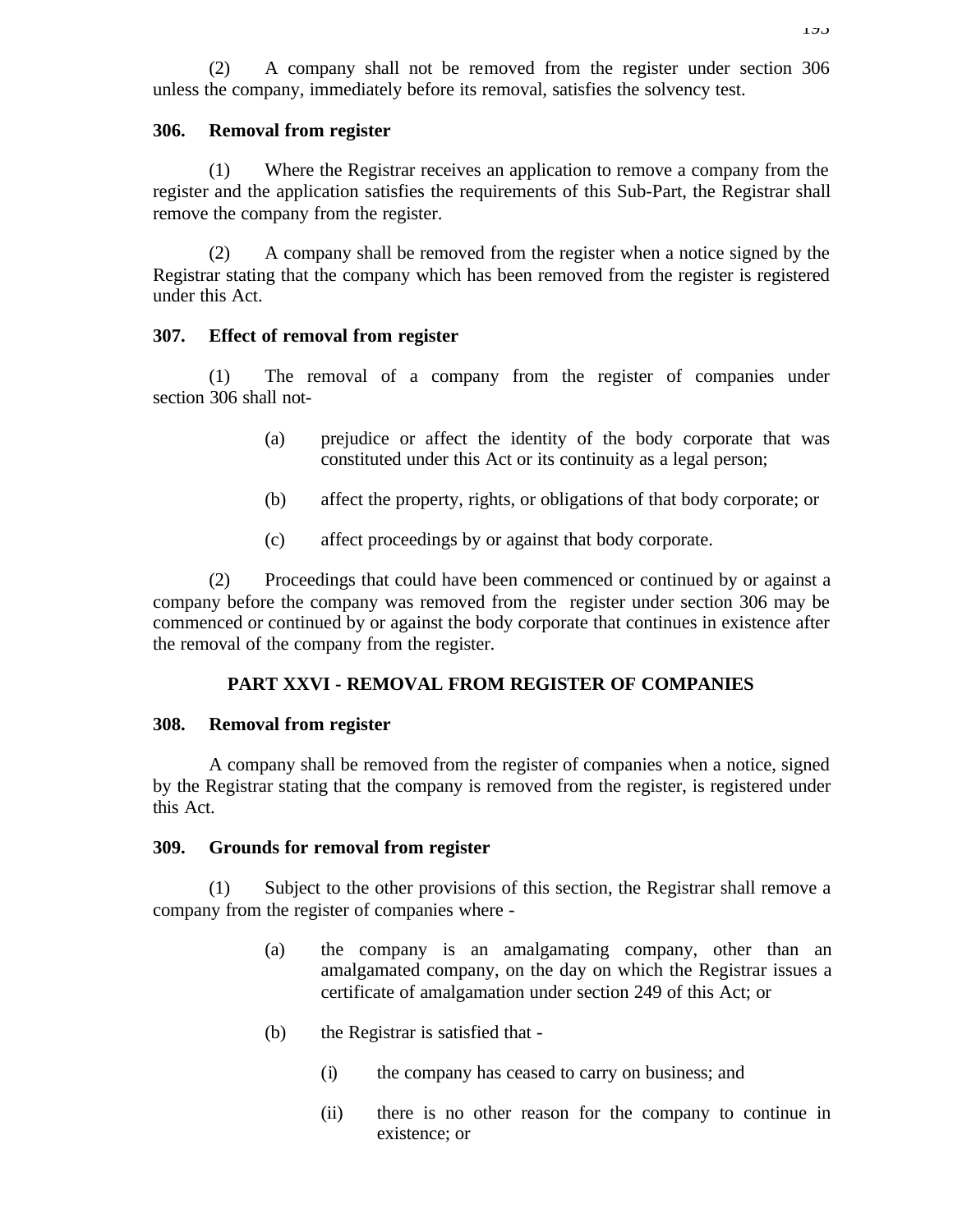(2) A company shall not be removed from the register under section 306 unless the company, immediately before its removal, satisfies the solvency test.

#### **306. Removal from register**

(1) Where the Registrar receives an application to remove a company from the register and the application satisfies the requirements of this Sub-Part, the Registrar shall remove the company from the register.

(2) A company shall be removed from the register when a notice signed by the Registrar stating that the company which has been removed from the register is registered under this Act.

#### **307. Effect of removal from register**

(1) The removal of a company from the register of companies under section 306 shall not-

- (a) prejudice or affect the identity of the body corporate that was constituted under this Act or its continuity as a legal person;
- (b) affect the property, rights, or obligations of that body corporate; or
- (c) affect proceedings by or against that body corporate.

(2) Proceedings that could have been commenced or continued by or against a company before the company was removed from the register under section 306 may be commenced or continued by or against the body corporate that continues in existence after the removal of the company from the register.

#### **PART XXVI - REMOVAL FROM REGISTER OF COMPANIES**

#### **308. Removal from register**

A company shall be removed from the register of companies when a notice, signed by the Registrar stating that the company is removed from the register, is registered under this Act.

#### **309. Grounds for removal from register**

(1) Subject to the other provisions of this section, the Registrar shall remove a company from the register of companies where -

- (a) the company is an amalgamating company, other than an amalgamated company, on the day on which the Registrar issues a certificate of amalgamation under section 249 of this Act; or
- (b) the Registrar is satisfied that
	- (i) the company has ceased to carry on business; and
	- (ii) there is no other reason for the company to continue in existence; or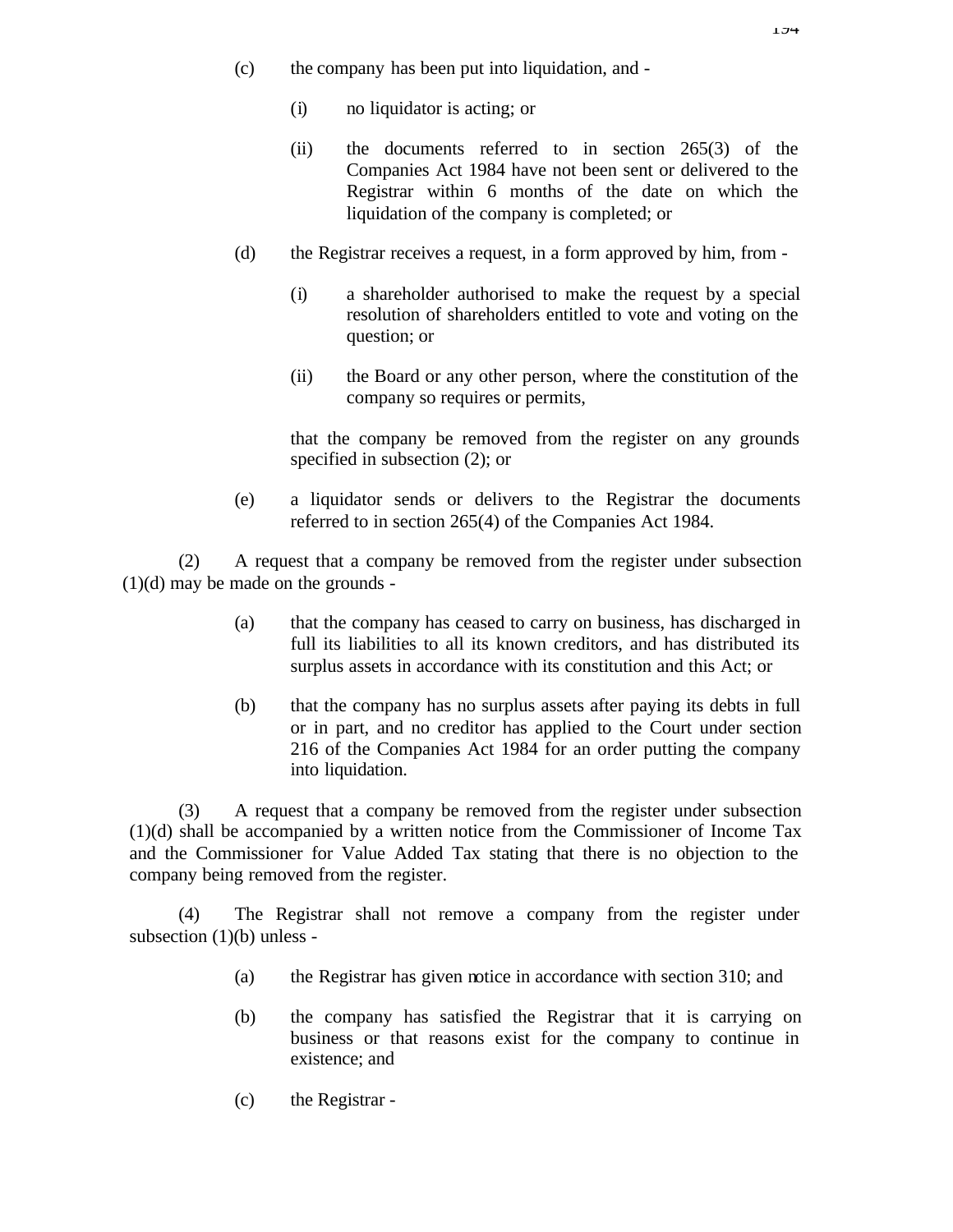- (c) the company has been put into liquidation, and
	- (i) no liquidator is acting; or
	- (ii) the documents referred to in section 265(3) of the Companies Act 1984 have not been sent or delivered to the Registrar within 6 months of the date on which the liquidation of the company is completed; or
- (d) the Registrar receives a request, in a form approved by him, from
	- (i) a shareholder authorised to make the request by a special resolution of shareholders entitled to vote and voting on the question; or
	- (ii) the Board or any other person, where the constitution of the company so requires or permits,

that the company be removed from the register on any grounds specified in subsection (2); or

(e) a liquidator sends or delivers to the Registrar the documents referred to in section 265(4) of the Companies Act 1984.

(2) A request that a company be removed from the register under subsection  $(1)(d)$  may be made on the grounds -

- (a) that the company has ceased to carry on business, has discharged in full its liabilities to all its known creditors, and has distributed its surplus assets in accordance with its constitution and this Act; or
- (b) that the company has no surplus assets after paying its debts in full or in part, and no creditor has applied to the Court under section 216 of the Companies Act 1984 for an order putting the company into liquidation.

(3) A request that a company be removed from the register under subsection (1)(d) shall be accompanied by a written notice from the Commissioner of Income Tax and the Commissioner for Value Added Tax stating that there is no objection to the company being removed from the register.

(4) The Registrar shall not remove a company from the register under subsection (1)(b) unless -

- (a) the Registrar has given notice in accordance with section 310; and
- (b) the company has satisfied the Registrar that it is carrying on business or that reasons exist for the company to continue in existence; and
- (c) the Registrar -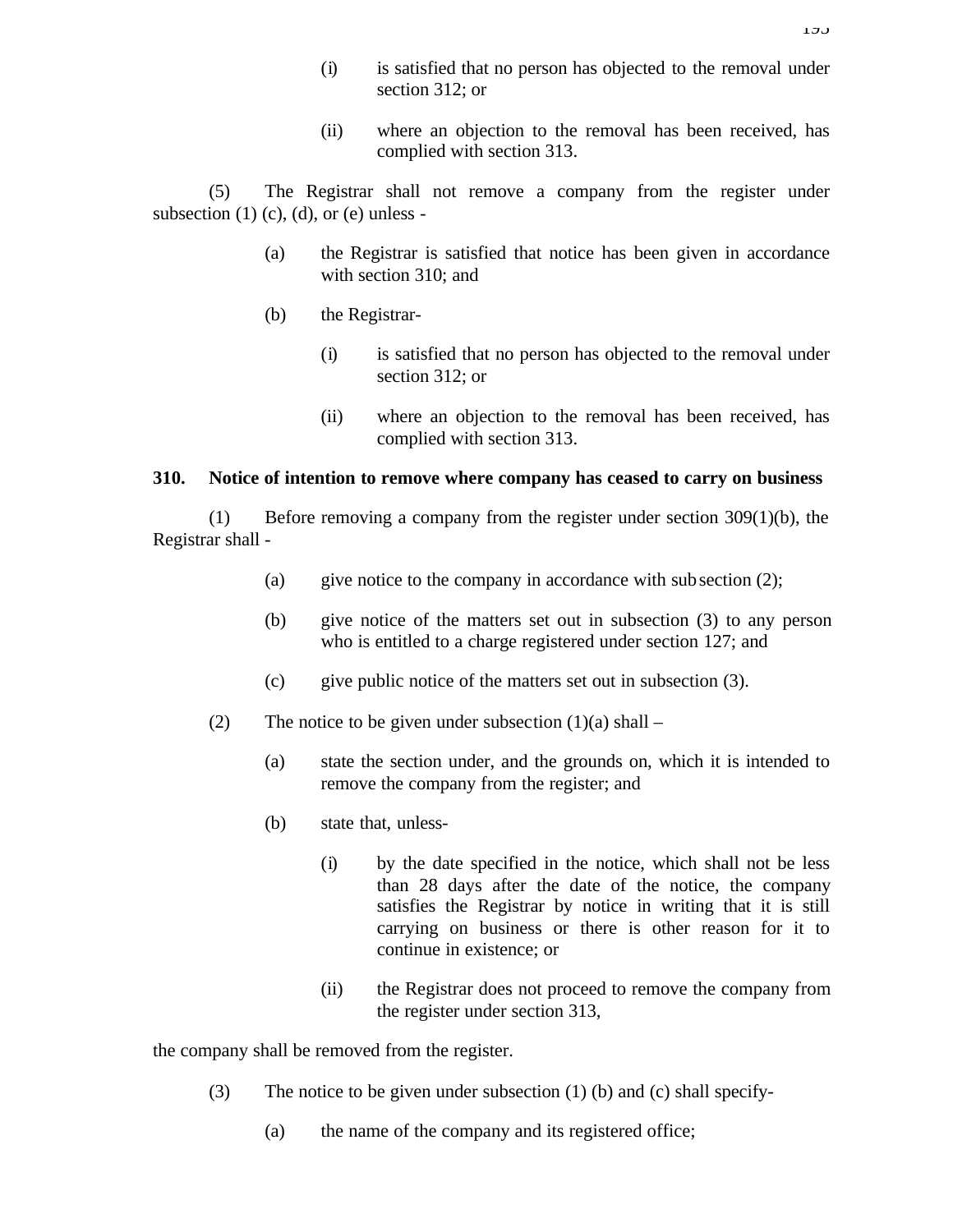- (i) is satisfied that no person has objected to the removal under section 312; or
- (ii) where an objection to the removal has been received, has complied with section 313.

(5) The Registrar shall not remove a company from the register under subsection  $(1)$   $(c)$ ,  $(d)$ , or  $(e)$  unless -

- (a) the Registrar is satisfied that notice has been given in accordance with section 310; and
- (b) the Registrar-
	- (i) is satisfied that no person has objected to the removal under section 312; or
	- (ii) where an objection to the removal has been received, has complied with section 313.

#### **310. Notice of intention to remove where company has ceased to carry on business**

(1) Before removing a company from the register under section 309(1)(b), the Registrar shall -

- (a) give notice to the company in accordance with subsection  $(2)$ ;
- (b) give notice of the matters set out in subsection (3) to any person who is entitled to a charge registered under section 127; and
- (c) give public notice of the matters set out in subsection  $(3)$ .
- (2) The notice to be given under subsection  $(1)(a)$  shall
	- (a) state the section under, and the grounds on, which it is intended to remove the company from the register; and
	- (b) state that, unless-
		- (i) by the date specified in the notice, which shall not be less than 28 days after the date of the notice, the company satisfies the Registrar by notice in writing that it is still carrying on business or there is other reason for it to continue in existence; or
		- (ii) the Registrar does not proceed to remove the company from the register under section 313,

the company shall be removed from the register.

- (3) The notice to be given under subsection (1) (b) and (c) shall specify-
	- (a) the name of the company and its registered office;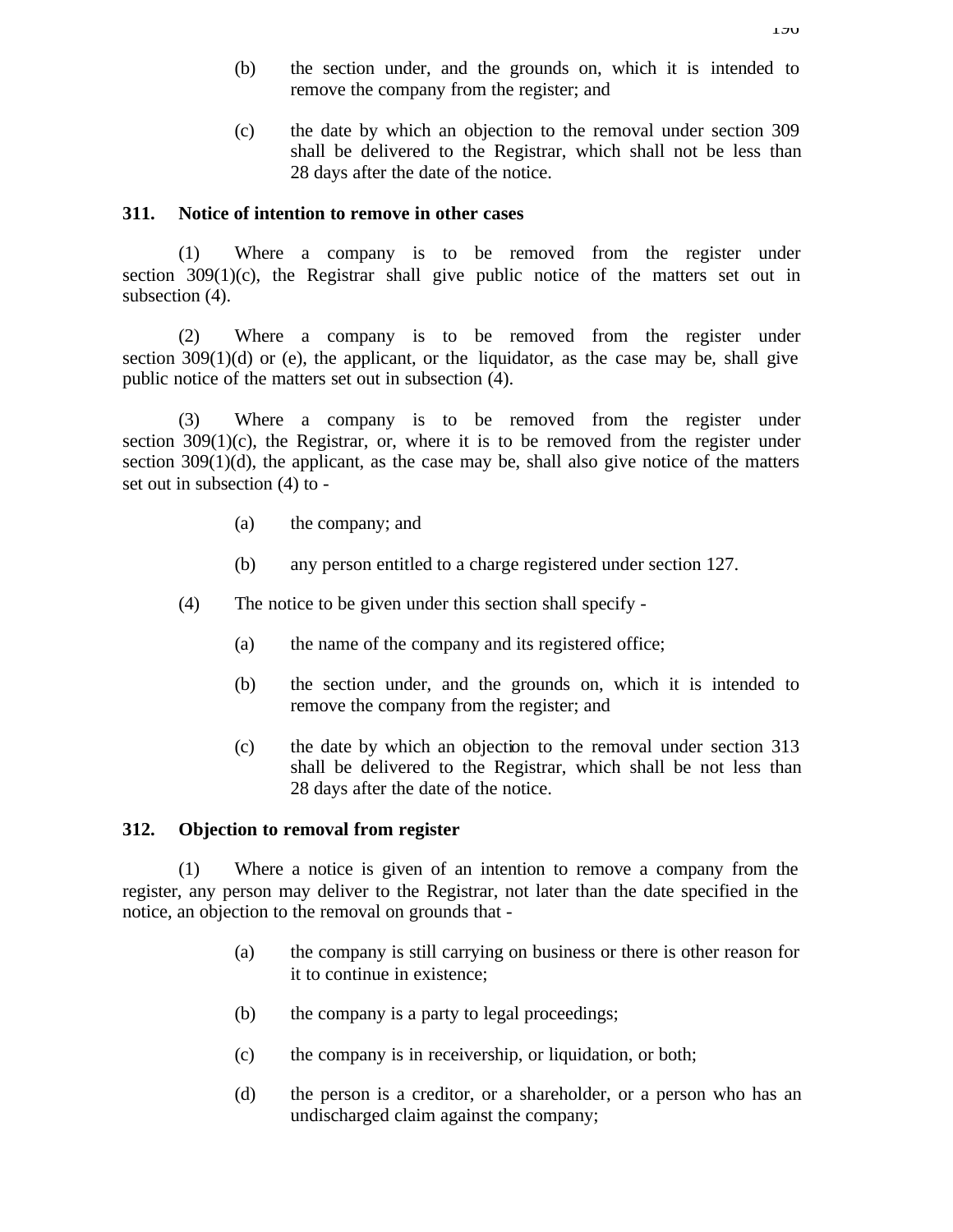- (b) the section under, and the grounds on, which it is intended to remove the company from the register; and
- (c) the date by which an objection to the removal under section 309 shall be delivered to the Registrar, which shall not be less than 28 days after the date of the notice.

#### **311. Notice of intention to remove in other cases**

(1) Where a company is to be removed from the register under section  $309(1)(c)$ , the Registrar shall give public notice of the matters set out in subsection (4).

(2) Where a company is to be removed from the register under section  $309(1)(d)$  or (e), the applicant, or the liquidator, as the case may be, shall give public notice of the matters set out in subsection (4).

(3) Where a company is to be removed from the register under section  $309(1)(c)$ , the Registrar, or, where it is to be removed from the register under section  $309(1)(d)$ , the applicant, as the case may be, shall also give notice of the matters set out in subsection (4) to -

- (a) the company; and
- (b) any person entitled to a charge registered under section 127.
- (4) The notice to be given under this section shall specify
	- (a) the name of the company and its registered office;
	- (b) the section under, and the grounds on, which it is intended to remove the company from the register; and
	- (c) the date by which an objection to the removal under section 313 shall be delivered to the Registrar, which shall be not less than 28 days after the date of the notice.

### **312. Objection to removal from register**

(1) Where a notice is given of an intention to remove a company from the register, any person may deliver to the Registrar, not later than the date specified in the notice, an objection to the removal on grounds that -

- (a) the company is still carrying on business or there is other reason for it to continue in existence;
- (b) the company is a party to legal proceedings;
- (c) the company is in receivership, or liquidation, or both;
- (d) the person is a creditor, or a shareholder, or a person who has an undischarged claim against the company;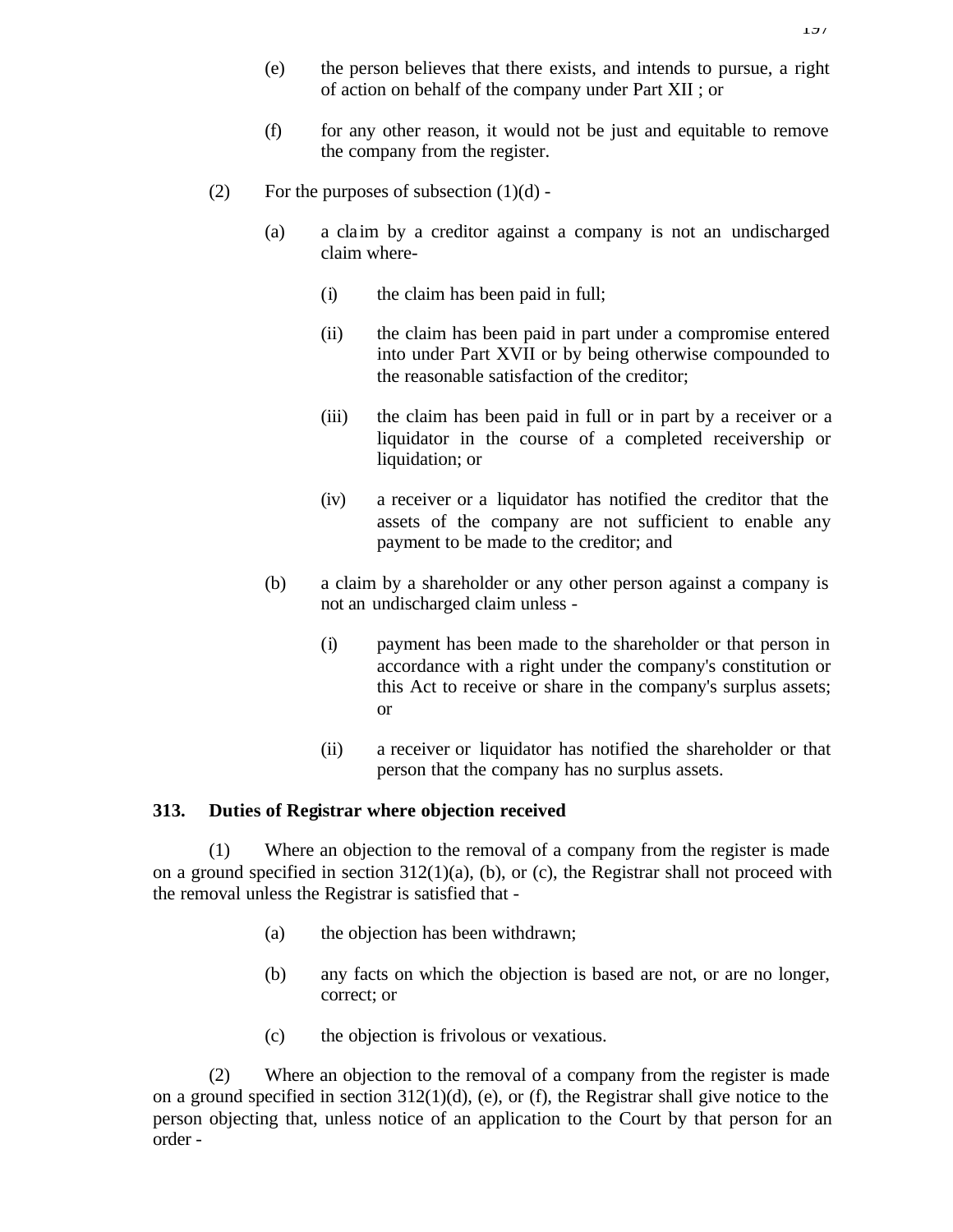- (f) for any other reason, it would not be just and equitable to remove the company from the register.
- (2) For the purposes of subsection  $(1)(d)$  -
	- (a) a claim by a creditor against a company is not an undischarged claim where-
		- (i) the claim has been paid in full;
		- (ii) the claim has been paid in part under a compromise entered into under Part XVII or by being otherwise compounded to the reasonable satisfaction of the creditor;
		- (iii) the claim has been paid in full or in part by a receiver or a liquidator in the course of a completed receivership or liquidation; or
		- (iv) a receiver or a liquidator has notified the creditor that the assets of the company are not sufficient to enable any payment to be made to the creditor; and
	- (b) a claim by a shareholder or any other person against a company is not an undischarged claim unless -
		- (i) payment has been made to the shareholder or that person in accordance with a right under the company's constitution or this Act to receive or share in the company's surplus assets; or
		- (ii) a receiver or liquidator has notified the shareholder or that person that the company has no surplus assets.

# **313. Duties of Registrar where objection received**

(1) Where an objection to the removal of a company from the register is made on a ground specified in section  $312(1)(a)$ , (b), or (c), the Registrar shall not proceed with the removal unless the Registrar is satisfied that -

- (a) the objection has been withdrawn;
- (b) any facts on which the objection is based are not, or are no longer, correct; or
- (c) the objection is frivolous or vexatious.

(2) Where an objection to the removal of a company from the register is made on a ground specified in section 312(1)(d), (e), or (f), the Registrar shall give notice to the person objecting that, unless notice of an application to the Court by that person for an order -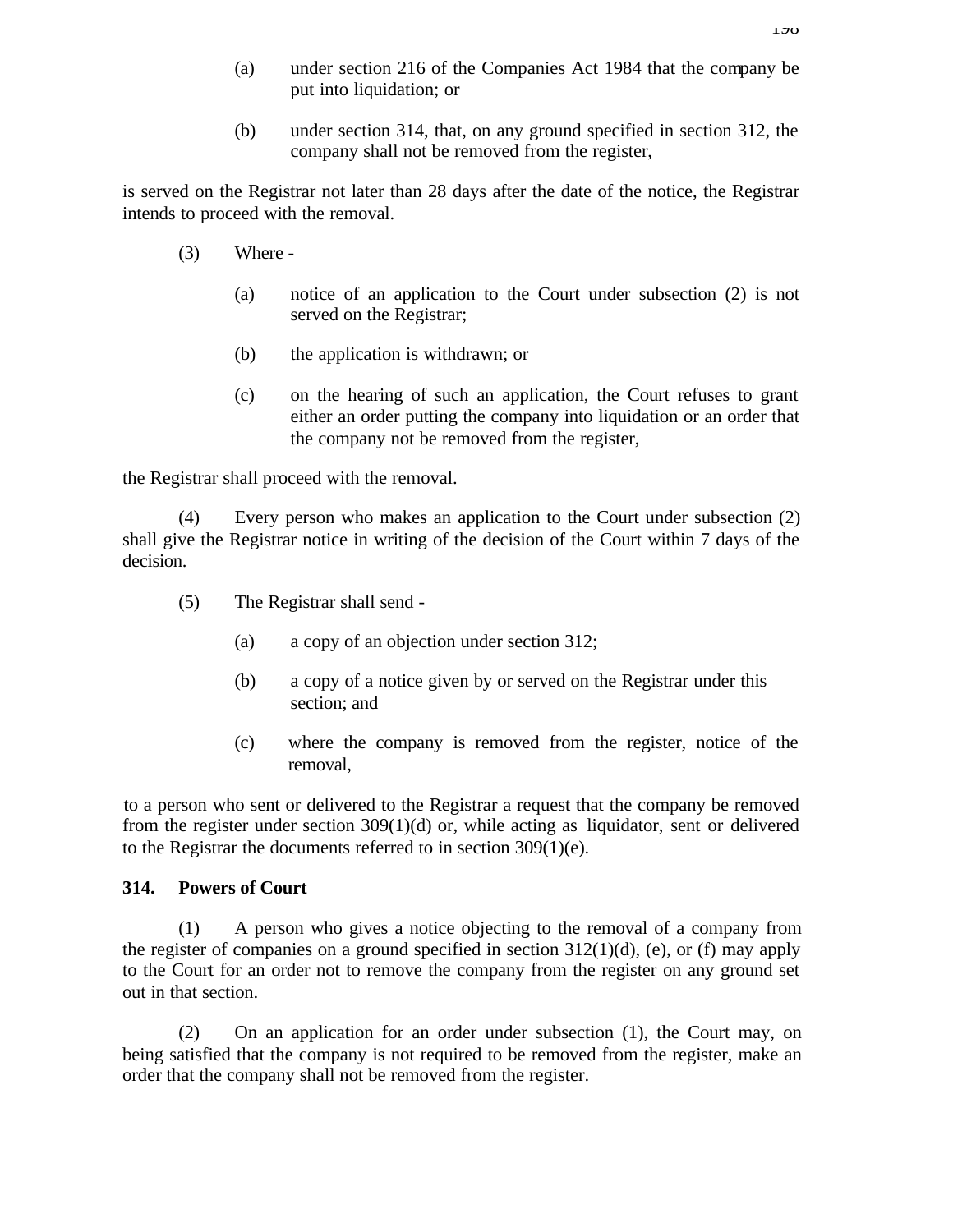- (a) under section 216 of the Companies Act 1984 that the company be put into liquidation; or
- (b) under section 314, that, on any ground specified in section 312, the company shall not be removed from the register,

is served on the Registrar not later than 28 days after the date of the notice, the Registrar intends to proceed with the removal.

- (3) Where
	- (a) notice of an application to the Court under subsection (2) is not served on the Registrar;
	- (b) the application is withdrawn; or
	- (c) on the hearing of such an application, the Court refuses to grant either an order putting the company into liquidation or an order that the company not be removed from the register,

the Registrar shall proceed with the removal.

(4) Every person who makes an application to the Court under subsection (2) shall give the Registrar notice in writing of the decision of the Court within 7 days of the decision.

- (5) The Registrar shall send
	- (a) a copy of an objection under section 312;
	- (b) a copy of a notice given by or served on the Registrar under this section; and
	- (c) where the company is removed from the register, notice of the removal,

to a person who sent or delivered to the Registrar a request that the company be removed from the register under section 309(1)(d) or, while acting as liquidator, sent or delivered to the Registrar the documents referred to in section 309(1)(e).

#### **314. Powers of Court**

(1) A person who gives a notice objecting to the removal of a company from the register of companies on a ground specified in section  $312(1)(d)$ , (e), or (f) may apply to the Court for an order not to remove the company from the register on any ground set out in that section.

(2) On an application for an order under subsection (1), the Court may, on being satisfied that the company is not required to be removed from the register, make an order that the company shall not be removed from the register.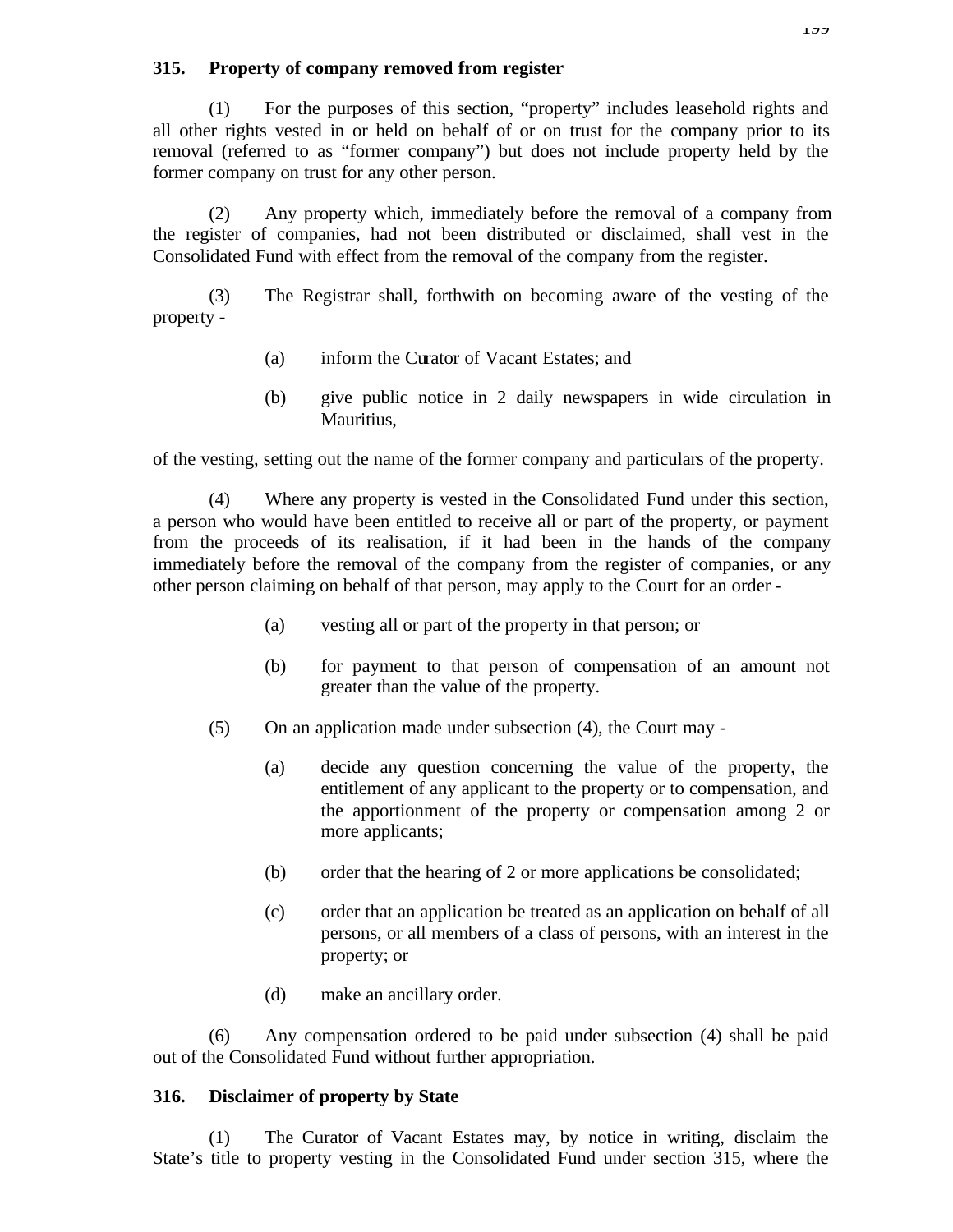### **315. Property of company removed from register**

(1) For the purposes of this section, "property" includes leasehold rights and all other rights vested in or held on behalf of or on trust for the company prior to its removal (referred to as "former company") but does not include property held by the former company on trust for any other person.

(2) Any property which, immediately before the removal of a company from the register of companies, had not been distributed or disclaimed, shall vest in the Consolidated Fund with effect from the removal of the company from the register.

(3) The Registrar shall, forthwith on becoming aware of the vesting of the property -

- (a) inform the Curator of Vacant Estates; and
- (b) give public notice in 2 daily newspapers in wide circulation in Mauritius,

of the vesting, setting out the name of the former company and particulars of the property.

(4) Where any property is vested in the Consolidated Fund under this section, a person who would have been entitled to receive all or part of the property, or payment from the proceeds of its realisation, if it had been in the hands of the company immediately before the removal of the company from the register of companies, or any other person claiming on behalf of that person, may apply to the Court for an order -

- (a) vesting all or part of the property in that person; or
- (b) for payment to that person of compensation of an amount not greater than the value of the property.
- (5) On an application made under subsection (4), the Court may
	- (a) decide any question concerning the value of the property, the entitlement of any applicant to the property or to compensation, and the apportionment of the property or compensation among 2 or more applicants;
	- (b) order that the hearing of 2 or more applications be consolidated;
	- (c) order that an application be treated as an application on behalf of all persons, or all members of a class of persons, with an interest in the property; or
	- (d) make an ancillary order.

(6) Any compensation ordered to be paid under subsection (4) shall be paid out of the Consolidated Fund without further appropriation.

### **316. Disclaimer of property by State**

(1) The Curator of Vacant Estates may, by notice in writing, disclaim the State's title to property vesting in the Consolidated Fund under section 315, where the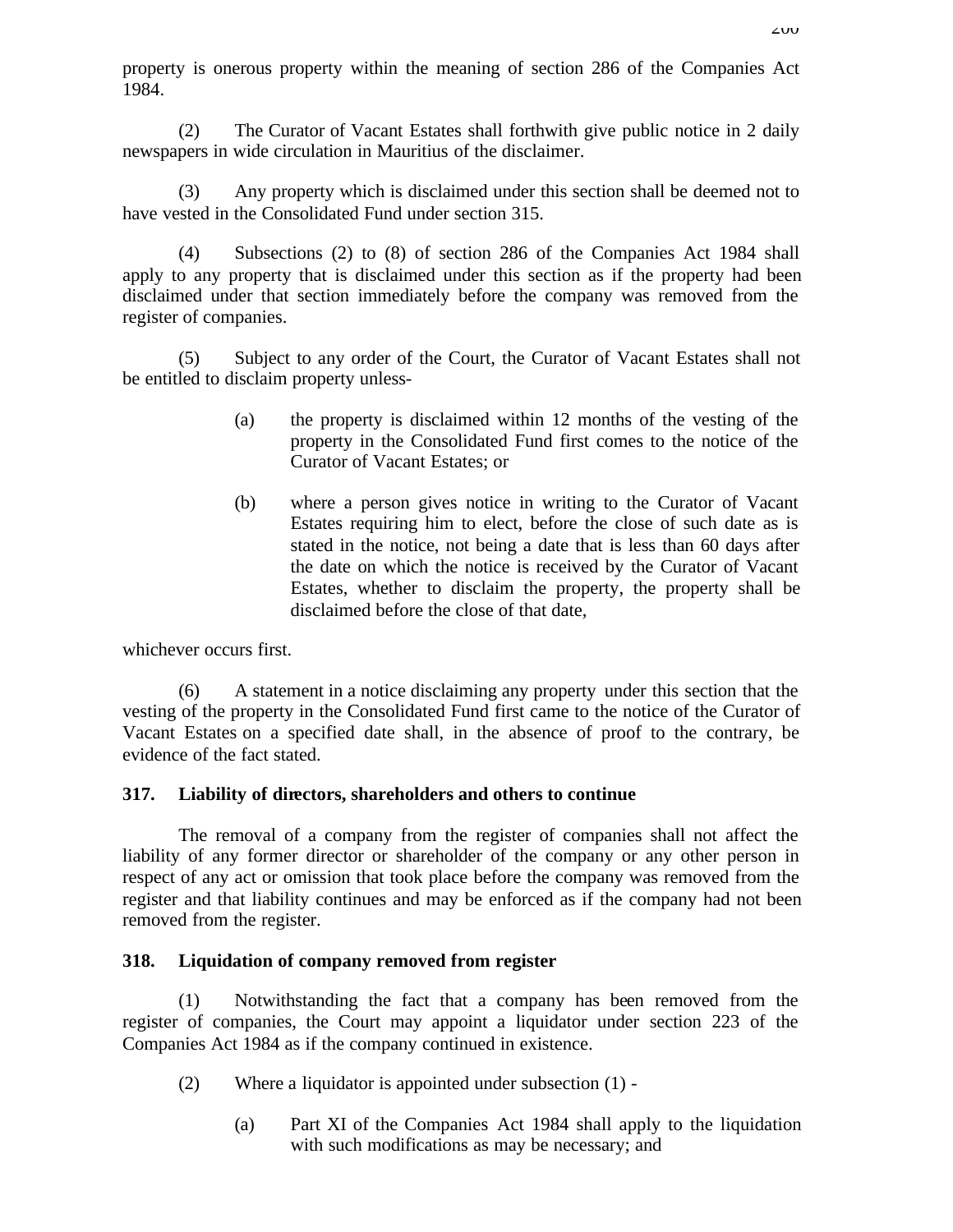property is onerous property within the meaning of section 286 of the Companies Act 1984.

(2) The Curator of Vacant Estates shall forthwith give public notice in 2 daily newspapers in wide circulation in Mauritius of the disclaimer.

(3) Any property which is disclaimed under this section shall be deemed not to have vested in the Consolidated Fund under section 315.

(4) Subsections (2) to (8) of section 286 of the Companies Act 1984 shall apply to any property that is disclaimed under this section as if the property had been disclaimed under that section immediately before the company was removed from the register of companies.

(5) Subject to any order of the Court, the Curator of Vacant Estates shall not be entitled to disclaim property unless-

- (a) the property is disclaimed within 12 months of the vesting of the property in the Consolidated Fund first comes to the notice of the Curator of Vacant Estates; or
- (b) where a person gives notice in writing to the Curator of Vacant Estates requiring him to elect, before the close of such date as is stated in the notice, not being a date that is less than 60 days after the date on which the notice is received by the Curator of Vacant Estates, whether to disclaim the property, the property shall be disclaimed before the close of that date,

whichever occurs first.

(6) A statement in a notice disclaiming any property under this section that the vesting of the property in the Consolidated Fund first came to the notice of the Curator of Vacant Estates on a specified date shall, in the absence of proof to the contrary, be evidence of the fact stated.

### **317. Liability of directors, shareholders and others to continue**

The removal of a company from the register of companies shall not affect the liability of any former director or shareholder of the company or any other person in respect of any act or omission that took place before the company was removed from the register and that liability continues and may be enforced as if the company had not been removed from the register.

### **318. Liquidation of company removed from register**

(1) Notwithstanding the fact that a company has been removed from the register of companies, the Court may appoint a liquidator under section 223 of the Companies Act 1984 as if the company continued in existence.

- (2) Where a liquidator is appointed under subsection (1)
	- (a) Part XI of the Companies Act 1984 shall apply to the liquidation with such modifications as may be necessary; and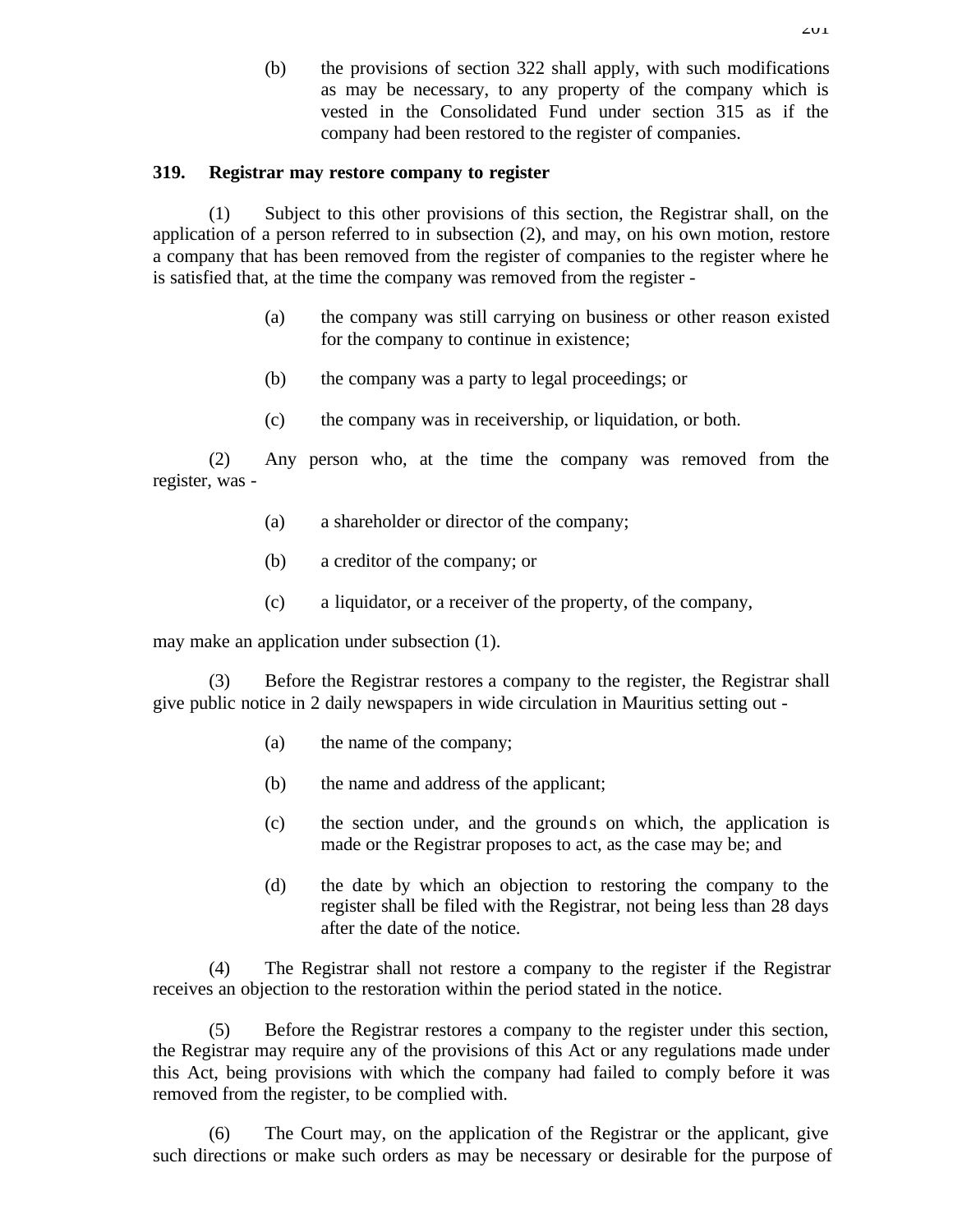(b) the provisions of section 322 shall apply, with such modifications as may be necessary, to any property of the company which is vested in the Consolidated Fund under section 315 as if the company had been restored to the register of companies.

### **319. Registrar may restore company to register**

(1) Subject to this other provisions of this section, the Registrar shall, on the application of a person referred to in subsection (2), and may, on his own motion, restore a company that has been removed from the register of companies to the register where he is satisfied that, at the time the company was removed from the register -

- (a) the company was still carrying on business or other reason existed for the company to continue in existence;
- (b) the company was a party to legal proceedings; or
- (c) the company was in receivership, or liquidation, or both.

(2) Any person who, at the time the company was removed from the register, was -

- (a) a shareholder or director of the company;
- (b) a creditor of the company; or
- (c) a liquidator, or a receiver of the property, of the company,

may make an application under subsection (1).

(3) Before the Registrar restores a company to the register, the Registrar shall give public notice in 2 daily newspapers in wide circulation in Mauritius setting out -

- (a) the name of the company;
- (b) the name and address of the applicant;
- (c) the section under, and the grounds on which, the application is made or the Registrar proposes to act, as the case may be; and
- (d) the date by which an objection to restoring the company to the register shall be filed with the Registrar, not being less than 28 days after the date of the notice.

(4) The Registrar shall not restore a company to the register if the Registrar receives an objection to the restoration within the period stated in the notice.

(5) Before the Registrar restores a company to the register under this section, the Registrar may require any of the provisions of this Act or any regulations made under this Act, being provisions with which the company had failed to comply before it was removed from the register, to be complied with.

(6) The Court may, on the application of the Registrar or the applicant, give such directions or make such orders as may be necessary or desirable for the purpose of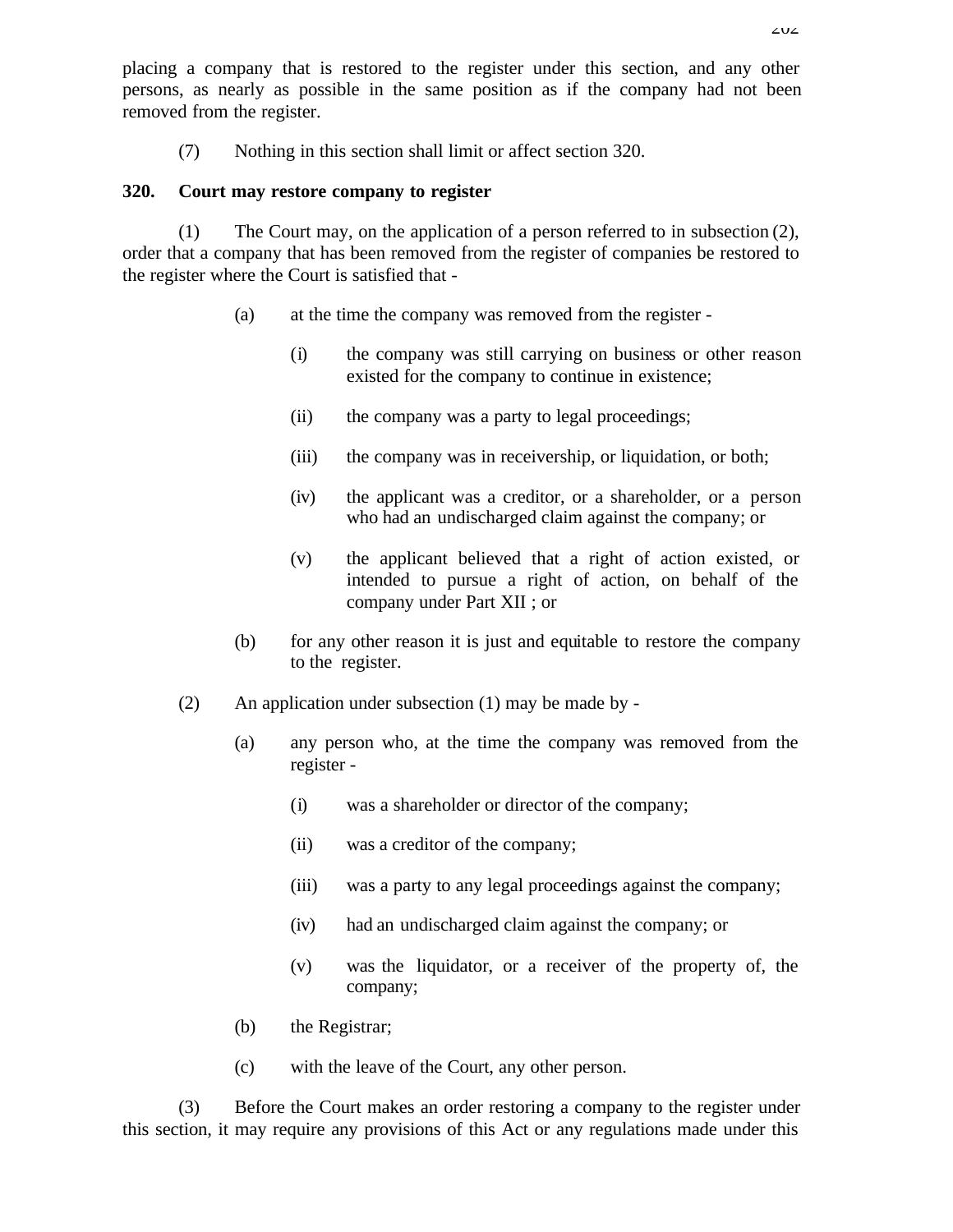placing a company that is restored to the register under this section, and any other persons, as nearly as possible in the same position as if the company had not been removed from the register.

(7) Nothing in this section shall limit or affect section 320.

#### **320. Court may restore company to register**

(1) The Court may, on the application of a person referred to in subsection (2), order that a company that has been removed from the register of companies be restored to the register where the Court is satisfied that -

- (a) at the time the company was removed from the register
	- (i) the company was still carrying on business or other reason existed for the company to continue in existence;
	- (ii) the company was a party to legal proceedings;
	- (iii) the company was in receivership, or liquidation, or both;
	- (iv) the applicant was a creditor, or a shareholder, or a person who had an undischarged claim against the company; or
	- (v) the applicant believed that a right of action existed, or intended to pursue a right of action, on behalf of the company under Part XII ; or
- (b) for any other reason it is just and equitable to restore the company to the register.
- (2) An application under subsection (1) may be made by
	- (a) any person who, at the time the company was removed from the register -
		- (i) was a shareholder or director of the company;
		- (ii) was a creditor of the company;
		- (iii) was a party to any legal proceedings against the company;
		- (iv) had an undischarged claim against the company; or
		- (v) was the liquidator, or a receiver of the property of, the company;
	- (b) the Registrar;
	- (c) with the leave of the Court, any other person.

(3) Before the Court makes an order restoring a company to the register under this section, it may require any provisions of this Act or any regulations made under this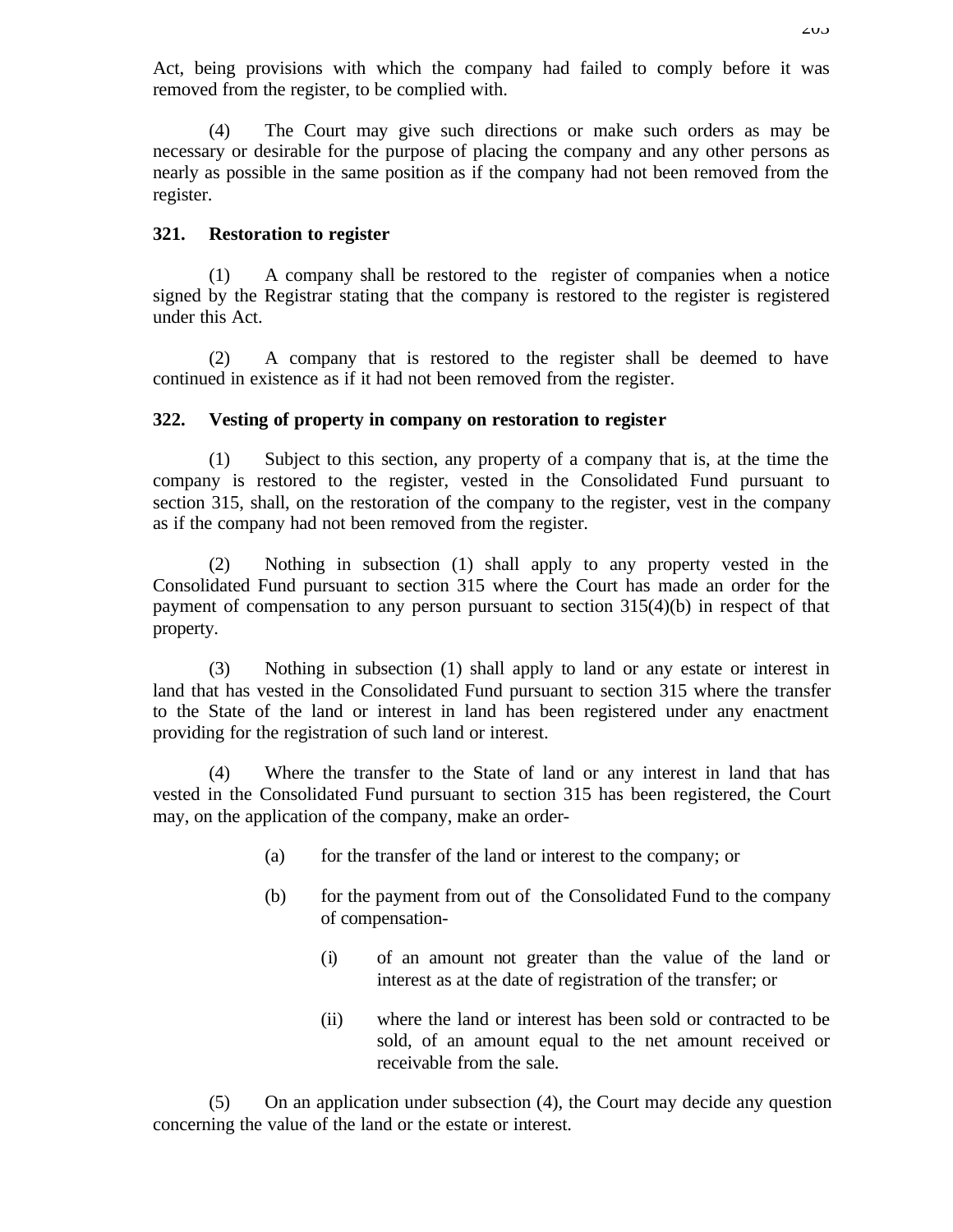Act, being provisions with which the company had failed to comply before it was removed from the register, to be complied with.

(4) The Court may give such directions or make such orders as may be necessary or desirable for the purpose of placing the company and any other persons as nearly as possible in the same position as if the company had not been removed from the register.

#### **321. Restoration to register**

(1) A company shall be restored to the register of companies when a notice signed by the Registrar stating that the company is restored to the register is registered under this Act.

(2) A company that is restored to the register shall be deemed to have continued in existence as if it had not been removed from the register.

### **322. Vesting of property in company on restoration to register**

(1) Subject to this section, any property of a company that is, at the time the company is restored to the register, vested in the Consolidated Fund pursuant to section 315, shall, on the restoration of the company to the register, vest in the company as if the company had not been removed from the register.

(2) Nothing in subsection (1) shall apply to any property vested in the Consolidated Fund pursuant to section 315 where the Court has made an order for the payment of compensation to any person pursuant to section 315(4)(b) in respect of that property.

(3) Nothing in subsection (1) shall apply to land or any estate or interest in land that has vested in the Consolidated Fund pursuant to section 315 where the transfer to the State of the land or interest in land has been registered under any enactment providing for the registration of such land or interest.

(4) Where the transfer to the State of land or any interest in land that has vested in the Consolidated Fund pursuant to section 315 has been registered, the Court may, on the application of the company, make an order-

- (a) for the transfer of the land or interest to the company; or
- (b) for the payment from out of the Consolidated Fund to the company of compensation-
	- (i) of an amount not greater than the value of the land or interest as at the date of registration of the transfer; or
	- (ii) where the land or interest has been sold or contracted to be sold, of an amount equal to the net amount received or receivable from the sale.

(5) On an application under subsection (4), the Court may decide any question concerning the value of the land or the estate or interest.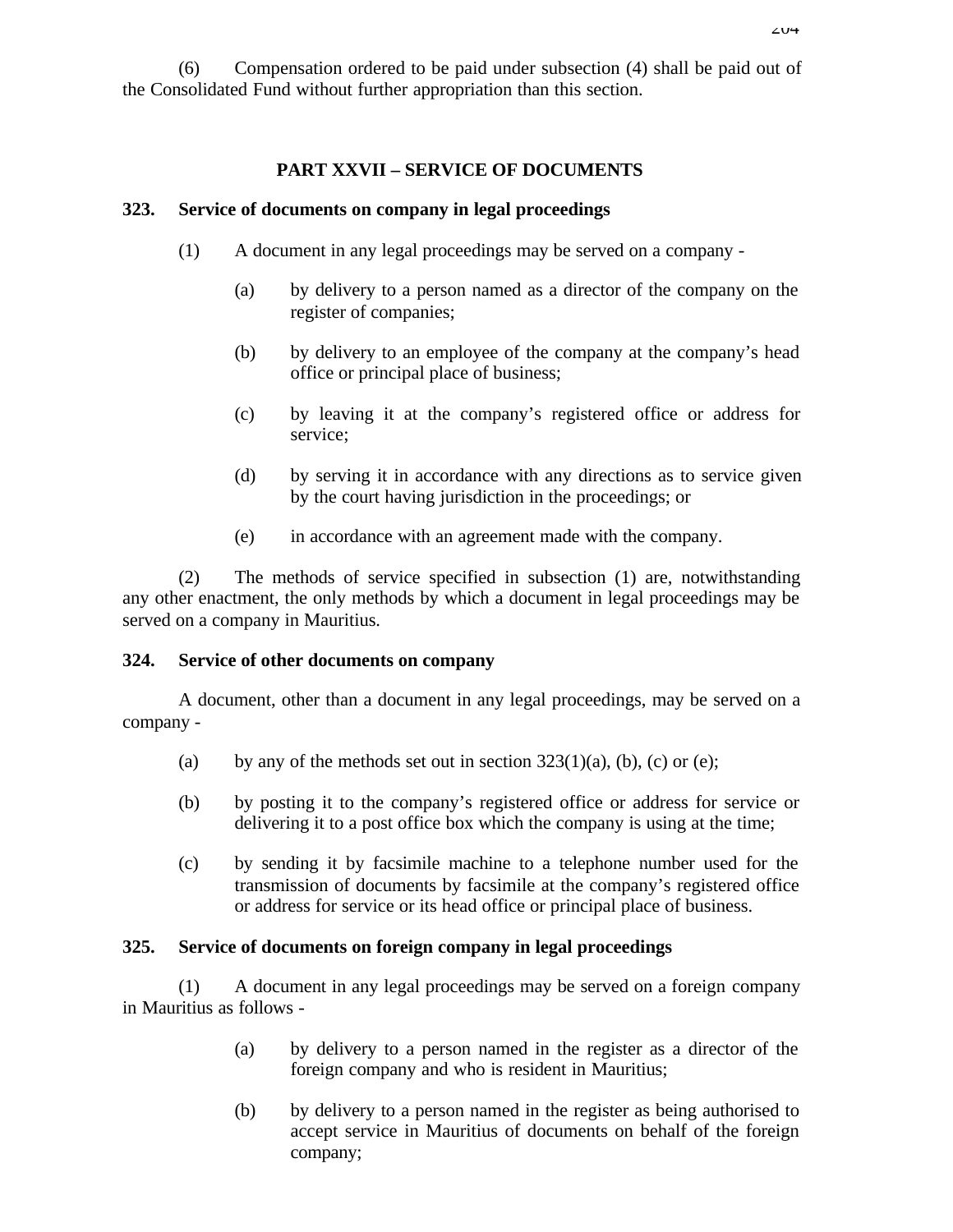(6) Compensation ordered to be paid under subsection (4) shall be paid out of the Consolidated Fund without further appropriation than this section.

#### **PART XXVII – SERVICE OF DOCUMENTS**

#### **323. Service of documents on company in legal proceedings**

- (1) A document in any legal proceedings may be served on a company
	- (a) by delivery to a person named as a director of the company on the register of companies;
	- (b) by delivery to an employee of the company at the company's head office or principal place of business;
	- (c) by leaving it at the company's registered office or address for service;
	- (d) by serving it in accordance with any directions as to service given by the court having jurisdiction in the proceedings; or
	- (e) in accordance with an agreement made with the company.

(2) The methods of service specified in subsection (1) are, notwithstanding any other enactment, the only methods by which a document in legal proceedings may be served on a company in Mauritius.

#### **324. Service of other documents on company**

A document, other than a document in any legal proceedings, may be served on a company -

- (a) by any of the methods set out in section  $323(1)(a)$ , (b), (c) or (e);
- (b) by posting it to the company's registered office or address for service or delivering it to a post office box which the company is using at the time;
- (c) by sending it by facsimile machine to a telephone number used for the transmission of documents by facsimile at the company's registered office or address for service or its head office or principal place of business.

#### **325. Service of documents on foreign company in legal proceedings**

(1) A document in any legal proceedings may be served on a foreign company in Mauritius as follows -

- (a) by delivery to a person named in the register as a director of the foreign company and who is resident in Mauritius;
- (b) by delivery to a person named in the register as being authorised to accept service in Mauritius of documents on behalf of the foreign company;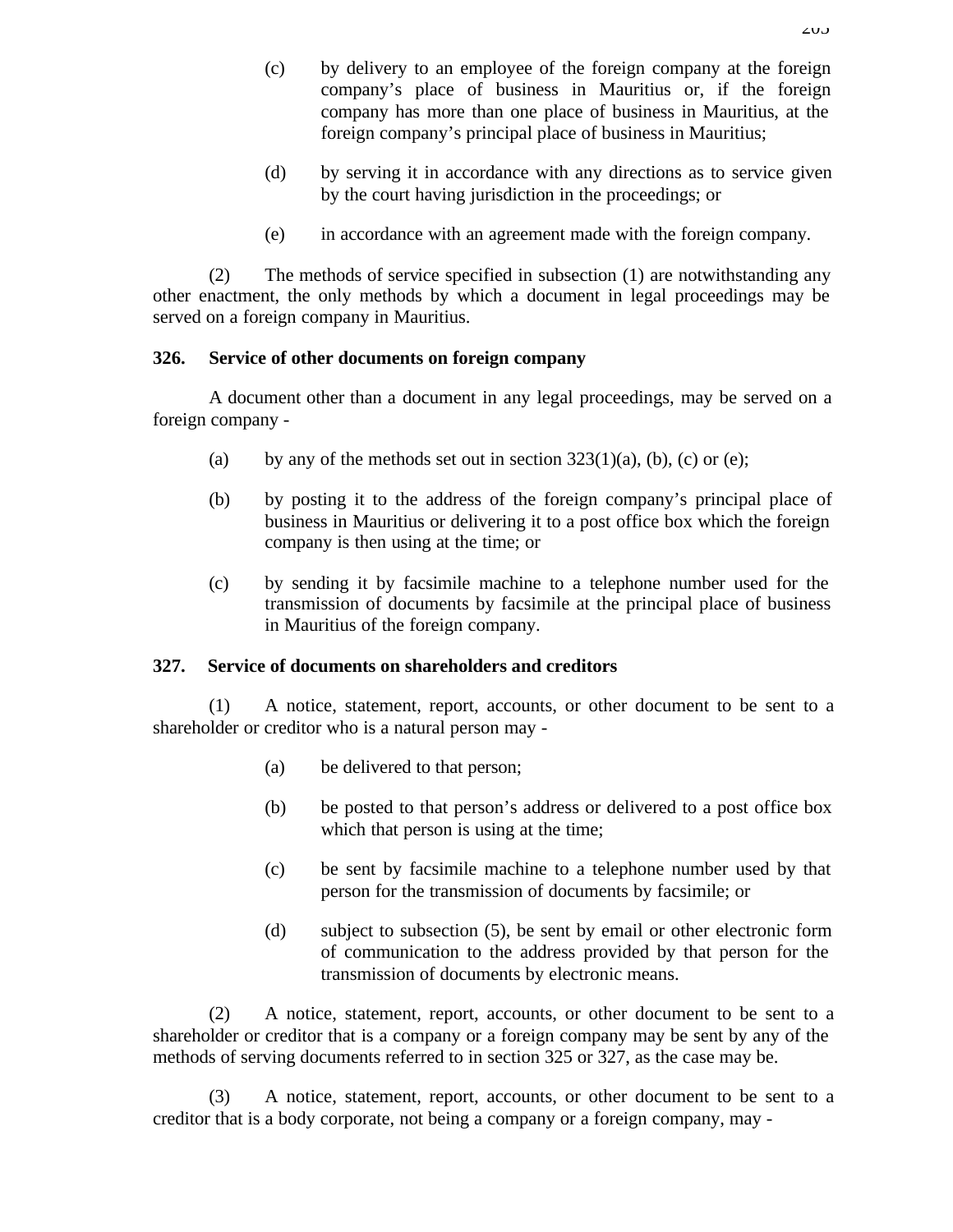- (d) by serving it in accordance with any directions as to service given by the court having jurisdiction in the proceedings; or
- (e) in accordance with an agreement made with the foreign company.

(2) The methods of service specified in subsection (1) are notwithstanding any other enactment, the only methods by which a document in legal proceedings may be served on a foreign company in Mauritius.

## **326. Service of other documents on foreign company**

A document other than a document in any legal proceedings, may be served on a foreign company -

- (a) by any of the methods set out in section  $323(1)(a)$ , (b), (c) or (e);
- (b) by posting it to the address of the foreign company's principal place of business in Mauritius or delivering it to a post office box which the foreign company is then using at the time; or
- (c) by sending it by facsimile machine to a telephone number used for the transmission of documents by facsimile at the principal place of business in Mauritius of the foreign company.

# **327. Service of documents on shareholders and creditors**

(1) A notice, statement, report, accounts, or other document to be sent to a shareholder or creditor who is a natural person may -

- (a) be delivered to that person;
- (b) be posted to that person's address or delivered to a post office box which that person is using at the time;
- (c) be sent by facsimile machine to a telephone number used by that person for the transmission of documents by facsimile; or
- (d) subject to subsection (5), be sent by email or other electronic form of communication to the address provided by that person for the transmission of documents by electronic means.

(2) A notice, statement, report, accounts, or other document to be sent to a shareholder or creditor that is a company or a foreign company may be sent by any of the methods of serving documents referred to in section 325 or 327, as the case may be.

(3) A notice, statement, report, accounts, or other document to be sent to a creditor that is a body corporate, not being a company or a foreign company, may -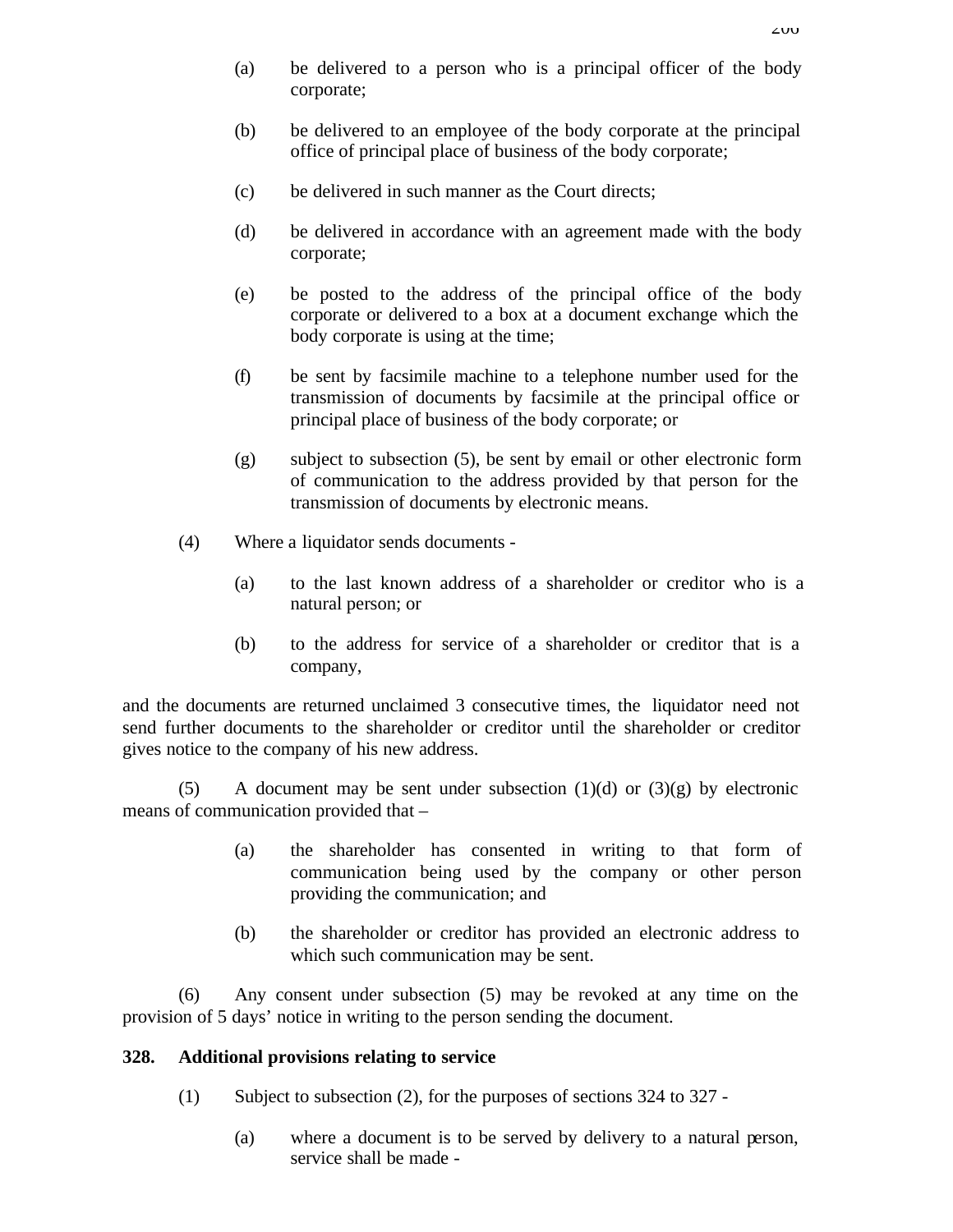- (a) be delivered to a person who is a principal officer of the body corporate;
- (b) be delivered to an employee of the body corporate at the principal office of principal place of business of the body corporate;
- (c) be delivered in such manner as the Court directs;
- (d) be delivered in accordance with an agreement made with the body corporate;
- (e) be posted to the address of the principal office of the body corporate or delivered to a box at a document exchange which the body corporate is using at the time;
- (f) be sent by facsimile machine to a telephone number used for the transmission of documents by facsimile at the principal office or principal place of business of the body corporate; or
- (g) subject to subsection (5), be sent by email or other electronic form of communication to the address provided by that person for the transmission of documents by electronic means.
- (4) Where a liquidator sends documents
	- (a) to the last known address of a shareholder or creditor who is a natural person; or
	- (b) to the address for service of a shareholder or creditor that is a company,

and the documents are returned unclaimed 3 consecutive times, the liquidator need not send further documents to the shareholder or creditor until the shareholder or creditor gives notice to the company of his new address.

(5) A document may be sent under subsection  $(1)(d)$  or  $(3)(g)$  by electronic means of communication provided that –

- (a) the shareholder has consented in writing to that form of communication being used by the company or other person providing the communication; and
- (b) the shareholder or creditor has provided an electronic address to which such communication may be sent.

(6) Any consent under subsection (5) may be revoked at any time on the provision of 5 days' notice in writing to the person sending the document.

#### **328. Additional provisions relating to service**

- (1) Subject to subsection (2), for the purposes of sections 324 to 327
	- (a) where a document is to be served by delivery to a natural person, service shall be made -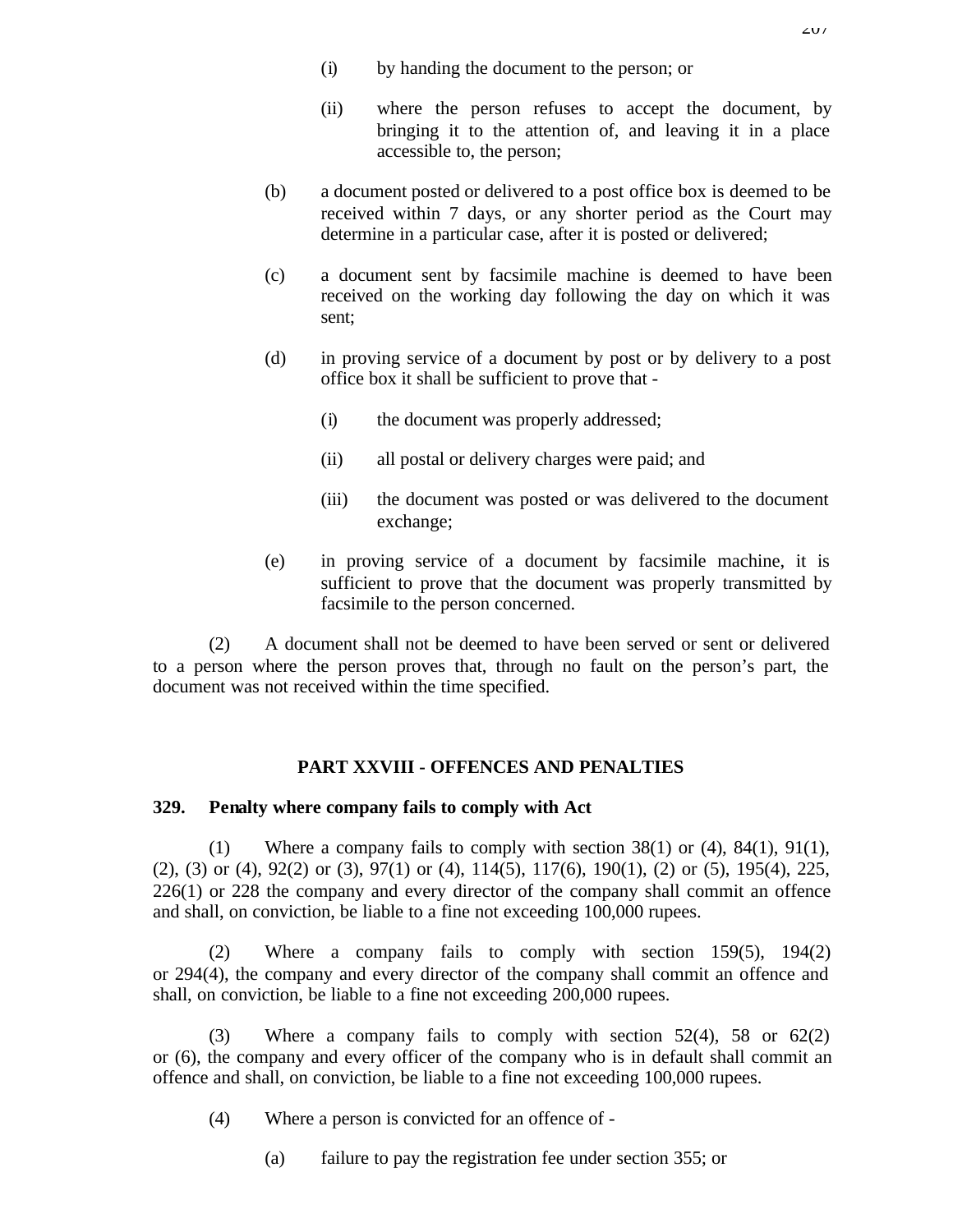- (i) by handing the document to the person; or
- (ii) where the person refuses to accept the document, by bringing it to the attention of, and leaving it in a place accessible to, the person;
- (b) a document posted or delivered to a post office box is deemed to be received within 7 days, or any shorter period as the Court may determine in a particular case, after it is posted or delivered;
- (c) a document sent by facsimile machine is deemed to have been received on the working day following the day on which it was sent;
- (d) in proving service of a document by post or by delivery to a post office box it shall be sufficient to prove that -
	- (i) the document was properly addressed;
	- (ii) all postal or delivery charges were paid; and
	- (iii) the document was posted or was delivered to the document exchange;
- (e) in proving service of a document by facsimile machine, it is sufficient to prove that the document was properly transmitted by facsimile to the person concerned.

(2) A document shall not be deemed to have been served or sent or delivered to a person where the person proves that, through no fault on the person's part, the document was not received within the time specified.

### **PART XXVIII - OFFENCES AND PENALTIES**

#### **329. Penalty where company fails to comply with Act**

(1) Where a company fails to comply with section 38(1) or (4), 84(1), 91(1), (2), (3) or (4), 92(2) or (3), 97(1) or (4), 114(5), 117(6), 190(1), (2) or (5), 195(4), 225, 226(1) or 228 the company and every director of the company shall commit an offence and shall, on conviction, be liable to a fine not exceeding 100,000 rupees.

(2) Where a company fails to comply with section 159(5), 194(2) or 294(4), the company and every director of the company shall commit an offence and shall, on conviction, be liable to a fine not exceeding 200,000 rupees.

(3) Where a company fails to comply with section 52(4), 58 or 62(2) or (6), the company and every officer of the company who is in default shall commit an offence and shall, on conviction, be liable to a fine not exceeding 100,000 rupees.

- (4) Where a person is convicted for an offence of
	- (a) failure to pay the registration fee under section 355; or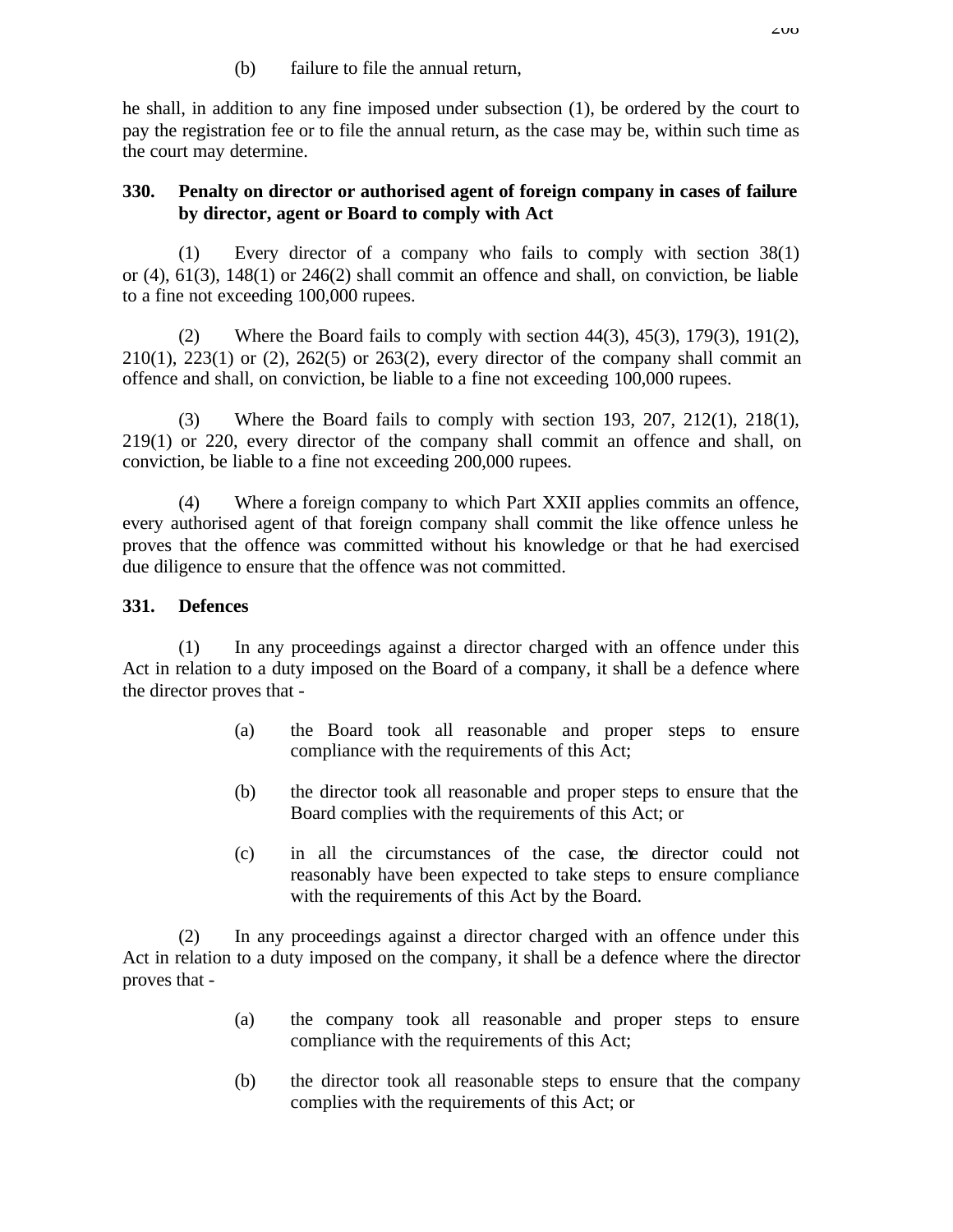(b) failure to file the annual return,

he shall, in addition to any fine imposed under subsection (1), be ordered by the court to pay the registration fee or to file the annual return, as the case may be, within such time as the court may determine.

## **330. Penalty on director or authorised agent of foreign company in cases of failure by director, agent or Board to comply with Act**

(1) Every director of a company who fails to comply with section 38(1) or (4), 61(3), 148(1) or 246(2) shall commit an offence and shall, on conviction, be liable to a fine not exceeding 100,000 rupees.

(2) Where the Board fails to comply with section  $44(3)$ ,  $45(3)$ ,  $179(3)$ ,  $191(2)$ ,  $210(1)$ ,  $223(1)$  or  $(2)$ ,  $262(5)$  or  $263(2)$ , every director of the company shall commit an offence and shall, on conviction, be liable to a fine not exceeding 100,000 rupees.

(3) Where the Board fails to comply with section 193, 207, 212(1), 218(1), 219(1) or 220, every director of the company shall commit an offence and shall, on conviction, be liable to a fine not exceeding 200,000 rupees.

(4) Where a foreign company to which Part XXII applies commits an offence, every authorised agent of that foreign company shall commit the like offence unless he proves that the offence was committed without his knowledge or that he had exercised due diligence to ensure that the offence was not committed.

# **331. Defences**

(1) In any proceedings against a director charged with an offence under this Act in relation to a duty imposed on the Board of a company, it shall be a defence where the director proves that -

- (a) the Board took all reasonable and proper steps to ensure compliance with the requirements of this Act;
- (b) the director took all reasonable and proper steps to ensure that the Board complies with the requirements of this Act; or
- (c) in all the circumstances of the case, the director could not reasonably have been expected to take steps to ensure compliance with the requirements of this Act by the Board.

(2) In any proceedings against a director charged with an offence under this Act in relation to a duty imposed on the company, it shall be a defence where the director proves that -

- (a) the company took all reasonable and proper steps to ensure compliance with the requirements of this Act;
- (b) the director took all reasonable steps to ensure that the company complies with the requirements of this Act; or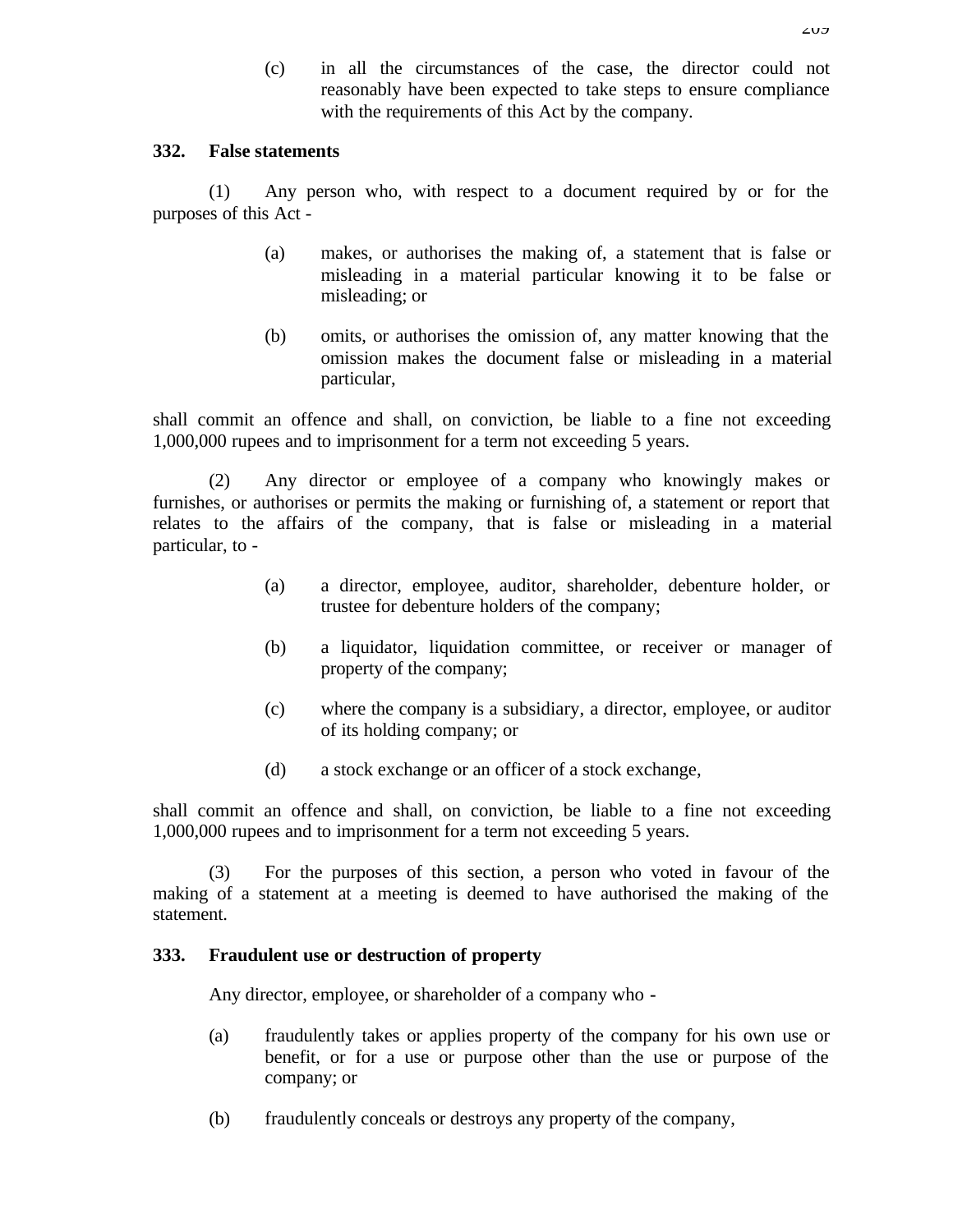(c) in all the circumstances of the case, the director could not reasonably have been expected to take steps to ensure compliance with the requirements of this Act by the company.

#### **332. False statements**

(1) Any person who, with respect to a document required by or for the purposes of this Act -

- (a) makes, or authorises the making of, a statement that is false or misleading in a material particular knowing it to be false or misleading; or
- (b) omits, or authorises the omission of, any matter knowing that the omission makes the document false or misleading in a material particular,

shall commit an offence and shall, on conviction, be liable to a fine not exceeding 1,000,000 rupees and to imprisonment for a term not exceeding 5 years.

(2) Any director or employee of a company who knowingly makes or furnishes, or authorises or permits the making or furnishing of, a statement or report that relates to the affairs of the company, that is false or misleading in a material particular, to -

- (a) a director, employee, auditor, shareholder, debenture holder, or trustee for debenture holders of the company;
- (b) a liquidator, liquidation committee, or receiver or manager of property of the company;
- (c) where the company is a subsidiary, a director, employee, or auditor of its holding company; or
- (d) a stock exchange or an officer of a stock exchange,

shall commit an offence and shall, on conviction, be liable to a fine not exceeding 1,000,000 rupees and to imprisonment for a term not exceeding 5 years.

(3) For the purposes of this section, a person who voted in favour of the making of a statement at a meeting is deemed to have authorised the making of the statement.

### **333. Fraudulent use or destruction of property**

Any director, employee, or shareholder of a company who **-**

- (a) fraudulently takes or applies property of the company for his own use or benefit, or for a use or purpose other than the use or purpose of the company; or
- (b) fraudulently conceals or destroys any property of the company,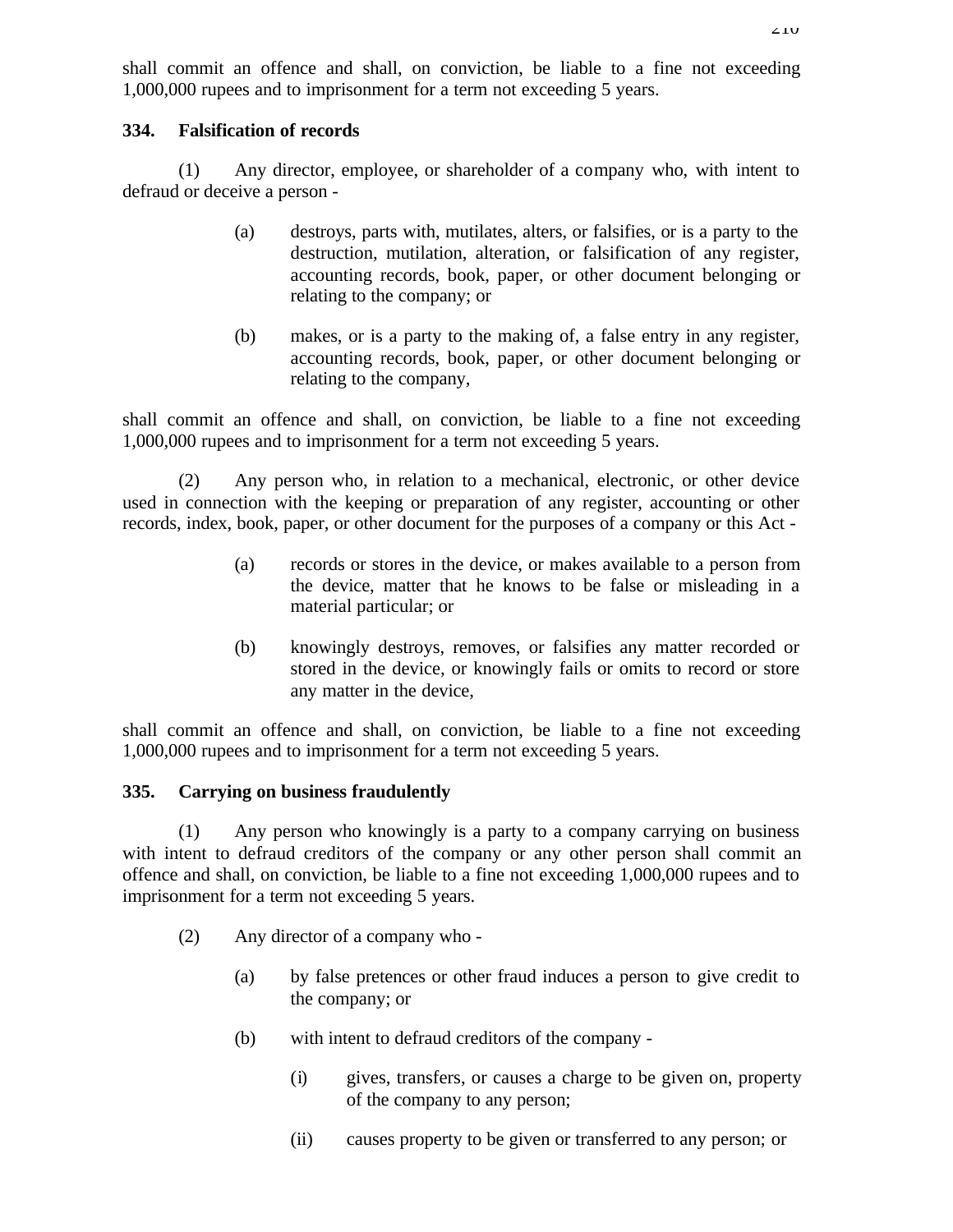shall commit an offence and shall, on conviction, be liable to a fine not exceeding 1,000,000 rupees and to imprisonment for a term not exceeding 5 years.

#### **334. Falsification of records**

(1) Any director, employee, or shareholder of a company who, with intent to defraud or deceive a person -

- (a) destroys, parts with, mutilates, alters, or falsifies, or is a party to the destruction, mutilation, alteration, or falsification of any register, accounting records, book, paper, or other document belonging or relating to the company; or
- (b) makes, or is a party to the making of, a false entry in any register, accounting records, book, paper, or other document belonging or relating to the company,

shall commit an offence and shall, on conviction, be liable to a fine not exceeding 1,000,000 rupees and to imprisonment for a term not exceeding 5 years.

(2) Any person who, in relation to a mechanical, electronic, or other device used in connection with the keeping or preparation of any register, accounting or other records, index, book, paper, or other document for the purposes of a company or this Act -

- (a) records or stores in the device, or makes available to a person from the device, matter that he knows to be false or misleading in a material particular; or
- (b) knowingly destroys, removes, or falsifies any matter recorded or stored in the device, or knowingly fails or omits to record or store any matter in the device,

shall commit an offence and shall, on conviction, be liable to a fine not exceeding 1,000,000 rupees and to imprisonment for a term not exceeding 5 years.

### **335. Carrying on business fraudulently**

(1) Any person who knowingly is a party to a company carrying on business with intent to defraud creditors of the company or any other person shall commit an offence and shall, on conviction, be liable to a fine not exceeding 1,000,000 rupees and to imprisonment for a term not exceeding 5 years.

- (2) Any director of a company who
	- (a) by false pretences or other fraud induces a person to give credit to the company; or
	- (b) with intent to defraud creditors of the company
		- (i) gives, transfers, or causes a charge to be given on, property of the company to any person;
		- (ii) causes property to be given or transferred to any person; or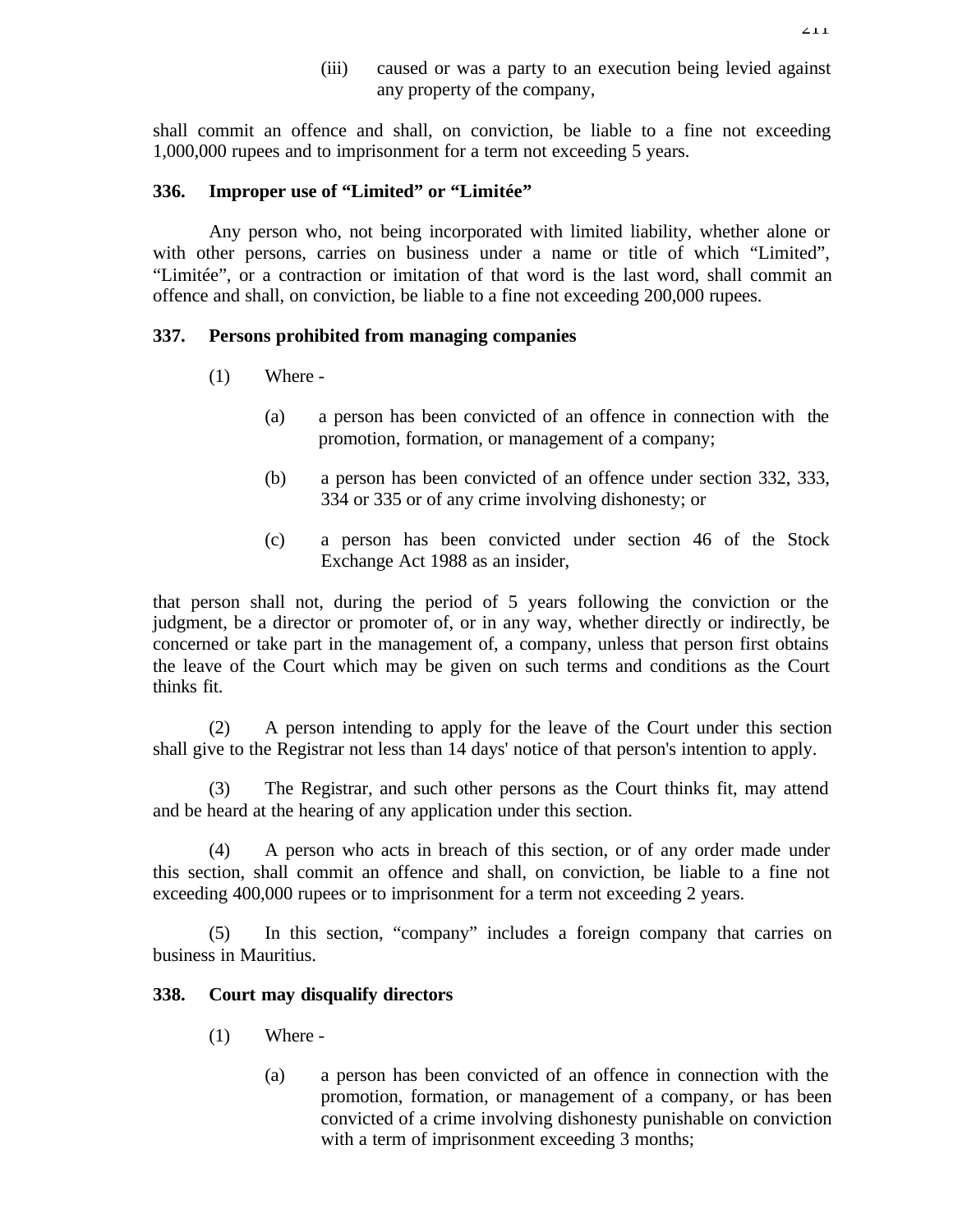(iii) caused or was a party to an execution being levied against any property of the company,

shall commit an offence and shall, on conviction, be liable to a fine not exceeding 1,000,000 rupees and to imprisonment for a term not exceeding 5 years.

#### **336. Improper use of "Limited" or "Limitée"**

Any person who, not being incorporated with limited liability, whether alone or with other persons, carries on business under a name or title of which "Limited", "Limitée", or a contraction or imitation of that word is the last word, shall commit an offence and shall, on conviction, be liable to a fine not exceeding 200,000 rupees.

#### **337. Persons prohibited from managing companies**

- (1) Where
	- (a) a person has been convicted of an offence in connection with the promotion, formation, or management of a company;
	- (b) a person has been convicted of an offence under section 332, 333, 334 or 335 or of any crime involving dishonesty; or
	- (c) a person has been convicted under section 46 of the Stock Exchange Act 1988 as an insider,

that person shall not, during the period of 5 years following the conviction or the judgment, be a director or promoter of, or in any way, whether directly or indirectly, be concerned or take part in the management of, a company, unless that person first obtains the leave of the Court which may be given on such terms and conditions as the Court thinks fit.

(2) A person intending to apply for the leave of the Court under this section shall give to the Registrar not less than 14 days' notice of that person's intention to apply.

(3) The Registrar, and such other persons as the Court thinks fit, may attend and be heard at the hearing of any application under this section.

(4) A person who acts in breach of this section, or of any order made under this section, shall commit an offence and shall, on conviction, be liable to a fine not exceeding 400,000 rupees or to imprisonment for a term not exceeding 2 years.

(5) In this section, "company" includes a foreign company that carries on business in Mauritius.

#### **338. Court may disqualify directors**

- (1) Where
	- (a) a person has been convicted of an offence in connection with the promotion, formation, or management of a company, or has been convicted of a crime involving dishonesty punishable on conviction with a term of imprisonment exceeding 3 months;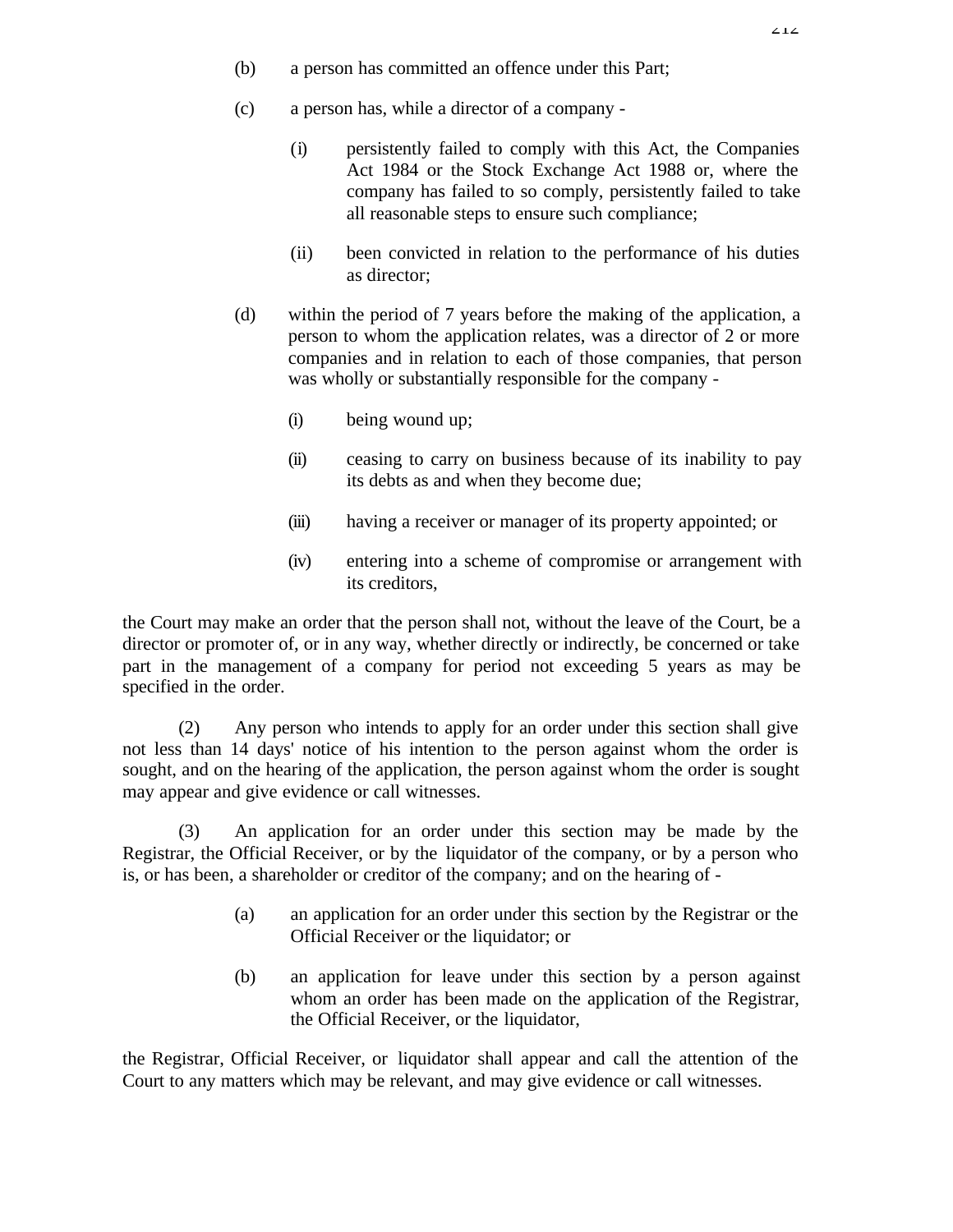- (b) a person has committed an offence under this Part;
- (c) a person has, while a director of a company
	- (i) persistently failed to comply with this Act, the Companies Act 1984 or the Stock Exchange Act 1988 or, where the company has failed to so comply, persistently failed to take all reasonable steps to ensure such compliance;
	- (ii) been convicted in relation to the performance of his duties as director;
- (d) within the period of 7 years before the making of the application, a person to whom the application relates, was a director of 2 or more companies and in relation to each of those companies, that person was wholly or substantially responsible for the company -
	- (i) being wound up;
	- (ii) ceasing to carry on business because of its inability to pay its debts as and when they become due;
	- (iii) having a receiver or manager of its property appointed; or
	- (iv) entering into a scheme of compromise or arrangement with its creditors,

the Court may make an order that the person shall not, without the leave of the Court, be a director or promoter of, or in any way, whether directly or indirectly, be concerned or take part in the management of a company for period not exceeding 5 years as may be specified in the order.

(2) Any person who intends to apply for an order under this section shall give not less than 14 days' notice of his intention to the person against whom the order is sought, and on the hearing of the application, the person against whom the order is sought may appear and give evidence or call witnesses.

(3) An application for an order under this section may be made by the Registrar, the Official Receiver, or by the liquidator of the company, or by a person who is, or has been, a shareholder or creditor of the company; and on the hearing of -

- (a) an application for an order under this section by the Registrar or the Official Receiver or the liquidator; or
- (b) an application for leave under this section by a person against whom an order has been made on the application of the Registrar, the Official Receiver, or the liquidator,

the Registrar, Official Receiver, or liquidator shall appear and call the attention of the Court to any matters which may be relevant, and may give evidence or call witnesses.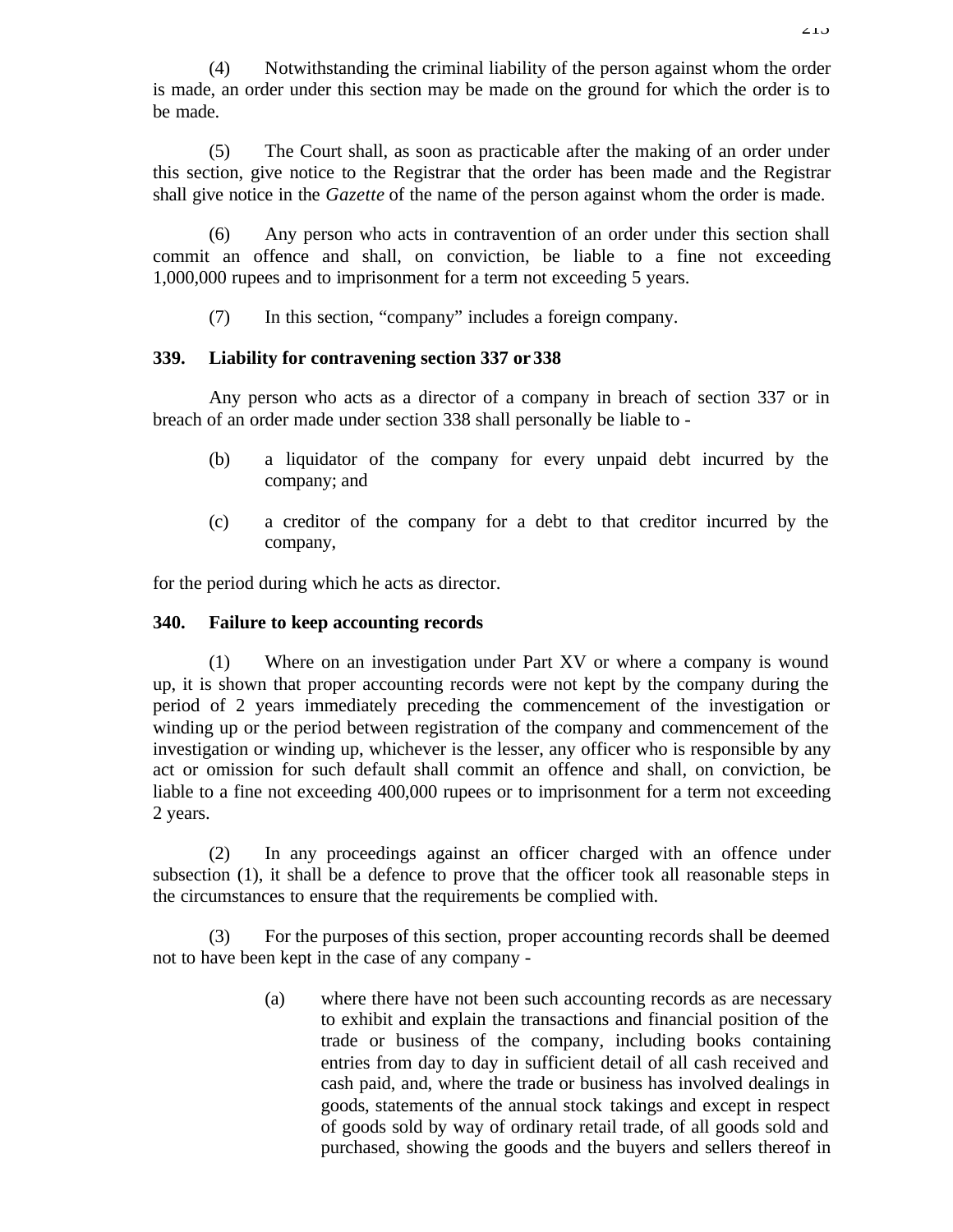(4) Notwithstanding the criminal liability of the person against whom the order is made, an order under this section may be made on the ground for which the order is to be made.

(5) The Court shall, as soon as practicable after the making of an order under this section, give notice to the Registrar that the order has been made and the Registrar shall give notice in the *Gazette* of the name of the person against whom the order is made.

(6) Any person who acts in contravention of an order under this section shall commit an offence and shall, on conviction, be liable to a fine not exceeding 1,000,000 rupees and to imprisonment for a term not exceeding 5 years.

(7) In this section, "company" includes a foreign company.

## **339. Liability for contravening section 337 or 338**

Any person who acts as a director of a company in breach of section 337 or in breach of an order made under section 338 shall personally be liable to -

- (b) a liquidator of the company for every unpaid debt incurred by the company; and
- (c) a creditor of the company for a debt to that creditor incurred by the company,

for the period during which he acts as director.

### **340. Failure to keep accounting records**

(1) Where on an investigation under Part XV or where a company is wound up, it is shown that proper accounting records were not kept by the company during the period of 2 years immediately preceding the commencement of the investigation or winding up or the period between registration of the company and commencement of the investigation or winding up, whichever is the lesser, any officer who is responsible by any act or omission for such default shall commit an offence and shall, on conviction, be liable to a fine not exceeding 400,000 rupees or to imprisonment for a term not exceeding 2 years.

(2) In any proceedings against an officer charged with an offence under subsection (1), it shall be a defence to prove that the officer took all reasonable steps in the circumstances to ensure that the requirements be complied with.

(3) For the purposes of this section, proper accounting records shall be deemed not to have been kept in the case of any company -

> (a) where there have not been such accounting records as are necessary to exhibit and explain the transactions and financial position of the trade or business of the company, including books containing entries from day to day in sufficient detail of all cash received and cash paid, and, where the trade or business has involved dealings in goods, statements of the annual stock takings and except in respect of goods sold by way of ordinary retail trade, of all goods sold and purchased, showing the goods and the buyers and sellers thereof in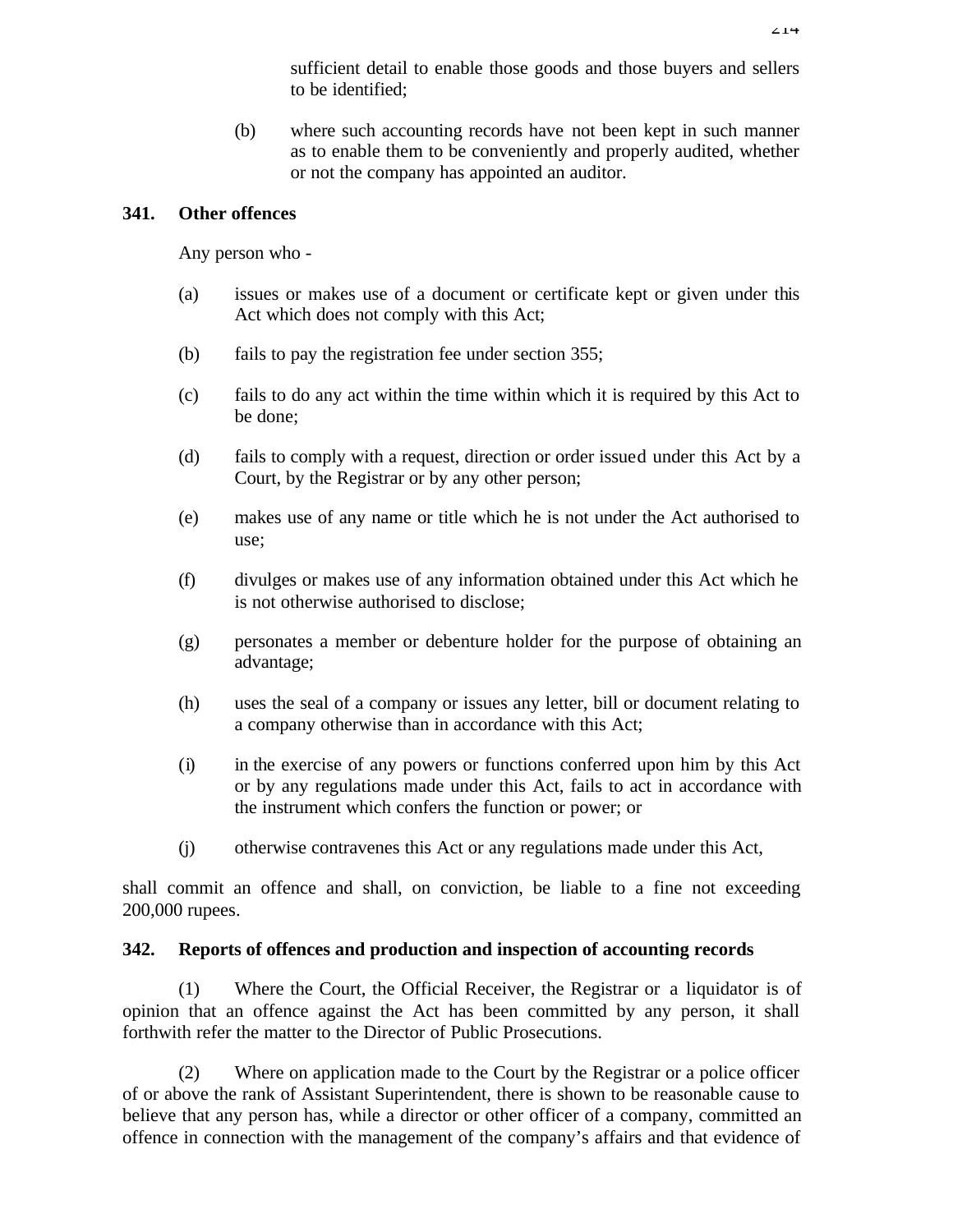sufficient detail to enable those goods and those buyers and sellers to be identified;

(b) where such accounting records have not been kept in such manner as to enable them to be conveniently and properly audited, whether or not the company has appointed an auditor.

#### **341. Other offences**

Any person who -

- (a) issues or makes use of a document or certificate kept or given under this Act which does not comply with this Act;
- (b) fails to pay the registration fee under section 355;
- (c) fails to do any act within the time within which it is required by this Act to be done;
- (d) fails to comply with a request, direction or order issued under this Act by a Court, by the Registrar or by any other person;
- (e) makes use of any name or title which he is not under the Act authorised to use;
- (f) divulges or makes use of any information obtained under this Act which he is not otherwise authorised to disclose;
- (g) personates a member or debenture holder for the purpose of obtaining an advantage;
- (h) uses the seal of a company or issues any letter, bill or document relating to a company otherwise than in accordance with this Act;
- (i) in the exercise of any powers or functions conferred upon him by this Act or by any regulations made under this Act, fails to act in accordance with the instrument which confers the function or power; or
- (j) otherwise contravenes this Act or any regulations made under this Act,

shall commit an offence and shall, on conviction, be liable to a fine not exceeding 200,000 rupees.

### **342. Reports of offences and production and inspection of accounting records**

(1) Where the Court, the Official Receiver, the Registrar or a liquidator is of opinion that an offence against the Act has been committed by any person, it shall forthwith refer the matter to the Director of Public Prosecutions.

(2) Where on application made to the Court by the Registrar or a police officer of or above the rank of Assistant Superintendent, there is shown to be reasonable cause to believe that any person has, while a director or other officer of a company, committed an offence in connection with the management of the company's affairs and that evidence of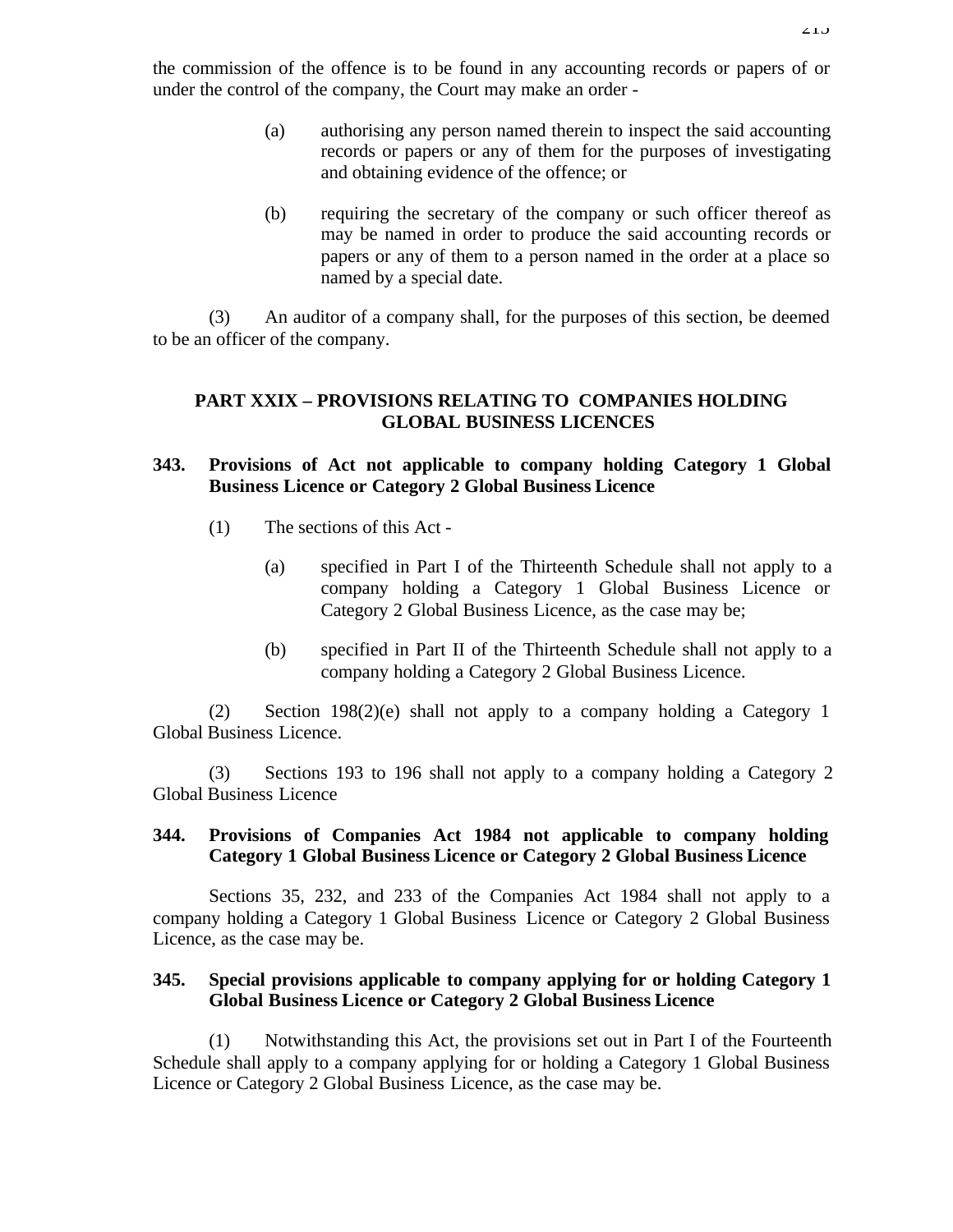- (a) authorising any person named therein to inspect the said accounting records or papers or any of them for the purposes of investigating and obtaining evidence of the offence; or
- (b) requiring the secretary of the company or such officer thereof as may be named in order to produce the said accounting records or papers or any of them to a person named in the order at a place so named by a special date.

(3) An auditor of a company shall, for the purposes of this section, be deemed to be an officer of the company.

### **PART XXIX – PROVISIONS RELATING TO COMPANIES HOLDING GLOBAL BUSINESS LICENCES**

### **343. Provisions of Act not applicable to company holding Category 1 Global Business Licence or Category 2 Global Business Licence**

- (1) The sections of this Act
	- (a) specified in Part I of the Thirteenth Schedule shall not apply to a company holding a Category 1 Global Business Licence or Category 2 Global Business Licence, as the case may be;
	- (b) specified in Part II of the Thirteenth Schedule shall not apply to a company holding a Category 2 Global Business Licence.

(2) Section 198(2)(e) shall not apply to a company holding a Category 1 Global Business Licence.

(3) Sections 193 to 196 shall not apply to a company holding a Category 2 Global Business Licence

## **344. Provisions of Companies Act 1984 not applicable to company holding Category 1 Global Business Licence or Category 2 Global Business Licence**

Sections 35, 232, and 233 of the Companies Act 1984 shall not apply to a company holding a Category 1 Global Business Licence or Category 2 Global Business Licence, as the case may be.

### **345. Special provisions applicable to company applying for or holding Category 1 Global Business Licence or Category 2 Global Business Licence**

(1) Notwithstanding this Act, the provisions set out in Part I of the Fourteenth Schedule shall apply to a company applying for or holding a Category 1 Global Business Licence or Category 2 Global Business Licence, as the case may be.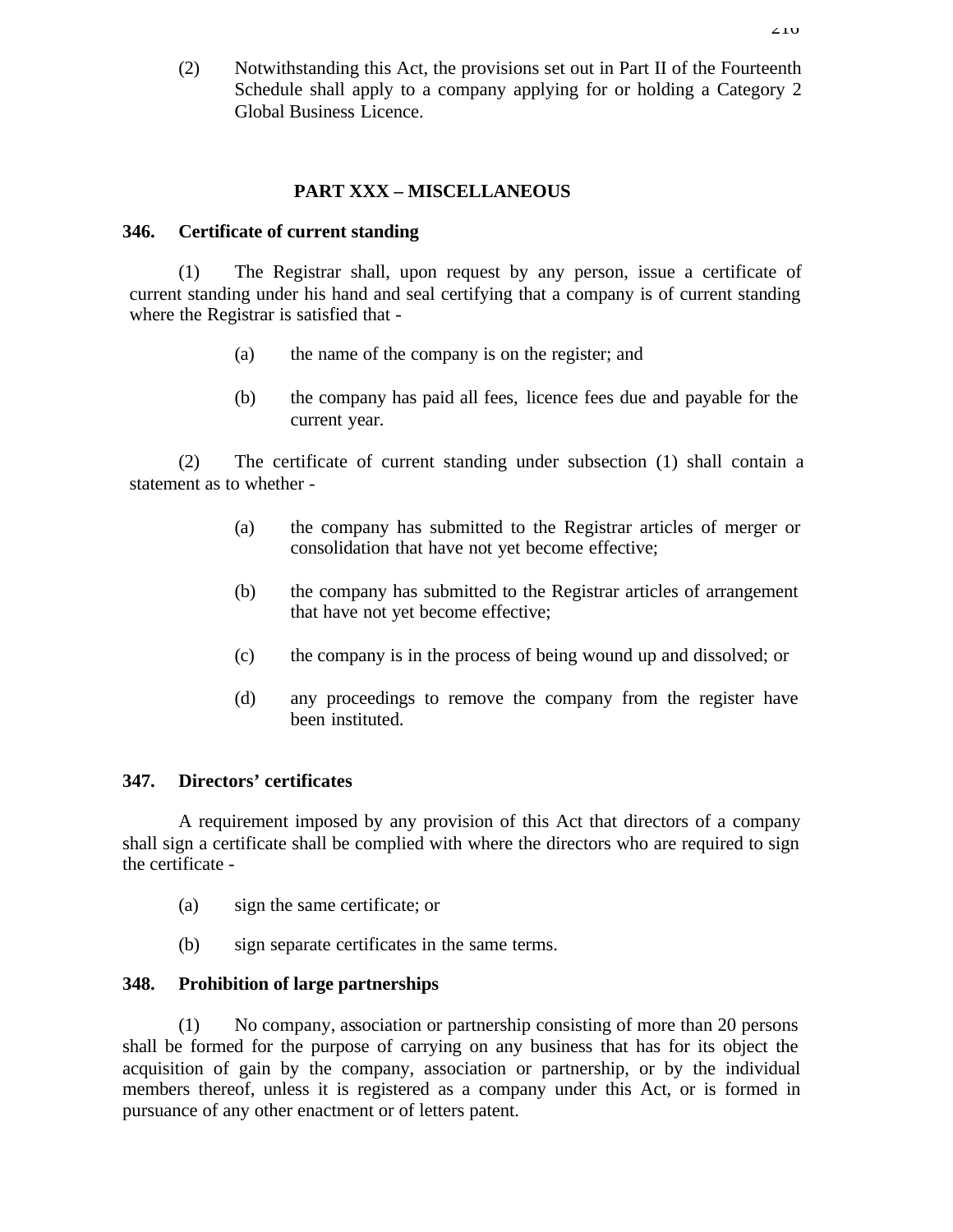(2) Notwithstanding this Act, the provisions set out in Part II of the Fourteenth Schedule shall apply to a company applying for or holding a Category 2 Global Business Licence.

#### **PART XXX – MISCELLANEOUS**

#### **346. Certificate of current standing**

(1) The Registrar shall, upon request by any person, issue a certificate of current standing under his hand and seal certifying that a company is of current standing where the Registrar is satisfied that -

- (a) the name of the company is on the register; and
- (b) the company has paid all fees, licence fees due and payable for the current year.

(2) The certificate of current standing under subsection (1) shall contain a statement as to whether -

- (a) the company has submitted to the Registrar articles of merger or consolidation that have not yet become effective;
- (b) the company has submitted to the Registrar articles of arrangement that have not yet become effective;
- (c) the company is in the process of being wound up and dissolved; or
- (d) any proceedings to remove the company from the register have been instituted.

#### **347. Directors' certificates**

A requirement imposed by any provision of this Act that directors of a company shall sign a certificate shall be complied with where the directors who are required to sign the certificate -

- (a) sign the same certificate; or
- (b) sign separate certificates in the same terms.

#### **348. Prohibition of large partnerships**

(1) No company, association or partnership consisting of more than 20 persons shall be formed for the purpose of carrying on any business that has for its object the acquisition of gain by the company, association or partnership, or by the individual members thereof, unless it is registered as a company under this Act, or is formed in pursuance of any other enactment or of letters patent.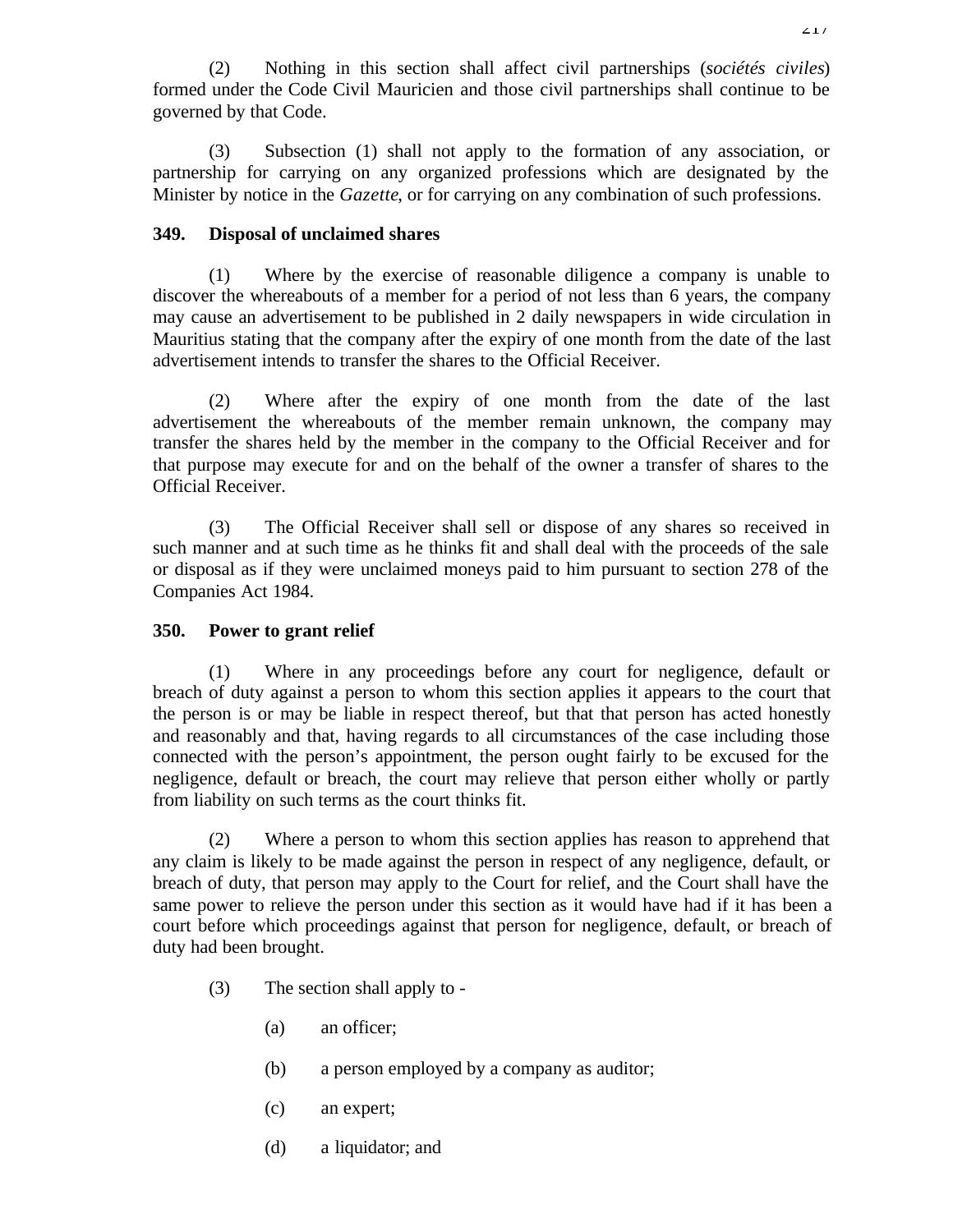(2) Nothing in this section shall affect civil partnerships (*sociétés civiles*) formed under the Code Civil Mauricien and those civil partnerships shall continue to be governed by that Code.

(3) Subsection (1) shall not apply to the formation of any association, or partnership for carrying on any organized professions which are designated by the Minister by notice in the *Gazette*, or for carrying on any combination of such professions.

### **349. Disposal of unclaimed shares**

(1) Where by the exercise of reasonable diligence a company is unable to discover the whereabouts of a member for a period of not less than 6 years, the company may cause an advertisement to be published in 2 daily newspapers in wide circulation in Mauritius stating that the company after the expiry of one month from the date of the last advertisement intends to transfer the shares to the Official Receiver.

(2) Where after the expiry of one month from the date of the last advertisement the whereabouts of the member remain unknown, the company may transfer the shares held by the member in the company to the Official Receiver and for that purpose may execute for and on the behalf of the owner a transfer of shares to the Official Receiver.

(3) The Official Receiver shall sell or dispose of any shares so received in such manner and at such time as he thinks fit and shall deal with the proceeds of the sale or disposal as if they were unclaimed moneys paid to him pursuant to section 278 of the Companies Act 1984.

### **350. Power to grant relief**

(1) Where in any proceedings before any court for negligence, default or breach of duty against a person to whom this section applies it appears to the court that the person is or may be liable in respect thereof, but that that person has acted honestly and reasonably and that, having regards to all circumstances of the case including those connected with the person's appointment, the person ought fairly to be excused for the negligence, default or breach, the court may relieve that person either wholly or partly from liability on such terms as the court thinks fit.

(2) Where a person to whom this section applies has reason to apprehend that any claim is likely to be made against the person in respect of any negligence, default, or breach of duty, that person may apply to the Court for relief, and the Court shall have the same power to relieve the person under this section as it would have had if it has been a court before which proceedings against that person for negligence, default, or breach of duty had been brought.

- (3) The section shall apply to
	- (a) an officer;
	- (b) a person employed by a company as auditor;
	- (c) an expert;
	- (d) a liquidator; and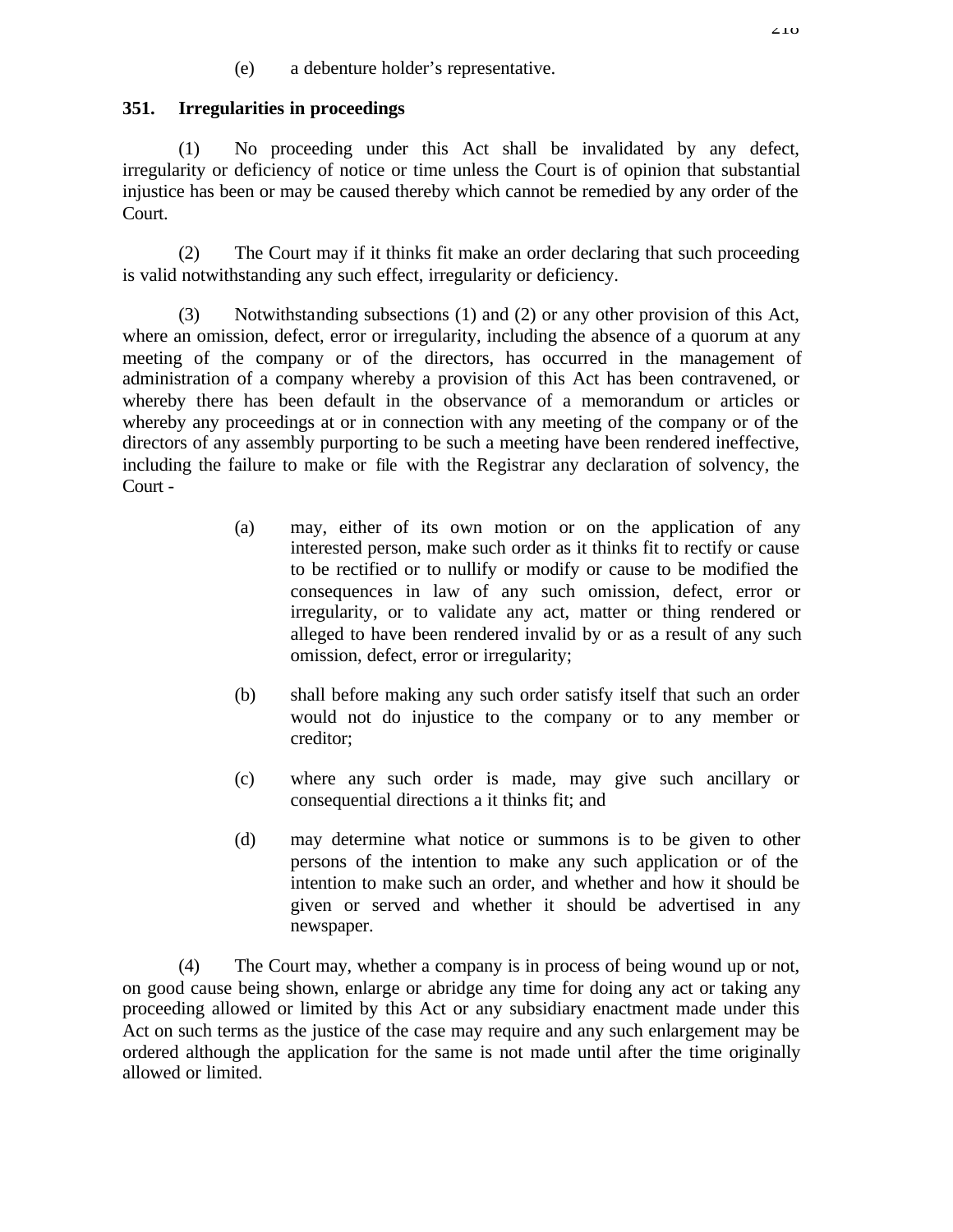(e) a debenture holder's representative.

# **351. Irregularities in proceedings**

(1) No proceeding under this Act shall be invalidated by any defect, irregularity or deficiency of notice or time unless the Court is of opinion that substantial injustice has been or may be caused thereby which cannot be remedied by any order of the Court.

(2) The Court may if it thinks fit make an order declaring that such proceeding is valid notwithstanding any such effect, irregularity or deficiency.

(3) Notwithstanding subsections (1) and (2) or any other provision of this Act, where an omission, defect, error or irregularity, including the absence of a quorum at any meeting of the company or of the directors, has occurred in the management of administration of a company whereby a provision of this Act has been contravened, or whereby there has been default in the observance of a memorandum or articles or whereby any proceedings at or in connection with any meeting of the company or of the directors of any assembly purporting to be such a meeting have been rendered ineffective, including the failure to make or file with the Registrar any declaration of solvency, the Court -

- (a) may, either of its own motion or on the application of any interested person, make such order as it thinks fit to rectify or cause to be rectified or to nullify or modify or cause to be modified the consequences in law of any such omission, defect, error or irregularity, or to validate any act, matter or thing rendered or alleged to have been rendered invalid by or as a result of any such omission, defect, error or irregularity;
- (b) shall before making any such order satisfy itself that such an order would not do injustice to the company or to any member or creditor;
- (c) where any such order is made, may give such ancillary or consequential directions a it thinks fit; and
- (d) may determine what notice or summons is to be given to other persons of the intention to make any such application or of the intention to make such an order, and whether and how it should be given or served and whether it should be advertised in any newspaper.

(4) The Court may, whether a company is in process of being wound up or not, on good cause being shown, enlarge or abridge any time for doing any act or taking any proceeding allowed or limited by this Act or any subsidiary enactment made under this Act on such terms as the justice of the case may require and any such enlargement may be ordered although the application for the same is not made until after the time originally allowed or limited.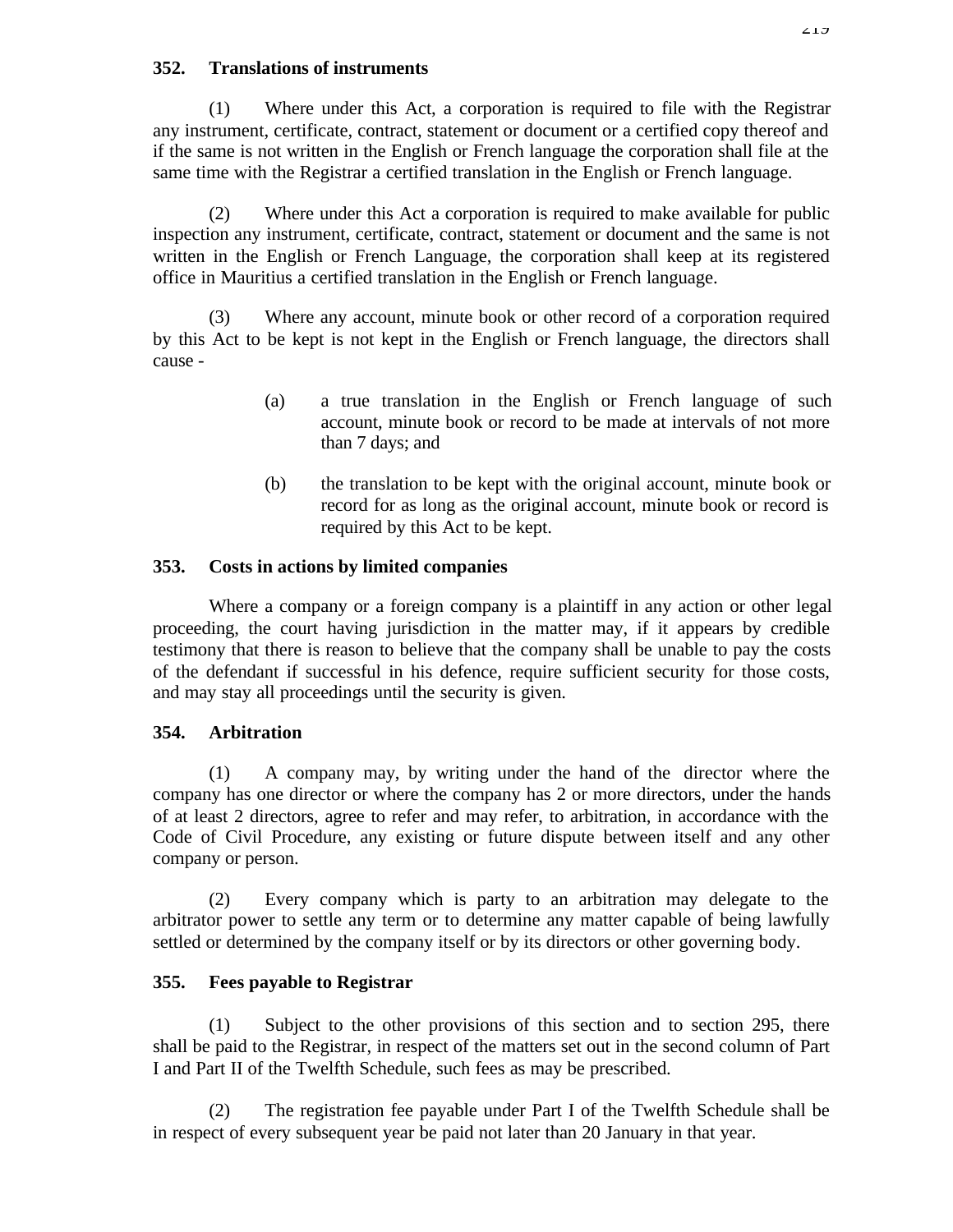### **352. Translations of instruments**

(1) Where under this Act, a corporation is required to file with the Registrar any instrument, certificate, contract, statement or document or a certified copy thereof and if the same is not written in the English or French language the corporation shall file at the same time with the Registrar a certified translation in the English or French language.

(2) Where under this Act a corporation is required to make available for public inspection any instrument, certificate, contract, statement or document and the same is not written in the English or French Language, the corporation shall keep at its registered office in Mauritius a certified translation in the English or French language.

(3) Where any account, minute book or other record of a corporation required by this Act to be kept is not kept in the English or French language, the directors shall cause -

- (a) a true translation in the English or French language of such account, minute book or record to be made at intervals of not more than 7 days; and
- (b) the translation to be kept with the original account, minute book or record for as long as the original account, minute book or record is required by this Act to be kept.

# **353. Costs in actions by limited companies**

Where a company or a foreign company is a plaintiff in any action or other legal proceeding, the court having jurisdiction in the matter may, if it appears by credible testimony that there is reason to believe that the company shall be unable to pay the costs of the defendant if successful in his defence, require sufficient security for those costs, and may stay all proceedings until the security is given.

# **354. Arbitration**

(1) A company may, by writing under the hand of the director where the company has one director or where the company has 2 or more directors, under the hands of at least 2 directors, agree to refer and may refer, to arbitration, in accordance with the Code of Civil Procedure, any existing or future dispute between itself and any other company or person.

(2) Every company which is party to an arbitration may delegate to the arbitrator power to settle any term or to determine any matter capable of being lawfully settled or determined by the company itself or by its directors or other governing body.

# **355. Fees payable to Registrar**

(1) Subject to the other provisions of this section and to section 295, there shall be paid to the Registrar, in respect of the matters set out in the second column of Part I and Part II of the Twelfth Schedule, such fees as may be prescribed.

(2) The registration fee payable under Part I of the Twelfth Schedule shall be in respect of every subsequent year be paid not later than 20 January in that year.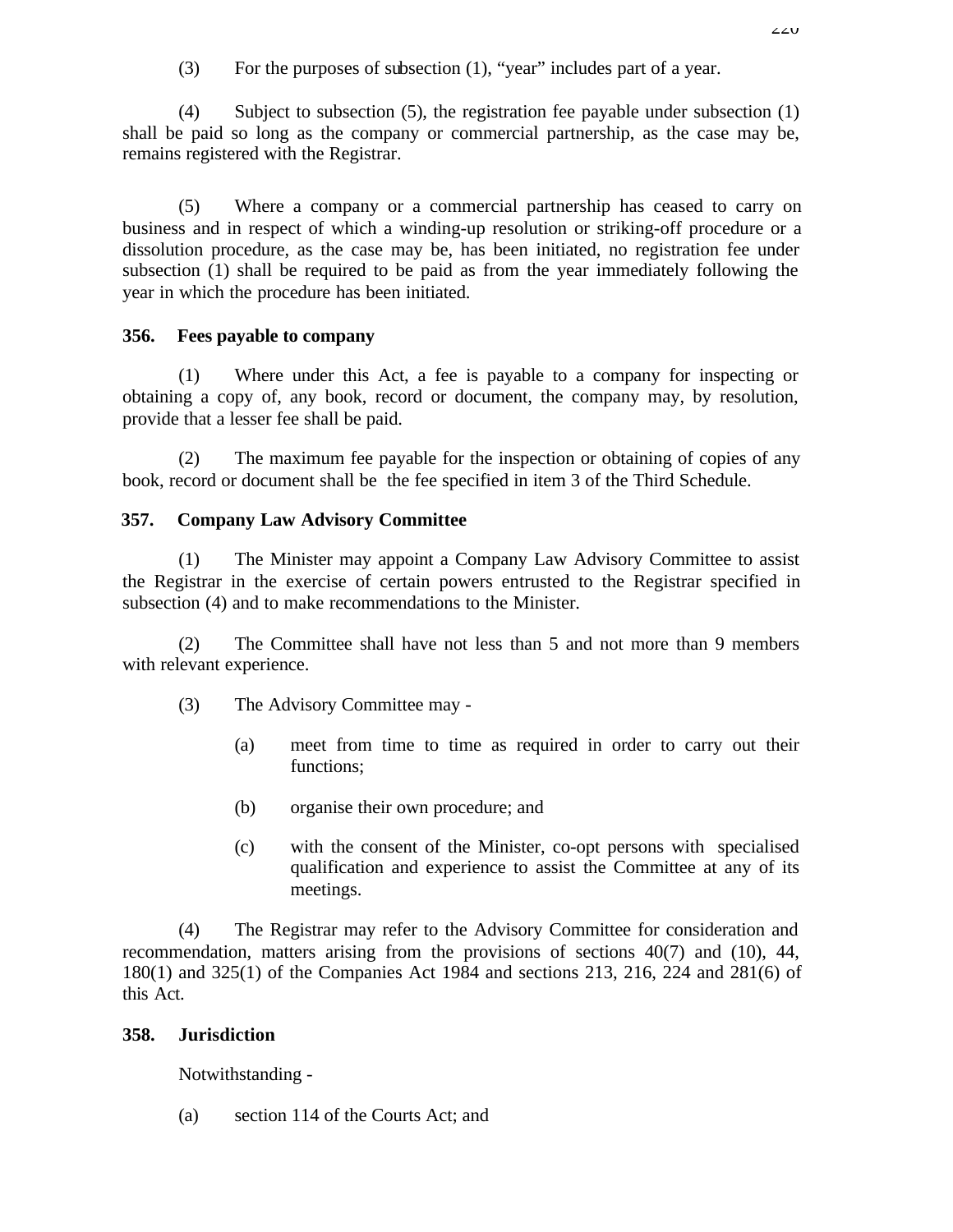(3) For the purposes of subsection (1), "year" includes part of a year.

(4) Subject to subsection (5), the registration fee payable under subsection (1) shall be paid so long as the company or commercial partnership, as the case may be, remains registered with the Registrar.

(5) Where a company or a commercial partnership has ceased to carry on business and in respect of which a winding-up resolution or striking-off procedure or a dissolution procedure, as the case may be, has been initiated, no registration fee under subsection (1) shall be required to be paid as from the year immediately following the year in which the procedure has been initiated.

# **356. Fees payable to company**

(1) Where under this Act, a fee is payable to a company for inspecting or obtaining a copy of, any book, record or document, the company may, by resolution, provide that a lesser fee shall be paid.

(2) The maximum fee payable for the inspection or obtaining of copies of any book, record or document shall be the fee specified in item 3 of the Third Schedule.

# **357. Company Law Advisory Committee**

(1) The Minister may appoint a Company Law Advisory Committee to assist the Registrar in the exercise of certain powers entrusted to the Registrar specified in subsection (4) and to make recommendations to the Minister.

(2) The Committee shall have not less than 5 and not more than 9 members with relevant experience.

- (3) The Advisory Committee may
	- (a) meet from time to time as required in order to carry out their functions;
	- (b) organise their own procedure; and
	- (c) with the consent of the Minister, co-opt persons with specialised qualification and experience to assist the Committee at any of its meetings.

(4) The Registrar may refer to the Advisory Committee for consideration and recommendation, matters arising from the provisions of sections 40(7) and (10), 44, 180(1) and 325(1) of the Companies Act 1984 and sections 213, 216, 224 and 281(6) of this Act.

# **358. Jurisdiction**

Notwithstanding -

(a) section 114 of the Courts Act; and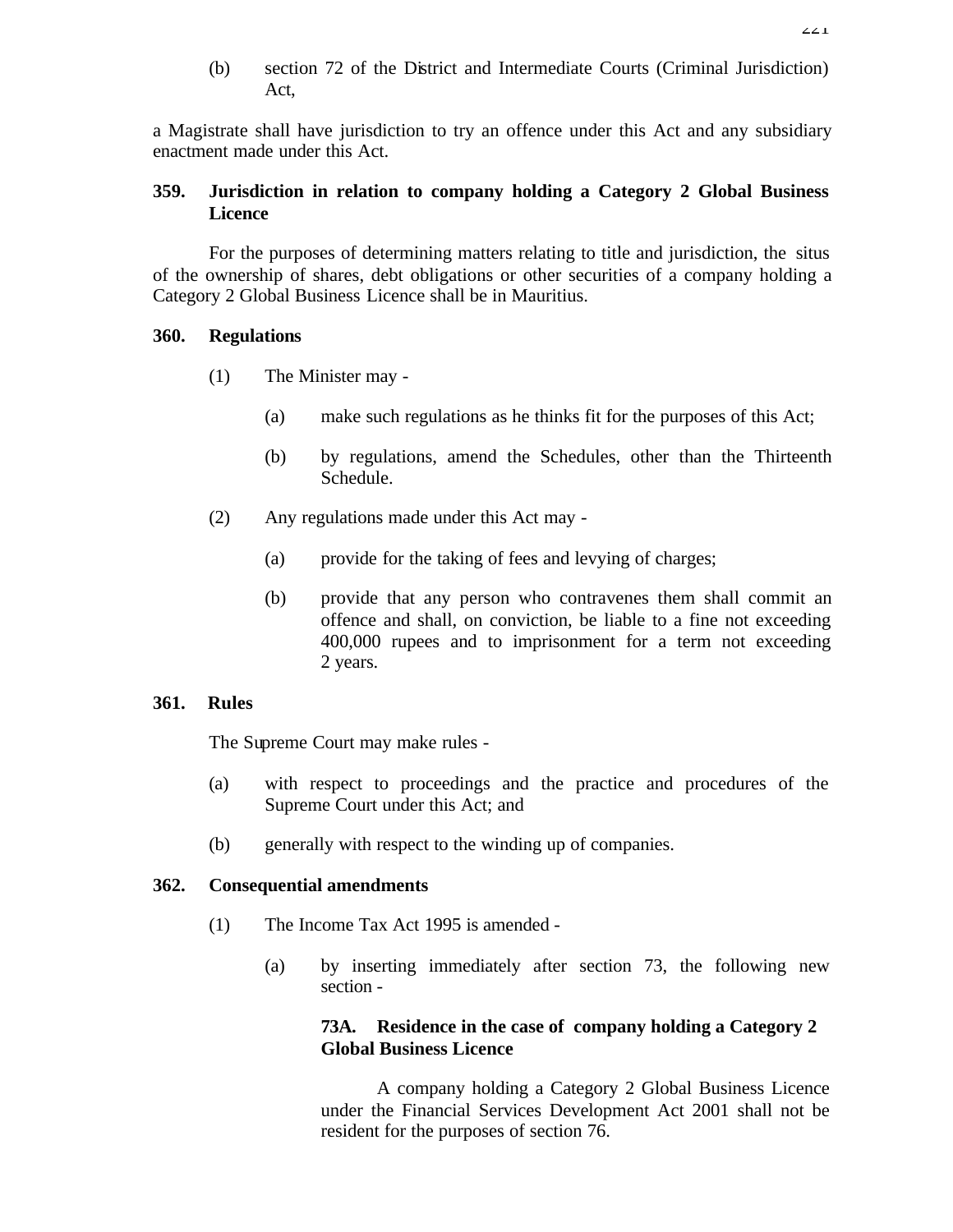(b) section 72 of the District and Intermediate Courts (Criminal Jurisdiction) Act,

a Magistrate shall have jurisdiction to try an offence under this Act and any subsidiary enactment made under this Act.

# **359. Jurisdiction in relation to company holding a Category 2 Global Business Licence**

For the purposes of determining matters relating to title and jurisdiction, the situs of the ownership of shares, debt obligations or other securities of a company holding a Category 2 Global Business Licence shall be in Mauritius.

### **360. Regulations**

- (1) The Minister may
	- (a) make such regulations as he thinks fit for the purposes of this Act;
	- (b) by regulations, amend the Schedules, other than the Thirteenth Schedule.
- (2) Any regulations made under this Act may
	- (a) provide for the taking of fees and levying of charges;
	- (b) provide that any person who contravenes them shall commit an offence and shall, on conviction, be liable to a fine not exceeding 400,000 rupees and to imprisonment for a term not exceeding 2 years.

### **361. Rules**

The Supreme Court may make rules -

- (a) with respect to proceedings and the practice and procedures of the Supreme Court under this Act; and
- (b) generally with respect to the winding up of companies.

### **362. Consequential amendments**

- (1) The Income Tax Act 1995 is amended
	- (a) by inserting immediately after section 73, the following new section -

# **73A. Residence in the case of company holding a Category 2 Global Business Licence**

A company holding a Category 2 Global Business Licence under the Financial Services Development Act 2001 shall not be resident for the purposes of section 76.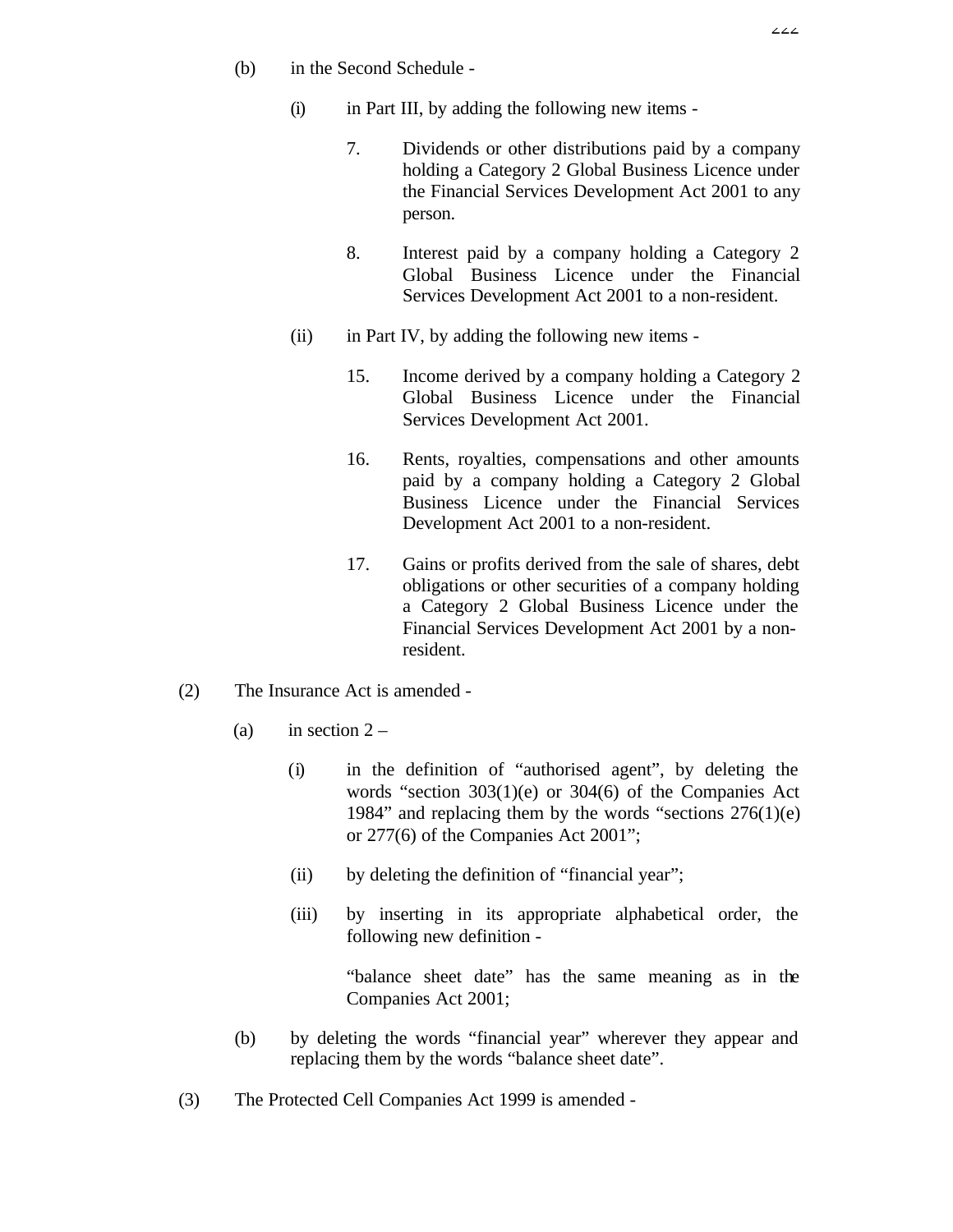- (b) in the Second Schedule
	- (i) in Part III, by adding the following new items
		- 7. Dividends or other distributions paid by a company holding a Category 2 Global Business Licence under the Financial Services Development Act 2001 to any person.
		- 8. Interest paid by a company holding a Category 2 Global Business Licence under the Financial Services Development Act 2001 to a non-resident.
	- (ii) in Part IV, by adding the following new items
		- 15. Income derived by a company holding a Category 2 Global Business Licence under the Financial Services Development Act 2001.
		- 16. Rents, royalties, compensations and other amounts paid by a company holding a Category 2 Global Business Licence under the Financial Services Development Act 2001 to a non-resident.
		- 17. Gains or profits derived from the sale of shares, debt obligations or other securities of a company holding a Category 2 Global Business Licence under the Financial Services Development Act 2001 by a nonresident.
- (2) The Insurance Act is amended
	- (a) in section  $2 -$ 
		- (i) in the definition of "authorised agent", by deleting the words "section 303(1)(e) or 304(6) of the Companies Act 1984" and replacing them by the words "sections 276(1)(e) or 277(6) of the Companies Act 2001";
		- (ii) by deleting the definition of "financial year";
		- (iii) by inserting in its appropriate alphabetical order, the following new definition -

"balance sheet date" has the same meaning as in the Companies Act 2001;

- (b) by deleting the words "financial year" wherever they appear and replacing them by the words "balance sheet date".
- (3) The Protected Cell Companies Act 1999 is amended -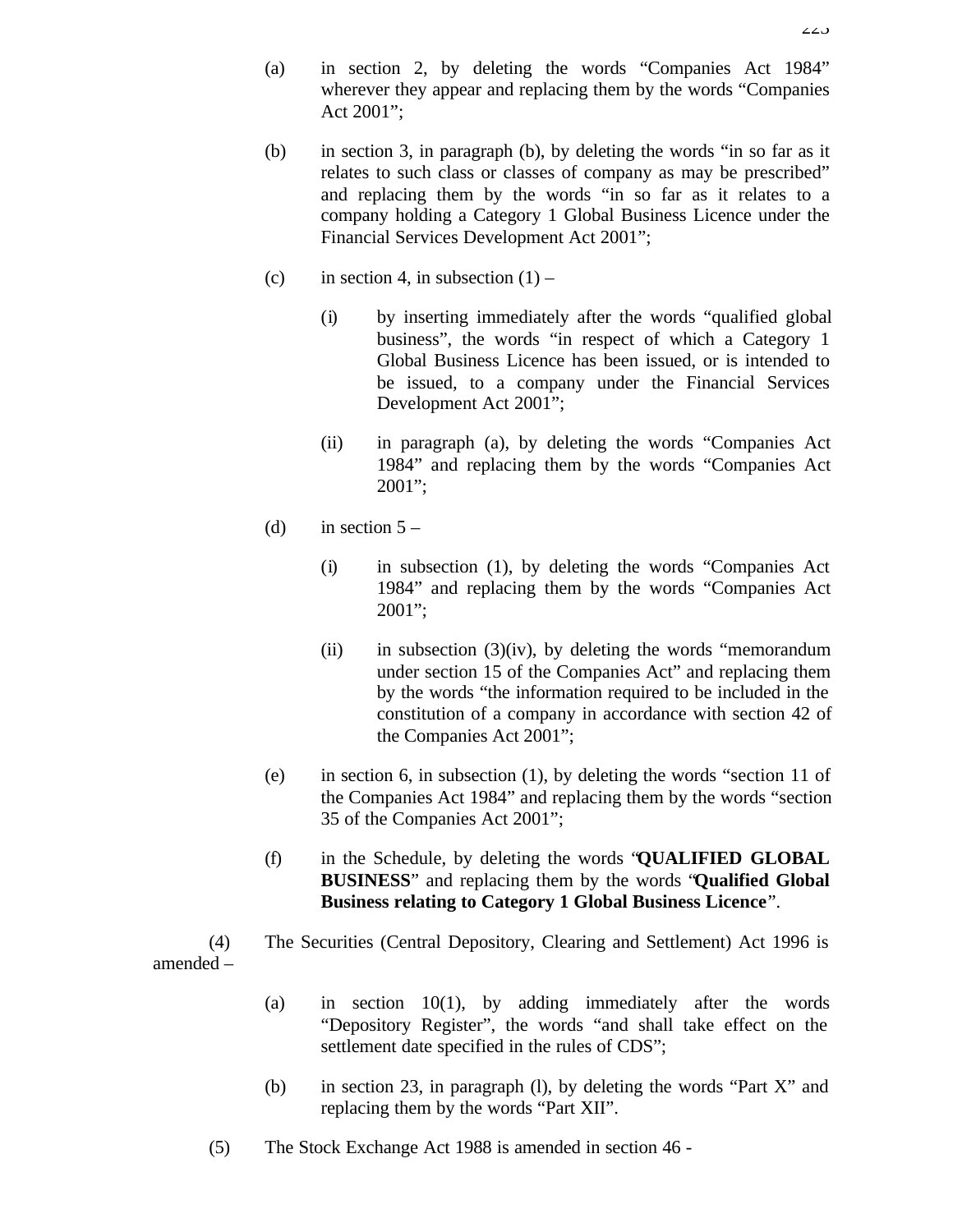- (a) in section 2, by deleting the words "Companies Act 1984" wherever they appear and replacing them by the words "Companies Act 2001";
- (b) in section 3, in paragraph (b), by deleting the words "in so far as it relates to such class or classes of company as may be prescribed" and replacing them by the words "in so far as it relates to a company holding a Category 1 Global Business Licence under the Financial Services Development Act 2001";
- (c) in section 4, in subsection  $(1)$ 
	- (i) by inserting immediately after the words "qualified global business", the words "in respect of which a Category 1 Global Business Licence has been issued, or is intended to be issued, to a company under the Financial Services Development Act 2001";
	- (ii) in paragraph (a), by deleting the words "Companies Act 1984" and replacing them by the words "Companies Act 2001";
- (d) in section  $5 -$ 
	- (i) in subsection (1), by deleting the words "Companies Act 1984" and replacing them by the words "Companies Act 2001";
	- (ii) in subsection  $(3)(iv)$ , by deleting the words "memorandum" under section 15 of the Companies Act" and replacing them by the words "the information required to be included in the constitution of a company in accordance with section 42 of the Companies Act 2001";
- (e) in section 6, in subsection (1), by deleting the words "section 11 of the Companies Act 1984" and replacing them by the words "section 35 of the Companies Act 2001";
- (f) in the Schedule, by deleting the words "**QUALIFIED GLOBAL BUSINESS**" and replacing them by the words "**Qualified Global Business relating to Category 1 Global Business Licence**".
- (4) The Securities (Central Depository, Clearing and Settlement) Act 1996 is amended –
	- (a) in section 10(1), by adding immediately after the words "Depository Register", the words "and shall take effect on the settlement date specified in the rules of CDS";
	- (b) in section 23, in paragraph (l), by deleting the words "Part X" and replacing them by the words "Part XII".
	- (5) The Stock Exchange Act 1988 is amended in section 46 -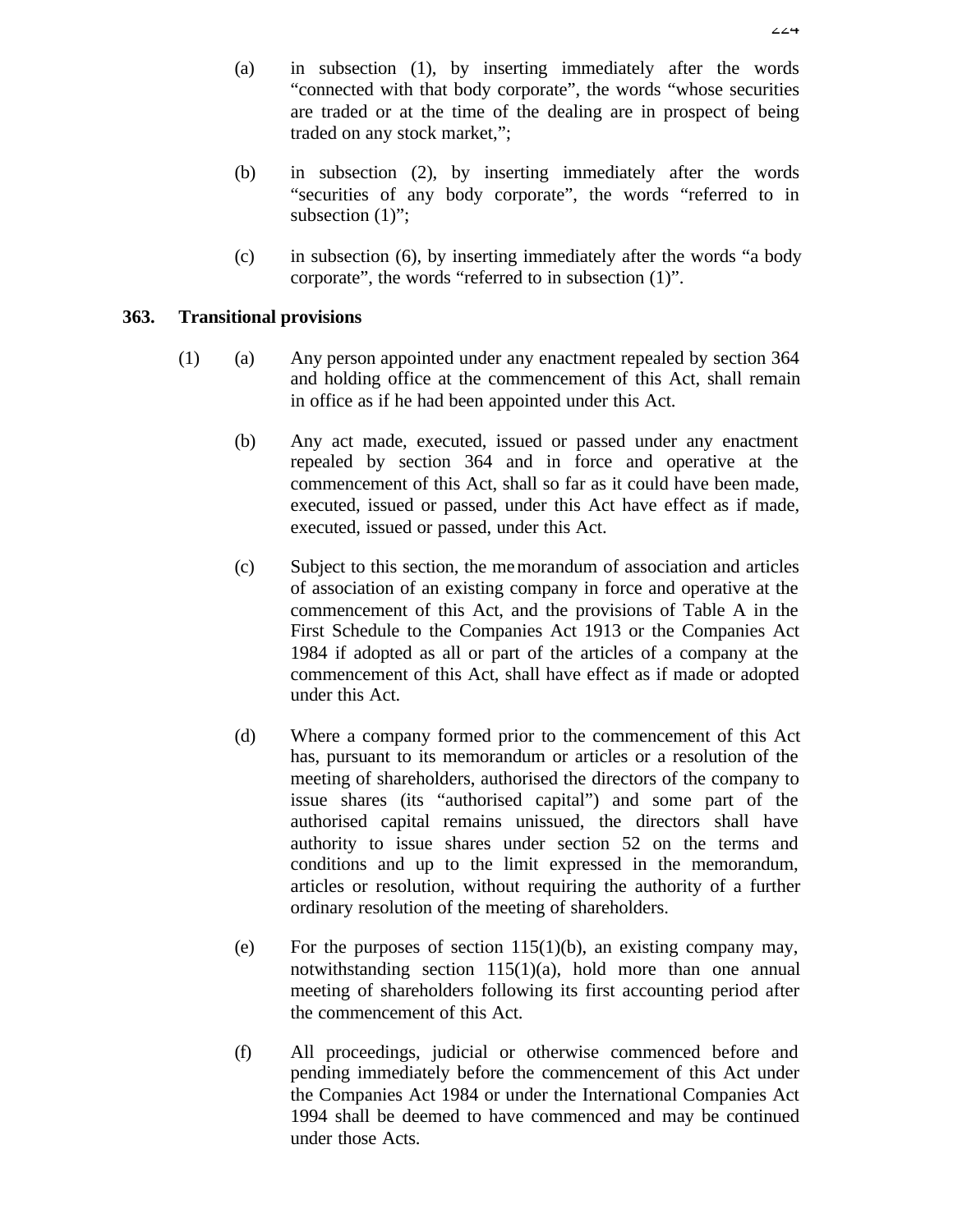- (a) in subsection (1), by inserting immediately after the words "connected with that body corporate", the words "whose securities are traded or at the time of the dealing are in prospect of being traded on any stock market,";
- (b) in subsection (2), by inserting immediately after the words "securities of any body corporate", the words "referred to in subsection  $(1)$ ";
- (c) in subsection (6), by inserting immediately after the words "a body corporate", the words "referred to in subsection (1)".

# **363. Transitional provisions**

- (1) (a) Any person appointed under any enactment repealed by section 364 and holding office at the commencement of this Act, shall remain in office as if he had been appointed under this Act.
	- (b) Any act made, executed, issued or passed under any enactment repealed by section 364 and in force and operative at the commencement of this Act, shall so far as it could have been made, executed, issued or passed, under this Act have effect as if made, executed, issued or passed, under this Act.
	- (c) Subject to this section, the memorandum of association and articles of association of an existing company in force and operative at the commencement of this Act, and the provisions of Table A in the First Schedule to the Companies Act 1913 or the Companies Act 1984 if adopted as all or part of the articles of a company at the commencement of this Act, shall have effect as if made or adopted under this Act.
	- (d) Where a company formed prior to the commencement of this Act has, pursuant to its memorandum or articles or a resolution of the meeting of shareholders, authorised the directors of the company to issue shares (its "authorised capital") and some part of the authorised capital remains unissued, the directors shall have authority to issue shares under section 52 on the terms and conditions and up to the limit expressed in the memorandum, articles or resolution, without requiring the authority of a further ordinary resolution of the meeting of shareholders.
	- (e) For the purposes of section  $115(1)(b)$ , an existing company may, notwithstanding section 115(1)(a), hold more than one annual meeting of shareholders following its first accounting period after the commencement of this Act.
	- (f) All proceedings, judicial or otherwise commenced before and pending immediately before the commencement of this Act under the Companies Act 1984 or under the International Companies Act 1994 shall be deemed to have commenced and may be continued under those Acts.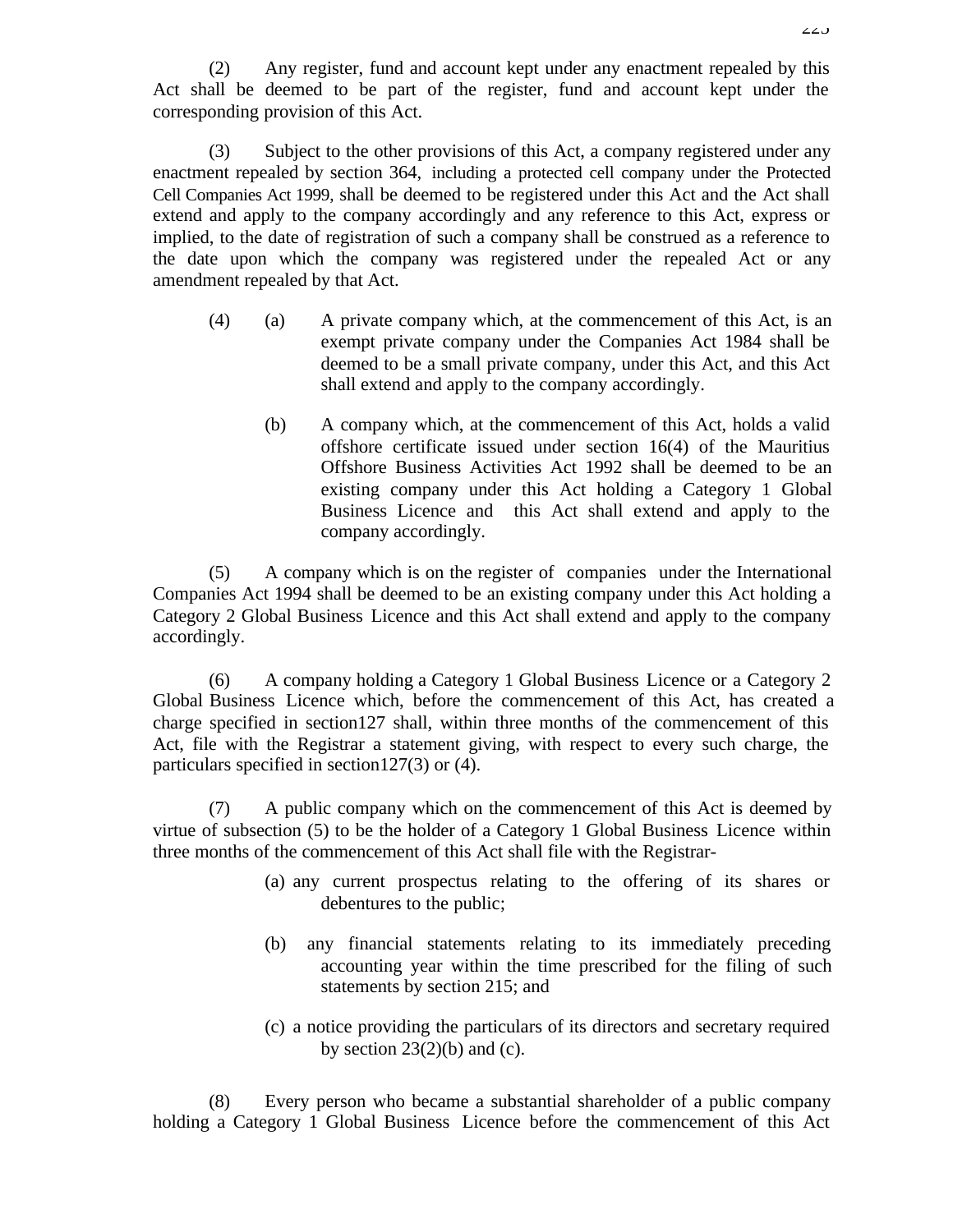(2) Any register, fund and account kept under any enactment repealed by this Act shall be deemed to be part of the register, fund and account kept under the corresponding provision of this Act.

(3) Subject to the other provisions of this Act, a company registered under any enactment repealed by section 364, including a protected cell company under the Protected Cell Companies Act 1999, shall be deemed to be registered under this Act and the Act shall extend and apply to the company accordingly and any reference to this Act, express or implied, to the date of registration of such a company shall be construed as a reference to the date upon which the company was registered under the repealed Act or any amendment repealed by that Act.

- (4) (a) A private company which, at the commencement of this Act, is an exempt private company under the Companies Act 1984 shall be deemed to be a small private company, under this Act, and this Act shall extend and apply to the company accordingly.
	- (b) A company which, at the commencement of this Act, holds a valid offshore certificate issued under section 16(4) of the Mauritius Offshore Business Activities Act 1992 shall be deemed to be an existing company under this Act holding a Category 1 Global Business Licence and this Act shall extend and apply to the company accordingly.

(5) A company which is on the register of companies under the International Companies Act 1994 shall be deemed to be an existing company under this Act holding a Category 2 Global Business Licence and this Act shall extend and apply to the company accordingly.

(6) A company holding a Category 1 Global Business Licence or a Category 2 Global Business Licence which, before the commencement of this Act, has created a charge specified in section127 shall, within three months of the commencement of this Act, file with the Registrar a statement giving, with respect to every such charge, the particulars specified in section127(3) or (4).

(7) A public company which on the commencement of this Act is deemed by virtue of subsection (5) to be the holder of a Category 1 Global Business Licence within three months of the commencement of this Act shall file with the Registrar-

- (a) any current prospectus relating to the offering of its shares or debentures to the public;
- (b) any financial statements relating to its immediately preceding accounting year within the time prescribed for the filing of such statements by section 215; and
- (c) a notice providing the particulars of its directors and secretary required by section  $23(2)(b)$  and (c).

(8) Every person who became a substantial shareholder of a public company holding a Category 1 Global Business Licence before the commencement of this Act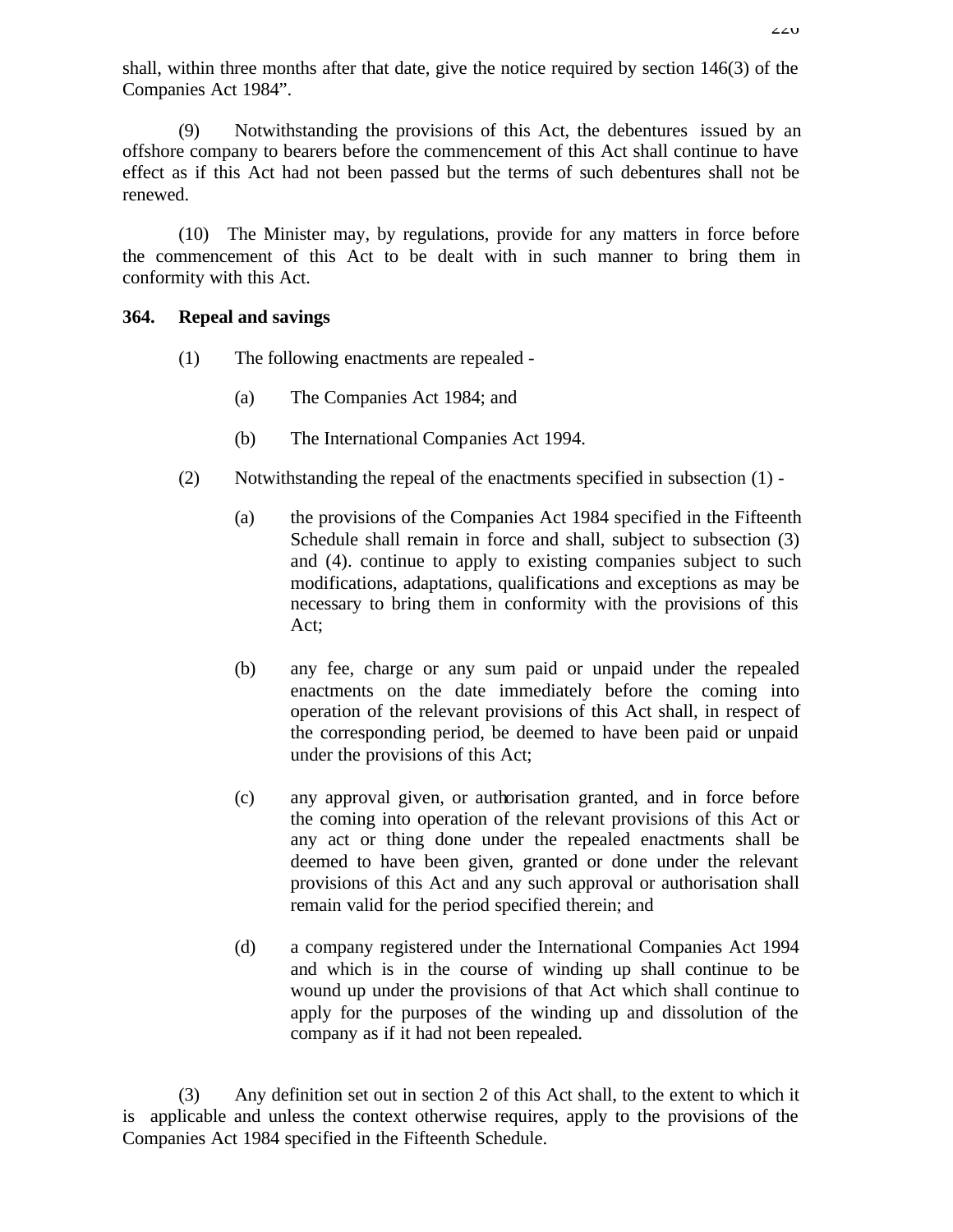shall, within three months after that date, give the notice required by section 146(3) of the Companies Act 1984".

(9) Notwithstanding the provisions of this Act, the debentures issued by an offshore company to bearers before the commencement of this Act shall continue to have effect as if this Act had not been passed but the terms of such debentures shall not be renewed.

(10) The Minister may, by regulations, provide for any matters in force before the commencement of this Act to be dealt with in such manner to bring them in conformity with this Act.

### **364. Repeal and savings**

- (1) The following enactments are repealed
	- (a) The Companies Act 1984; and
	- (b) The International Companies Act 1994.
- (2) Notwithstanding the repeal of the enactments specified in subsection (1)
	- (a) the provisions of the Companies Act 1984 specified in the Fifteenth Schedule shall remain in force and shall, subject to subsection (3) and (4). continue to apply to existing companies subject to such modifications, adaptations, qualifications and exceptions as may be necessary to bring them in conformity with the provisions of this Act;
	- (b) any fee, charge or any sum paid or unpaid under the repealed enactments on the date immediately before the coming into operation of the relevant provisions of this Act shall, in respect of the corresponding period, be deemed to have been paid or unpaid under the provisions of this Act;
	- (c) any approval given, or authorisation granted, and in force before the coming into operation of the relevant provisions of this Act or any act or thing done under the repealed enactments shall be deemed to have been given, granted or done under the relevant provisions of this Act and any such approval or authorisation shall remain valid for the period specified therein; and
	- (d) a company registered under the International Companies Act 1994 and which is in the course of winding up shall continue to be wound up under the provisions of that Act which shall continue to apply for the purposes of the winding up and dissolution of the company as if it had not been repealed.

(3) Any definition set out in section 2 of this Act shall, to the extent to which it is applicable and unless the context otherwise requires, apply to the provisions of the Companies Act 1984 specified in the Fifteenth Schedule.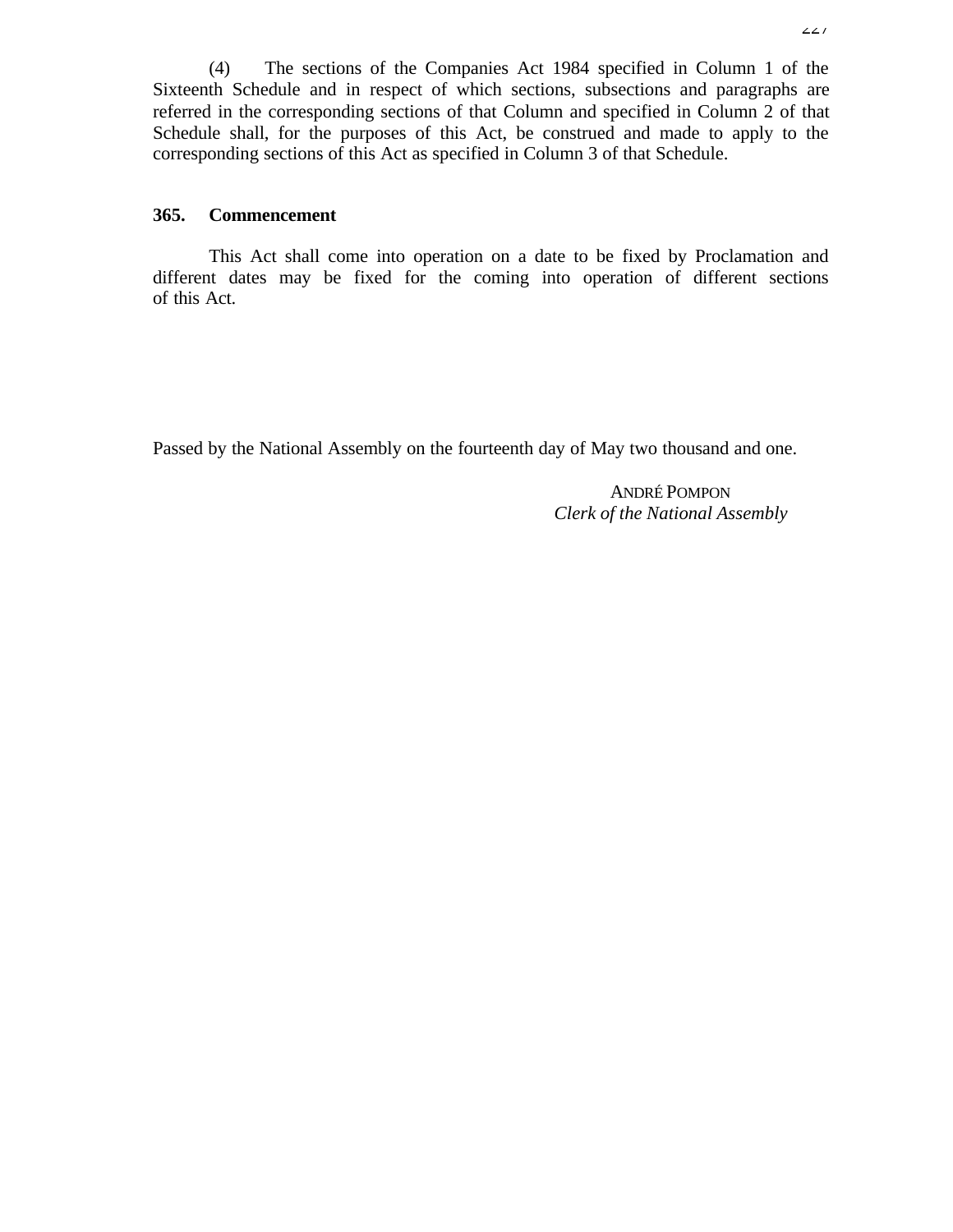(4) The sections of the Companies Act 1984 specified in Column 1 of the Sixteenth Schedule and in respect of which sections, subsections and paragraphs are referred in the corresponding sections of that Column and specified in Column 2 of that Schedule shall, for the purposes of this Act, be construed and made to apply to the corresponding sections of this Act as specified in Column 3 of that Schedule.

### **365. Commencement**

This Act shall come into operation on a date to be fixed by Proclamation and different dates may be fixed for the coming into operation of different sections of this Act.

Passed by the National Assembly on the fourteenth day of May two thousand and one.

ANDRÉ POMPON *Clerk of the National Assembly*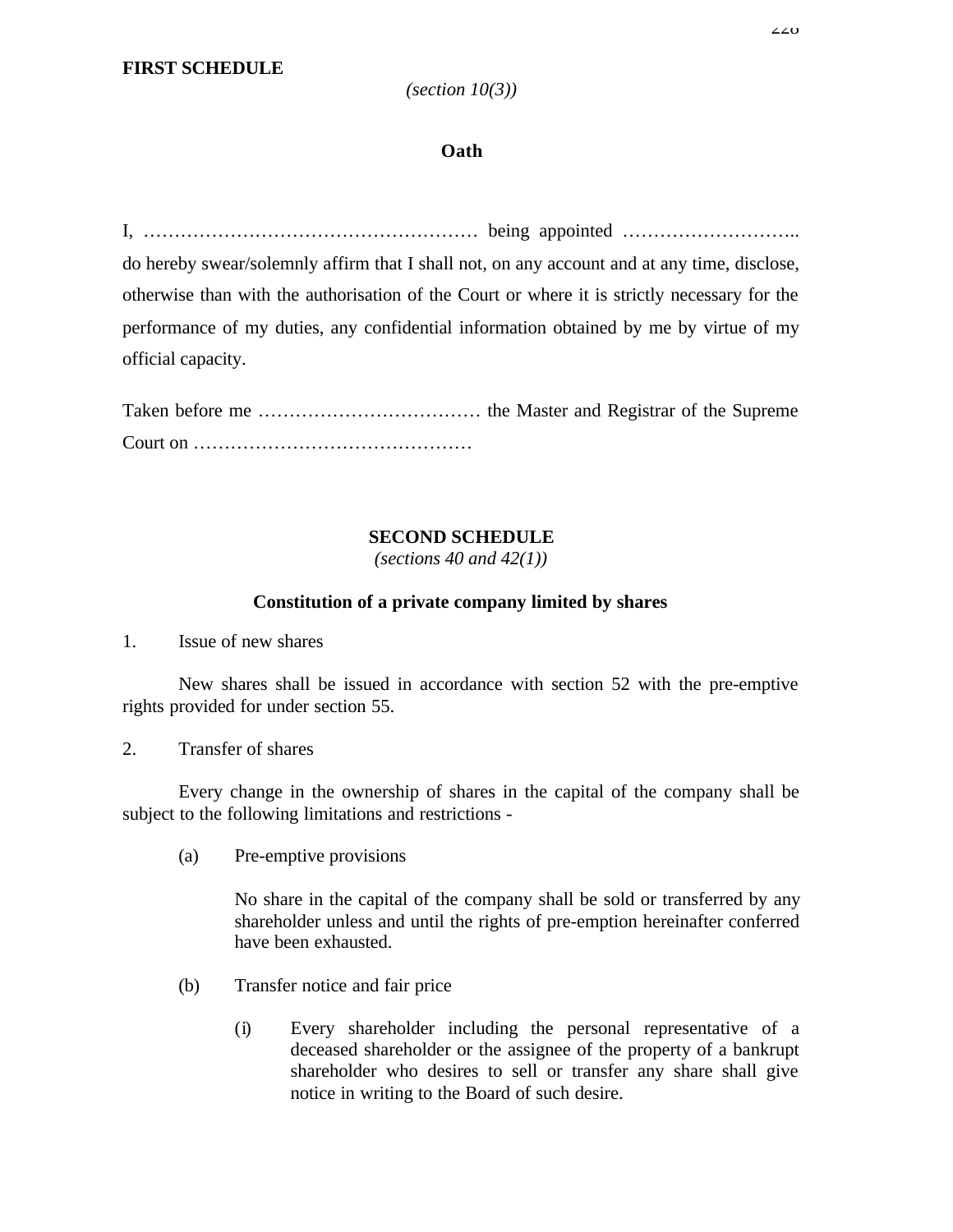# **Oath**

I, ……………………………………………… being appointed ……………………….. do hereby swear/solemnly affirm that I shall not, on any account and at any time, disclose, otherwise than with the authorisation of the Court or where it is strictly necessary for the performance of my duties, any confidential information obtained by me by virtue of my official capacity.

Taken before me ……………………………… the Master and Registrar of the Supreme Court on ………………………………………

# **SECOND SCHEDULE**

*(sections 40 and 42(1))*

# **Constitution of a private company limited by shares**

1. Issue of new shares

New shares shall be issued in accordance with section 52 with the pre-emptive rights provided for under section 55.

2. Transfer of shares

Every change in the ownership of shares in the capital of the company shall be subject to the following limitations and restrictions -

(a) Pre-emptive provisions

No share in the capital of the company shall be sold or transferred by any shareholder unless and until the rights of pre-emption hereinafter conferred have been exhausted.

- (b) Transfer notice and fair price
	- (i) Every shareholder including the personal representative of a deceased shareholder or the assignee of the property of a bankrupt shareholder who desires to sell or transfer any share shall give notice in writing to the Board of such desire.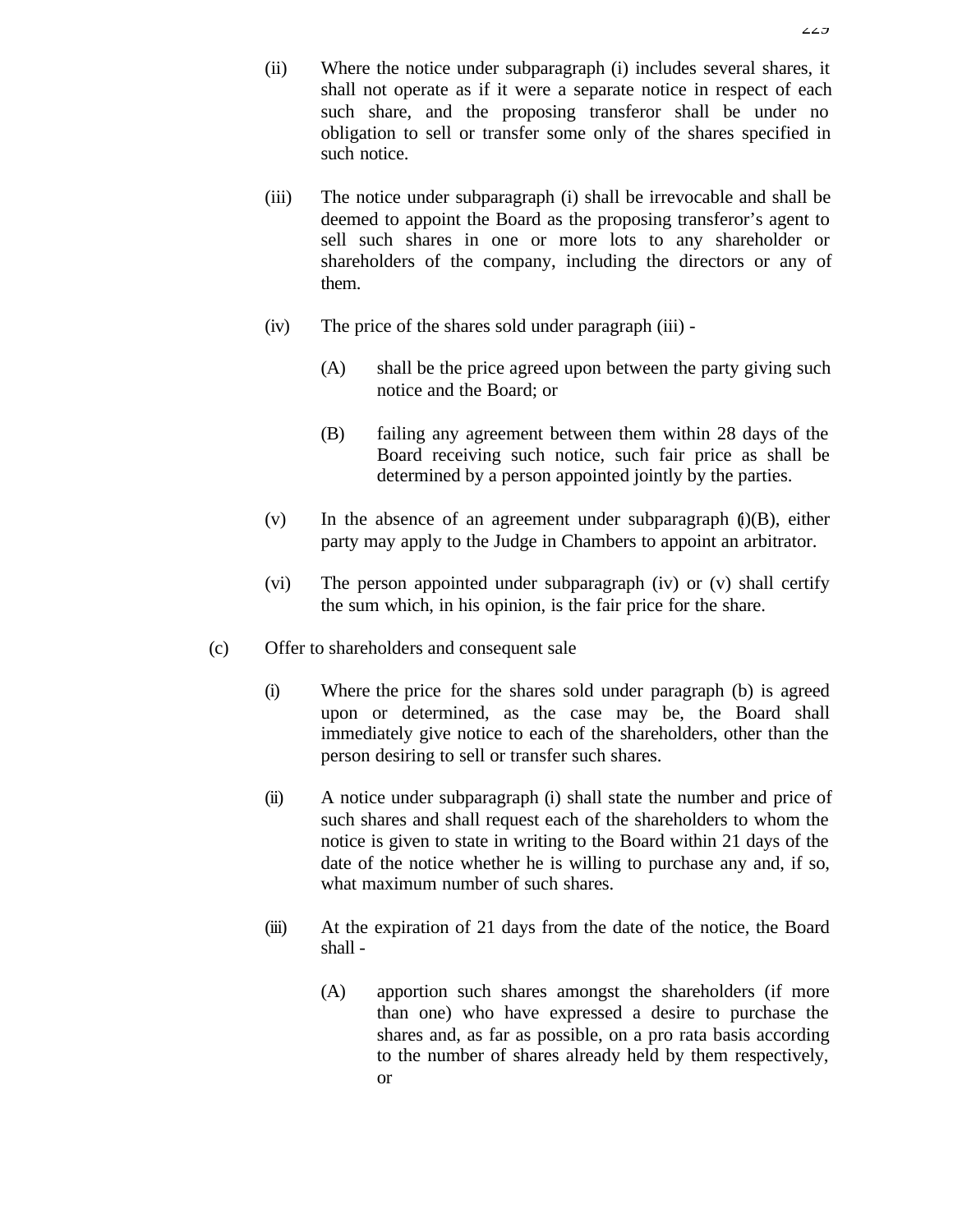- (ii) Where the notice under subparagraph (i) includes several shares, it shall not operate as if it were a separate notice in respect of each such share, and the proposing transferor shall be under no obligation to sell or transfer some only of the shares specified in such notice.
- (iii) The notice under subparagraph (i) shall be irrevocable and shall be deemed to appoint the Board as the proposing transferor's agent to sell such shares in one or more lots to any shareholder or shareholders of the company, including the directors or any of them.
- (iv) The price of the shares sold under paragraph (iii)
	- (A) shall be the price agreed upon between the party giving such notice and the Board; or
	- (B) failing any agreement between them within 28 days of the Board receiving such notice, such fair price as shall be determined by a person appointed jointly by the parties.
- (v) In the absence of an agreement under subparagraph  $(i)(B)$ , either party may apply to the Judge in Chambers to appoint an arbitrator.
- (vi) The person appointed under subparagraph (iv) or (v) shall certify the sum which, in his opinion, is the fair price for the share.
- (c) Offer to shareholders and consequent sale
	- (i) Where the price for the shares sold under paragraph (b) is agreed upon or determined, as the case may be, the Board shall immediately give notice to each of the shareholders, other than the person desiring to sell or transfer such shares.
	- (ii) A notice under subparagraph (i) shall state the number and price of such shares and shall request each of the shareholders to whom the notice is given to state in writing to the Board within 21 days of the date of the notice whether he is willing to purchase any and, if so, what maximum number of such shares.
	- (iii) At the expiration of 21 days from the date of the notice, the Board shall -
		- (A) apportion such shares amongst the shareholders (if more than one) who have expressed a desire to purchase the shares and, as far as possible, on a pro rata basis according to the number of shares already held by them respectively, or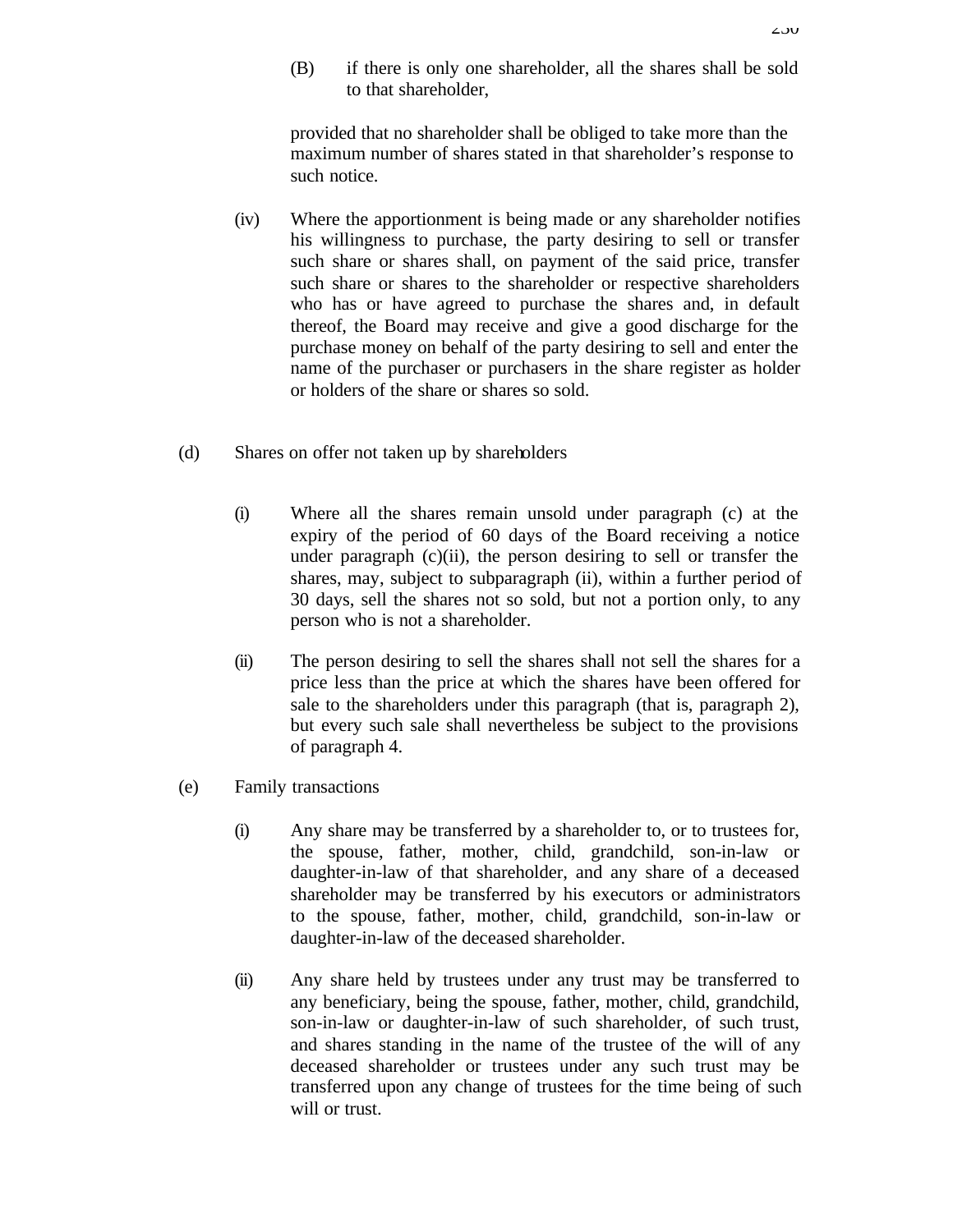(B) if there is only one shareholder, all the shares shall be sold to that shareholder,

provided that no shareholder shall be obliged to take more than the maximum number of shares stated in that shareholder's response to such notice.

- (iv) Where the apportionment is being made or any shareholder notifies his willingness to purchase, the party desiring to sell or transfer such share or shares shall, on payment of the said price, transfer such share or shares to the shareholder or respective shareholders who has or have agreed to purchase the shares and, in default thereof, the Board may receive and give a good discharge for the purchase money on behalf of the party desiring to sell and enter the name of the purchaser or purchasers in the share register as holder or holders of the share or shares so sold.
- (d) Shares on offer not taken up by shareholders
	- (i) Where all the shares remain unsold under paragraph (c) at the expiry of the period of 60 days of the Board receiving a notice under paragraph  $(c)(ii)$ , the person desiring to sell or transfer the shares, may, subject to subparagraph (ii), within a further period of 30 days, sell the shares not so sold, but not a portion only, to any person who is not a shareholder.
	- (ii) The person desiring to sell the shares shall not sell the shares for a price less than the price at which the shares have been offered for sale to the shareholders under this paragraph (that is, paragraph 2), but every such sale shall nevertheless be subject to the provisions of paragraph 4.
- (e) Family transactions
	- (i) Any share may be transferred by a shareholder to, or to trustees for, the spouse, father, mother, child, grandchild, son-in-law or daughter-in-law of that shareholder, and any share of a deceased shareholder may be transferred by his executors or administrators to the spouse, father, mother, child, grandchild, son-in-law or daughter-in-law of the deceased shareholder.
	- (ii) Any share held by trustees under any trust may be transferred to any beneficiary, being the spouse, father, mother, child, grandchild, son-in-law or daughter-in-law of such shareholder, of such trust, and shares standing in the name of the trustee of the will of any deceased shareholder or trustees under any such trust may be transferred upon any change of trustees for the time being of such will or trust.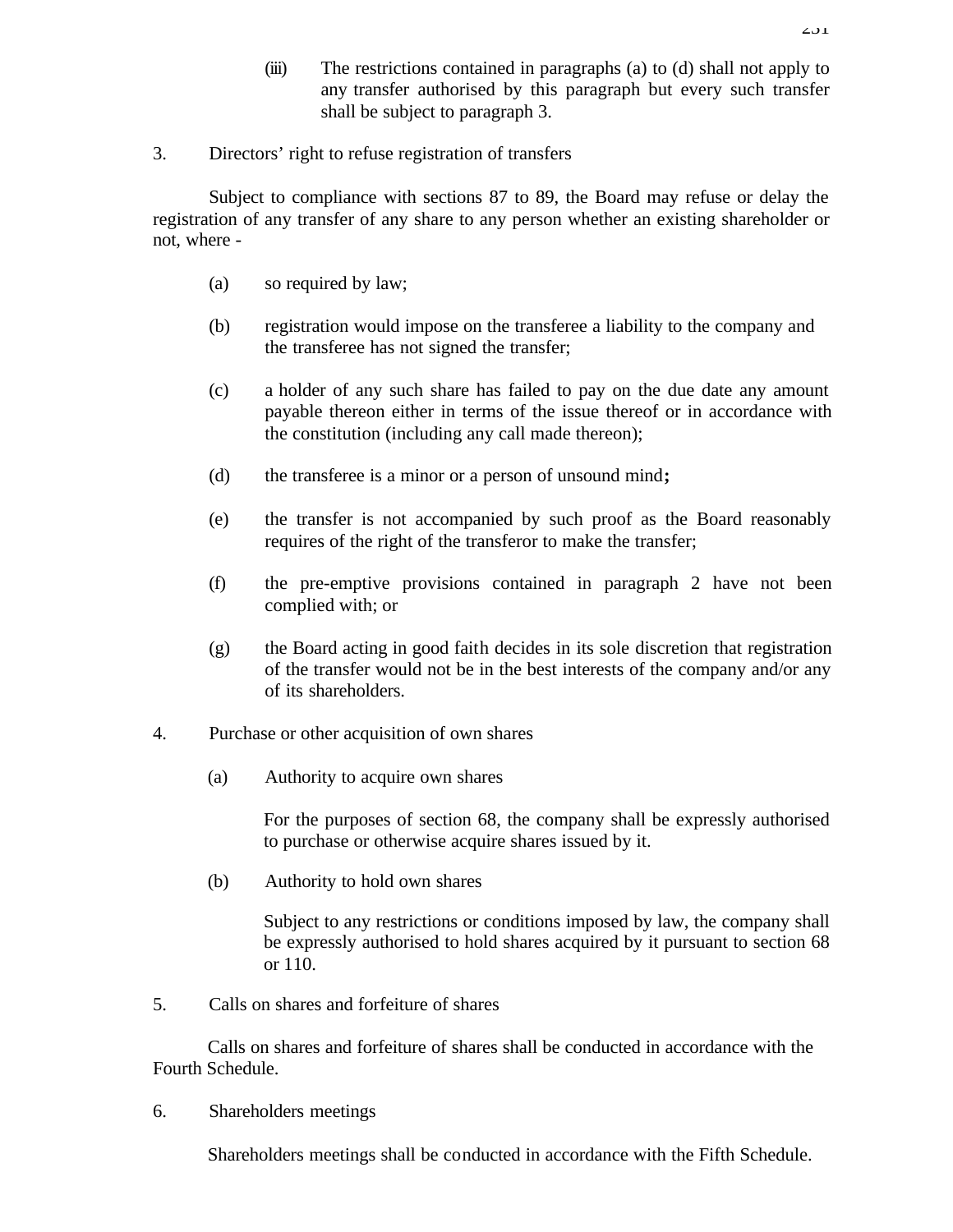(iii) The restrictions contained in paragraphs (a) to (d) shall not apply to any transfer authorised by this paragraph but every such transfer shall be subject to paragraph 3.

# 3. Directors' right to refuse registration of transfers

Subject to compliance with sections 87 to 89, the Board may refuse or delay the registration of any transfer of any share to any person whether an existing shareholder or not, where -

- (a) so required by law;
- (b) registration would impose on the transferee a liability to the company and the transferee has not signed the transfer;
- (c) a holder of any such share has failed to pay on the due date any amount payable thereon either in terms of the issue thereof or in accordance with the constitution (including any call made thereon);
- (d) the transferee is a minor or a person of unsound mind**;**
- (e) the transfer is not accompanied by such proof as the Board reasonably requires of the right of the transferor to make the transfer;
- (f) the pre-emptive provisions contained in paragraph 2 have not been complied with; or
- (g) the Board acting in good faith decides in its sole discretion that registration of the transfer would not be in the best interests of the company and/or any of its shareholders.
- 4. Purchase or other acquisition of own shares
	- (a) Authority to acquire own shares

For the purposes of section 68, the company shall be expressly authorised to purchase or otherwise acquire shares issued by it.

(b) Authority to hold own shares

Subject to any restrictions or conditions imposed by law, the company shall be expressly authorised to hold shares acquired by it pursuant to section 68 or 110.

5. Calls on shares and forfeiture of shares

Calls on shares and forfeiture of shares shall be conducted in accordance with the Fourth Schedule.

6. Shareholders meetings

Shareholders meetings shall be conducted in accordance with the Fifth Schedule.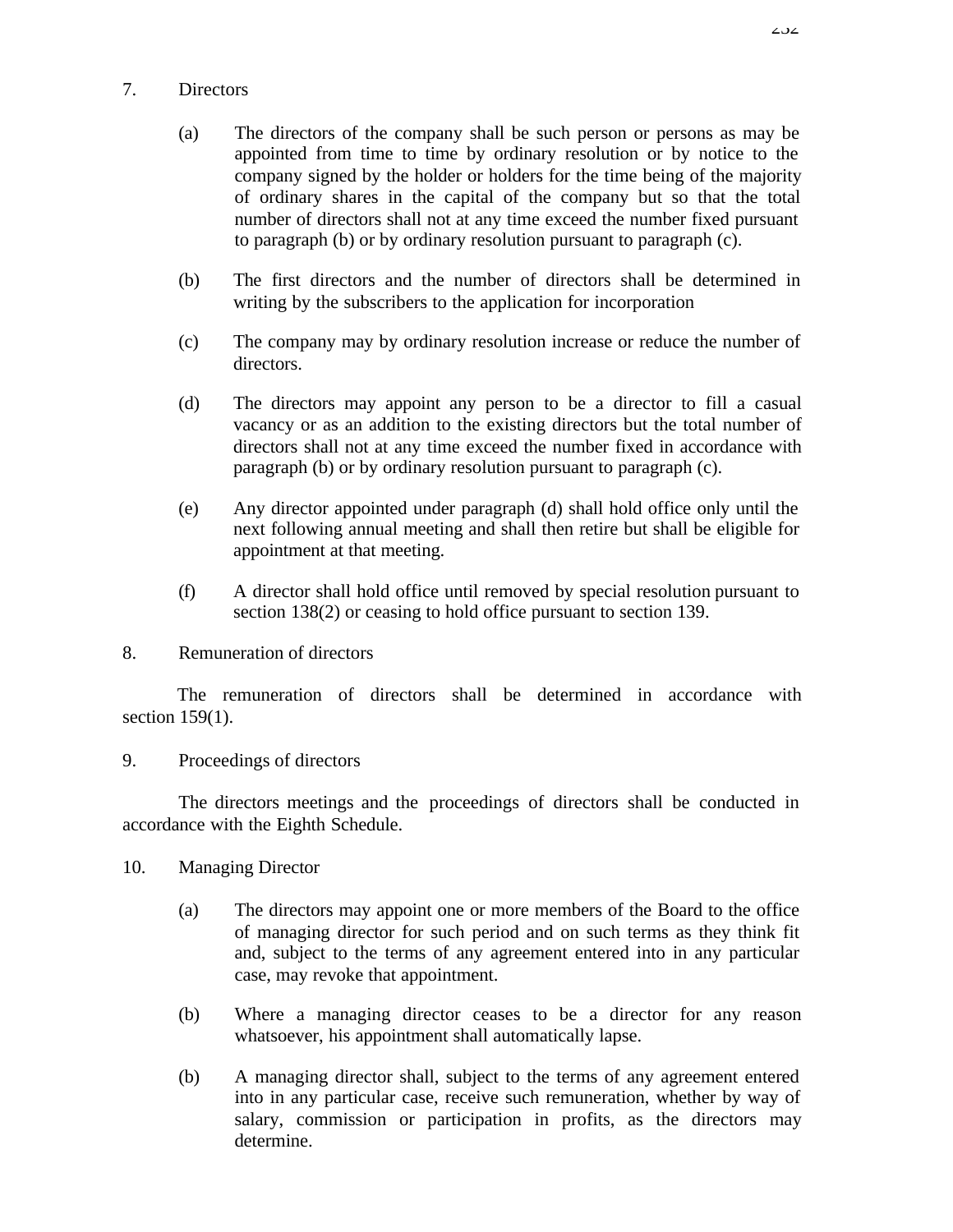### 7. Directors

- (a) The directors of the company shall be such person or persons as may be appointed from time to time by ordinary resolution or by notice to the company signed by the holder or holders for the time being of the majority of ordinary shares in the capital of the company but so that the total number of directors shall not at any time exceed the number fixed pursuant to paragraph (b) or by ordinary resolution pursuant to paragraph (c).
- (b) The first directors and the number of directors shall be determined in writing by the subscribers to the application for incorporation
- (c) The company may by ordinary resolution increase or reduce the number of directors.
- (d) The directors may appoint any person to be a director to fill a casual vacancy or as an addition to the existing directors but the total number of directors shall not at any time exceed the number fixed in accordance with paragraph (b) or by ordinary resolution pursuant to paragraph (c).
- (e) Any director appointed under paragraph (d) shall hold office only until the next following annual meeting and shall then retire but shall be eligible for appointment at that meeting.
- (f) A director shall hold office until removed by special resolution pursuant to section 138(2) or ceasing to hold office pursuant to section 139.
- 8. Remuneration of directors

The remuneration of directors shall be determined in accordance with section 159(1).

9. Proceedings of directors

The directors meetings and the proceedings of directors shall be conducted in accordance with the Eighth Schedule.

- 10. Managing Director
	- (a) The directors may appoint one or more members of the Board to the office of managing director for such period and on such terms as they think fit and, subject to the terms of any agreement entered into in any particular case, may revoke that appointment.
	- (b) Where a managing director ceases to be a director for any reason whatsoever, his appointment shall automatically lapse.
	- (b) A managing director shall, subject to the terms of any agreement entered into in any particular case, receive such remuneration, whether by way of salary, commission or participation in profits, as the directors may determine.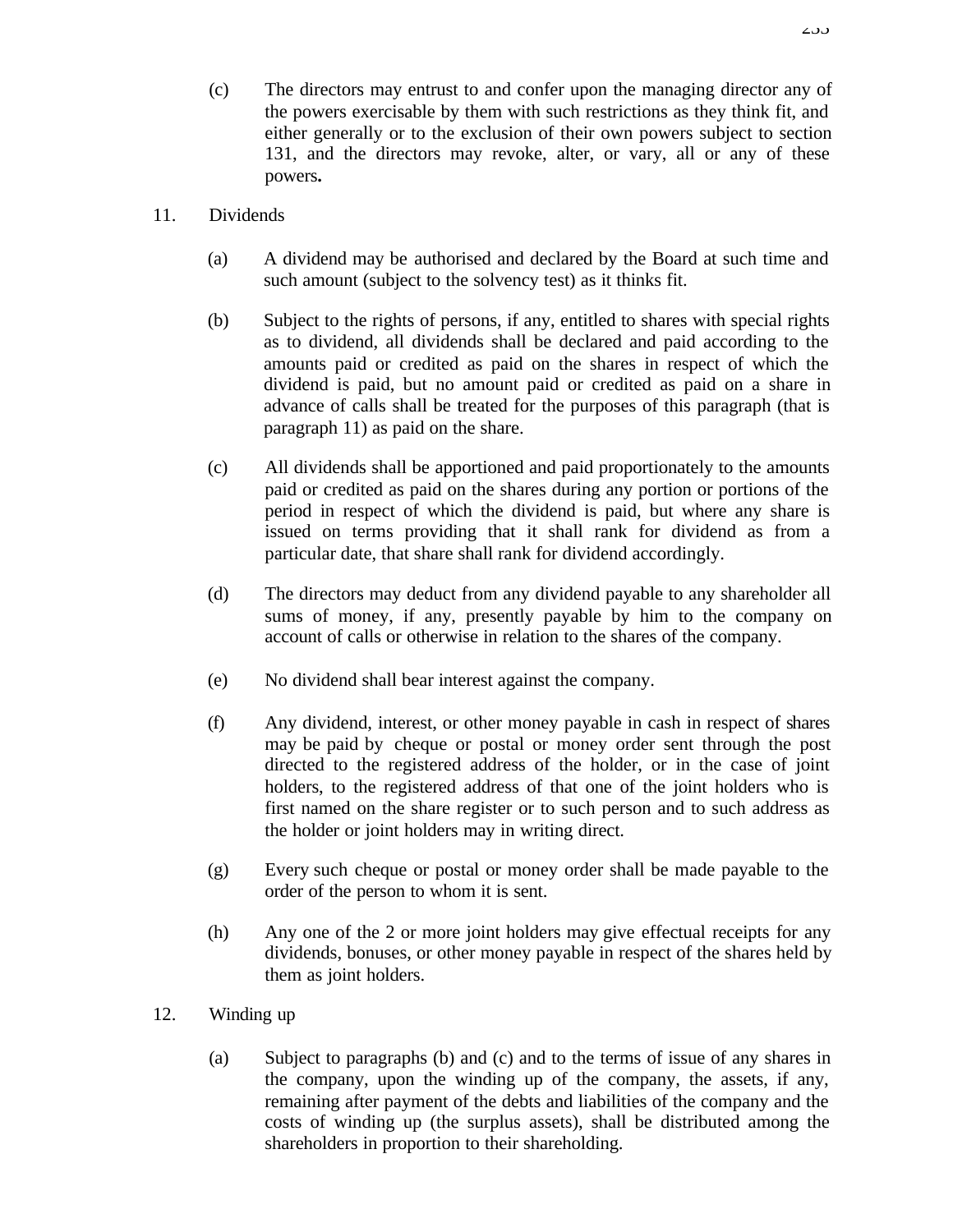- (c) The directors may entrust to and confer upon the managing director any of the powers exercisable by them with such restrictions as they think fit, and either generally or to the exclusion of their own powers subject to section 131, and the directors may revoke, alter, or vary, all or any of these powers**.**
- 11. Dividends
	- (a) A dividend may be authorised and declared by the Board at such time and such amount (subject to the solvency test) as it thinks fit.
	- (b) Subject to the rights of persons, if any, entitled to shares with special rights as to dividend, all dividends shall be declared and paid according to the amounts paid or credited as paid on the shares in respect of which the dividend is paid, but no amount paid or credited as paid on a share in advance of calls shall be treated for the purposes of this paragraph (that is paragraph 11) as paid on the share.
	- (c) All dividends shall be apportioned and paid proportionately to the amounts paid or credited as paid on the shares during any portion or portions of the period in respect of which the dividend is paid, but where any share is issued on terms providing that it shall rank for dividend as from a particular date, that share shall rank for dividend accordingly.
	- (d) The directors may deduct from any dividend payable to any shareholder all sums of money, if any, presently payable by him to the company on account of calls or otherwise in relation to the shares of the company.
	- (e) No dividend shall bear interest against the company.
	- (f) Any dividend, interest, or other money payable in cash in respect of shares may be paid by cheque or postal or money order sent through the post directed to the registered address of the holder, or in the case of joint holders, to the registered address of that one of the joint holders who is first named on the share register or to such person and to such address as the holder or joint holders may in writing direct.
	- (g) Every such cheque or postal or money order shall be made payable to the order of the person to whom it is sent.
	- (h) Any one of the 2 or more joint holders may give effectual receipts for any dividends, bonuses, or other money payable in respect of the shares held by them as joint holders.
- 12. Winding up
	- (a) Subject to paragraphs (b) and (c) and to the terms of issue of any shares in the company, upon the winding up of the company, the assets, if any, remaining after payment of the debts and liabilities of the company and the costs of winding up (the surplus assets), shall be distributed among the shareholders in proportion to their shareholding.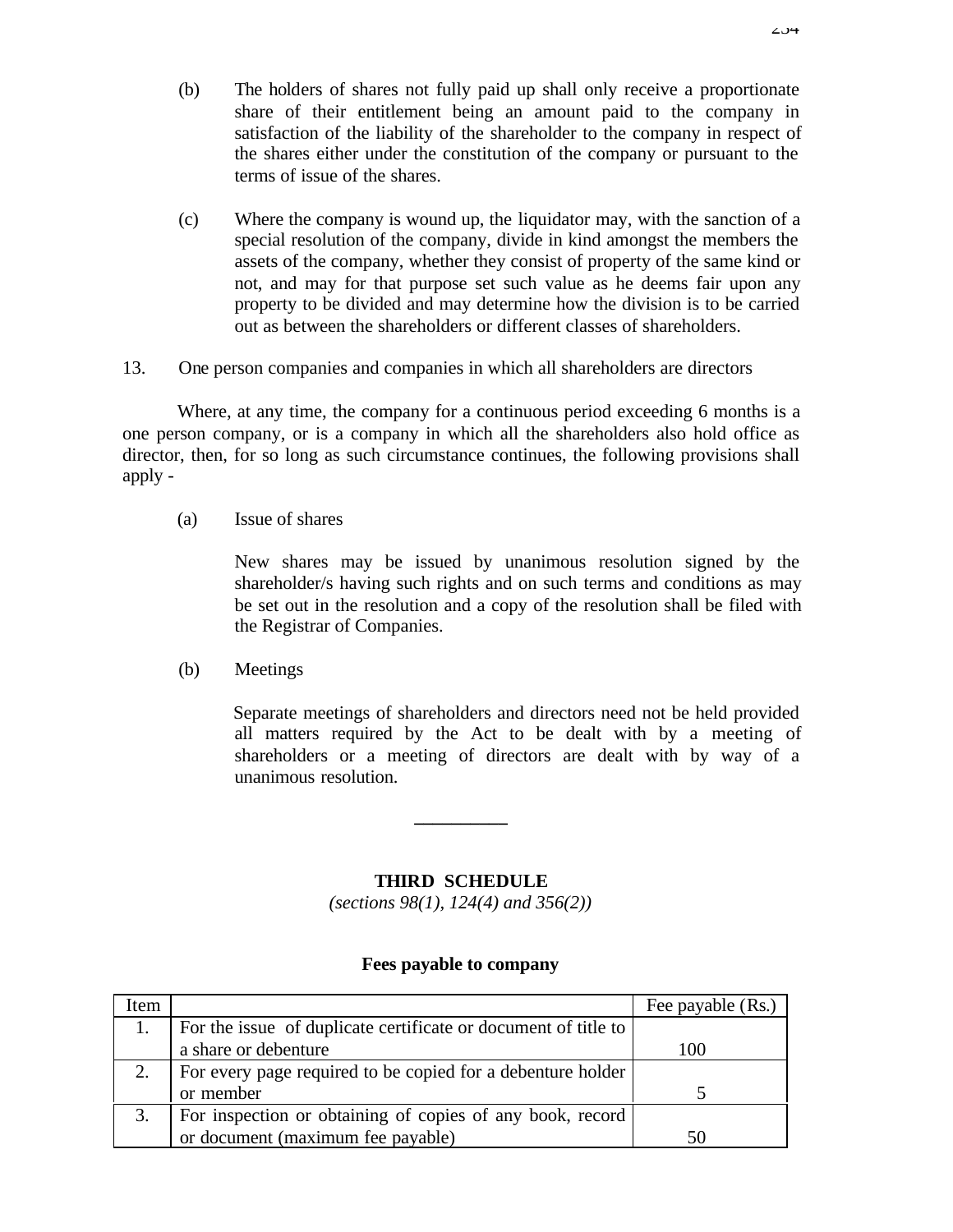- (b) The holders of shares not fully paid up shall only receive a proportionate share of their entitlement being an amount paid to the company in satisfaction of the liability of the shareholder to the company in respect of the shares either under the constitution of the company or pursuant to the terms of issue of the shares.
- (c) Where the company is wound up, the liquidator may, with the sanction of a special resolution of the company, divide in kind amongst the members the assets of the company, whether they consist of property of the same kind or not, and may for that purpose set such value as he deems fair upon any property to be divided and may determine how the division is to be carried out as between the shareholders or different classes of shareholders.
- 13. One person companies and companies in which all shareholders are directors

Where, at any time, the company for a continuous period exceeding 6 months is a one person company, or is a company in which all the shareholders also hold office as director, then, for so long as such circumstance continues, the following provisions shall apply -

(a) Issue of shares

New shares may be issued by unanimous resolution signed by the shareholder/s having such rights and on such terms and conditions as may be set out in the resolution and a copy of the resolution shall be filed with the Registrar of Companies.

(b) Meetings

Separate meetings of shareholders and directors need not be held provided all matters required by the Act to be dealt with by a meeting of shareholders or a meeting of directors are dealt with by way of a unanimous resolution.

### **THIRD SCHEDULE**

**\_\_\_\_\_\_\_\_\_\_**

*(sections 98(1), 124(4) and 356(2))*

#### **Fees payable to company**

| Item |                                                                | Fee payable (Rs.) |
|------|----------------------------------------------------------------|-------------------|
|      | For the issue of duplicate certificate or document of title to |                   |
|      | a share or debenture                                           | 100               |
| 2.   | For every page required to be copied for a debenture holder    |                   |
|      | or member                                                      |                   |
|      | For inspection or obtaining of copies of any book, record      |                   |
|      | or document (maximum fee payable)                              | 50                |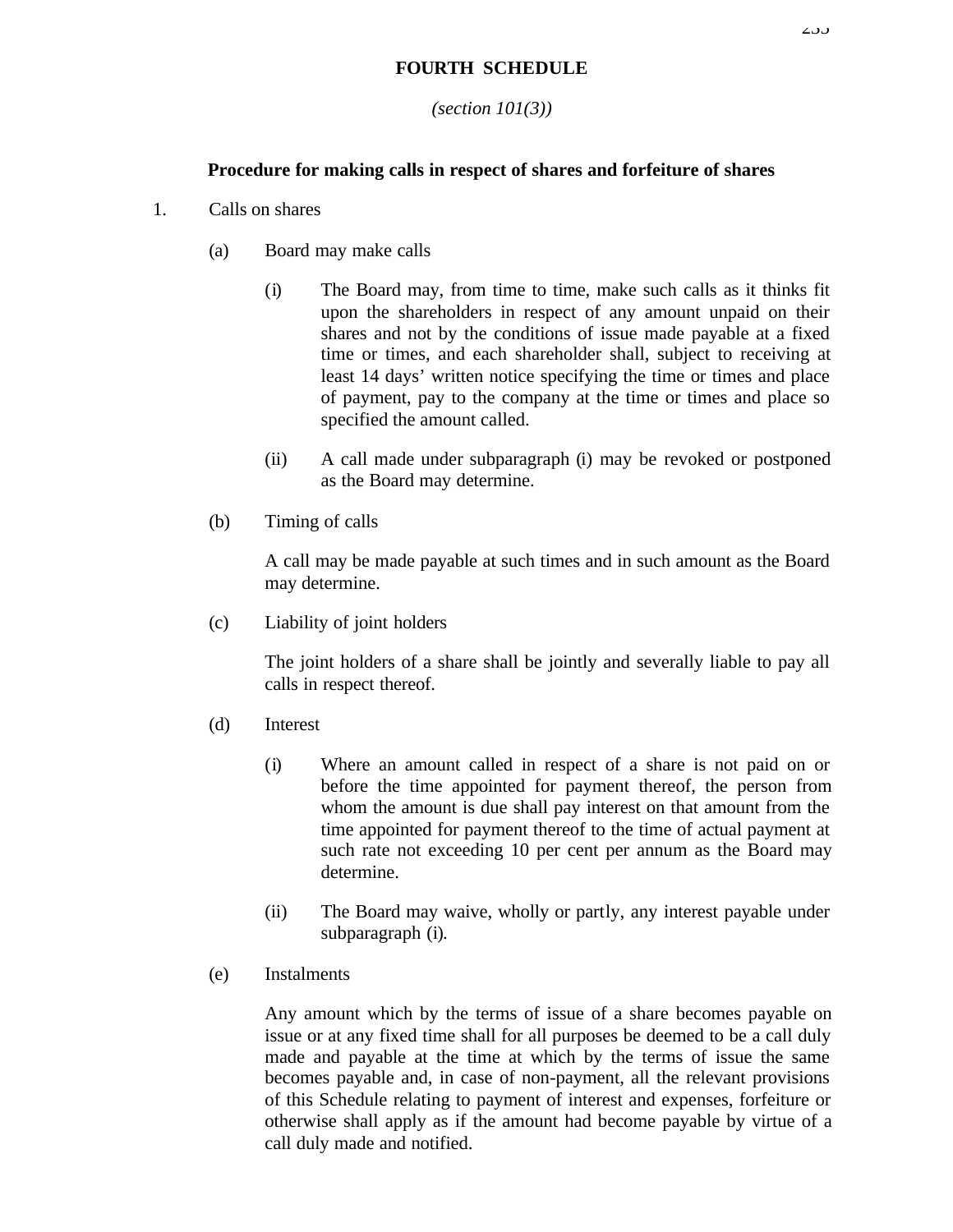# **FOURTH SCHEDULE**

### *(section 101(3))*

# **Procedure for making calls in respect of shares and forfeiture of shares**

- 1. Calls on shares
	- (a) Board may make calls
		- (i) The Board may, from time to time, make such calls as it thinks fit upon the shareholders in respect of any amount unpaid on their shares and not by the conditions of issue made payable at a fixed time or times, and each shareholder shall, subject to receiving at least 14 days' written notice specifying the time or times and place of payment, pay to the company at the time or times and place so specified the amount called.
		- (ii) A call made under subparagraph (i) may be revoked or postponed as the Board may determine.
	- (b) Timing of calls

A call may be made payable at such times and in such amount as the Board may determine.

(c) Liability of joint holders

The joint holders of a share shall be jointly and severally liable to pay all calls in respect thereof.

- (d) Interest
	- (i) Where an amount called in respect of a share is not paid on or before the time appointed for payment thereof, the person from whom the amount is due shall pay interest on that amount from the time appointed for payment thereof to the time of actual payment at such rate not exceeding 10 per cent per annum as the Board may determine.
	- (ii) The Board may waive, wholly or partly, any interest payable under subparagraph (i).
- (e) Instalments

Any amount which by the terms of issue of a share becomes payable on issue or at any fixed time shall for all purposes be deemed to be a call duly made and payable at the time at which by the terms of issue the same becomes payable and, in case of non-payment, all the relevant provisions of this Schedule relating to payment of interest and expenses, forfeiture or otherwise shall apply as if the amount had become payable by virtue of a call duly made and notified.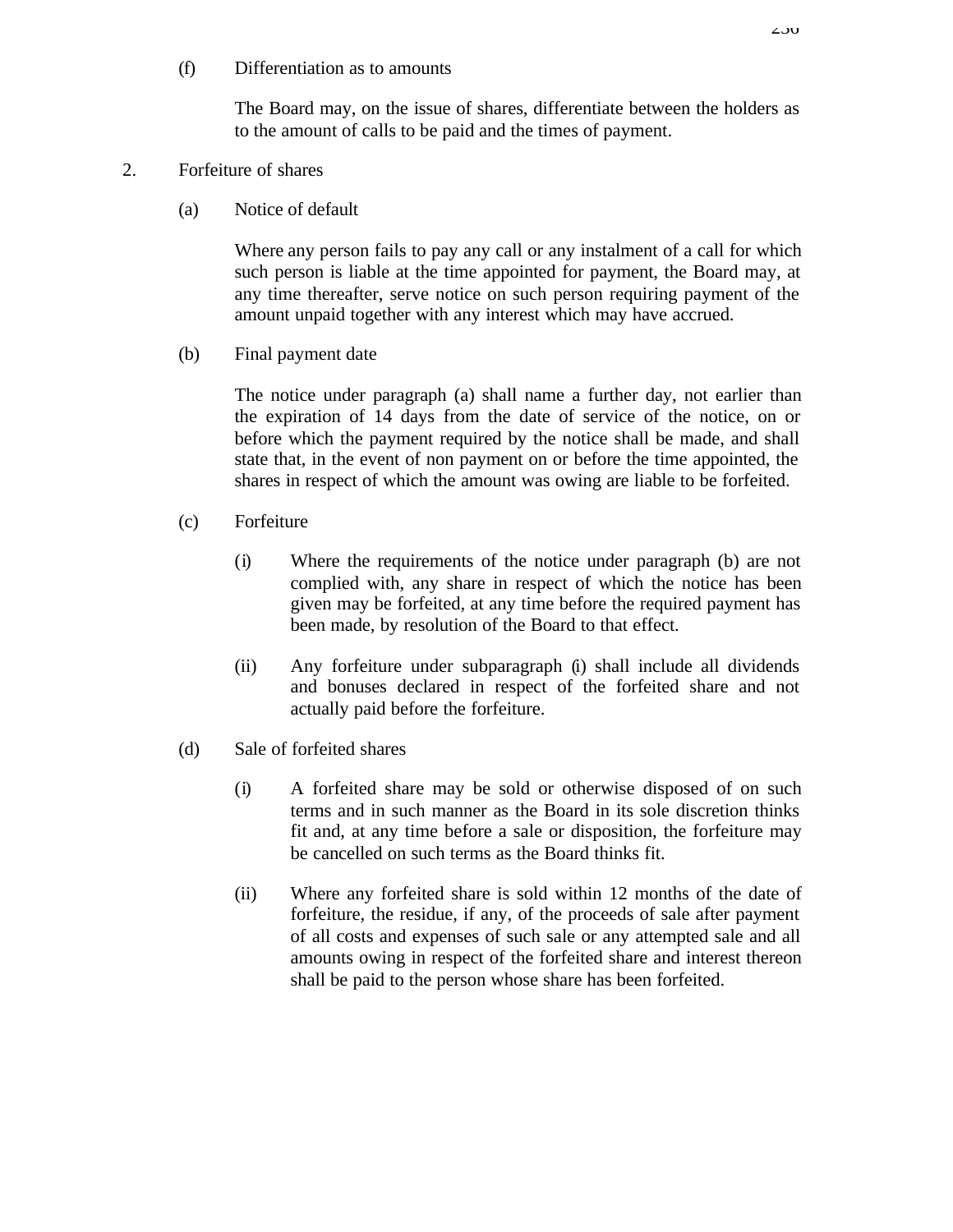(f) Differentiation as to amounts

The Board may, on the issue of shares, differentiate between the holders as to the amount of calls to be paid and the times of payment.

### 2. Forfeiture of shares

(a) Notice of default

Where any person fails to pay any call or any instalment of a call for which such person is liable at the time appointed for payment, the Board may, at any time thereafter, serve notice on such person requiring payment of the amount unpaid together with any interest which may have accrued.

(b) Final payment date

The notice under paragraph (a) shall name a further day, not earlier than the expiration of 14 days from the date of service of the notice, on or before which the payment required by the notice shall be made, and shall state that, in the event of non payment on or before the time appointed, the shares in respect of which the amount was owing are liable to be forfeited.

- (c) Forfeiture
	- (i) Where the requirements of the notice under paragraph (b) are not complied with, any share in respect of which the notice has been given may be forfeited, at any time before the required payment has been made, by resolution of the Board to that effect.
	- (ii) Any forfeiture under subparagraph (i) shall include all dividends and bonuses declared in respect of the forfeited share and not actually paid before the forfeiture.
- (d) Sale of forfeited shares
	- (i) A forfeited share may be sold or otherwise disposed of on such terms and in such manner as the Board in its sole discretion thinks fit and, at any time before a sale or disposition, the forfeiture may be cancelled on such terms as the Board thinks fit.
	- (ii) Where any forfeited share is sold within 12 months of the date of forfeiture, the residue, if any, of the proceeds of sale after payment of all costs and expenses of such sale or any attempted sale and all amounts owing in respect of the forfeited share and interest thereon shall be paid to the person whose share has been forfeited.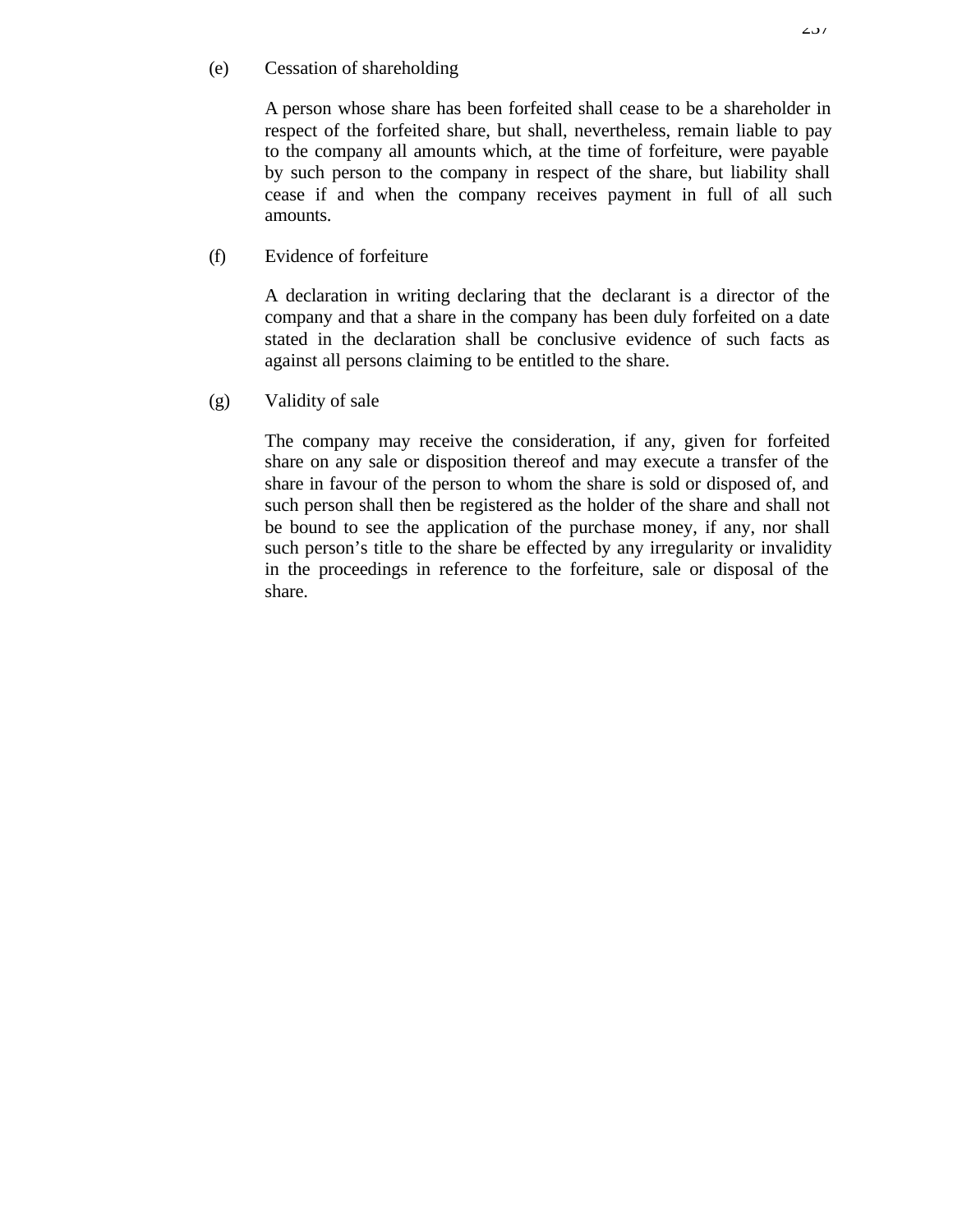### (e) Cessation of shareholding

A person whose share has been forfeited shall cease to be a shareholder in respect of the forfeited share, but shall, nevertheless, remain liable to pay to the company all amounts which, at the time of forfeiture, were payable by such person to the company in respect of the share, but liability shall cease if and when the company receives payment in full of all such amounts.

(f) Evidence of forfeiture

A declaration in writing declaring that the declarant is a director of the company and that a share in the company has been duly forfeited on a date stated in the declaration shall be conclusive evidence of such facts as against all persons claiming to be entitled to the share.

(g) Validity of sale

The company may receive the consideration, if any, given for forfeited share on any sale or disposition thereof and may execute a transfer of the share in favour of the person to whom the share is sold or disposed of, and such person shall then be registered as the holder of the share and shall not be bound to see the application of the purchase money, if any, nor shall such person's title to the share be effected by any irregularity or invalidity in the proceedings in reference to the forfeiture, sale or disposal of the share.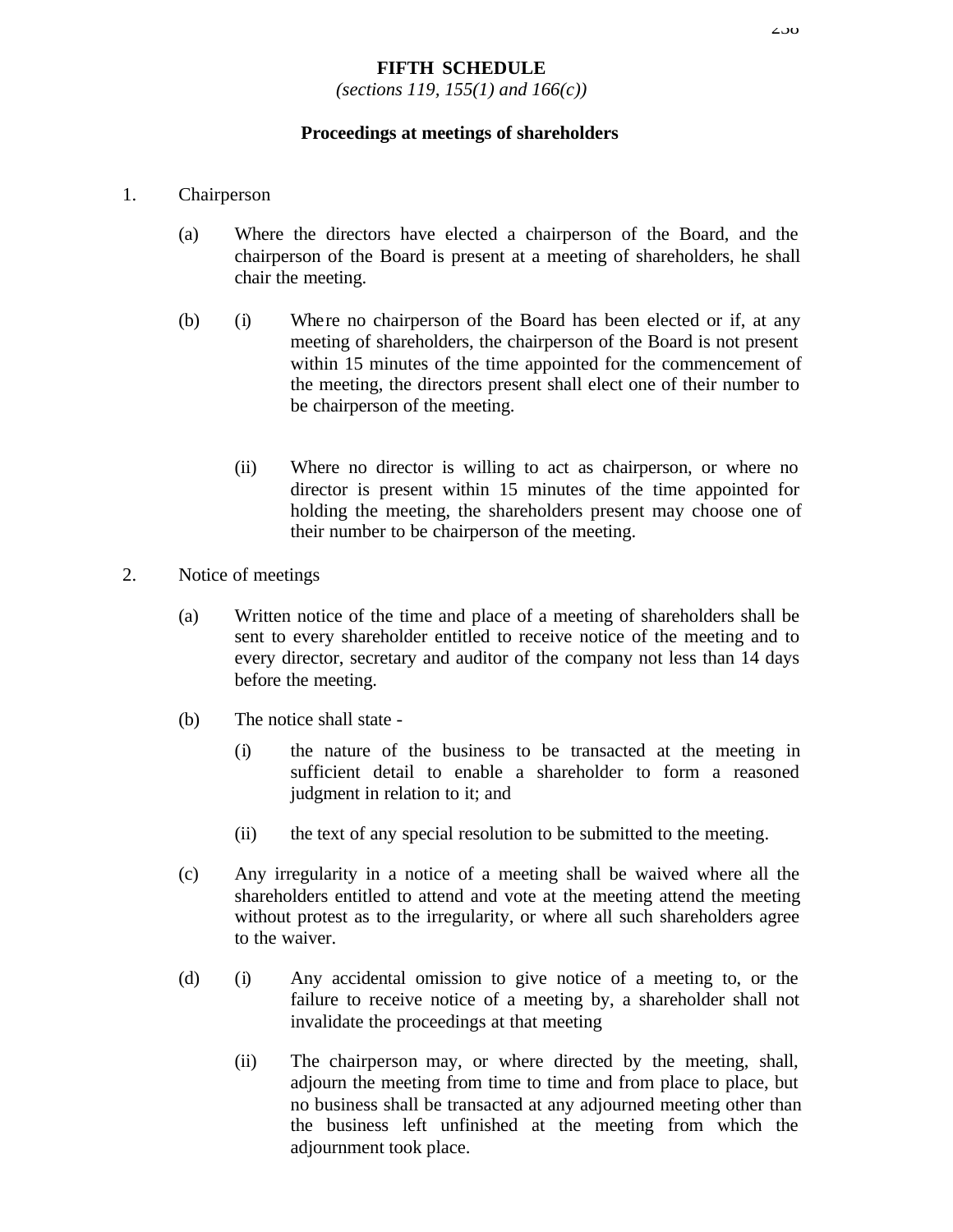### **FIFTH SCHEDULE**

*(sections 119, 155(1) and 166(c))*

#### **Proceedings at meetings of shareholders**

- 1. Chairperson
	- (a) Where the directors have elected a chairperson of the Board, and the chairperson of the Board is present at a meeting of shareholders, he shall chair the meeting.
	- (b) (i) Where no chairperson of the Board has been elected or if, at any meeting of shareholders, the chairperson of the Board is not present within 15 minutes of the time appointed for the commencement of the meeting, the directors present shall elect one of their number to be chairperson of the meeting.
		- (ii) Where no director is willing to act as chairperson, or where no director is present within 15 minutes of the time appointed for holding the meeting, the shareholders present may choose one of their number to be chairperson of the meeting.
- 2. Notice of meetings
	- (a) Written notice of the time and place of a meeting of shareholders shall be sent to every shareholder entitled to receive notice of the meeting and to every director, secretary and auditor of the company not less than 14 days before the meeting.
	- (b) The notice shall state
		- (i) the nature of the business to be transacted at the meeting in sufficient detail to enable a shareholder to form a reasoned judgment in relation to it; and
		- (ii) the text of any special resolution to be submitted to the meeting.
	- (c) Any irregularity in a notice of a meeting shall be waived where all the shareholders entitled to attend and vote at the meeting attend the meeting without protest as to the irregularity, or where all such shareholders agree to the waiver.
	- (d) (i) Any accidental omission to give notice of a meeting to, or the failure to receive notice of a meeting by, a shareholder shall not invalidate the proceedings at that meeting
		- (ii) The chairperson may, or where directed by the meeting, shall, adjourn the meeting from time to time and from place to place, but no business shall be transacted at any adjourned meeting other than the business left unfinished at the meeting from which the adjournment took place.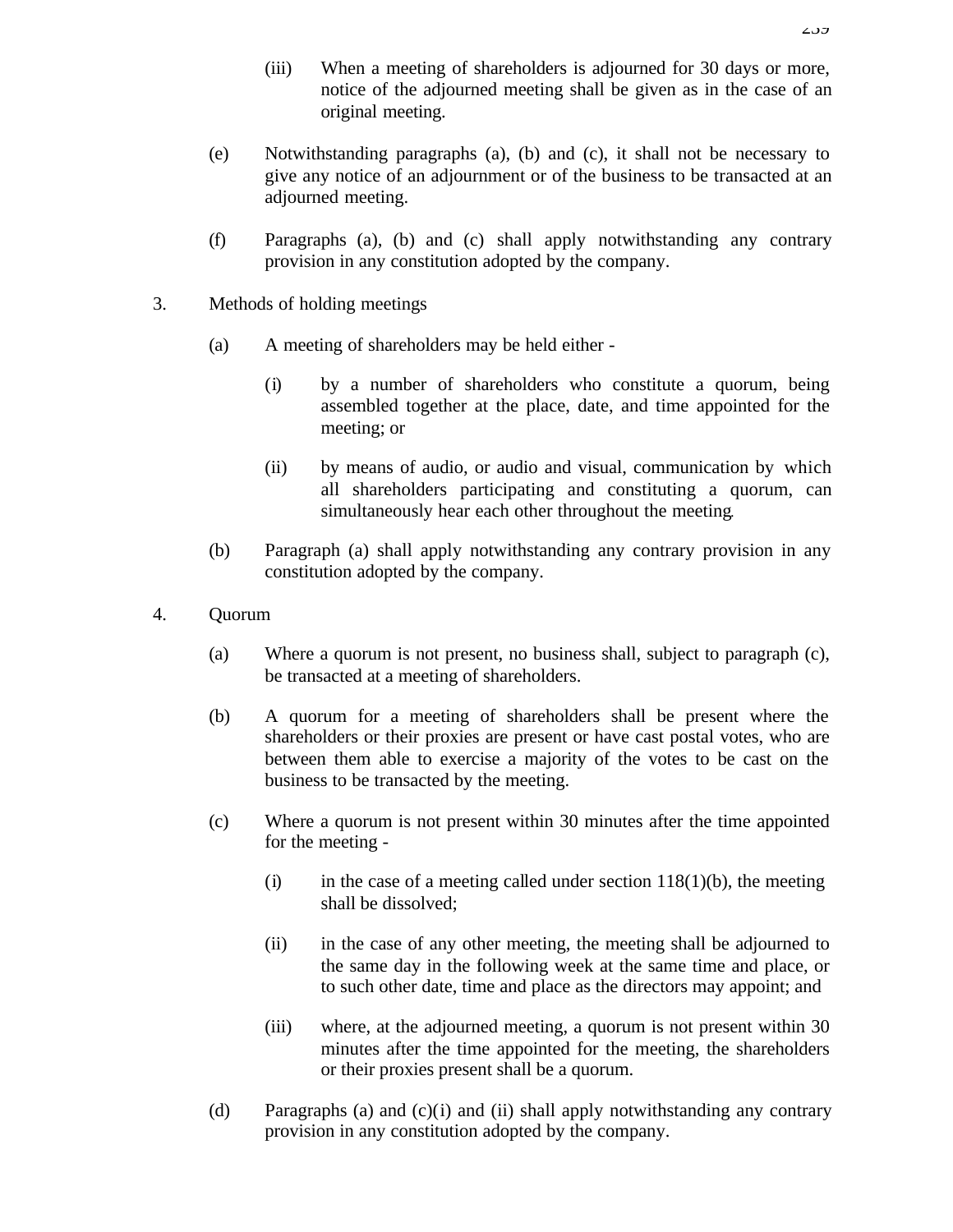- (iii) When a meeting of shareholders is adjourned for 30 days or more, notice of the adjourned meeting shall be given as in the case of an original meeting.
- (e) Notwithstanding paragraphs (a), (b) and (c), it shall not be necessary to give any notice of an adjournment or of the business to be transacted at an adjourned meeting.
- (f) Paragraphs (a), (b) and (c) shall apply notwithstanding any contrary provision in any constitution adopted by the company.
- 3. Methods of holding meetings
	- (a) A meeting of shareholders may be held either
		- (i) by a number of shareholders who constitute a quorum, being assembled together at the place, date, and time appointed for the meeting; or
		- (ii) by means of audio, or audio and visual, communication by which all shareholders participating and constituting a quorum, can simultaneously hear each other throughout the meeting.
	- (b) Paragraph (a) shall apply notwithstanding any contrary provision in any constitution adopted by the company.
- 4. Quorum
	- (a) Where a quorum is not present, no business shall, subject to paragraph (c), be transacted at a meeting of shareholders.
	- (b) A quorum for a meeting of shareholders shall be present where the shareholders or their proxies are present or have cast postal votes, who are between them able to exercise a majority of the votes to be cast on the business to be transacted by the meeting.
	- (c) Where a quorum is not present within 30 minutes after the time appointed for the meeting -
		- (i) in the case of a meeting called under section  $118(1)(b)$ , the meeting shall be dissolved;
		- (ii) in the case of any other meeting, the meeting shall be adjourned to the same day in the following week at the same time and place, or to such other date, time and place as the directors may appoint; and
		- (iii) where, at the adjourned meeting, a quorum is not present within 30 minutes after the time appointed for the meeting, the shareholders or their proxies present shall be a quorum.
	- (d) Paragraphs (a) and (c)(i) and (ii) shall apply notwithstanding any contrary provision in any constitution adopted by the company.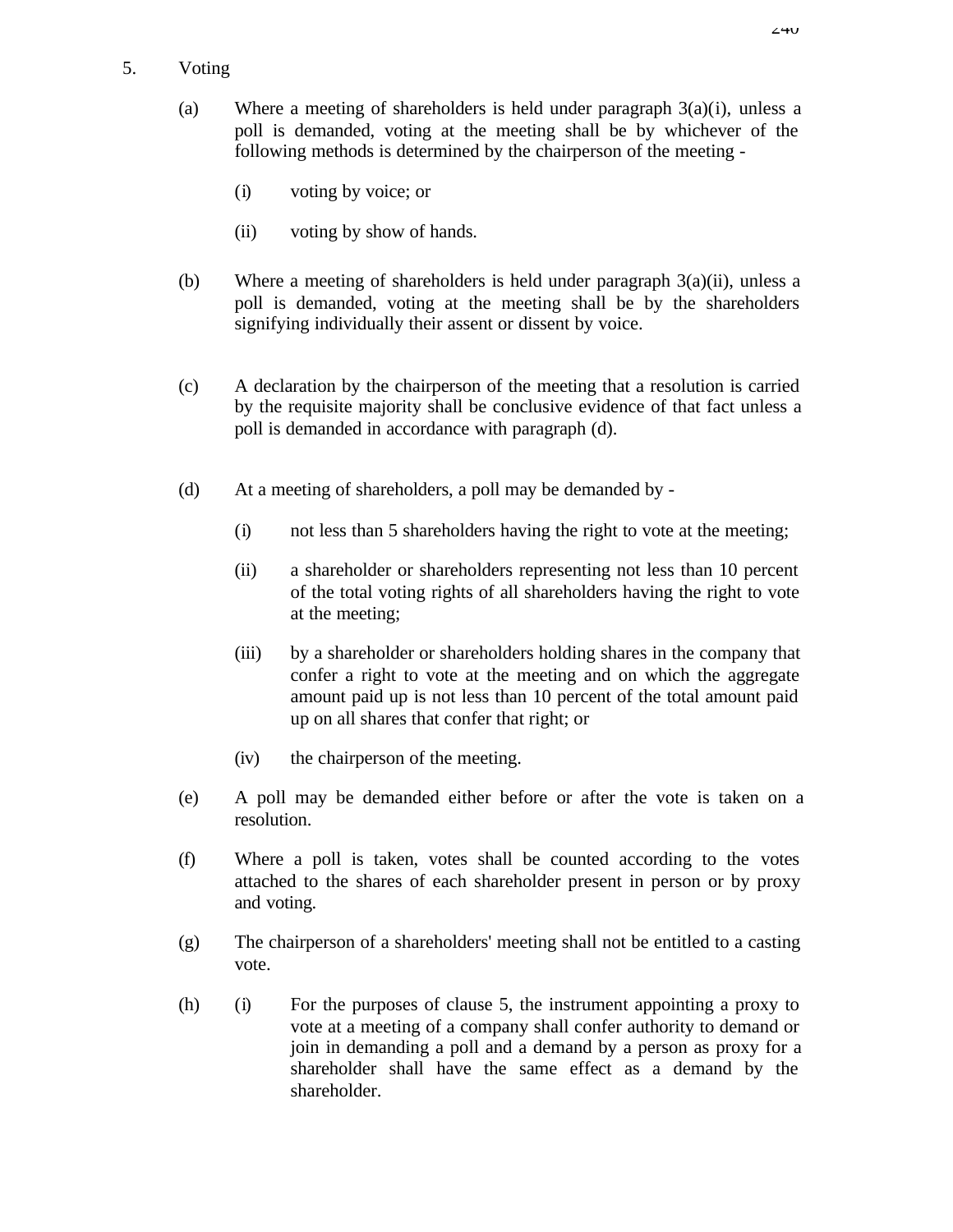# 5. Voting

- (a) Where a meeting of shareholders is held under paragraph  $3(a)(i)$ , unless a poll is demanded, voting at the meeting shall be by whichever of the following methods is determined by the chairperson of the meeting -
	- (i) voting by voice; or
	- (ii) voting by show of hands.
- (b) Where a meeting of shareholders is held under paragraph  $3(a)(ii)$ , unless a poll is demanded, voting at the meeting shall be by the shareholders signifying individually their assent or dissent by voice.
- (c) A declaration by the chairperson of the meeting that a resolution is carried by the requisite majority shall be conclusive evidence of that fact unless a poll is demanded in accordance with paragraph (d).
- (d) At a meeting of shareholders, a poll may be demanded by
	- (i) not less than 5 shareholders having the right to vote at the meeting;
	- (ii) a shareholder or shareholders representing not less than 10 percent of the total voting rights of all shareholders having the right to vote at the meeting;
	- (iii) by a shareholder or shareholders holding shares in the company that confer a right to vote at the meeting and on which the aggregate amount paid up is not less than 10 percent of the total amount paid up on all shares that confer that right; or
	- (iv) the chairperson of the meeting.
- (e) A poll may be demanded either before or after the vote is taken on a resolution.
- (f) Where a poll is taken, votes shall be counted according to the votes attached to the shares of each shareholder present in person or by proxy and voting.
- (g) The chairperson of a shareholders' meeting shall not be entitled to a casting vote.
- (h) (i) For the purposes of clause 5, the instrument appointing a proxy to vote at a meeting of a company shall confer authority to demand or join in demanding a poll and a demand by a person as proxy for a shareholder shall have the same effect as a demand by the shareholder.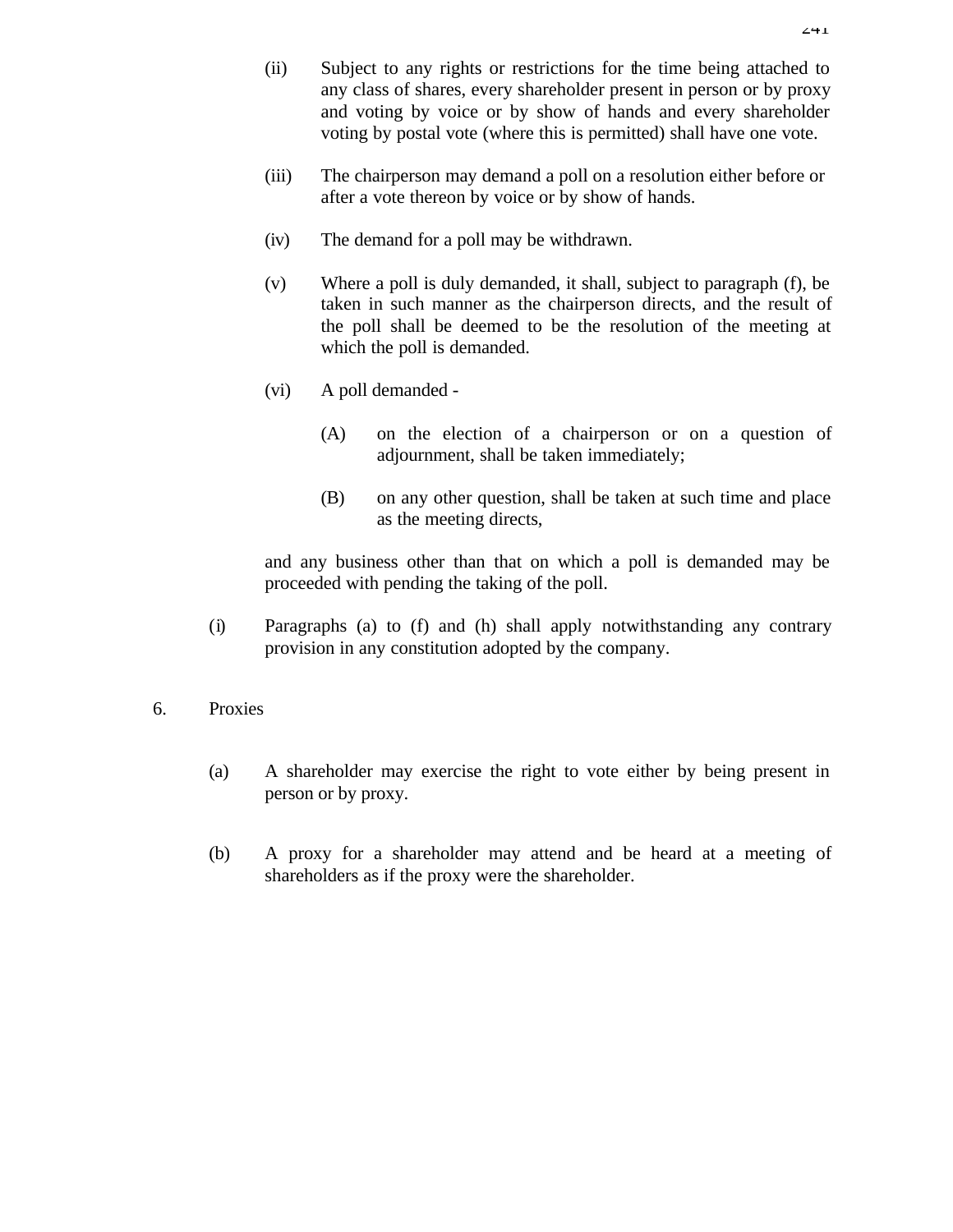- (ii) Subject to any rights or restrictions for the time being attached to any class of shares, every shareholder present in person or by proxy and voting by voice or by show of hands and every shareholder voting by postal vote (where this is permitted) shall have one vote.
- (iii) The chairperson may demand a poll on a resolution either before or after a vote thereon by voice or by show of hands.
- (iv) The demand for a poll may be withdrawn.
- (v) Where a poll is duly demanded, it shall, subject to paragraph (f), be taken in such manner as the chairperson directs, and the result of the poll shall be deemed to be the resolution of the meeting at which the poll is demanded.
- (vi) A poll demanded
	- (A) on the election of a chairperson or on a question of adjournment, shall be taken immediately;
	- (B) on any other question, shall be taken at such time and place as the meeting directs,

and any business other than that on which a poll is demanded may be proceeded with pending the taking of the poll.

- (i) Paragraphs (a) to (f) and (h) shall apply notwithstanding any contrary provision in any constitution adopted by the company.
- 6. Proxies
	- (a) A shareholder may exercise the right to vote either by being present in person or by proxy.
	- (b) A proxy for a shareholder may attend and be heard at a meeting of shareholders as if the proxy were the shareholder.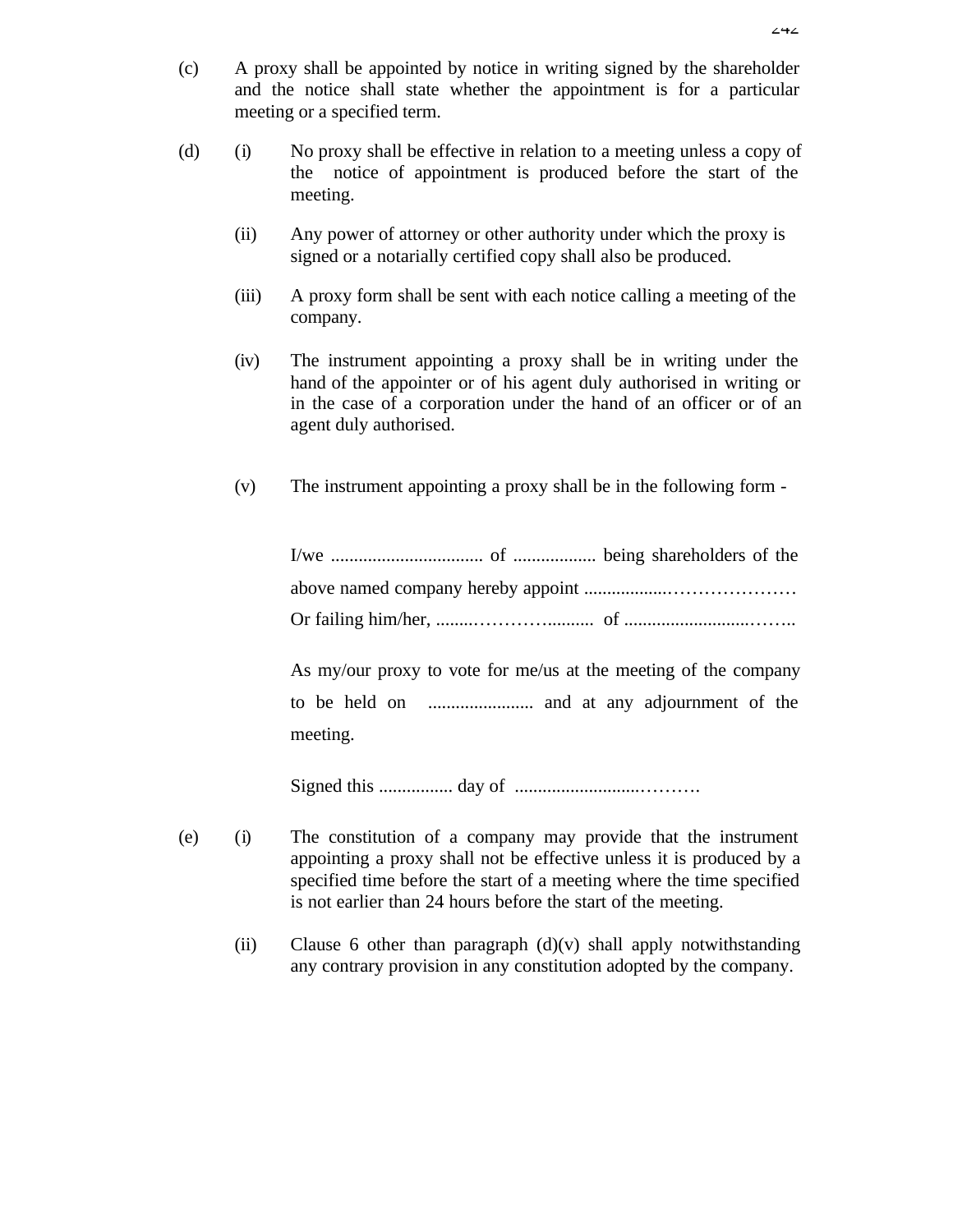- (c) A proxy shall be appointed by notice in writing signed by the shareholder and the notice shall state whether the appointment is for a particular meeting or a specified term.
- (d) (i) No proxy shall be effective in relation to a meeting unless a copy of the notice of appointment is produced before the start of the meeting.
	- (ii) Any power of attorney or other authority under which the proxy is signed or a notarially certified copy shall also be produced.
	- (iii) A proxy form shall be sent with each notice calling a meeting of the company.
	- (iv) The instrument appointing a proxy shall be in writing under the hand of the appointer or of his agent duly authorised in writing or in the case of a corporation under the hand of an officer or of an agent duly authorised.
	- (v) The instrument appointing a proxy shall be in the following form -

I/we ................................. of .................. being shareholders of the above named company hereby appoint ..................………………… Or failing him/her, ........………….......... of ...........................……..

As my/our proxy to vote for me/us at the meeting of the company to be held on ....................... and at any adjournment of the meeting.

Signed this ................ day of ...........................……….

- (e) (i) The constitution of a company may provide that the instrument appointing a proxy shall not be effective unless it is produced by a specified time before the start of a meeting where the time specified is not earlier than 24 hours before the start of the meeting.
	- (ii) Clause 6 other than paragraph  $(d)(v)$  shall apply notwithstanding any contrary provision in any constitution adopted by the company.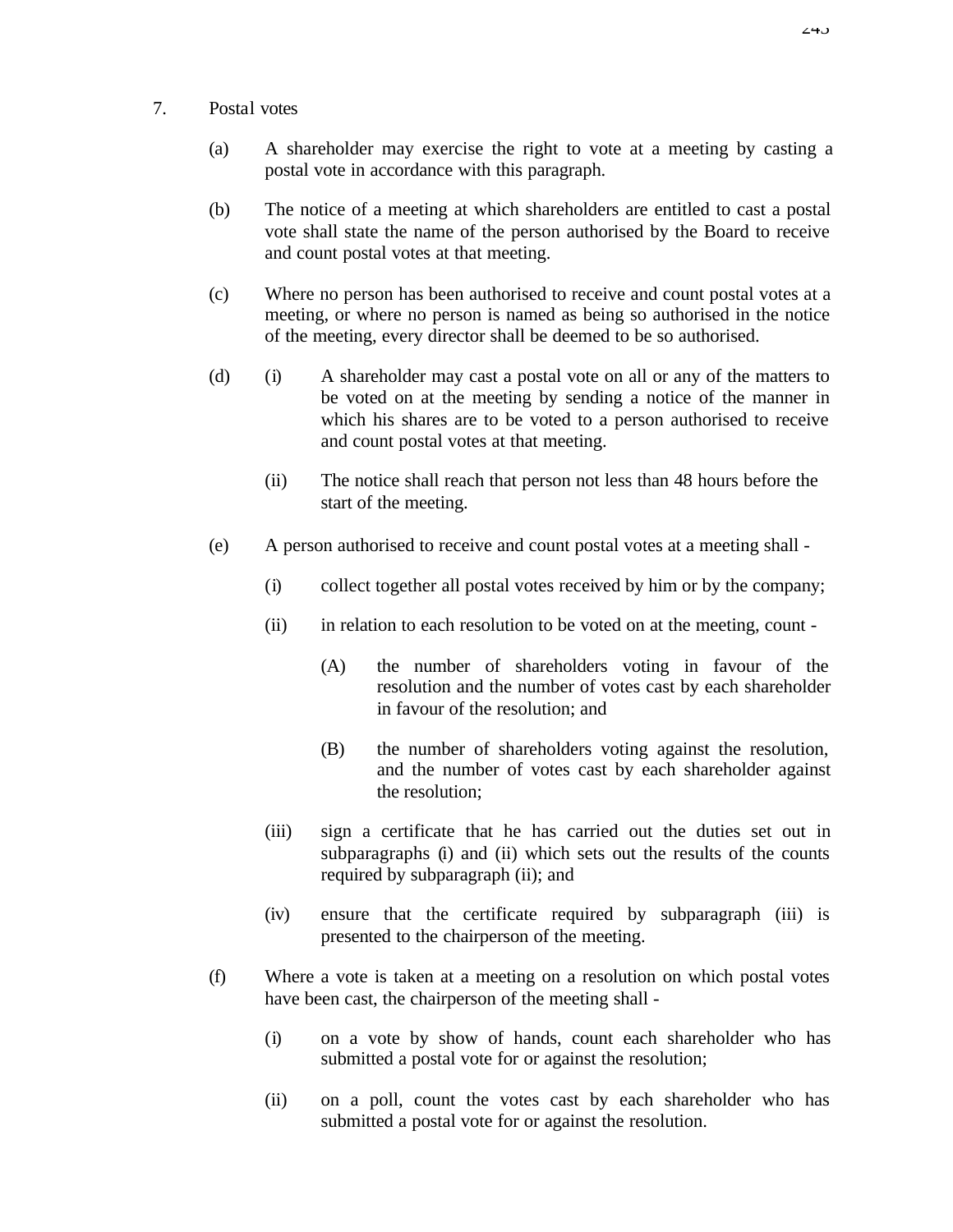- 7. Postal votes
	- (a) A shareholder may exercise the right to vote at a meeting by casting a postal vote in accordance with this paragraph.
	- (b) The notice of a meeting at which shareholders are entitled to cast a postal vote shall state the name of the person authorised by the Board to receive and count postal votes at that meeting.
	- (c) Where no person has been authorised to receive and count postal votes at a meeting, or where no person is named as being so authorised in the notice of the meeting, every director shall be deemed to be so authorised.
	- (d) (i) A shareholder may cast a postal vote on all or any of the matters to be voted on at the meeting by sending a notice of the manner in which his shares are to be voted to a person authorised to receive and count postal votes at that meeting.
		- (ii) The notice shall reach that person not less than 48 hours before the start of the meeting.
	- (e) A person authorised to receive and count postal votes at a meeting shall
		- (i) collect together all postal votes received by him or by the company;
		- (ii) in relation to each resolution to be voted on at the meeting, count
			- (A) the number of shareholders voting in favour of the resolution and the number of votes cast by each shareholder in favour of the resolution; and
			- (B) the number of shareholders voting against the resolution, and the number of votes cast by each shareholder against the resolution;
		- (iii) sign a certificate that he has carried out the duties set out in subparagraphs (i) and (ii) which sets out the results of the counts required by subparagraph (ii); and
		- (iv) ensure that the certificate required by subparagraph (iii) is presented to the chairperson of the meeting.
	- (f) Where a vote is taken at a meeting on a resolution on which postal votes have been cast, the chairperson of the meeting shall -
		- (i) on a vote by show of hands, count each shareholder who has submitted a postal vote for or against the resolution;
		- (ii) on a poll, count the votes cast by each shareholder who has submitted a postal vote for or against the resolution.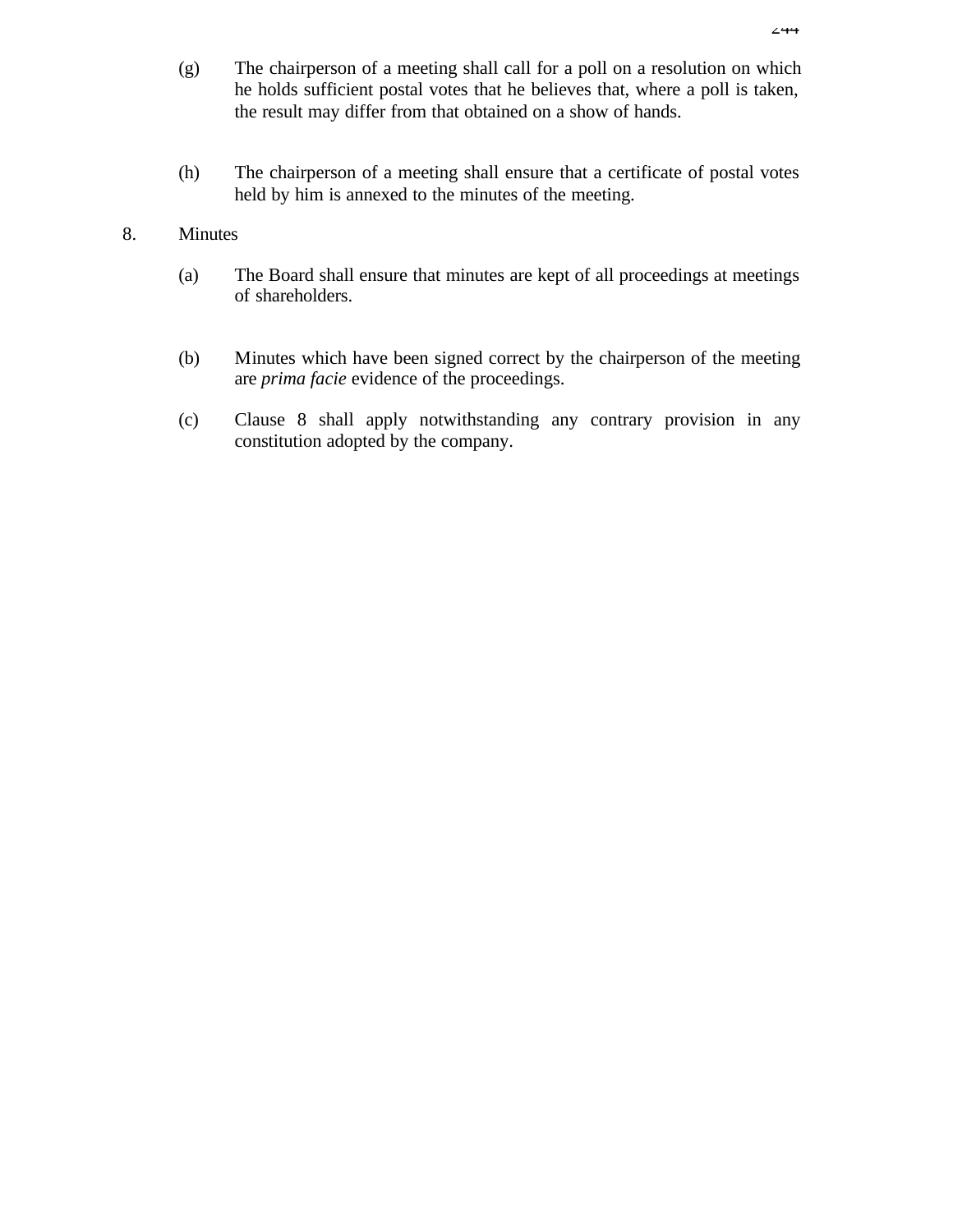- (g) The chairperson of a meeting shall call for a poll on a resolution on which he holds sufficient postal votes that he believes that, where a poll is taken, the result may differ from that obtained on a show of hands.
- (h) The chairperson of a meeting shall ensure that a certificate of postal votes held by him is annexed to the minutes of the meeting.

### 8. Minutes

- (a) The Board shall ensure that minutes are kept of all proceedings at meetings of shareholders.
- (b) Minutes which have been signed correct by the chairperson of the meeting are *prima facie* evidence of the proceedings.
- (c) Clause 8 shall apply notwithstanding any contrary provision in any constitution adopted by the company.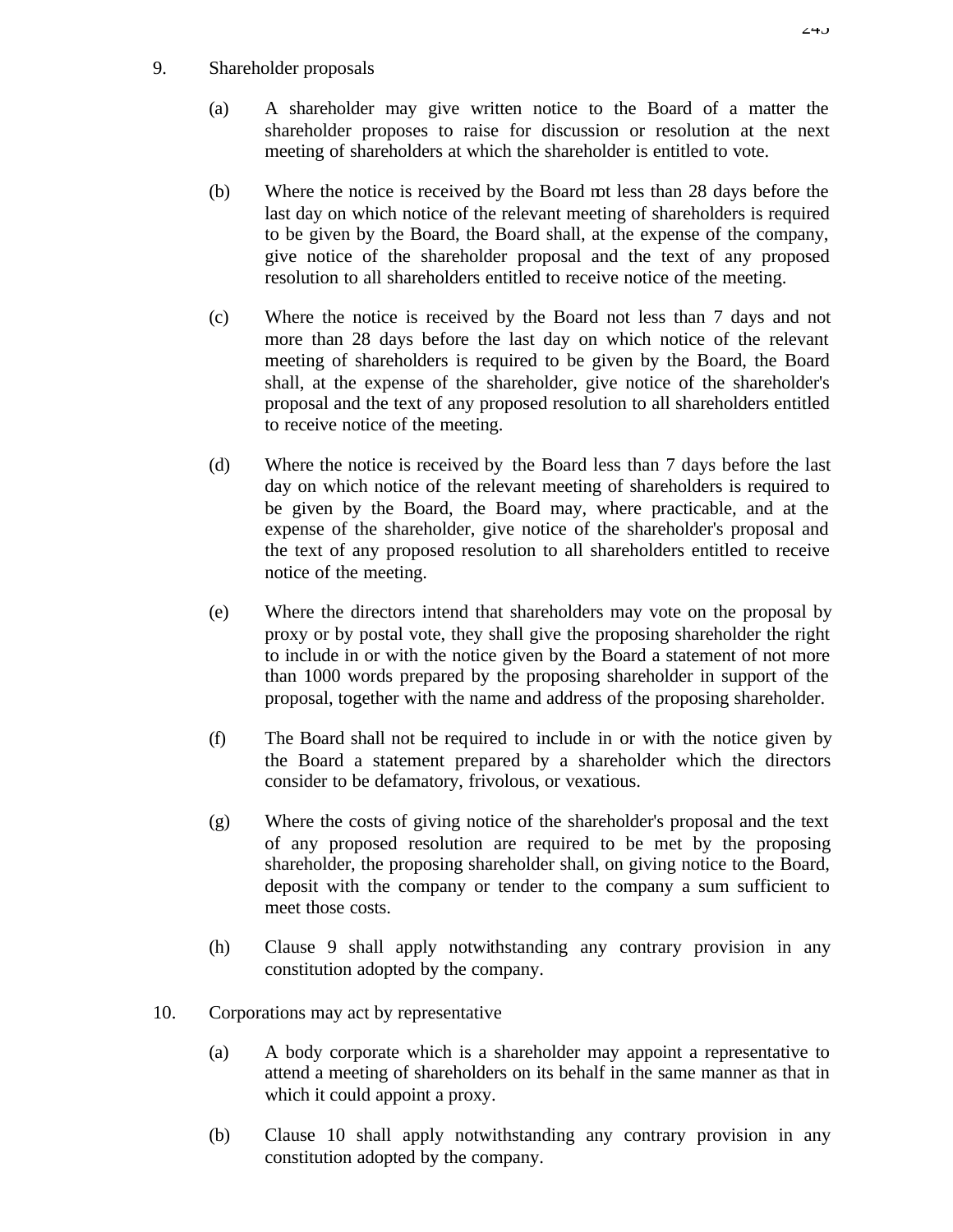# 9. Shareholder proposals

- (a) A shareholder may give written notice to the Board of a matter the shareholder proposes to raise for discussion or resolution at the next meeting of shareholders at which the shareholder is entitled to vote.
- (b) Where the notice is received by the Board not less than 28 days before the last day on which notice of the relevant meeting of shareholders is required to be given by the Board, the Board shall, at the expense of the company, give notice of the shareholder proposal and the text of any proposed resolution to all shareholders entitled to receive notice of the meeting.
- (c) Where the notice is received by the Board not less than 7 days and not more than 28 days before the last day on which notice of the relevant meeting of shareholders is required to be given by the Board, the Board shall, at the expense of the shareholder, give notice of the shareholder's proposal and the text of any proposed resolution to all shareholders entitled to receive notice of the meeting.
- (d) Where the notice is received by the Board less than 7 days before the last day on which notice of the relevant meeting of shareholders is required to be given by the Board, the Board may, where practicable, and at the expense of the shareholder, give notice of the shareholder's proposal and the text of any proposed resolution to all shareholders entitled to receive notice of the meeting.
- (e) Where the directors intend that shareholders may vote on the proposal by proxy or by postal vote, they shall give the proposing shareholder the right to include in or with the notice given by the Board a statement of not more than 1000 words prepared by the proposing shareholder in support of the proposal, together with the name and address of the proposing shareholder.
- (f) The Board shall not be required to include in or with the notice given by the Board a statement prepared by a shareholder which the directors consider to be defamatory, frivolous, or vexatious.
- (g) Where the costs of giving notice of the shareholder's proposal and the text of any proposed resolution are required to be met by the proposing shareholder, the proposing shareholder shall, on giving notice to the Board, deposit with the company or tender to the company a sum sufficient to meet those costs.
- (h) Clause 9 shall apply notwithstanding any contrary provision in any constitution adopted by the company.
- 10. Corporations may act by representative
	- (a) A body corporate which is a shareholder may appoint a representative to attend a meeting of shareholders on its behalf in the same manner as that in which it could appoint a proxy.
	- (b) Clause 10 shall apply notwithstanding any contrary provision in any constitution adopted by the company.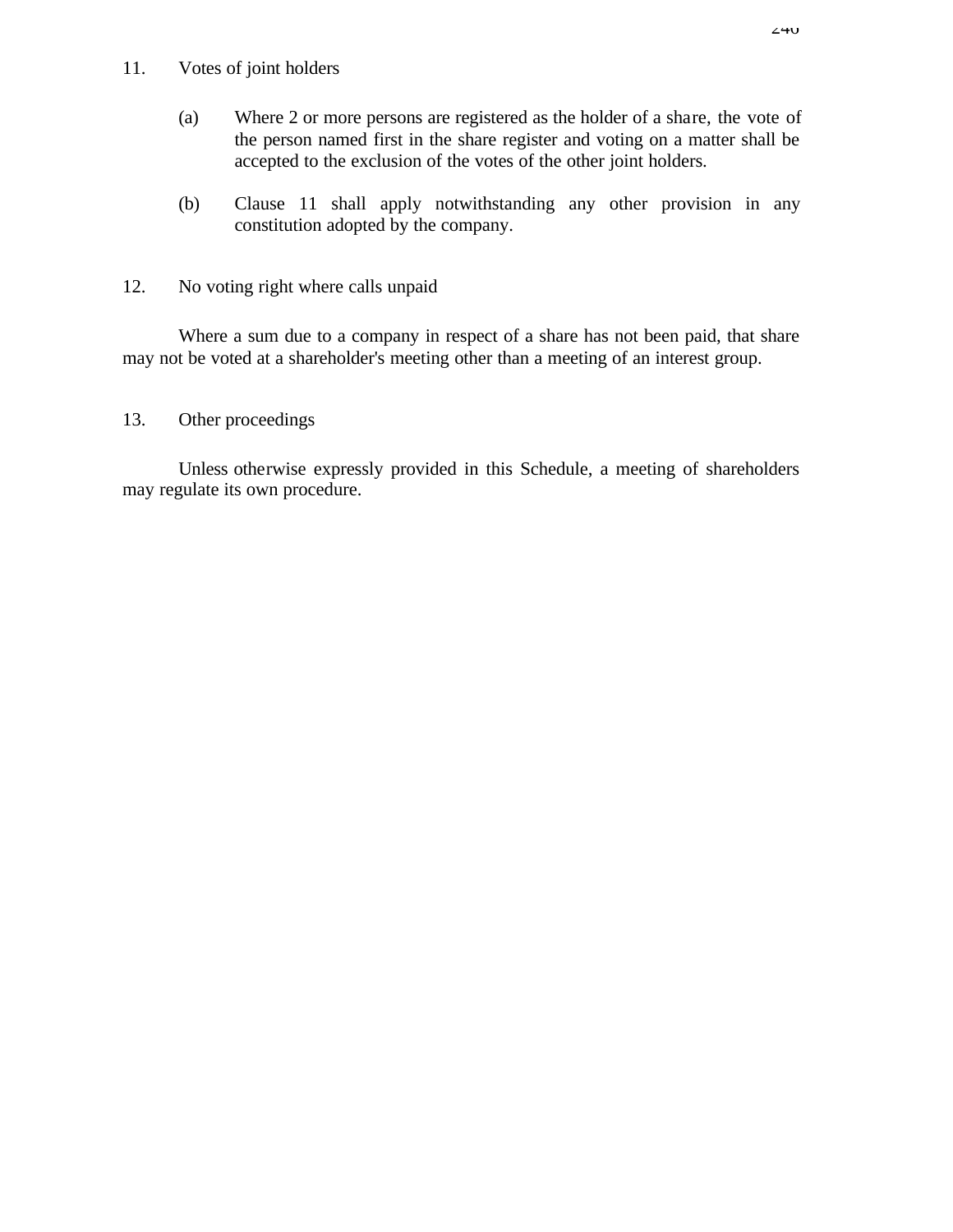### 11. Votes of joint holders

- (a) Where 2 or more persons are registered as the holder of a share, the vote of the person named first in the share register and voting on a matter shall be accepted to the exclusion of the votes of the other joint holders.
- (b) Clause 11 shall apply notwithstanding any other provision in any constitution adopted by the company.
- 12. No voting right where calls unpaid

Where a sum due to a company in respect of a share has not been paid, that share may not be voted at a shareholder's meeting other than a meeting of an interest group.

# 13. Other proceedings

Unless otherwise expressly provided in this Schedule, a meeting of shareholders may regulate its own procedure.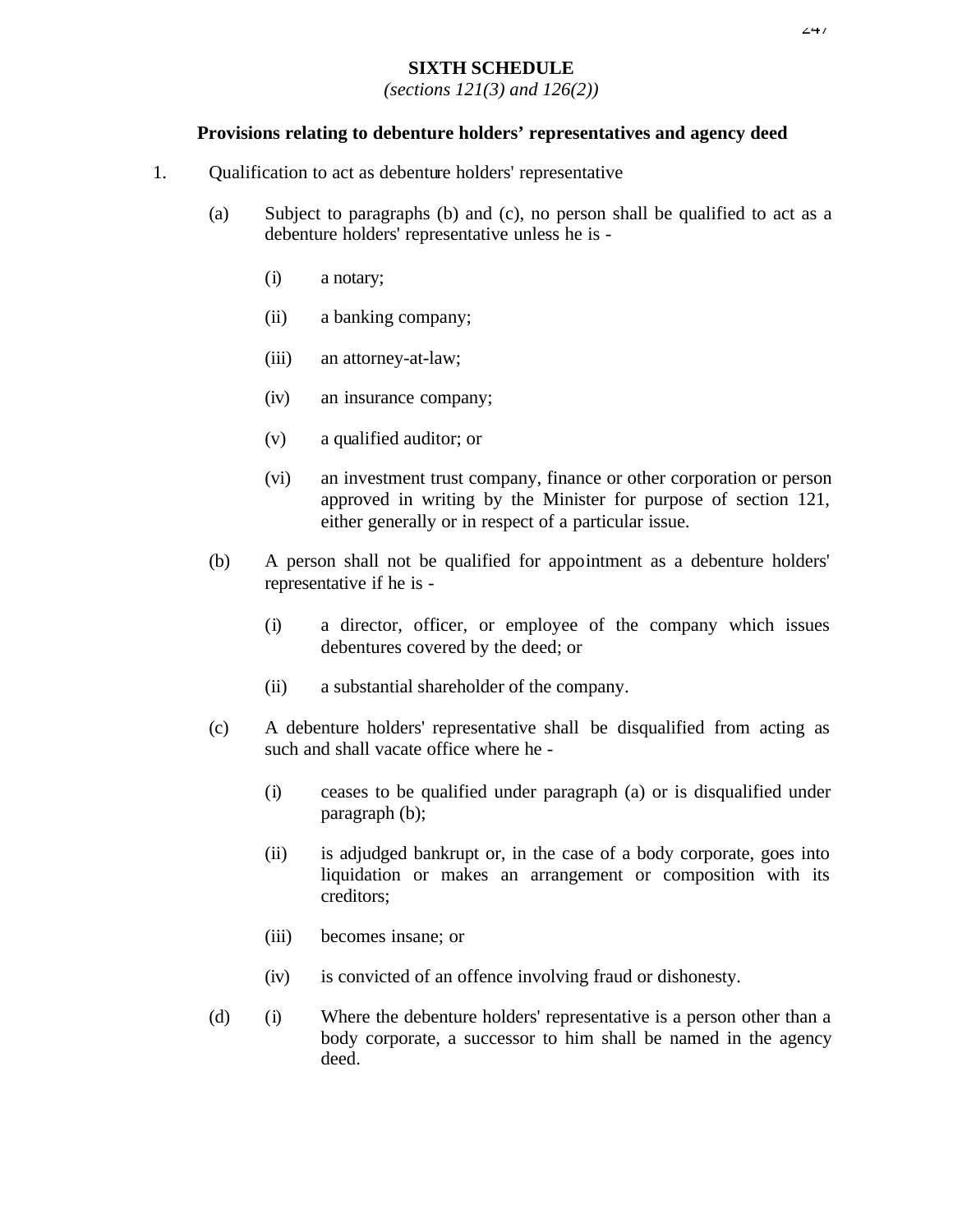#### $2+7$

#### **SIXTH SCHEDULE**

*(sections 121(3) and 126(2))*

#### **Provisions relating to debenture holders' representatives and agency deed**

- 1. Qualification to act as debenture holders' representative
	- (a) Subject to paragraphs (b) and (c), no person shall be qualified to act as a debenture holders' representative unless he is -
		- (i) a notary;
		- (ii) a banking company;
		- (iii) an attorney-at-law;
		- (iv) an insurance company;
		- (v) a qualified auditor; or
		- (vi) an investment trust company, finance or other corporation or person approved in writing by the Minister for purpose of section 121, either generally or in respect of a particular issue.
	- (b) A person shall not be qualified for appointment as a debenture holders' representative if he is -
		- (i) a director, officer, or employee of the company which issues debentures covered by the deed; or
		- (ii) a substantial shareholder of the company.
	- (c) A debenture holders' representative shall be disqualified from acting as such and shall vacate office where he -
		- (i) ceases to be qualified under paragraph (a) or is disqualified under paragraph (b);
		- (ii) is adjudged bankrupt or, in the case of a body corporate, goes into liquidation or makes an arrangement or composition with its creditors;
		- (iii) becomes insane; or
		- (iv) is convicted of an offence involving fraud or dishonesty.
	- (d) (i) Where the debenture holders' representative is a person other than a body corporate, a successor to him shall be named in the agency deed.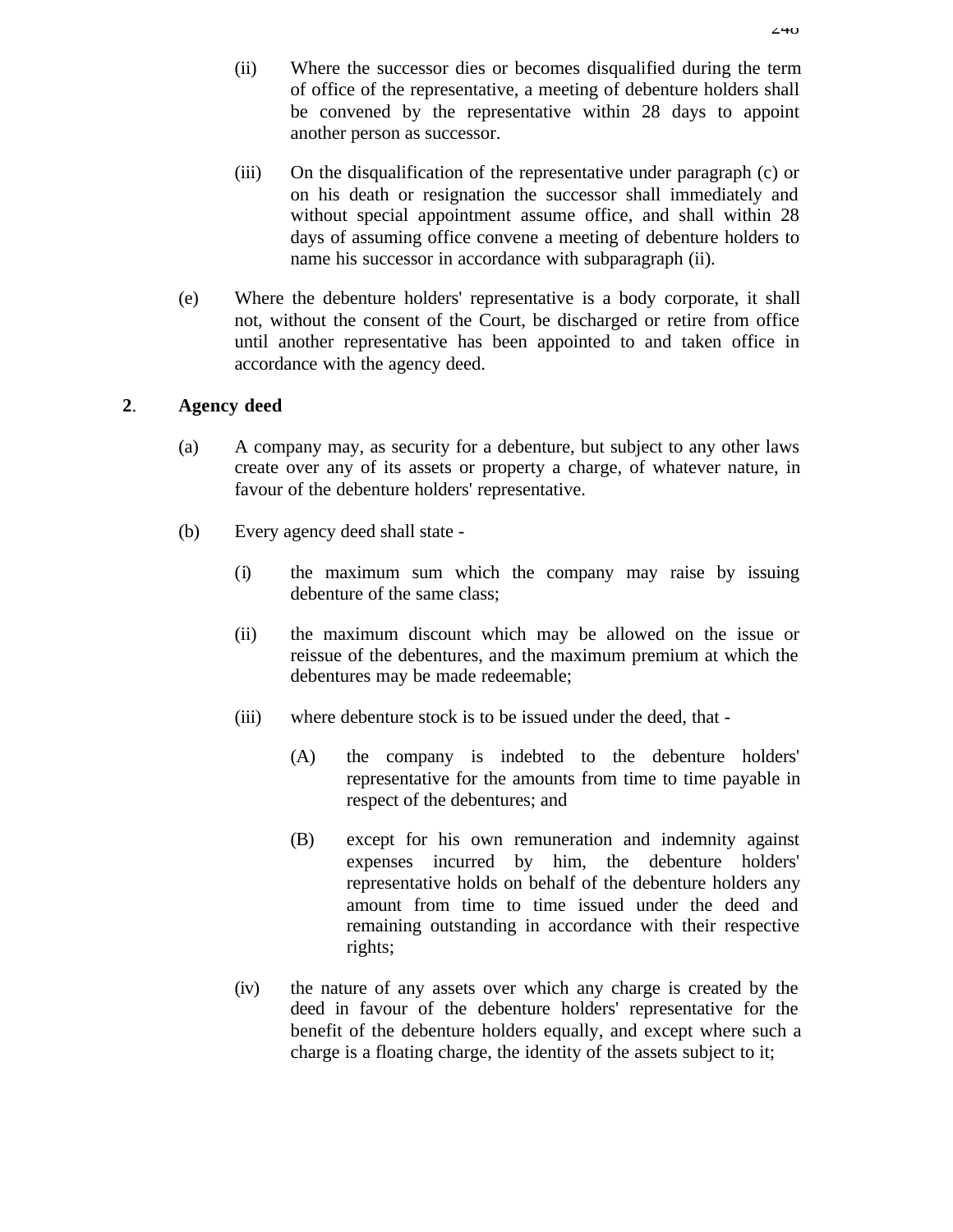- (ii) Where the successor dies or becomes disqualified during the term of office of the representative, a meeting of debenture holders shall be convened by the representative within 28 days to appoint another person as successor.
- (iii) On the disqualification of the representative under paragraph (c) or on his death or resignation the successor shall immediately and without special appointment assume office, and shall within 28 days of assuming office convene a meeting of debenture holders to name his successor in accordance with subparagraph (ii).
- (e) Where the debenture holders' representative is a body corporate, it shall not, without the consent of the Court, be discharged or retire from office until another representative has been appointed to and taken office in accordance with the agency deed.

# **2**. **Agency deed**

- (a) A company may, as security for a debenture, but subject to any other laws create over any of its assets or property a charge, of whatever nature, in favour of the debenture holders' representative.
- (b) Every agency deed shall state
	- (i) the maximum sum which the company may raise by issuing debenture of the same class;
	- (ii) the maximum discount which may be allowed on the issue or reissue of the debentures, and the maximum premium at which the debentures may be made redeemable;
	- (iii) where debenture stock is to be issued under the deed, that
		- (A) the company is indebted to the debenture holders' representative for the amounts from time to time payable in respect of the debentures; and
		- (B) except for his own remuneration and indemnity against expenses incurred by him, the debenture holders' representative holds on behalf of the debenture holders any amount from time to time issued under the deed and remaining outstanding in accordance with their respective rights;
	- (iv) the nature of any assets over which any charge is created by the deed in favour of the debenture holders' representative for the benefit of the debenture holders equally, and except where such a charge is a floating charge, the identity of the assets subject to it;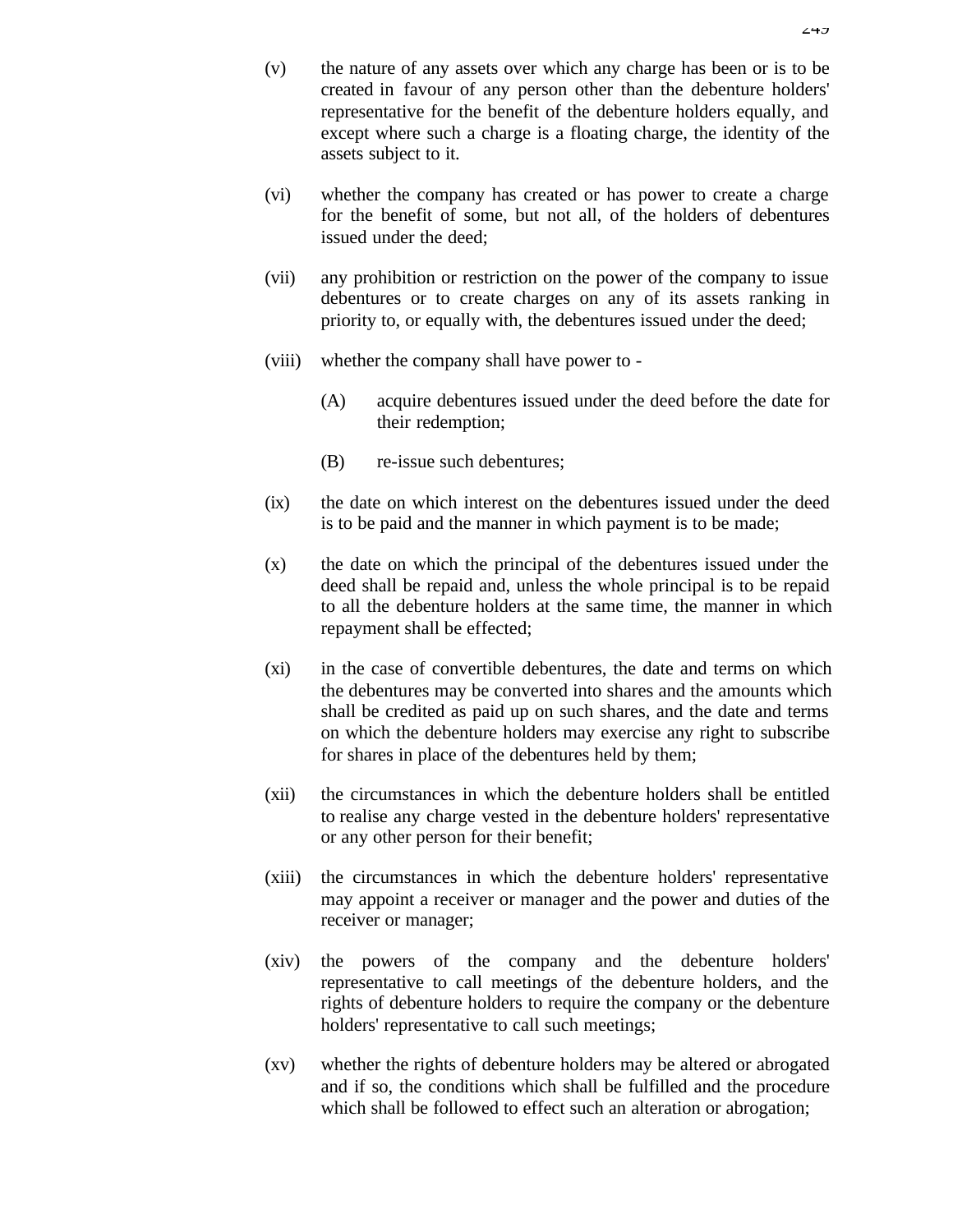- (v) the nature of any assets over which any charge has been or is to be created in favour of any person other than the debenture holders' representative for the benefit of the debenture holders equally, and except where such a charge is a floating charge, the identity of the assets subject to it.
- (vi) whether the company has created or has power to create a charge for the benefit of some, but not all, of the holders of debentures issued under the deed;
- (vii) any prohibition or restriction on the power of the company to issue debentures or to create charges on any of its assets ranking in priority to, or equally with, the debentures issued under the deed;
- (viii) whether the company shall have power to
	- (A) acquire debentures issued under the deed before the date for their redemption;
	- (B) re-issue such debentures;
- (ix) the date on which interest on the debentures issued under the deed is to be paid and the manner in which payment is to be made;
- (x) the date on which the principal of the debentures issued under the deed shall be repaid and, unless the whole principal is to be repaid to all the debenture holders at the same time, the manner in which repayment shall be effected;
- (xi) in the case of convertible debentures, the date and terms on which the debentures may be converted into shares and the amounts which shall be credited as paid up on such shares, and the date and terms on which the debenture holders may exercise any right to subscribe for shares in place of the debentures held by them;
- (xii) the circumstances in which the debenture holders shall be entitled to realise any charge vested in the debenture holders' representative or any other person for their benefit;
- (xiii) the circumstances in which the debenture holders' representative may appoint a receiver or manager and the power and duties of the receiver or manager;
- (xiv) the powers of the company and the debenture holders' representative to call meetings of the debenture holders, and the rights of debenture holders to require the company or the debenture holders' representative to call such meetings;
- (xv) whether the rights of debenture holders may be altered or abrogated and if so, the conditions which shall be fulfilled and the procedure which shall be followed to effect such an alteration or abrogation;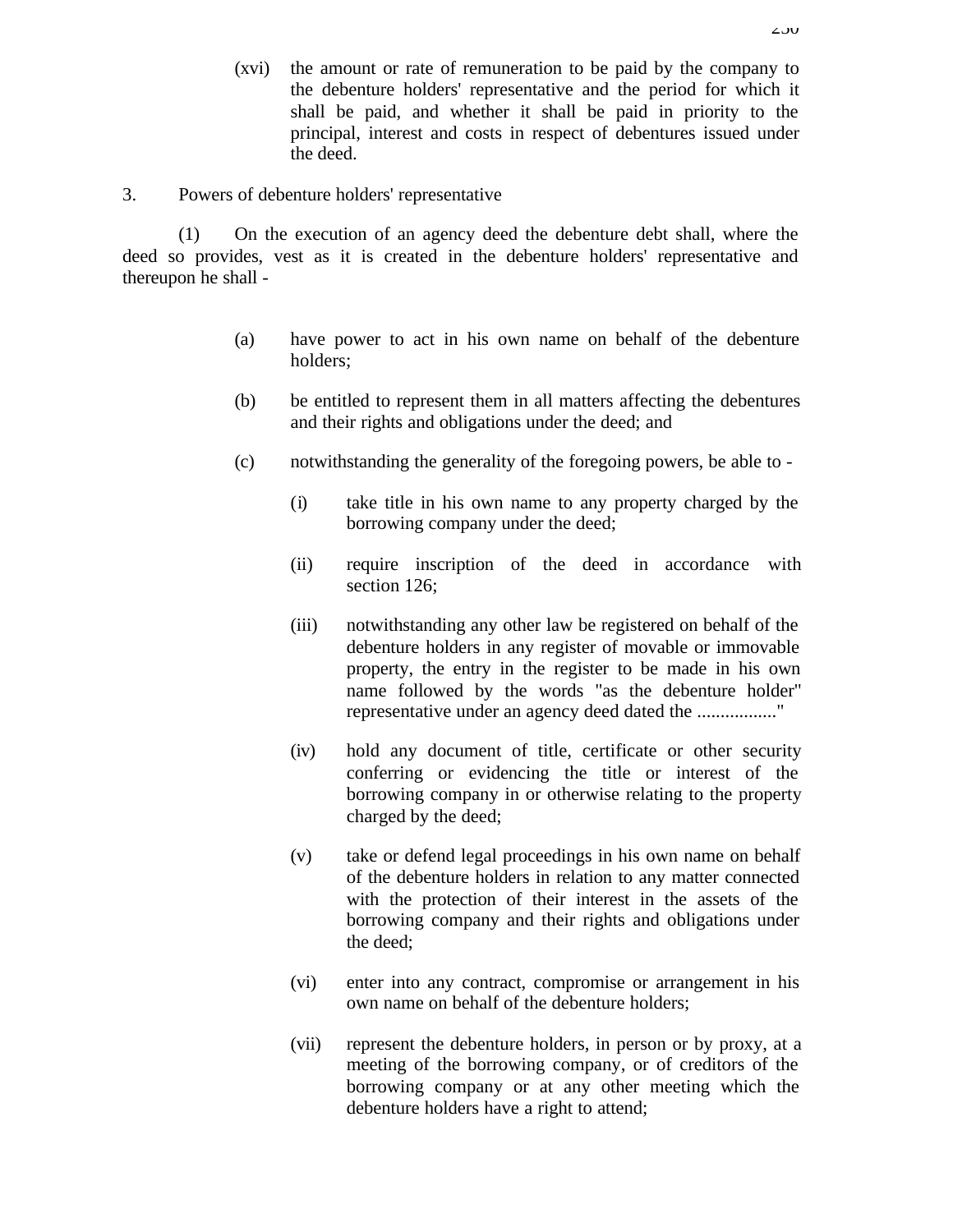- (xvi) the amount or rate of remuneration to be paid by the company to the debenture holders' representative and the period for which it shall be paid, and whether it shall be paid in priority to the principal, interest and costs in respect of debentures issued under the deed.
- 3. Powers of debenture holders' representative

(1) On the execution of an agency deed the debenture debt shall, where the deed so provides, vest as it is created in the debenture holders' representative and thereupon he shall -

- (a) have power to act in his own name on behalf of the debenture holders;
- (b) be entitled to represent them in all matters affecting the debentures and their rights and obligations under the deed; and
- (c) notwithstanding the generality of the foregoing powers, be able to
	- (i) take title in his own name to any property charged by the borrowing company under the deed;
	- (ii) require inscription of the deed in accordance with section 126;
	- (iii) notwithstanding any other law be registered on behalf of the debenture holders in any register of movable or immovable property, the entry in the register to be made in his own name followed by the words "as the debenture holder" representative under an agency deed dated the ................."
	- (iv) hold any document of title, certificate or other security conferring or evidencing the title or interest of the borrowing company in or otherwise relating to the property charged by the deed;
	- (v) take or defend legal proceedings in his own name on behalf of the debenture holders in relation to any matter connected with the protection of their interest in the assets of the borrowing company and their rights and obligations under the deed;
	- (vi) enter into any contract, compromise or arrangement in his own name on behalf of the debenture holders;
	- (vii) represent the debenture holders, in person or by proxy, at a meeting of the borrowing company, or of creditors of the borrowing company or at any other meeting which the debenture holders have a right to attend;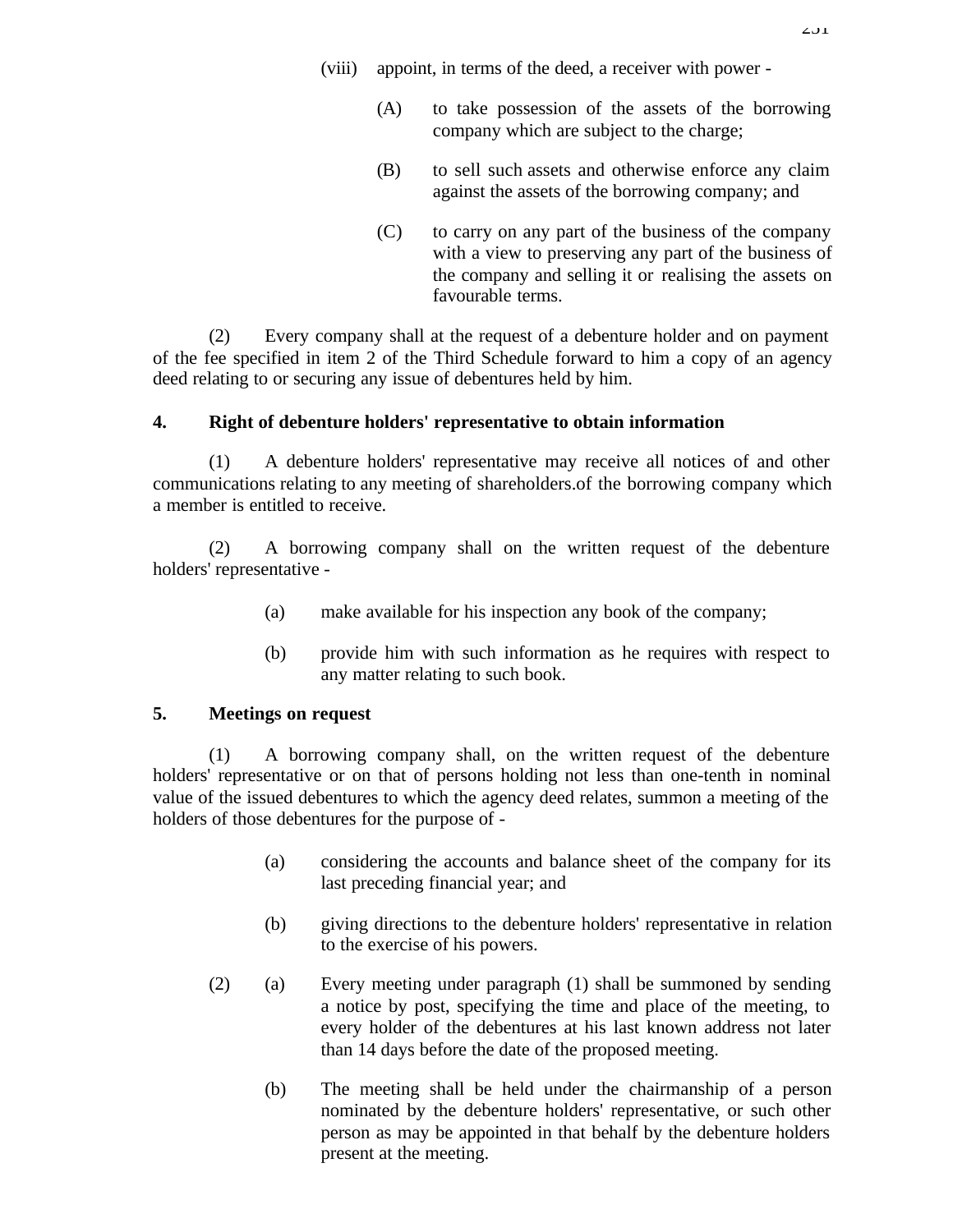- (viii) appoint, in terms of the deed, a receiver with power
	- (A) to take possession of the assets of the borrowing company which are subject to the charge;
	- (B) to sell such assets and otherwise enforce any claim against the assets of the borrowing company; and
	- (C) to carry on any part of the business of the company with a view to preserving any part of the business of the company and selling it or realising the assets on favourable terms.

(2) Every company shall at the request of a debenture holder and on payment of the fee specified in item 2 of the Third Schedule forward to him a copy of an agency deed relating to or securing any issue of debentures held by him.

# **4. Right of debenture holders' representative to obtain information**

(1) A debenture holders' representative may receive all notices of and other communications relating to any meeting of shareholders.of the borrowing company which a member is entitled to receive.

(2) A borrowing company shall on the written request of the debenture holders' representative -

- (a) make available for his inspection any book of the company;
- (b) provide him with such information as he requires with respect to any matter relating to such book.

### **5. Meetings on request**

(1) A borrowing company shall, on the written request of the debenture holders' representative or on that of persons holding not less than one-tenth in nominal value of the issued debentures to which the agency deed relates, summon a meeting of the holders of those debentures for the purpose of -

- (a) considering the accounts and balance sheet of the company for its last preceding financial year; and
- (b) giving directions to the debenture holders' representative in relation to the exercise of his powers.
- (2) (a) Every meeting under paragraph (1) shall be summoned by sending a notice by post, specifying the time and place of the meeting, to every holder of the debentures at his last known address not later than 14 days before the date of the proposed meeting.
	- (b) The meeting shall be held under the chairmanship of a person nominated by the debenture holders' representative, or such other person as may be appointed in that behalf by the debenture holders present at the meeting.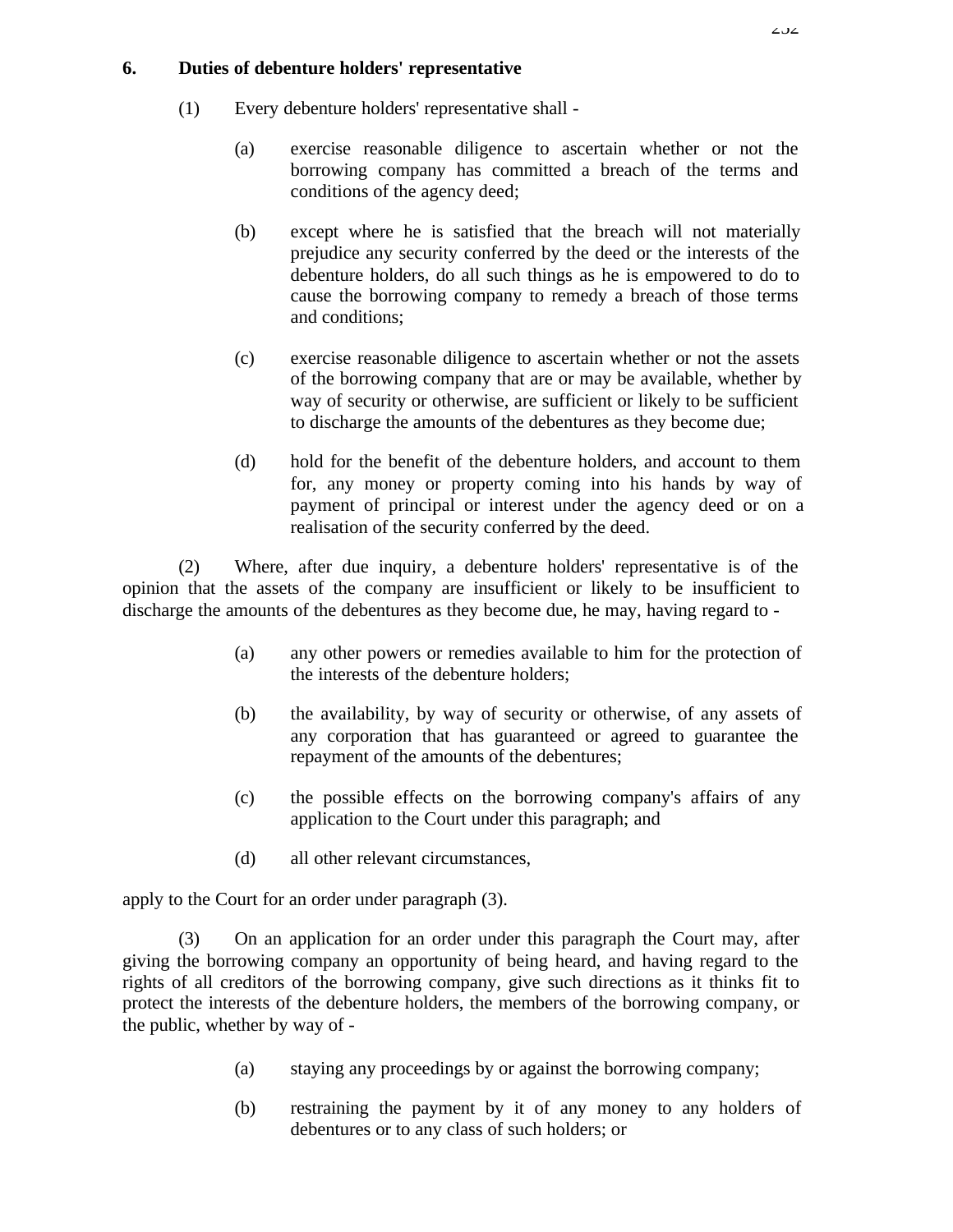# **6. Duties of debenture holders' representative**

- (1) Every debenture holders' representative shall
	- (a) exercise reasonable diligence to ascertain whether or not the borrowing company has committed a breach of the terms and conditions of the agency deed;
	- (b) except where he is satisfied that the breach will not materially prejudice any security conferred by the deed or the interests of the debenture holders, do all such things as he is empowered to do to cause the borrowing company to remedy a breach of those terms and conditions;
	- (c) exercise reasonable diligence to ascertain whether or not the assets of the borrowing company that are or may be available, whether by way of security or otherwise, are sufficient or likely to be sufficient to discharge the amounts of the debentures as they become due;
	- (d) hold for the benefit of the debenture holders, and account to them for, any money or property coming into his hands by way of payment of principal or interest under the agency deed or on a realisation of the security conferred by the deed.

(2) Where, after due inquiry, a debenture holders' representative is of the opinion that the assets of the company are insufficient or likely to be insufficient to discharge the amounts of the debentures as they become due, he may, having regard to -

- (a) any other powers or remedies available to him for the protection of the interests of the debenture holders;
- (b) the availability, by way of security or otherwise, of any assets of any corporation that has guaranteed or agreed to guarantee the repayment of the amounts of the debentures;
- (c) the possible effects on the borrowing company's affairs of any application to the Court under this paragraph; and
- (d) all other relevant circumstances,

apply to the Court for an order under paragraph (3).

(3) On an application for an order under this paragraph the Court may, after giving the borrowing company an opportunity of being heard, and having regard to the rights of all creditors of the borrowing company, give such directions as it thinks fit to protect the interests of the debenture holders, the members of the borrowing company, or the public, whether by way of -

- (a) staying any proceedings by or against the borrowing company;
- (b) restraining the payment by it of any money to any holders of debentures or to any class of such holders; or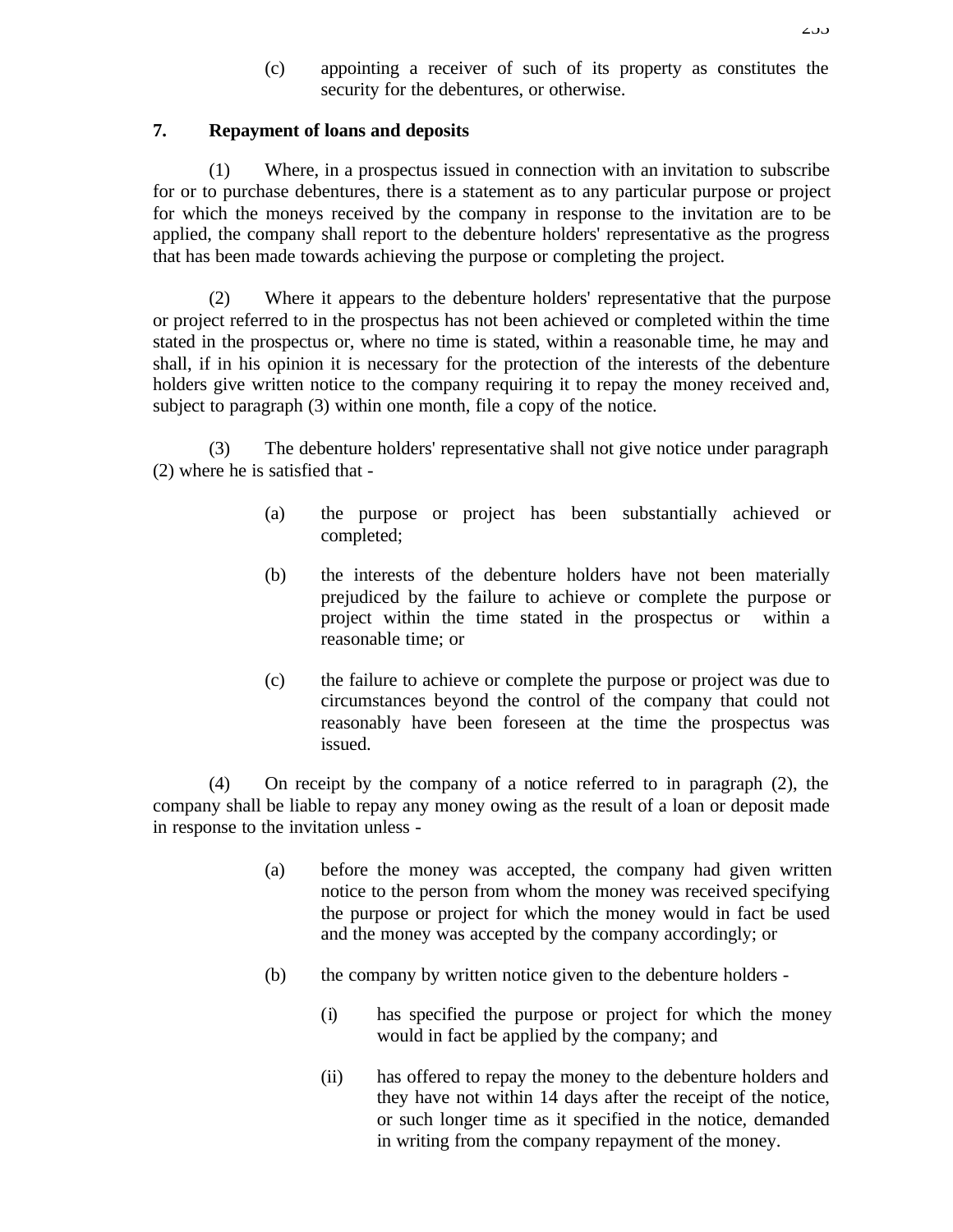(c) appointing a receiver of such of its property as constitutes the security for the debentures, or otherwise.

#### **7. Repayment of loans and deposits**

(1) Where, in a prospectus issued in connection with an invitation to subscribe for or to purchase debentures, there is a statement as to any particular purpose or project for which the moneys received by the company in response to the invitation are to be applied, the company shall report to the debenture holders' representative as the progress that has been made towards achieving the purpose or completing the project.

(2) Where it appears to the debenture holders' representative that the purpose or project referred to in the prospectus has not been achieved or completed within the time stated in the prospectus or, where no time is stated, within a reasonable time, he may and shall, if in his opinion it is necessary for the protection of the interests of the debenture holders give written notice to the company requiring it to repay the money received and, subject to paragraph (3) within one month, file a copy of the notice.

(3) The debenture holders' representative shall not give notice under paragraph (2) where he is satisfied that -

- (a) the purpose or project has been substantially achieved or completed;
- (b) the interests of the debenture holders have not been materially prejudiced by the failure to achieve or complete the purpose or project within the time stated in the prospectus or within a reasonable time; or
- (c) the failure to achieve or complete the purpose or project was due to circumstances beyond the control of the company that could not reasonably have been foreseen at the time the prospectus was issued.

(4) On receipt by the company of a notice referred to in paragraph (2), the company shall be liable to repay any money owing as the result of a loan or deposit made in response to the invitation unless -

- (a) before the money was accepted, the company had given written notice to the person from whom the money was received specifying the purpose or project for which the money would in fact be used and the money was accepted by the company accordingly; or
- (b) the company by written notice given to the debenture holders
	- (i) has specified the purpose or project for which the money would in fact be applied by the company; and
	- (ii) has offered to repay the money to the debenture holders and they have not within 14 days after the receipt of the notice, or such longer time as it specified in the notice, demanded in writing from the company repayment of the money.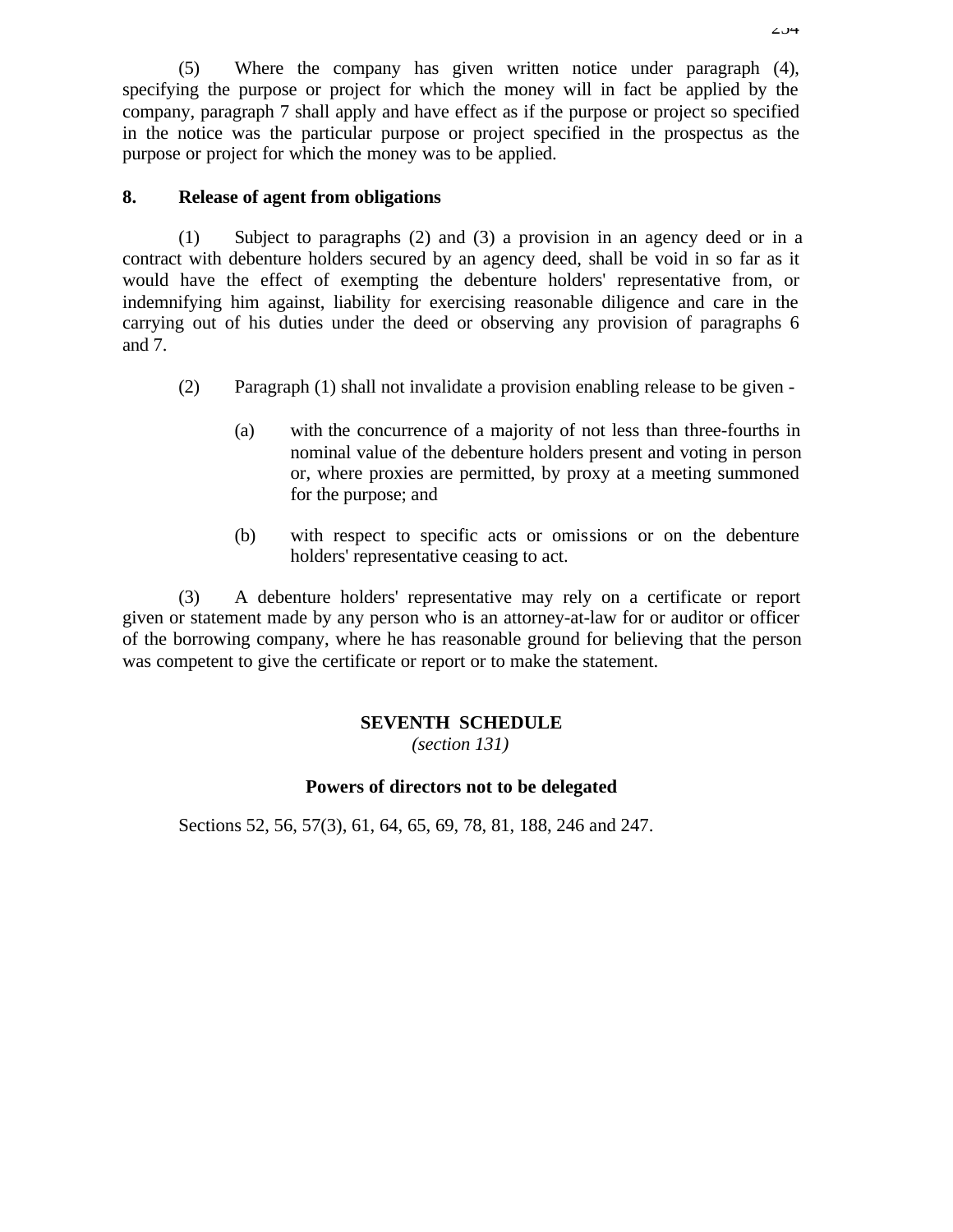(5) Where the company has given written notice under paragraph (4), specifying the purpose or project for which the money will in fact be applied by the company, paragraph 7 shall apply and have effect as if the purpose or project so specified in the notice was the particular purpose or project specified in the prospectus as the purpose or project for which the money was to be applied.

#### **8. Release of agent from obligations**

(1) Subject to paragraphs (2) and (3) a provision in an agency deed or in a contract with debenture holders secured by an agency deed, shall be void in so far as it would have the effect of exempting the debenture holders' representative from, or indemnifying him against, liability for exercising reasonable diligence and care in the carrying out of his duties under the deed or observing any provision of paragraphs 6 and 7.

- (2) Paragraph (1) shall not invalidate a provision enabling release to be given
	- (a) with the concurrence of a majority of not less than three-fourths in nominal value of the debenture holders present and voting in person or, where proxies are permitted, by proxy at a meeting summoned for the purpose; and
	- (b) with respect to specific acts or omissions or on the debenture holders' representative ceasing to act.

(3) A debenture holders' representative may rely on a certificate or report given or statement made by any person who is an attorney-at-law for or auditor or officer of the borrowing company, where he has reasonable ground for believing that the person was competent to give the certificate or report or to make the statement.

### **SEVENTH SCHEDULE**

*(section 131)*

### **Powers of directors not to be delegated**

Sections 52, 56, 57(3), 61, 64, 65, 69, 78, 81, 188, 246 and 247.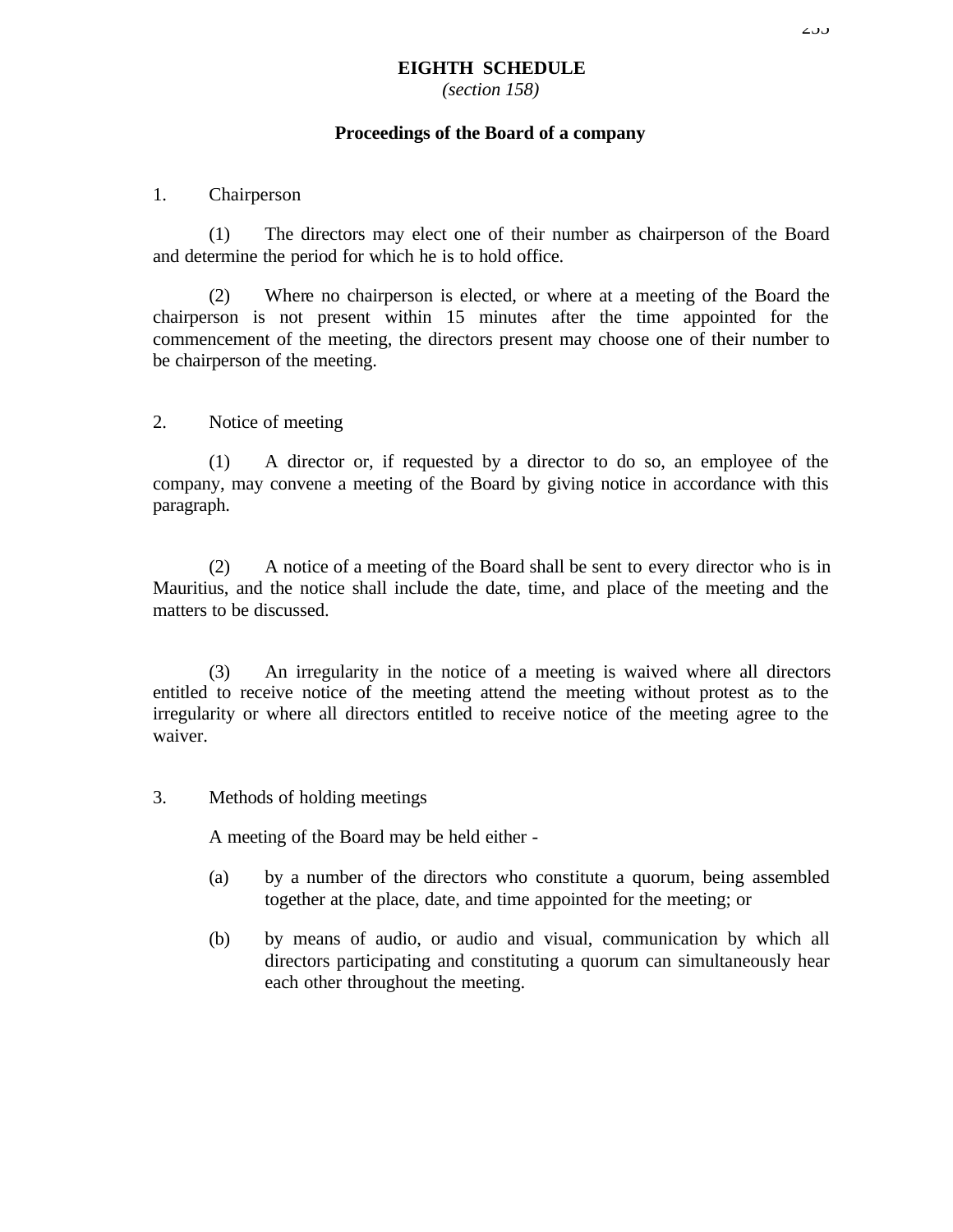*(section 158)*

#### **Proceedings of the Board of a company**

#### 1. Chairperson

(1) The directors may elect one of their number as chairperson of the Board and determine the period for which he is to hold office.

(2) Where no chairperson is elected, or where at a meeting of the Board the chairperson is not present within 15 minutes after the time appointed for the commencement of the meeting, the directors present may choose one of their number to be chairperson of the meeting.

#### 2. Notice of meeting

(1) A director or, if requested by a director to do so, an employee of the company, may convene a meeting of the Board by giving notice in accordance with this paragraph.

(2) A notice of a meeting of the Board shall be sent to every director who is in Mauritius, and the notice shall include the date, time, and place of the meeting and the matters to be discussed.

(3) An irregularity in the notice of a meeting is waived where all directors entitled to receive notice of the meeting attend the meeting without protest as to the irregularity or where all directors entitled to receive notice of the meeting agree to the waiver.

#### 3. Methods of holding meetings

A meeting of the Board may be held either -

- (a) by a number of the directors who constitute a quorum, being assembled together at the place, date, and time appointed for the meeting; or
- (b) by means of audio, or audio and visual, communication by which all directors participating and constituting a quorum can simultaneously hear each other throughout the meeting.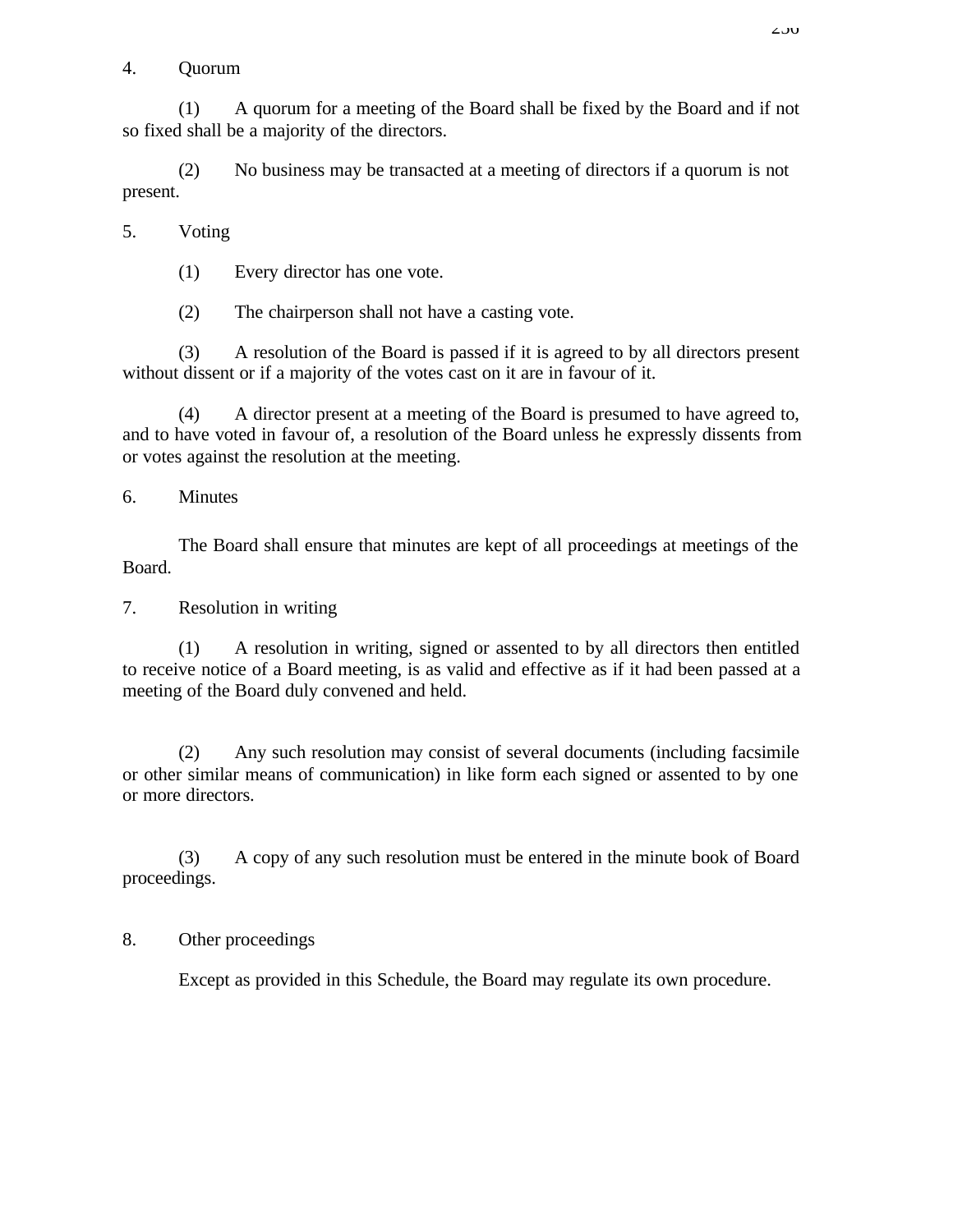#### 4. Quorum

(1) A quorum for a meeting of the Board shall be fixed by the Board and if not so fixed shall be a majority of the directors.

(2) No business may be transacted at a meeting of directors if a quorum is not present.

5. Voting

(1) Every director has one vote.

(2) The chairperson shall not have a casting vote.

(3) A resolution of the Board is passed if it is agreed to by all directors present without dissent or if a majority of the votes cast on it are in favour of it.

(4) A director present at a meeting of the Board is presumed to have agreed to, and to have voted in favour of, a resolution of the Board unless he expressly dissents from or votes against the resolution at the meeting.

6. Minutes

The Board shall ensure that minutes are kept of all proceedings at meetings of the Board.

7. Resolution in writing

(1) A resolution in writing, signed or assented to by all directors then entitled to receive notice of a Board meeting, is as valid and effective as if it had been passed at a meeting of the Board duly convened and held.

(2) Any such resolution may consist of several documents (including facsimile or other similar means of communication) in like form each signed or assented to by one or more directors.

(3) A copy of any such resolution must be entered in the minute book of Board proceedings.

### 8. Other proceedings

Except as provided in this Schedule, the Board may regulate its own procedure.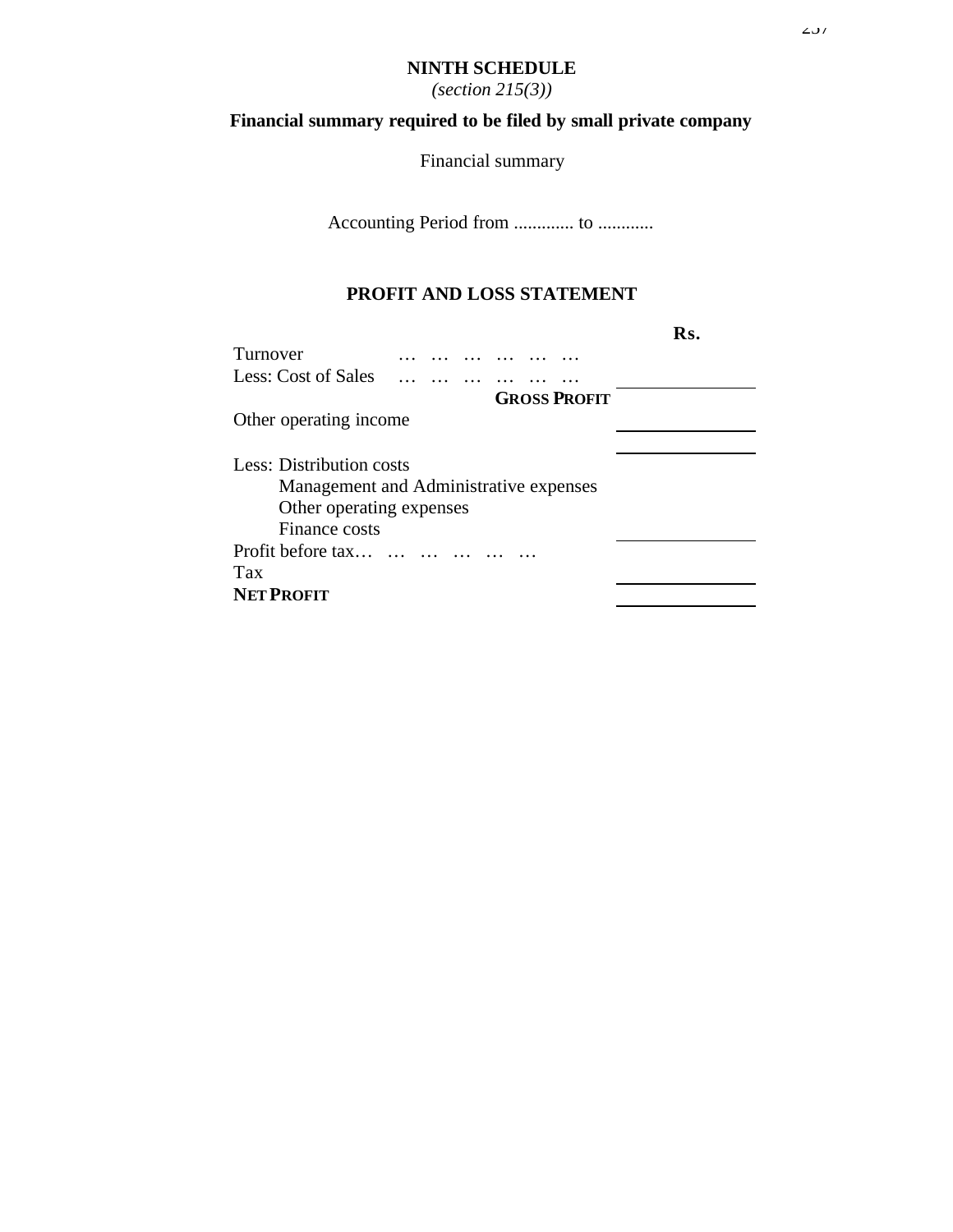#### **NINTH SCHEDULE**

*(section 215(3))*

# **Financial summary required to be filed by small private company**

Financial summary

Accounting Period from ............. to ............

### **PROFIT AND LOSS STATEMENT**

|                            |                                        | Rs. |
|----------------------------|----------------------------------------|-----|
| Turnover                   |                                        |     |
| <b>Less: Cost of Sales</b> |                                        |     |
|                            | <b>GROSS PROFIT</b>                    |     |
| Other operating income     |                                        |     |
|                            |                                        |     |
| Less: Distribution costs   |                                        |     |
|                            | Management and Administrative expenses |     |
| Other operating expenses   |                                        |     |
| Finance costs              |                                        |     |
| Profit before tax          |                                        |     |
| Tax                        |                                        |     |
| <b>NET PROFIT</b>          |                                        |     |
|                            |                                        |     |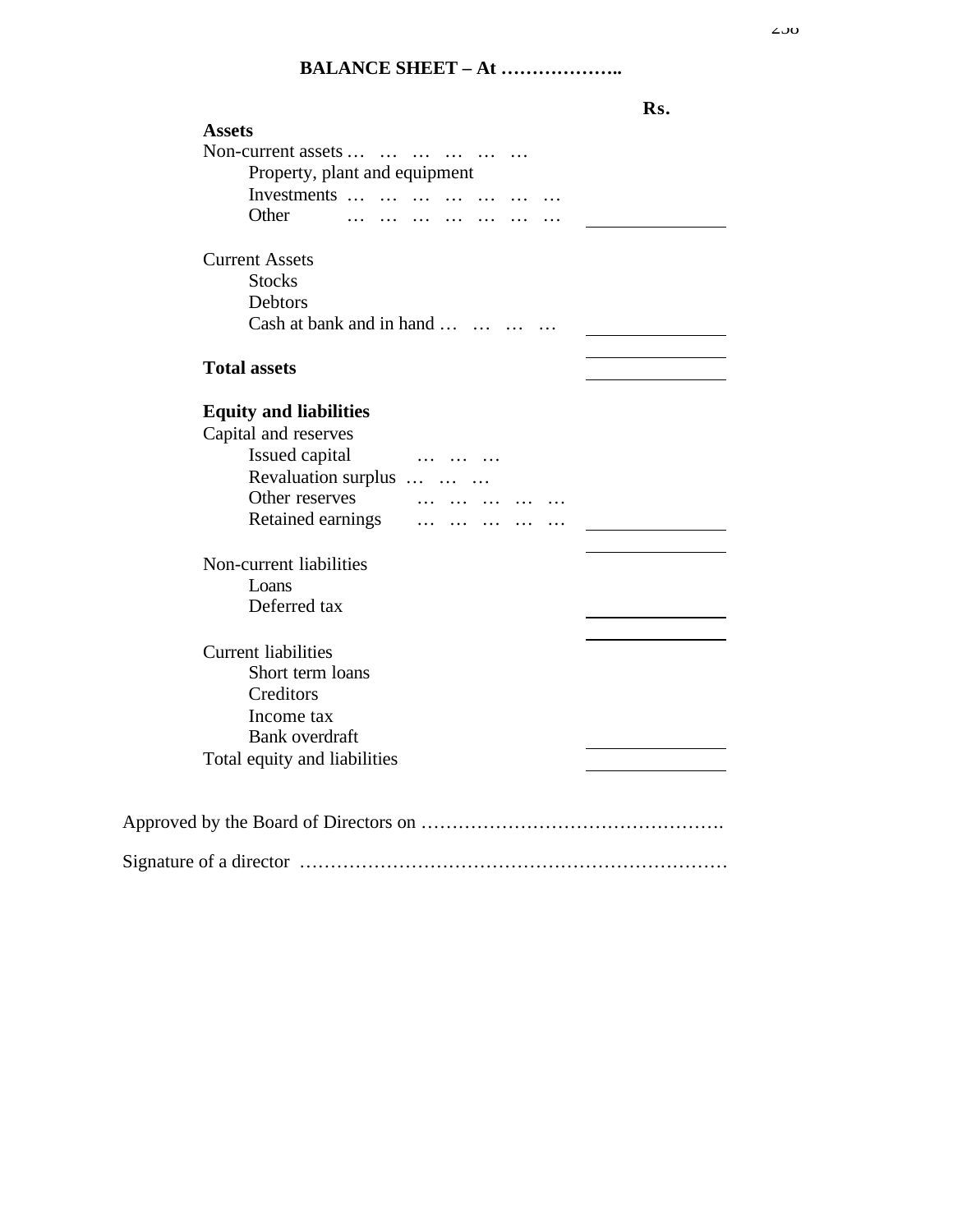#### $200$

## **BALANCE SHEET – At ………………..**

|                                                                           | Rs. |
|---------------------------------------------------------------------------|-----|
| <b>Assets</b>                                                             |     |
| Non-current assets                                                        |     |
| Property, plant and equipment                                             |     |
| Investments                                                               |     |
| Other                                                                     |     |
| <b>Current Assets</b>                                                     |     |
| <b>Stocks</b>                                                             |     |
| Debtors                                                                   |     |
| Cash at bank and in hand                                                  |     |
| <b>Total assets</b>                                                       |     |
|                                                                           |     |
| <b>Equity and liabilities</b>                                             |     |
| Capital and reserves                                                      |     |
| Issued capital<br>$\sim$ $\sim$ $\sim$ $\sim$ $\sim$ $\sim$ $\sim$ $\sim$ |     |
| Revaluation surplus                                                       |     |
| Other reserves                                                            |     |
| Retained earnings                                                         |     |
| Non-current liabilities                                                   |     |
| Loans                                                                     |     |
| Deferred tax                                                              |     |
|                                                                           |     |
| <b>Current liabilities</b>                                                |     |
| Short term loans                                                          |     |
| Creditors                                                                 |     |
| Income tax                                                                |     |
| <b>Bank</b> overdraft                                                     |     |
| Total equity and liabilities                                              |     |
|                                                                           |     |
|                                                                           |     |
|                                                                           |     |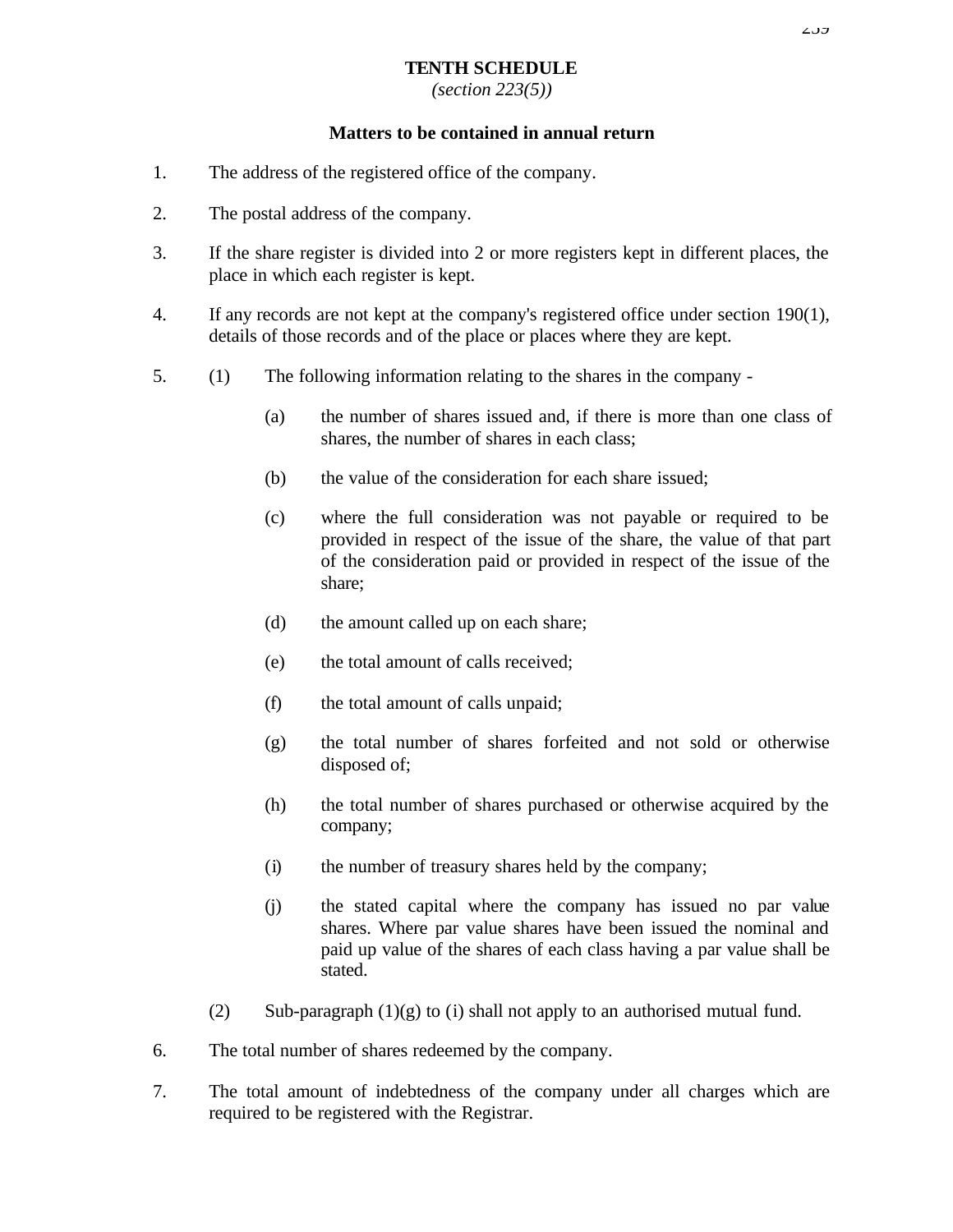### **TENTH SCHEDULE**

*(section 223(5))*

#### **Matters to be contained in annual return**

- 1. The address of the registered office of the company.
- 2. The postal address of the company.
- 3. If the share register is divided into 2 or more registers kept in different places, the place in which each register is kept.
- 4. If any records are not kept at the company's registered office under section 190(1), details of those records and of the place or places where they are kept.
- 5. (1) The following information relating to the shares in the company
	- (a) the number of shares issued and, if there is more than one class of shares, the number of shares in each class;
	- (b) the value of the consideration for each share issued;
	- (c) where the full consideration was not payable or required to be provided in respect of the issue of the share, the value of that part of the consideration paid or provided in respect of the issue of the share;
	- (d) the amount called up on each share;
	- (e) the total amount of calls received;
	- (f) the total amount of calls unpaid;
	- (g) the total number of shares forfeited and not sold or otherwise disposed of;
	- (h) the total number of shares purchased or otherwise acquired by the company;
	- (i) the number of treasury shares held by the company;
	- (j) the stated capital where the company has issued no par value shares. Where par value shares have been issued the nominal and paid up value of the shares of each class having a par value shall be stated.
	- (2) Sub-paragraph  $(1)(g)$  to (i) shall not apply to an authorised mutual fund.
- 6. The total number of shares redeemed by the company.
- 7. The total amount of indebtedness of the company under all charges which are required to be registered with the Registrar.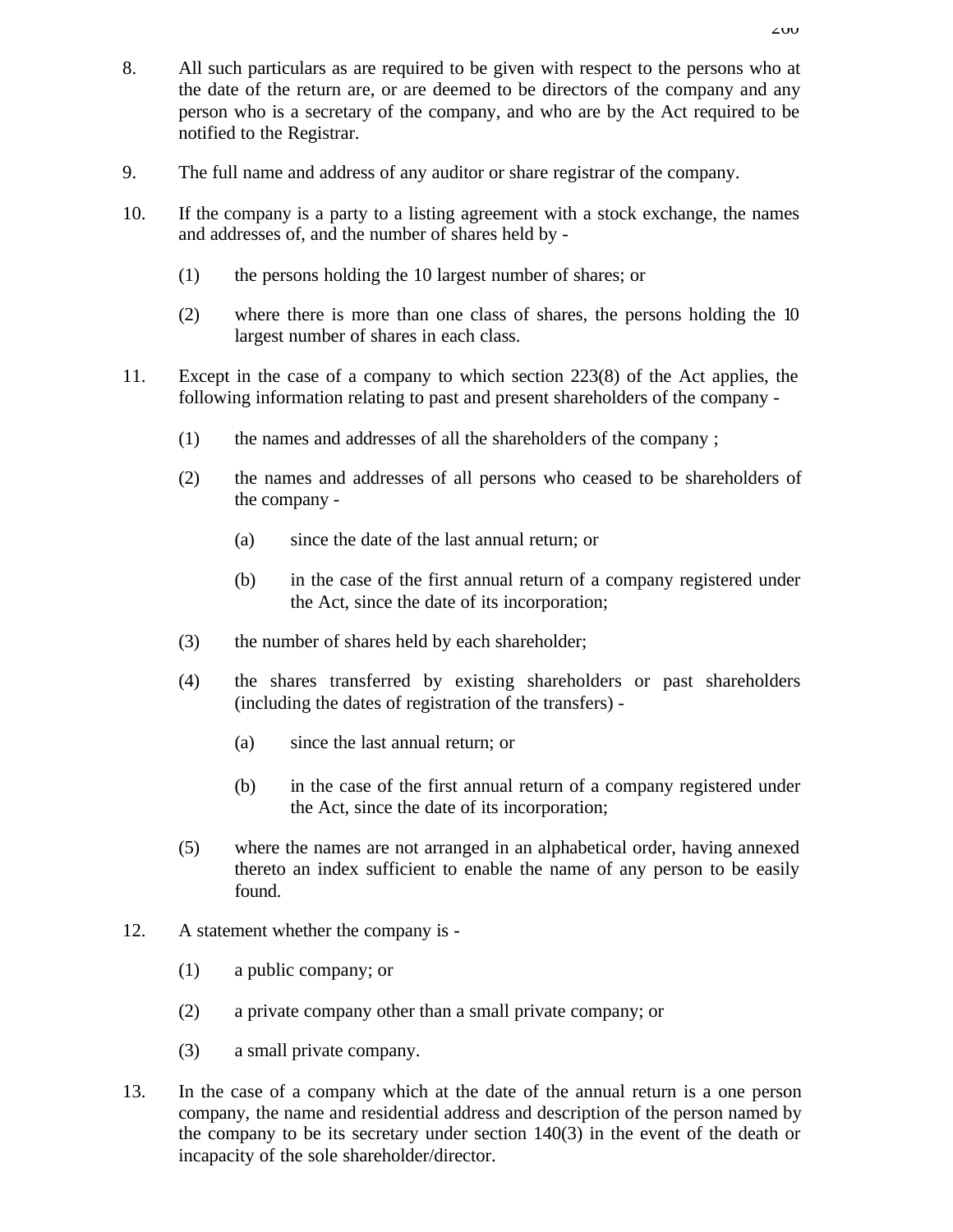- 8. All such particulars as are required to be given with respect to the persons who at the date of the return are, or are deemed to be directors of the company and any person who is a secretary of the company, and who are by the Act required to be notified to the Registrar.
- 9. The full name and address of any auditor or share registrar of the company.
- 10. If the company is a party to a listing agreement with a stock exchange, the names and addresses of, and the number of shares held by -
	- (1) the persons holding the 10 largest number of shares; or
	- (2) where there is more than one class of shares, the persons holding the 10 largest number of shares in each class.
- 11. Except in the case of a company to which section 223(8) of the Act applies, the following information relating to past and present shareholders of the company -
	- (1) the names and addresses of all the shareholders of the company ;
	- (2) the names and addresses of all persons who ceased to be shareholders of the company -
		- (a) since the date of the last annual return; or
		- (b) in the case of the first annual return of a company registered under the Act, since the date of its incorporation;
	- (3) the number of shares held by each shareholder;
	- (4) the shares transferred by existing shareholders or past shareholders (including the dates of registration of the transfers) -
		- (a) since the last annual return; or
		- (b) in the case of the first annual return of a company registered under the Act, since the date of its incorporation;
	- (5) where the names are not arranged in an alphabetical order, having annexed thereto an index sufficient to enable the name of any person to be easily found.
- 12. A statement whether the company is
	- (1) a public company; or
	- (2) a private company other than a small private company; or
	- (3) a small private company.
- 13. In the case of a company which at the date of the annual return is a one person company, the name and residential address and description of the person named by the company to be its secretary under section 140(3) in the event of the death or incapacity of the sole shareholder/director.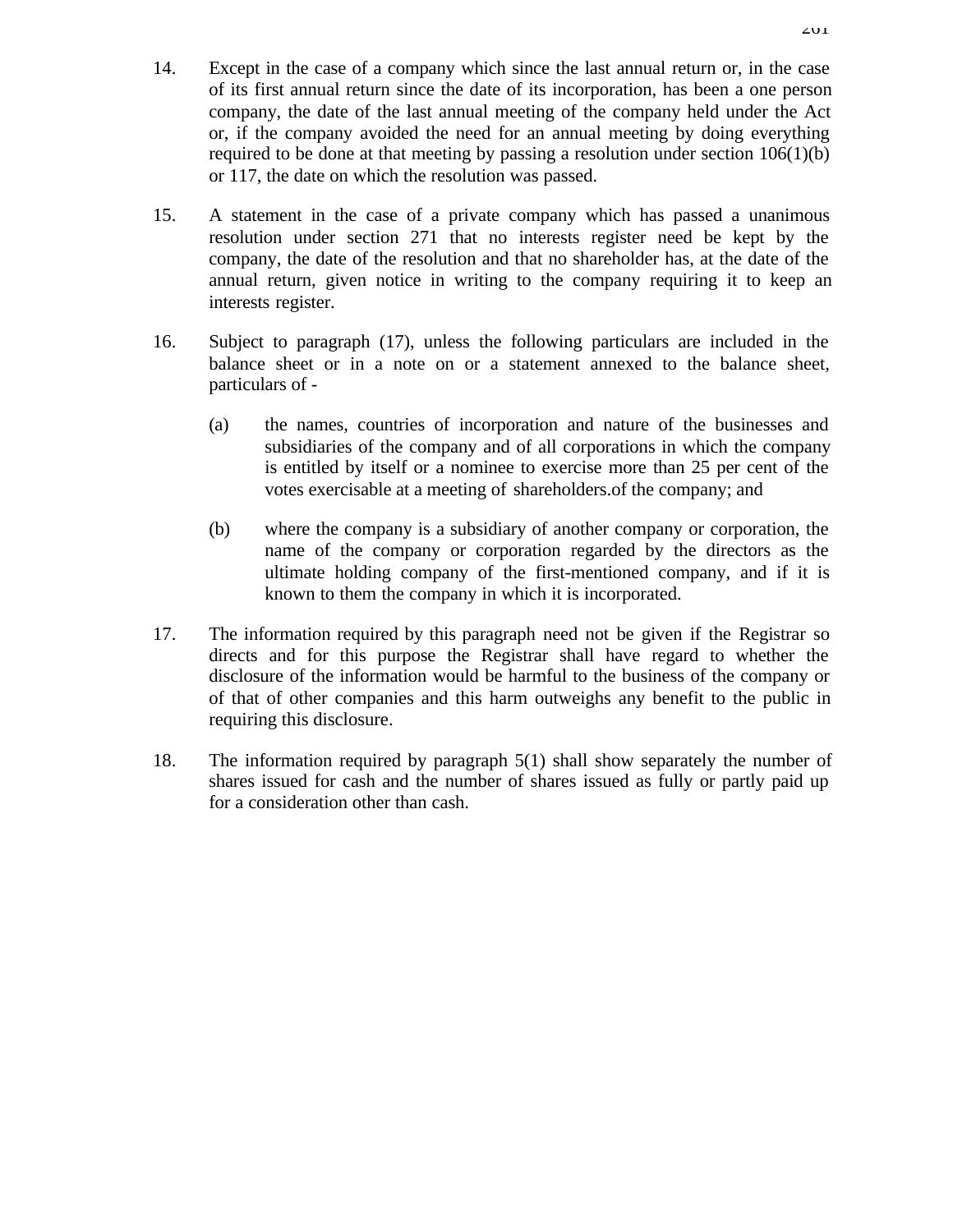- 14. Except in the case of a company which since the last annual return or, in the case of its first annual return since the date of its incorporation, has been a one person company, the date of the last annual meeting of the company held under the Act or, if the company avoided the need for an annual meeting by doing everything required to be done at that meeting by passing a resolution under section 106(1)(b) or 117, the date on which the resolution was passed.
- 15. A statement in the case of a private company which has passed a unanimous resolution under section 271 that no interests register need be kept by the company, the date of the resolution and that no shareholder has, at the date of the annual return, given notice in writing to the company requiring it to keep an interests register.
- 16. Subject to paragraph (17), unless the following particulars are included in the balance sheet or in a note on or a statement annexed to the balance sheet, particulars of -
	- (a) the names, countries of incorporation and nature of the businesses and subsidiaries of the company and of all corporations in which the company is entitled by itself or a nominee to exercise more than 25 per cent of the votes exercisable at a meeting of shareholders.of the company; and
	- (b) where the company is a subsidiary of another company or corporation, the name of the company or corporation regarded by the directors as the ultimate holding company of the first-mentioned company, and if it is known to them the company in which it is incorporated.
- 17. The information required by this paragraph need not be given if the Registrar so directs and for this purpose the Registrar shall have regard to whether the disclosure of the information would be harmful to the business of the company or of that of other companies and this harm outweighs any benefit to the public in requiring this disclosure.
- 18. The information required by paragraph 5(1) shall show separately the number of shares issued for cash and the number of shares issued as fully or partly paid up for a consideration other than cash.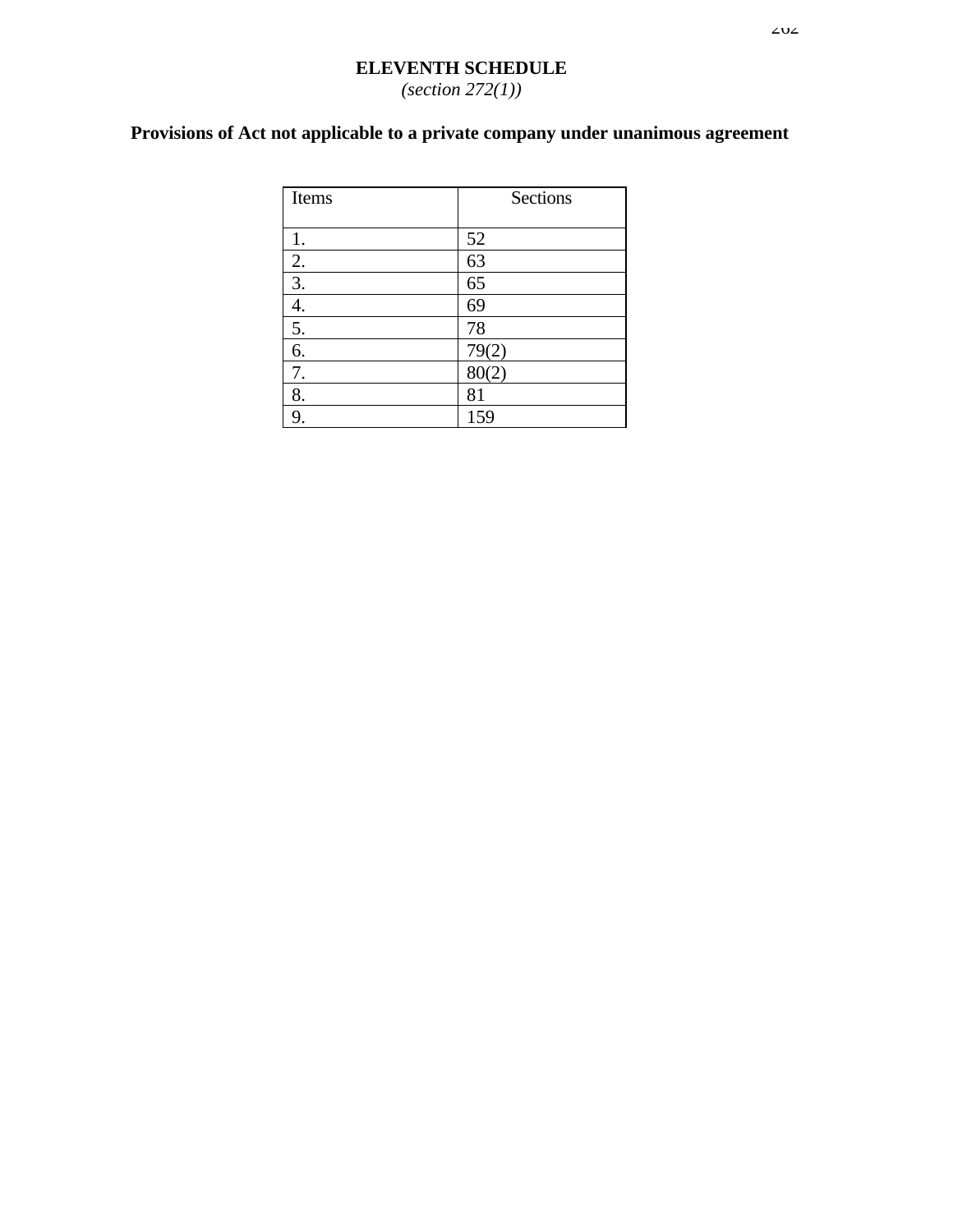#### $202$

### **ELEVENTH SCHEDULE** *(section 272(1))*

# **Provisions of Act not applicable to a private company under unanimous agreement**

| Items | Sections |
|-------|----------|
|       |          |
| 1.    | 52       |
| 2.    | 63       |
| 3.    | 65       |
| 4.    | 69       |
| 5.    | 78       |
| 6.    | 79(2)    |
| 7.    | 80(2)    |
| 8.    | 81       |
|       | 159      |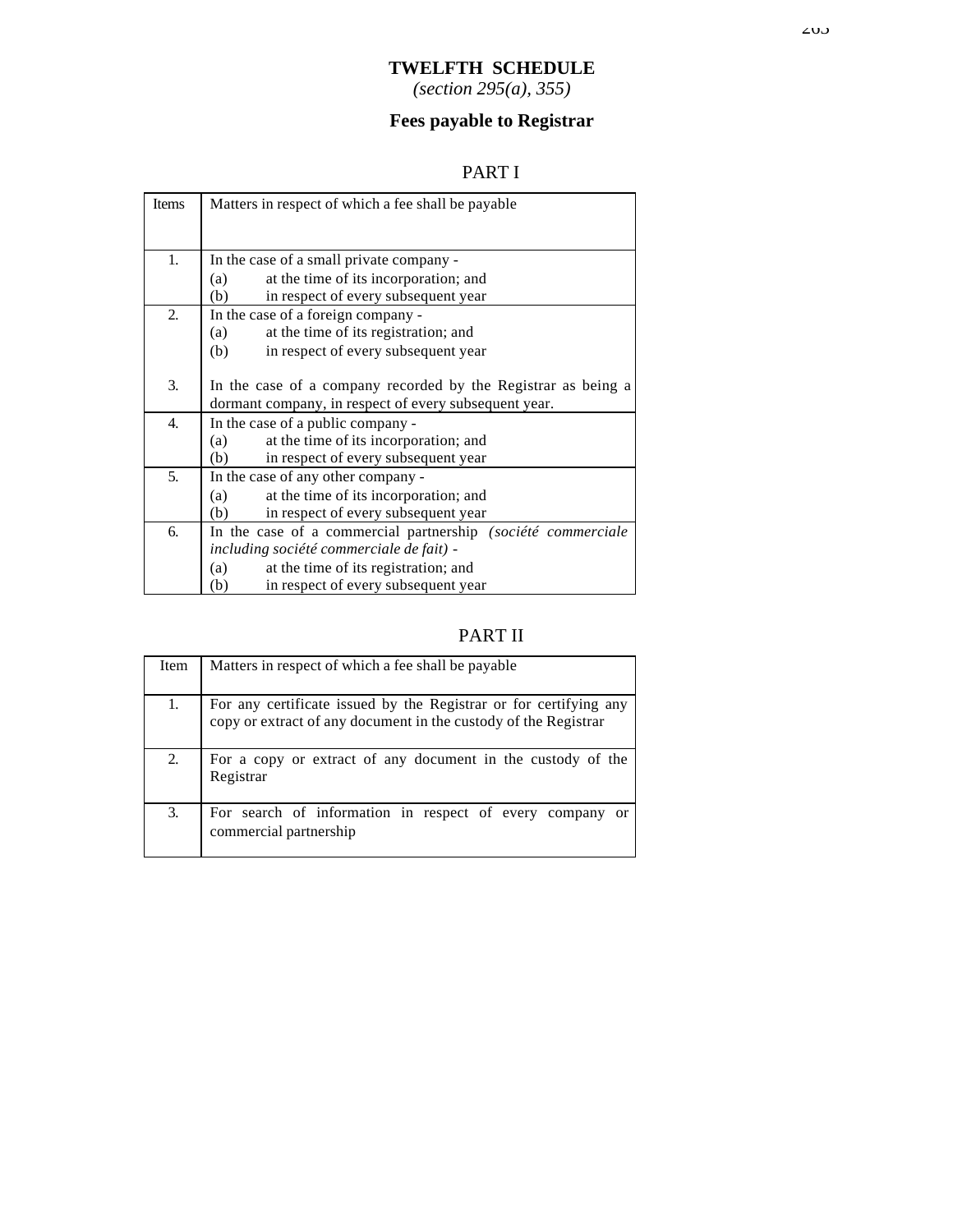### **TWELFTH SCHEDULE**

*(section 295(a), 355)*

## **Fees payable to Registrar**

## PART I

| Items | Matters in respect of which a fee shall be payable.           |  |  |
|-------|---------------------------------------------------------------|--|--|
|       |                                                               |  |  |
| 1.    | In the case of a small private company -                      |  |  |
|       | at the time of its incorporation; and<br>(a)                  |  |  |
|       | in respect of every subsequent year<br>(b)                    |  |  |
| 2.    | In the case of a foreign company -                            |  |  |
|       | at the time of its registration; and<br>(a)                   |  |  |
|       | in respect of every subsequent year<br>(b)                    |  |  |
|       |                                                               |  |  |
| 3.    | In the case of a company recorded by the Registrar as being a |  |  |
|       | dormant company, in respect of every subsequent year.         |  |  |
| 4.    | In the case of a public company -                             |  |  |
|       | at the time of its incorporation; and<br>(a)                  |  |  |
|       | in respect of every subsequent year<br>(b)                    |  |  |
| 5.    | In the case of any other company -                            |  |  |
|       | at the time of its incorporation; and<br>(a)                  |  |  |
|       | in respect of every subsequent year<br>(b)                    |  |  |
| 6.    | In the case of a commercial partnership (société commerciale  |  |  |
|       | including société commerciale de fait) -                      |  |  |
|       | at the time of its registration; and<br>(a)                   |  |  |
|       | in respect of every subsequent year<br>(b)                    |  |  |

## PART II

| Item | Matters in respect of which a fee shall be payable                                                                                   |
|------|--------------------------------------------------------------------------------------------------------------------------------------|
|      | For any certificate issued by the Registrar or for certifying any<br>copy or extract of any document in the custody of the Registrar |
| 2.   | For a copy or extract of any document in the custody of the<br>Registrar                                                             |
| 3.   | For search of information in respect of every company or commercial partnership                                                      |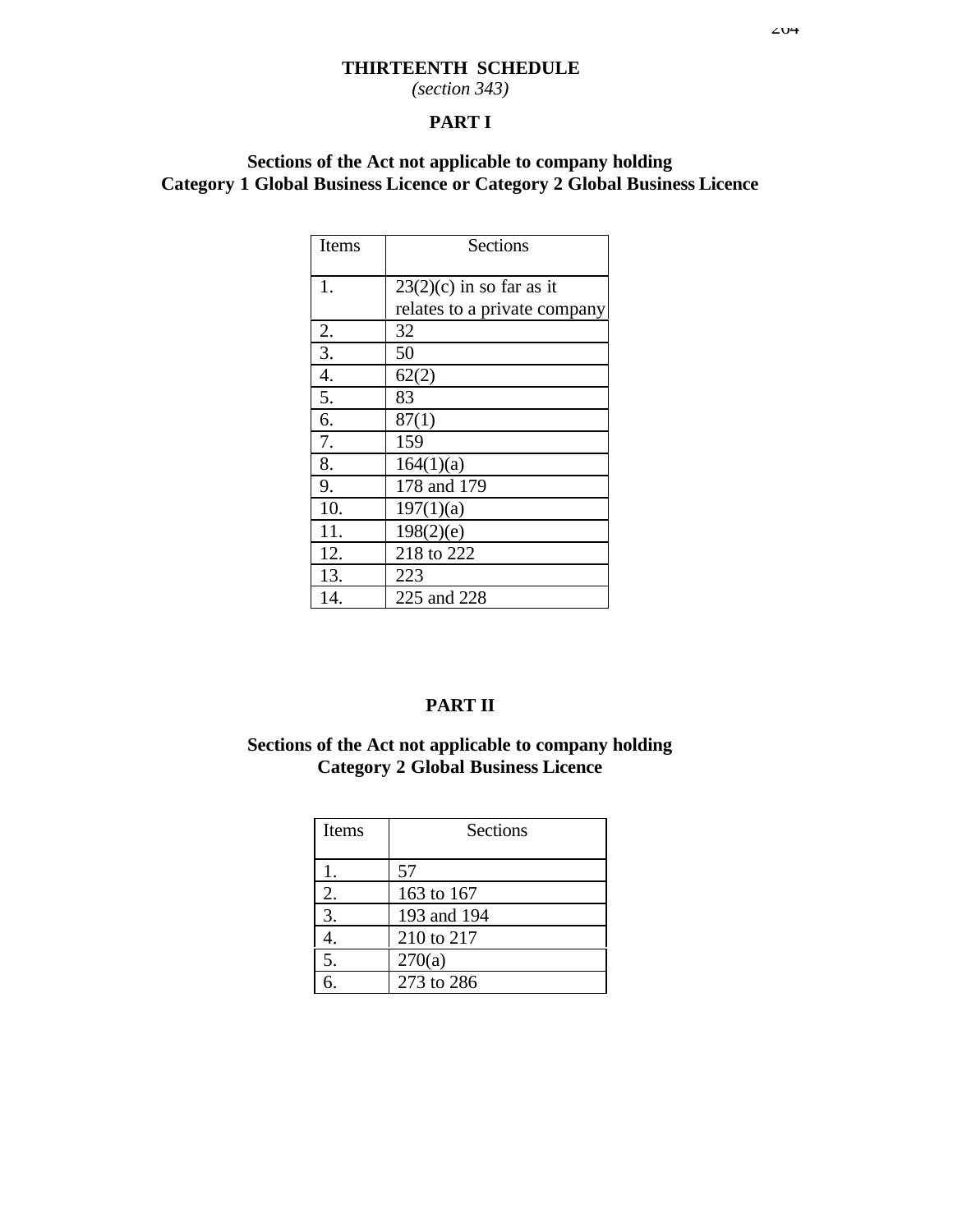### **THIRTEENTH SCHEDULE**

*(section 343)*

### **PART I**

### **Sections of the Act not applicable to company holding Category 1 Global Business Licence or Category 2 Global Business Licence**

| Items            | <b>Sections</b>              |
|------------------|------------------------------|
| 1.               | $23(2)(c)$ in so far as it   |
|                  | relates to a private company |
| 2.               | 32                           |
| $\overline{3}$ . | 50                           |
| 4.               | 62(2)                        |
| 5.               | 83                           |
| 6.               | 87(1)                        |
| 7.               | 159                          |
| 8.               | 164(1)(a)                    |
| 9.               | 178 and 179                  |
| 10.              | 197(1)(a)                    |
| 11.              | 198(2)(e)                    |
| 12.              | 218 to 222                   |
| 13.              | 223                          |
| 14.              | 225 and 228                  |

### **PART II**

### **Sections of the Act not applicable to company holding Category 2 Global Business Licence**

| Items | <b>Sections</b> |  |
|-------|-----------------|--|
|       | 57              |  |
| 2.    | 163 to 167      |  |
| 3.    | 193 and 194     |  |
|       | 210 to 217      |  |
| 5.    | 270(a)          |  |
| б     | 273 to 286      |  |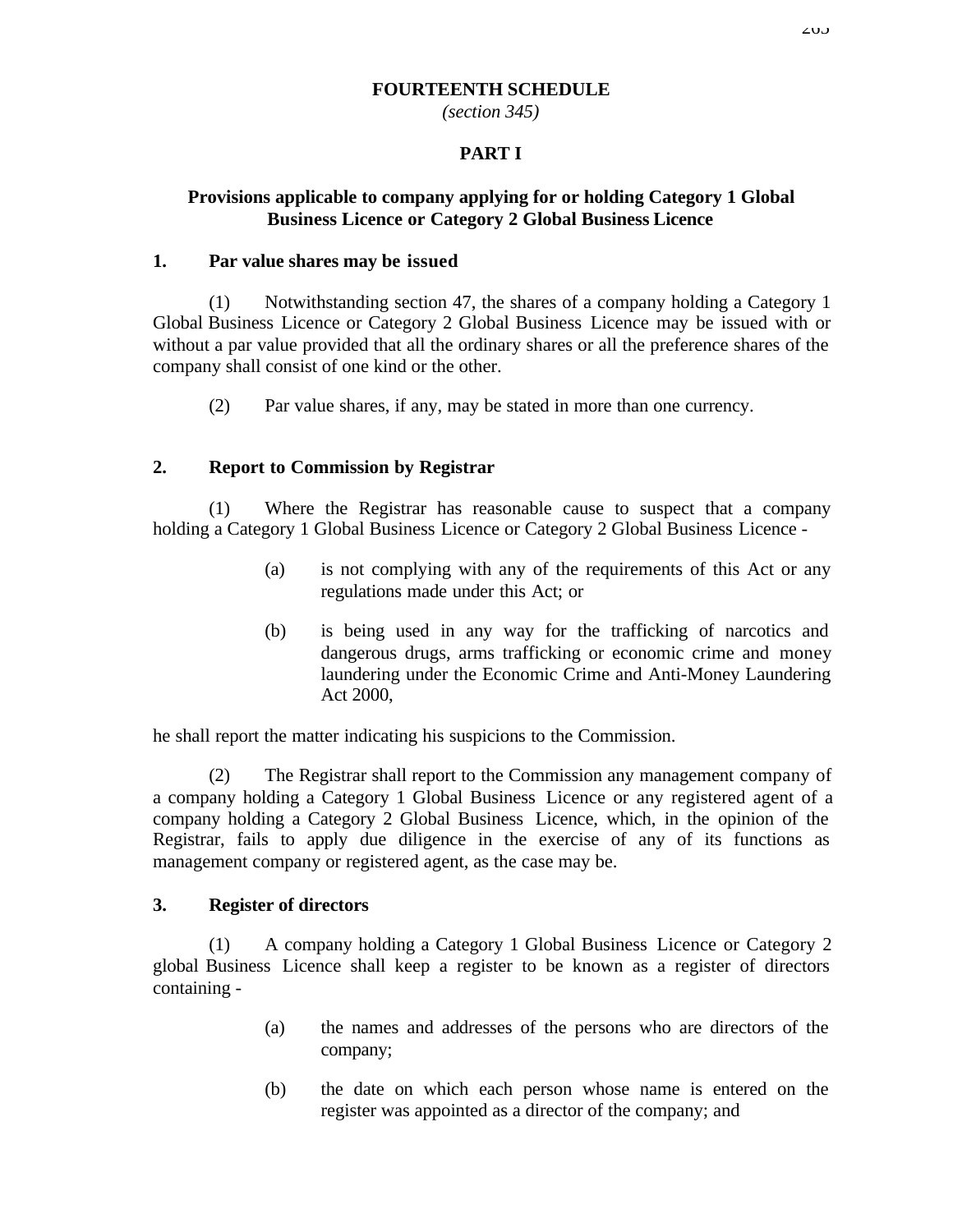#### **FOURTEENTH SCHEDULE**

*(section 345)*

### **PART I**

### **Provisions applicable to company applying for or holding Category 1 Global Business Licence or Category 2 Global Business Licence**

#### **1. Par value shares may be issued**

(1) Notwithstanding section 47, the shares of a company holding a Category 1 Global Business Licence or Category 2 Global Business Licence may be issued with or without a par value provided that all the ordinary shares or all the preference shares of the company shall consist of one kind or the other.

(2) Par value shares, if any, may be stated in more than one currency.

### **2. Report to Commission by Registrar**

(1) Where the Registrar has reasonable cause to suspect that a company holding a Category 1 Global Business Licence or Category 2 Global Business Licence -

- (a) is not complying with any of the requirements of this Act or any regulations made under this Act; or
- (b) is being used in any way for the trafficking of narcotics and dangerous drugs, arms trafficking or economic crime and money laundering under the Economic Crime and Anti-Money Laundering Act 2000,

he shall report the matter indicating his suspicions to the Commission.

(2) The Registrar shall report to the Commission any management company of a company holding a Category 1 Global Business Licence or any registered agent of a company holding a Category 2 Global Business Licence, which, in the opinion of the Registrar, fails to apply due diligence in the exercise of any of its functions as management company or registered agent, as the case may be.

#### **3. Register of directors**

(1) A company holding a Category 1 Global Business Licence or Category 2 global Business Licence shall keep a register to be known as a register of directors containing -

- (a) the names and addresses of the persons who are directors of the company;
- (b) the date on which each person whose name is entered on the register was appointed as a director of the company; and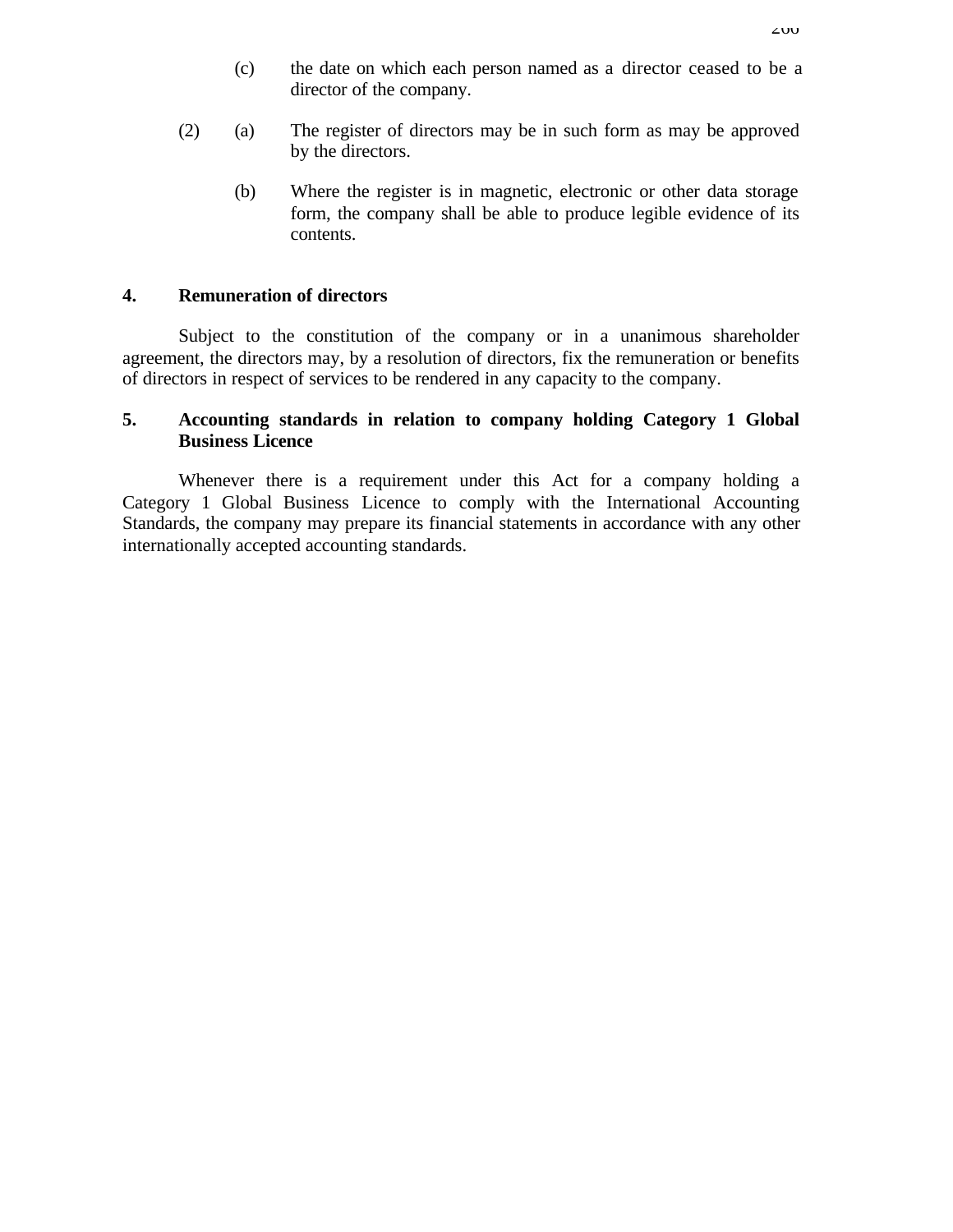- (c) the date on which each person named as a director ceased to be a director of the company.
- (2) (a) The register of directors may be in such form as may be approved by the directors.
	- (b) Where the register is in magnetic, electronic or other data storage form, the company shall be able to produce legible evidence of its contents.

#### **4. Remuneration of directors**

Subject to the constitution of the company or in a unanimous shareholder agreement, the directors may, by a resolution of directors, fix the remuneration or benefits of directors in respect of services to be rendered in any capacity to the company.

#### **5. Accounting standards in relation to company holding Category 1 Global Business Licence**

Whenever there is a requirement under this Act for a company holding a Category 1 Global Business Licence to comply with the International Accounting Standards, the company may prepare its financial statements in accordance with any other internationally accepted accounting standards.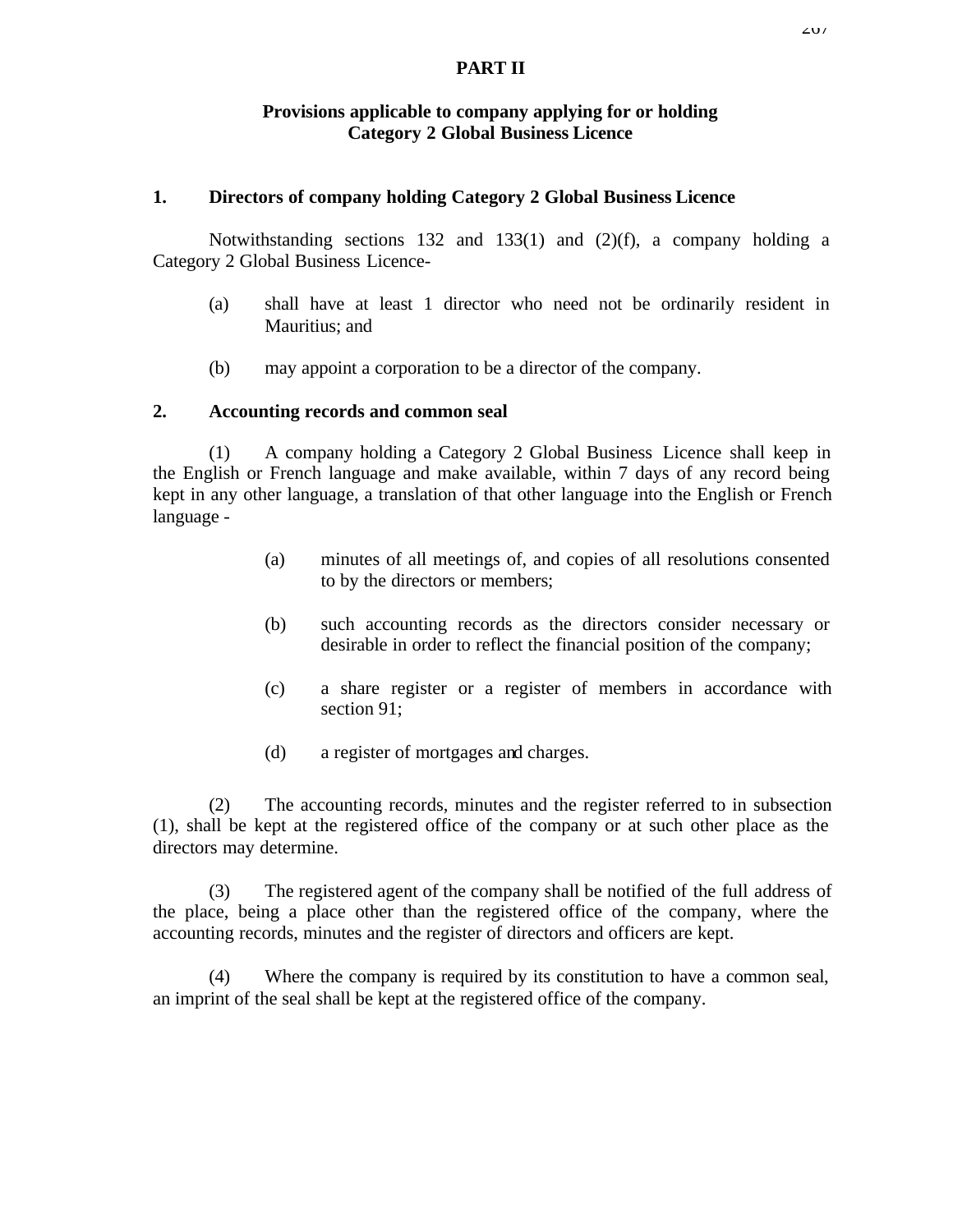#### **PART II**

#### **Provisions applicable to company applying for or holding Category 2 Global Business Licence**

#### **1. Directors of company holding Category 2 Global Business Licence**

Notwithstanding sections 132 and 133(1) and (2)(f), a company holding a Category 2 Global Business Licence-

- (a) shall have at least 1 director who need not be ordinarily resident in Mauritius; and
- (b) may appoint a corporation to be a director of the company.

#### **2. Accounting records and common seal**

(1) A company holding a Category 2 Global Business Licence shall keep in the English or French language and make available, within 7 days of any record being kept in any other language, a translation of that other language into the English or French language -

- (a) minutes of all meetings of, and copies of all resolutions consented to by the directors or members;
- (b) such accounting records as the directors consider necessary or desirable in order to reflect the financial position of the company;
- (c) a share register or a register of members in accordance with section 91;
- (d) a register of mortgages and charges.

(2) The accounting records, minutes and the register referred to in subsection (1), shall be kept at the registered office of the company or at such other place as the directors may determine.

(3) The registered agent of the company shall be notified of the full address of the place, being a place other than the registered office of the company, where the accounting records, minutes and the register of directors and officers are kept.

(4) Where the company is required by its constitution to have a common seal, an imprint of the seal shall be kept at the registered office of the company.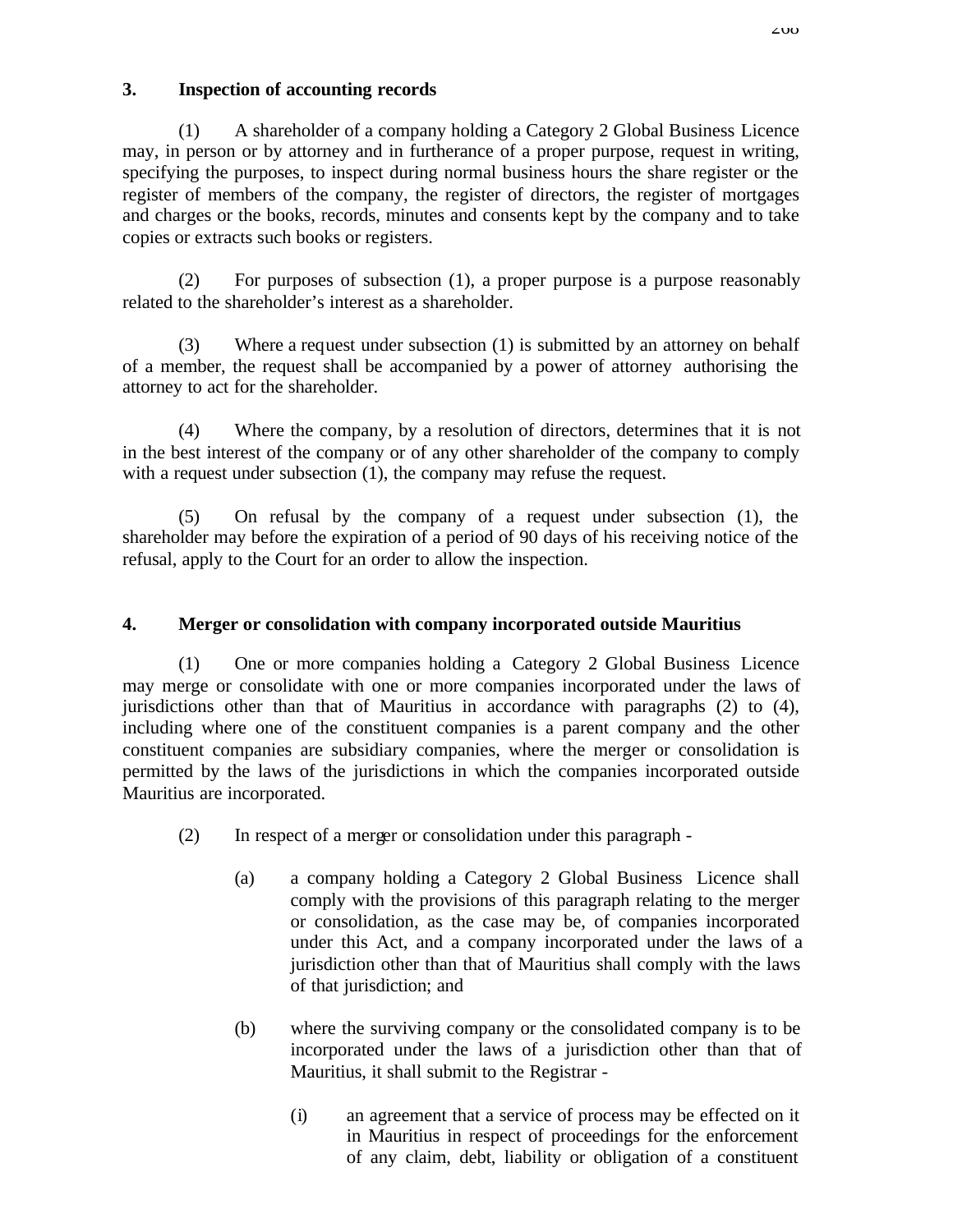### **3. Inspection of accounting records**

(1) A shareholder of a company holding a Category 2 Global Business Licence may, in person or by attorney and in furtherance of a proper purpose, request in writing, specifying the purposes, to inspect during normal business hours the share register or the register of members of the company, the register of directors, the register of mortgages and charges or the books, records, minutes and consents kept by the company and to take copies or extracts such books or registers.

(2) For purposes of subsection (1), a proper purpose is a purpose reasonably related to the shareholder's interest as a shareholder.

(3) Where a request under subsection (1) is submitted by an attorney on behalf of a member, the request shall be accompanied by a power of attorney authorising the attorney to act for the shareholder.

(4) Where the company, by a resolution of directors, determines that it is not in the best interest of the company or of any other shareholder of the company to comply with a request under subsection (1), the company may refuse the request.

(5) On refusal by the company of a request under subsection (1), the shareholder may before the expiration of a period of 90 days of his receiving notice of the refusal, apply to the Court for an order to allow the inspection.

### **4. Merger or consolidation with company incorporated outside Mauritius**

(1) One or more companies holding a Category 2 Global Business Licence may merge or consolidate with one or more companies incorporated under the laws of jurisdictions other than that of Mauritius in accordance with paragraphs (2) to (4), including where one of the constituent companies is a parent company and the other constituent companies are subsidiary companies, where the merger or consolidation is permitted by the laws of the jurisdictions in which the companies incorporated outside Mauritius are incorporated.

- (2) In respect of a merger or consolidation under this paragraph
	- (a) a company holding a Category 2 Global Business Licence shall comply with the provisions of this paragraph relating to the merger or consolidation, as the case may be, of companies incorporated under this Act, and a company incorporated under the laws of a jurisdiction other than that of Mauritius shall comply with the laws of that jurisdiction; and
	- (b) where the surviving company or the consolidated company is to be incorporated under the laws of a jurisdiction other than that of Mauritius, it shall submit to the Registrar -
		- (i) an agreement that a service of process may be effected on it in Mauritius in respect of proceedings for the enforcement of any claim, debt, liability or obligation of a constituent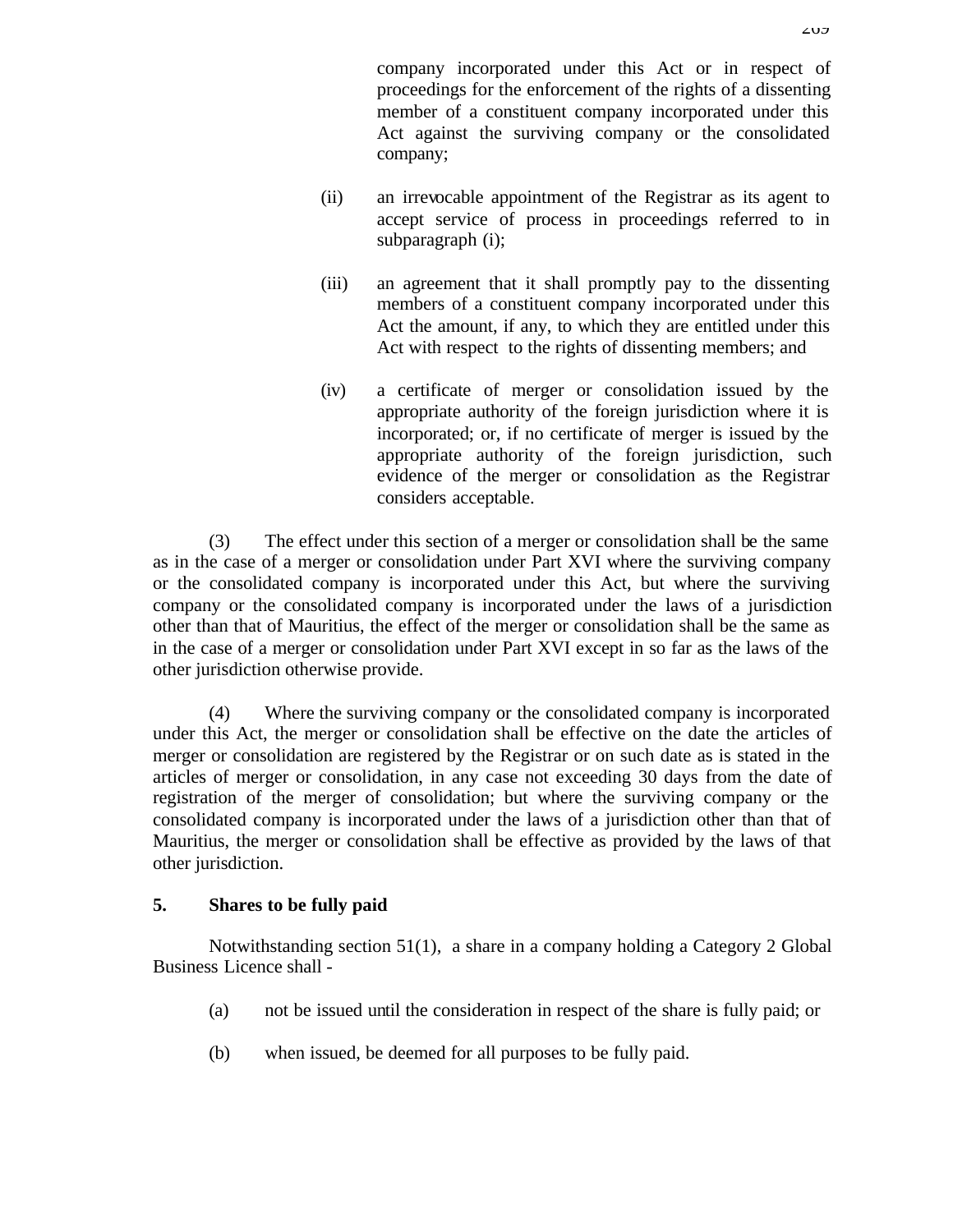company incorporated under this Act or in respect of proceedings for the enforcement of the rights of a dissenting member of a constituent company incorporated under this Act against the surviving company or the consolidated company;

- (ii) an irrevocable appointment of the Registrar as its agent to accept service of process in proceedings referred to in subparagraph (i);
- (iii) an agreement that it shall promptly pay to the dissenting members of a constituent company incorporated under this Act the amount, if any, to which they are entitled under this Act with respect to the rights of dissenting members; and
- (iv) a certificate of merger or consolidation issued by the appropriate authority of the foreign jurisdiction where it is incorporated; or, if no certificate of merger is issued by the appropriate authority of the foreign jurisdiction, such evidence of the merger or consolidation as the Registrar considers acceptable.

(3) The effect under this section of a merger or consolidation shall be the same as in the case of a merger or consolidation under Part XVI where the surviving company or the consolidated company is incorporated under this Act, but where the surviving company or the consolidated company is incorporated under the laws of a jurisdiction other than that of Mauritius, the effect of the merger or consolidation shall be the same as in the case of a merger or consolidation under Part XVI except in so far as the laws of the other jurisdiction otherwise provide.

(4) Where the surviving company or the consolidated company is incorporated under this Act, the merger or consolidation shall be effective on the date the articles of merger or consolidation are registered by the Registrar or on such date as is stated in the articles of merger or consolidation, in any case not exceeding 30 days from the date of registration of the merger of consolidation; but where the surviving company or the consolidated company is incorporated under the laws of a jurisdiction other than that of Mauritius, the merger or consolidation shall be effective as provided by the laws of that other jurisdiction.

#### **5. Shares to be fully paid**

Notwithstanding section 51(1), a share in a company holding a Category 2 Global Business Licence shall -

- (a) not be issued until the consideration in respect of the share is fully paid; or
- (b) when issued, be deemed for all purposes to be fully paid.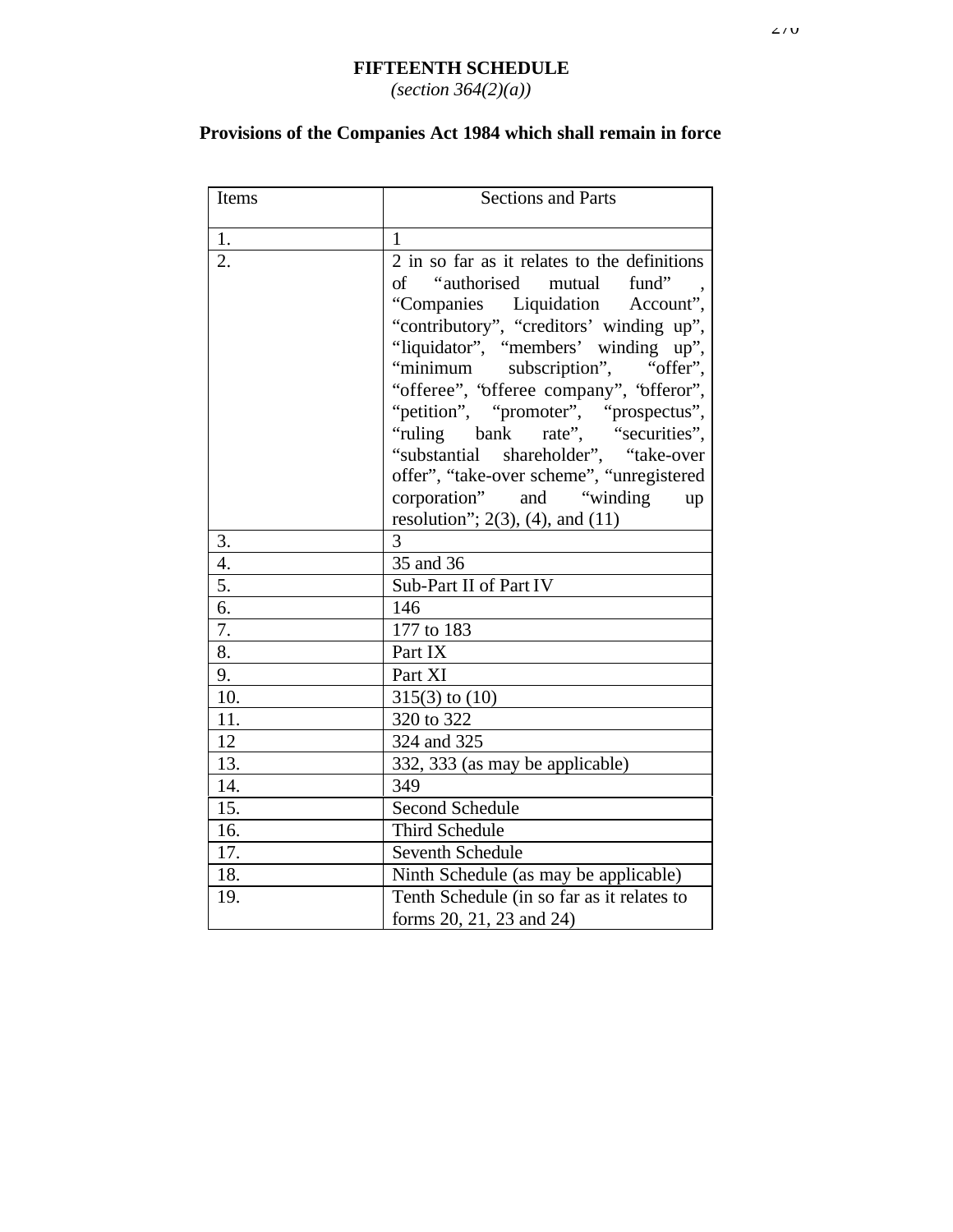### **FIFTEENTH SCHEDULE** *(section 364(2)(a))*

# **Provisions of the Companies Act 1984 which shall remain in force**

| Items            | <b>Sections and Parts</b>                                                                                                                                                                                                                                                                                                                                                                                                                                                                                                       |  |
|------------------|---------------------------------------------------------------------------------------------------------------------------------------------------------------------------------------------------------------------------------------------------------------------------------------------------------------------------------------------------------------------------------------------------------------------------------------------------------------------------------------------------------------------------------|--|
| 1.               | 1                                                                                                                                                                                                                                                                                                                                                                                                                                                                                                                               |  |
| $\overline{2}$ . | $2$ in so far as it relates to the definitions<br>of "authorised mutual fund"<br>"Companies Liquidation Account",<br>"contributory", "creditors' winding up",<br>"liquidator", "members' winding up",<br>"minimum subscription", "offer",<br>"offeree", "offeree company", "offeror",<br>"petition", "promoter", "prospectus",<br>"ruling bank rate", "securities",<br>"substantial shareholder", "take-over<br>offer", "take-over scheme", "unregistered<br>corporation" and "winding up<br>resolution"; 2(3), (4), and $(11)$ |  |
| 3.               | $\overline{3}$                                                                                                                                                                                                                                                                                                                                                                                                                                                                                                                  |  |
| $\overline{4}$ . | 35 and 36                                                                                                                                                                                                                                                                                                                                                                                                                                                                                                                       |  |
| 5.               | Sub-Part II of Part IV                                                                                                                                                                                                                                                                                                                                                                                                                                                                                                          |  |
| 6.               | 146                                                                                                                                                                                                                                                                                                                                                                                                                                                                                                                             |  |
| 7.               | 177 to 183                                                                                                                                                                                                                                                                                                                                                                                                                                                                                                                      |  |
| 8.               | Part IX                                                                                                                                                                                                                                                                                                                                                                                                                                                                                                                         |  |
| 9.               | Part XI                                                                                                                                                                                                                                                                                                                                                                                                                                                                                                                         |  |
| 10.              | $315(3)$ to $(10)$                                                                                                                                                                                                                                                                                                                                                                                                                                                                                                              |  |
| 11.              | 320 to 322                                                                                                                                                                                                                                                                                                                                                                                                                                                                                                                      |  |
| 12               | 324 and 325                                                                                                                                                                                                                                                                                                                                                                                                                                                                                                                     |  |
| 13.              | 332, 333 (as may be applicable)                                                                                                                                                                                                                                                                                                                                                                                                                                                                                                 |  |
| 14.              | 349                                                                                                                                                                                                                                                                                                                                                                                                                                                                                                                             |  |
| 15.              | <b>Second Schedule</b>                                                                                                                                                                                                                                                                                                                                                                                                                                                                                                          |  |
| 16.              | <b>Third Schedule</b>                                                                                                                                                                                                                                                                                                                                                                                                                                                                                                           |  |
| 17.              | Seventh Schedule                                                                                                                                                                                                                                                                                                                                                                                                                                                                                                                |  |
| 18.              | Ninth Schedule (as may be applicable)                                                                                                                                                                                                                                                                                                                                                                                                                                                                                           |  |
| 19.              | Tenth Schedule (in so far as it relates to                                                                                                                                                                                                                                                                                                                                                                                                                                                                                      |  |
|                  | forms 20, 21, 23 and 24)                                                                                                                                                                                                                                                                                                                                                                                                                                                                                                        |  |